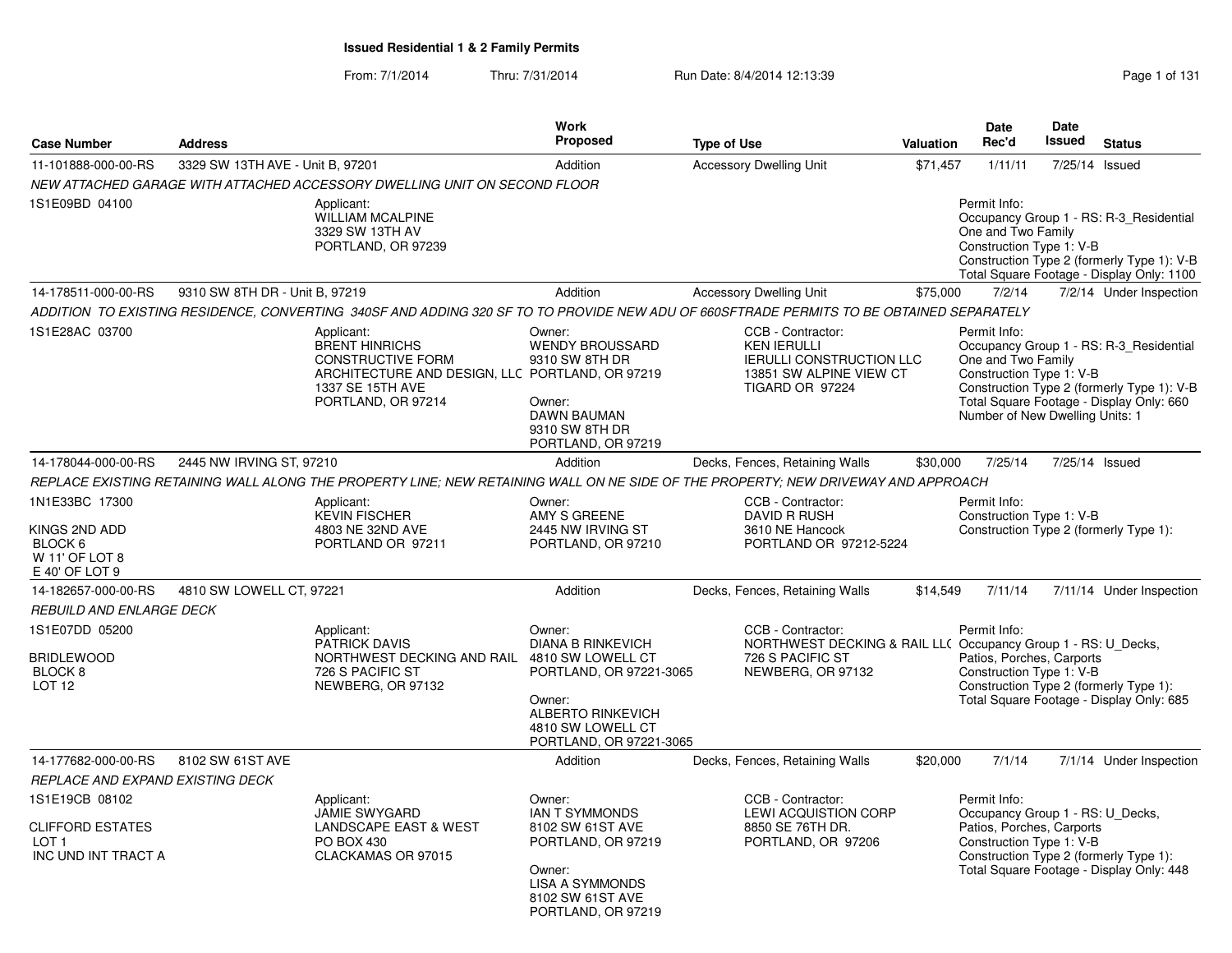From: 7/1/2014Thru: 7/31/2014 Run Date: 8/4/2014 12:13:39 Research 2010 131

| <b>Case Number</b>                                                                   | <b>Address</b>                   |                                                                                                                                                              | Work<br>Proposed                                                                                                                                                         | <b>Type of Use</b>                                                                                                          | Valuation | <b>Date</b><br>Rec'd                                                                                      | <b>Date</b><br><b>Issued</b> | <b>Status</b>                                                                                                                      |
|--------------------------------------------------------------------------------------|----------------------------------|--------------------------------------------------------------------------------------------------------------------------------------------------------------|--------------------------------------------------------------------------------------------------------------------------------------------------------------------------|-----------------------------------------------------------------------------------------------------------------------------|-----------|-----------------------------------------------------------------------------------------------------------|------------------------------|------------------------------------------------------------------------------------------------------------------------------------|
| 11-101888-000-00-RS                                                                  | 3329 SW 13TH AVE - Unit B, 97201 |                                                                                                                                                              | Addition                                                                                                                                                                 | <b>Accessory Dwelling Unit</b>                                                                                              | \$71,457  | 1/11/11                                                                                                   |                              | 7/25/14 Issued                                                                                                                     |
|                                                                                      |                                  | NEW ATTACHED GARAGE WITH ATTACHED ACCESSORY DWELLING UNIT ON SECOND FLOOR                                                                                    |                                                                                                                                                                          |                                                                                                                             |           |                                                                                                           |                              |                                                                                                                                    |
| 1S1E09BD 04100                                                                       |                                  | Applicant:<br><b>WILLIAM MCALPINE</b><br>3329 SW 13TH AV<br>PORTLAND, OR 97239                                                                               |                                                                                                                                                                          |                                                                                                                             |           | Permit Info:<br>One and Two Family<br>Construction Type 1: V-B                                            |                              | Occupancy Group 1 - RS: R-3_Residential<br>Construction Type 2 (formerly Type 1): V-B<br>Total Square Footage - Display Only: 1100 |
| 14-178511-000-00-RS                                                                  | 9310 SW 8TH DR - Unit B, 97219   |                                                                                                                                                              | Addition                                                                                                                                                                 | <b>Accessory Dwelling Unit</b>                                                                                              | \$75,000  | 7/2/14                                                                                                    |                              | 7/2/14 Under Inspection                                                                                                            |
|                                                                                      |                                  | ADDITION TO EXISTING RESIDENCE, CONVERTING 340SF AND ADDING 320 SF TO TO PROVIDE NEW ADU OF 660SFTRADE PERMITS TO BE OBTAINED SEPARATELY                     |                                                                                                                                                                          |                                                                                                                             |           |                                                                                                           |                              |                                                                                                                                    |
| 1S1E28AC 03700                                                                       |                                  | Applicant:<br><b>BRENT HINRICHS</b><br><b>CONSTRUCTIVE FORM</b><br>ARCHITECTURE AND DESIGN, LLC PORTLAND, OR 97219<br>1337 SE 15TH AVE<br>PORTLAND, OR 97214 | Owner:<br><b>WENDY BROUSSARD</b><br>9310 SW 8TH DR<br>Owner:<br><b>DAWN BAUMAN</b><br>9310 SW 8TH DR<br>PORTLAND, OR 97219                                               | CCB - Contractor:<br><b>KEN IERULLI</b><br><b>IERULLI CONSTRUCTION LLC</b><br>13851 SW ALPINE VIEW CT<br>TIGARD OR 97224    |           | Permit Info:<br>One and Two Family<br>Construction Type 1: V-B<br>Number of New Dwelling Units: 1         |                              | Occupancy Group 1 - RS: R-3 Residential<br>Construction Type 2 (formerly Type 1): V-B<br>Total Square Footage - Display Only: 660  |
| 14-178044-000-00-RS                                                                  | 2445 NW IRVING ST, 97210         |                                                                                                                                                              | Addition                                                                                                                                                                 | Decks, Fences, Retaining Walls                                                                                              | \$30,000  | 7/25/14                                                                                                   |                              | 7/25/14 Issued                                                                                                                     |
|                                                                                      |                                  | REPLACE EXISTING RETAINING WALL ALONG THE PROPERTY LINE; NEW RETAINING WALL ON NE SIDE OF THE PROPERTY; NEW DRIVEWAY AND APPROACH                            |                                                                                                                                                                          |                                                                                                                             |           |                                                                                                           |                              |                                                                                                                                    |
| 1N1E33BC 17300<br>KINGS 2ND ADD<br>BLOCK 6<br>W 11' OF LOT 8<br>E 40' OF LOT 9       |                                  | Applicant:<br><b>KEVIN FISCHER</b><br>4803 NE 32ND AVE<br>PORTLAND OR 97211                                                                                  | Owner:<br>AMY S GREENE<br>2445 NW IRVING ST<br>PORTLAND, OR 97210                                                                                                        | CCB - Contractor:<br>DAVID R RUSH<br>3610 NE Hancock<br>PORTLAND OR 97212-5224                                              |           | Permit Info:<br>Construction Type 1: V-B                                                                  |                              | Construction Type 2 (formerly Type 1):                                                                                             |
| 14-182657-000-00-RS                                                                  | 4810 SW LOWELL CT, 97221         |                                                                                                                                                              | Addition                                                                                                                                                                 | Decks, Fences, Retaining Walls                                                                                              | \$14,549  | 7/11/14                                                                                                   |                              | 7/11/14 Under Inspection                                                                                                           |
| REBUILD AND ENLARGE DECK                                                             |                                  |                                                                                                                                                              |                                                                                                                                                                          |                                                                                                                             |           |                                                                                                           |                              |                                                                                                                                    |
| 1S1E07DD 05200<br><b>BRIDLEWOOD</b><br>BLOCK <sub>8</sub><br><b>LOT 12</b>           |                                  | Applicant:<br>PATRICK DAVIS<br>NORTHWEST DECKING AND RAIL<br>726 S PACIFIC ST<br>NEWBERG, OR 97132                                                           | Owner:<br><b>DIANA B RINKEVICH</b><br>4810 SW LOWELL CT<br>PORTLAND, OR 97221-3065<br>Owner:<br><b>ALBERTO RINKEVICH</b><br>4810 SW LOWELL CT<br>PORTLAND, OR 97221-3065 | CCB - Contractor:<br>NORTHWEST DECKING & RAIL LL( Occupancy Group 1 - RS: U_Decks,<br>726 S PACIFIC ST<br>NEWBERG, OR 97132 |           | Permit Info:<br>Patios, Porches, Carports<br>Construction Type 1: V-B                                     |                              | Construction Type 2 (formerly Type 1):<br>Total Square Footage - Display Only: 685                                                 |
| 14-177682-000-00-RS                                                                  | 8102 SW 61ST AVE                 |                                                                                                                                                              | Addition                                                                                                                                                                 | Decks, Fences, Retaining Walls                                                                                              | \$20,000  | 7/1/14                                                                                                    |                              | 7/1/14 Under Inspection                                                                                                            |
| REPLACE AND EXPAND EXISTING DECK                                                     |                                  |                                                                                                                                                              |                                                                                                                                                                          |                                                                                                                             |           |                                                                                                           |                              |                                                                                                                                    |
| 1S1E19CB 08102<br><b>CLIFFORD ESTATES</b><br>LOT <sub>1</sub><br>INC UND INT TRACT A |                                  | Applicant:<br><b>JAMIE SWYGARD</b><br><b>LANDSCAPE EAST &amp; WEST</b><br>PO BOX 430<br>CLACKAMAS OR 97015                                                   | Owner:<br><b>IAN T SYMMONDS</b><br>8102 SW 61ST AVE<br>PORTLAND, OR 97219<br>Owner:<br><b>LISA A SYMMONDS</b><br>8102 SW 61ST AVE<br>PORTLAND, OR 97219                  | CCB - Contractor:<br><b>LEWI ACQUISTION CORP</b><br>8850 SE 76TH DR.<br>PORTLAND, OR 97206                                  |           | Permit Info:<br>Occupancy Group 1 - RS: U_Decks,<br>Patios, Porches, Carports<br>Construction Type 1: V-B |                              | Construction Type 2 (formerly Type 1):<br>Total Square Footage - Display Only: 448                                                 |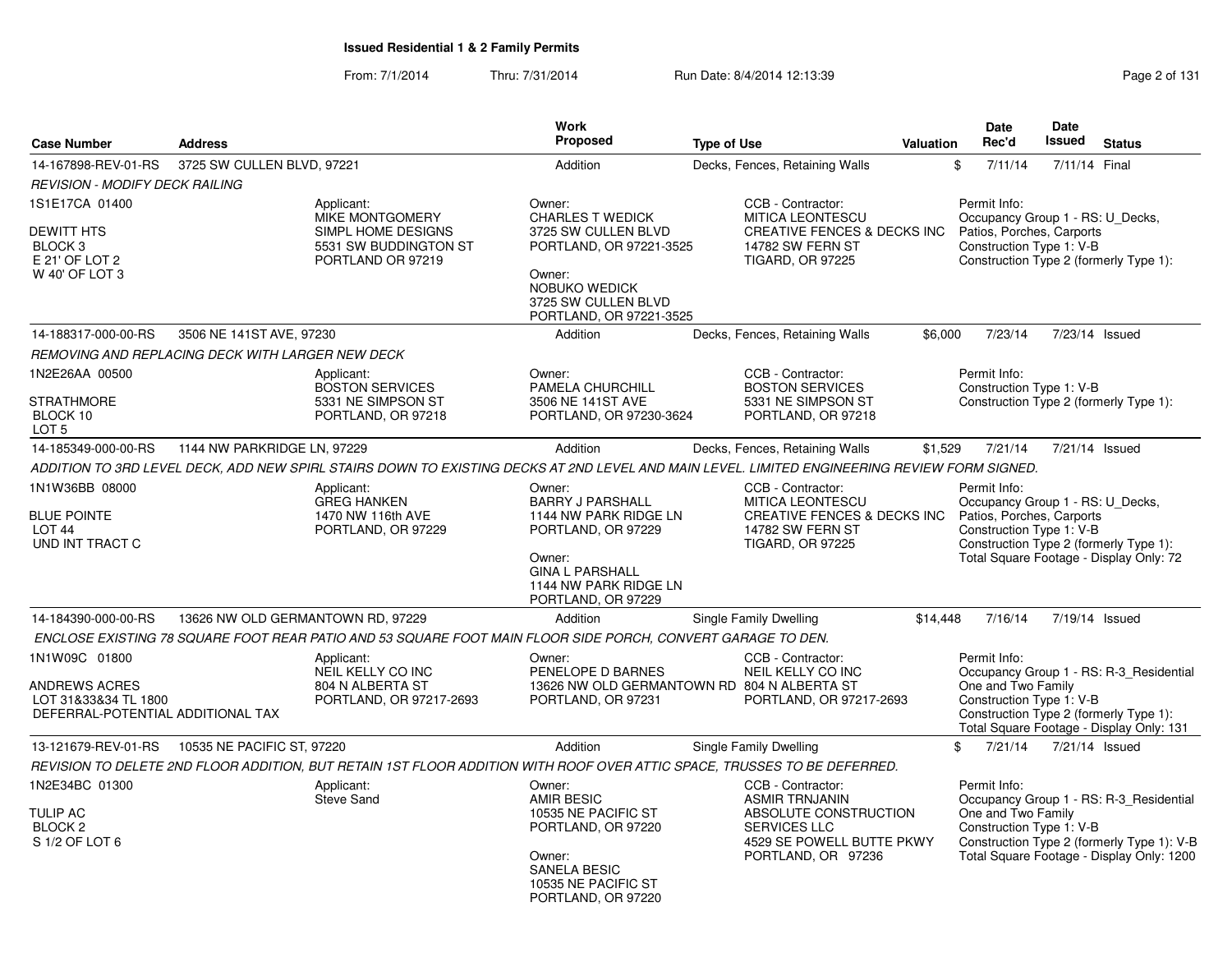From: 7/1/2014Thru: 7/31/2014 Run Date: 8/4/2014 12:13:39 Research 2014 13:14:05 Page 2 of 131

| <b>Case Number</b>                                                                          | <b>Address</b>                                   |                                                                                                                                              | <b>Work</b><br>Proposed                                                                                                                                             | <b>Type of Use</b>                                                                                                                            | <b>Valuation</b> | <b>Date</b><br>Rec'd                                                                                      | Date<br><b>Issued</b> | <b>Status</b>                                                                                                                      |
|---------------------------------------------------------------------------------------------|--------------------------------------------------|----------------------------------------------------------------------------------------------------------------------------------------------|---------------------------------------------------------------------------------------------------------------------------------------------------------------------|-----------------------------------------------------------------------------------------------------------------------------------------------|------------------|-----------------------------------------------------------------------------------------------------------|-----------------------|------------------------------------------------------------------------------------------------------------------------------------|
|                                                                                             |                                                  |                                                                                                                                              |                                                                                                                                                                     |                                                                                                                                               |                  |                                                                                                           |                       |                                                                                                                                    |
| 14-167898-REV-01-RS                                                                         | 3725 SW CULLEN BLVD, 97221                       |                                                                                                                                              | Addition                                                                                                                                                            | Decks, Fences, Retaining Walls                                                                                                                |                  | \$<br>7/11/14                                                                                             | 7/11/14 Final         |                                                                                                                                    |
| <b>REVISION - MODIFY DECK RAILING</b>                                                       |                                                  |                                                                                                                                              |                                                                                                                                                                     |                                                                                                                                               |                  |                                                                                                           |                       |                                                                                                                                    |
| 1S1E17CA 01400<br>DEWITT HTS<br>BLOCK 3<br>E 21' OF LOT 2<br>W 40' OF LOT 3                 |                                                  | Applicant:<br><b>MIKE MONTGOMERY</b><br>SIMPL HOME DESIGNS<br>5531 SW BUDDINGTON ST<br>PORTLAND OR 97219                                     | Owner:<br><b>CHARLES T WEDICK</b><br>3725 SW CULLEN BLVD<br>PORTLAND, OR 97221-3525<br>Owner:<br>NOBUKO WEDICK<br>3725 SW CULLEN BLVD<br>PORTLAND, OR 97221-3525    | CCB - Contractor:<br><b>MITICA LEONTESCU</b><br><b>CREATIVE FENCES &amp; DECKS INC</b><br>14782 SW FERN ST<br><b>TIGARD, OR 97225</b>         |                  | Permit Info:<br>Occupancy Group 1 - RS: U Decks,<br>Patios, Porches, Carports<br>Construction Type 1: V-B |                       | Construction Type 2 (formerly Type 1):                                                                                             |
| 14-188317-000-00-RS                                                                         | 3506 NE 141ST AVE, 97230                         |                                                                                                                                              | Addition                                                                                                                                                            | Decks, Fences, Retaining Walls                                                                                                                | \$6,000          | 7/23/14                                                                                                   |                       | 7/23/14 Issued                                                                                                                     |
|                                                                                             | REMOVING AND REPLACING DECK WITH LARGER NEW DECK |                                                                                                                                              |                                                                                                                                                                     |                                                                                                                                               |                  |                                                                                                           |                       |                                                                                                                                    |
| 1N2E26AA 00500<br>STRATHMORE<br>BLOCK 10<br>LOT 5                                           |                                                  | Applicant:<br><b>BOSTON SERVICES</b><br>5331 NE SIMPSON ST<br>PORTLAND, OR 97218                                                             | Owner:<br>PAMELA CHURCHILL<br>3506 NE 141ST AVE<br>PORTLAND, OR 97230-3624                                                                                          | CCB - Contractor:<br><b>BOSTON SERVICES</b><br>5331 NE SIMPSON ST<br>PORTLAND, OR 97218                                                       |                  | Permit Info:<br>Construction Type 1: V-B                                                                  |                       | Construction Type 2 (formerly Type 1):                                                                                             |
| 14-185349-000-00-RS                                                                         | 1144 NW PARKRIDGE LN, 97229                      |                                                                                                                                              | Addition                                                                                                                                                            | Decks, Fences, Retaining Walls                                                                                                                | \$1,529          | 7/21/14                                                                                                   |                       | 7/21/14 Issued                                                                                                                     |
|                                                                                             |                                                  | ADDITION TO 3RD LEVEL DECK, ADD NEW SPIRL STAIRS DOWN TO EXISTING DECKS AT 2ND LEVEL AND MAIN LEVEL. LIMITED ENGINEERING REVIEW FORM SIGNED. |                                                                                                                                                                     |                                                                                                                                               |                  |                                                                                                           |                       |                                                                                                                                    |
| 1N1W36BB 08000<br><b>BLUE POINTE</b><br>LOT 44<br>UND INT TRACT C                           |                                                  | Applicant:<br><b>GREG HANKEN</b><br>1470 NW 116th AVE<br>PORTLAND, OR 97229                                                                  | Owner:<br><b>BARRY J PARSHALL</b><br>1144 NW PARK RIDGE LN<br>PORTLAND, OR 97229<br>Owner:<br><b>GINA L PARSHALL</b><br>1144 NW PARK RIDGE LN<br>PORTLAND, OR 97229 | CCB - Contractor:<br><b>MITICA LEONTESCU</b><br>CREATIVE FENCES & DECKS INC<br>14782 SW FERN ST<br><b>TIGARD, OR 97225</b>                    |                  | Permit Info:<br>Occupancy Group 1 - RS: U_Decks,<br>Patios, Porches, Carports<br>Construction Type 1: V-B |                       | Construction Type 2 (formerly Type 1):<br>Total Square Footage - Display Only: 72                                                  |
| 14-184390-000-00-RS                                                                         | 13626 NW OLD GERMANTOWN RD, 97229                |                                                                                                                                              | Addition                                                                                                                                                            | Single Family Dwelling                                                                                                                        | \$14.448         | 7/16/14                                                                                                   |                       | 7/19/14 Issued                                                                                                                     |
|                                                                                             |                                                  | ENCLOSE EXISTING 78 SQUARE FOOT REAR PATIO AND 53 SQUARE FOOT MAIN FLOOR SIDE PORCH, CONVERT GARAGE TO DEN.                                  |                                                                                                                                                                     |                                                                                                                                               |                  |                                                                                                           |                       |                                                                                                                                    |
| 1N1W09C 01800<br>ANDREWS ACRES<br>LOT 31&33&34 TL 1800<br>DEFERRAL-POTENTIAL ADDITIONAL TAX |                                                  | Applicant:<br>NEIL KELLY CO INC<br>804 N ALBERTA ST<br>PORTLAND, OR 97217-2693                                                               | Owner:<br>PENELOPE D BARNES<br>PORTLAND, OR 97231                                                                                                                   | CCB - Contractor:<br>NEIL KELLY CO INC<br>13626 NW OLD GERMANTOWN RD 804 N ALBERTA ST<br>PORTLAND, OR 97217-2693                              |                  | Permit Info:<br>One and Two Family<br>Construction Type 1: V-B                                            |                       | Occupancy Group 1 - RS: R-3 Residential<br>Construction Type 2 (formerly Type 1):<br>Total Square Footage - Display Only: 131      |
| 13-121679-REV-01-RS                                                                         | 10535 NE PACIFIC ST, 97220                       |                                                                                                                                              | Addition                                                                                                                                                            | Single Family Dwelling                                                                                                                        |                  | \$<br>7/21/14                                                                                             |                       | 7/21/14 Issued                                                                                                                     |
|                                                                                             |                                                  | REVISION TO DELETE 2ND FLOOR ADDITION, BUT RETAIN 1ST FLOOR ADDITION WITH ROOF OVER ATTIC SPACE, TRUSSES TO BE DEFERRED.                     |                                                                                                                                                                     |                                                                                                                                               |                  |                                                                                                           |                       |                                                                                                                                    |
| 1N2E34BC 01300<br><b>TULIP AC</b><br>BLOCK <sub>2</sub><br>S 1/2 OF LOT 6                   |                                                  | Applicant:<br><b>Steve Sand</b>                                                                                                              | Owner:<br><b>AMIR BESIC</b><br>10535 NE PACIFIC ST<br>PORTLAND, OR 97220<br>Owner:<br>SANELA BESIC<br>10535 NE PACIFIC ST<br>PORTLAND, OR 97220                     | CCB - Contractor:<br><b>ASMIR TRNJANIN</b><br>ABSOLUTE CONSTRUCTION<br><b>SERVICES LLC</b><br>4529 SE POWELL BUTTE PKWY<br>PORTLAND, OR 97236 |                  | Permit Info:<br>One and Two Family<br>Construction Type 1: V-B                                            |                       | Occupancy Group 1 - RS: R-3_Residential<br>Construction Type 2 (formerly Type 1): V-B<br>Total Square Footage - Display Only: 1200 |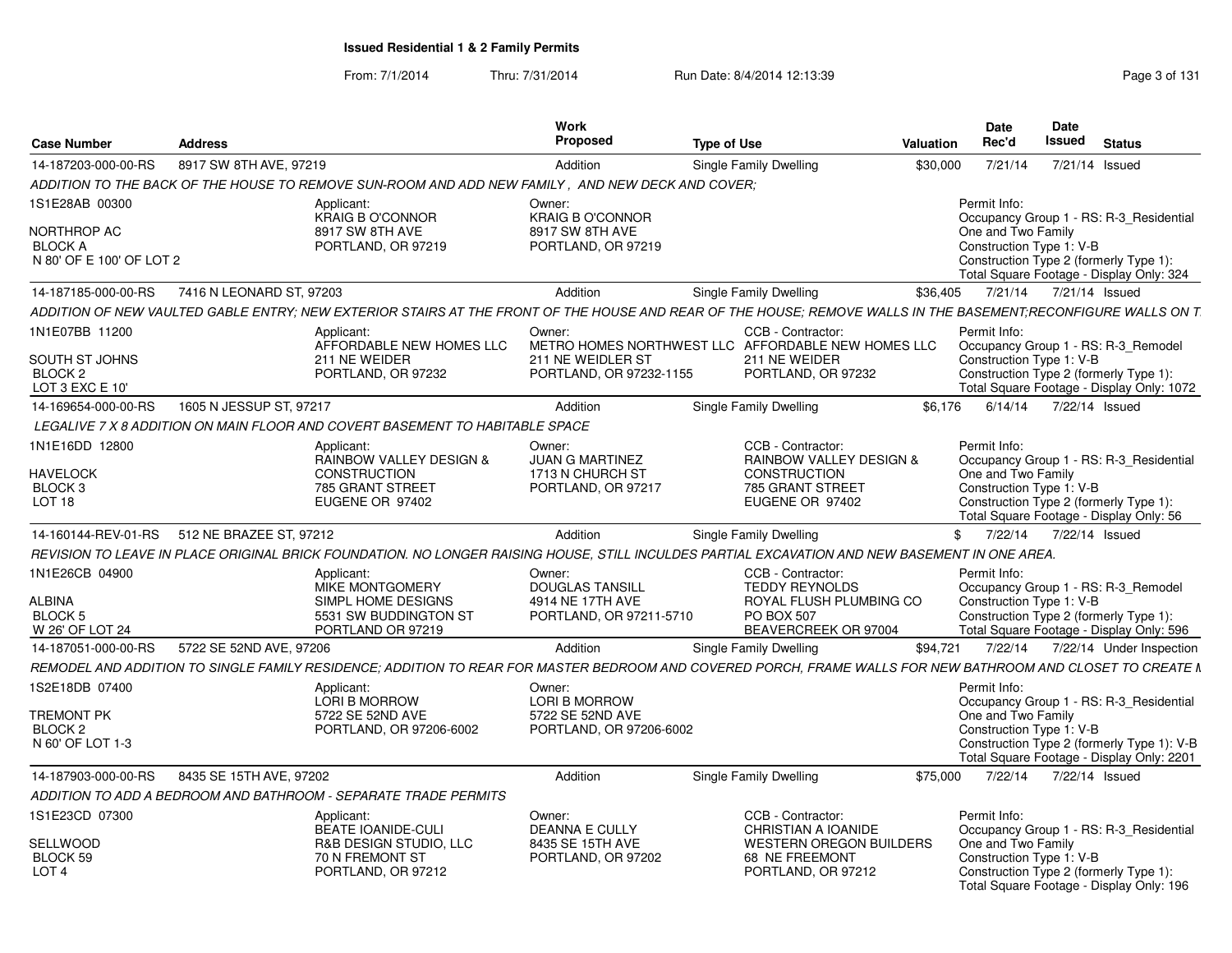### From: 7/1/2014Thru: 7/31/2014 Run Date: 8/4/2014 12:13:39 Rege 3 of 131

| Case Number                                  | <b>Address</b>          |                                                                                                  | Work<br>Propose                             | <b>Type of Use</b>                                                                                                                                            | Valuation    | Date<br>Rec'd                                  | Date<br>Issued<br><b>Status</b>                                                    |
|----------------------------------------------|-------------------------|--------------------------------------------------------------------------------------------------|---------------------------------------------|---------------------------------------------------------------------------------------------------------------------------------------------------------------|--------------|------------------------------------------------|------------------------------------------------------------------------------------|
| 14-187203-000-00-RS                          | 8917 SW 8TH AVE, 97219  |                                                                                                  | Addition                                    | Single Family Dwelling                                                                                                                                        |              |                                                | \$30,000 7/21/14 7/21/14 Issued                                                    |
|                                              |                         | ADDITION TO THE BACK OF THE HOUSE TO REMOVE SUN-ROOM AND ADD NEW FAMILY, AND NEW DECK AND COVER; |                                             |                                                                                                                                                               |              |                                                |                                                                                    |
|                                              |                         |                                                                                                  |                                             |                                                                                                                                                               |              |                                                |                                                                                    |
| 1S1E28AB 00300                               |                         | Applicant:<br><b>KRAIG B O'CONNOR</b>                                                            | Owner:<br><b>KRAIG B O'CONNOR</b>           |                                                                                                                                                               | Permit Info: |                                                | Occupancy Group 1 - RS: R-3 Residential                                            |
| NORTHROP AC                                  |                         | 8917 SW 8TH AVE                                                                                  | 8917 SW 8TH AVE                             |                                                                                                                                                               |              | One and Two Family                             |                                                                                    |
| <b>BLOCK A</b>                               |                         | PORTLAND, OR 97219                                                                               | PORTLAND, OR 97219                          |                                                                                                                                                               |              | Construction Type 1: V-B                       |                                                                                    |
| N 80' OF E 100' OF LOT 2                     |                         |                                                                                                  |                                             |                                                                                                                                                               |              |                                                | Construction Type 2 (formerly Type 1):                                             |
|                                              |                         |                                                                                                  |                                             |                                                                                                                                                               |              |                                                | Total Square Footage - Display Only: 324                                           |
| 14-187185-000-00-RS 7416 N LEONARD ST, 97203 |                         |                                                                                                  | Addition                                    | Single Family Dwelling                                                                                                                                        |              |                                                | \$36,405 7/21/14 7/21/14 Issued                                                    |
|                                              |                         |                                                                                                  |                                             | ADDITION OF NEW VAULTED GABLE ENTRY: NEW EXTERIOR STAIRS AT THE FRONT OF THE HOUSE AND REAR OF THE HOUSE: REMOVE WALLS IN THE BASEMENT:RECONFIGURE WALLS ON T |              |                                                |                                                                                    |
| 1N1E07BB 11200                               |                         | Applicant:                                                                                       | Owner:                                      | CCB - Contractor:                                                                                                                                             | Permit Info: |                                                |                                                                                    |
|                                              |                         | AFFORDABLE NEW HOMES LLC                                                                         |                                             | METRO HOMES NORTHWEST LLC AFFORDABLE NEW HOMES LLC                                                                                                            |              |                                                | Occupancy Group 1 - RS: R-3 Remodel                                                |
| SOUTH ST JOHNS                               |                         | 211 NE WEIDER                                                                                    | 211 NE WEIDLER ST                           | 211 NE WEIDER                                                                                                                                                 |              | Construction Type 1: V-B                       |                                                                                    |
| BLOCK 2                                      |                         | PORTLAND, OR 97232                                                                               | PORTLAND, OR 97232-1155                     | PORTLAND, OR 97232                                                                                                                                            |              |                                                | Construction Type 2 (formerly Type 1):                                             |
| LOT 3 EXC E 10'                              |                         |                                                                                                  |                                             |                                                                                                                                                               |              |                                                | Total Square Footage - Display Only: 1072                                          |
| 14-169654-000-00-RS                          | 1605 N JESSUP ST, 97217 |                                                                                                  | Addition                                    | Single Family Dwelling                                                                                                                                        |              |                                                | \$6,176 6/14/14 7/22/14 Issued                                                     |
|                                              |                         | LEGALIVE 7 X 8 ADDITION ON MAIN FLOOR AND COVERT BASEMENT TO HABITABLE SPACE                     |                                             |                                                                                                                                                               |              |                                                |                                                                                    |
| 1N1E16DD 12800                               |                         | Applicant:                                                                                       | Owner:                                      | CCB - Contractor:                                                                                                                                             | Permit Info: |                                                |                                                                                    |
|                                              |                         | <b>RAINBOW VALLEY DESIGN &amp;</b>                                                               | JUAN G MARTINEZ                             | <b>RAINBOW VALLEY DESIGN &amp;</b>                                                                                                                            |              |                                                | Occupancy Group 1 - RS: R-3 Residential                                            |
| HAVELOCK                                     |                         | CONSTRUCTION                                                                                     | 1713 N CHURCH ST                            | CONSTRUCTION                                                                                                                                                  |              | One and Two Family                             |                                                                                    |
| BLOCK 3<br>LOT 18                            |                         | 785 GRANT STREET<br>EUGENE OR 97402                                                              | PORTLAND, OR 97217                          | 785 GRANT STREET<br>EUGENE OR 97402                                                                                                                           |              | Construction Type 1: V-B                       |                                                                                    |
|                                              |                         |                                                                                                  |                                             |                                                                                                                                                               |              |                                                | Construction Type 2 (formerly Type 1):<br>Total Square Footage - Display Only: 56  |
| 14-160144-REV-01-RS 512 NE BRAZEE ST, 97212  |                         |                                                                                                  | Addition                                    | Single Family Dwelling                                                                                                                                        |              |                                                | \$ 7/22/14 7/22/14 Issued                                                          |
|                                              |                         |                                                                                                  |                                             |                                                                                                                                                               |              |                                                |                                                                                    |
|                                              |                         |                                                                                                  |                                             | REVISION TO LEAVE IN PLACE ORIGINAL BRICK FOUNDATION. NO LONGER RAISING HOUSE, STILL INCULDES PARTIAL EXCAVATION AND NEW BASEMENT IN ONE AREA.                |              |                                                |                                                                                    |
| 1N1E26CB 04900                               |                         | Applicant:                                                                                       | Owner:                                      | CCB - Contractor:                                                                                                                                             | Permit Info: |                                                |                                                                                    |
|                                              |                         | MIKE MONTGOMERY                                                                                  | <b>DOUGLAS TANSILL</b>                      | <b>TEDDY REYNOLDS</b>                                                                                                                                         |              |                                                | Occupancy Group 1 - RS: R-3_Remodel                                                |
| ALBINA<br><b>BLOCK 5</b>                     |                         | SIMPL HOME DESIGNS                                                                               | 4914 NE 17TH AVE<br>PORTLAND, OR 97211-5710 | ROYAL FLUSH PLUMBING CO<br>PO BOX 507                                                                                                                         |              | Construction Type 1: V-B                       |                                                                                    |
| W 26' OF LOT 24                              |                         | 5531 SW BUDDINGTON ST<br>PORTLAND OR 97219                                                       |                                             | BEAVERCREEK OR 97004                                                                                                                                          |              |                                                | Construction Type 2 (formerly Type 1):<br>Total Square Footage - Display Only: 596 |
| 14-187051-000-00-RS 5722 SE 52ND AVE, 97206  |                         |                                                                                                  | Addition                                    | Single Family Dwelling                                                                                                                                        |              |                                                | \$94,721 7/22/14 7/22/14 Under Inspection                                          |
|                                              |                         |                                                                                                  |                                             | REMODEL AND ADDITION TO SINGLE FAMILY RESIDENCE; ADDITION TO REAR FOR MASTER BEDROOM AND COVERED PORCH, FRAME WALLS FOR NEW BATHROOM AND CLOSET TO CREATE N   |              |                                                |                                                                                    |
|                                              |                         |                                                                                                  |                                             |                                                                                                                                                               |              |                                                |                                                                                    |
| 1S2E18DB 07400                               |                         | Applicant:                                                                                       | Owner:                                      |                                                                                                                                                               | Permit Info: |                                                |                                                                                    |
| <b>TREMONT PK</b>                            |                         | <b>LORI B MORROW</b><br>5722 SE 52ND AVE                                                         | <b>LORI B MORROW</b><br>5722 SE 52ND AVE    |                                                                                                                                                               |              |                                                | Occupancy Group 1 - RS: R-3_Residential                                            |
| BLOCK 2                                      |                         | PORTLAND, OR 97206-6002                                                                          | PORTLAND, OR 97206-6002                     |                                                                                                                                                               |              | One and Two Family<br>Construction Type 1: V-B |                                                                                    |
| N 60' OF LOT 1-3                             |                         |                                                                                                  |                                             |                                                                                                                                                               |              |                                                | Construction Type 2 (formerly Type 1): V-B                                         |
|                                              |                         |                                                                                                  |                                             |                                                                                                                                                               |              |                                                | Total Square Footage - Display Only: 2201                                          |
| 14-187903-000-00-RS                          | 8435 SE 15TH AVE, 97202 |                                                                                                  | Addition                                    | Single Family Dwelling                                                                                                                                        |              |                                                | \$75,000 7/22/14 7/22/14 Issued                                                    |
|                                              |                         | ADDITION TO ADD A BEDROOM AND BATHROOM - SEPARATE TRADE PERMITS                                  |                                             |                                                                                                                                                               |              |                                                |                                                                                    |
| 1S1E23CD 07300                               |                         |                                                                                                  | Owner:                                      | CCB - Contractor:                                                                                                                                             | Permit Info: |                                                |                                                                                    |
|                                              |                         | Applicant:<br>BEATE IOANIDE-CULI                                                                 | <b>DEANNA E CULLY</b>                       | CHRISTIAN A IOANIDE                                                                                                                                           |              |                                                | Occupancy Group 1 - RS: R-3 Residential                                            |
| SELLWOOD                                     |                         | <b>R&amp;B DESIGN STUDIO, LLC</b>                                                                | 8435 SE 15TH AVE                            | WESTERN OREGON BUILDERS                                                                                                                                       |              | One and Two Family                             |                                                                                    |
| BLOCK 59                                     |                         | 70 N FREMONT ST                                                                                  | PORTLAND, OR 97202                          | 68 NE FREEMONT                                                                                                                                                |              | Construction Type 1: V-B                       |                                                                                    |
| LOT <sub>4</sub>                             |                         | PORTLAND, OR 97212                                                                               |                                             | PORTLAND, OR 97212                                                                                                                                            |              |                                                | Construction Type 2 (formerly Type 1):                                             |
|                                              |                         |                                                                                                  |                                             |                                                                                                                                                               |              |                                                | Total Square Footage - Display Only: 196                                           |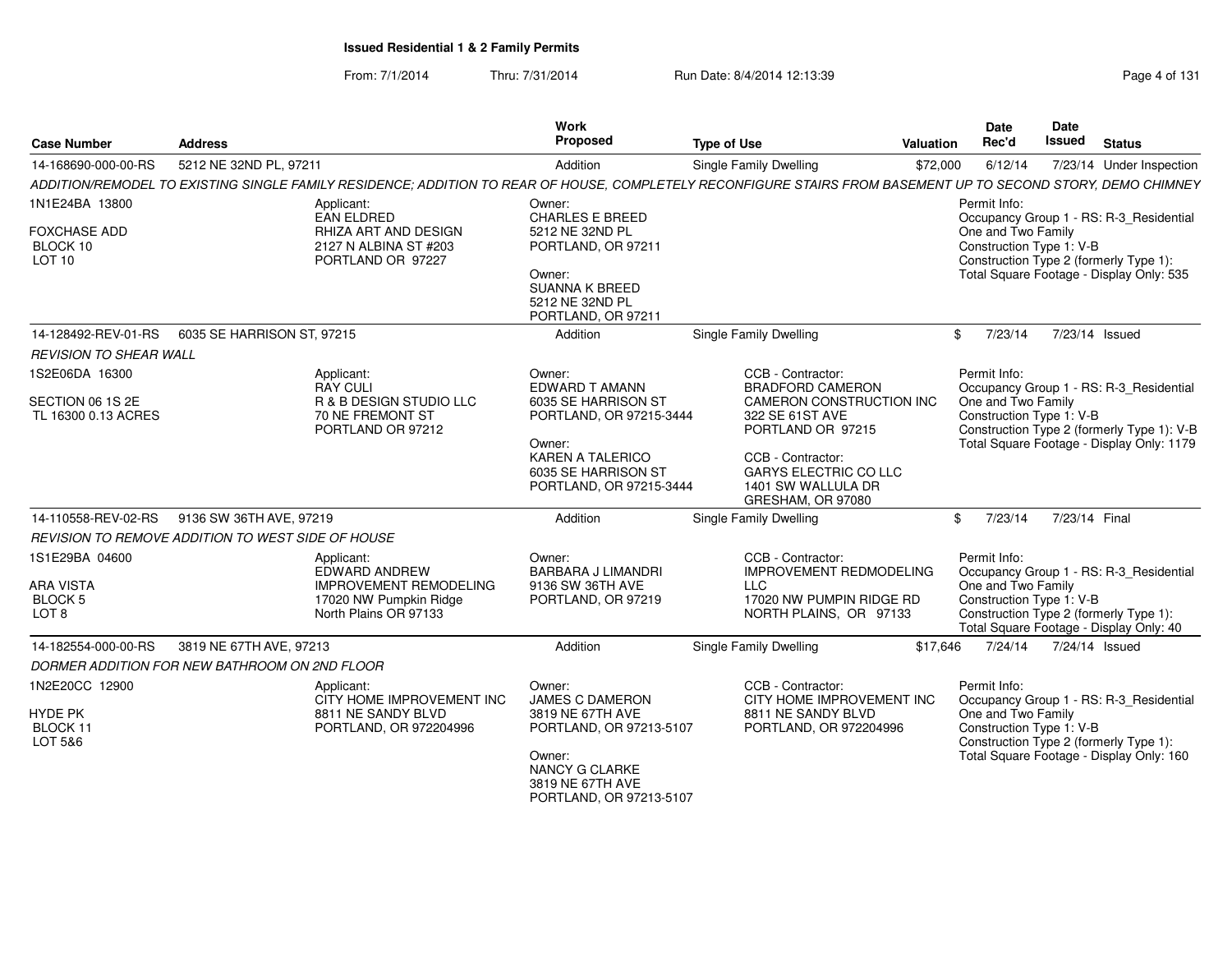### From: 7/1/2014Thru: 7/31/2014 **Run Date: 8/4/2014 12:13:39** Page 4 of 1311/2014

| Page 4 of 131 |  |  |
|---------------|--|--|
|---------------|--|--|

| <b>Case Number</b>                                | <b>Address</b>                                   |                                                                                         | <b>Work</b><br>Proposed                        | <b>Type of Use</b>                                                    | Date<br>Rec'd<br>Valuation | Date<br>Issued<br><b>Status</b>                                        |
|---------------------------------------------------|--------------------------------------------------|-----------------------------------------------------------------------------------------|------------------------------------------------|-----------------------------------------------------------------------|----------------------------|------------------------------------------------------------------------|
| 14-168690-000-00-RS                               | 5212 NE 32ND PL, 9721                            |                                                                                         | Addition                                       | Single Family Dwelling                                                |                            | \$72,000 6/12/14 7/23/14 Under Inspection                              |
|                                                   |                                                  | ADDITION/REMODEL TO EXISTING SINGLE FAMILY RESIDENCE; ADDITION TO REAR OF HOUSE, COMPLE |                                                | ELY RECONFIGURE STAIRS FROM BASEMENT UP TO SECOND STORY, DEMO CHIMNEY |                            |                                                                        |
| 1N1E24BA 13800                                    |                                                  | Applicant:                                                                              | Owner:                                         |                                                                       | Permit Info:               |                                                                        |
|                                                   |                                                  | EAN ELDRED                                                                              | <b>CHARLES E BREED</b>                         |                                                                       |                            | Occupancy Group 1 - RS: R-3_Residential                                |
| FOXCHASE ADD                                      |                                                  | RHIZA ART AND DESIGN                                                                    | 5212 NE 32ND PL                                |                                                                       | One and Two Family         |                                                                        |
| BLOCK 10<br><b>LOT 10</b>                         |                                                  | 2127 N ALBINA ST #203<br>PORTLAND OR 97227                                              | PORTLAND, OR 97211                             |                                                                       |                            | Construction Type 1: V-B<br>Construction Type 2 (formerly Type 1):     |
|                                                   |                                                  |                                                                                         | Owner:                                         |                                                                       |                            | Total Square Footage - Display Only: 535                               |
|                                                   |                                                  |                                                                                         | <b>SUANNA K BREED</b>                          |                                                                       |                            |                                                                        |
|                                                   |                                                  |                                                                                         | 5212 NE 32ND PL<br>PORTLAND, OR 97211          |                                                                       |                            |                                                                        |
|                                                   | 14-128492-REV-01-RS   6035 SE HARRISON ST, 97215 |                                                                                         | Addition                                       | Single Family Dwelling                                                |                            | \$ 7/23/14 7/23/14 Issued                                              |
|                                                   |                                                  |                                                                                         |                                                |                                                                       |                            |                                                                        |
| <b>REVISION TO SHEAR WALL</b>                     |                                                  |                                                                                         |                                                |                                                                       |                            |                                                                        |
| 1S2E06DA 16300                                    |                                                  | Applicant:<br>RAY CULI                                                                  | Owner:<br>EDWARD T AMANN                       | CCB - Contractor:<br>BRADFORD CAMERON                                 | Permit Info:               | Occupancy Group 1 - RS: R-3_Residential                                |
| SECTION 06 1S 2E                                  |                                                  | R & B DESIGN STUDIO LL                                                                  | 6035 SE HARRISON ST                            | CAMERON CONSTRUCTION INC                                              | One and Two Family         |                                                                        |
| TL 16300 0.13 ACRES                               |                                                  | 70 NE FREMONT ST<br>PORTLAND OR 97212                                                   | PORTLAND, OR 97215-3444                        | 322 SE 61ST AVE<br>PORTLAND OR 97215                                  |                            | Construction Type 1: V-B<br>Construction Type 2 (formerly Type 1): V-B |
|                                                   |                                                  |                                                                                         | Owner:                                         |                                                                       |                            | Total Square Footage - Display Only: 1179                              |
|                                                   |                                                  |                                                                                         | <b>KAREN A TALERICO</b>                        | CCB - Contractor:                                                     |                            |                                                                        |
|                                                   |                                                  |                                                                                         | 6035 SE HARRISON ST<br>PORTLAND, OR 97215-3444 | <b>GARYS ELECTRIC CO LLC</b><br>1401 SW WALLULA DR                    |                            |                                                                        |
|                                                   |                                                  |                                                                                         |                                                | GRESHAM, OR 97080                                                     |                            |                                                                        |
|                                                   | 14-110558-REV-02-RS 9136 SW 36TH AVE, 97219      |                                                                                         | Addition                                       | Single Family Dwelling                                                |                            | \$ 7/23/14 7/23/14 Final                                               |
| REVISION TO REMOVE ADDITION TO WEST SIDE OF HOUSE |                                                  |                                                                                         |                                                |                                                                       |                            |                                                                        |
| 1S1E29BA 04600                                    |                                                  | Applicant:                                                                              | Owner:                                         | CCB - Contractor:                                                     | Permit Info:               |                                                                        |
|                                                   |                                                  | FDWARD ANDREW                                                                           | BARBARA J LIMANDRI                             | <b>IMPROVEMENT REDMODELING</b>                                        |                            | Occupancy Group 1 - RS: R-3_Residential                                |
| <b>ARA VISTA</b><br>BLOCK 5                       |                                                  | <b>IMPROVEMENT REMODELING</b><br>17020 NW Pumpkin Ridge                                 | 9136 SW 36TH AVE<br>PORTLAND, OR 97219         | LLC  <br>17020 NW PUMPIN RIDGE RD                                     | One and Two Family         | Construction Type 1: V-B                                               |
| LOT 8                                             |                                                  | North Plains OR 97133                                                                   |                                                | NORTH PLAINS, OR 97133                                                |                            | Construction Type 2 (formerly Type 1):                                 |
|                                                   |                                                  |                                                                                         |                                                |                                                                       |                            | Total Square Footage - Display Only: 40                                |
|                                                   | 14-182554-000-00-RS 3819 NE 67TH AVE, 97213      |                                                                                         | Addition                                       | Single Family Dwelling                                                |                            | \$17,646 7/24/14 7/24/14 Issued                                        |
| DORMER ADDITION FOR NEW BATHROOM ON 2ND FLOOR     |                                                  |                                                                                         |                                                |                                                                       |                            |                                                                        |
| 1N2E20CC 12900                                    |                                                  | Applicant:                                                                              | Owner:                                         | CCB - Contractor:                                                     | Permit Info:               |                                                                        |
|                                                   |                                                  | CITY HOME IMPROVEMENT INC                                                               | <b>JAMES C DAMERON</b>                         | CITY HOME IMPROVEMENT INC                                             |                            | Occupancy Group 1 - RS: R-3_Residential                                |
| HYDE PK<br>BLOCK 11                               |                                                  | 8811 NE SANDY BLVD<br>PORTLAND, OR 972204996                                            | 3819 NE 67TH AVE<br>PORTLAND, OR 97213-5107    | 8811 NE SANDY BLVD<br>PORTLAND, OR 972204996                          | One and Two Family         | Construction Type 1: V-B                                               |
| LOT 5&6                                           |                                                  |                                                                                         |                                                |                                                                       |                            | Construction Type 2 (formerly Type 1):                                 |
|                                                   |                                                  |                                                                                         | Owner:<br><b>NANCY G CLARKE</b>                |                                                                       |                            | Total Square Footage - Display Only: 160                               |
|                                                   |                                                  |                                                                                         | 3819 NE 67TH AVE                               |                                                                       |                            |                                                                        |

PORTLAND, OR 97213-5107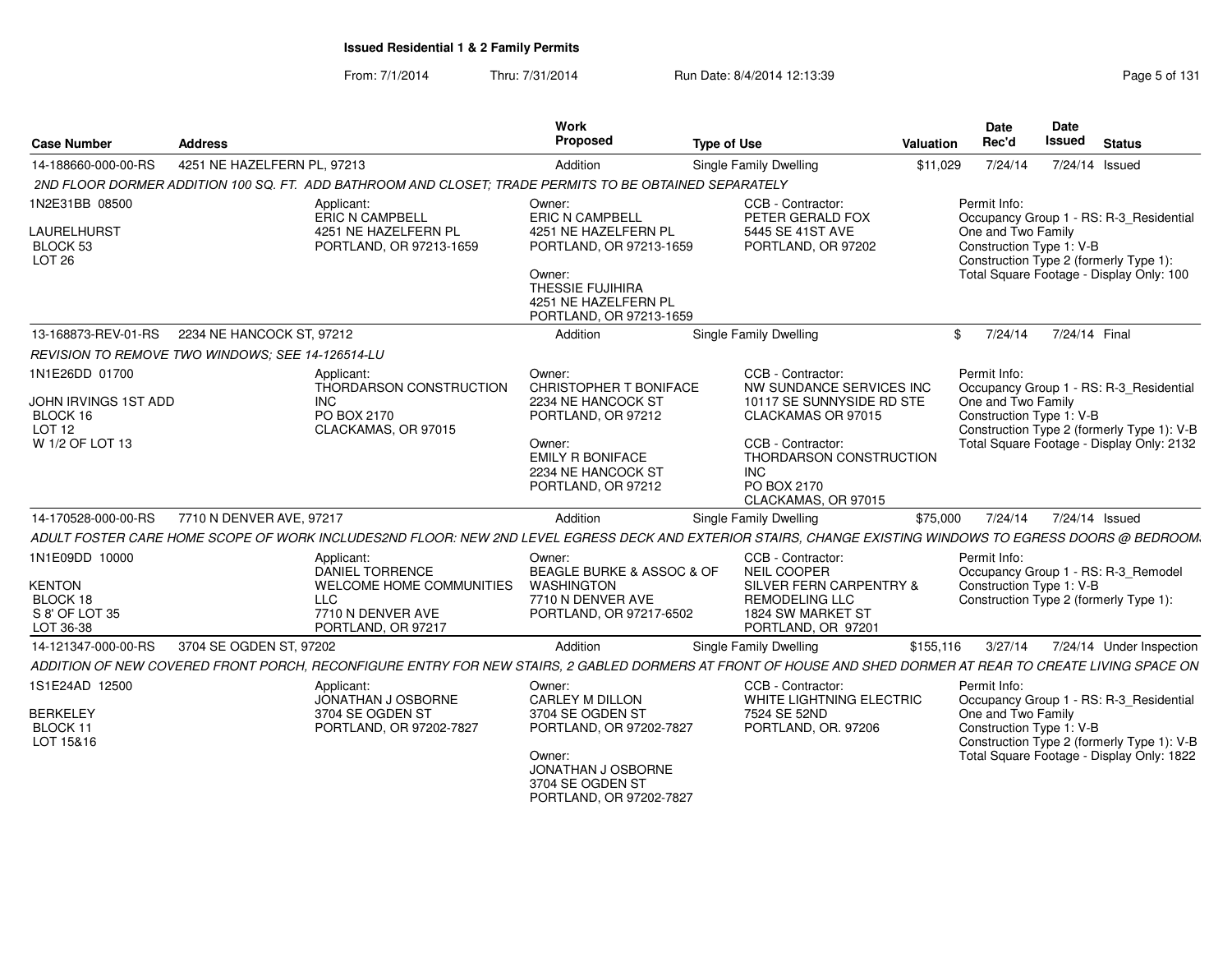From: 7/1/2014Thru: 7/31/2014 **Run Date: 8/4/2014 12:13:39** Page 5 of 131

| <b>Case Number</b>                                                                         | <b>Address</b>                                          |                                                                                                                                                             | Work<br>Proposed                                                                                                                          | <b>Type of Use</b>                                                                                                       | Valuation | <b>Date</b><br>Rec'd                                           | <b>Date</b><br>Issued | <b>Status</b>                                                                                                                      |
|--------------------------------------------------------------------------------------------|---------------------------------------------------------|-------------------------------------------------------------------------------------------------------------------------------------------------------------|-------------------------------------------------------------------------------------------------------------------------------------------|--------------------------------------------------------------------------------------------------------------------------|-----------|----------------------------------------------------------------|-----------------------|------------------------------------------------------------------------------------------------------------------------------------|
| 14-188660-000-00-RS                                                                        | 4251 NE HAZELFERN PL, 97213                             |                                                                                                                                                             | Addition                                                                                                                                  | Single Family Dwelling                                                                                                   | \$11,029  | 7/24/14                                                        | 7/24/14 Issued        |                                                                                                                                    |
|                                                                                            |                                                         | 2ND FLOOR DORMER ADDITION 100 SQ. FT. ADD BATHROOM AND CLOSET; TRADE PERMITS TO BE OBTAINED SEPARATELY                                                      |                                                                                                                                           |                                                                                                                          |           |                                                                |                       |                                                                                                                                    |
| 1N2E31BB 08500<br>LAURELHURST<br>BLOCK 53<br>LOT <sub>26</sub>                             |                                                         | Applicant<br>ERIC N CAMPBELL<br>4251 NE HAZELFERN PL<br>PORTLAND, OR 97213-1659                                                                             | Owner:<br><b>ERIC N CAMPBELL</b><br>4251 NE HAZELFERN PL<br>PORTLAND, OR 97213-1659<br>Owner:<br>THESSIE FUJIHIRA<br>4251 NE HAZELFERN PL | CCB - Contractor:<br>PETER GERALD FOX<br>5445 SE 41ST AVE<br>PORTLAND, OR 97202                                          |           | Permit Info:<br>One and Two Family<br>Construction Type 1: V-B |                       | Occupancy Group 1 - RS: R-3 Residential<br>Construction Type 2 (formerly Type 1):<br>Total Square Footage - Display Only: 100      |
| 13-168873-REV-01-RS                                                                        | 2234 NE HANCOCK ST, 97212                               |                                                                                                                                                             | PORTLAND, OR 97213-1659                                                                                                                   |                                                                                                                          |           | 7/24/14                                                        | 7/24/14 Final         |                                                                                                                                    |
|                                                                                            |                                                         |                                                                                                                                                             | Addition                                                                                                                                  | <b>Single Family Dwelling</b>                                                                                            |           | $\mathbb{S}$                                                   |                       |                                                                                                                                    |
|                                                                                            | <b>REVISION TO REMOVE TWO WINDOWS: SEE 14-126514-LU</b> |                                                                                                                                                             |                                                                                                                                           |                                                                                                                          |           |                                                                |                       |                                                                                                                                    |
| 1N1E26DD 01700<br>JOHN IRVINGS 1ST ADD<br>BLOCK 16<br>LOT <sub>12</sub><br>W 1/2 OF LOT 13 |                                                         | Applicant:<br>THORDARSON CONSTRUCTION<br><b>INC</b><br>PO BOX 2170<br>CLACKAMAS, OR 97015                                                                   | Owner:<br>CHRISTOPHER T BONIFACE<br>2234 NE HANCOCK ST<br>PORTLAND, OR 97212<br>Owner:                                                    | CCB - Contractor:<br>NW SUNDANCE SERVICES INC<br>10117 SE SUNNYSIDE RD STE<br>CLACKAMAS OR 97015<br>CCB - Contractor:    |           | Permit Info:<br>One and Two Family<br>Construction Type 1: V-B |                       | Occupancy Group 1 - RS: R-3 Residential<br>Construction Type 2 (formerly Type 1): V-B<br>Total Square Footage - Display Only: 2132 |
|                                                                                            |                                                         |                                                                                                                                                             | <b>EMILY R BONIFACE</b><br>2234 NE HANCOCK ST<br>PORTLAND, OR 97212                                                                       | THORDARSON CONSTRUCTION<br><b>INC</b><br>PO BOX 2170<br>CLACKAMAS, OR 97015                                              |           |                                                                |                       |                                                                                                                                    |
| 14-170528-000-00-RS                                                                        | 7710 N DENVER AVE, 97217                                |                                                                                                                                                             | Addition                                                                                                                                  | Single Family Dwelling                                                                                                   | \$75,000  | 7/24/14                                                        | 7/24/14 Issued        |                                                                                                                                    |
|                                                                                            |                                                         | ADULT FOSTER CARE HOME SCOPE OF WORK INCLUDES2ND FLOOR: NEW 2ND LEVEL EGRESS DECK AND EXTERIOR STAIRS, CHANGE EXISTING WINDOWS TO EGRESS DOORS @ BEDROOM.   |                                                                                                                                           |                                                                                                                          |           |                                                                |                       |                                                                                                                                    |
| 1N1E09DD 10000<br><b>KENTON</b><br>BLOCK 18<br>S 8' OF LOT 35<br>LOT 36-38                 |                                                         | Applicant:<br>DANIEL TORRENCE<br>WELCOME HOME COMMUNITIES<br><b>LLC</b><br>7710 N DENVER AVE<br>PORTLAND, OR 97217                                          | Owner:<br>BEAGLE BURKE & ASSOC & OF<br><b>WASHINGTON</b><br>7710 N DENVER AVE<br>PORTLAND, OR 97217-6502                                  | CCB - Contractor:<br>NEIL COOPER<br>SILVER FERN CARPENTRY &<br>REMODELING LLC<br>1824 SW MARKET ST<br>PORTLAND, OR 97201 |           | Permit Info:<br>Construction Type 1: V-B                       |                       | Occupancy Group 1 - RS: R-3 Remodel<br>Construction Type 2 (formerly Type 1):                                                      |
| 14-121347-000-00-RS                                                                        | 3704 SE OGDEN ST, 97202                                 |                                                                                                                                                             | Addition                                                                                                                                  | Single Family Dwelling                                                                                                   | \$155,116 | 3/27/14                                                        |                       | 7/24/14 Under Inspection                                                                                                           |
|                                                                                            |                                                         | ADDITION OF NEW COVERED FRONT PORCH. RECONFIGURE ENTRY FOR NEW STAIRS. 2 GABLED DORMERS AT FRONT OF HOUSE AND SHED DORMER AT REAR TO CREATE LIVING SPACE ON |                                                                                                                                           |                                                                                                                          |           |                                                                |                       |                                                                                                                                    |
| 1S1E24AD 12500                                                                             |                                                         | Applicant:                                                                                                                                                  | Owner:                                                                                                                                    | CCB - Contractor:                                                                                                        |           | Permit Info:                                                   |                       |                                                                                                                                    |
| <b>BERKELEY</b><br>BLOCK 11<br>LOT 15&16                                                   |                                                         | JONATHAN J OSBORNE<br>3704 SE OGDEN ST<br>PORTLAND, OR 97202-7827                                                                                           | CARLEY M DILLON<br>3704 SE OGDEN ST<br>PORTLAND, OR 97202-7827<br>Owner:                                                                  | WHITE LIGHTNING ELECTRIC<br>7524 SE 52ND<br>PORTLAND, OR. 97206                                                          |           | One and Two Family<br>Construction Type 1: V-B                 |                       | Occupancy Group 1 - RS: R-3 Residential<br>Construction Type 2 (formerly Type 1): V-B<br>Total Square Footage - Display Only: 1822 |
|                                                                                            |                                                         |                                                                                                                                                             | JONATHAN J OSBORNE<br>3704 SE OGDEN ST<br>PORTLAND, OR 97202-7827                                                                         |                                                                                                                          |           |                                                                |                       |                                                                                                                                    |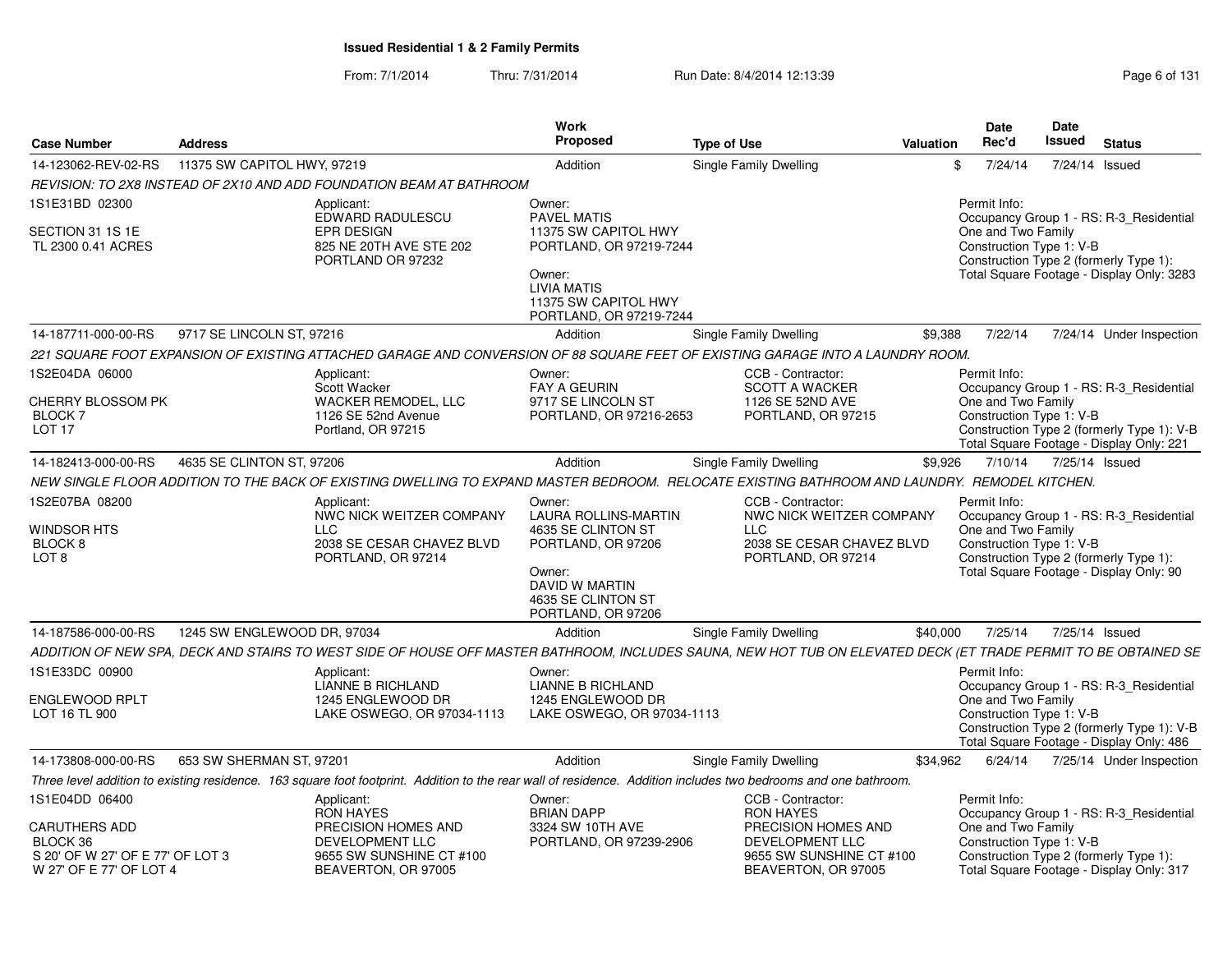From: 7/1/2014Thru: 7/31/2014 Run Date: 8/4/2014 12:13:39 Research 2010 Page 6 of 131

| <b>Case Number</b>                                                                                                | <b>Address</b>              |                                                                                                                                                                 | Work<br><b>Proposed</b>                                                                                                                                            | <b>Type of Use</b>                                                                                                                 | <b>Valuation</b> | Date<br>Rec'd                                                  | Date<br><b>Issued</b> | <b>Status</b>                                                                                                                     |
|-------------------------------------------------------------------------------------------------------------------|-----------------------------|-----------------------------------------------------------------------------------------------------------------------------------------------------------------|--------------------------------------------------------------------------------------------------------------------------------------------------------------------|------------------------------------------------------------------------------------------------------------------------------------|------------------|----------------------------------------------------------------|-----------------------|-----------------------------------------------------------------------------------------------------------------------------------|
| 14-123062-REV-02-RS                                                                                               | 11375 SW CAPITOL HWY, 97219 |                                                                                                                                                                 | Addition                                                                                                                                                           | <b>Single Family Dwelling</b>                                                                                                      |                  | \$<br>7/24/14                                                  |                       | 7/24/14 Issued                                                                                                                    |
|                                                                                                                   |                             | REVISION: TO 2X8 INSTEAD OF 2X10 AND ADD FOUNDATION BEAM AT BATHROOM                                                                                            |                                                                                                                                                                    |                                                                                                                                    |                  |                                                                |                       |                                                                                                                                   |
| 1S1E31BD 02300<br>SECTION 31 1S 1E<br>TL 2300 0.41 ACRES                                                          |                             | Applicant:<br>EDWARD RADULESCU<br>EPR DESIGN<br>825 NE 20TH AVE STE 202<br>PORTLAND OR 97232                                                                    | Owner:<br><b>PAVEL MATIS</b><br>11375 SW CAPITOL HWY<br>PORTLAND, OR 97219-7244<br>Owner:<br><b>LIVIA MATIS</b><br>11375 SW CAPITOL HWY<br>PORTLAND, OR 97219-7244 |                                                                                                                                    |                  | Permit Info:<br>One and Two Family<br>Construction Type 1: V-B |                       | Occupancy Group 1 - RS: R-3_Residential<br>Construction Type 2 (formerly Type 1):<br>Total Square Footage - Display Only: 3283    |
| 14-187711-000-00-RS                                                                                               | 9717 SE LINCOLN ST, 97216   |                                                                                                                                                                 | Addition                                                                                                                                                           | Single Family Dwelling                                                                                                             | \$9,388          | 7/22/14                                                        |                       | 7/24/14 Under Inspection                                                                                                          |
|                                                                                                                   |                             | 221 SQUARE FOOT EXPANSION OF EXISTING ATTACHED GARAGE AND CONVERSION OF 88 SQUARE FEET OF EXISTING GARAGE INTO A LAUNDRY ROOM.                                  |                                                                                                                                                                    |                                                                                                                                    |                  |                                                                |                       |                                                                                                                                   |
| 1S2E04DA 06000<br><b>CHERRY BLOSSOM PK</b><br>BLOCK <sub>7</sub><br>LOT <sub>17</sub>                             |                             | Applicant:<br>Scott Wacker<br><b>WACKER REMODEL, LLC</b><br>1126 SE 52nd Avenue<br>Portland, OR 97215                                                           | Owner:<br><b>FAY A GEURIN</b><br>9717 SE LINCOLN ST<br>PORTLAND, OR 97216-2653                                                                                     | CCB - Contractor:<br><b>SCOTT A WACKER</b><br>1126 SE 52ND AVE<br>PORTLAND, OR 97215                                               |                  | Permit Info:<br>One and Two Family<br>Construction Type 1: V-B |                       | Occupancy Group 1 - RS: R-3_Residential<br>Construction Type 2 (formerly Type 1): V-B<br>Total Square Footage - Display Only: 221 |
| 14-182413-000-00-RS                                                                                               | 4635 SE CLINTON ST, 97206   |                                                                                                                                                                 | Addition                                                                                                                                                           | <b>Single Family Dwelling</b>                                                                                                      | \$9.926          | 7/10/14                                                        |                       | 7/25/14 Issued                                                                                                                    |
|                                                                                                                   |                             | NEW SINGLE FLOOR ADDITION TO THE BACK OF EXISTING DWELLING TO EXPAND MASTER BEDROOM.  RELOCATE EXISTING BATHROOM AND LAUNDRY.  REMODEL KITCHEN.                 |                                                                                                                                                                    |                                                                                                                                    |                  |                                                                |                       |                                                                                                                                   |
| 1S2E07BA 08200<br>WINDSOR HTS<br>BLOCK <sub>8</sub><br>LOT <sub>8</sub>                                           |                             | Applicant:<br>NWC NICK WEITZER COMPANY<br><b>LLC</b><br>2038 SE CESAR CHAVEZ BLVD<br>PORTLAND, OR 97214                                                         | Owner:<br><b>LAURA ROLLINS-MARTIN</b><br>4635 SE CLINTON ST<br>PORTLAND, OR 97206<br>Owner:<br>DAVID W MARTIN<br>4635 SE CLINTON ST<br>PORTLAND, OR 97206          | CCB - Contractor:<br>NWC NICK WEITZER COMPANY<br><b>LLC</b><br>2038 SE CESAR CHAVEZ BLVD<br>PORTLAND, OR 97214                     |                  | Permit Info:<br>One and Two Family<br>Construction Type 1: V-B |                       | Occupancy Group 1 - RS: R-3 Residential<br>Construction Type 2 (formerly Type 1):<br>Total Square Footage - Display Only: 90      |
| 14-187586-000-00-RS                                                                                               | 1245 SW ENGLEWOOD DR, 97034 |                                                                                                                                                                 | Addition                                                                                                                                                           | <b>Single Family Dwelling</b>                                                                                                      | \$40,000         | 7/25/14                                                        |                       | 7/25/14 Issued                                                                                                                    |
|                                                                                                                   |                             | ADDITION OF NEW SPA. DECK AND STAIRS TO WEST SIDE OF HOUSE OFF MASTER BATHROOM. INCLUDES SAUNA. NEW HOT TUB ON ELEVATED DECK (ET TRADE PERMIT TO BE OBTAINED SE |                                                                                                                                                                    |                                                                                                                                    |                  |                                                                |                       |                                                                                                                                   |
| 1S1E33DC 00900<br><b>ENGLEWOOD RPLT</b><br>LOT 16 TL 900                                                          |                             | Applicant:<br>LIANNE B RICHLAND<br>1245 ENGLEWOOD DR<br>LAKE OSWEGO, OR 97034-1113                                                                              | Owner:<br><b>LIANNE B RICHLAND</b><br>1245 ENGLEWOOD DR<br>LAKE OSWEGO, OR 97034-1113                                                                              |                                                                                                                                    |                  | Permit Info:<br>One and Two Family<br>Construction Type 1: V-B |                       | Occupancy Group 1 - RS: R-3 Residential<br>Construction Type 2 (formerly Type 1): V-B<br>Total Square Footage - Display Only: 486 |
| 14-173808-000-00-RS                                                                                               | 653 SW SHERMAN ST, 97201    |                                                                                                                                                                 | Addition                                                                                                                                                           | <b>Single Family Dwelling</b>                                                                                                      | \$34,962         | 6/24/14                                                        |                       | 7/25/14 Under Inspection                                                                                                          |
|                                                                                                                   |                             | Three level addition to existing residence. 163 square foot footprint. Addition to the rear wall of residence. Addition includes two bedrooms and one bathroom. |                                                                                                                                                                    |                                                                                                                                    |                  |                                                                |                       |                                                                                                                                   |
| 1S1E04DD 06400<br><b>CARUTHERS ADD</b><br>BLOCK 36<br>S 20' OF W 27' OF E 77' OF LOT 3<br>W 27' OF E 77' OF LOT 4 |                             | Applicant:<br><b>RON HAYES</b><br>PRECISION HOMES AND<br>DEVELOPMENT LLC<br>9655 SW SUNSHINE CT #100<br>BEAVERTON, OR 97005                                     | Owner:<br><b>BRIAN DAPP</b><br>3324 SW 10TH AVE<br>PORTLAND, OR 97239-2906                                                                                         | CCB - Contractor:<br><b>RON HAYES</b><br>PRECISION HOMES AND<br>DEVELOPMENT LLC<br>9655 SW SUNSHINE CT #100<br>BEAVERTON, OR 97005 |                  | Permit Info:<br>One and Two Family<br>Construction Type 1: V-B |                       | Occupancy Group 1 - RS: R-3 Residential<br>Construction Type 2 (formerly Type 1):<br>Total Square Footage - Display Only: 317     |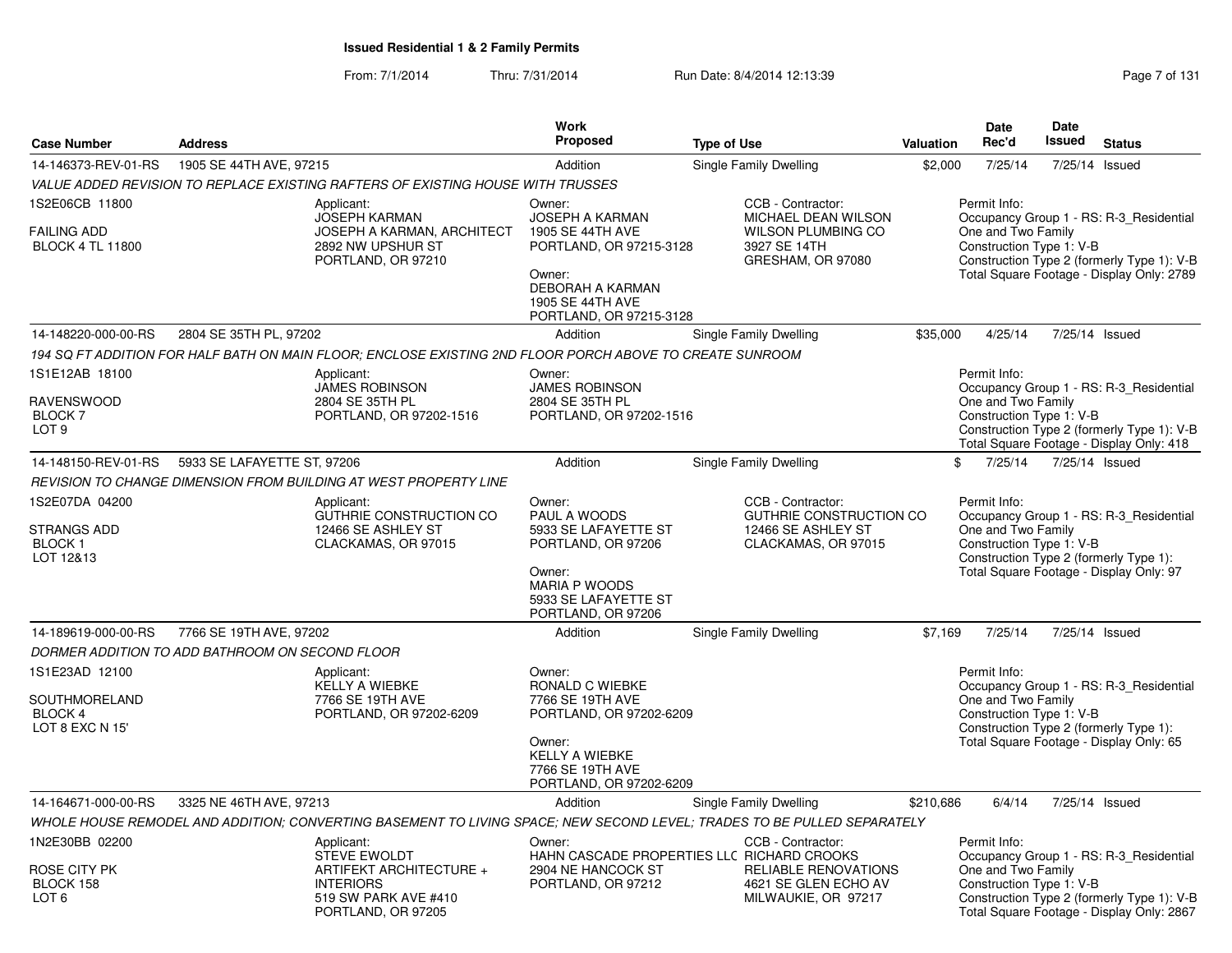From: 7/1/2014Thru: 7/31/2014 Run Date: 8/4/2014 12:13:39 Research 2014 131

|                                                                    |                             |                                                                                                                                | <b>Work</b>                                                                                                                                                         |                        |                                                                                                            |                  | <b>Date</b>                                                    | <b>Date</b>   |                                                                                                                                    |
|--------------------------------------------------------------------|-----------------------------|--------------------------------------------------------------------------------------------------------------------------------|---------------------------------------------------------------------------------------------------------------------------------------------------------------------|------------------------|------------------------------------------------------------------------------------------------------------|------------------|----------------------------------------------------------------|---------------|------------------------------------------------------------------------------------------------------------------------------------|
| <b>Case Number</b>                                                 | <b>Address</b>              |                                                                                                                                | Proposed                                                                                                                                                            | <b>Type of Use</b>     |                                                                                                            | <b>Valuation</b> | Rec'd                                                          | <b>Issued</b> | <b>Status</b>                                                                                                                      |
| 14-146373-REV-01-RS                                                | 1905 SE 44TH AVE, 97215     |                                                                                                                                | Addition                                                                                                                                                            | Single Family Dwelling |                                                                                                            | \$2,000          | 7/25/14                                                        |               | 7/25/14 Issued                                                                                                                     |
|                                                                    |                             | VALUE ADDED REVISION TO REPLACE EXISTING RAFTERS OF EXISTING HOUSE WITH TRUSSES                                                |                                                                                                                                                                     |                        |                                                                                                            |                  |                                                                |               |                                                                                                                                    |
| 1S2E06CB 11800<br><b>FAILING ADD</b><br><b>BLOCK 4 TL 11800</b>    |                             | Applicant:<br><b>JOSEPH KARMAN</b><br><b>JOSEPH A KARMAN, ARCHITECT</b><br>2892 NW UPSHUR ST<br>PORTLAND, OR 97210             | Owner:<br><b>JOSEPH A KARMAN</b><br>1905 SE 44TH AVE<br>PORTLAND, OR 97215-3128<br>Owner:<br><b>DEBORAH A KARMAN</b><br>1905 SE 44TH AVE<br>PORTLAND, OR 97215-3128 |                        | CCB - Contractor:<br>MICHAEL DEAN WILSON<br><b>WILSON PLUMBING CO</b><br>3927 SE 14TH<br>GRESHAM, OR 97080 |                  | Permit Info:<br>One and Two Family<br>Construction Type 1: V-B |               | Occupancy Group 1 - RS: R-3 Residential<br>Construction Type 2 (formerly Type 1): V-B<br>Total Square Footage - Display Only: 2789 |
| 14-148220-000-00-RS                                                | 2804 SE 35TH PL, 97202      |                                                                                                                                | Addition                                                                                                                                                            | Single Family Dwelling |                                                                                                            | \$35,000         | 4/25/14                                                        |               | 7/25/14 Issued                                                                                                                     |
|                                                                    |                             | 194 SQ FT ADDITION FOR HALF BATH ON MAIN FLOOR; ENCLOSE EXISTING 2ND FLOOR PORCH ABOVE TO CREATE SUNROOM                       |                                                                                                                                                                     |                        |                                                                                                            |                  |                                                                |               |                                                                                                                                    |
| 1S1E12AB 18100<br><b>RAVENSWOOD</b><br>BLOCK 7<br>LOT <sub>9</sub> |                             | Applicant:<br><b>JAMES ROBINSON</b><br>2804 SE 35TH PL<br>PORTLAND, OR 97202-1516                                              | Owner:<br><b>JAMES ROBINSON</b><br>2804 SE 35TH PL<br>PORTLAND, OR 97202-1516                                                                                       |                        |                                                                                                            |                  | Permit Info:<br>One and Two Family<br>Construction Type 1: V-B |               | Occupancy Group 1 - RS: R-3_Residential<br>Construction Type 2 (formerly Type 1): V-B<br>Total Square Footage - Display Only: 418  |
| 14-148150-REV-01-RS                                                | 5933 SE LAFAYETTE ST, 97206 |                                                                                                                                | Addition                                                                                                                                                            | Single Family Dwelling |                                                                                                            |                  | \$<br>7/25/14                                                  |               | 7/25/14 Issued                                                                                                                     |
|                                                                    |                             | REVISION TO CHANGE DIMENSION FROM BUILDING AT WEST PROPERTY LINE                                                               |                                                                                                                                                                     |                        |                                                                                                            |                  |                                                                |               |                                                                                                                                    |
| 1S2E07DA 04200<br>STRANGS ADD<br><b>BLOCK1</b><br>LOT 12&13        |                             | Applicant:<br>GUTHRIE CONSTRUCTION CO<br>12466 SE ASHLEY ST<br>CLACKAMAS, OR 97015                                             | Owner:<br>PAUL A WOODS<br>5933 SE LAFAYETTE ST<br>PORTLAND, OR 97206<br>Owner:<br><b>MARIA P WOODS</b><br>5933 SE LAFAYETTE ST<br>PORTLAND, OR 97206                |                        | CCB - Contractor:<br>GUTHRIE CONSTRUCTION CO<br>12466 SE ASHLEY ST<br>CLACKAMAS, OR 97015                  |                  | Permit Info:<br>One and Two Family<br>Construction Type 1: V-B |               | Occupancy Group 1 - RS: R-3_Residential<br>Construction Type 2 (formerly Type 1):<br>Total Square Footage - Display Only: 97       |
| 14-189619-000-00-RS                                                | 7766 SE 19TH AVE, 97202     |                                                                                                                                | Addition                                                                                                                                                            | Single Family Dwelling |                                                                                                            | \$7,169          | 7/25/14                                                        |               | 7/25/14 Issued                                                                                                                     |
| DORMER ADDITION TO ADD BATHROOM ON SECOND FLOOR                    |                             |                                                                                                                                |                                                                                                                                                                     |                        |                                                                                                            |                  |                                                                |               |                                                                                                                                    |
| 1S1E23AD 12100<br>SOUTHMORELAND<br>BLOCK 4<br>LOT 8 EXC N 15'      |                             | Applicant:<br><b>KELLY A WIEBKE</b><br>7766 SE 19TH AVE<br>PORTLAND, OR 97202-6209                                             | Owner:<br><b>RONALD C WIEBKE</b><br>7766 SE 19TH AVE<br>PORTLAND, OR 97202-6209<br>Owner:<br><b>KELLY A WIEBKE</b><br>7766 SE 19TH AVE<br>PORTLAND, OR 97202-6209   |                        |                                                                                                            |                  | Permit Info:<br>One and Two Family<br>Construction Type 1: V-B |               | Occupancy Group 1 - RS: R-3 Residential<br>Construction Type 2 (formerly Type 1):<br>Total Square Footage - Display Only: 65       |
| 14-164671-000-00-RS                                                | 3325 NE 46TH AVE, 97213     |                                                                                                                                | Addition                                                                                                                                                            | Single Family Dwelling |                                                                                                            | \$210,686        | 6/4/14                                                         |               | 7/25/14 Issued                                                                                                                     |
|                                                                    |                             | WHOLE HOUSE REMODEL AND ADDITION; CONVERTING BASEMENT TO LIVING SPACE; NEW SECOND LEVEL; TRADES TO BE PULLED SEPARATELY        |                                                                                                                                                                     |                        |                                                                                                            |                  |                                                                |               |                                                                                                                                    |
| 1N2E30BB 02200<br>ROSE CITY PK<br>BLOCK 158<br>LOT <sub>6</sub>    |                             | Applicant:<br><b>STEVE EWOLDT</b><br>ARTIFEKT ARCHITECTURE +<br><b>INTERIORS</b><br>519 SW PARK AVE #410<br>PORTLAND, OR 97205 | Owner:<br>HAHN CASCADE PROPERTIES LLC RICHARD CROOKS<br>2904 NE HANCOCK ST<br>PORTLAND, OR 97212                                                                    |                        | CCB - Contractor:<br><b>RELIABLE RENOVATIONS</b><br>4621 SE GLEN ECHO AV<br>MILWAUKIE, OR 97217            |                  | Permit Info:<br>One and Two Family<br>Construction Type 1: V-B |               | Occupancy Group 1 - RS: R-3_Residential<br>Construction Type 2 (formerly Type 1): V-B<br>Total Square Footage - Display Only: 2867 |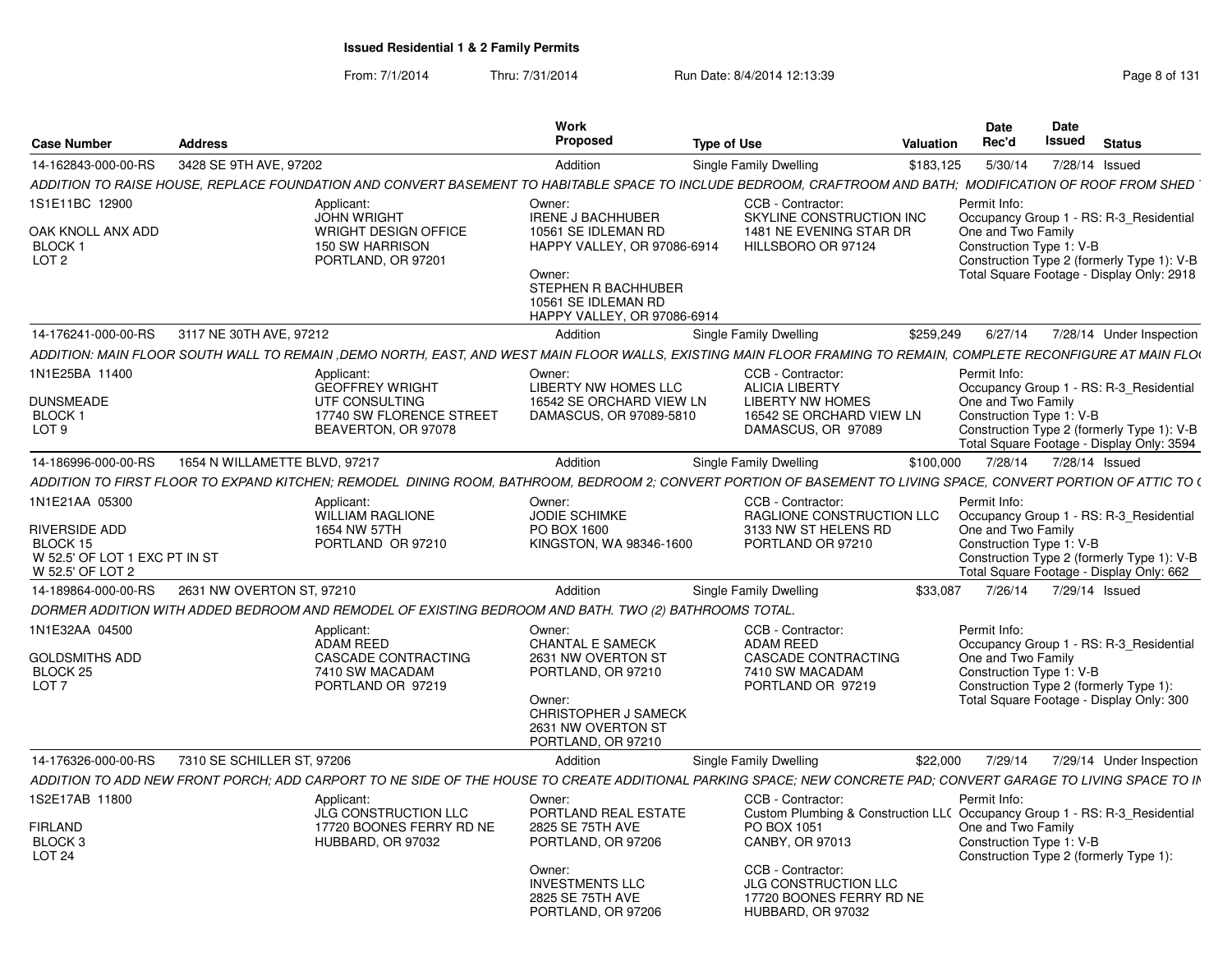From: 7/1/2014Thru: 7/31/2014 Run Date: 8/4/2014 12:13:39 Research 2014 13:14

| 14-162843-000-00-RS 3428 SE 9TH AVE, 97202<br>\$183,125  5/30/14  7/28/14  Issued<br>Addition<br>Single Family Dwelling<br>ADDITION TO RAISE HOUSE, REPLACE FOUNDATION AND CONVERT BASEMENT TO HABITABLE SPACE TO INCLUDE BEDROOM, CRAFTROOM AND BATH; MODIFICATION OF ROOF FROM SHED<br>CCB - Contractor:<br>Permit Info:<br>Applicant:<br>Owner:<br><b>JOHN WRIGHT</b><br><b>IRENE J BACHHUBER</b><br>SKYLINE CONSTRUCTION INC<br>Occupancy Group 1 - RS: R-3 Residential<br>OAK KNOLL ANX ADD<br><b>WRIGHT DESIGN OFFICE</b><br>10561 SE IDLEMAN RD<br>1481 NE EVENING STAR DR<br>One and Two Family<br>150 SW HARRISON<br>HILLSBORO OR 97124<br>HAPPY VALLEY, OR 97086-6914<br>Construction Type 1: V-B<br>PORTLAND, OR 97201<br>Construction Type 2 (formerly Type 1): V-B<br>Owner:<br>Total Square Footage - Display Only: 2918<br>STEPHEN R BACHHUBER<br>10561 SE IDLEMAN RD<br>HAPPY VALLEY, OR 97086-6914<br>14-176241-000-00-RS 3117 NE 30TH AVE, 97212<br>Single Family Dwelling<br>\$259,249 6/27/14 7/28/14 Under Inspection<br>Addition<br>ADDITION: MAIN FLOOR SOUTH WALL TO REMAIN ,DEMO NORTH, EAST, AND WEST MAIN FLOOR WALLS, EXISTING MAIN FLOOR FRAMING TO REMAIN, COMPLETE RECONFIGURE AT MAIN FLOO<br>CCB - Contractor:<br>Applicant:<br>Owner:<br>Permit Info:<br><b>LIBERTY NW HOMES LLC</b><br><b>GEOFFREY WRIGHT</b><br>ALICIA LIBERTY<br>Occupancy Group 1 - RS: R-3 Residential<br>UTF CONSULTING<br>16542 SE ORCHARD VIEW LN<br><b>LIBERTY NW HOMES</b><br>One and Two Family<br>17740 SW FLORENCE STREET<br>DAMASCUS, OR 97089-5810<br>16542 SE ORCHARD VIEW LN<br>Construction Type 1: V-B<br>BEAVERTON, OR 97078<br>DAMASCUS, OR 97089<br>Construction Type 2 (formerly Type 1): V-B<br>Total Square Footage - Display Only: 3594<br>1654 N WILLAMETTE BLVD, 97217<br>\$100,000 7/28/14 7/28/14 Issued<br>Addition<br>Single Family Dwelling<br>ADDITION TO FIRST FLOOR TO EXPAND KITCHEN; REMODEL DINING ROOM, BATHROOM, BEDROOM 2; CONVERT PORTION OF BASEMENT TO LIVING SPACE, CONVERT PORTION OF ATTIC TO (<br>CCB - Contractor:<br>Permit Info:<br>Applicant:<br>Owner:<br><b>WILLIAM RAGLIONE</b><br>JODIE SCHIMKE<br>RAGLIONE CONSTRUCTION LLC<br>Occupancy Group 1 - RS: R-3_Residential<br>RIVERSIDE ADD<br>1654 NW 57TH<br>PO BOX 1600<br>3133 NW ST HELENS RD<br>One and Two Family<br>PORTLAND OR 97210<br>KINGSTON, WA 98346-1600<br>PORTLAND OR 97210<br>Construction Type 1: V-B<br>W 52.5' OF LOT 1 EXC PT IN ST<br>Construction Type 2 (formerly Type 1): V-B<br>Total Square Footage - Display Only: 662<br>14-189864-000-00-RS     2631 NW OVERTON ST, 97210<br>\$33,087 7/26/14 7/29/14 Issued<br>Single Family Dwelling<br>Addition<br>DORMER ADDITION WITH ADDED BEDROOM AND REMODEL OF EXISTING BEDROOM AND BATH. TWO (2) BATHROOMS TOTAL<br>1N1E32AA 04500<br>CCB - Contractor:<br>Permit Info:<br>Applicant:<br>Owner:<br>ADAM REED<br><b>CHANTAL E SAMECK</b><br>Occupancy Group 1 - RS: R-3 Residential<br>ADAM REED<br>CASCADE CONTRACTING<br>2631 NW OVERTON ST<br><b>CASCADE CONTRACTING</b><br>One and Two Family<br>7410 SW MACADAM<br>PORTLAND, OR 97210<br>7410 SW MACADAM<br>Construction Type 1: V-B<br>PORTLAND OR 97219<br>PORTLAND OR 97219<br>Construction Type 2 (formerly Type 1):<br>Total Square Footage - Display Only: 300<br>Owner:<br>CHRISTOPHER J SAMECK<br>2631 NW OVERTON ST<br>PORTLAND, OR 97210<br>14-176326-000-00-RS 7310 SE SCHILLER ST, 97206<br>\$22,000 7/29/14 7/29/14 Under Inspection<br>Addition<br>Single Family Dwelling<br>ADDITION TO ADD NEW FRONT PORCH; ADD CARPORT TO NE SIDE OF THE HOUSE TO CREATE ADDITIONAL PARKING SPACE; NEW CONCRETE PAD; CONVERT GARAGE TO LIVING SPACE TO IN<br>CCB - Contractor:<br>Permit Info:<br>Applicant:<br>Owner:<br>JLG CONSTRUCTION LLC<br>PORTLAND REAL ESTATE<br>Custom Plumbing & Construction LL( Occupancy Group 1 - RS: R-3_Residential<br>2825 SE 75TH AVE<br><b>FIRLAND</b><br>17720 BOONES FERRY RD NE<br>PO BOX 1051<br>One and Two Family<br>PORTLAND, OR 97206<br>CANBY, OR 97013<br>HUBBARD, OR 97032<br>Construction Type 1: V-B<br>Construction Type 2 (formerly Type 1):<br>CCB - Contractor:<br>Owner:<br><b>INVESTMENTS LLC</b><br>JLG CONSTRUCTION LLC<br>2825 SE 75TH AVE<br>17720 BOONES FERRY RD NE<br>PORTLAND, OR 97206<br>HUBBARD, OR 97032 | Case Number                  | <b>Address</b> | Work<br>Proposed | Type of Use | Valuation | Date<br>Date<br>Rec'd<br><b>Issued</b> Status |
|--------------------------------------------------------------------------------------------------------------------------------------------------------------------------------------------------------------------------------------------------------------------------------------------------------------------------------------------------------------------------------------------------------------------------------------------------------------------------------------------------------------------------------------------------------------------------------------------------------------------------------------------------------------------------------------------------------------------------------------------------------------------------------------------------------------------------------------------------------------------------------------------------------------------------------------------------------------------------------------------------------------------------------------------------------------------------------------------------------------------------------------------------------------------------------------------------------------------------------------------------------------------------------------------------------------------------------------------------------------------------------------------------------------------------------------------------------------------------------------------------------------------------------------------------------------------------------------------------------------------------------------------------------------------------------------------------------------------------------------------------------------------------------------------------------------------------------------------------------------------------------------------------------------------------------------------------------------------------------------------------------------------------------------------------------------------------------------------------------------------------------------------------------------------------------------------------------------------------------------------------------------------------------------------------------------------------------------------------------------------------------------------------------------------------------------------------------------------------------------------------------------------------------------------------------------------------------------------------------------------------------------------------------------------------------------------------------------------------------------------------------------------------------------------------------------------------------------------------------------------------------------------------------------------------------------------------------------------------------------------------------------------------------------------------------------------------------------------------------------------------------------------------------------------------------------------------------------------------------------------------------------------------------------------------------------------------------------------------------------------------------------------------------------------------------------------------------------------------------------------------------------------------------------------------------------------------------------------------------------------------------------------------------------------------------------------------------------------------------------------------------------------------------------------------------------------------------------------------------------------------------------------------------------------------------------------------------------------------------------------------------------------------------------------------------------------------------------------------------------------------------------------------------------------------------------------------------------------------------------------------------------------------------------------------------------------|------------------------------|----------------|------------------|-------------|-----------|-----------------------------------------------|
|                                                                                                                                                                                                                                                                                                                                                                                                                                                                                                                                                                                                                                                                                                                                                                                                                                                                                                                                                                                                                                                                                                                                                                                                                                                                                                                                                                                                                                                                                                                                                                                                                                                                                                                                                                                                                                                                                                                                                                                                                                                                                                                                                                                                                                                                                                                                                                                                                                                                                                                                                                                                                                                                                                                                                                                                                                                                                                                                                                                                                                                                                                                                                                                                                                                                                                                                                                                                                                                                                                                                                                                                                                                                                                                                                                                                                                                                                                                                                                                                                                                                                                                                                                                                                                                                                                                    |                              |                |                  |             |           |                                               |
|                                                                                                                                                                                                                                                                                                                                                                                                                                                                                                                                                                                                                                                                                                                                                                                                                                                                                                                                                                                                                                                                                                                                                                                                                                                                                                                                                                                                                                                                                                                                                                                                                                                                                                                                                                                                                                                                                                                                                                                                                                                                                                                                                                                                                                                                                                                                                                                                                                                                                                                                                                                                                                                                                                                                                                                                                                                                                                                                                                                                                                                                                                                                                                                                                                                                                                                                                                                                                                                                                                                                                                                                                                                                                                                                                                                                                                                                                                                                                                                                                                                                                                                                                                                                                                                                                                                    |                              |                |                  |             |           |                                               |
|                                                                                                                                                                                                                                                                                                                                                                                                                                                                                                                                                                                                                                                                                                                                                                                                                                                                                                                                                                                                                                                                                                                                                                                                                                                                                                                                                                                                                                                                                                                                                                                                                                                                                                                                                                                                                                                                                                                                                                                                                                                                                                                                                                                                                                                                                                                                                                                                                                                                                                                                                                                                                                                                                                                                                                                                                                                                                                                                                                                                                                                                                                                                                                                                                                                                                                                                                                                                                                                                                                                                                                                                                                                                                                                                                                                                                                                                                                                                                                                                                                                                                                                                                                                                                                                                                                                    | 1S1E11BC 12900               |                |                  |             |           |                                               |
|                                                                                                                                                                                                                                                                                                                                                                                                                                                                                                                                                                                                                                                                                                                                                                                                                                                                                                                                                                                                                                                                                                                                                                                                                                                                                                                                                                                                                                                                                                                                                                                                                                                                                                                                                                                                                                                                                                                                                                                                                                                                                                                                                                                                                                                                                                                                                                                                                                                                                                                                                                                                                                                                                                                                                                                                                                                                                                                                                                                                                                                                                                                                                                                                                                                                                                                                                                                                                                                                                                                                                                                                                                                                                                                                                                                                                                                                                                                                                                                                                                                                                                                                                                                                                                                                                                                    |                              |                |                  |             |           |                                               |
|                                                                                                                                                                                                                                                                                                                                                                                                                                                                                                                                                                                                                                                                                                                                                                                                                                                                                                                                                                                                                                                                                                                                                                                                                                                                                                                                                                                                                                                                                                                                                                                                                                                                                                                                                                                                                                                                                                                                                                                                                                                                                                                                                                                                                                                                                                                                                                                                                                                                                                                                                                                                                                                                                                                                                                                                                                                                                                                                                                                                                                                                                                                                                                                                                                                                                                                                                                                                                                                                                                                                                                                                                                                                                                                                                                                                                                                                                                                                                                                                                                                                                                                                                                                                                                                                                                                    | BLOCK <sub>1</sub>           |                |                  |             |           |                                               |
|                                                                                                                                                                                                                                                                                                                                                                                                                                                                                                                                                                                                                                                                                                                                                                                                                                                                                                                                                                                                                                                                                                                                                                                                                                                                                                                                                                                                                                                                                                                                                                                                                                                                                                                                                                                                                                                                                                                                                                                                                                                                                                                                                                                                                                                                                                                                                                                                                                                                                                                                                                                                                                                                                                                                                                                                                                                                                                                                                                                                                                                                                                                                                                                                                                                                                                                                                                                                                                                                                                                                                                                                                                                                                                                                                                                                                                                                                                                                                                                                                                                                                                                                                                                                                                                                                                                    | LOT <sub>2</sub>             |                |                  |             |           |                                               |
|                                                                                                                                                                                                                                                                                                                                                                                                                                                                                                                                                                                                                                                                                                                                                                                                                                                                                                                                                                                                                                                                                                                                                                                                                                                                                                                                                                                                                                                                                                                                                                                                                                                                                                                                                                                                                                                                                                                                                                                                                                                                                                                                                                                                                                                                                                                                                                                                                                                                                                                                                                                                                                                                                                                                                                                                                                                                                                                                                                                                                                                                                                                                                                                                                                                                                                                                                                                                                                                                                                                                                                                                                                                                                                                                                                                                                                                                                                                                                                                                                                                                                                                                                                                                                                                                                                                    |                              |                |                  |             |           |                                               |
|                                                                                                                                                                                                                                                                                                                                                                                                                                                                                                                                                                                                                                                                                                                                                                                                                                                                                                                                                                                                                                                                                                                                                                                                                                                                                                                                                                                                                                                                                                                                                                                                                                                                                                                                                                                                                                                                                                                                                                                                                                                                                                                                                                                                                                                                                                                                                                                                                                                                                                                                                                                                                                                                                                                                                                                                                                                                                                                                                                                                                                                                                                                                                                                                                                                                                                                                                                                                                                                                                                                                                                                                                                                                                                                                                                                                                                                                                                                                                                                                                                                                                                                                                                                                                                                                                                                    |                              |                |                  |             |           |                                               |
|                                                                                                                                                                                                                                                                                                                                                                                                                                                                                                                                                                                                                                                                                                                                                                                                                                                                                                                                                                                                                                                                                                                                                                                                                                                                                                                                                                                                                                                                                                                                                                                                                                                                                                                                                                                                                                                                                                                                                                                                                                                                                                                                                                                                                                                                                                                                                                                                                                                                                                                                                                                                                                                                                                                                                                                                                                                                                                                                                                                                                                                                                                                                                                                                                                                                                                                                                                                                                                                                                                                                                                                                                                                                                                                                                                                                                                                                                                                                                                                                                                                                                                                                                                                                                                                                                                                    |                              |                |                  |             |           |                                               |
|                                                                                                                                                                                                                                                                                                                                                                                                                                                                                                                                                                                                                                                                                                                                                                                                                                                                                                                                                                                                                                                                                                                                                                                                                                                                                                                                                                                                                                                                                                                                                                                                                                                                                                                                                                                                                                                                                                                                                                                                                                                                                                                                                                                                                                                                                                                                                                                                                                                                                                                                                                                                                                                                                                                                                                                                                                                                                                                                                                                                                                                                                                                                                                                                                                                                                                                                                                                                                                                                                                                                                                                                                                                                                                                                                                                                                                                                                                                                                                                                                                                                                                                                                                                                                                                                                                                    |                              |                |                  |             |           |                                               |
|                                                                                                                                                                                                                                                                                                                                                                                                                                                                                                                                                                                                                                                                                                                                                                                                                                                                                                                                                                                                                                                                                                                                                                                                                                                                                                                                                                                                                                                                                                                                                                                                                                                                                                                                                                                                                                                                                                                                                                                                                                                                                                                                                                                                                                                                                                                                                                                                                                                                                                                                                                                                                                                                                                                                                                                                                                                                                                                                                                                                                                                                                                                                                                                                                                                                                                                                                                                                                                                                                                                                                                                                                                                                                                                                                                                                                                                                                                                                                                                                                                                                                                                                                                                                                                                                                                                    |                              |                |                  |             |           |                                               |
|                                                                                                                                                                                                                                                                                                                                                                                                                                                                                                                                                                                                                                                                                                                                                                                                                                                                                                                                                                                                                                                                                                                                                                                                                                                                                                                                                                                                                                                                                                                                                                                                                                                                                                                                                                                                                                                                                                                                                                                                                                                                                                                                                                                                                                                                                                                                                                                                                                                                                                                                                                                                                                                                                                                                                                                                                                                                                                                                                                                                                                                                                                                                                                                                                                                                                                                                                                                                                                                                                                                                                                                                                                                                                                                                                                                                                                                                                                                                                                                                                                                                                                                                                                                                                                                                                                                    | 1N1E25BA 11400               |                |                  |             |           |                                               |
|                                                                                                                                                                                                                                                                                                                                                                                                                                                                                                                                                                                                                                                                                                                                                                                                                                                                                                                                                                                                                                                                                                                                                                                                                                                                                                                                                                                                                                                                                                                                                                                                                                                                                                                                                                                                                                                                                                                                                                                                                                                                                                                                                                                                                                                                                                                                                                                                                                                                                                                                                                                                                                                                                                                                                                                                                                                                                                                                                                                                                                                                                                                                                                                                                                                                                                                                                                                                                                                                                                                                                                                                                                                                                                                                                                                                                                                                                                                                                                                                                                                                                                                                                                                                                                                                                                                    | <b>DUNSMEADE</b>             |                |                  |             |           |                                               |
|                                                                                                                                                                                                                                                                                                                                                                                                                                                                                                                                                                                                                                                                                                                                                                                                                                                                                                                                                                                                                                                                                                                                                                                                                                                                                                                                                                                                                                                                                                                                                                                                                                                                                                                                                                                                                                                                                                                                                                                                                                                                                                                                                                                                                                                                                                                                                                                                                                                                                                                                                                                                                                                                                                                                                                                                                                                                                                                                                                                                                                                                                                                                                                                                                                                                                                                                                                                                                                                                                                                                                                                                                                                                                                                                                                                                                                                                                                                                                                                                                                                                                                                                                                                                                                                                                                                    | BLOCK 1                      |                |                  |             |           |                                               |
|                                                                                                                                                                                                                                                                                                                                                                                                                                                                                                                                                                                                                                                                                                                                                                                                                                                                                                                                                                                                                                                                                                                                                                                                                                                                                                                                                                                                                                                                                                                                                                                                                                                                                                                                                                                                                                                                                                                                                                                                                                                                                                                                                                                                                                                                                                                                                                                                                                                                                                                                                                                                                                                                                                                                                                                                                                                                                                                                                                                                                                                                                                                                                                                                                                                                                                                                                                                                                                                                                                                                                                                                                                                                                                                                                                                                                                                                                                                                                                                                                                                                                                                                                                                                                                                                                                                    | LOT <sub>9</sub>             |                |                  |             |           |                                               |
|                                                                                                                                                                                                                                                                                                                                                                                                                                                                                                                                                                                                                                                                                                                                                                                                                                                                                                                                                                                                                                                                                                                                                                                                                                                                                                                                                                                                                                                                                                                                                                                                                                                                                                                                                                                                                                                                                                                                                                                                                                                                                                                                                                                                                                                                                                                                                                                                                                                                                                                                                                                                                                                                                                                                                                                                                                                                                                                                                                                                                                                                                                                                                                                                                                                                                                                                                                                                                                                                                                                                                                                                                                                                                                                                                                                                                                                                                                                                                                                                                                                                                                                                                                                                                                                                                                                    | 14-186996-000-00-RS          |                |                  |             |           |                                               |
|                                                                                                                                                                                                                                                                                                                                                                                                                                                                                                                                                                                                                                                                                                                                                                                                                                                                                                                                                                                                                                                                                                                                                                                                                                                                                                                                                                                                                                                                                                                                                                                                                                                                                                                                                                                                                                                                                                                                                                                                                                                                                                                                                                                                                                                                                                                                                                                                                                                                                                                                                                                                                                                                                                                                                                                                                                                                                                                                                                                                                                                                                                                                                                                                                                                                                                                                                                                                                                                                                                                                                                                                                                                                                                                                                                                                                                                                                                                                                                                                                                                                                                                                                                                                                                                                                                                    |                              |                |                  |             |           |                                               |
|                                                                                                                                                                                                                                                                                                                                                                                                                                                                                                                                                                                                                                                                                                                                                                                                                                                                                                                                                                                                                                                                                                                                                                                                                                                                                                                                                                                                                                                                                                                                                                                                                                                                                                                                                                                                                                                                                                                                                                                                                                                                                                                                                                                                                                                                                                                                                                                                                                                                                                                                                                                                                                                                                                                                                                                                                                                                                                                                                                                                                                                                                                                                                                                                                                                                                                                                                                                                                                                                                                                                                                                                                                                                                                                                                                                                                                                                                                                                                                                                                                                                                                                                                                                                                                                                                                                    | 1N1E21AA 05300               |                |                  |             |           |                                               |
|                                                                                                                                                                                                                                                                                                                                                                                                                                                                                                                                                                                                                                                                                                                                                                                                                                                                                                                                                                                                                                                                                                                                                                                                                                                                                                                                                                                                                                                                                                                                                                                                                                                                                                                                                                                                                                                                                                                                                                                                                                                                                                                                                                                                                                                                                                                                                                                                                                                                                                                                                                                                                                                                                                                                                                                                                                                                                                                                                                                                                                                                                                                                                                                                                                                                                                                                                                                                                                                                                                                                                                                                                                                                                                                                                                                                                                                                                                                                                                                                                                                                                                                                                                                                                                                                                                                    |                              |                |                  |             |           |                                               |
|                                                                                                                                                                                                                                                                                                                                                                                                                                                                                                                                                                                                                                                                                                                                                                                                                                                                                                                                                                                                                                                                                                                                                                                                                                                                                                                                                                                                                                                                                                                                                                                                                                                                                                                                                                                                                                                                                                                                                                                                                                                                                                                                                                                                                                                                                                                                                                                                                                                                                                                                                                                                                                                                                                                                                                                                                                                                                                                                                                                                                                                                                                                                                                                                                                                                                                                                                                                                                                                                                                                                                                                                                                                                                                                                                                                                                                                                                                                                                                                                                                                                                                                                                                                                                                                                                                                    | BLOCK 15                     |                |                  |             |           |                                               |
|                                                                                                                                                                                                                                                                                                                                                                                                                                                                                                                                                                                                                                                                                                                                                                                                                                                                                                                                                                                                                                                                                                                                                                                                                                                                                                                                                                                                                                                                                                                                                                                                                                                                                                                                                                                                                                                                                                                                                                                                                                                                                                                                                                                                                                                                                                                                                                                                                                                                                                                                                                                                                                                                                                                                                                                                                                                                                                                                                                                                                                                                                                                                                                                                                                                                                                                                                                                                                                                                                                                                                                                                                                                                                                                                                                                                                                                                                                                                                                                                                                                                                                                                                                                                                                                                                                                    |                              |                |                  |             |           |                                               |
|                                                                                                                                                                                                                                                                                                                                                                                                                                                                                                                                                                                                                                                                                                                                                                                                                                                                                                                                                                                                                                                                                                                                                                                                                                                                                                                                                                                                                                                                                                                                                                                                                                                                                                                                                                                                                                                                                                                                                                                                                                                                                                                                                                                                                                                                                                                                                                                                                                                                                                                                                                                                                                                                                                                                                                                                                                                                                                                                                                                                                                                                                                                                                                                                                                                                                                                                                                                                                                                                                                                                                                                                                                                                                                                                                                                                                                                                                                                                                                                                                                                                                                                                                                                                                                                                                                                    | W 52.5' OF LOT 2             |                |                  |             |           |                                               |
|                                                                                                                                                                                                                                                                                                                                                                                                                                                                                                                                                                                                                                                                                                                                                                                                                                                                                                                                                                                                                                                                                                                                                                                                                                                                                                                                                                                                                                                                                                                                                                                                                                                                                                                                                                                                                                                                                                                                                                                                                                                                                                                                                                                                                                                                                                                                                                                                                                                                                                                                                                                                                                                                                                                                                                                                                                                                                                                                                                                                                                                                                                                                                                                                                                                                                                                                                                                                                                                                                                                                                                                                                                                                                                                                                                                                                                                                                                                                                                                                                                                                                                                                                                                                                                                                                                                    |                              |                |                  |             |           |                                               |
|                                                                                                                                                                                                                                                                                                                                                                                                                                                                                                                                                                                                                                                                                                                                                                                                                                                                                                                                                                                                                                                                                                                                                                                                                                                                                                                                                                                                                                                                                                                                                                                                                                                                                                                                                                                                                                                                                                                                                                                                                                                                                                                                                                                                                                                                                                                                                                                                                                                                                                                                                                                                                                                                                                                                                                                                                                                                                                                                                                                                                                                                                                                                                                                                                                                                                                                                                                                                                                                                                                                                                                                                                                                                                                                                                                                                                                                                                                                                                                                                                                                                                                                                                                                                                                                                                                                    |                              |                |                  |             |           |                                               |
|                                                                                                                                                                                                                                                                                                                                                                                                                                                                                                                                                                                                                                                                                                                                                                                                                                                                                                                                                                                                                                                                                                                                                                                                                                                                                                                                                                                                                                                                                                                                                                                                                                                                                                                                                                                                                                                                                                                                                                                                                                                                                                                                                                                                                                                                                                                                                                                                                                                                                                                                                                                                                                                                                                                                                                                                                                                                                                                                                                                                                                                                                                                                                                                                                                                                                                                                                                                                                                                                                                                                                                                                                                                                                                                                                                                                                                                                                                                                                                                                                                                                                                                                                                                                                                                                                                                    |                              |                |                  |             |           |                                               |
|                                                                                                                                                                                                                                                                                                                                                                                                                                                                                                                                                                                                                                                                                                                                                                                                                                                                                                                                                                                                                                                                                                                                                                                                                                                                                                                                                                                                                                                                                                                                                                                                                                                                                                                                                                                                                                                                                                                                                                                                                                                                                                                                                                                                                                                                                                                                                                                                                                                                                                                                                                                                                                                                                                                                                                                                                                                                                                                                                                                                                                                                                                                                                                                                                                                                                                                                                                                                                                                                                                                                                                                                                                                                                                                                                                                                                                                                                                                                                                                                                                                                                                                                                                                                                                                                                                                    | <b>GOLDSMITHS ADD</b>        |                |                  |             |           |                                               |
|                                                                                                                                                                                                                                                                                                                                                                                                                                                                                                                                                                                                                                                                                                                                                                                                                                                                                                                                                                                                                                                                                                                                                                                                                                                                                                                                                                                                                                                                                                                                                                                                                                                                                                                                                                                                                                                                                                                                                                                                                                                                                                                                                                                                                                                                                                                                                                                                                                                                                                                                                                                                                                                                                                                                                                                                                                                                                                                                                                                                                                                                                                                                                                                                                                                                                                                                                                                                                                                                                                                                                                                                                                                                                                                                                                                                                                                                                                                                                                                                                                                                                                                                                                                                                                                                                                                    | BLOCK 25<br>LOT <sub>7</sub> |                |                  |             |           |                                               |
|                                                                                                                                                                                                                                                                                                                                                                                                                                                                                                                                                                                                                                                                                                                                                                                                                                                                                                                                                                                                                                                                                                                                                                                                                                                                                                                                                                                                                                                                                                                                                                                                                                                                                                                                                                                                                                                                                                                                                                                                                                                                                                                                                                                                                                                                                                                                                                                                                                                                                                                                                                                                                                                                                                                                                                                                                                                                                                                                                                                                                                                                                                                                                                                                                                                                                                                                                                                                                                                                                                                                                                                                                                                                                                                                                                                                                                                                                                                                                                                                                                                                                                                                                                                                                                                                                                                    |                              |                |                  |             |           |                                               |
|                                                                                                                                                                                                                                                                                                                                                                                                                                                                                                                                                                                                                                                                                                                                                                                                                                                                                                                                                                                                                                                                                                                                                                                                                                                                                                                                                                                                                                                                                                                                                                                                                                                                                                                                                                                                                                                                                                                                                                                                                                                                                                                                                                                                                                                                                                                                                                                                                                                                                                                                                                                                                                                                                                                                                                                                                                                                                                                                                                                                                                                                                                                                                                                                                                                                                                                                                                                                                                                                                                                                                                                                                                                                                                                                                                                                                                                                                                                                                                                                                                                                                                                                                                                                                                                                                                                    |                              |                |                  |             |           |                                               |
|                                                                                                                                                                                                                                                                                                                                                                                                                                                                                                                                                                                                                                                                                                                                                                                                                                                                                                                                                                                                                                                                                                                                                                                                                                                                                                                                                                                                                                                                                                                                                                                                                                                                                                                                                                                                                                                                                                                                                                                                                                                                                                                                                                                                                                                                                                                                                                                                                                                                                                                                                                                                                                                                                                                                                                                                                                                                                                                                                                                                                                                                                                                                                                                                                                                                                                                                                                                                                                                                                                                                                                                                                                                                                                                                                                                                                                                                                                                                                                                                                                                                                                                                                                                                                                                                                                                    |                              |                |                  |             |           |                                               |
|                                                                                                                                                                                                                                                                                                                                                                                                                                                                                                                                                                                                                                                                                                                                                                                                                                                                                                                                                                                                                                                                                                                                                                                                                                                                                                                                                                                                                                                                                                                                                                                                                                                                                                                                                                                                                                                                                                                                                                                                                                                                                                                                                                                                                                                                                                                                                                                                                                                                                                                                                                                                                                                                                                                                                                                                                                                                                                                                                                                                                                                                                                                                                                                                                                                                                                                                                                                                                                                                                                                                                                                                                                                                                                                                                                                                                                                                                                                                                                                                                                                                                                                                                                                                                                                                                                                    |                              |                |                  |             |           |                                               |
|                                                                                                                                                                                                                                                                                                                                                                                                                                                                                                                                                                                                                                                                                                                                                                                                                                                                                                                                                                                                                                                                                                                                                                                                                                                                                                                                                                                                                                                                                                                                                                                                                                                                                                                                                                                                                                                                                                                                                                                                                                                                                                                                                                                                                                                                                                                                                                                                                                                                                                                                                                                                                                                                                                                                                                                                                                                                                                                                                                                                                                                                                                                                                                                                                                                                                                                                                                                                                                                                                                                                                                                                                                                                                                                                                                                                                                                                                                                                                                                                                                                                                                                                                                                                                                                                                                                    |                              |                |                  |             |           |                                               |
|                                                                                                                                                                                                                                                                                                                                                                                                                                                                                                                                                                                                                                                                                                                                                                                                                                                                                                                                                                                                                                                                                                                                                                                                                                                                                                                                                                                                                                                                                                                                                                                                                                                                                                                                                                                                                                                                                                                                                                                                                                                                                                                                                                                                                                                                                                                                                                                                                                                                                                                                                                                                                                                                                                                                                                                                                                                                                                                                                                                                                                                                                                                                                                                                                                                                                                                                                                                                                                                                                                                                                                                                                                                                                                                                                                                                                                                                                                                                                                                                                                                                                                                                                                                                                                                                                                                    | S2E17AB 11800                |                |                  |             |           |                                               |
|                                                                                                                                                                                                                                                                                                                                                                                                                                                                                                                                                                                                                                                                                                                                                                                                                                                                                                                                                                                                                                                                                                                                                                                                                                                                                                                                                                                                                                                                                                                                                                                                                                                                                                                                                                                                                                                                                                                                                                                                                                                                                                                                                                                                                                                                                                                                                                                                                                                                                                                                                                                                                                                                                                                                                                                                                                                                                                                                                                                                                                                                                                                                                                                                                                                                                                                                                                                                                                                                                                                                                                                                                                                                                                                                                                                                                                                                                                                                                                                                                                                                                                                                                                                                                                                                                                                    |                              |                |                  |             |           |                                               |
|                                                                                                                                                                                                                                                                                                                                                                                                                                                                                                                                                                                                                                                                                                                                                                                                                                                                                                                                                                                                                                                                                                                                                                                                                                                                                                                                                                                                                                                                                                                                                                                                                                                                                                                                                                                                                                                                                                                                                                                                                                                                                                                                                                                                                                                                                                                                                                                                                                                                                                                                                                                                                                                                                                                                                                                                                                                                                                                                                                                                                                                                                                                                                                                                                                                                                                                                                                                                                                                                                                                                                                                                                                                                                                                                                                                                                                                                                                                                                                                                                                                                                                                                                                                                                                                                                                                    | BLOCK 3                      |                |                  |             |           |                                               |
|                                                                                                                                                                                                                                                                                                                                                                                                                                                                                                                                                                                                                                                                                                                                                                                                                                                                                                                                                                                                                                                                                                                                                                                                                                                                                                                                                                                                                                                                                                                                                                                                                                                                                                                                                                                                                                                                                                                                                                                                                                                                                                                                                                                                                                                                                                                                                                                                                                                                                                                                                                                                                                                                                                                                                                                                                                                                                                                                                                                                                                                                                                                                                                                                                                                                                                                                                                                                                                                                                                                                                                                                                                                                                                                                                                                                                                                                                                                                                                                                                                                                                                                                                                                                                                                                                                                    | LOT 24                       |                |                  |             |           |                                               |
|                                                                                                                                                                                                                                                                                                                                                                                                                                                                                                                                                                                                                                                                                                                                                                                                                                                                                                                                                                                                                                                                                                                                                                                                                                                                                                                                                                                                                                                                                                                                                                                                                                                                                                                                                                                                                                                                                                                                                                                                                                                                                                                                                                                                                                                                                                                                                                                                                                                                                                                                                                                                                                                                                                                                                                                                                                                                                                                                                                                                                                                                                                                                                                                                                                                                                                                                                                                                                                                                                                                                                                                                                                                                                                                                                                                                                                                                                                                                                                                                                                                                                                                                                                                                                                                                                                                    |                              |                |                  |             |           |                                               |
|                                                                                                                                                                                                                                                                                                                                                                                                                                                                                                                                                                                                                                                                                                                                                                                                                                                                                                                                                                                                                                                                                                                                                                                                                                                                                                                                                                                                                                                                                                                                                                                                                                                                                                                                                                                                                                                                                                                                                                                                                                                                                                                                                                                                                                                                                                                                                                                                                                                                                                                                                                                                                                                                                                                                                                                                                                                                                                                                                                                                                                                                                                                                                                                                                                                                                                                                                                                                                                                                                                                                                                                                                                                                                                                                                                                                                                                                                                                                                                                                                                                                                                                                                                                                                                                                                                                    |                              |                |                  |             |           |                                               |
|                                                                                                                                                                                                                                                                                                                                                                                                                                                                                                                                                                                                                                                                                                                                                                                                                                                                                                                                                                                                                                                                                                                                                                                                                                                                                                                                                                                                                                                                                                                                                                                                                                                                                                                                                                                                                                                                                                                                                                                                                                                                                                                                                                                                                                                                                                                                                                                                                                                                                                                                                                                                                                                                                                                                                                                                                                                                                                                                                                                                                                                                                                                                                                                                                                                                                                                                                                                                                                                                                                                                                                                                                                                                                                                                                                                                                                                                                                                                                                                                                                                                                                                                                                                                                                                                                                                    |                              |                |                  |             |           |                                               |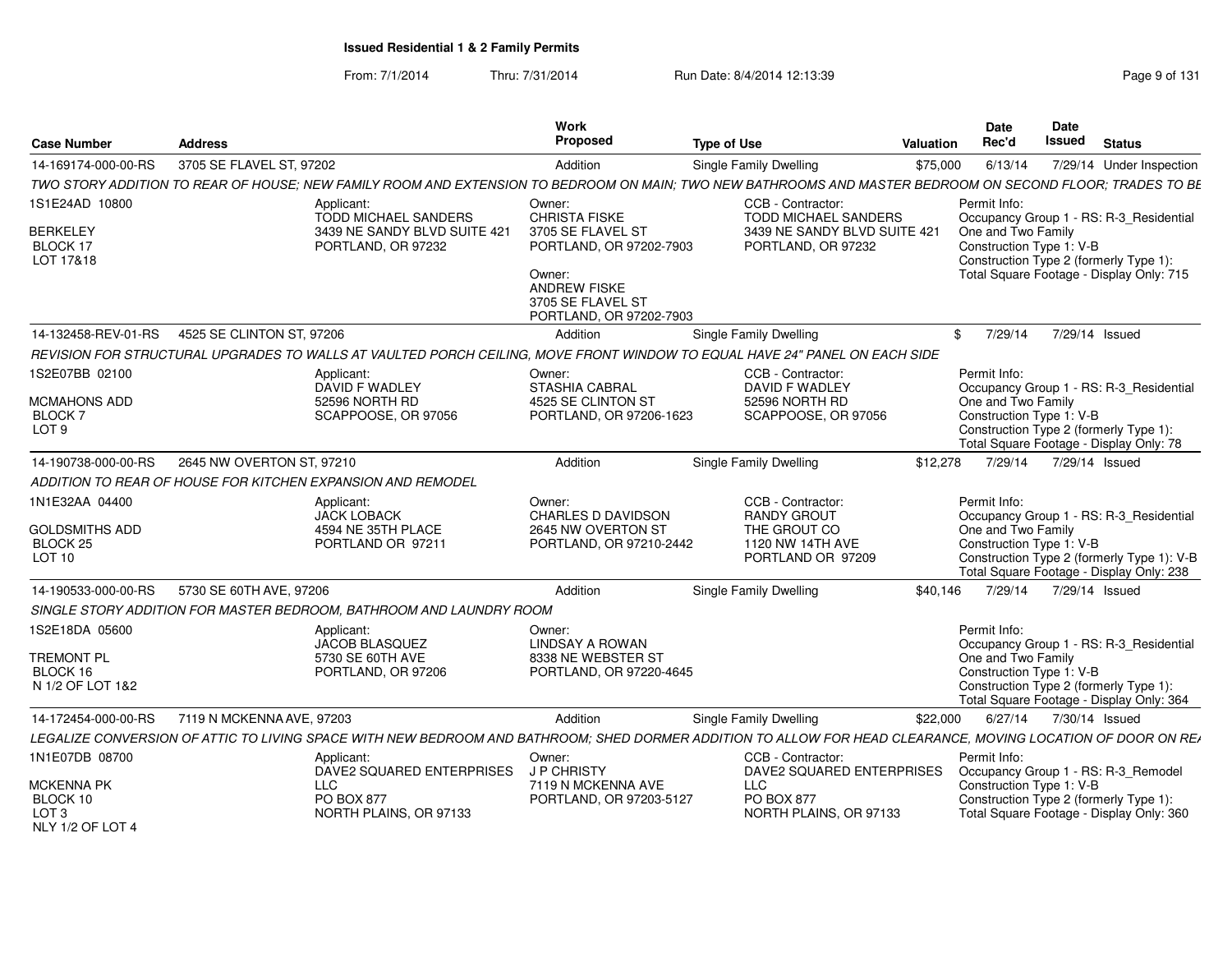From: 7/1/2014Thru: 7/31/2014 Run Date: 8/4/2014 12:13:39 Research 2014 131

| <b>Case Number</b>                                | <b>Address</b>                                                                                                                                               | <b>Work</b><br><b>Proposed</b>                                                | <b>Type of Use</b>                                      | <b>Valuation</b> | <b>Date</b><br>Rec'd                           | Date<br><b>Issued</b> | <b>Status</b>                                                                          |
|---------------------------------------------------|--------------------------------------------------------------------------------------------------------------------------------------------------------------|-------------------------------------------------------------------------------|---------------------------------------------------------|------------------|------------------------------------------------|-----------------------|----------------------------------------------------------------------------------------|
| 14-169174-000-00-RS                               | 3705 SE FLAVEL ST, 97202                                                                                                                                     | Addition                                                                      | Single Family Dwelling                                  | \$75,000         | 6/13/14                                        |                       | 7/29/14 Under Inspection                                                               |
|                                                   | TWO STORY ADDITION TO REAR OF HOUSE; NEW FAMILY ROOM AND EXTENSION TO BEDROOM ON MAIN; TWO NEW BATHROOMS AND MASTER BEDROOM ON SECOND FLOOR; TRADES TO BE    |                                                                               |                                                         |                  |                                                |                       |                                                                                        |
| 1S1E24AD 10800                                    | Applicant:<br><b>TODD MICHAEL SANDERS</b>                                                                                                                    | Owner:<br>CHRISTA FISKE                                                       | CCB - Contractor:<br><b>TODD MICHAEL SANDERS</b>        |                  | Permit Info:                                   |                       | Occupancy Group 1 - RS: R-3_Residential                                                |
| <b>BERKELEY</b><br>BLOCK 17<br>LOT 17&18          | 3439 NE SANDY BLVD SUITE 421<br>PORTLAND, OR 97232                                                                                                           | 3705 SE FLAVEL ST<br>PORTLAND, OR 97202-7903                                  | 3439 NE SANDY BLVD SUITE 421<br>PORTLAND, OR 97232      |                  | One and Two Family<br>Construction Type 1: V-B |                       | Construction Type 2 (formerly Type 1):                                                 |
|                                                   |                                                                                                                                                              | Owner:<br><b>ANDREW FISKE</b><br>3705 SE FLAVEL ST<br>PORTLAND, OR 97202-7903 |                                                         |                  |                                                |                       | Total Square Footage - Display Only: 715                                               |
| 14-132458-REV-01-RS                               | 4525 SE CLINTON ST, 97206                                                                                                                                    | Addition                                                                      | Single Family Dwelling                                  | $^{\circ}$       | 7/29/14                                        |                       | 7/29/14 Issued                                                                         |
|                                                   | REVISION FOR STRUCTURAL UPGRADES TO WALLS AT VAULTED PORCH CEILING, MOVE FRONT WINDOW TO EQUAL HAVE 24" PANEL ON EACH SIDE                                   |                                                                               |                                                         |                  |                                                |                       |                                                                                        |
| 1S2E07BB 02100                                    | Applicant:<br>DAVID F WADLEY                                                                                                                                 | Owner:<br><b>STASHIA CABRAL</b>                                               | CCB - Contractor:<br>DAVID F WADLEY                     |                  | Permit Info:                                   |                       | Occupancy Group 1 - RS: R-3 Residential                                                |
| MCMAHONS ADD<br><b>BLOCK7</b><br>LOT <sub>9</sub> | 52596 NORTH RD<br>SCAPPOOSE, OR 97056                                                                                                                        | 4525 SE CLINTON ST<br>PORTLAND, OR 97206-1623                                 | 52596 NORTH RD<br>SCAPPOOSE, OR 97056                   |                  | One and Two Family<br>Construction Type 1: V-B |                       | Construction Type 2 (formerly Type 1):<br>Total Square Footage - Display Only: 78      |
| 14-190738-000-00-RS                               | 2645 NW OVERTON ST, 97210                                                                                                                                    | Addition                                                                      | <b>Single Family Dwelling</b>                           | \$12,278         | 7/29/14                                        |                       | 7/29/14 Issued                                                                         |
|                                                   | ADDITION TO REAR OF HOUSE FOR KITCHEN EXPANSION AND REMODEL                                                                                                  |                                                                               |                                                         |                  |                                                |                       |                                                                                        |
| 1N1E32AA 04400<br><b>GOLDSMITHS ADD</b>           | Applicant:<br><b>JACK LOBACK</b><br>4594 NE 35TH PLACE                                                                                                       | Owner:<br><b>CHARLES D DAVIDSON</b><br>2645 NW OVERTON ST                     | CCB - Contractor:<br><b>RANDY GROUT</b><br>THE GROUT CO |                  | Permit Info:                                   |                       | Occupancy Group 1 - RS: R-3 Residential                                                |
| BLOCK <sub>25</sub><br>LOT 10                     | PORTLAND OR 97211                                                                                                                                            | PORTLAND, OR 97210-2442                                                       | 1120 NW 14TH AVE<br>PORTLAND OR 97209                   |                  | One and Two Family<br>Construction Type 1: V-B |                       | Construction Type 2 (formerly Type 1): V-B<br>Total Square Footage - Display Only: 238 |
| 14-190533-000-00-RS                               | 5730 SE 60TH AVE, 97206                                                                                                                                      | Addition                                                                      | Single Family Dwelling                                  | \$40,146         | 7/29/14                                        | 7/29/14 Issued        |                                                                                        |
|                                                   | SINGLE STORY ADDITION FOR MASTER BEDROOM, BATHROOM AND LAUNDRY ROOM                                                                                          |                                                                               |                                                         |                  |                                                |                       |                                                                                        |
| 1S2E18DA 05600                                    | Applicant:                                                                                                                                                   | Owner:                                                                        |                                                         |                  | Permit Info:                                   |                       |                                                                                        |
| TREMONT PL<br>BLOCK 16                            | JACOB BLASQUEZ<br>5730 SE 60TH AVE<br>PORTLAND, OR 97206                                                                                                     | <b>LINDSAY A ROWAN</b><br>8338 NE WEBSTER ST<br>PORTLAND, OR 97220-4645       |                                                         |                  | One and Two Family<br>Construction Type 1: V-B |                       | Occupancy Group 1 - RS: R-3_Residential                                                |
| N 1/2 OF LOT 1&2                                  |                                                                                                                                                              |                                                                               |                                                         |                  |                                                |                       | Construction Type 2 (formerly Type 1):<br>Total Square Footage - Display Only: 364     |
| 14-172454-000-00-RS                               | 7119 N MCKENNA AVE, 97203                                                                                                                                    | Addition                                                                      | Single Family Dwelling                                  | \$22,000         | 6/27/14                                        | 7/30/14 Issued        |                                                                                        |
|                                                   | LEGALIZE CONVERSION OF ATTIC TO LIVING SPACE WITH NEW BEDROOM AND BATHROOM; SHED DORMER ADDITION TO ALLOW FOR HEAD CLEARANCE, MOVING LOCATION OF DOOR ON REA |                                                                               |                                                         |                  |                                                |                       |                                                                                        |
| 1N1E07DB 08700                                    | Applicant:<br>DAVE2 SQUARED ENTERPRISES                                                                                                                      | Owner:<br>J P CHRISTY                                                         | CCB - Contractor:<br>DAVE2 SQUARED ENTERPRISES          |                  | Permit Info:                                   |                       | Occupancy Group 1 - RS: R-3_Remodel                                                    |
| MCKENNA PK<br>BLOCK 10                            | <b>LLC</b><br><b>PO BOX 877</b>                                                                                                                              | 7119 N MCKENNA AVE<br>PORTLAND, OR 97203-5127                                 | LLC<br>PO BOX 877                                       |                  | Construction Type 1: V-B                       |                       | Construction Type 2 (formerly Type 1):                                                 |
| LOT <sub>3</sub><br>NLY 1/2 OF LOT 4              | NORTH PLAINS, OR 97133                                                                                                                                       |                                                                               | NORTH PLAINS, OR 97133                                  |                  |                                                |                       | Total Square Footage - Display Only: 360                                               |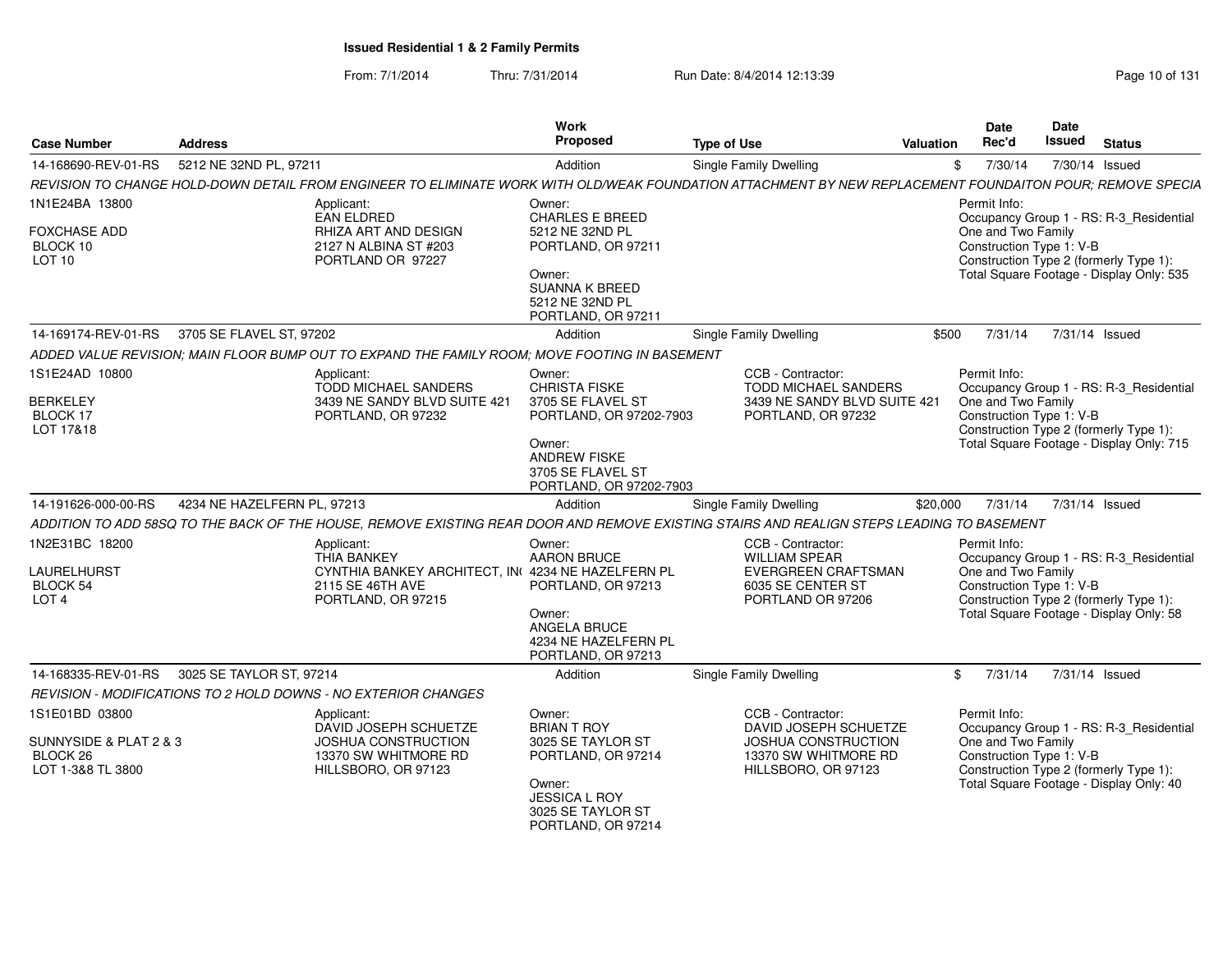From: 7/1/2014Thru: 7/31/2014 Run Date: 8/4/2014 12:13:39 Research 2010 of 131

| <b>Case Number</b>                                                        | <b>Address</b>                                                                                                                                            | Work<br>Proposed                                                                                                      | <b>Type of Use</b>                                                                                                      | <b>Valuation</b> | Date<br>Rec'd                                                  | Date<br><b>Issued</b> | <b>Status</b>                                                                                                                 |
|---------------------------------------------------------------------------|-----------------------------------------------------------------------------------------------------------------------------------------------------------|-----------------------------------------------------------------------------------------------------------------------|-------------------------------------------------------------------------------------------------------------------------|------------------|----------------------------------------------------------------|-----------------------|-------------------------------------------------------------------------------------------------------------------------------|
| 14-168690-REV-01-RS                                                       | 5212 NE 32ND PL. 97211                                                                                                                                    | Addition                                                                                                              | <b>Single Family Dwelling</b>                                                                                           | \$               | 7/30/14                                                        |                       | 7/30/14 Issued                                                                                                                |
|                                                                           | REVISION TO CHANGE HOLD-DOWN DETAIL FROM ENGINEER TO ELIMINATE WORK WITH OLD/WEAK FOUNDATION ATTACHMENT BY NEW REPLACEMENT FOUNDAITON POUR: REMOVE SPECIA |                                                                                                                       |                                                                                                                         |                  |                                                                |                       |                                                                                                                               |
| 1N1E24BA 13800                                                            | Applicant:                                                                                                                                                | Owner:                                                                                                                |                                                                                                                         |                  | Permit Info:                                                   |                       |                                                                                                                               |
| <b>FOXCHASE ADD</b><br>BLOCK 10<br>LOT <sub>10</sub>                      | <b>EAN ELDRED</b><br>RHIZA ART AND DESIGN<br>2127 N ALBINA ST #203<br>PORTLAND OR 97227                                                                   | <b>CHARLES E BREED</b><br>5212 NE 32ND PL<br>PORTLAND, OR 97211<br>Owner:<br><b>SUANNA K BREED</b><br>5212 NE 32ND PL |                                                                                                                         |                  | One and Two Family<br>Construction Type 1: V-B                 |                       | Occupancy Group 1 - RS: R-3_Residential<br>Construction Type 2 (formerly Type 1):<br>Total Square Footage - Display Only: 535 |
|                                                                           |                                                                                                                                                           | PORTLAND, OR 97211                                                                                                    |                                                                                                                         |                  |                                                                |                       |                                                                                                                               |
| 14-169174-REV-01-RS                                                       | 3705 SE FLAVEL ST, 97202                                                                                                                                  | Addition                                                                                                              | Single Family Dwelling                                                                                                  | \$500            | 7/31/14                                                        |                       | 7/31/14 Issued                                                                                                                |
|                                                                           | ADDED VALUE REVISION; MAIN FLOOR BUMP OUT TO EXPAND THE FAMILY ROOM; MOVE FOOTING IN BASEMENT                                                             |                                                                                                                       |                                                                                                                         |                  |                                                                |                       |                                                                                                                               |
| 1S1E24AD 10800<br><b>BERKELEY</b>                                         | Applicant:<br><b>TODD MICHAEL SANDERS</b><br>3439 NE SANDY BLVD SUITE 421                                                                                 | Owner:<br><b>CHRISTA FISKE</b><br>3705 SE FLAVEL ST                                                                   | CCB - Contractor:<br>TODD MICHAEL SANDERS<br>3439 NE SANDY BLVD SUITE 421                                               |                  | Permit Info:<br>One and Two Family                             |                       | Occupancy Group 1 - RS: R-3_Residential                                                                                       |
| BLOCK 17<br>LOT 17&18                                                     | PORTLAND, OR 97232                                                                                                                                        | PORTLAND, OR 97202-7903<br>Owner:<br><b>ANDREW FISKE</b><br>3705 SE FLAVEL ST<br>PORTLAND, OR 97202-7903              | PORTLAND, OR 97232                                                                                                      |                  | Construction Type 1: V-B                                       |                       | Construction Type 2 (formerly Type 1):<br>Total Square Footage - Display Only: 715                                            |
| 14-191626-000-00-RS                                                       | 4234 NE HAZELFERN PL, 97213                                                                                                                               | Addition                                                                                                              | <b>Single Family Dwelling</b>                                                                                           | \$20,000         | 7/31/14                                                        |                       | 7/31/14 Issued                                                                                                                |
|                                                                           | ADDITION TO ADD 58SQ TO THE BACK OF THE HOUSE, REMOVE EXISTING REAR DOOR AND REMOVE EXISTING STAIRS AND REALIGN STEPS LEADING TO BASEMENT                 |                                                                                                                       |                                                                                                                         |                  |                                                                |                       |                                                                                                                               |
| 1N2E31BC 18200<br><b>LAURELHURST</b><br>BLOCK 54<br>LOT <sub>4</sub>      | Applicant:<br><b>THIA BANKEY</b><br>CYNTHIA BANKEY ARCHITECT. IN 4234 NE HAZELFERN PL<br>2115 SE 46TH AVE<br>PORTLAND, OR 97215                           | Owner:<br>AARON BRUCE<br>PORTLAND, OR 97213<br>Owner:<br>ANGELA BRUCE<br>4234 NE HAZELFERN PL<br>PORTLAND, OR 97213   | CCB - Contractor:<br><b>WILLIAM SPEAR</b><br>EVERGREEN CRAFTSMAN<br>6035 SE CENTER ST<br>PORTLAND OR 97206              |                  | Permit Info:<br>One and Two Family<br>Construction Type 1: V-B |                       | Occupancy Group 1 - RS: R-3_Residential<br>Construction Type 2 (formerly Type 1):<br>Total Square Footage - Display Only: 58  |
| 14-168335-REV-01-RS                                                       | 3025 SE TAYLOR ST, 97214                                                                                                                                  | Addition                                                                                                              | <b>Single Family Dwelling</b>                                                                                           | \$               | 7/31/14                                                        |                       | 7/31/14 Issued                                                                                                                |
|                                                                           | REVISION - MODIFICATIONS TO 2 HOLD DOWNS - NO EXTERIOR CHANGES                                                                                            |                                                                                                                       |                                                                                                                         |                  |                                                                |                       |                                                                                                                               |
| 1S1E01BD 03800<br>SUNNYSIDE & PLAT 2 & 3<br>BLOCK 26<br>LOT 1-3&8 TL 3800 | Applicant:<br>DAVID JOSEPH SCHUETZE<br><b>JOSHUA CONSTRUCTION</b><br>13370 SW WHITMORE RD<br>HILLSBORO, OR 97123                                          | Owner:<br><b>BRIAN T ROY</b><br>3025 SE TAYLOR ST<br>PORTLAND, OR 97214<br>Owner:<br><b>JESSICA L ROY</b>             | CCB - Contractor:<br>DAVID JOSEPH SCHUETZE<br><b>JOSHUA CONSTRUCTION</b><br>13370 SW WHITMORE RD<br>HILLSBORO, OR 97123 |                  | Permit Info:<br>One and Two Family<br>Construction Type 1: V-B |                       | Occupancy Group 1 - RS: R-3 Residential<br>Construction Type 2 (formerly Type 1):<br>Total Square Footage - Display Only: 40  |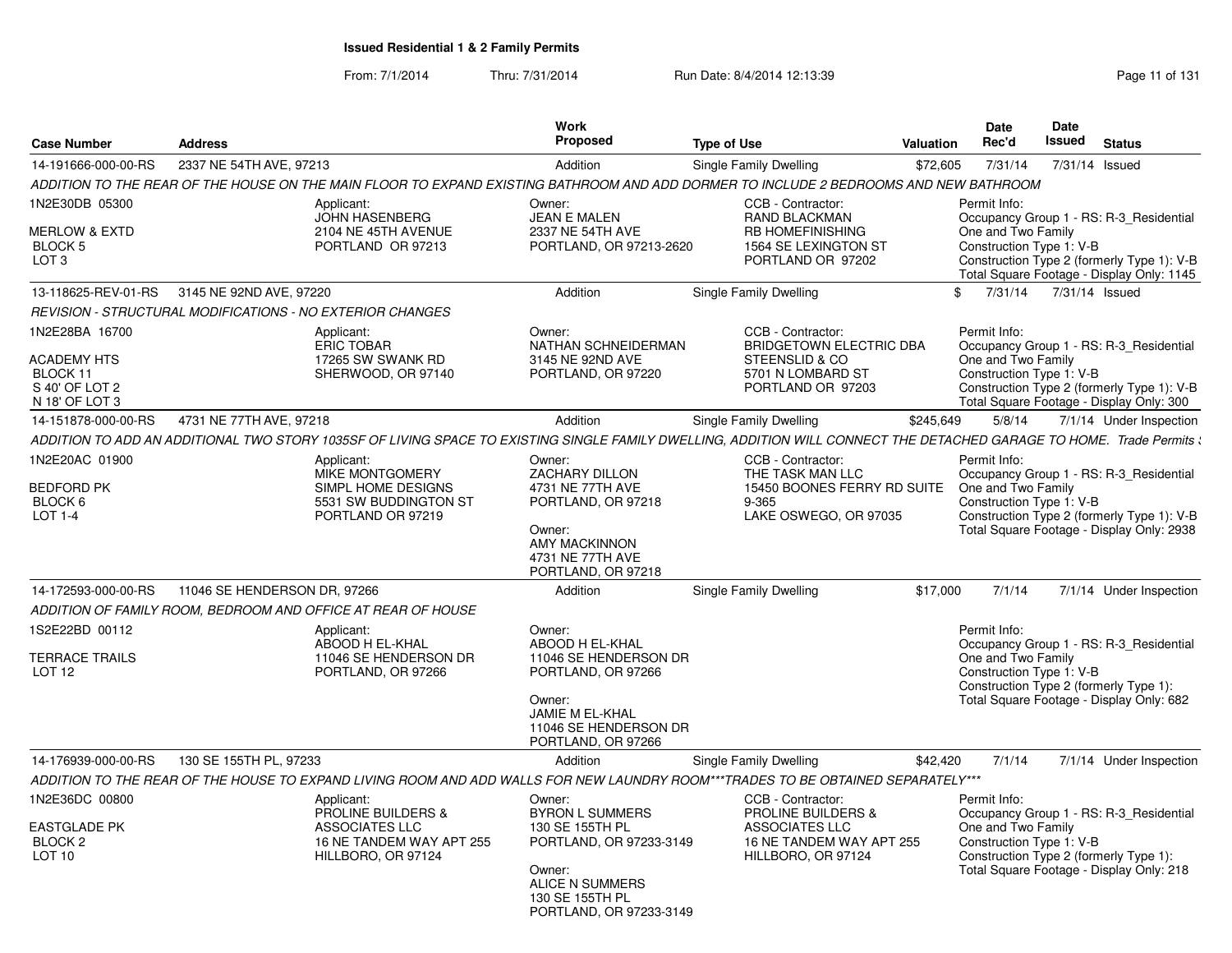From: 7/1/2014Thru: 7/31/2014 Run Date: 8/4/2014 12:13:39 Rege 11 of 131

| <b>Case Number</b>                                          | <b>Address</b>                                                                                                                                                        | <b>Work</b><br>Proposed                                                               | <b>Type of Use</b>                                                                                      | <b>Valuation</b> | Date<br>Rec'd                                                  | Date<br>Issued | <b>Status</b>                                                                                                                      |
|-------------------------------------------------------------|-----------------------------------------------------------------------------------------------------------------------------------------------------------------------|---------------------------------------------------------------------------------------|---------------------------------------------------------------------------------------------------------|------------------|----------------------------------------------------------------|----------------|------------------------------------------------------------------------------------------------------------------------------------|
| 14-191666-000-00-RS                                         | 2337 NE 54TH AVE, 97213                                                                                                                                               | Addition                                                                              | <b>Single Family Dwelling</b>                                                                           | \$72,605         | 7/31/14                                                        | 7/31/14 Issued |                                                                                                                                    |
|                                                             | ADDITION TO THE REAR OF THE HOUSE ON THE MAIN FLOOR TO EXPAND EXISTING BATHROOM AND ADD DORMER TO INCLUDE 2 BEDROOMS AND NEW BATHROOM                                 |                                                                                       |                                                                                                         |                  |                                                                |                |                                                                                                                                    |
| 1N2E30DB 05300                                              | Applicant:                                                                                                                                                            | Owner:                                                                                | CCB - Contractor:                                                                                       |                  | Permit Info:                                                   |                |                                                                                                                                    |
| MERLOW & EXTD<br>BLOCK <sub>5</sub><br>LOT <sub>3</sub>     | <b>JOHN HASENBERG</b><br>2104 NE 45TH AVENUE<br>PORTLAND OR 97213                                                                                                     | <b>JEAN E MALEN</b><br>2337 NE 54TH AVE<br>PORTLAND, OR 97213-2620                    | <b>RAND BLACKMAN</b><br><b>RB HOMEFINISHING</b><br>1564 SE LEXINGTON ST<br>PORTLAND OR 97202            |                  | One and Two Family<br>Construction Type 1: V-B                 |                | Occupancy Group 1 - RS: R-3 Residential<br>Construction Type 2 (formerly Type 1): V-B<br>Total Square Footage - Display Only: 1145 |
| 13-118625-REV-01-RS                                         | 3145 NE 92ND AVE, 97220                                                                                                                                               | Addition                                                                              | Single Family Dwelling                                                                                  | $\mathbb{S}$     | 7/31/14                                                        | 7/31/14 Issued |                                                                                                                                    |
|                                                             | REVISION - STRUCTURAL MODIFICATIONS - NO EXTERIOR CHANGES                                                                                                             |                                                                                       |                                                                                                         |                  |                                                                |                |                                                                                                                                    |
| 1N2E28BA 16700<br><b>ACADEMY HTS</b>                        | Applicant:<br><b>ERIC TOBAR</b><br>17265 SW SWANK RD                                                                                                                  | Owner:<br>NATHAN SCHNEIDERMAN<br>3145 NE 92ND AVE                                     | CCB - Contractor:<br><b>BRIDGETOWN ELECTRIC DBA</b><br>STEENSLID & CO                                   |                  | Permit Info:<br>One and Two Family                             |                | Occupancy Group 1 - RS: R-3_Residential                                                                                            |
| BLOCK 11<br>S 40' OF LOT 2<br>N 18' OF LOT 3                | SHERWOOD, OR 97140                                                                                                                                                    | PORTLAND, OR 97220                                                                    | 5701 N LOMBARD ST<br>PORTLAND OR 97203                                                                  |                  | Construction Type 1: V-B                                       |                | Construction Type 2 (formerly Type 1): V-B<br>Total Square Footage - Display Only: 300                                             |
| 14-151878-000-00-RS                                         | 4731 NE 77TH AVE, 97218                                                                                                                                               | Addition                                                                              | Single Family Dwelling                                                                                  | \$245,649        | 5/8/14                                                         |                | 7/1/14 Under Inspection                                                                                                            |
|                                                             | ADDITION TO ADD AN ADDITIONAL TWO STORY 1035SF OF LIVING SPACE TO EXISTING SINGLE FAMILY DWELLING. ADDITION WILL CONNECT THE DETACHED GARAGE TO HOME. Trade Permits \ |                                                                                       |                                                                                                         |                  |                                                                |                |                                                                                                                                    |
| 1N2E20AC 01900                                              | Applicant:<br><b>MIKE MONTGOMERY</b>                                                                                                                                  | Owner:<br><b>ZACHARY DILLON</b>                                                       | CCB - Contractor:<br>THE TASK MAN LLC                                                                   |                  | Permit Info:                                                   |                | Occupancy Group 1 - RS: R-3 Residential                                                                                            |
| <b>BEDFORD PK</b><br>BLOCK <sub>6</sub><br><b>LOT 1-4</b>   | SIMPL HOME DESIGNS<br>5531 SW BUDDINGTON ST<br>PORTLAND OR 97219                                                                                                      | 4731 NE 77TH AVE<br>PORTLAND, OR 97218<br>Owner:<br>AMY MACKINNON<br>4731 NE 77TH AVE | 15450 BOONES FERRY RD SUITE<br>$9 - 365$<br>LAKE OSWEGO, OR 97035                                       |                  | One and Two Family<br>Construction Type 1: V-B                 |                | Construction Type 2 (formerly Type 1): V-B<br>Total Square Footage - Display Only: 2938                                            |
|                                                             |                                                                                                                                                                       | PORTLAND, OR 97218                                                                    |                                                                                                         |                  |                                                                |                |                                                                                                                                    |
| 14-172593-000-00-RS                                         | 11046 SE HENDERSON DR, 97266                                                                                                                                          | Addition                                                                              | Single Family Dwelling                                                                                  | \$17,000         | 7/1/14                                                         |                | 7/1/14 Under Inspection                                                                                                            |
|                                                             | ADDITION OF FAMILY ROOM, BEDROOM AND OFFICE AT REAR OF HOUSE                                                                                                          |                                                                                       |                                                                                                         |                  |                                                                |                |                                                                                                                                    |
| 1S2E22BD 00112                                              | Applicant:<br>ABOOD H EL-KHAL                                                                                                                                         | Owner:<br>ABOOD H EL-KHAL                                                             |                                                                                                         |                  | Permit Info:                                                   |                | Occupancy Group 1 - RS: R-3 Residential                                                                                            |
| TERRACE TRAILS<br>LOT <sub>12</sub>                         | 11046 SE HENDERSON DR<br>PORTLAND, OR 97266                                                                                                                           | 11046 SE HENDERSON DR<br>PORTLAND, OR 97266<br>Owner:<br>JAMIE M EL-KHAL              |                                                                                                         |                  | One and Two Family<br>Construction Type 1: V-B                 |                | Construction Type 2 (formerly Type 1):<br>Total Square Footage - Display Only: 682                                                 |
|                                                             |                                                                                                                                                                       | 11046 SE HENDERSON DR<br>PORTLAND, OR 97266                                           |                                                                                                         |                  |                                                                |                |                                                                                                                                    |
| 14-176939-000-00-RS                                         | 130 SE 155TH PL, 97233                                                                                                                                                | Addition                                                                              | Single Family Dwelling                                                                                  | \$42,420         | 7/1/14                                                         |                | 7/1/14 Under Inspection                                                                                                            |
|                                                             | ADDITION TO THE REAR OF THE HOUSE TO EXPAND LIVING ROOM AND ADD WALLS FOR NEW LAUNDRY ROOM***TRADES TO BE OBTAINED SEPARATELY***                                      |                                                                                       |                                                                                                         |                  |                                                                |                |                                                                                                                                    |
| 1N2E36DC 00800<br><b>EASTGLADE PK</b><br>BLOCK <sub>2</sub> | Applicant:<br><b>PROLINE BUILDERS &amp;</b><br><b>ASSOCIATES LLC</b><br>16 NE TANDEM WAY APT 255                                                                      | Owner:<br><b>BYRON L SUMMERS</b><br>130 SE 155TH PL<br>PORTLAND, OR 97233-3149        | CCB - Contractor:<br><b>PROLINE BUILDERS &amp;</b><br><b>ASSOCIATES LLC</b><br>16 NE TANDEM WAY APT 255 |                  | Permit Info:<br>One and Two Family<br>Construction Type 1: V-B |                | Occupancy Group 1 - RS: R-3 Residential                                                                                            |
| LOT <sub>10</sub>                                           | HILLBORO, OR 97124                                                                                                                                                    | Owner:<br>ALICE N SUMMERS<br>130 SE 155TH PL<br>PORTLAND, OR 97233-3149               | HILLBORO, OR 97124                                                                                      |                  |                                                                |                | Construction Type 2 (formerly Type 1):<br>Total Square Footage - Display Only: 218                                                 |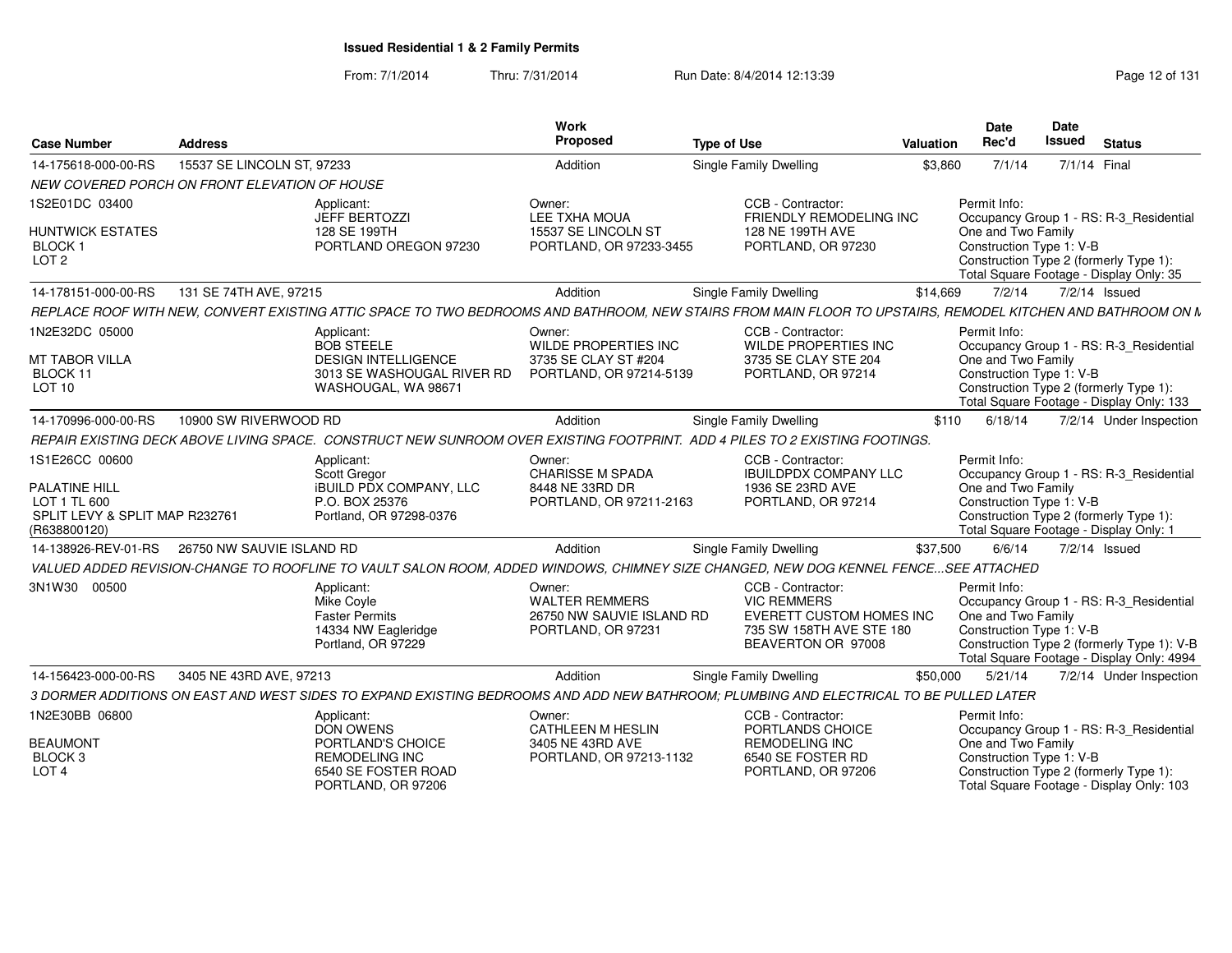From: 7/1/2014Thru: 7/31/2014 Run Date: 8/4/2014 12:13:39 Research 2014 131

| <b>Case Number</b>                                     | <b>Address</b>                                |                                                                                                                                                             | Work<br>Proposed                                                                   | <b>Type of Use</b> |                                                                                                                       | <b>Valuation</b> | Date<br>Rec'd                                                  | <b>Date</b><br><b>Issued</b> | <b>Status</b>                                                                                                                      |
|--------------------------------------------------------|-----------------------------------------------|-------------------------------------------------------------------------------------------------------------------------------------------------------------|------------------------------------------------------------------------------------|--------------------|-----------------------------------------------------------------------------------------------------------------------|------------------|----------------------------------------------------------------|------------------------------|------------------------------------------------------------------------------------------------------------------------------------|
| 14-175618-000-00-RS                                    | 15537 SE LINCOLN ST, 97233                    |                                                                                                                                                             | Addition                                                                           |                    | <b>Single Family Dwelling</b>                                                                                         | \$3,860          | 7/1/14                                                         | 7/1/14 Final                 |                                                                                                                                    |
|                                                        | NEW COVERED PORCH ON FRONT ELEVATION OF HOUSE |                                                                                                                                                             |                                                                                    |                    |                                                                                                                       |                  |                                                                |                              |                                                                                                                                    |
| 1S2E01DC 03400                                         |                                               | Applicant:<br><b>JEFF BERTOZZI</b>                                                                                                                          | Owner:<br>LEE TXHA MOUA                                                            |                    | CCB - Contractor:<br>FRIENDLY REMODELING INC                                                                          |                  | Permit Info:                                                   |                              | Occupancy Group 1 - RS: R-3_Residential                                                                                            |
| <b>HUNTWICK ESTATES</b><br>BLOCK 1<br>LOT <sub>2</sub> |                                               | 128 SE 199TH<br>PORTLAND OREGON 97230                                                                                                                       | 15537 SE LINCOLN ST<br>PORTLAND, OR 97233-3455                                     |                    | 128 NE 199TH AVE<br>PORTLAND, OR 97230                                                                                |                  | One and Two Family<br>Construction Type 1: V-B                 |                              | Construction Type 2 (formerly Type 1):<br>Total Square Footage - Display Only: 35                                                  |
| 14-178151-000-00-RS                                    | 131 SE 74TH AVE, 97215                        |                                                                                                                                                             | Addition                                                                           |                    | Single Family Dwelling                                                                                                | \$14,669         | 7/2/14                                                         |                              | $7/2/14$ Issued                                                                                                                    |
|                                                        |                                               | REPLACE ROOF WITH NEW, CONVERT EXISTING ATTIC SPACE TO TWO BEDROOMS AND BATHROOM, NEW STAIRS FROM MAIN FLOOR TO UPSTAIRS, REMODEL KITCHEN AND BATHROOM ON N |                                                                                    |                    |                                                                                                                       |                  |                                                                |                              |                                                                                                                                    |
| 1N2E32DC 05000<br><b>MT TABOR VILLA</b>                |                                               | Applicant:<br><b>BOB STEELE</b><br><b>DESIGN INTELLIGENCE</b>                                                                                               | Owner:<br>WILDE PROPERTIES INC<br>3735 SE CLAY ST #204                             |                    | CCB - Contractor:<br>WILDE PROPERTIES INC<br>3735 SE CLAY STE 204                                                     |                  | Permit Info:                                                   |                              | Occupancy Group 1 - RS: R-3_Residential                                                                                            |
| BLOCK 11<br>LOT <sub>10</sub>                          |                                               | 3013 SE WASHOUGAL RIVER RD<br>WASHOUGAL, WA 98671                                                                                                           | PORTLAND, OR 97214-5139                                                            |                    | PORTLAND, OR 97214                                                                                                    |                  | One and Two Family<br>Construction Type 1: V-B                 |                              | Construction Type 2 (formerly Type 1):<br>Total Square Footage - Display Only: 133                                                 |
| 14-170996-000-00-RS                                    | 10900 SW RIVERWOOD RD                         |                                                                                                                                                             | Addition                                                                           |                    | Single Family Dwelling                                                                                                | \$110            | 6/18/14                                                        |                              | 7/2/14 Under Inspection                                                                                                            |
|                                                        |                                               | REPAIR EXISTING DECK ABOVE LIVING SPACE. CONSTRUCT NEW SUNROOM OVER EXISTING FOOTPRINT. ADD 4 PILES TO 2 EXISTING FOOTINGS.                                 |                                                                                    |                    |                                                                                                                       |                  |                                                                |                              |                                                                                                                                    |
| 1S1E26CC 00600                                         |                                               | Applicant:<br>Scott Gregor                                                                                                                                  | Owner:<br><b>CHARISSE M SPADA</b>                                                  |                    | CCB - Contractor:<br><b>IBUILDPDX COMPANY LLC</b>                                                                     |                  | Permit Info:                                                   |                              | Occupancy Group 1 - RS: R-3_Residential                                                                                            |
| <b>PALATINE HILL</b><br>LOT 1 TL 600                   |                                               | <b>IBUILD PDX COMPANY, LLC</b><br>P.O. BOX 25376                                                                                                            | 8448 NE 33RD DR<br>PORTLAND, OR 97211-2163                                         |                    | 1936 SE 23RD AVE<br>PORTLAND, OR 97214                                                                                |                  | One and Two Family<br>Construction Type 1: V-B                 |                              |                                                                                                                                    |
| SPLIT LEVY & SPLIT MAP R232761<br>(R638800120)         |                                               | Portland, OR 97298-0376                                                                                                                                     |                                                                                    |                    |                                                                                                                       |                  |                                                                |                              | Construction Type 2 (formerly Type 1):<br>Total Square Footage - Display Only: 1                                                   |
| 14-138926-REV-01-RS                                    | 26750 NW SAUVIE ISLAND RD                     |                                                                                                                                                             | Addition                                                                           |                    | <b>Single Family Dwelling</b>                                                                                         | \$37,500         | 6/6/14                                                         |                              | 7/2/14 Issued                                                                                                                      |
|                                                        |                                               | VALUED ADDED REVISION-CHANGE TO ROOFLINE TO VAULT SALON ROOM, ADDED WINDOWS, CHIMNEY SIZE CHANGED, NEW DOG KENNEL FENCESEE ATTACHED                         |                                                                                    |                    |                                                                                                                       |                  |                                                                |                              |                                                                                                                                    |
| 3N1W30 00500                                           |                                               | Applicant:<br>Mike Covle<br><b>Faster Permits</b><br>14334 NW Eagleridge<br>Portland, OR 97229                                                              | Owner:<br><b>WALTER REMMERS</b><br>26750 NW SAUVIE ISLAND RD<br>PORTLAND, OR 97231 |                    | CCB - Contractor:<br><b>VIC REMMERS</b><br>EVERETT CUSTOM HOMES INC<br>735 SW 158TH AVE STE 180<br>BEAVERTON OR 97008 |                  | Permit Info:<br>One and Two Family<br>Construction Type 1: V-B |                              | Occupancy Group 1 - RS: R-3_Residential<br>Construction Type 2 (formerly Type 1): V-B<br>Total Square Footage - Display Only: 4994 |
| 14-156423-000-00-RS                                    | 3405 NE 43RD AVE, 97213                       |                                                                                                                                                             | Addition                                                                           |                    | Single Family Dwelling                                                                                                | \$50,000         | 5/21/14                                                        |                              | 7/2/14 Under Inspection                                                                                                            |
|                                                        |                                               | 3 DORMER ADDITIONS ON EAST AND WEST SIDES TO EXPAND EXISTING BEDROOMS AND ADD NEW BATHROOM; PLUMBING AND ELECTRICAL TO BE PULLED LATER                      |                                                                                    |                    |                                                                                                                       |                  |                                                                |                              |                                                                                                                                    |
| 1N2E30BB 06800                                         |                                               | Applicant:<br><b>DON OWENS</b>                                                                                                                              | Owner:<br>CATHLEEN M HESLIN                                                        |                    | CCB - Contractor:<br>PORTLANDS CHOICE                                                                                 |                  | Permit Info:                                                   |                              | Occupancy Group 1 - RS: R-3_Residential                                                                                            |
| <b>BEAUMONT</b><br>BLOCK <sub>3</sub>                  |                                               | PORTLAND'S CHOICE<br><b>REMODELING INC</b>                                                                                                                  | 3405 NE 43RD AVE<br>PORTLAND, OR 97213-1132                                        |                    | <b>REMODELING INC</b><br>6540 SE FOSTER RD                                                                            |                  | One and Two Family<br>Construction Type 1: V-B                 |                              |                                                                                                                                    |
| LOT <sub>4</sub>                                       |                                               | 6540 SE FOSTER ROAD<br>PORTLAND, OR 97206                                                                                                                   |                                                                                    |                    | PORTLAND, OR 97206                                                                                                    |                  |                                                                |                              | Construction Type 2 (formerly Type 1):<br>Total Square Footage - Display Only: 103                                                 |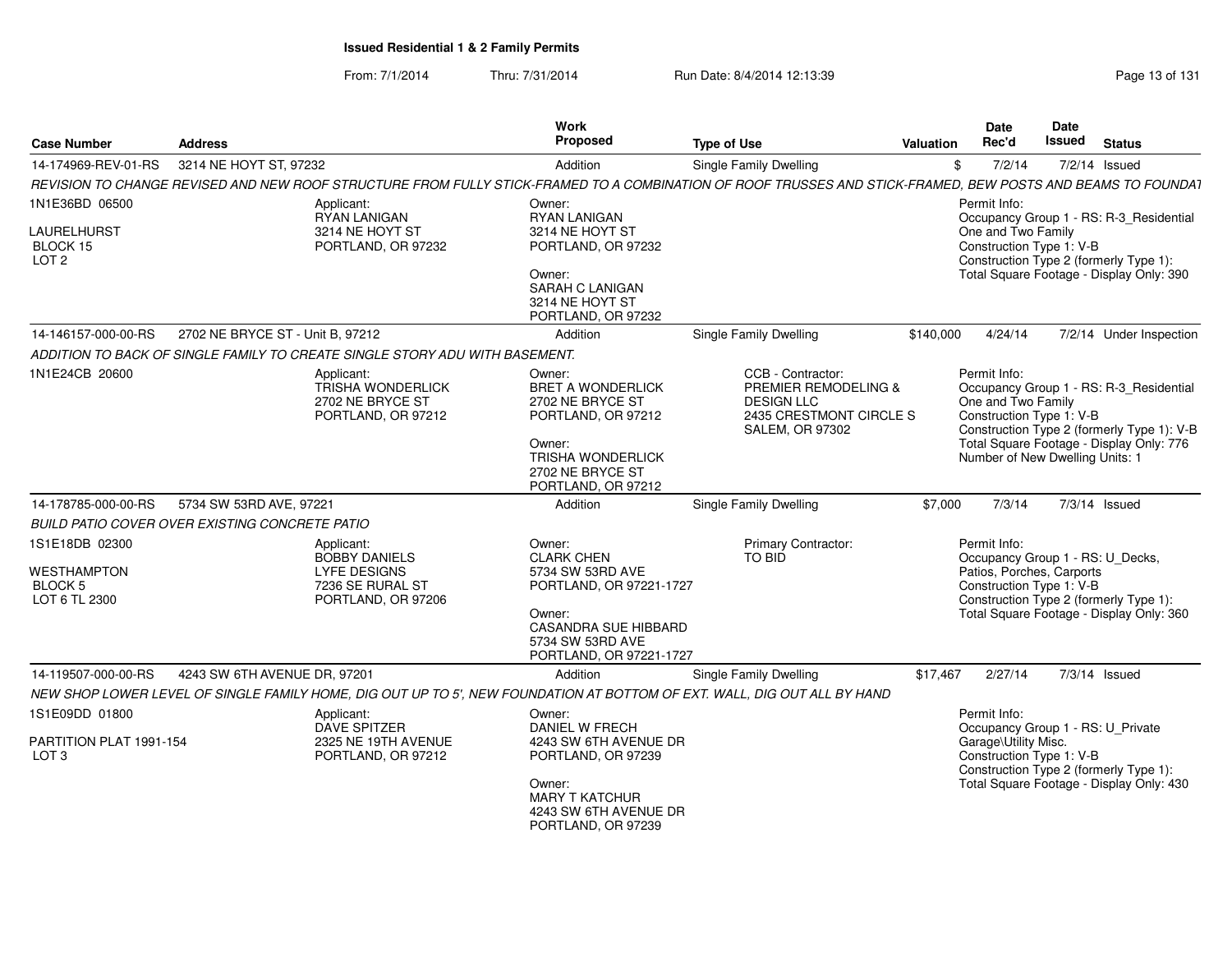From: 7/1/2014Thru: 7/31/2014 Run Date: 8/4/2014 12:13:39 Research 2010 Rage 13 of 131

| <b>Case Number</b>                                        | <b>Address</b>                                                                                                                                              | <b>Work</b><br><b>Proposed</b>                                                                                                                                     | <b>Type of Use</b>                                                                                                             | Valuation | Date<br>Rec'd                                                                                                                          | Date<br><b>Issued</b> | <b>Status</b>                                                                                                                     |
|-----------------------------------------------------------|-------------------------------------------------------------------------------------------------------------------------------------------------------------|--------------------------------------------------------------------------------------------------------------------------------------------------------------------|--------------------------------------------------------------------------------------------------------------------------------|-----------|----------------------------------------------------------------------------------------------------------------------------------------|-----------------------|-----------------------------------------------------------------------------------------------------------------------------------|
| 14-174969-REV-01-RS                                       | 3214 NE HOYT ST, 97232                                                                                                                                      | Addition                                                                                                                                                           | Single Family Dwelling                                                                                                         | \$        | 7/2/14                                                                                                                                 |                       | 7/2/14 Issued                                                                                                                     |
|                                                           | REVISION TO CHANGE REVISED AND NEW ROOF STRUCTURE FROM FULLY STICK-FRAMED TO A COMBINATION OF ROOF TRUSSES AND STICK-FRAMED, BEW POSTS AND BEAMS TO FOUNDA1 |                                                                                                                                                                    |                                                                                                                                |           |                                                                                                                                        |                       |                                                                                                                                   |
| 1N1E36BD 06500                                            | Applicant:<br>RYAN LANIGAN                                                                                                                                  | Owner:<br>RYAN LANIGAN                                                                                                                                             |                                                                                                                                |           | Permit Info:                                                                                                                           |                       | Occupancy Group 1 - RS: R-3 Residential                                                                                           |
| LAURELHURST<br>BLOCK 15<br>LOT <sub>2</sub>               | 3214 NE HOYT ST<br>PORTLAND, OR 97232                                                                                                                       | 3214 NE HOYT ST<br>PORTLAND, OR 97232                                                                                                                              |                                                                                                                                |           | One and Two Family<br>Construction Type 1: V-B                                                                                         |                       | Construction Type 2 (formerly Type 1):                                                                                            |
|                                                           |                                                                                                                                                             | Owner:<br>SARAH C LANIGAN<br>3214 NE HOYT ST<br>PORTLAND, OR 97232                                                                                                 |                                                                                                                                |           | Total Square Footage - Display Only: 390                                                                                               |                       |                                                                                                                                   |
| 14-146157-000-00-RS                                       | 2702 NE BRYCE ST - Unit B, 97212                                                                                                                            | Addition                                                                                                                                                           | Single Family Dwelling                                                                                                         | \$140,000 | 4/24/14                                                                                                                                |                       | 7/2/14 Under Inspection                                                                                                           |
|                                                           | ADDITION TO BACK OF SINGLE FAMILY TO CREATE SINGLE STORY ADU WITH BASEMENT.                                                                                 |                                                                                                                                                                    |                                                                                                                                |           |                                                                                                                                        |                       |                                                                                                                                   |
| 1N1E24CB 20600                                            | Applicant:<br><b>TRISHA WONDERLICK</b><br>2702 NE BRYCE ST<br>PORTLAND, OR 97212                                                                            | Owner:<br><b>BRET A WONDERLICK</b><br>2702 NE BRYCE ST<br>PORTLAND, OR 97212<br>Owner:<br><b>TRISHA WONDERLICK</b>                                                 | CCB - Contractor:<br><b>PREMIER REMODELING &amp;</b><br><b>DESIGN LLC</b><br>2435 CRESTMONT CIRCLE S<br><b>SALEM, OR 97302</b> |           | Permit Info:<br>One and Two Family<br>Construction Type 1: V-B<br>Number of New Dwelling Units: 1                                      |                       | Occupancy Group 1 - RS: R-3 Residential<br>Construction Type 2 (formerly Type 1): V-B<br>Total Square Footage - Display Only: 776 |
|                                                           |                                                                                                                                                             | 2702 NE BRYCE ST<br>PORTLAND, OR 97212                                                                                                                             |                                                                                                                                |           |                                                                                                                                        |                       |                                                                                                                                   |
| 14-178785-000-00-RS                                       | 5734 SW 53RD AVE, 97221                                                                                                                                     | Addition                                                                                                                                                           | Single Family Dwelling                                                                                                         | \$7,000   | 7/3/14                                                                                                                                 |                       | $7/3/14$ Issued                                                                                                                   |
|                                                           | BUILD PATIO COVER OVER EXISTING CONCRETE PATIO                                                                                                              |                                                                                                                                                                    |                                                                                                                                |           |                                                                                                                                        |                       |                                                                                                                                   |
| 1S1E18DB 02300<br>WESTHAMPTON<br>BLOCK 5<br>LOT 6 TL 2300 | Applicant:<br><b>BOBBY DANIELS</b><br><b>LYFE DESIGNS</b><br>7236 SE RURAL ST<br>PORTLAND, OR 97206                                                         | Owner:<br><b>CLARK CHEN</b><br>5734 SW 53RD AVE<br>PORTLAND, OR 97221-1727<br>Owner:<br><b>CASANDRA SUE HIBBARD</b><br>5734 SW 53RD AVE<br>PORTLAND, OR 97221-1727 | Primary Contractor:<br><b>TO BID</b>                                                                                           |           | Permit Info:<br>Patios, Porches, Carports<br>Construction Type 1: V-B                                                                  |                       | Occupancy Group 1 - RS: U_Decks,<br>Construction Type 2 (formerly Type 1):<br>Total Square Footage - Display Only: 360            |
| 14-119507-000-00-RS                                       | 4243 SW 6TH AVENUE DR, 97201                                                                                                                                | Addition                                                                                                                                                           | <b>Single Family Dwelling</b>                                                                                                  | \$17,467  | 2/27/14                                                                                                                                |                       | 7/3/14 Issued                                                                                                                     |
|                                                           | NEW SHOP LOWER LEVEL OF SINGLE FAMILY HOME, DIG OUT UP TO 5', NEW FOUNDATION AT BOTTOM OF EXT. WALL, DIG OUT ALL BY HAND                                    |                                                                                                                                                                    |                                                                                                                                |           |                                                                                                                                        |                       |                                                                                                                                   |
| 1S1E09DD 01800                                            | Applicant:<br><b>DAVE SPITZER</b>                                                                                                                           | Owner:<br>DANIEL W FRECH                                                                                                                                           |                                                                                                                                |           | Permit Info:<br>Occupancy Group 1 - RS: U_Private                                                                                      |                       |                                                                                                                                   |
| PARTITION PLAT 1991-154<br>LOT <sub>3</sub>               | 2325 NE 19TH AVENUE<br>PORTLAND, OR 97212                                                                                                                   | 4243 SW 6TH AVENUE DR<br>PORTLAND, OR 97239<br>Owner:<br><b>MARY T KATCHUR</b>                                                                                     |                                                                                                                                |           | Garage\Utility Misc.<br>Construction Type 1: V-B<br>Construction Type 2 (formerly Type 1):<br>Total Square Footage - Display Only: 430 |                       |                                                                                                                                   |
|                                                           |                                                                                                                                                             | 4243 SW 6TH AVENUE DR<br>PORTLAND, OR 97239                                                                                                                        |                                                                                                                                |           |                                                                                                                                        |                       |                                                                                                                                   |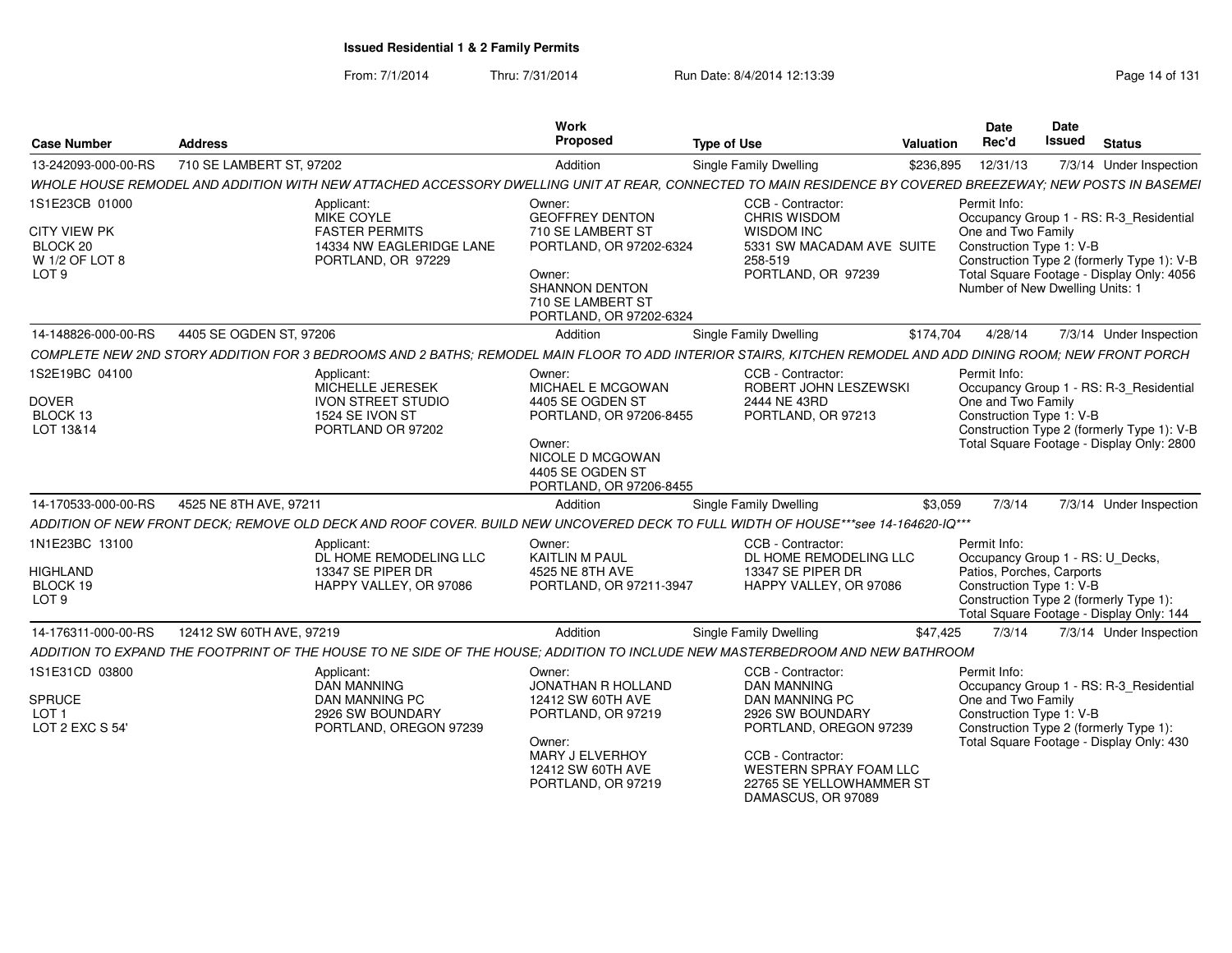From: 7/1/2014Thru: 7/31/2014 Run Date: 8/4/2014 12:13:39 Research 2014 131

|                                                |                                                                                                                                                             | Work                                        |                                                                       | Date                                           | Date                                                                                    |
|------------------------------------------------|-------------------------------------------------------------------------------------------------------------------------------------------------------------|---------------------------------------------|-----------------------------------------------------------------------|------------------------------------------------|-----------------------------------------------------------------------------------------|
| Case Number<br><b>Address</b>                  |                                                                                                                                                             | Proposed                                    | Type of Use                                                           | <b>Valuation Rec'd</b>                         | <b>Issued Status</b>                                                                    |
| 13-242093-000-00-RS 710 SE LAMBERT ST, 97202   |                                                                                                                                                             | Addition                                    | Single Family Dwelling                                                | \$236,895 12/31/13                             | 7/3/14 Under Inspection                                                                 |
|                                                | WHOLE HOUSE REMODEL AND ADDITION WITH NEW ATTACHED ACCESSORY L                                                                                              | DWELLING UNIT AT REAR,                      | DNNECTED TO MAIN RESIDENCE BY COVERED BREEZEWAY; NEW POSTS IN BASEMEI |                                                |                                                                                         |
| 1S1E23CB 01000                                 | Applicant:                                                                                                                                                  | Owner:                                      | CCB - Contractor:                                                     | Permit Info:                                   |                                                                                         |
|                                                | MIKE COYLE                                                                                                                                                  | <b>GEOFFREY DENTON</b>                      | <b>CHRIS WISDOM</b>                                                   |                                                | Occupancy Group 1 - RS: R-3 Residential                                                 |
| CITY VIEW PK                                   | <b>FASTER PERMITS</b>                                                                                                                                       | 710 SE LAMBERT ST                           | <b>WISDOM INC</b>                                                     | One and Two Family                             |                                                                                         |
| BLOCK 20                                       | 14334 NW EAGLERIDGE LANE                                                                                                                                    | PORTLAND, OR 97202-6324                     | 5331 SW MACADAM AVE SUITE                                             | Construction Type 1: V-B                       |                                                                                         |
| W 1/2 OF LOT 8<br>LOT 9                        | PORTLAND, OR 97229                                                                                                                                          | Owner:                                      | 258-519<br>PORTLAND, OR 97239                                         |                                                | Construction Type 2 (formerly Type 1): V-B<br>Total Square Footage - Display Only: 4056 |
|                                                |                                                                                                                                                             | <b>SHANNON DENTON</b>                       |                                                                       |                                                | Number of New Dwelling Units: 1                                                         |
|                                                |                                                                                                                                                             | 710 SE LAMBERT ST                           |                                                                       |                                                |                                                                                         |
|                                                |                                                                                                                                                             | PORTLAND, OR 97202-6324                     |                                                                       |                                                |                                                                                         |
| 14-148826-000-00-RS 4405 SE OGDEN ST, 97206    |                                                                                                                                                             | Addition                                    | Single Family Dwelling                                                |                                                | \$174,704  4/28/14  7/3/14  Under Inspection                                            |
|                                                | COMPLETE NEW 2ND STORY ADDITION FOR 3 BEDROOMS AND 2 BATHS; REMODEL MAIN FLOOR TO ADD INTERIOR STAIRS, KITCHEN REMODEL AND ADD DINING ROOM; NEW FRONT PORCH |                                             |                                                                       |                                                |                                                                                         |
| 1S2E19BC 04100                                 | Applicant:                                                                                                                                                  | Owner:                                      | CCB - Contractor:                                                     | Permit Info:                                   |                                                                                         |
|                                                | MICHELLE JERESEK                                                                                                                                            | MICHAEL E MCGOWAN                           | ROBERT JOHN LESZEWSKI                                                 |                                                | Occupancy Group 1 - RS: R-3_Residential                                                 |
| DOVER<br>BLOCK 13                              | IVON STREET STUDIO<br>1524 SE IVON ST                                                                                                                       | 4405 SE OGDEN ST<br>PORTLAND, OR 97206-8455 | 2444 NE 43RD<br>PORTLAND, OR 97213                                    | One and Two Family<br>Construction Type 1: V-B |                                                                                         |
| LOT 13&14                                      | PORTLAND OR 97202                                                                                                                                           |                                             |                                                                       |                                                | Construction Type 2 (formerly Type 1): V-B                                              |
|                                                |                                                                                                                                                             | Owner:                                      |                                                                       |                                                | Total Square Footage - Display Only: 2800                                               |
|                                                |                                                                                                                                                             | NICOLE D MCGOWAN                            |                                                                       |                                                |                                                                                         |
|                                                |                                                                                                                                                             | 4405 SE OGDEN ST<br>PORTLAND, OR 97206-8455 |                                                                       |                                                |                                                                                         |
| 14-170533-000-00-RS 4525 NE 8TH AVE, 97211     |                                                                                                                                                             | Addition                                    | Single Family Dwelling                                                | \$3,059 7/3/14                                 | 7/3/14 Under Inspection                                                                 |
|                                                | ADDITION OF NEW FRONT DECK; REMOVE OLD DECK AND ROOF COVER. BUILD NEW UNCOVERED DECK TO FULL WIDTH OF HOUSE***see 14-164620-IQ***                           |                                             |                                                                       |                                                |                                                                                         |
|                                                |                                                                                                                                                             |                                             |                                                                       |                                                |                                                                                         |
| 1N1E23BC 13100                                 | Applicant:<br>DL HOME REMODELING LLC                                                                                                                        | Owner:<br>KAITLIN M PAUL                    | CCB - Contractor:<br>DL HOME REMODELING LLC                           | Permit Info:                                   | Occupancy Group 1 - RS: U Decks,                                                        |
| HIGHLAND                                       | 13347 SE PIPER DR                                                                                                                                           | 4525 NE 8TH AVE                             | 13347 SE PIPER DR                                                     | Patios, Porches, Carports                      |                                                                                         |
| BLOCK 19                                       | HAPPY VALLEY, OR 97086                                                                                                                                      | PORTLAND, OR 97211-3947                     | HAPPY VALLEY, OR 97086                                                | Construction Type 1: V-B                       |                                                                                         |
| LOT 9                                          |                                                                                                                                                             |                                             |                                                                       |                                                | Construction Type 2 (formerly Type 1):                                                  |
|                                                |                                                                                                                                                             |                                             |                                                                       |                                                | Total Square Footage - Display Only: 144                                                |
| 14-176311-000-00-RS   12412 SW 60TH AVE, 97219 |                                                                                                                                                             | Addition                                    | <b>Single Family Dwelling</b>                                         |                                                | \$47,425 7/3/14 7/3/14 Under Inspection                                                 |
|                                                | ADDITION TO EXPAND THE FOOTPRINT OF THE HOUSE TO NE SIDE OF THE HOUSE; ADDITION TO INCLUDE NEW MASTERBEDROOM AND NEW BATHROOM                               |                                             |                                                                       |                                                |                                                                                         |
| 1S1E31CD 03800                                 | Applicant:                                                                                                                                                  | Owner:                                      | CCB - Contractor:                                                     | Permit Info:                                   |                                                                                         |
|                                                | DAN MANNING<br><b>DAN MANNING PC</b>                                                                                                                        | JONATHAN R HOLLAND                          | <b>DAN MANNING</b><br><b>DAN MANNING PC</b>                           |                                                | Occupancy Group 1 - RS: R-3_Residential                                                 |
| SPRUCE<br>$1$ OT 1                             | 2926 SW BOUNDARY                                                                                                                                            | 12412 SW 60TH AVE<br>PORTLAND, OR 97219     | 2926 SW BOUNDARY                                                      | One and Two Family                             | Construction Type 1: V-B                                                                |
| LOT 2 EXC S 54'                                | PORTLAND, OREGON 97239                                                                                                                                      |                                             | PORTLAND, OREGON 97239                                                |                                                | Construction Type 2 (formerly Type 1):                                                  |
|                                                |                                                                                                                                                             | Owner:                                      |                                                                       |                                                | Total Square Footage - Display Only: 430                                                |
|                                                |                                                                                                                                                             | MARY J ELVERHOY<br>12412 SW 60TH AVE        | CCB - Contractor:<br><b>WESTERN SPRAY FOAM LLC</b>                    |                                                |                                                                                         |
|                                                |                                                                                                                                                             | PORTLAND, OR 97219                          | 22765 SE YELLOWHAMMER ST                                              |                                                |                                                                                         |
|                                                |                                                                                                                                                             |                                             | DAMASCUS, OR 97089                                                    |                                                |                                                                                         |
|                                                |                                                                                                                                                             |                                             |                                                                       |                                                |                                                                                         |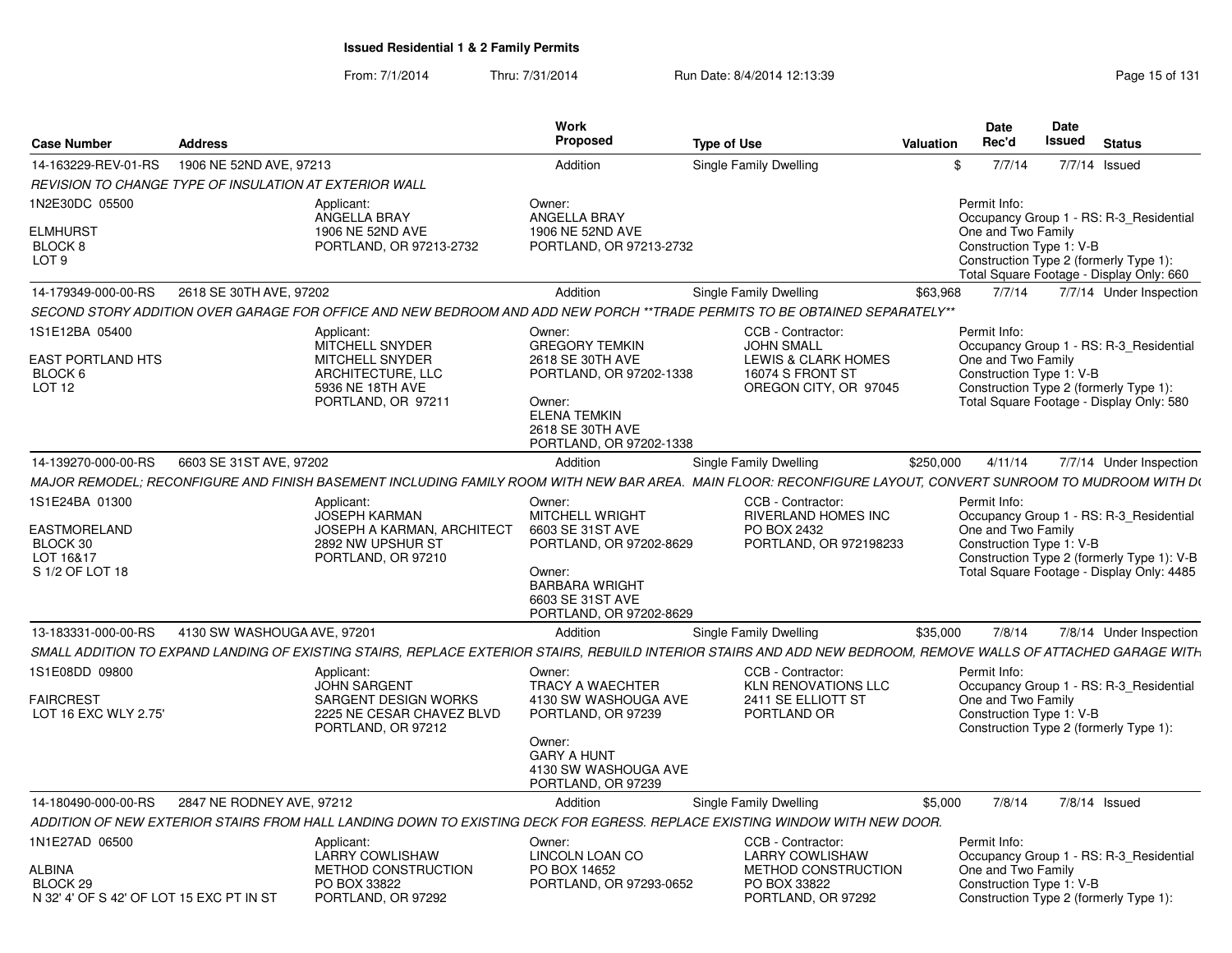From: 7/1/2014Thru: 7/31/2014 Run Date: 8/4/2014 12:13:39 Research 2010 Rage 15 of 131

| <b>Case Number</b><br><b>Address</b>                                                                                                                            |                                                                                                                    | Work<br>Proposed                                                                                                                                               | <b>Type of Use</b>                                                                                         | <b>Date</b><br>Rec'd<br>Valuation  | <b>Date</b><br><b>Issued</b><br><b>Status</b>                                                                                                                  |
|-----------------------------------------------------------------------------------------------------------------------------------------------------------------|--------------------------------------------------------------------------------------------------------------------|----------------------------------------------------------------------------------------------------------------------------------------------------------------|------------------------------------------------------------------------------------------------------------|------------------------------------|----------------------------------------------------------------------------------------------------------------------------------------------------------------|
| 14-163229-REV-01-RS<br>1906 NE 52ND AVE, 97213                                                                                                                  |                                                                                                                    | Addition                                                                                                                                                       | Single Family Dwelling                                                                                     | 7/7/14<br>$\mathcal{S}$            | 7/7/14 Issued                                                                                                                                                  |
| REVISION TO CHANGE TYPE OF INSULATION AT EXTERIOR WALL                                                                                                          |                                                                                                                    |                                                                                                                                                                |                                                                                                            |                                    |                                                                                                                                                                |
| 1N2E30DC 05500<br>ELMHURST<br><b>BLOCK 8</b>                                                                                                                    | Applicant:<br>ANGELLA BRAY<br>1906 NE 52ND AVE<br>PORTLAND, OR 97213-2732                                          | Owner:<br>ANGELLA BRAY<br>1906 NE 52ND AVE<br>PORTLAND, OR 97213-2732                                                                                          |                                                                                                            | Permit Info:<br>One and Two Family | Occupancy Group 1 - RS: R-3_Residential<br>Construction Type 1: V-B                                                                                            |
| LOT 9                                                                                                                                                           |                                                                                                                    |                                                                                                                                                                |                                                                                                            |                                    | Construction Type 2 (formerly Type 1):<br>Total Square Footage - Display Only: 660                                                                             |
| 14-179349-000-00-RS<br>2618 SE 30TH AVE, 97202                                                                                                                  |                                                                                                                    | Addition                                                                                                                                                       | Single Family Dwelling                                                                                     | \$63,968<br>7/7/14                 | 7/7/14 Under Inspection                                                                                                                                        |
| SECOND STORY ADDITION OVER GARAGE FOR OFFICE AND NEW BEDROOM AND ADD NEW PORCH **TRADE PERMITS TO BE OBTAINED SEPARATELY**                                      |                                                                                                                    |                                                                                                                                                                |                                                                                                            |                                    |                                                                                                                                                                |
| 1S1E12BA 05400<br><b>EAST PORTLAND HTS</b><br>BLOCK <sub>6</sub><br>LOT <sub>12</sub>                                                                           | Applicant:<br>MITCHELL SNYDER<br>MITCHELL SNYDER<br>ARCHITECTURE, LLC<br>5936 NE 18TH AVE<br>PORTLAND, OR 97211    | Owner:<br><b>GREGORY TEMKIN</b><br>2618 SE 30TH AVE<br>PORTLAND, OR 97202-1338<br>Owner:<br><b>ELENA TEMKIN</b><br>2618 SE 30TH AVE<br>PORTLAND, OR 97202-1338 | CCB - Contractor:<br><b>JOHN SMALL</b><br>LEWIS & CLARK HOMES<br>16074 S FRONT ST<br>OREGON CITY, OR 97045 | Permit Info:<br>One and Two Family | Occupancy Group 1 - RS: R-3_Residential<br>Construction Type 1: V-B<br>Construction Type 2 (formerly Type 1):<br>Total Square Footage - Display Only: 580      |
| 14-139270-000-00-RS<br>6603 SE 31ST AVE, 97202                                                                                                                  |                                                                                                                    | Addition                                                                                                                                                       | Single Family Dwelling                                                                                     | \$250,000<br>4/11/14               | 7/7/14 Under Inspection                                                                                                                                        |
| MAJOR REMODEL; RECONFIGURE AND FINISH BASEMENT INCLUDING FAMILY ROOM WITH NEW BAR AREA. MAIN FLOOR: RECONFIGURE LAYOUT, CONVERT SUNROOM TO MUDROOM WITH D\      |                                                                                                                    |                                                                                                                                                                |                                                                                                            |                                    |                                                                                                                                                                |
| 1S1E24BA 01300<br>EASTMORELAND<br>BLOCK 30<br>LOT 16&17<br>S 1/2 OF LOT 18                                                                                      | Applicant:<br><b>JOSEPH KARMAN</b><br><b>JOSEPH A KARMAN, ARCHITECT</b><br>2892 NW UPSHUR ST<br>PORTLAND, OR 97210 | Owner:<br>MITCHELL WRIGHT<br>6603 SE 31ST AVE<br>PORTLAND, OR 97202-8629<br>Owner:<br><b>BARBARA WRIGHT</b><br>6603 SE 31ST AVE<br>PORTLAND, OR 97202-8629     | CCB - Contractor:<br><b>RIVERLAND HOMES INC</b><br>PO BOX 2432<br>PORTLAND, OR 972198233                   | Permit Info:<br>One and Two Family | Occupancy Group 1 - RS: R-3_Residential<br>Construction Type 1: V-B<br>Construction Type 2 (formerly Type 1): V-B<br>Total Square Footage - Display Only: 4485 |
| 13-183331-000-00-RS<br>4130 SW WASHOUGA AVE, 97201                                                                                                              |                                                                                                                    | Addition                                                                                                                                                       | Single Family Dwelling                                                                                     | \$35,000<br>7/8/14                 | 7/8/14 Under Inspection                                                                                                                                        |
| SMALL ADDITION TO EXPAND LANDING OF EXISTING STAIRS. REPLACE EXTERIOR STAIRS. REBUILD INTERIOR STAIRS AND ADD NEW BEDROOM. REMOVE WALLS OF ATTACHED GARAGE WITH |                                                                                                                    |                                                                                                                                                                |                                                                                                            |                                    |                                                                                                                                                                |
| 1S1E08DD 09800<br><b>FAIRCREST</b><br>LOT 16 EXC WLY 2.75'                                                                                                      | Applicant:<br><b>JOHN SARGENT</b><br>SARGENT DESIGN WORKS<br>2225 NE CESAR CHAVEZ BLVD<br>PORTLAND, OR 97212       | Owner:<br>TRACY A WAECHTER<br>4130 SW WASHOUGA AVE<br>PORTLAND, OR 97239<br>Owner:<br><b>GARY A HUNT</b><br>4130 SW WASHOUGA AVE<br>PORTLAND, OR 97239         | CCB - Contractor:<br><b>KLN RENOVATIONS LLC</b><br>2411 SE ELLIOTT ST<br>PORTLAND OR                       | Permit Info:<br>One and Two Family | Occupancy Group 1 - RS: R-3_Residential<br>Construction Type 1: V-B<br>Construction Type 2 (formerly Type 1):                                                  |
| 14-180490-000-00-RS 2847 NE RODNEY AVE, 97212                                                                                                                   |                                                                                                                    | Addition                                                                                                                                                       | Single Family Dwelling                                                                                     | \$5.000<br>7/8/14                  | 7/8/14 Issued                                                                                                                                                  |
| ADDITION OF NEW EXTERIOR STAIRS FROM HALL LANDING DOWN TO EXISTING DECK FOR EGRESS. REPLACE EXISTING WINDOW WITH NEW DOOR.                                      |                                                                                                                    |                                                                                                                                                                |                                                                                                            |                                    |                                                                                                                                                                |
| 1N1E27AD 06500                                                                                                                                                  | Applicant:<br>LARRY COWLISHAW                                                                                      | Owner:<br>LINCOLN LOAN CO                                                                                                                                      | CCB - Contractor:<br><b>LARRY COWLISHAW</b>                                                                | Permit Info:                       | Occupancy Group 1 - RS: R-3_Residential                                                                                                                        |
|                                                                                                                                                                 |                                                                                                                    |                                                                                                                                                                |                                                                                                            |                                    |                                                                                                                                                                |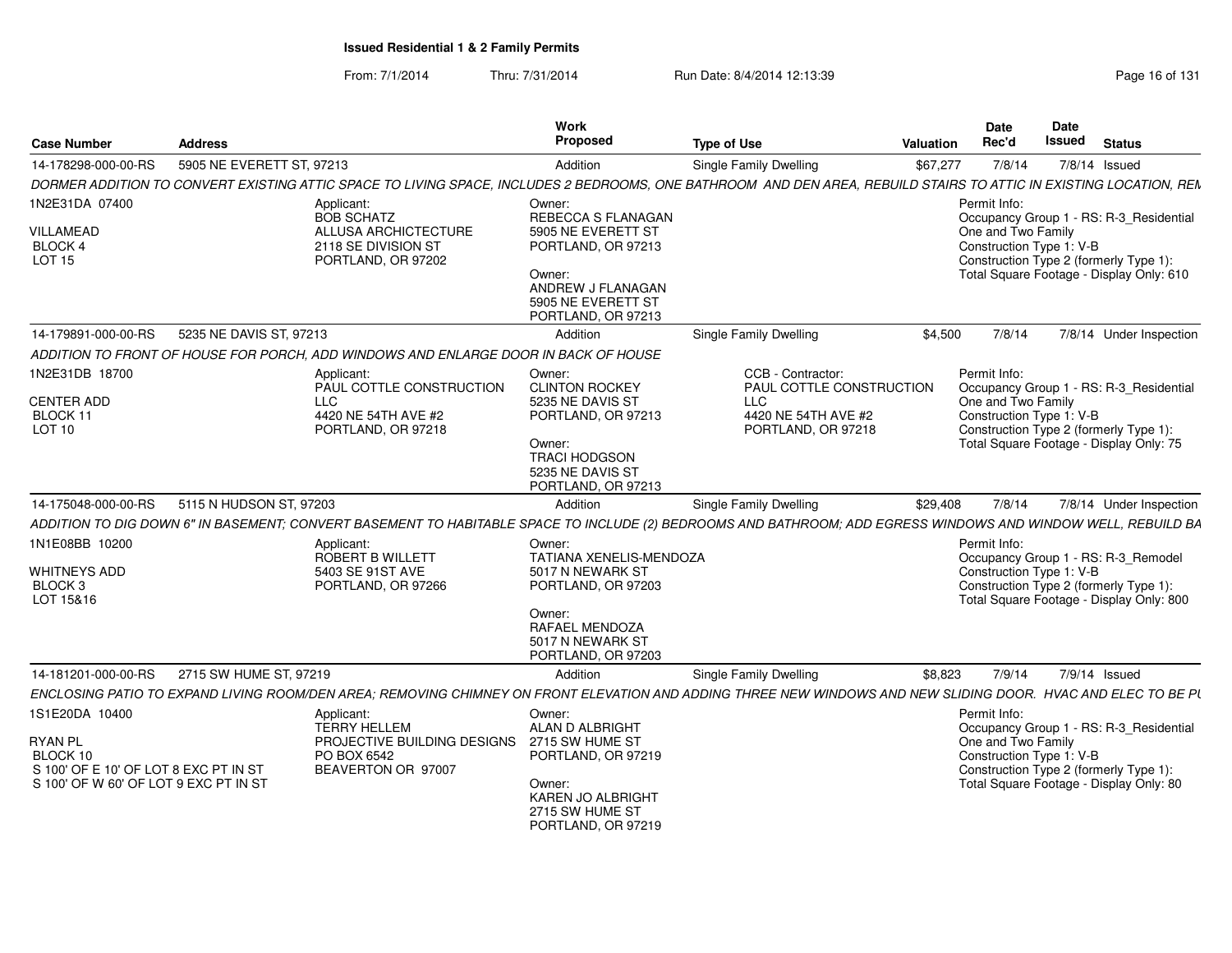#### From: 7/1/2014Thru: 7/31/2014 Run Date: 8/4/2014 12:13:39

| <b>Case Number</b>                    | <b>Address</b>            |                                                                                                                                                                    | Work<br><b>Proposed</b>                                                 | <b>Type of Use</b>                            | <b>Valuation</b> | Date<br>Rec'd                                  | Date<br>Issued | <b>Status</b>                            |
|---------------------------------------|---------------------------|--------------------------------------------------------------------------------------------------------------------------------------------------------------------|-------------------------------------------------------------------------|-----------------------------------------------|------------------|------------------------------------------------|----------------|------------------------------------------|
| 14-178298-000-00-RS                   | 5905 NE EVERETT ST, 97213 |                                                                                                                                                                    | Addition                                                                | Single Family Dwelling                        | \$67,277         | 7/8/14                                         |                | $7/8/14$ Issued                          |
|                                       |                           | DORMER ADDITION TO CONVERT EXISTING ATTIC SPACE TO LIVING SPACE, INCLUDES 2 BEDROOMS, ONE BATHROOM AND DEN AREA, REBUILD STAIRS TO ATTIC IN EXISTING LOCATION, REN |                                                                         |                                               |                  |                                                |                |                                          |
| 1N2E31DA 07400                        |                           | Applicant:<br><b>BOB SCHATZ</b>                                                                                                                                    | Owner:<br><b>REBECCA S FLANAGAN</b>                                     |                                               |                  | Permit Info:                                   |                | Occupancy Group 1 - RS: R-3_Residential  |
| VILLAMEAD<br>BLOCK 4<br><b>LOT 15</b> |                           | ALLUSA ARCHICTECTURE<br>2118 SE DIVISION ST<br>PORTLAND, OR 97202                                                                                                  | 5905 NE EVERETT ST<br>PORTLAND, OR 97213                                |                                               |                  | One and Two Family<br>Construction Type 1: V-B |                | Construction Type 2 (formerly Type 1):   |
|                                       |                           |                                                                                                                                                                    | Owner:<br>ANDREW J FLANAGAN<br>5905 NE EVERETT ST<br>PORTLAND, OR 97213 |                                               |                  |                                                |                | Total Square Footage - Display Only: 610 |
| 14-179891-000-00-RS                   | 5235 NE DAVIS ST, 97213   |                                                                                                                                                                    | Addition                                                                | Single Family Dwelling                        | \$4,500          | 7/8/14                                         |                | 7/8/14 Under Inspection                  |
|                                       |                           | ADDITION TO FRONT OF HOUSE FOR PORCH, ADD WINDOWS AND ENLARGE DOOR IN BACK OF HOUSE                                                                                |                                                                         |                                               |                  |                                                |                |                                          |
| 1N2E31DB 18700                        |                           | Applicant:<br>PAUL COTTLE CONSTRUCTION                                                                                                                             | Owner:<br><b>CLINTON ROCKEY</b>                                         | CCB - Contractor:<br>PAUL COTTLE CONSTRUCTION |                  | Permit Info:                                   |                | Occupancy Group 1 - RS: R-3_Residential  |
| <b>CENTER ADD</b>                     |                           | <b>LLC</b>                                                                                                                                                         | 5235 NE DAVIS ST                                                        | LLC                                           |                  | One and Two Family                             |                |                                          |
| BLOCK 11<br>LOT <sub>10</sub>         |                           | 4420 NE 54TH AVE #2<br>PORTLAND, OR 97218                                                                                                                          | PORTLAND, OR 97213                                                      | 4420 NE 54TH AVE #2<br>PORTLAND, OR 97218     |                  | Construction Type 1: V-B                       |                | Construction Type 2 (formerly Type 1):   |
|                                       |                           |                                                                                                                                                                    | Owner:                                                                  |                                               |                  |                                                |                | Total Square Footage - Display Only: 75  |
|                                       |                           |                                                                                                                                                                    | <b>TRACI HODGSON</b>                                                    |                                               |                  |                                                |                |                                          |
|                                       |                           |                                                                                                                                                                    | 5235 NE DAVIS ST<br>PORTLAND, OR 97213                                  |                                               |                  |                                                |                |                                          |
| 14-175048-000-00-RS                   | 5115 N HUDSON ST, 97203   |                                                                                                                                                                    | Addition                                                                | Single Family Dwelling                        | \$29,408         | 7/8/14                                         |                | 7/8/14 Under Inspection                  |
|                                       |                           | ADDITION TO DIG DOWN 6" IN BASEMENT; CONVERT BASEMENT TO HABITABLE SPACE TO INCLUDE (2) BEDROOMS AND BATHROOM; ADD EGRESS WINDOWS AND WINDOW WELL, REBUILD BA      |                                                                         |                                               |                  |                                                |                |                                          |
| 1N1E08BB 10200                        |                           | Applicant:                                                                                                                                                         | Owner:                                                                  |                                               |                  | Permit Info:                                   |                |                                          |
|                                       |                           | <b>ROBERT B WILLETT</b>                                                                                                                                            | <b>TATIANA XENELIS-MENDOZA</b>                                          |                                               |                  |                                                |                | Occupancy Group 1 - RS: R-3_Remodel      |
| <b>WHITNEYS ADD</b><br>BLOCK 3        |                           | 5403 SE 91ST AVE<br>PORTLAND, OR 97266                                                                                                                             | 5017 N NEWARK ST<br>PORTLAND, OR 97203                                  |                                               |                  | Construction Type 1: V-B                       |                | Construction Type 2 (formerly Type 1):   |
| LOT 15&16                             |                           |                                                                                                                                                                    |                                                                         |                                               |                  |                                                |                | Total Square Footage - Display Only: 800 |
|                                       |                           |                                                                                                                                                                    | Owner:<br>RAFAEL MENDOZA<br>5017 N NEWARK ST<br>PORTLAND, OR 97203      |                                               |                  |                                                |                |                                          |
| 14-181201-000-00-RS                   | 2715 SW HUME ST, 97219    |                                                                                                                                                                    | Addition                                                                | Single Family Dwelling                        | \$8,823          | 7/9/14                                         |                | 7/9/14 Issued                            |
|                                       |                           | ENCLOSING PATIO TO EXPAND LIVING ROOM/DEN AREA; REMOVING CHIMNEY ON FRONT ELEVATION AND ADDING THREE NEW WINDOWS AND NEW SLIDING DOOR. HVAC AND ELEC TO BE PL      |                                                                         |                                               |                  |                                                |                |                                          |
| 1S1E20DA 10400                        |                           | Applicant:                                                                                                                                                         | Owner:                                                                  |                                               |                  | Permit Info:                                   |                |                                          |
|                                       |                           | <b>TERRY HELLEM</b>                                                                                                                                                | ALAN D ALBRIGHT                                                         |                                               |                  |                                                |                | Occupancy Group 1 - RS: R-3_Residential  |
| <b>RYAN PL</b><br>BLOCK 10            |                           | PROJECTIVE BUILDING DESIGNS<br>PO BOX 6542                                                                                                                         | 2715 SW HUME ST<br>PORTLAND, OR 97219                                   |                                               |                  | One and Two Family<br>Construction Type 1: V-B |                |                                          |
| S 100' OF E 10' OF LOT 8 EXC PT IN ST |                           | BEAVERTON OR 97007                                                                                                                                                 |                                                                         |                                               |                  |                                                |                | Construction Type 2 (formerly Type 1):   |
| S 100' OF W 60' OF LOT 9 EXC PT IN ST |                           |                                                                                                                                                                    | Owner:<br>KAREN JO ALBRIGHT<br>2715 SW HUME ST<br>PORTLAND, OR 97219    |                                               |                  |                                                |                | Total Square Footage - Display Only: 80  |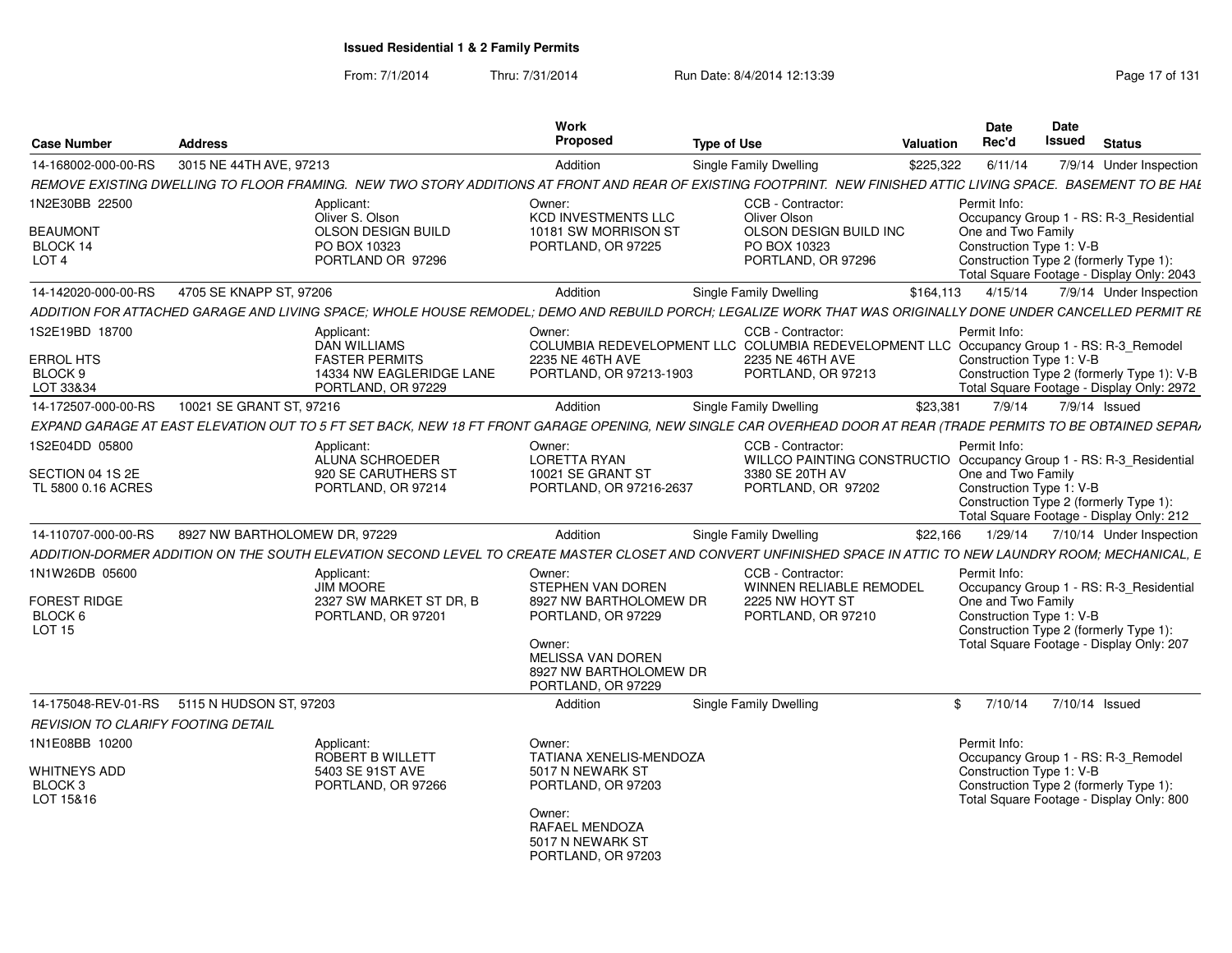From: 7/1/2014Thru: 7/31/2014 Run Date: 8/4/2014 12:13:39 Research 2010 Rage 17 of 131

| <b>Case Number</b>                                                | <b>Address</b>                              |                                                                                 | Work<br>Proposed                                                                   | <b>Type of Use</b>                                                                                                                                              | Valuation | <b>Date</b><br>Rec'd                                           | <b>Date</b><br>Issued | <b>Status</b>                                                                           |
|-------------------------------------------------------------------|---------------------------------------------|---------------------------------------------------------------------------------|------------------------------------------------------------------------------------|-----------------------------------------------------------------------------------------------------------------------------------------------------------------|-----------|----------------------------------------------------------------|-----------------------|-----------------------------------------------------------------------------------------|
| 14-168002-000-00-RS                                               | 3015 NE 44TH AVE, 97213                     |                                                                                 | Addition                                                                           | Single Family Dwelling                                                                                                                                          | \$225,322 | 6/11/14                                                        |                       | 7/9/14 Under Inspection                                                                 |
|                                                                   |                                             |                                                                                 |                                                                                    | REMOVE EXISTING DWELLING TO FLOOR FRAMING. NEW TWO STORY ADDITIONS AT FRONT AND REAR OF EXISTING FOOTPRINT. NEW FINISHED ATTIC LIVING SPACE. BASEMENT TO BE HAL |           |                                                                |                       |                                                                                         |
| 1N2E30BB 22500                                                    |                                             | Applicant:<br>Oliver S. Olson                                                   | Owner:<br><b>KCD INVESTMENTS LLC</b>                                               | CCB - Contractor:<br>Oliver Olson                                                                                                                               |           | Permit Info:                                                   |                       | Occupancy Group 1 - RS: R-3_Residential                                                 |
| <b>BEAUMONT</b><br>BLOCK 14<br>LOT <sub>4</sub>                   |                                             | OLSON DESIGN BUILD<br>PO BOX 10323<br>PORTLAND OR 97296                         | 10181 SW MORRISON ST<br>PORTLAND, OR 97225                                         | OLSON DESIGN BUILD INC<br>PO BOX 10323<br>PORTLAND, OR 97296                                                                                                    |           | One and Two Family<br>Construction Type 1: V-B                 |                       | Construction Type 2 (formerly Type 1):<br>Total Square Footage - Display Only: 2043     |
| 14-142020-000-00-RS                                               | 4705 SE KNAPP ST, 97206                     |                                                                                 | Addition                                                                           | Single Family Dwelling                                                                                                                                          | \$164,113 | 4/15/14                                                        |                       | 7/9/14 Under Inspection                                                                 |
|                                                                   |                                             |                                                                                 |                                                                                    | ADDITION FOR ATTACHED GARAGE AND LIVING SPACE: WHOLE HOUSE REMODEL: DEMO AND REBUILD PORCH: LEGALIZE WORK THAT WAS ORIGINALLY DONE UNDER CANCELLED PERMIT RE    |           |                                                                |                       |                                                                                         |
| 1S2E19BD 18700                                                    |                                             | Applicant:<br><b>DAN WILLIAMS</b>                                               | Owner:                                                                             | CCB - Contractor:<br>COLUMBIA REDEVELOPMENT LLC COLUMBIA REDEVELOPMENT LLC Occupancy Group 1 - RS: R-3_Remodel                                                  |           | Permit Info:                                                   |                       |                                                                                         |
| <b>ERROL HTS</b><br>BLOCK 9<br>LOT 33&34                          |                                             | <b>FASTER PERMITS</b><br>14334 NW EAGLERIDGE LANE<br>PORTLAND, OR 97229         | 2235 NE 46TH AVE<br>PORTLAND, OR 97213-1903                                        | 2235 NE 46TH AVE<br>PORTLAND, OR 97213                                                                                                                          |           | Construction Type 1: V-B                                       |                       | Construction Type 2 (formerly Type 1): V-B<br>Total Square Footage - Display Only: 2972 |
| 14-172507-000-00-RS                                               | 10021 SE GRANT ST, 97216                    |                                                                                 | Addition                                                                           | Single Family Dwelling                                                                                                                                          | \$23,381  | 7/9/14                                                         |                       | 7/9/14 Issued                                                                           |
|                                                                   |                                             |                                                                                 |                                                                                    | EXPAND GARAGE AT EAST ELEVATION OUT TO 5 FT SET BACK, NEW 18 FT FRONT GARAGE OPENING, NEW SINGLE CAR OVERHEAD DOOR AT REAR (TRADE PERMITS TO BE OBTAINED SEPAR) |           |                                                                |                       |                                                                                         |
| 1S2E04DD 05800                                                    |                                             | Applicant:                                                                      | Owner:                                                                             | CCB - Contractor:                                                                                                                                               |           | Permit Info:                                                   |                       |                                                                                         |
| SECTION 04 1S 2E<br>TL 5800 0.16 ACRES                            |                                             | <b>ALUNA SCHROEDER</b><br>920 SE CARUTHERS ST<br>PORTLAND, OR 97214             | <b>LORETTA RYAN</b><br>10021 SE GRANT ST<br>PORTLAND, OR 97216-2637                | WILLCO PAINTING CONSTRUCTIO Occupancy Group 1 - RS: R-3_Residential<br>3380 SE 20TH AV<br>PORTLAND, OR 97202                                                    |           | One and Two Family<br>Construction Type 1: V-B                 |                       | Construction Type 2 (formerly Type 1):<br>Total Square Footage - Display Only: 212      |
| 14-110707-000-00-RS                                               | 8927 NW BARTHOLOMEW DR, 97229               |                                                                                 | Addition                                                                           | Single Family Dwelling                                                                                                                                          | \$22,166  | 1/29/14                                                        |                       | 7/10/14 Under Inspection                                                                |
|                                                                   |                                             |                                                                                 |                                                                                    | ADDITION-DORMER ADDITION ON THE SOUTH ELEVATION SECOND LEVEL TO CREATE MASTER CLOSET AND CONVERT UNFINISHED SPACE IN ATTIC TO NEW LAUNDRY ROOM: MECHANICAL. E   |           |                                                                |                       |                                                                                         |
| 1N1W26DB 05600<br><b>FOREST RIDGE</b><br>BLOCK 6<br><b>LOT 15</b> |                                             | Applicant:<br><b>JIM MOORE</b><br>2327 SW MARKET ST DR. B<br>PORTLAND, OR 97201 | Owner:<br>STEPHEN VAN DOREN<br>8927 NW BARTHOLOMEW DR<br>PORTLAND, OR 97229        | CCB - Contractor:<br><b>WINNEN RELIABLE REMODEL</b><br>2225 NW HOYT ST<br>PORTLAND, OR 97210                                                                    |           | Permit Info:<br>One and Two Family<br>Construction Type 1: V-B |                       | Occupancy Group 1 - RS: R-3_Residential<br>Construction Type 2 (formerly Type 1):       |
|                                                                   |                                             |                                                                                 | Owner:<br><b>MELISSA VAN DOREN</b><br>8927 NW BARTHOLOMEW DR<br>PORTLAND, OR 97229 |                                                                                                                                                                 |           |                                                                |                       | Total Square Footage - Display Only: 207                                                |
|                                                                   | 14-175048-REV-01-RS 5115 N HUDSON ST, 97203 |                                                                                 | Addition                                                                           | Single Family Dwelling                                                                                                                                          |           | \$7/10/14                                                      | 7/10/14 Issued        |                                                                                         |
| REVISION TO CLARIFY FOOTING DETAIL                                |                                             |                                                                                 |                                                                                    |                                                                                                                                                                 |           |                                                                |                       |                                                                                         |
| 1N1E08BB 10200                                                    |                                             | Applicant:<br>ROBERT B WILLETT                                                  | Owner:<br><b>TATIANA XENELIS-MENDOZA</b>                                           |                                                                                                                                                                 |           | Permit Info:                                                   |                       | Occupancy Group 1 - RS: R-3_Remodel                                                     |
| WHITNEYS ADD<br>BLOCK <sub>3</sub><br>LOT 15&16                   |                                             | 5403 SE 91ST AVE<br>PORTLAND, OR 97266                                          | 5017 N NEWARK ST<br>PORTLAND, OR 97203                                             |                                                                                                                                                                 |           | Construction Type 1: V-B                                       |                       | Construction Type 2 (formerly Type 1):<br>Total Square Footage - Display Only: 800      |
|                                                                   |                                             |                                                                                 | Owner:<br>RAFAEL MENDOZA<br>5017 N NEWARK ST<br>PORTLAND, OR 97203                 |                                                                                                                                                                 |           |                                                                |                       |                                                                                         |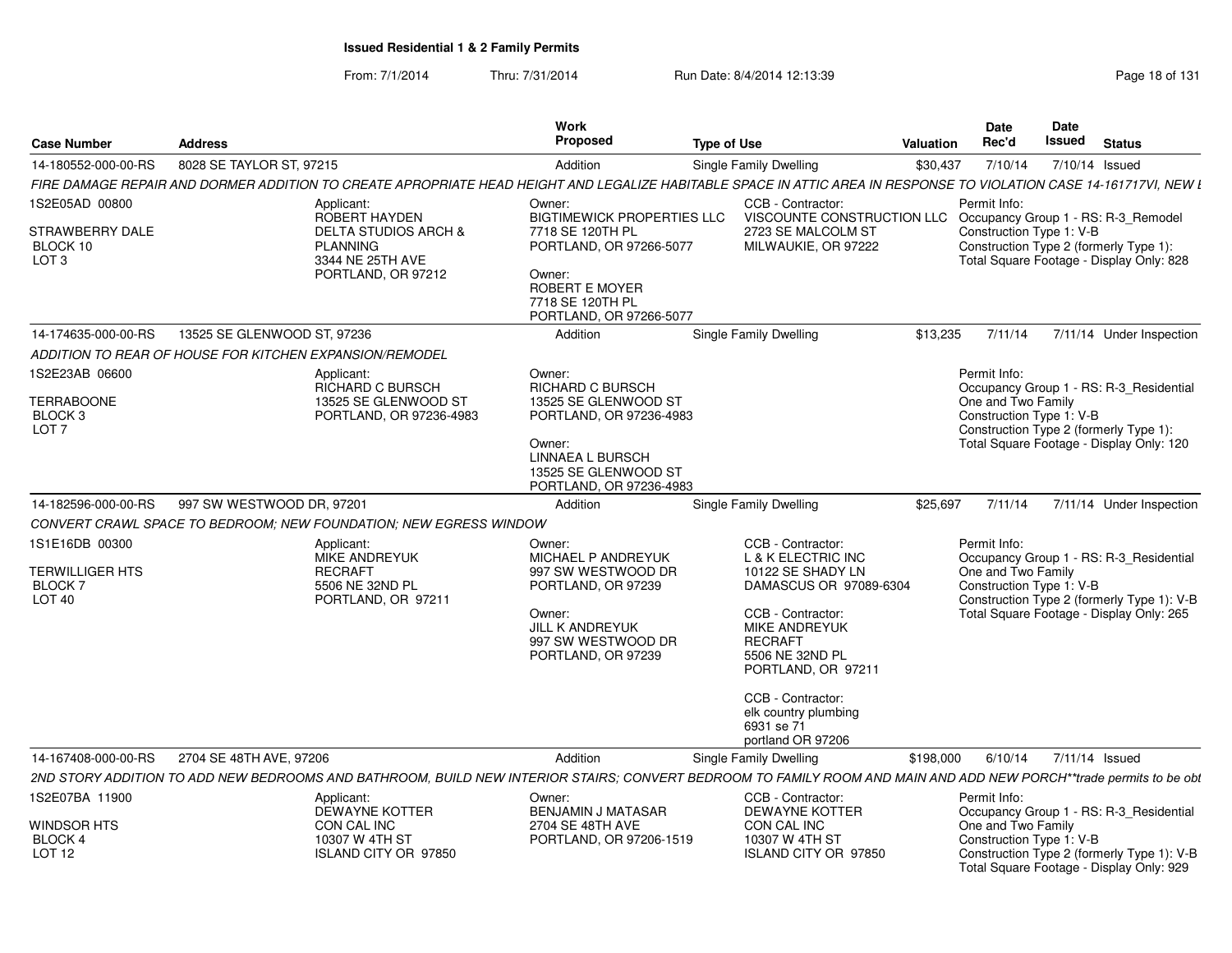From: 7/1/2014Thru: 7/31/2014 Run Date: 8/4/2014 12:13:39 Research 2010 Rage 18 of 131

|                                                                          |                             |                                                                                                                                                                     | Work                                                                                                                                                                  |                    |                                                                                                                                                                                                                                                                         |           | Date                                                           | <b>Date</b> |                                                                                                                                   |
|--------------------------------------------------------------------------|-----------------------------|---------------------------------------------------------------------------------------------------------------------------------------------------------------------|-----------------------------------------------------------------------------------------------------------------------------------------------------------------------|--------------------|-------------------------------------------------------------------------------------------------------------------------------------------------------------------------------------------------------------------------------------------------------------------------|-----------|----------------------------------------------------------------|-------------|-----------------------------------------------------------------------------------------------------------------------------------|
| <b>Case Number</b>                                                       | <b>Address</b>              |                                                                                                                                                                     | Proposed                                                                                                                                                              | <b>Type of Use</b> |                                                                                                                                                                                                                                                                         | Valuation | Rec'd                                                          | Issued      | <b>Status</b>                                                                                                                     |
| 14-180552-000-00-RS                                                      | 8028 SE TAYLOR ST, 97215    |                                                                                                                                                                     | Addition                                                                                                                                                              |                    | Single Family Dwelling                                                                                                                                                                                                                                                  | \$30.437  | 7/10/14                                                        |             | 7/10/14 Issued                                                                                                                    |
|                                                                          |                             | FIRE DAMAGE REPAIR AND DORMER ADDITION TO CREATE APROPRIATE HEAD HEIGHT AND LEGALIZE HABITABLE SPACE IN ATTIC AREA IN RESPONSE TO VIOLATION CASE 14-161717VI, NEW L |                                                                                                                                                                       |                    |                                                                                                                                                                                                                                                                         |           |                                                                |             |                                                                                                                                   |
| 1S2E05AD 00800<br>STRAWBERRY DALE<br>BLOCK 10<br>LOT <sub>3</sub>        |                             | Applicant:<br>ROBERT HAYDEN<br><b>DELTA STUDIOS ARCH &amp;</b><br><b>PLANNING</b><br>3344 NE 25TH AVE<br>PORTLAND, OR 97212                                         | Owner:<br><b>BIGTIMEWICK PROPERTIES LLC</b><br>7718 SE 120TH PL<br>PORTLAND, OR 97266-5077<br>Owner:<br>ROBERT E MOYER<br>7718 SE 120TH PL<br>PORTLAND, OR 97266-5077 |                    | CCB - Contractor:<br>VISCOUNTE CONSTRUCTION LLC<br>2723 SE MALCOLM ST<br>MILWAUKIE, OR 97222                                                                                                                                                                            |           | Permit Info:<br>Construction Type 1: V-B                       |             | Occupancy Group 1 - RS: R-3_Remodel<br>Construction Type 2 (formerly Type 1):<br>Total Square Footage - Display Only: 828         |
| 14-174635-000-00-RS                                                      | 13525 SE GLENWOOD ST, 97236 |                                                                                                                                                                     | Addition                                                                                                                                                              |                    | Single Family Dwelling                                                                                                                                                                                                                                                  | \$13,235  | 7/11/14                                                        |             | 7/11/14 Under Inspection                                                                                                          |
| ADDITION TO REAR OF HOUSE FOR KITCHEN EXPANSION/REMODEL                  |                             |                                                                                                                                                                     |                                                                                                                                                                       |                    |                                                                                                                                                                                                                                                                         |           |                                                                |             |                                                                                                                                   |
| 1S2E23AB 06600<br>TERRABOONE<br>BLOCK <sub>3</sub><br>LOT <sub>7</sub>   |                             | Applicant:<br><b>RICHARD C BURSCH</b><br>13525 SE GLENWOOD ST<br>PORTLAND, OR 97236-4983                                                                            | Owner:<br><b>RICHARD C BURSCH</b><br>13525 SE GLENWOOD ST<br>PORTLAND, OR 97236-4983<br>Owner:<br>LINNAEA L BURSCH<br>13525 SE GLENWOOD ST<br>PORTLAND, OR 97236-4983 |                    |                                                                                                                                                                                                                                                                         |           | Permit Info:<br>One and Two Family<br>Construction Type 1: V-B |             | Occupancy Group 1 - RS: R-3_Residential<br>Construction Type 2 (formerly Type 1):<br>Total Square Footage - Display Only: 120     |
| 14-182596-000-00-RS                                                      | 997 SW WESTWOOD DR, 97201   |                                                                                                                                                                     | Addition                                                                                                                                                              |                    | <b>Single Family Dwelling</b>                                                                                                                                                                                                                                           | \$25,697  | 7/11/14                                                        |             | 7/11/14 Under Inspection                                                                                                          |
|                                                                          |                             | CONVERT CRAWL SPACE TO BEDROOM; NEW FOUNDATION; NEW EGRESS WINDOW                                                                                                   |                                                                                                                                                                       |                    |                                                                                                                                                                                                                                                                         |           |                                                                |             |                                                                                                                                   |
| 1S1E16DB 00300<br>TERWILLIGER HTS<br><b>BLOCK 7</b><br>LOT <sub>40</sub> |                             | Applicant:<br><b>MIKE ANDREYUK</b><br><b>RECRAFT</b><br>5506 NE 32ND PL<br>PORTLAND, OR 97211                                                                       | Owner:<br>MICHAEL P ANDREYUK<br>997 SW WESTWOOD DR<br>PORTLAND, OR 97239<br>Owner:<br><b>JILL K ANDREYUK</b><br>997 SW WESTWOOD DR<br>PORTLAND, OR 97239              |                    | CCB - Contractor:<br>L & K ELECTRIC INC<br>10122 SE SHADY LN<br>DAMASCUS OR 97089-6304<br>CCB - Contractor:<br>MIKE ANDREYUK<br><b>RECRAFT</b><br>5506 NE 32ND PL<br>PORTLAND, OR 97211<br>CCB - Contractor:<br>elk country plumbing<br>6931 se 71<br>portland OR 97206 |           | Permit Info:<br>One and Two Family<br>Construction Type 1: V-B |             | Occupancy Group 1 - RS: R-3_Residential<br>Construction Type 2 (formerly Type 1): V-B<br>Total Square Footage - Display Only: 265 |
| 14-167408-000-00-RS                                                      | 2704 SE 48TH AVE, 97206     |                                                                                                                                                                     | Addition                                                                                                                                                              |                    | Single Family Dwelling                                                                                                                                                                                                                                                  | \$198,000 | 6/10/14                                                        |             | 7/11/14 Issued                                                                                                                    |
|                                                                          |                             | 2ND STORY ADDITION TO ADD NEW BEDROOMS AND BATHROOM, BUILD NEW INTERIOR STAIRS; CONVERT BEDROOM TO FAMILY ROOM AND MAIN AND ADD NEW PORCH**trade permits to be obt  |                                                                                                                                                                       |                    |                                                                                                                                                                                                                                                                         |           |                                                                |             |                                                                                                                                   |
| 1S2E07BA 11900                                                           |                             | Applicant:<br>DEWAYNE KOTTER                                                                                                                                        | Owner:<br><b>BENJAMIN J MATASAR</b>                                                                                                                                   |                    | CCB - Contractor:<br><b>DEWAYNE KOTTER</b>                                                                                                                                                                                                                              |           | Permit Info:                                                   |             | Occupancy Group 1 - RS: R-3_Residential                                                                                           |
| WINDSOR HTS<br><b>BLOCK 4</b><br>LOT <sub>12</sub>                       |                             | CON CAL INC<br>10307 W 4TH ST<br>ISLAND CITY OR 97850                                                                                                               | 2704 SE 48TH AVE<br>PORTLAND, OR 97206-1519                                                                                                                           |                    | CON CAL INC<br>10307 W 4TH ST<br>ISLAND CITY OR 97850                                                                                                                                                                                                                   |           | One and Two Family<br>Construction Type 1: V-B                 |             | Construction Type 2 (formerly Type 1): V-B<br>Total Square Footage - Display Only: 929                                            |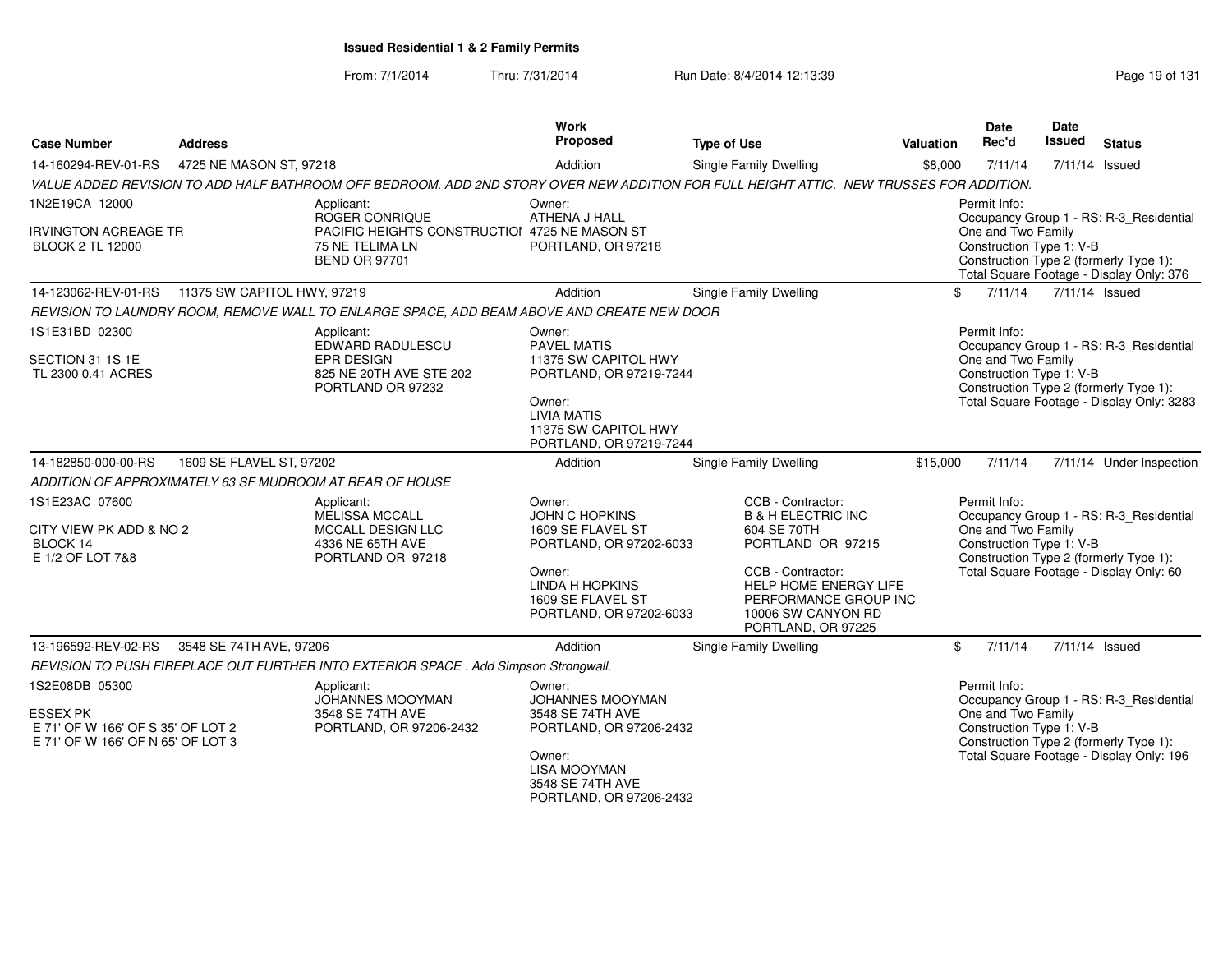### From: 7/1/2014Thru: 7/31/2014 Run Date: 8/4/2014 12:13:39 Research 2010 131

| <b>Case Number</b>                                                                                   | <b>Address</b>              |                                                                                                                                         | Work<br>Proposed                                                                                                                                          | <b>Type of Use</b>                                                                                                                                                                                        | <b>Valuation</b> | <b>Date</b><br>Rec'd                                           | Date<br><b>Issued</b>                                                                                                                                     | <b>Status</b>                                                                                                                  |  |
|------------------------------------------------------------------------------------------------------|-----------------------------|-----------------------------------------------------------------------------------------------------------------------------------------|-----------------------------------------------------------------------------------------------------------------------------------------------------------|-----------------------------------------------------------------------------------------------------------------------------------------------------------------------------------------------------------|------------------|----------------------------------------------------------------|-----------------------------------------------------------------------------------------------------------------------------------------------------------|--------------------------------------------------------------------------------------------------------------------------------|--|
| 14-160294-REV-01-RS                                                                                  | 4725 NE MASON ST, 97218     |                                                                                                                                         | Addition                                                                                                                                                  | <b>Single Family Dwelling</b>                                                                                                                                                                             | \$8,000          | 7/11/14                                                        |                                                                                                                                                           | 7/11/14 Issued                                                                                                                 |  |
|                                                                                                      |                             | VALUE ADDED REVISION TO ADD HALF BATHROOM OFF BEDROOM. ADD 2ND STORY OVER NEW ADDITION FOR FULL HEIGHT ATTIC. NEW TRUSSES FOR ADDITION. |                                                                                                                                                           |                                                                                                                                                                                                           |                  |                                                                |                                                                                                                                                           |                                                                                                                                |  |
| 1N2E19CA 12000                                                                                       |                             | Applicant:                                                                                                                              | Owner:                                                                                                                                                    |                                                                                                                                                                                                           |                  | Permit Info:                                                   |                                                                                                                                                           |                                                                                                                                |  |
| <b>IRVINGTON ACREAGE TR</b><br><b>BLOCK 2 TL 12000</b>                                               |                             | ROGER CONRIQUE<br>PACIFIC HEIGHTS CONSTRUCTION 4725 NE MASON ST<br>75 NE TELIMA LN<br><b>BEND OR 97701</b>                              | ATHENA J HALL<br>PORTLAND, OR 97218                                                                                                                       |                                                                                                                                                                                                           |                  | One and Two Family                                             | Occupancy Group 1 - RS: R-3_Residential<br>Construction Type 1: V-B<br>Construction Type 2 (formerly Type 1):<br>Total Square Footage - Display Only: 376 |                                                                                                                                |  |
| 14-123062-REV-01-RS                                                                                  | 11375 SW CAPITOL HWY, 97219 |                                                                                                                                         | Addition                                                                                                                                                  | <b>Single Family Dwelling</b>                                                                                                                                                                             | \$               | 7/11/14                                                        |                                                                                                                                                           | 7/11/14 Issued                                                                                                                 |  |
|                                                                                                      |                             | REVISION TO LAUNDRY ROOM, REMOVE WALL TO ENLARGE SPACE, ADD BEAM ABOVE AND CREATE NEW DOOR                                              |                                                                                                                                                           |                                                                                                                                                                                                           |                  |                                                                |                                                                                                                                                           |                                                                                                                                |  |
| 1S1E31BD 02300<br>SECTION 31 1S 1E<br>TL 2300 0.41 ACRES                                             |                             | Applicant:<br>EDWARD RADULESCU<br><b>EPR DESIGN</b><br>825 NE 20TH AVE STE 202<br>PORTLAND OR 97232                                     | Owner:<br>PAVEL MATIS<br>11375 SW CAPITOL HWY<br>PORTLAND, OR 97219-7244<br>Owner:<br>LIVIA MATIS<br>11375 SW CAPITOL HWY<br>PORTLAND, OR 97219-7244      |                                                                                                                                                                                                           |                  | Permit Info:<br>One and Two Family<br>Construction Type 1: V-B |                                                                                                                                                           | Occupancy Group 1 - RS: R-3_Residential<br>Construction Type 2 (formerly Type 1):<br>Total Square Footage - Display Only: 3283 |  |
| 14-182850-000-00-RS                                                                                  | 1609 SE FLAVEL ST, 97202    |                                                                                                                                         | Addition                                                                                                                                                  | Single Family Dwelling                                                                                                                                                                                    | \$15,000         | 7/11/14                                                        |                                                                                                                                                           | 7/11/14 Under Inspection                                                                                                       |  |
|                                                                                                      |                             | ADDITION OF APPROXIMATELY 63 SF MUDROOM AT REAR OF HOUSE                                                                                |                                                                                                                                                           |                                                                                                                                                                                                           |                  |                                                                |                                                                                                                                                           |                                                                                                                                |  |
| 1S1E23AC 07600<br>CITY VIEW PK ADD & NO 2<br>BLOCK 14<br>E 1/2 OF LOT 7&8                            |                             | Applicant:<br>MELISSA MCCALL<br>MCCALL DESIGN LLC<br>4336 NE 65TH AVE<br>PORTLAND OR 97218                                              | Owner:<br>JOHN C HOPKINS<br>1609 SE FLAVEL ST<br>PORTLAND, OR 97202-6033<br>Owner:<br>LINDA H HOPKINS<br>1609 SE FLAVEL ST<br>PORTLAND, OR 97202-6033     | CCB - Contractor:<br><b>B &amp; H ELECTRIC INC</b><br>604 SE 70TH<br>PORTLAND OR 97215<br>CCB - Contractor:<br>HELP HOME ENERGY LIFE<br>PERFORMANCE GROUP INC<br>10006 SW CANYON RD<br>PORTLAND, OR 97225 |                  | Permit Info:<br>One and Two Family<br>Construction Type 1: V-B |                                                                                                                                                           | Occupancy Group 1 - RS: R-3_Residential<br>Construction Type 2 (formerly Type 1):<br>Total Square Footage - Display Only: 60   |  |
| 13-196592-REV-02-RS                                                                                  | 3548 SE 74TH AVE, 97206     |                                                                                                                                         | Addition                                                                                                                                                  | Single Family Dwelling                                                                                                                                                                                    | \$               | 7/11/14                                                        |                                                                                                                                                           | 7/11/14 Issued                                                                                                                 |  |
|                                                                                                      |                             | REVISION TO PUSH FIREPLACE OUT FURTHER INTO EXTERIOR SPACE . Add Simpson Strongwall.                                                    |                                                                                                                                                           |                                                                                                                                                                                                           |                  |                                                                |                                                                                                                                                           |                                                                                                                                |  |
| 1S2E08DB 05300<br>ESSEX PK<br>E 71' OF W 166' OF S 35' OF LOT 2<br>E 71' OF W 166' OF N 65' OF LOT 3 |                             | Applicant:<br>JOHANNES MOOYMAN<br>3548 SE 74TH AVE<br>PORTLAND, OR 97206-2432                                                           | Owner:<br><b>JOHANNES MOOYMAN</b><br>3548 SE 74TH AVE<br>PORTLAND, OR 97206-2432<br>Owner:<br>LISA MOOYMAN<br>3548 SE 74TH AVE<br>PORTLAND, OR 97206-2432 |                                                                                                                                                                                                           |                  | Permit Info:<br>One and Two Family<br>Construction Type 1: V-B |                                                                                                                                                           | Occupancy Group 1 - RS: R-3_Residential<br>Construction Type 2 (formerly Type 1):<br>Total Square Footage - Display Only: 196  |  |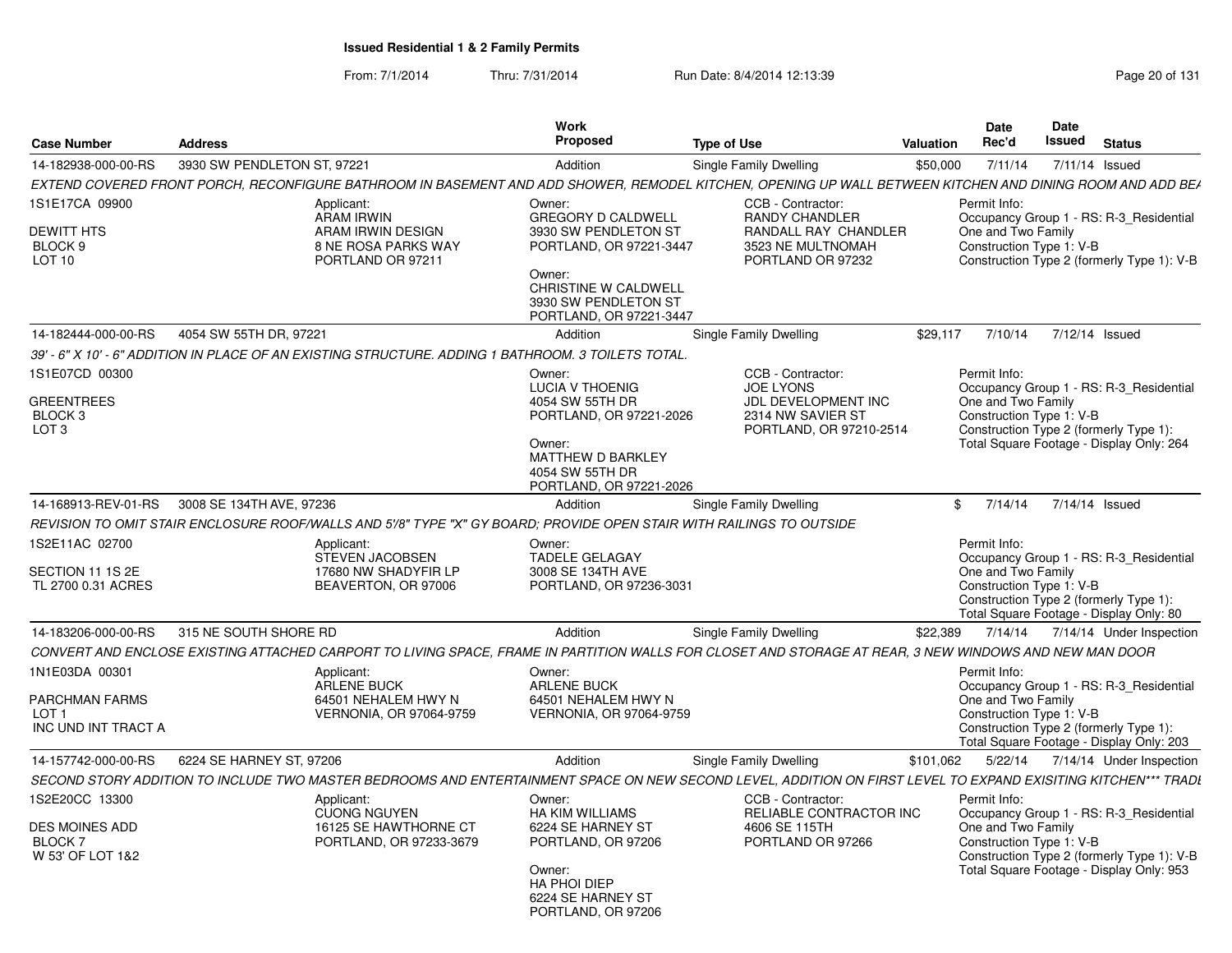From: 7/1/2014Thru: 7/31/2014 Run Date: 8/4/2014 12:13:39 Research 20 of 131

| <b>Case Number</b>                                                            | <b>Address</b>              |                                                                                                                      | <b>Work</b><br><b>Proposed</b>                                                                                                                                     | <b>Type of Use</b>                                                                                                                                             | <b>Valuation</b> | Date<br>Rec'd                                                  | Date<br>Issued | <b>Status</b>                                                                                                                 |  |
|-------------------------------------------------------------------------------|-----------------------------|----------------------------------------------------------------------------------------------------------------------|--------------------------------------------------------------------------------------------------------------------------------------------------------------------|----------------------------------------------------------------------------------------------------------------------------------------------------------------|------------------|----------------------------------------------------------------|----------------|-------------------------------------------------------------------------------------------------------------------------------|--|
| 14-182938-000-00-RS                                                           | 3930 SW PENDLETON ST, 97221 |                                                                                                                      | Addition                                                                                                                                                           | Single Family Dwelling                                                                                                                                         | \$50,000         | 7/11/14                                                        | 7/11/14 Issued |                                                                                                                               |  |
|                                                                               |                             |                                                                                                                      |                                                                                                                                                                    | EXTEND COVERED FRONT PORCH. RECONFIGURE BATHROOM IN BASEMENT AND ADD SHOWER. REMODEL KITCHEN. OPENING UP WALL BETWEEN KITCHEN AND DINING ROOM AND ADD BEA      |                  |                                                                |                |                                                                                                                               |  |
| 1S1E17CA 09900                                                                |                             | Applicant:<br><b>ARAM IRWIN</b>                                                                                      | Owner:<br><b>GREGORY D CALDWELL</b>                                                                                                                                | CCB - Contractor:<br><b>RANDY CHANDLER</b>                                                                                                                     |                  | Permit Info:                                                   |                | Occupancy Group 1 - RS: R-3_Residential                                                                                       |  |
| <b>DEWITT HTS</b><br>BLOCK 9<br>LOT <sub>10</sub>                             |                             | ARAM IRWIN DESIGN<br><b>8 NE ROSA PARKS WAY</b><br>PORTLAND OR 97211                                                 | 3930 SW PENDLETON ST<br>PORTLAND, OR 97221-3447<br>Owner:<br>CHRISTINE W CALDWELL<br>3930 SW PENDLETON ST                                                          | RANDALL RAY CHANDLER<br>3523 NE MULTNOMAH<br>PORTLAND OR 97232                                                                                                 |                  | One and Two Family<br>Construction Type 1: V-B                 |                | Construction Type 2 (formerly Type 1): V-B                                                                                    |  |
|                                                                               |                             |                                                                                                                      | PORTLAND, OR 97221-3447                                                                                                                                            |                                                                                                                                                                |                  |                                                                |                |                                                                                                                               |  |
| 14-182444-000-00-RS                                                           | 4054 SW 55TH DR, 97221      |                                                                                                                      | Addition                                                                                                                                                           | Single Family Dwelling                                                                                                                                         | \$29.117         | 7/10/14                                                        | 7/12/14 Issued |                                                                                                                               |  |
|                                                                               |                             | 39' - 6" X 10' - 6" ADDITION IN PLACE OF AN EXISTING STRUCTURE. ADDING 1 BATHROOM. 3 TOILETS TOTAL.                  |                                                                                                                                                                    |                                                                                                                                                                |                  |                                                                |                |                                                                                                                               |  |
| 1S1E07CD 00300<br><b>GREENTREES</b><br>BLOCK <sub>3</sub><br>LOT <sub>3</sub> |                             |                                                                                                                      | Owner:<br><b>LUCIA V THOENIG</b><br>4054 SW 55TH DR<br>PORTLAND, OR 97221-2026<br>Owner:<br><b>MATTHEW D BARKLEY</b><br>4054 SW 55TH DR<br>PORTLAND, OR 97221-2026 | CCB - Contractor:<br><b>JOE LYONS</b><br>JDL DEVELOPMENT INC<br>2314 NW SAVIER ST<br>PORTLAND, OR 97210-2514                                                   |                  | Permit Info:<br>One and Two Family<br>Construction Type 1: V-B |                | Occupancy Group 1 - RS: R-3 Residential<br>Construction Type 2 (formerly Type 1):<br>Total Square Footage - Display Only: 264 |  |
| 14-168913-REV-01-RS                                                           | 3008 SE 134TH AVE, 97236    |                                                                                                                      | Addition                                                                                                                                                           | Single Family Dwelling                                                                                                                                         | $\mathbf{F}$     | 7/14/14                                                        | 7/14/14 Issued |                                                                                                                               |  |
|                                                                               |                             | REVISION TO OMIT STAIR ENCLOSURE ROOF/WALLS AND 5'/8" TYPE "X" GY BOARD: PROVIDE OPEN STAIR WITH RAILINGS TO OUTSIDE |                                                                                                                                                                    |                                                                                                                                                                |                  |                                                                |                |                                                                                                                               |  |
| 1S2E11AC 02700<br>SECTION 11 1S 2E<br>TL 2700 0.31 ACRES                      |                             | Applicant:<br>STEVEN JACOBSEN<br>17680 NW SHADYFIR LP<br>BEAVERTON, OR 97006                                         | Owner:<br><b>TADELE GELAGAY</b><br>3008 SE 134TH AVE<br>PORTLAND, OR 97236-3031                                                                                    |                                                                                                                                                                |                  | Permit Info:<br>One and Two Family<br>Construction Type 1: V-B |                | Occupancy Group 1 - RS: R-3_Residential<br>Construction Type 2 (formerly Type 1):<br>Total Square Footage - Display Only: 80  |  |
| 14-183206-000-00-RS                                                           | 315 NE SOUTH SHORE RD       |                                                                                                                      | Addition                                                                                                                                                           | Single Family Dwelling                                                                                                                                         | \$22,389         | 7/14/14                                                        |                | 7/14/14 Under Inspection                                                                                                      |  |
|                                                                               |                             |                                                                                                                      |                                                                                                                                                                    | CONVERT AND ENCLOSE EXISTING ATTACHED CARPORT TO LIVING SPACE. FRAME IN PARTITION WALLS FOR CLOSET AND STORAGE AT REAR. 3 NEW WINDOWS AND NEW MAN DOOR         |                  |                                                                |                |                                                                                                                               |  |
| 1N1E03DA 00301                                                                |                             | Applicant:<br><b>ARLENE BUCK</b>                                                                                     | Owner:<br><b>ARLENE BUCK</b>                                                                                                                                       |                                                                                                                                                                |                  | Permit Info:                                                   |                | Occupancy Group 1 - RS: R-3 Residential                                                                                       |  |
| PARCHMAN FARMS<br>LOT <sub>1</sub><br>INC UND INT TRACT A                     |                             | 64501 NEHALEM HWY N<br>VERNONIA, OR 97064-9759                                                                       | 64501 NEHALEM HWY N<br><b>VERNONIA, OR 97064-9759</b>                                                                                                              |                                                                                                                                                                |                  | One and Two Family<br>Construction Type 1: V-B                 |                | Construction Type 2 (formerly Type 1):<br>Total Square Footage - Display Only: 203                                            |  |
| 14-157742-000-00-RS                                                           | 6224 SE HARNEY ST. 97206    |                                                                                                                      | Addition                                                                                                                                                           | Single Family Dwelling                                                                                                                                         | \$101,062        | 5/22/14                                                        |                | 7/14/14 Under Inspection                                                                                                      |  |
|                                                                               |                             |                                                                                                                      |                                                                                                                                                                    | SECOND STORY ADDITION TO INCLUDE TWO MASTER BEDROOMS AND ENTERTAINMENT SPACE ON NEW SECOND LEVEL, ADDITION ON FIRST LEVEL TO EXPAND EXISITING KITCHEN*** TRADI |                  |                                                                |                |                                                                                                                               |  |
| 1S2E20CC 13300                                                                |                             | Applicant:<br><b>CUONG NGUYEN</b>                                                                                    | Owner:<br><b>HA KIM WILLIAMS</b>                                                                                                                                   | CCB - Contractor:<br>RELIABLE CONTRACTOR INC                                                                                                                   |                  | Permit Info:                                                   |                | Occupancy Group 1 - RS: R-3_Residential                                                                                       |  |
| DES MOINES ADD<br><b>BLOCK7</b><br>W 53' OF LOT 1&2                           |                             | 16125 SE HAWTHORNE CT<br>PORTLAND, OR 97233-3679                                                                     | 6224 SE HARNEY ST<br>PORTLAND, OR 97206<br>Owner:<br>HA PHOI DIEP<br>6224 SE HARNEY ST<br>PORTLAND, OR 97206                                                       | 4606 SE 115TH<br>PORTLAND OR 97266                                                                                                                             |                  | One and Two Family<br>Construction Type 1: V-B                 |                | Construction Type 2 (formerly Type 1): V-B<br>Total Square Footage - Display Only: 953                                        |  |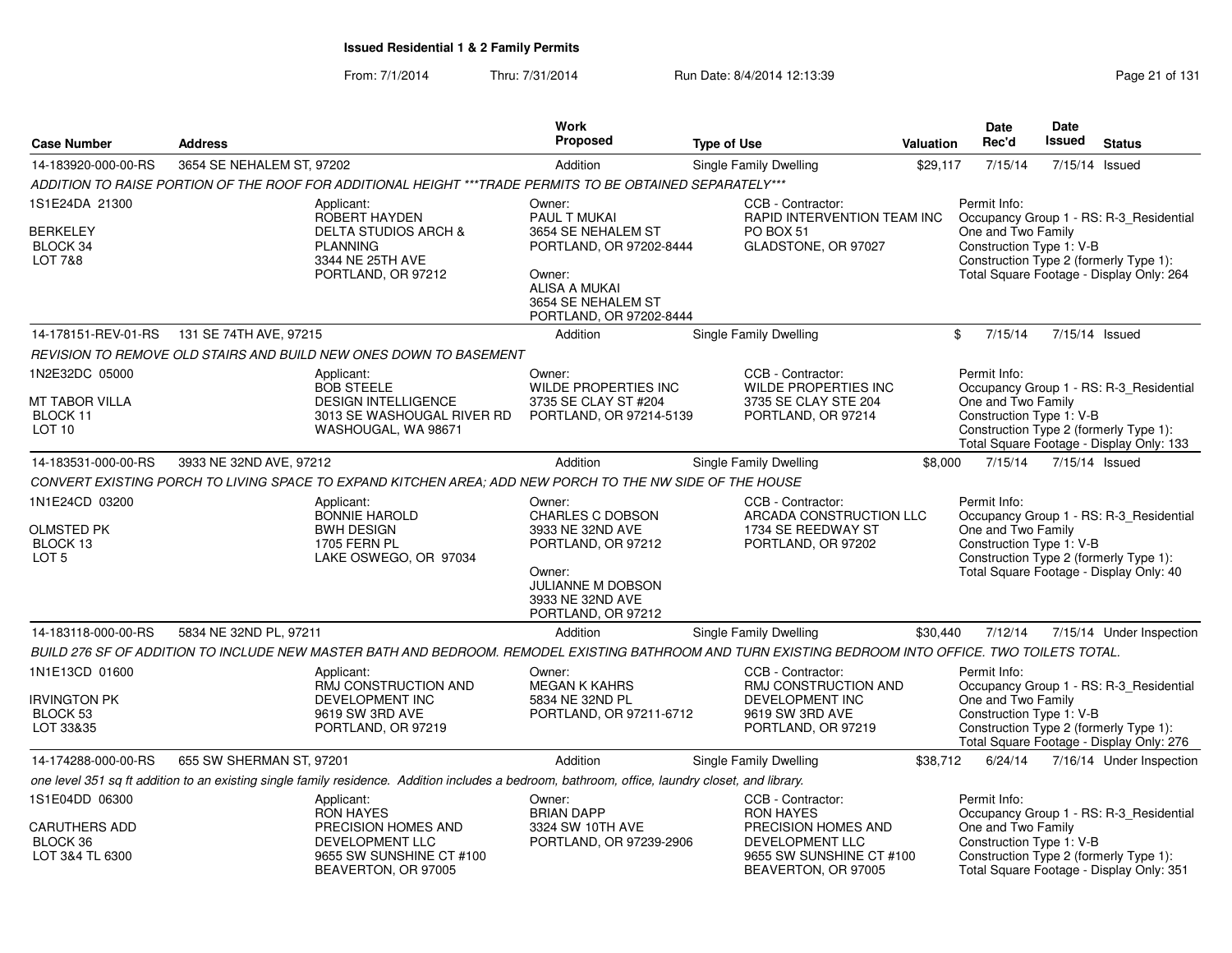From: 7/1/2014Thru: 7/31/2014 Run Date: 8/4/2014 12:13:39 Research 2010 Rage 21 of 131

| <b>Case Number</b>                                                    | <b>Address</b>            |                                                                                                                                                      | <b>Work</b><br>Proposed                                                                                                                              | <b>Type of Use</b>                                                                                                                 | <b>Valuation</b> | <b>Date</b><br>Rec'd                                                                                     | <b>Date</b><br><b>Issued</b> | <b>Status</b>                                                                       |
|-----------------------------------------------------------------------|---------------------------|------------------------------------------------------------------------------------------------------------------------------------------------------|------------------------------------------------------------------------------------------------------------------------------------------------------|------------------------------------------------------------------------------------------------------------------------------------|------------------|----------------------------------------------------------------------------------------------------------|------------------------------|-------------------------------------------------------------------------------------|
|                                                                       |                           |                                                                                                                                                      |                                                                                                                                                      |                                                                                                                                    |                  |                                                                                                          |                              |                                                                                     |
| 14-183920-000-00-RS                                                   | 3654 SE NEHALEM ST, 97202 |                                                                                                                                                      | Addition                                                                                                                                             | Single Family Dwelling                                                                                                             | \$29,117         | 7/15/14                                                                                                  | 7/15/14                      | Issued                                                                              |
| 1S1E24DA 21300                                                        |                           | ADDITION TO RAISE PORTION OF THE ROOF FOR ADDITIONAL HEIGHT *** TRADE PERMITS TO BE OBTAINED SEPARATELY***                                           | Owner:                                                                                                                                               | CCB - Contractor:                                                                                                                  |                  | Permit Info:                                                                                             |                              |                                                                                     |
| <b>BERKELEY</b><br>BLOCK 34<br><b>LOT 7&amp;8</b>                     |                           | Applicant:<br>ROBERT HAYDEN<br><b>DELTA STUDIOS ARCH &amp;</b><br><b>PLANNING</b><br>3344 NE 25TH AVE<br>PORTLAND, OR 97212                          | PAUL T MUKAI<br>3654 SE NEHALEM ST<br>PORTLAND, OR 97202-8444<br>Owner:<br><b>ALISA A MUKAI</b><br>3654 SE NEHALEM ST<br>PORTLAND, OR 97202-8444     | RAPID INTERVENTION TEAM INC<br>PO BOX 51<br>GLADSTONE, OR 97027                                                                    |                  | One and Two Family<br>Construction Type 1: V-B<br>Construction Type 2 (formerly Type 1):                 |                              | Occupancy Group 1 - RS: R-3 Residential<br>Total Square Footage - Display Only: 264 |
| 14-178151-REV-01-RS                                                   | 131 SE 74TH AVE, 97215    |                                                                                                                                                      | Addition                                                                                                                                             | <b>Single Family Dwelling</b>                                                                                                      |                  | \$<br>7/15/14                                                                                            | 7/15/14 Issued               |                                                                                     |
|                                                                       |                           | REVISION TO REMOVE OLD STAIRS AND BUILD NEW ONES DOWN TO BASEMENT                                                                                    |                                                                                                                                                      |                                                                                                                                    |                  |                                                                                                          |                              |                                                                                     |
| 1N2E32DC 05000<br>MT TABOR VILLA<br>BLOCK 11<br>LOT <sub>10</sub>     |                           | Applicant:<br><b>BOB STEELE</b><br><b>DESIGN INTELLIGENCE</b><br>3013 SE WASHOUGAL RIVER RD<br>WASHOUGAL, WA 98671                                   | Owner:<br>WILDE PROPERTIES INC<br>3735 SE CLAY ST #204<br>PORTLAND, OR 97214-5139                                                                    | CCB - Contractor:<br>WILDE PROPERTIES INC<br>3735 SE CLAY STE 204<br>PORTLAND, OR 97214                                            |                  | Permit Info:<br>One and Two Family<br>Construction Type 1: V-B<br>Construction Type 2 (formerly Type 1): |                              | Occupancy Group 1 - RS: R-3_Residential<br>Total Square Footage - Display Only: 133 |
| 14-183531-000-00-RS                                                   | 3933 NE 32ND AVE, 97212   |                                                                                                                                                      | Addition                                                                                                                                             | Single Family Dwelling                                                                                                             | \$8,000          | 7/15/14                                                                                                  | 7/15/14 Issued               |                                                                                     |
|                                                                       |                           | CONVERT EXISTING PORCH TO LIVING SPACE TO EXPAND KITCHEN AREA: ADD NEW PORCH TO THE NW SIDE OF THE HOUSE                                             |                                                                                                                                                      |                                                                                                                                    |                  |                                                                                                          |                              |                                                                                     |
| 1N1E24CD 03200<br>OLMSTED PK<br>BLOCK 13<br>LOT <sub>5</sub>          |                           | Applicant:<br><b>BONNIE HAROLD</b><br><b>BWH DESIGN</b><br><b>1705 FERN PL</b><br>LAKE OSWEGO, OR 97034                                              | Owner:<br>CHARLES C DOBSON<br>3933 NE 32ND AVE<br>PORTLAND, OR 97212<br>Owner:<br><b>JULIANNE M DOBSON</b><br>3933 NE 32ND AVE<br>PORTLAND, OR 97212 | CCB - Contractor:<br>ARCADA CONSTRUCTION LLC<br>1734 SE REEDWAY ST<br>PORTLAND, OR 97202                                           |                  | Permit Info:<br>One and Two Family<br>Construction Type 1: V-B<br>Construction Type 2 (formerly Type 1): |                              | Occupancy Group 1 - RS: R-3_Residential<br>Total Square Footage - Display Only: 40  |
| 14-183118-000-00-RS                                                   | 5834 NE 32ND PL, 97211    |                                                                                                                                                      | Addition                                                                                                                                             | <b>Single Family Dwelling</b>                                                                                                      | \$30.440         | 7/12/14                                                                                                  |                              | 7/15/14 Under Inspection                                                            |
|                                                                       |                           | BUILD 276 SF OF ADDITION TO INCLUDE NEW MASTER BATH AND BEDROOM. REMODEL EXISTING BATHROOM AND TURN EXISTING BEDROOM INTO OFFICE. TWO TOILETS TOTAL. |                                                                                                                                                      |                                                                                                                                    |                  |                                                                                                          |                              |                                                                                     |
| 1N1E13CD 01600<br><b>IRVINGTON PK</b><br>BLOCK 53<br>LOT 33&35        |                           | Applicant:<br>RMJ CONSTRUCTION AND<br><b>DEVELOPMENT INC</b><br>9619 SW 3RD AVE<br>PORTLAND, OR 97219                                                | Owner:<br><b>MEGAN K KAHRS</b><br>5834 NE 32ND PL<br>PORTLAND, OR 97211-6712                                                                         | CCB - Contractor:<br>RMJ CONSTRUCTION AND<br><b>DEVELOPMENT INC</b><br>9619 SW 3RD AVE<br>PORTLAND, OR 97219                       |                  | Permit Info:<br>One and Two Family<br>Construction Type 1: V-B<br>Construction Type 2 (formerly Type 1): |                              | Occupancy Group 1 - RS: R-3 Residential<br>Total Square Footage - Display Only: 276 |
| 14-174288-000-00-RS                                                   | 655 SW SHERMAN ST, 97201  |                                                                                                                                                      | Addition                                                                                                                                             | Single Family Dwelling                                                                                                             | \$38,712         | 6/24/14                                                                                                  |                              | 7/16/14 Under Inspection                                                            |
|                                                                       |                           | one level 351 sq ft addition to an existing single family residence. Addition includes a bedroom, bathroom, office, laundry closet, and library.     |                                                                                                                                                      |                                                                                                                                    |                  |                                                                                                          |                              |                                                                                     |
| 1S1E04DD 06300<br><b>CARUTHERS ADD</b><br>BLOCK 36<br>LOT 3&4 TL 6300 |                           | Applicant:<br><b>RON HAYES</b><br>PRECISION HOMES AND<br>DEVELOPMENT LLC<br>9655 SW SUNSHINE CT #100<br>BEAVERTON, OR 97005                          | Owner:<br><b>BRIAN DAPP</b><br>3324 SW 10TH AVE<br>PORTLAND, OR 97239-2906                                                                           | CCB - Contractor:<br><b>RON HAYES</b><br>PRECISION HOMES AND<br>DEVELOPMENT LLC<br>9655 SW SUNSHINE CT #100<br>BEAVERTON, OR 97005 |                  | Permit Info:<br>One and Two Family<br>Construction Type 1: V-B<br>Construction Type 2 (formerly Type 1): |                              | Occupancy Group 1 - RS: R-3_Residential<br>Total Square Footage - Display Only: 351 |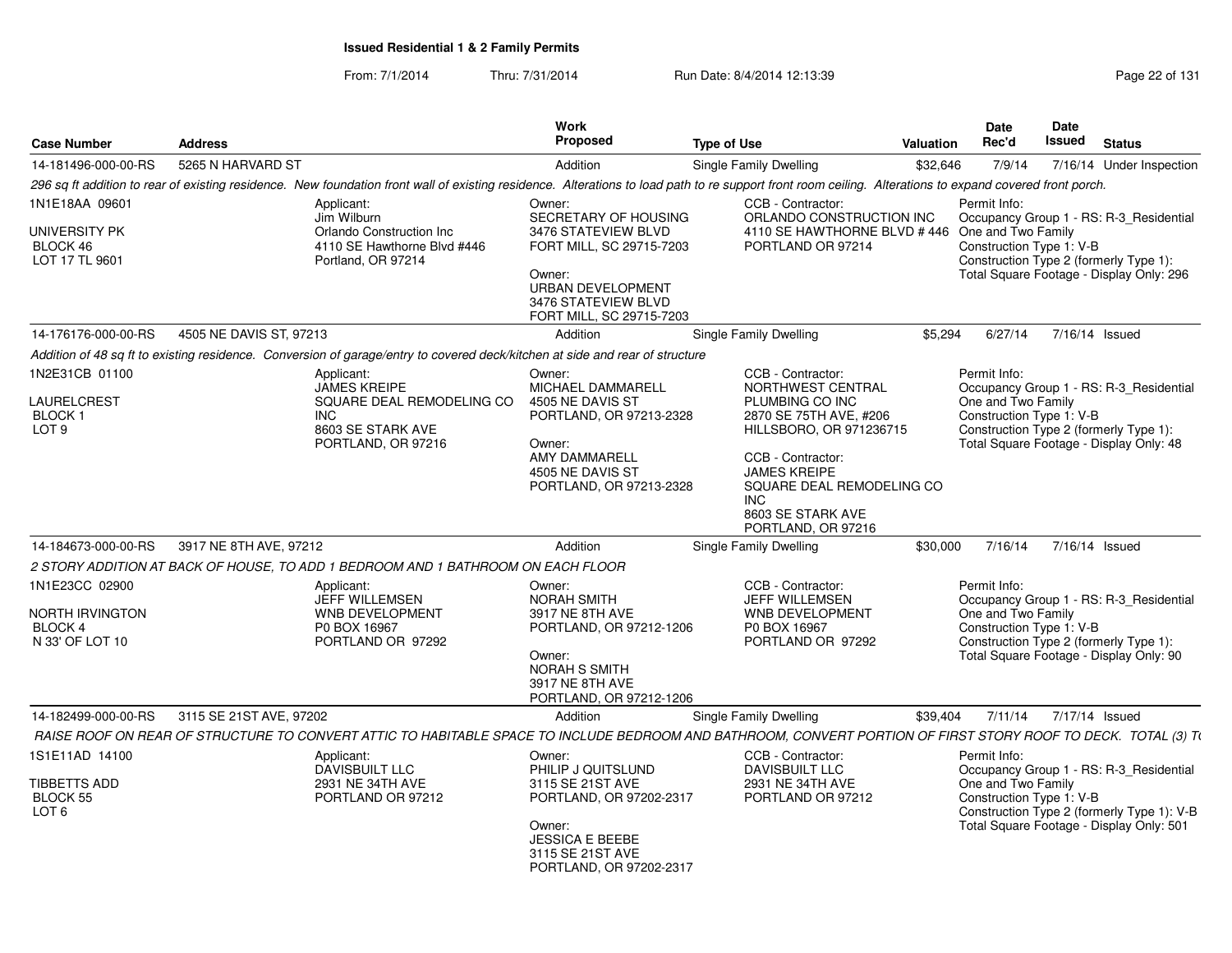From: 7/1/2014Thru: 7/31/2014 Run Date: 8/4/2014 12:13:39 Research 2010 Rage 22 of 131

| <b>Case Number</b>                                                     | <b>Address</b>                                                                                                                                                                                           | <b>Work</b><br>Proposed                                                                                                                                                    | <b>Type of Use</b>                                                                                                                                                                                                                               | Valuation | Date<br>Rec'd                                                                                                                                                                                       | <b>Date</b><br>Issued                                                                                                                                                          | <b>Status</b>                                                                                                                 |  |  |
|------------------------------------------------------------------------|----------------------------------------------------------------------------------------------------------------------------------------------------------------------------------------------------------|----------------------------------------------------------------------------------------------------------------------------------------------------------------------------|--------------------------------------------------------------------------------------------------------------------------------------------------------------------------------------------------------------------------------------------------|-----------|-----------------------------------------------------------------------------------------------------------------------------------------------------------------------------------------------------|--------------------------------------------------------------------------------------------------------------------------------------------------------------------------------|-------------------------------------------------------------------------------------------------------------------------------|--|--|
| 14-181496-000-00-RS                                                    | 5265 N HARVARD ST                                                                                                                                                                                        | Addition                                                                                                                                                                   | Single Family Dwelling                                                                                                                                                                                                                           | \$32,646  | 7/9/14                                                                                                                                                                                              |                                                                                                                                                                                | 7/16/14 Under Inspection                                                                                                      |  |  |
|                                                                        | 296 sq ft addition to rear of existing residence. New foundation front wall of existing residence. Alterations to load path to re support front room ceiling. Alterations to expand covered front porch. |                                                                                                                                                                            |                                                                                                                                                                                                                                                  |           |                                                                                                                                                                                                     |                                                                                                                                                                                |                                                                                                                               |  |  |
| 1N1E18AA 09601<br>UNIVERSITY PK<br>BLOCK 46<br>LOT 17 TL 9601          | Applicant:<br>Jim Wilburn<br>Orlando Construction Inc.<br>4110 SE Hawthorne Blvd #446<br>Portland, OR 97214                                                                                              | Owner:<br>SECRETARY OF HOUSING<br>3476 STATEVIEW BLVD<br>FORT MILL, SC 29715-7203<br>Owner:<br><b>URBAN DEVELOPMENT</b><br>3476 STATEVIEW BLVD<br>FORT MILL, SC 29715-7203 | CCB - Contractor:<br>ORLANDO CONSTRUCTION INC<br>4110 SE HAWTHORNE BLVD #446 One and Two Family<br>PORTLAND OR 97214                                                                                                                             |           | Permit Info:<br>Construction Type 1: V-B                                                                                                                                                            |                                                                                                                                                                                | Occupancy Group 1 - RS: R-3_Residential<br>Construction Type 2 (formerly Type 1):<br>Total Square Footage - Display Only: 296 |  |  |
| 14-176176-000-00-RS                                                    | 4505 NE DAVIS ST, 97213                                                                                                                                                                                  | Addition                                                                                                                                                                   | Single Family Dwelling                                                                                                                                                                                                                           | \$5,294   | 6/27/14                                                                                                                                                                                             |                                                                                                                                                                                | 7/16/14 Issued                                                                                                                |  |  |
|                                                                        | Addition of 48 sq ft to existing residence. Conversion of garage/entry to covered deck/kitchen at side and rear of structure                                                                             |                                                                                                                                                                            |                                                                                                                                                                                                                                                  |           |                                                                                                                                                                                                     |                                                                                                                                                                                |                                                                                                                               |  |  |
| 1N2E31CB 01100<br>LAURELCREST<br><b>BLOCK1</b><br>LOT <sub>9</sub>     | Applicant:<br><b>JAMES KREIPE</b><br>SQUARE DEAL REMODELING CO<br>INC.<br>8603 SE STARK AVE<br>PORTLAND, OR 97216                                                                                        | Owner:<br>MICHAEL DAMMARELL<br>4505 NE DAVIS ST<br>PORTLAND, OR 97213-2328<br>Owner:<br><b>AMY DAMMARELL</b><br>4505 NE DAVIS ST<br>PORTLAND, OR 97213-2328                | CCB - Contractor:<br>NORTHWEST CENTRAL<br>PLUMBING CO INC<br>2870 SE 75TH AVE, #206<br>HILLSBORO, OR 971236715<br>CCB - Contractor:<br><b>JAMES KREIPE</b><br>SQUARE DEAL REMODELING CO<br><b>INC</b><br>8603 SE STARK AVE<br>PORTLAND, OR 97216 |           | Permit Info:                                                                                                                                                                                        | Occupancy Group 1 - RS: R-3_Residential<br>One and Two Family<br>Construction Type 1: V-B<br>Construction Type 2 (formerly Type 1):<br>Total Square Footage - Display Only: 48 |                                                                                                                               |  |  |
| 14-184673-000-00-RS                                                    | 3917 NE 8TH AVE, 97212                                                                                                                                                                                   | Addition                                                                                                                                                                   | Single Family Dwelling                                                                                                                                                                                                                           | \$30,000  | 7/16/14                                                                                                                                                                                             |                                                                                                                                                                                | 7/16/14 Issued                                                                                                                |  |  |
|                                                                        | 2 STORY ADDITION AT BACK OF HOUSE, TO ADD 1 BEDROOM AND 1 BATHROOM ON EACH FLOOR                                                                                                                         |                                                                                                                                                                            |                                                                                                                                                                                                                                                  |           |                                                                                                                                                                                                     |                                                                                                                                                                                |                                                                                                                               |  |  |
| 1N1E23CC 02900<br>NORTH IRVINGTON<br><b>BLOCK 4</b><br>N 33' OF LOT 10 | Applicant:<br>JEFF WILLEMSEN<br>WNB DEVELOPMENT<br>P0 BOX 16967<br>PORTLAND OR 97292                                                                                                                     | Owner:<br><b>NORAH SMITH</b><br>3917 NE 8TH AVE<br>PORTLAND, OR 97212-1206<br>Owner:<br><b>NORAH S SMITH</b><br>3917 NE 8TH AVE<br>PORTLAND, OR 97212-1206                 | CCB - Contractor:<br>JEFF WILLEMSEN<br><b>WNB DEVELOPMENT</b><br>P0 BOX 16967<br>PORTLAND OR 97292                                                                                                                                               |           | Permit Info:<br>One and Two Family<br>Construction Type 1: V-B                                                                                                                                      |                                                                                                                                                                                | Occupancy Group 1 - RS: R-3_Residential<br>Construction Type 2 (formerly Type 1):<br>Total Square Footage - Display Only: 90  |  |  |
| 14-182499-000-00-RS                                                    | 3115 SE 21ST AVE, 97202                                                                                                                                                                                  | Addition                                                                                                                                                                   | Single Family Dwelling                                                                                                                                                                                                                           | \$39,404  | 7/11/14                                                                                                                                                                                             |                                                                                                                                                                                | 7/17/14 Issued                                                                                                                |  |  |
|                                                                        | RAISE ROOF ON REAR OF STRUCTURE TO CONVERT ATTIC TO HABITABLE SPACE TO INCLUDE BEDROOM AND BATHROOM, CONVERT PORTION OF FIRST STORY ROOF TO DECK. TOTAL (3) T(                                           |                                                                                                                                                                            |                                                                                                                                                                                                                                                  |           |                                                                                                                                                                                                     |                                                                                                                                                                                |                                                                                                                               |  |  |
| 1S1E11AD 14100<br><b>TIBBETTS ADD</b><br>BLOCK 55<br>LOT <sub>6</sub>  | Applicant:<br><b>DAVISBUILT LLC</b><br>2931 NE 34TH AVE<br>PORTLAND OR 97212                                                                                                                             | Owner:<br>PHILIP J QUITSLUND<br>3115 SE 21ST AVE<br>PORTLAND, OR 97202-2317<br>Owner:<br><b>JESSICA E BEEBE</b><br>3115 SE 21ST AVE<br>PORTLAND, OR 97202-2317             | CCB - Contractor:<br><b>DAVISBUILT LLC</b><br>2931 NE 34TH AVE<br>PORTLAND OR 97212                                                                                                                                                              |           | Permit Info:<br>Occupancy Group 1 - RS: R-3_Residential<br>One and Two Family<br>Construction Type 1: V-B<br>Construction Type 2 (formerly Type 1): V-B<br>Total Square Footage - Display Only: 501 |                                                                                                                                                                                |                                                                                                                               |  |  |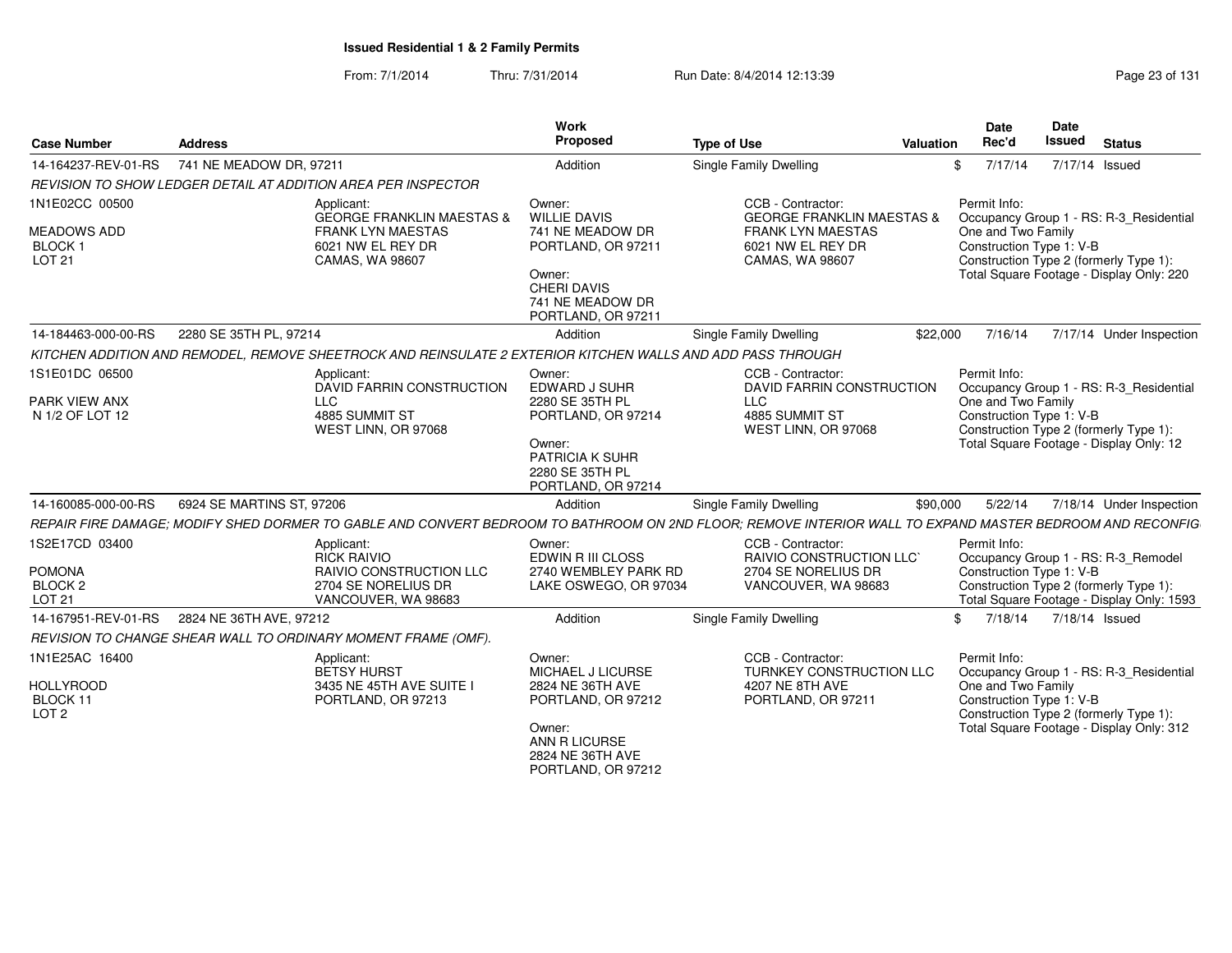From: 7/1/2014Thru: 7/31/2014 Run Date: 8/4/2014 12:13:39 Research 2010 Rage 23 of 131

| <b>Case Number</b>                                                     | <b>Address</b>                                                                                                                                           | Work<br>Proposed                                                                                                                                  | <b>Type of Use</b><br>Valuation                                                                                                |              | Date<br>Rec'd      | Date<br>Issued<br><b>Status</b>                                                                                                                           |
|------------------------------------------------------------------------|----------------------------------------------------------------------------------------------------------------------------------------------------------|---------------------------------------------------------------------------------------------------------------------------------------------------|--------------------------------------------------------------------------------------------------------------------------------|--------------|--------------------|-----------------------------------------------------------------------------------------------------------------------------------------------------------|
| 14-164237-REV-01-RS                                                    | 741 NE MEADOW DR, 97211                                                                                                                                  | Addition                                                                                                                                          | Single Family Dwelling                                                                                                         |              | 7/17/14            | 7/17/14 Issued                                                                                                                                            |
|                                                                        | REVISION TO SHOW LEDGER DETAIL AT ADDITION AREA PER INSPECTOR                                                                                            |                                                                                                                                                   |                                                                                                                                |              |                    |                                                                                                                                                           |
| 1N1E02CC 00500<br><b>MEADOWS ADD</b><br>BLOCK 1<br>LOT 21              | Applicant:<br><b>GEORGE FRANKLIN MAESTAS &amp;</b><br><b>FRANK LYN MAESTAS</b><br>6021 NW EL REY DR<br><b>CAMAS, WA 98607</b>                            | Owner:<br><b>WILLIE DAVIS</b><br>741 NE MEADOW DR<br>PORTLAND, OR 97211<br>Owner:<br><b>CHERI DAVIS</b><br>741 NE MEADOW DR<br>PORTLAND, OR 97211 | CCB - Contractor:<br><b>GEORGE FRANKLIN MAESTAS</b><br><b>FRANK LYN MAESTAS</b><br>6021 NW EL REY DR<br><b>CAMAS, WA 98607</b> | Permit Info: | One and Two Family | Occupancy Group 1 - RS: R-3_Residential<br>Construction Type 1: V-B<br>Construction Type 2 (formerly Type 1):<br>Total Square Footage - Display Only: 220 |
| 14-184463-000-00-RS                                                    | 2280 SE 35TH PL, 97214                                                                                                                                   | Addition                                                                                                                                          | Single Family Dwelling                                                                                                         | \$22.000     |                    | 7/16/14 7/17/14 Under Inspection                                                                                                                          |
|                                                                        | KITCHEN ADDITION AND REMODEL. REMOVE SHEETROCK AND REINSULATE 2 EXTERIOR KITCHEN WALLS AND ADD PASS THROUGH                                              |                                                                                                                                                   |                                                                                                                                |              |                    |                                                                                                                                                           |
| 1S1E01DC 06500                                                         | Applicant:<br>DAVID FARRIN CONSTRUCTION                                                                                                                  | Owner:<br>EDWARD J SUHR                                                                                                                           | CCB - Contractor:<br><b>DAVID FARRIN CONSTRUCTION</b>                                                                          | Permit Info: |                    | Occupancy Group 1 - RS: R-3_Residential                                                                                                                   |
| PARK VIEW ANX<br>N 1/2 OF LOT 12                                       | LLC<br>4885 SUMMIT ST<br>WEST LINN, OR 97068                                                                                                             | 2280 SE 35TH PL<br>PORTLAND, OR 97214<br>Owner:<br>PATRICIA K SUHR<br>2280 SE 35TH PL<br>PORTLAND, OR 97214                                       | <b>LLC</b><br>4885 SUMMIT ST<br>WEST LINN, OR 97068                                                                            |              | One and Two Family | Construction Type 1: V-B<br>Construction Type 2 (formerly Type 1):<br>Total Square Footage - Display Only: 12                                             |
| 14-160085-000-00-RS                                                    | 6924 SE MARTINS ST, 97206                                                                                                                                | Addition                                                                                                                                          | Single Family Dwelling                                                                                                         | \$90,000     | 5/22/14            | 7/18/14 Under Inspection                                                                                                                                  |
|                                                                        | REPAIR FIRE DAMAGE; MODIFY SHED DORMER TO GABLE AND CONVERT BEDROOM TO BATHROOM ON 2ND FLOOR; REMOVE INTERIOR WALL TO EXPAND MASTER BEDROOM AND RECONFIG |                                                                                                                                                   |                                                                                                                                |              |                    |                                                                                                                                                           |
| 1S2E17CD 03400<br><b>POMONA</b><br>BLOCK <sub>2</sub><br><b>LOT 21</b> | Applicant:<br><b>RICK RAIVIO</b><br><b>RAIVIO CONSTRUCTION LLC</b><br>2704 SE NORELIUS DR<br>VANCOUVER, WA 98683                                         | Owner:<br>EDWIN R III CLOSS<br>2740 WEMBLEY PARK RD<br>LAKE OSWEGO, OR 97034                                                                      | CCB - Contractor:<br><b>RAIVIO CONSTRUCTION LLC'</b><br>2704 SE NORELIUS DR<br>VANCOUVER, WA 98683                             | Permit Info: |                    | Occupancy Group 1 - RS: R-3_Remodel<br>Construction Type 1: V-B<br>Construction Type 2 (formerly Type 1):<br>Total Square Footage - Display Only: 1593    |
|                                                                        | 14-167951-REV-01-RS 2824 NE 36TH AVE, 97212                                                                                                              | Addition                                                                                                                                          | Single Family Dwelling                                                                                                         |              |                    | \$ 7/18/14 7/18/14 Issued                                                                                                                                 |
|                                                                        | REVISION TO CHANGE SHEAR WALL TO ORDINARY MOMENT FRAME (OMF).                                                                                            |                                                                                                                                                   |                                                                                                                                |              |                    |                                                                                                                                                           |
| 1N1E25AC 16400<br><b>HOLLYROOD</b><br>BLOCK 11<br>LOT <sub>2</sub>     | Applicant:<br><b>BETSY HURST</b><br>3435 NE 45TH AVE SUITE I<br>PORTLAND, OR 97213                                                                       | Owner:<br>MICHAEL J LICURSE<br>2824 NE 36TH AVE<br>PORTLAND, OR 97212<br>Owner:<br>ANN R LICURSE<br>2824 NE 36TH AVE<br>PORTLAND, OR 97212        | CCB - Contractor:<br>TURNKEY CONSTRUCTION LLC<br>4207 NE 8TH AVE<br>PORTLAND, OR 97211                                         | Permit Info: | One and Two Family | Occupancy Group 1 - RS: R-3_Residential<br>Construction Type 1: V-B<br>Construction Type 2 (formerly Type 1):<br>Total Square Footage - Display Only: 312 |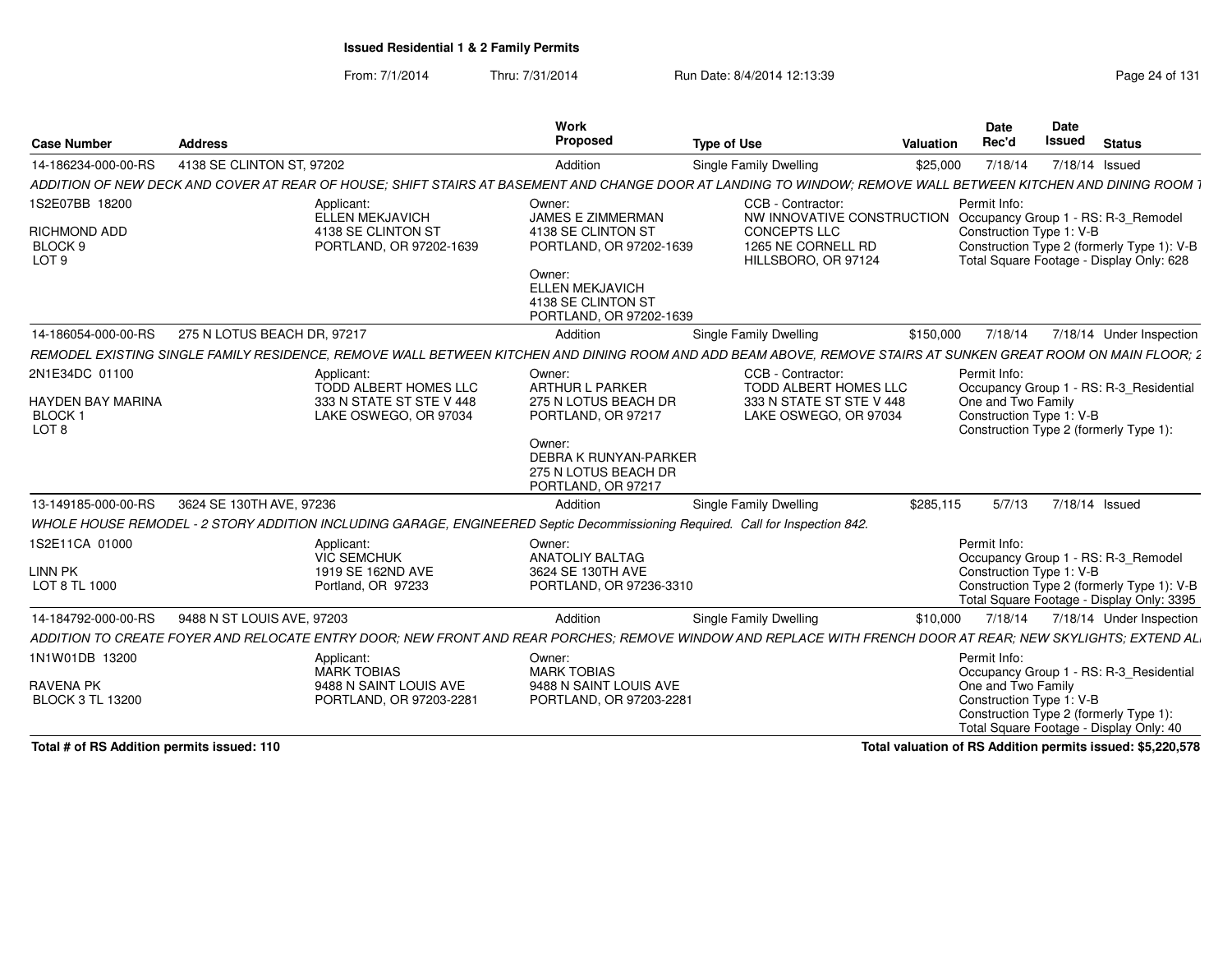From: 7/1/2014Thru: 7/31/2014 Run Date: 8/4/2014 12:13:39 Rege 24 of 131

|                                                                          |                             |                                                                                                                               | Work                                                                                                                               |                                                                                                                                                               |           | Date                               | Date                     |                                                                                         |
|--------------------------------------------------------------------------|-----------------------------|-------------------------------------------------------------------------------------------------------------------------------|------------------------------------------------------------------------------------------------------------------------------------|---------------------------------------------------------------------------------------------------------------------------------------------------------------|-----------|------------------------------------|--------------------------|-----------------------------------------------------------------------------------------|
| <b>Case Number</b>                                                       | <b>Address</b>              |                                                                                                                               | Propose                                                                                                                            | <b>Type of Use</b>                                                                                                                                            | Valuation | Rec'd                              | <b>Issued</b>            | <b>Status</b>                                                                           |
| 14-186234-000-00-RS                                                      | 4138 SE CLINTON ST, 97202   |                                                                                                                               | Addition                                                                                                                           | <b>Single Family Dwelling</b>                                                                                                                                 | \$25,000  | 7/18/14                            | 7/18/14 Issued           |                                                                                         |
|                                                                          |                             |                                                                                                                               |                                                                                                                                    | ADDITION OF NEW DECK AND COVER AT REAR OF HOUSE: SHIFT STAIRS AT BASEMENT AND CHANGE DOOR AT LANDING TO WINDOW: REMOVE WALL BETWEEN KITCHEN AND DINING ROOM   |           |                                    |                          |                                                                                         |
| 1S2E07BB 18200                                                           |                             | Applicant:<br>ELLEN MEKJAVICH                                                                                                 | Owner:<br><b>JAMES E ZIMMERMAN</b>                                                                                                 | CCB - Contractor:<br>NW INNOVATIVE CONSTRUCTION Occupancy Group 1 - RS: R-3 Remodel                                                                           |           | Permit Info:                       |                          |                                                                                         |
| RICHMOND ADD<br><b>BLOCK</b><br>LOT 9                                    |                             | 4138 SE CLINTON ST<br>PORTLAND, OR 97202-1639                                                                                 | 4138 SE CLINTON ST<br>PORTLAND, OR 97202-1639                                                                                      | CONCEPTS LLC<br>1265 NE CORNELL RD<br>HILLSBORO, OR 97124                                                                                                     |           |                                    | Construction Type 1: V-B | Construction Type 2 (formerly Type 1): V-B<br>Total Square Footage - Display Only: 628  |
|                                                                          |                             |                                                                                                                               | Owner:<br><b>ELLEN MEKJAVICH</b><br>4138 SE CLINTON ST<br>PORTLAND, OR 97202-1639                                                  |                                                                                                                                                               |           |                                    |                          |                                                                                         |
| 14-186054-000-00-RS                                                      | 275 N LOTUS BEACH DR. 97217 |                                                                                                                               | Addition                                                                                                                           | <b>Single Family Dwelling</b>                                                                                                                                 | \$150.000 | 7/18/14                            |                          | 7/18/14 Under Inspection                                                                |
|                                                                          |                             |                                                                                                                               |                                                                                                                                    | REMODEL EXISTING SINGLE FAMILY RESIDENCE, REMOVE WALL BETWEEN KITCHEN AND DINING ROOM AND ADD BEAM ABOVE, REMOVE STAIRS AT SUNKEN GREAT ROOM ON MAIN FLOOR; 2 |           |                                    |                          |                                                                                         |
| 2N1E34DC 01100<br>HAYDEN BAY MARINA<br><b>BLOCK1</b><br>LOT <sub>8</sub> |                             | Applicant:<br>TODD ALBERT HOMES LLC<br>333 N STATE ST STE V 448<br>LAKE OSWEGO, OR 97034                                      | Owner:<br>ARTHUR L PARKER<br>275 N LOTUS BEACH DR<br>PORTLAND, OR 97217<br>Owner:<br>DEBRA K RUNYAN-PARKER<br>275 N LOTUS BEACH DR | CCB - Contractor:<br>TODD ALBERT HOMES LLC<br>333 N STATE ST STE V 448<br>LAKE OSWEGO, OR 97034                                                               |           | Permit Info:<br>One and Two Family | Construction Type 1: V-B | Occupancy Group 1 - RS: R-3_Residential<br>Construction Type 2 (formerly Type 1):       |
|                                                                          |                             |                                                                                                                               | PORTLAND, OR 97217                                                                                                                 |                                                                                                                                                               |           |                                    |                          |                                                                                         |
| 13-149185-000-00-RS                                                      | 3624 SE 130TH AVE, 97236    |                                                                                                                               | Addition                                                                                                                           | Single Family Dwelling                                                                                                                                        | \$285,115 | 5/7/13                             | 7/18/14 Issued           |                                                                                         |
|                                                                          |                             | WHOLE HOUSE REMODEL - 2 STORY ADDITION INCLUDING GARAGE, ENGINEERED Septic Decommissioning Required. Call for Inspection 842. |                                                                                                                                    |                                                                                                                                                               |           |                                    |                          |                                                                                         |
| 1S2E11CA 01000<br>LINN PK                                                |                             | Applicant:<br>VIC SEMCHUK<br>1919 SE 162ND AVE                                                                                | Owner:<br><b>ANATOLIY BALTAG</b><br>3624 SE 130TH AVE                                                                              |                                                                                                                                                               |           | Permit Info:                       | Construction Type 1: V-B | Occupancy Group 1 - RS: R-3_Remodel                                                     |
| LOT 8 TL 1000                                                            |                             | Portland, OR 97233                                                                                                            | PORTLAND, OR 97236-3310                                                                                                            |                                                                                                                                                               |           |                                    |                          | Construction Type 2 (formerly Type 1): V-B<br>Total Square Footage - Display Only: 3395 |
| 14-184792-000-00-RS                                                      | 9488 N ST LOUIS AVE, 97203  |                                                                                                                               | Addition                                                                                                                           | <b>Single Family Dwelling</b>                                                                                                                                 | \$10,000  | 7/18/14                            |                          | 7/18/14 Under Inspection                                                                |
|                                                                          |                             |                                                                                                                               |                                                                                                                                    | ADDITION TO CREATE FOYER AND RELOCATE ENTRY DOOR; NEW FRONT AND REAR PORCHES; REMOVE WINDOW AND REPLACE WITH FRENCH DOOR AT REAR; NEW SKYLIGHTS; EXTEND AL    |           |                                    |                          |                                                                                         |
| 1N1W01DB 13200                                                           |                             | Applicant:<br>MARK TOBIAS                                                                                                     | Owner:<br><b>MARK TOBIAS</b>                                                                                                       |                                                                                                                                                               |           | Permit Info:                       |                          | Occupancy Group 1 - RS: R-3_Residential                                                 |
| <b>RAVENA PK</b><br><b>BLOCK 3 TL 13200</b>                              |                             | 9488 N SAINT LOUIS AVE<br>PORTLAND, OR 97203-2281                                                                             | 9488 N SAINT LOUIS AVE<br>PORTLAND, OR 97203-2281                                                                                  |                                                                                                                                                               |           | One and Two Family                 | Construction Type 1: V-B | Construction Type 2 (formerly Type 1)<br>Total Square Footage - Display Only: 40        |

**Total # of RS Addition permits issued: 110**

**Total valuation of RS Addition permits issued: \$5,220,578**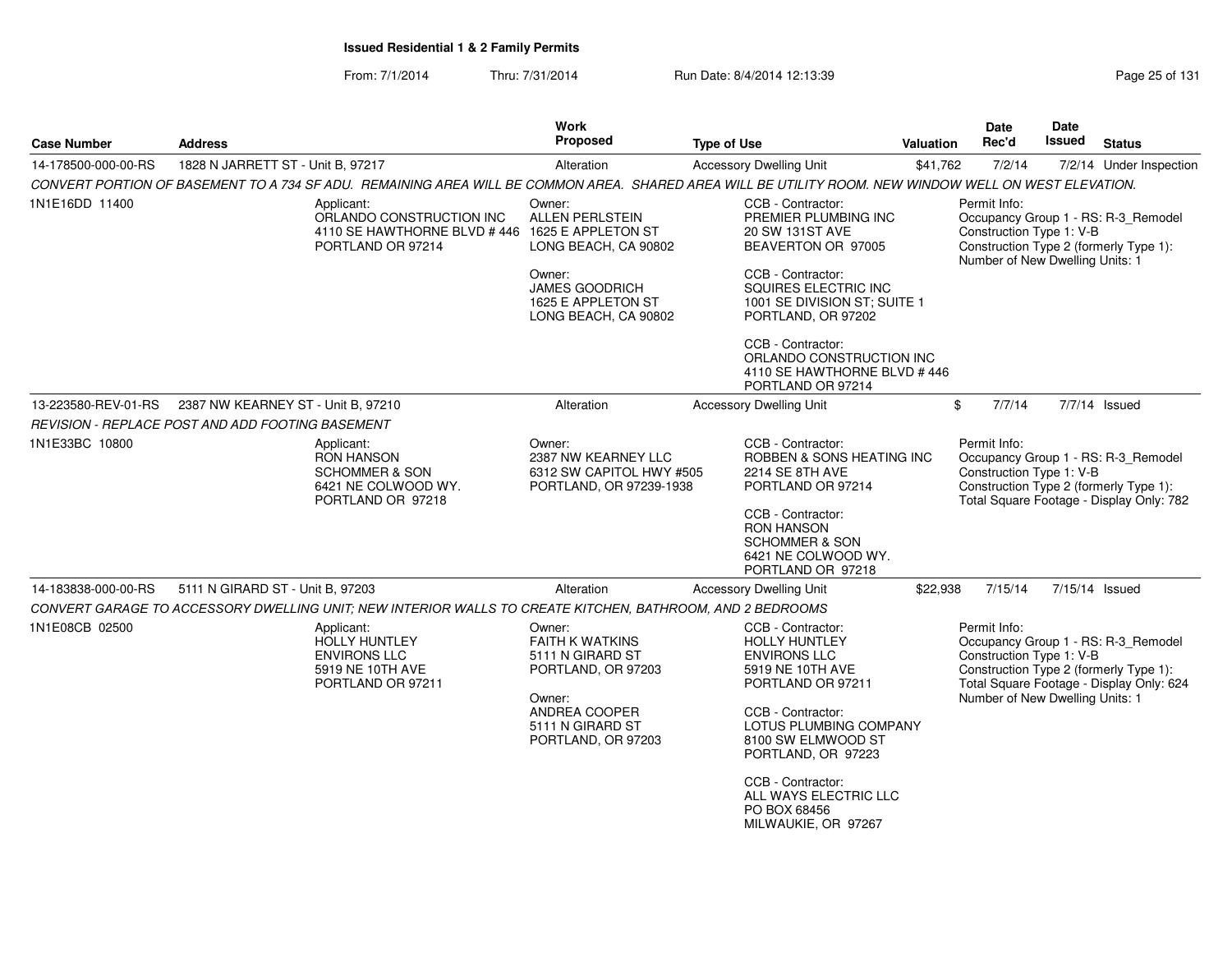From: 7/1/2014Thru: 7/31/2014 Run Date: 8/4/2014 12:13:39 Research 2010 Rage 25 of 131

| <b>Address</b>                                                                                           | <b>Work</b><br><b>Proposed</b>                                                                                                                  | <b>Type of Use</b>                                                                                                                                                                                                                     |                                                                                                                                                                                       | <b>Date</b><br>Rec'd                                                                                                                                                    | <b>Date</b><br><b>Issued</b>                   | <b>Status</b>                                                                                                                                                                                                                                                                                                                                                                                                                                                                                                                                                                                                                                              |
|----------------------------------------------------------------------------------------------------------|-------------------------------------------------------------------------------------------------------------------------------------------------|----------------------------------------------------------------------------------------------------------------------------------------------------------------------------------------------------------------------------------------|---------------------------------------------------------------------------------------------------------------------------------------------------------------------------------------|-------------------------------------------------------------------------------------------------------------------------------------------------------------------------|------------------------------------------------|------------------------------------------------------------------------------------------------------------------------------------------------------------------------------------------------------------------------------------------------------------------------------------------------------------------------------------------------------------------------------------------------------------------------------------------------------------------------------------------------------------------------------------------------------------------------------------------------------------------------------------------------------------|
| 1828 N JARRETT ST - Unit B, 97217                                                                        | Alteration                                                                                                                                      | <b>Accessory Dwelling Unit</b>                                                                                                                                                                                                         |                                                                                                                                                                                       | 7/2/14                                                                                                                                                                  |                                                | 7/2/14 Under Inspection                                                                                                                                                                                                                                                                                                                                                                                                                                                                                                                                                                                                                                    |
|                                                                                                          |                                                                                                                                                 |                                                                                                                                                                                                                                        |                                                                                                                                                                                       |                                                                                                                                                                         |                                                |                                                                                                                                                                                                                                                                                                                                                                                                                                                                                                                                                                                                                                                            |
| Applicant:<br>ORLANDO CONSTRUCTION INC<br>PORTLAND OR 97214                                              | Owner:<br><b>ALLEN PERLSTEIN</b><br>LONG BEACH, CA 90802                                                                                        | CCB - Contractor:<br>PREMIER PLUMBING INC<br>20 SW 131ST AVE<br>BEAVERTON OR 97005                                                                                                                                                     |                                                                                                                                                                                       | Permit Info:                                                                                                                                                            |                                                |                                                                                                                                                                                                                                                                                                                                                                                                                                                                                                                                                                                                                                                            |
|                                                                                                          | Owner:<br><b>JAMES GOODRICH</b><br>1625 E APPLETON ST<br>LONG BEACH, CA 90802                                                                   | CCB - Contractor:<br>SQUIRES ELECTRIC INC<br>PORTLAND, OR 97202                                                                                                                                                                        |                                                                                                                                                                                       |                                                                                                                                                                         |                                                |                                                                                                                                                                                                                                                                                                                                                                                                                                                                                                                                                                                                                                                            |
|                                                                                                          |                                                                                                                                                 | CCB - Contractor:<br>PORTLAND OR 97214                                                                                                                                                                                                 |                                                                                                                                                                                       |                                                                                                                                                                         |                                                |                                                                                                                                                                                                                                                                                                                                                                                                                                                                                                                                                                                                                                                            |
| 2387 NW KEARNEY ST - Unit B, 97210                                                                       | Alteration                                                                                                                                      | <b>Accessory Dwelling Unit</b>                                                                                                                                                                                                         |                                                                                                                                                                                       | 7/7/14                                                                                                                                                                  |                                                | 7/7/14 Issued                                                                                                                                                                                                                                                                                                                                                                                                                                                                                                                                                                                                                                              |
| REVISION - REPLACE POST AND ADD FOOTING BASEMENT                                                         |                                                                                                                                                 |                                                                                                                                                                                                                                        |                                                                                                                                                                                       |                                                                                                                                                                         |                                                |                                                                                                                                                                                                                                                                                                                                                                                                                                                                                                                                                                                                                                                            |
| Applicant:<br><b>RON HANSON</b><br><b>SCHOMMER &amp; SON</b><br>6421 NE COLWOOD WY.<br>PORTLAND OR 97218 | Owner:<br>2387 NW KEARNEY LLC                                                                                                                   | CCB - Contractor:<br>2214 SE 8TH AVE<br>PORTLAND OR 97214<br>CCB - Contractor:<br><b>RON HANSON</b><br><b>SCHOMMER &amp; SON</b><br>6421 NE COLWOOD WY.                                                                                |                                                                                                                                                                                       | Permit Info:                                                                                                                                                            |                                                |                                                                                                                                                                                                                                                                                                                                                                                                                                                                                                                                                                                                                                                            |
| 5111 N GIRARD ST - Unit B, 97203                                                                         | Alteration                                                                                                                                      | <b>Accessory Dwelling Unit</b>                                                                                                                                                                                                         |                                                                                                                                                                                       | 7/15/14                                                                                                                                                                 |                                                | 7/15/14 Issued                                                                                                                                                                                                                                                                                                                                                                                                                                                                                                                                                                                                                                             |
|                                                                                                          |                                                                                                                                                 |                                                                                                                                                                                                                                        |                                                                                                                                                                                       |                                                                                                                                                                         |                                                |                                                                                                                                                                                                                                                                                                                                                                                                                                                                                                                                                                                                                                                            |
| Applicant:<br><b>HOLLY HUNTLEY</b><br><b>ENVIRONS LLC</b><br>5919 NE 10TH AVE<br>PORTLAND OR 97211       | Owner:<br><b>FAITH K WATKINS</b><br>5111 N GIRARD ST<br>PORTLAND, OR 97203<br>Owner:<br>ANDREA COOPER<br>5111 N GIRARD ST<br>PORTLAND, OR 97203 | CCB - Contractor:<br><b>HOLLY HUNTLEY</b><br><b>ENVIRONS LLC</b><br>5919 NE 10TH AVE<br>PORTLAND OR 97211<br>CCB - Contractor:<br>8100 SW ELMWOOD ST<br>PORTLAND, OR 97223<br>CCB - Contractor:<br>PO BOX 68456<br>MILWAUKIE, OR 97267 |                                                                                                                                                                                       | Permit Info:                                                                                                                                                            |                                                |                                                                                                                                                                                                                                                                                                                                                                                                                                                                                                                                                                                                                                                            |
|                                                                                                          |                                                                                                                                                 | 4110 SE HAWTHORNE BLVD #446 1625 E APPLETON ST                                                                                                                                                                                         | 6312 SW CAPITOL HWY #505<br>PORTLAND, OR 97239-1938<br>PORTLAND OR 97218<br>CONVERT GARAGE TO ACCESSORY DWELLING UNIT; NEW INTERIOR WALLS TO CREATE KITCHEN, BATHROOM, AND 2 BEDROOMS | 1001 SE DIVISION ST; SUITE 1<br>ORLANDO CONSTRUCTION INC<br>4110 SE HAWTHORNE BLVD #446<br>ROBBEN & SONS HEATING INC<br>LOTUS PLUMBING COMPANY<br>ALL WAYS ELECTRIC LLC | <b>Valuation</b><br>\$41,762<br>\$<br>\$22,938 | CONVERT PORTION OF BASEMENT TO A 734 SF ADU. REMAINING AREA WILL BE COMMON AREA. SHARED AREA WILL BE UTILITY ROOM. NEW WINDOW WELL ON WEST ELEVATION.<br>Occupancy Group 1 - RS: R-3_Remodel<br>Construction Type 1: V-B<br>Construction Type 2 (formerly Type 1):<br>Number of New Dwelling Units: 1<br>Occupancy Group 1 - RS: R-3_Remodel<br>Construction Type 1: V-B<br>Construction Type 2 (formerly Type 1):<br>Total Square Footage - Display Only: 782<br>Occupancy Group 1 - RS: R-3_Remodel<br>Construction Type 1: V-B<br>Construction Type 2 (formerly Type 1):<br>Total Square Footage - Display Only: 624<br>Number of New Dwelling Units: 1 |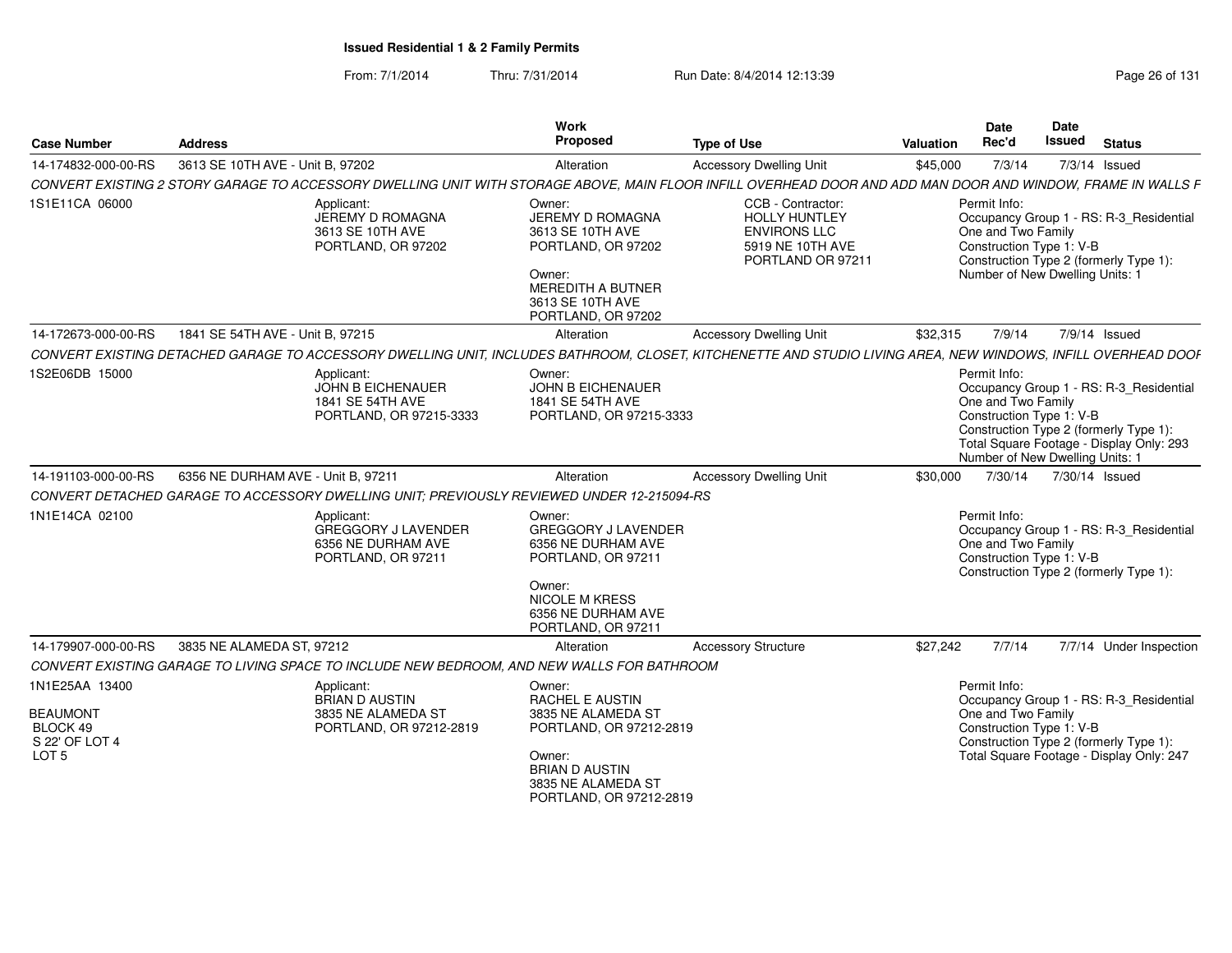From: 7/1/2014Thru: 7/31/2014 Run Date: 8/4/2014 12:13:39 Research 2014 13:14

| <b>Case Number</b>                            | <b>Address</b>                                                                                                                                                | Work<br>Proposed                                                                                                                                                | <b>Type of Use</b>                                                                                        | Valuation | <b>Date</b><br>Rec'd                                                                              | <b>Date</b><br><b>Issued</b> | <b>Status</b>                                                                                                                 |
|-----------------------------------------------|---------------------------------------------------------------------------------------------------------------------------------------------------------------|-----------------------------------------------------------------------------------------------------------------------------------------------------------------|-----------------------------------------------------------------------------------------------------------|-----------|---------------------------------------------------------------------------------------------------|------------------------------|-------------------------------------------------------------------------------------------------------------------------------|
| 14-174832-000-00-RS                           | 3613 SE 10TH AVE - Unit B, 97202                                                                                                                              | Alteration                                                                                                                                                      | <b>Accessory Dwelling Unit</b>                                                                            | \$45,000  | 7/3/14                                                                                            |                              | 7/3/14 Issued                                                                                                                 |
|                                               | CONVERT EXISTING 2 STORY GARAGE TO ACCESSORY DWELLING UNIT WITH STORAGE ABOVE, MAIN FLOOR INFILL OVERHEAD DOOR AND ADD MAN DOOR AND WINDOW, FRAME IN WALLS F  |                                                                                                                                                                 |                                                                                                           |           |                                                                                                   |                              |                                                                                                                               |
| 1S1E11CA 06000                                | Applicant:<br>JEREMY D ROMAGNA<br>3613 SE 10TH AVE<br>PORTLAND, OR 97202                                                                                      | Owner:<br>JEREMY D ROMAGNA<br>3613 SE 10TH AVE<br>PORTLAND, OR 97202<br>Owner:<br><b>MEREDITH A BUTNER</b><br>3613 SE 10TH AVE<br>PORTLAND, OR 97202            | CCB - Contractor:<br><b>HOLLY HUNTLEY</b><br><b>ENVIRONS LLC</b><br>5919 NE 10TH AVE<br>PORTLAND OR 97211 |           | Permit Info:<br>One and Two Family<br>Construction Type 1: V-B<br>Number of New Dwelling Units: 1 |                              | Occupancy Group 1 - RS: R-3_Residential<br>Construction Type 2 (formerly Type 1):                                             |
| 14-172673-000-00-RS                           | 1841 SE 54TH AVE - Unit B. 97215                                                                                                                              | Alteration                                                                                                                                                      | <b>Accessory Dwelling Unit</b>                                                                            | \$32,315  | 7/9/14                                                                                            |                              | 7/9/14 Issued                                                                                                                 |
|                                               | CONVERT EXISTING DETACHED GARAGE TO ACCESSORY DWELLING UNIT. INCLUDES BATHROOM. CLOSET. KITCHENETTE AND STUDIO LIVING AREA. NEW WINDOWS. INFILL OVERHEAD DOOF |                                                                                                                                                                 |                                                                                                           |           |                                                                                                   |                              |                                                                                                                               |
| 1S2E06DB 15000                                | Applicant:<br>JOHN B EICHENAUER<br>1841 SE 54TH AVE<br>PORTLAND, OR 97215-3333                                                                                | Owner:<br><b>JOHN B EICHENAUER</b><br>1841 SE 54TH AVE<br>PORTLAND, OR 97215-3333                                                                               |                                                                                                           |           | Permit Info:<br>One and Two Family<br>Construction Type 1: V-B<br>Number of New Dwelling Units: 1 |                              | Occupancy Group 1 - RS: R-3 Residential<br>Construction Type 2 (formerly Type 1):<br>Total Square Footage - Display Only: 293 |
| 14-191103-000-00-RS                           | 6356 NE DURHAM AVE - Unit B, 97211                                                                                                                            | Alteration                                                                                                                                                      | <b>Accessory Dwelling Unit</b>                                                                            | \$30.000  | 7/30/14                                                                                           |                              | 7/30/14 Issued                                                                                                                |
|                                               | CONVERT DETACHED GARAGE TO ACCESSORY DWELLING UNIT: PREVIOUSLY REVIEWED UNDER 12-215094-RS                                                                    |                                                                                                                                                                 |                                                                                                           |           |                                                                                                   |                              |                                                                                                                               |
| 1N1E14CA 02100                                | Applicant:<br>GREGGORY J LAVENDER<br>6356 NE DURHAM AVE<br>PORTLAND, OR 97211                                                                                 | Owner:<br><b>GREGGORY J LAVENDER</b><br>6356 NE DURHAM AVE<br>PORTLAND, OR 97211<br>Owner:<br><b>NICOLE M KRESS</b><br>6356 NE DURHAM AVE<br>PORTLAND, OR 97211 |                                                                                                           |           | Permit Info:<br>One and Two Family<br>Construction Type 1: V-B                                    |                              | Occupancy Group 1 - RS: R-3_Residential<br>Construction Type 2 (formerly Type 1):                                             |
| 14-179907-000-00-RS                           | 3835 NE ALAMEDA ST, 97212                                                                                                                                     | Alteration                                                                                                                                                      | <b>Accessory Structure</b>                                                                                | \$27,242  | 7/7/14                                                                                            |                              | 7/7/14 Under Inspection                                                                                                       |
|                                               | CONVERT EXISTING GARAGE TO LIVING SPACE TO INCLUDE NEW BEDROOM, AND NEW WALLS FOR BATHROOM                                                                    |                                                                                                                                                                 |                                                                                                           |           |                                                                                                   |                              |                                                                                                                               |
| 1N1E25AA 13400<br><b>BEAUMONT</b><br>BLOCK 49 | Applicant:<br><b>BRIAN D AUSTIN</b><br>3835 NE ALAMEDA ST<br>PORTLAND, OR 97212-2819                                                                          | Owner:<br><b>RACHEL E AUSTIN</b><br>3835 NE ALAMEDA ST<br>PORTLAND, OR 97212-2819                                                                               |                                                                                                           |           | Permit Info:<br>One and Two Family<br>Construction Type 1: V-B                                    |                              | Occupancy Group 1 - RS: R-3_Residential                                                                                       |
| S 22' OF LOT 4<br>LOT <sub>5</sub>            |                                                                                                                                                               | Owner:<br><b>BRIAN D AUSTIN</b><br>3835 NE ALAMEDA ST<br>PORTLAND, OR 97212-2819                                                                                |                                                                                                           |           |                                                                                                   |                              | Construction Type 2 (formerly Type 1):<br>Total Square Footage - Display Only: 247                                            |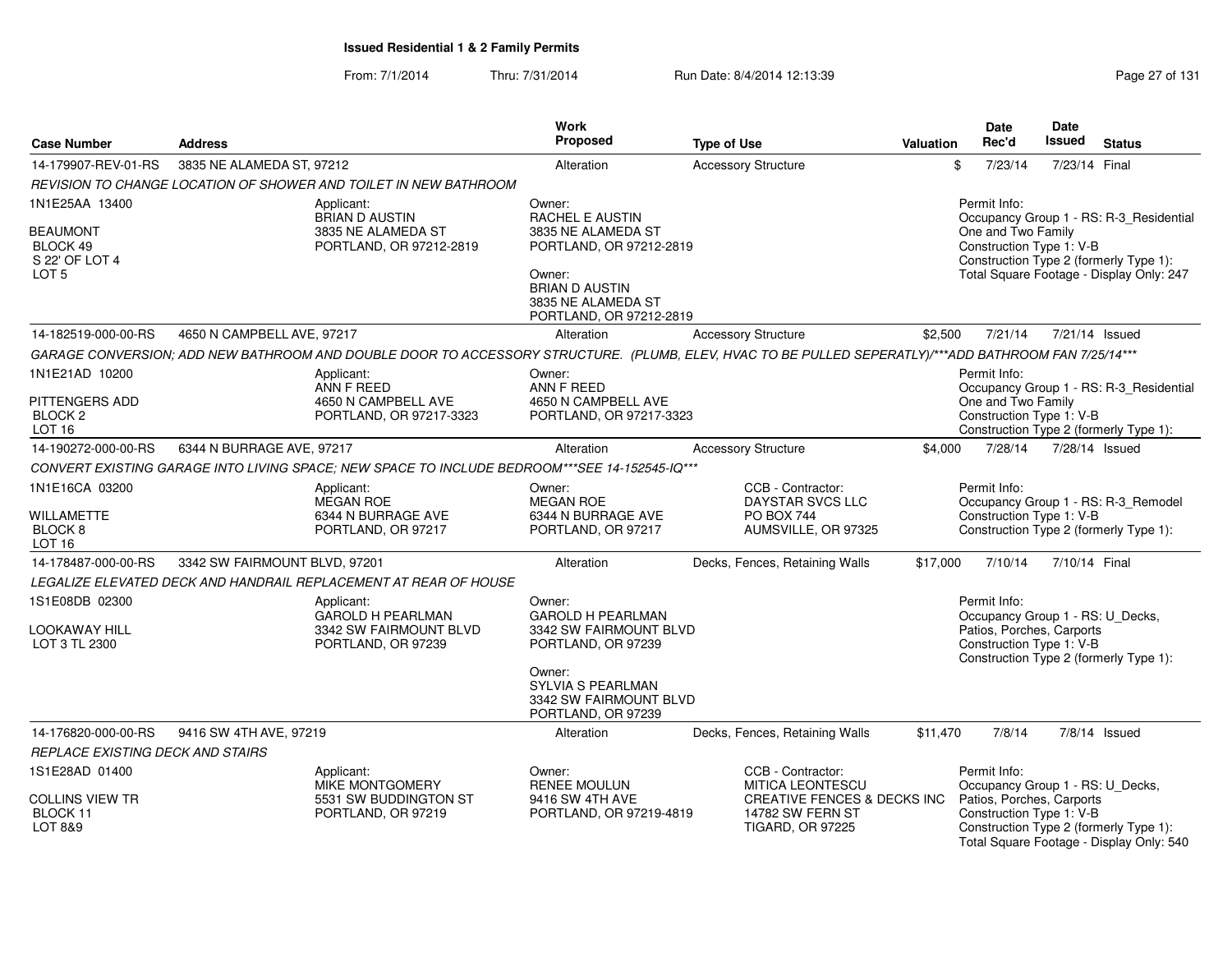### From: 7/1/2014Thru: 7/31/2014 Run Date: 8/4/2014 12:13:39 Research 2010 Page 27 of 131

|                                    |                               |                                                                                                                                                       | <b>Work</b><br>Proposed                               |                                              |                  | <b>Date</b><br>Rec'd                                          | <b>Date</b><br><b>Issued</b> |                                                                                    |
|------------------------------------|-------------------------------|-------------------------------------------------------------------------------------------------------------------------------------------------------|-------------------------------------------------------|----------------------------------------------|------------------|---------------------------------------------------------------|------------------------------|------------------------------------------------------------------------------------|
| <b>Case Number</b>                 | <b>Address</b>                |                                                                                                                                                       |                                                       | <b>Type of Use</b>                           | <b>Valuation</b> |                                                               |                              | <b>Status</b>                                                                      |
| 14-179907-REV-01-RS                | 3835 NE ALAMEDA ST, 97212     |                                                                                                                                                       | Alteration                                            | <b>Accessory Structure</b>                   | \$               | 7/23/14                                                       | 7/23/14 Final                |                                                                                    |
|                                    |                               | REVISION TO CHANGE LOCATION OF SHOWER AND TOILET IN NEW BATHROOM                                                                                      |                                                       |                                              |                  |                                                               |                              |                                                                                    |
| 1N1E25AA 13400                     |                               | Applicant:<br><b>BRIAN D AUSTIN</b>                                                                                                                   | Owner:<br>RACHEL E AUSTIN                             |                                              |                  | Permit Info:                                                  |                              | Occupancy Group 1 - RS: R-3_Residential                                            |
| <b>BEAUMONT</b>                    |                               | 3835 NE ALAMEDA ST                                                                                                                                    | 3835 NE ALAMEDA ST                                    |                                              |                  | One and Two Family                                            |                              |                                                                                    |
| BLOCK 49                           |                               | PORTLAND, OR 97212-2819                                                                                                                               | PORTLAND, OR 97212-2819                               |                                              |                  | Construction Type 1: V-B                                      |                              |                                                                                    |
| S 22' OF LOT 4<br>LOT <sub>5</sub> |                               |                                                                                                                                                       |                                                       |                                              |                  |                                                               |                              | Construction Type 2 (formerly Type 1):<br>Total Square Footage - Display Only: 247 |
|                                    |                               |                                                                                                                                                       | Owner:<br><b>BRIAN D AUSTIN</b><br>3835 NE ALAMEDA ST |                                              |                  |                                                               |                              |                                                                                    |
|                                    |                               |                                                                                                                                                       | PORTLAND, OR 97212-2819                               |                                              |                  |                                                               |                              |                                                                                    |
| 14-182519-000-00-RS                | 4650 N CAMPBELL AVE, 97217    |                                                                                                                                                       | Alteration                                            | <b>Accessory Structure</b>                   | \$2,500          | 7/21/14                                                       |                              | 7/21/14 Issued                                                                     |
|                                    |                               | GARAGE CONVERSION; ADD NEW BATHROOM AND DOUBLE DOOR TO ACCESSORY STRUCTURE. (PLUMB, ELEV, HVAC TO BE PULLED SEPERATLY)/***ADD BATHROOM FAN 7/25/14*** |                                                       |                                              |                  |                                                               |                              |                                                                                    |
| 1N1E21AD 10200                     |                               | Applicant:                                                                                                                                            | Owner:                                                |                                              |                  | Permit Info:                                                  |                              |                                                                                    |
| PITTENGERS ADD                     |                               | ANN F REED<br>4650 N CAMPBELL AVE                                                                                                                     | ANN F REED<br>4650 N CAMPBELL AVE                     |                                              |                  | One and Two Family                                            |                              | Occupancy Group 1 - RS: R-3_Residential                                            |
| BLOCK <sub>2</sub>                 |                               | PORTLAND, OR 97217-3323                                                                                                                               | PORTLAND, OR 97217-3323                               |                                              |                  | Construction Type 1: V-B                                      |                              |                                                                                    |
| LOT <sub>16</sub>                  |                               |                                                                                                                                                       |                                                       |                                              |                  |                                                               |                              | Construction Type 2 (formerly Type 1):                                             |
| 14-190272-000-00-RS                | 6344 N BURRAGE AVE, 97217     |                                                                                                                                                       | Alteration                                            | <b>Accessory Structure</b>                   | \$4,000          | 7/28/14                                                       |                              | 7/28/14 Issued                                                                     |
|                                    |                               | CONVERT EXISTING GARAGE INTO LIVING SPACE; NEW SPACE TO INCLUDE BEDROOM***SEE 14-152545-IQ***                                                         |                                                       |                                              |                  |                                                               |                              |                                                                                    |
| 1N1E16CA 03200                     |                               | Applicant:                                                                                                                                            | Owner:                                                | CCB - Contractor:                            |                  | Permit Info:                                                  |                              |                                                                                    |
| <b>WILLAMETTE</b>                  |                               | <b>MEGAN ROE</b><br>6344 N BURRAGE AVE                                                                                                                | <b>MEGAN ROE</b><br>6344 N BURRAGE AVE                | DAYSTAR SVCS LLC<br><b>PO BOX 744</b>        |                  | Construction Type 1: V-B                                      |                              | Occupancy Group 1 - RS: R-3_Remodel                                                |
| BLOCK <sub>8</sub>                 |                               | PORTLAND, OR 97217                                                                                                                                    | PORTLAND, OR 97217                                    | AUMSVILLE, OR 97325                          |                  |                                                               |                              | Construction Type 2 (formerly Type 1):                                             |
| <b>LOT 16</b>                      |                               |                                                                                                                                                       |                                                       |                                              |                  |                                                               |                              |                                                                                    |
| 14-178487-000-00-RS                | 3342 SW FAIRMOUNT BLVD, 97201 |                                                                                                                                                       | Alteration                                            | Decks, Fences, Retaining Walls               | \$17,000         | 7/10/14                                                       | 7/10/14 Final                |                                                                                    |
|                                    |                               | LEGALIZE ELEVATED DECK AND HANDRAIL REPLACEMENT AT REAR OF HOUSE                                                                                      |                                                       |                                              |                  |                                                               |                              |                                                                                    |
| 1S1E08DB 02300                     |                               | Applicant:                                                                                                                                            | Owner:                                                |                                              |                  | Permit Info:                                                  |                              |                                                                                    |
| LOOKAWAY HILL                      |                               | <b>GAROLD H PEARLMAN</b><br>3342 SW FAIRMOUNT BLVD                                                                                                    | <b>GAROLD H PEARLMAN</b><br>3342 SW FAIRMOUNT BLVD    |                                              |                  | Occupancy Group 1 - RS: U_Decks,<br>Patios, Porches, Carports |                              |                                                                                    |
| LOT 3 TL 2300                      |                               | PORTLAND, OR 97239                                                                                                                                    | PORTLAND, OR 97239                                    |                                              |                  | Construction Type 1: V-B                                      |                              |                                                                                    |
|                                    |                               |                                                                                                                                                       |                                                       |                                              |                  |                                                               |                              | Construction Type 2 (formerly Type 1):                                             |
|                                    |                               |                                                                                                                                                       | Owner:<br>SYLVIA S PEARLMAN                           |                                              |                  |                                                               |                              |                                                                                    |
|                                    |                               |                                                                                                                                                       | 3342 SW FAIRMOUNT BLVD                                |                                              |                  |                                                               |                              |                                                                                    |
|                                    |                               |                                                                                                                                                       | PORTLAND, OR 97239                                    |                                              |                  |                                                               |                              |                                                                                    |
| 14-176820-000-00-RS                | 9416 SW 4TH AVE, 97219        |                                                                                                                                                       | Alteration                                            | Decks, Fences, Retaining Walls               | \$11,470         | 7/8/14                                                        |                              | 7/8/14 Issued                                                                      |
| REPLACE EXISTING DECK AND STAIRS   |                               |                                                                                                                                                       |                                                       |                                              |                  |                                                               |                              |                                                                                    |
| 1S1E28AD 01400                     |                               | Applicant:<br>MIKE MONTGOMERY                                                                                                                         | Owner:<br><b>RENEE MOULUN</b>                         | CCB - Contractor:<br><b>MITICA LEONTESCU</b> |                  | Permit Info:<br>Occupancy Group 1 - RS: U_Decks,              |                              |                                                                                    |
| COLLINS VIEW TR                    |                               | 5531 SW BUDDINGTON ST                                                                                                                                 | 9416 SW 4TH AVE                                       | <b>CREATIVE FENCES &amp; DECKS INC</b>       |                  | Patios, Porches, Carports                                     |                              |                                                                                    |
| BLOCK 11                           |                               | PORTLAND, OR 97219                                                                                                                                    | PORTLAND, OR 97219-4819                               | <b>14782 SW FERN ST</b>                      |                  | Construction Type 1: V-B                                      |                              |                                                                                    |
| <b>LOT 8&amp;9</b>                 |                               |                                                                                                                                                       |                                                       | <b>TIGARD, OR 97225</b>                      |                  |                                                               |                              | Construction Type 2 (formerly Type 1):<br>Total Square Footage - Display Only: 540 |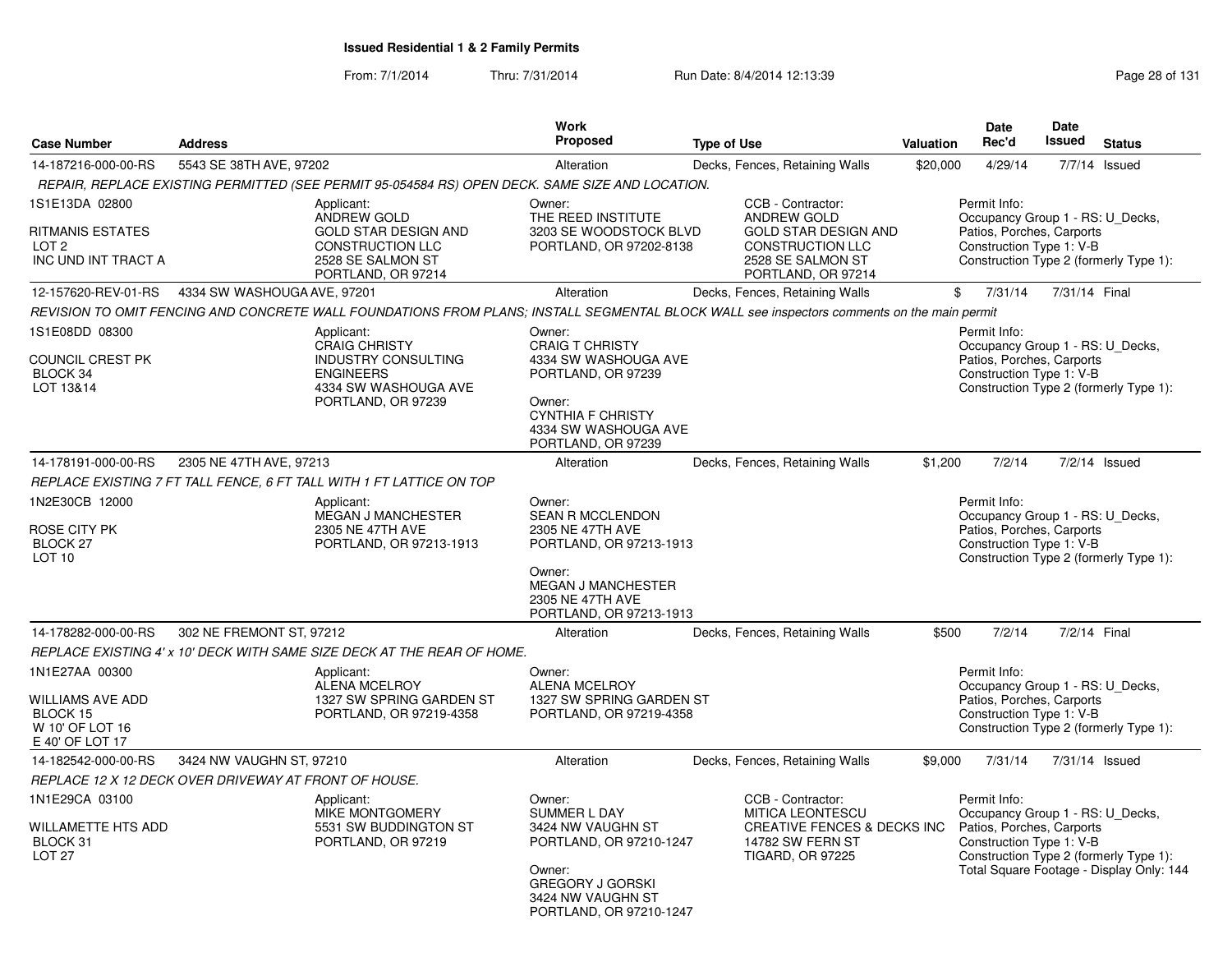From: 7/1/2014Thru: 7/31/2014 Run Date: 8/4/2014 12:13:39 Research 2010 Rage 28 of 131

| <b>Case Number</b>                                                                   | <b>Address</b>                                                                                                                             | Work<br>Proposed                                                                                                                                                   | <b>Type of Use</b>                                  |                                                                                                                                       | Valuation | <b>Date</b><br>Rec'd                                                                                                                                | Date<br><b>Issued</b> | <b>Status</b>                            |
|--------------------------------------------------------------------------------------|--------------------------------------------------------------------------------------------------------------------------------------------|--------------------------------------------------------------------------------------------------------------------------------------------------------------------|-----------------------------------------------------|---------------------------------------------------------------------------------------------------------------------------------------|-----------|-----------------------------------------------------------------------------------------------------------------------------------------------------|-----------------------|------------------------------------------|
| 14-187216-000-00-RS                                                                  | 5543 SE 38TH AVE, 97202                                                                                                                    | Alteration                                                                                                                                                         |                                                     | Decks, Fences, Retaining Walls                                                                                                        | \$20,000  | 4/29/14                                                                                                                                             |                       | 7/7/14 Issued                            |
|                                                                                      | REPAIR, REPLACE EXISTING PERMITTED (SEE PERMIT 95-054584 RS) OPEN DECK. SAME SIZE AND LOCATION.                                            |                                                                                                                                                                    |                                                     |                                                                                                                                       |           |                                                                                                                                                     |                       |                                          |
| 1S1E13DA 02800<br><b>RITMANIS ESTATES</b><br>LOT <sub>2</sub><br>INC UND INT TRACT A | Applicant:<br>ANDREW GOLD<br><b>GOLD STAR DESIGN AND</b><br><b>CONSTRUCTION LLC</b><br>2528 SE SALMON ST<br>PORTLAND, OR 97214             | Owner:<br>THE REED INSTITUTE                                                                                                                                       | 3203 SE WOODSTOCK BLVD<br>PORTLAND, OR 97202-8138   | CCB - Contractor:<br>ANDREW GOLD<br><b>GOLD STAR DESIGN AND</b><br><b>CONSTRUCTION LLC</b><br>2528 SE SALMON ST<br>PORTLAND, OR 97214 |           | Permit Info:<br>Occupancy Group 1 - RS: U_Decks,<br>Patios, Porches, Carports<br>Construction Type 1: V-B<br>Construction Type 2 (formerly Type 1): |                       |                                          |
| 12-157620-REV-01-RS                                                                  | 4334 SW WASHOUGA AVE, 97201                                                                                                                | Alteration                                                                                                                                                         |                                                     | Decks, Fences, Retaining Walls                                                                                                        |           | 7/31/14<br>\$                                                                                                                                       | 7/31/14 Final         |                                          |
|                                                                                      | REVISION TO OMIT FENCING AND CONCRETE WALL FOUNDATIONS FROM PLANS; INSTALL SEGMENTAL BLOCK WALL see inspectors comments on the main permit |                                                                                                                                                                    |                                                     |                                                                                                                                       |           |                                                                                                                                                     |                       |                                          |
| 1S1E08DD 08300<br><b>COUNCIL CREST PK</b><br>BLOCK 34<br>LOT 13&14                   | Applicant:<br><b>CRAIG CHRISTY</b><br><b>INDUSTRY CONSULTING</b><br><b>ENGINEERS</b><br>4334 SW WASHOUGA AVE<br>PORTLAND, OR 97239         | Owner:<br><b>CRAIG T CHRISTY</b><br>4334 SW WASHOUGA AVE<br>PORTLAND, OR 97239<br>Owner:<br><b>CYNTHIA F CHRISTY</b><br>4334 SW WASHOUGA AVE<br>PORTLAND, OR 97239 |                                                     |                                                                                                                                       |           | Permit Info:<br>Occupancy Group 1 - RS: U Decks,<br>Patios, Porches, Carports<br>Construction Type 1: V-B<br>Construction Type 2 (formerly Type 1): |                       |                                          |
| 14-178191-000-00-RS                                                                  | 2305 NE 47TH AVE, 97213                                                                                                                    | Alteration                                                                                                                                                         |                                                     | Decks, Fences, Retaining Walls                                                                                                        | \$1,200   | 7/2/14                                                                                                                                              |                       | $7/2/14$ Issued                          |
|                                                                                      | REPLACE EXISTING 7 FT TALL FENCE, 6 FT TALL WITH 1 FT LATTICE ON TOP                                                                       |                                                                                                                                                                    |                                                     |                                                                                                                                       |           |                                                                                                                                                     |                       |                                          |
| 1N2E30CB 12000<br>ROSE CITY PK<br>BLOCK <sub>27</sub><br>LOT <sub>10</sub>           | Applicant:<br>MEGAN J MANCHESTER<br>2305 NE 47TH AVE<br>PORTLAND, OR 97213-1913                                                            | Owner:<br><b>SEAN R MCCLENDON</b><br>2305 NE 47TH AVE<br>Owner:<br><b>MEGAN J MANCHESTER</b><br>2305 NE 47TH AVE                                                   | PORTLAND, OR 97213-1913<br>PORTLAND, OR 97213-1913  |                                                                                                                                       |           | Permit Info:<br>Occupancy Group 1 - RS: U_Decks,<br>Patios, Porches, Carports<br>Construction Type 1: V-B<br>Construction Type 2 (formerly Type 1): |                       |                                          |
| 14-178282-000-00-RS                                                                  | 302 NE FREMONT ST, 97212                                                                                                                   | Alteration                                                                                                                                                         |                                                     | Decks, Fences, Retaining Walls                                                                                                        | \$500     | 7/2/14                                                                                                                                              | 7/2/14 Final          |                                          |
|                                                                                      | REPLACE EXISTING 4' x 10' DECK WITH SAME SIZE DECK AT THE REAR OF HOME.                                                                    |                                                                                                                                                                    |                                                     |                                                                                                                                       |           |                                                                                                                                                     |                       |                                          |
| 1N1E27AA 00300<br>WILLIAMS AVE ADD<br>BLOCK 15<br>W 10' OF LOT 16<br>E 40' OF LOT 17 | Applicant:<br><b>ALENA MCELROY</b><br>PORTLAND, OR 97219-4358                                                                              | Owner:<br><b>ALENA MCELROY</b><br>1327 SW SPRING GARDEN ST                                                                                                         | 1327 SW SPRING GARDEN ST<br>PORTLAND, OR 97219-4358 |                                                                                                                                       |           | Permit Info:<br>Occupancy Group 1 - RS: U_Decks,<br>Patios, Porches, Carports<br>Construction Type 1: V-B<br>Construction Type 2 (formerly Type 1): |                       |                                          |
| 14-182542-000-00-RS                                                                  | 3424 NW VAUGHN ST, 97210                                                                                                                   | Alteration                                                                                                                                                         |                                                     | Decks, Fences, Retaining Walls                                                                                                        | \$9,000   | 7/31/14                                                                                                                                             | 7/31/14 Issued        |                                          |
|                                                                                      | REPLACE 12 X 12 DECK OVER DRIVEWAY AT FRONT OF HOUSE.                                                                                      |                                                                                                                                                                    |                                                     |                                                                                                                                       |           |                                                                                                                                                     |                       |                                          |
| 1N1E29CA 03100<br>WILLAMETTE HTS ADD<br>BLOCK 31<br><b>LOT 27</b>                    | Applicant:<br><b>MIKE MONTGOMERY</b><br>5531 SW BUDDINGTON ST<br>PORTLAND, OR 97219                                                        | Owner:<br><b>SUMMER L DAY</b><br>3424 NW VAUGHN ST<br>Owner:<br><b>GREGORY J GORSKI</b><br>3424 NW VAUGHN ST                                                       | PORTLAND, OR 97210-1247<br>PORTLAND, OR 97210-1247  | CCB - Contractor:<br>MITICA LEONTESCU<br>CREATIVE FENCES & DECKS INC<br>14782 SW FERN ST<br>TIGARD, OR 97225                          |           | Permit Info:<br>Occupancy Group 1 - RS: U_Decks,<br>Patios, Porches, Carports<br>Construction Type 1: V-B<br>Construction Type 2 (formerly Type 1): |                       | Total Square Footage - Display Only: 144 |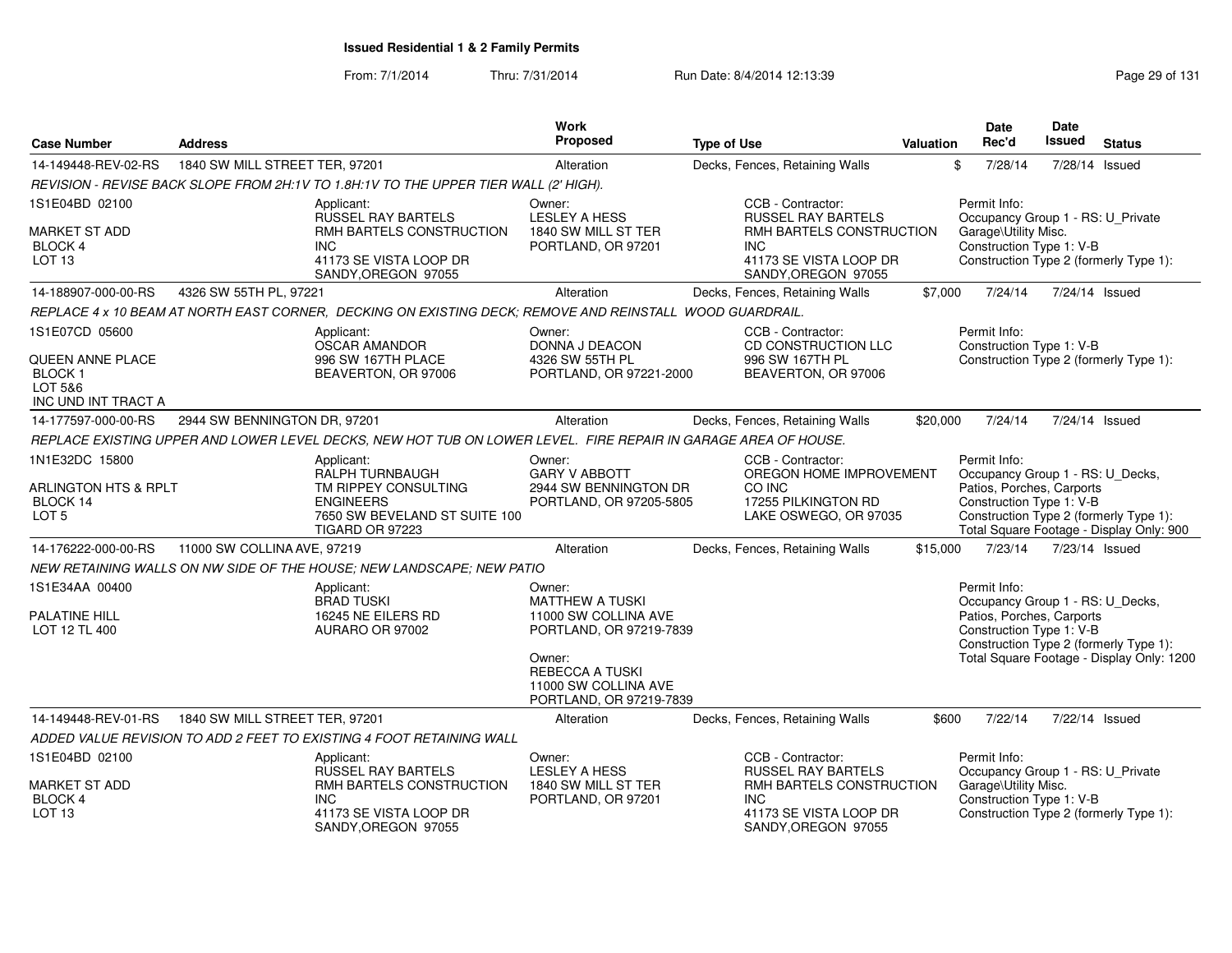From: 7/1/2014

Thru: 7/31/2014 Run Date: 8/4/2014 12:13:39 Research 2010 Page 29 of 131

| <b>Case Number</b>                                                                    | <b>Address</b>                 |                                                                                                                                      | Work<br><b>Proposed</b>                                                                                                                                                    | <b>Type of Use</b>                                                                                                                        | <b>Valuation</b> | <b>Date</b><br>Rec'd                                                                                                                                | <b>Date</b><br>Issued | <b>Status</b>                                                                       |
|---------------------------------------------------------------------------------------|--------------------------------|--------------------------------------------------------------------------------------------------------------------------------------|----------------------------------------------------------------------------------------------------------------------------------------------------------------------------|-------------------------------------------------------------------------------------------------------------------------------------------|------------------|-----------------------------------------------------------------------------------------------------------------------------------------------------|-----------------------|-------------------------------------------------------------------------------------|
| 14-149448-REV-02-RS                                                                   | 1840 SW MILL STREET TER, 97201 |                                                                                                                                      | Alteration                                                                                                                                                                 | Decks, Fences, Retaining Walls                                                                                                            |                  | 7/28/14<br>\$                                                                                                                                       |                       | 7/28/14 Issued                                                                      |
|                                                                                       |                                | REVISION - REVISE BACK SLOPE FROM 2H:1V TO 1.8H:1V TO THE UPPER TIER WALL (2' HIGH).                                                 |                                                                                                                                                                            |                                                                                                                                           |                  |                                                                                                                                                     |                       |                                                                                     |
| 1S1E04BD 02100                                                                        |                                | Applicant:<br>RUSSEL RAY BARTELS                                                                                                     | Owner:<br>LESLEY A HESS                                                                                                                                                    | CCB - Contractor:<br><b>RUSSEL RAY BARTELS</b>                                                                                            |                  | Permit Info:<br>Occupancy Group 1 - RS: U_Private                                                                                                   |                       |                                                                                     |
| <b>MARKET ST ADD</b><br>BLOCK 4<br>LOT <sub>13</sub>                                  |                                | RMH BARTELS CONSTRUCTION<br><b>INC</b><br>41173 SE VISTA LOOP DR<br>SANDY, OREGON 97055                                              | 1840 SW MILL ST TER<br>PORTLAND, OR 97201                                                                                                                                  | RMH BARTELS CONSTRUCTION<br><b>INC</b><br>41173 SE VISTA LOOP DR<br>SANDY, OREGON 97055                                                   |                  | Garage\Utility Misc.<br>Construction Type 1: V-B<br>Construction Type 2 (formerly Type 1):                                                          |                       |                                                                                     |
| 14-188907-000-00-RS                                                                   | 4326 SW 55TH PL, 97221         |                                                                                                                                      | Alteration                                                                                                                                                                 | Decks, Fences, Retaining Walls                                                                                                            | \$7,000          | 7/24/14                                                                                                                                             |                       | 7/24/14 Issued                                                                      |
|                                                                                       |                                | REPLACE 4 x 10 BEAM AT NORTH EAST CORNER, DECKING ON EXISTING DECK; REMOVE AND REINSTALL WOOD GUARDRAIL.                             |                                                                                                                                                                            |                                                                                                                                           |                  |                                                                                                                                                     |                       |                                                                                     |
| 1S1E07CD 05600<br>QUEEN ANNE PLACE<br><b>BLOCK1</b><br>LOT 5&6<br>INC UND INT TRACT A |                                | Applicant:<br>OSCAR AMANDOR<br>996 SW 167TH PLACE<br>BEAVERTON, OR 97006                                                             | Owner:<br>DONNA J DEACON<br>4326 SW 55TH PL<br>PORTLAND, OR 97221-2000                                                                                                     | CCB - Contractor:<br>CD CONSTRUCTION LLC<br>996 SW 167TH PL<br>BEAVERTON, OR 97006                                                        |                  | Permit Info:<br>Construction Type 1: V-B                                                                                                            |                       | Construction Type 2 (formerly Type 1):                                              |
| 14-177597-000-00-RS                                                                   | 2944 SW BENNINGTON DR, 97201   |                                                                                                                                      | Alteration                                                                                                                                                                 | Decks, Fences, Retaining Walls                                                                                                            | \$20,000         | 7/24/14                                                                                                                                             | 7/24/14 Issued        |                                                                                     |
|                                                                                       |                                | REPLACE EXISTING UPPER AND LOWER LEVEL DECKS, NEW HOT TUB ON LOWER LEVEL. FIRE REPAIR IN GARAGE AREA OF HOUSE.                       |                                                                                                                                                                            |                                                                                                                                           |                  |                                                                                                                                                     |                       |                                                                                     |
| 1N1E32DC 15800<br>ARLINGTON HTS & RPLT<br>BLOCK 14<br>LOT <sub>5</sub>                |                                | Applicant:<br>RALPH TURNBAUGH<br>TM RIPPEY CONSULTING<br><b>ENGINEERS</b><br>7650 SW BEVELAND ST SUITE 100<br><b>TIGARD OR 97223</b> | Owner:<br><b>GARY V ABBOTT</b><br>2944 SW BENNINGTON DR<br>PORTLAND, OR 97205-5805                                                                                         | CCB - Contractor:<br>OREGON HOME IMPROVEMENT<br>CO INC<br>17255 PILKINGTON RD<br>LAKE OSWEGO, OR 97035                                    |                  | Permit Info:<br>Occupancy Group 1 - RS: U_Decks,<br>Patios, Porches, Carports<br>Construction Type 1: V-B<br>Construction Type 2 (formerly Type 1): |                       | Total Square Footage - Display Only: 900                                            |
| 14-176222-000-00-RS                                                                   | 11000 SW COLLINA AVE, 97219    |                                                                                                                                      | Alteration                                                                                                                                                                 | Decks, Fences, Retaining Walls                                                                                                            | \$15,000         | 7/23/14                                                                                                                                             |                       | 7/23/14 Issued                                                                      |
|                                                                                       |                                | NEW RETAINING WALLS ON NW SIDE OF THE HOUSE; NEW LANDSCAPE; NEW PATIO                                                                |                                                                                                                                                                            |                                                                                                                                           |                  |                                                                                                                                                     |                       |                                                                                     |
| 1S1E34AA 00400<br>PALATINE HILL<br>LOT 12 TL 400                                      |                                | Applicant:<br><b>BRAD TUSKI</b><br>16245 NE EILERS RD<br>AURARO OR 97002                                                             | Owner:<br><b>MATTHEW A TUSKI</b><br>11000 SW COLLINA AVE<br>PORTLAND, OR 97219-7839<br>Owner:<br><b>REBECCA A TUSKI</b><br>11000 SW COLLINA AVE<br>PORTLAND, OR 97219-7839 |                                                                                                                                           |                  | Permit Info:<br>Occupancy Group 1 - RS: U_Decks,<br>Patios, Porches, Carports<br>Construction Type 1: V-B                                           |                       | Construction Type 2 (formerly Type 1):<br>Total Square Footage - Display Only: 1200 |
| 14-149448-REV-01-RS                                                                   | 1840 SW MILL STREET TER, 97201 |                                                                                                                                      | Alteration                                                                                                                                                                 | Decks, Fences, Retaining Walls                                                                                                            | \$600            | 7/22/14                                                                                                                                             |                       | 7/22/14 Issued                                                                      |
|                                                                                       |                                | ADDED VALUE REVISION TO ADD 2 FEET TO EXISTING 4 FOOT RETAINING WALL                                                                 |                                                                                                                                                                            |                                                                                                                                           |                  |                                                                                                                                                     |                       |                                                                                     |
| 1S1E04BD 02100<br><b>MARKET ST ADD</b><br>BLOCK 4<br>LOT <sub>13</sub>                |                                | Applicant:<br><b>RUSSEL RAY BARTELS</b><br>RMH BARTELS CONSTRUCTION<br><b>INC</b><br>41173 SE VISTA LOOP DR<br>SANDY, OREGON 97055   | Owner:<br><b>LESLEY A HESS</b><br>1840 SW MILL ST TER<br>PORTLAND, OR 97201                                                                                                | CCB - Contractor:<br><b>RUSSEL RAY BARTELS</b><br>RMH BARTELS CONSTRUCTION<br><b>INC</b><br>41173 SE VISTA LOOP DR<br>SANDY, OREGON 97055 |                  | Permit Info:<br>Occupancy Group 1 - RS: U_Private<br>Garage\Utility Misc.<br>Construction Type 1: V-B                                               |                       | Construction Type 2 (formerly Type 1):                                              |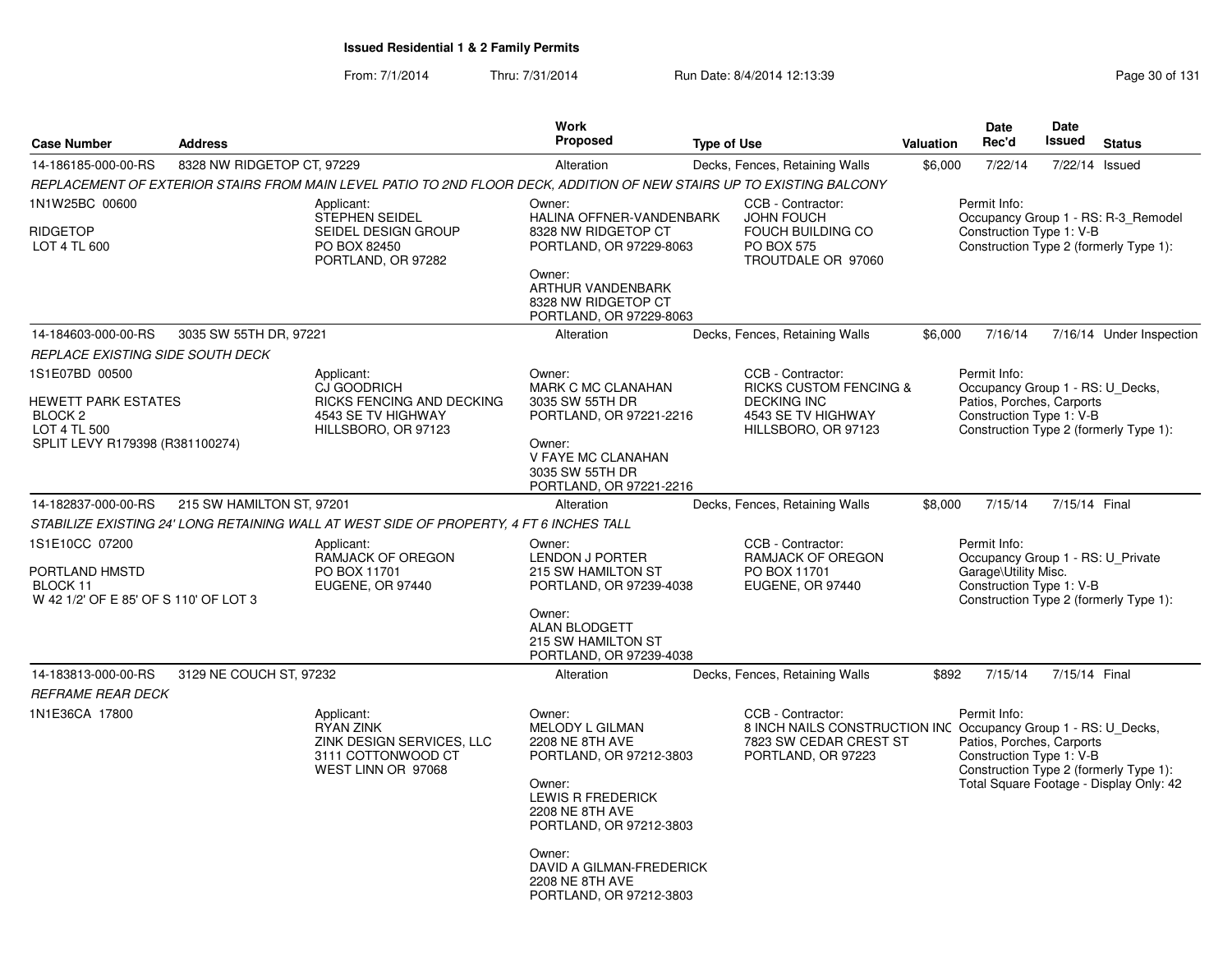### From: 7/1/2014Thru: 7/31/2014 Run Date: 8/4/2014 12:13:39 Research 2010 131

|                                                        |                                                                                                         | <b>Work</b>                                                                                                                                             |                                                                                                                   |                                                                                                                                                                                                                                                                                                                                                                                                                                                                    | <b>Date</b>                                                 | Date                                                                  |                                                                                                                                                                                                                                                                                                                                                                                                                                                                                                                                                                                                                                       |
|--------------------------------------------------------|---------------------------------------------------------------------------------------------------------|---------------------------------------------------------------------------------------------------------------------------------------------------------|-------------------------------------------------------------------------------------------------------------------|--------------------------------------------------------------------------------------------------------------------------------------------------------------------------------------------------------------------------------------------------------------------------------------------------------------------------------------------------------------------------------------------------------------------------------------------------------------------|-------------------------------------------------------------|-----------------------------------------------------------------------|---------------------------------------------------------------------------------------------------------------------------------------------------------------------------------------------------------------------------------------------------------------------------------------------------------------------------------------------------------------------------------------------------------------------------------------------------------------------------------------------------------------------------------------------------------------------------------------------------------------------------------------|
| <b>Address</b>                                         |                                                                                                         |                                                                                                                                                         | <b>Type of Use</b>                                                                                                |                                                                                                                                                                                                                                                                                                                                                                                                                                                                    | Rec'd                                                       | Issued                                                                | <b>Status</b>                                                                                                                                                                                                                                                                                                                                                                                                                                                                                                                                                                                                                         |
|                                                        |                                                                                                         | Alteration                                                                                                                                              | Decks, Fences, Retaining Walls                                                                                    |                                                                                                                                                                                                                                                                                                                                                                                                                                                                    | 7/22/14                                                     |                                                                       | 7/22/14 Issued                                                                                                                                                                                                                                                                                                                                                                                                                                                                                                                                                                                                                        |
|                                                        |                                                                                                         |                                                                                                                                                         |                                                                                                                   |                                                                                                                                                                                                                                                                                                                                                                                                                                                                    |                                                             |                                                                       |                                                                                                                                                                                                                                                                                                                                                                                                                                                                                                                                                                                                                                       |
|                                                        | Applicant:<br>STEPHEN SEIDEL<br>SEIDEL DESIGN GROUP<br>PO BOX 82450<br>PORTLAND, OR 97282               | Owner:<br>8328 NW RIDGETOP CT<br>Owner:<br>ARTHUR VANDENBARK<br>8328 NW RIDGETOP CT                                                                     | CCB - Contractor:<br><b>JOHN FOUCH</b><br>FOUCH BUILDING CO<br><b>PO BOX 575</b><br>TROUTDALE OR 97060            |                                                                                                                                                                                                                                                                                                                                                                                                                                                                    | Permit Info:                                                |                                                                       |                                                                                                                                                                                                                                                                                                                                                                                                                                                                                                                                                                                                                                       |
|                                                        |                                                                                                         | Alteration                                                                                                                                              | Decks, Fences, Retaining Walls                                                                                    |                                                                                                                                                                                                                                                                                                                                                                                                                                                                    | 7/16/14                                                     |                                                                       | 7/16/14 Under Inspection                                                                                                                                                                                                                                                                                                                                                                                                                                                                                                                                                                                                              |
| REPLACE EXISTING SIDE SOUTH DECK                       |                                                                                                         |                                                                                                                                                         |                                                                                                                   |                                                                                                                                                                                                                                                                                                                                                                                                                                                                    |                                                             |                                                                       |                                                                                                                                                                                                                                                                                                                                                                                                                                                                                                                                                                                                                                       |
| HEWETT PARK ESTATES<br>SPLIT LEVY R179398 (R381100274) | Applicant:<br>CJ GOODRICH<br>RICKS FENCING AND DECKING<br>4543 SE TV HIGHWAY<br>HILLSBORO, OR 97123     | Owner:<br>MARK C MC CLANAHAN<br>3035 SW 55TH DR<br>Owner:<br>V FAYE MC CLANAHAN<br>3035 SW 55TH DR                                                      | CCB - Contractor:<br><b>DECKING INC</b><br>4543 SE TV HIGHWAY<br>HILLSBORO, OR 97123                              |                                                                                                                                                                                                                                                                                                                                                                                                                                                                    | Permit Info:                                                |                                                                       |                                                                                                                                                                                                                                                                                                                                                                                                                                                                                                                                                                                                                                       |
|                                                        |                                                                                                         | Alteration                                                                                                                                              | Decks, Fences, Retaining Walls                                                                                    |                                                                                                                                                                                                                                                                                                                                                                                                                                                                    | 7/15/14                                                     |                                                                       |                                                                                                                                                                                                                                                                                                                                                                                                                                                                                                                                                                                                                                       |
|                                                        |                                                                                                         |                                                                                                                                                         |                                                                                                                   |                                                                                                                                                                                                                                                                                                                                                                                                                                                                    |                                                             |                                                                       |                                                                                                                                                                                                                                                                                                                                                                                                                                                                                                                                                                                                                                       |
| W 42 1/2' OF E 85' OF S 110' OF LOT 3                  | Applicant:<br><b>RAMJACK OF OREGON</b><br>PO BOX 11701<br>EUGENE, OR 97440                              | Owner:<br><b>LENDON J PORTER</b><br>215 SW HAMILTON ST<br>Owner:<br><b>ALAN BLODGETT</b><br>215 SW HAMILTON ST                                          | CCB - Contractor:<br>RAMJACK OF OREGON<br>PO BOX 11701<br>EUGENE, OR 97440                                        |                                                                                                                                                                                                                                                                                                                                                                                                                                                                    | Permit Info:                                                |                                                                       |                                                                                                                                                                                                                                                                                                                                                                                                                                                                                                                                                                                                                                       |
|                                                        |                                                                                                         |                                                                                                                                                         |                                                                                                                   |                                                                                                                                                                                                                                                                                                                                                                                                                                                                    |                                                             |                                                                       |                                                                                                                                                                                                                                                                                                                                                                                                                                                                                                                                                                                                                                       |
| <b>REFRAME REAR DECK</b>                               | Applicant:<br><b>RYAN ZINK</b><br>ZINK DESIGN SERVICES, LLC<br>3111 COTTONWOOD CT<br>WEST LINN OR 97068 | Owner:<br><b>MELODY L GILMAN</b><br><b>2208 NE 8TH AVE</b><br>Owner:<br>LEWIS R FREDERICK<br><b>2208 NE 8TH AVE</b><br>Owner:<br><b>2208 NE 8TH AVE</b> | CCB - Contractor:<br>PORTLAND, OR 97223                                                                           |                                                                                                                                                                                                                                                                                                                                                                                                                                                                    | Permit Info:                                                |                                                                       |                                                                                                                                                                                                                                                                                                                                                                                                                                                                                                                                                                                                                                       |
|                                                        |                                                                                                         | 8328 NW RIDGETOP CT, 97229<br>3035 SW 55TH DR, 97221<br>215 SW HAMILTON ST, 97201<br>3129 NE COUCH ST, 97232                                            | Proposed<br>STABILIZE EXISTING 24' LONG RETAINING WALL AT WEST SIDE OF PROPERTY, 4 FT 6 INCHES TALL<br>Alteration | REPLACEMENT OF EXTERIOR STAIRS FROM MAIN LEVEL PATIO TO 2ND FLOOR DECK, ADDITION OF NEW STAIRS UP TO EXISTING BALCONY<br>HALINA OFFNER-VANDENBARK<br>PORTLAND, OR 97229-8063<br>PORTLAND, OR 97229-8063<br>PORTLAND, OR 97221-2216<br>PORTLAND, OR 97221-2216<br>PORTLAND, OR 97239-4038<br>PORTLAND, OR 97239-4038<br>Decks, Fences, Retaining Walls<br>PORTLAND, OR 97212-3803<br>PORTLAND, OR 97212-3803<br>DAVID A GILMAN-FREDERICK<br>PORTLAND, OR 97212-3803 | <b>RICKS CUSTOM FENCING &amp;</b><br>7823 SW CEDAR CREST ST | <b>Valuation</b><br>\$6,000<br>\$6,000<br>\$8,000<br>7/15/14<br>\$892 | Occupancy Group 1 - RS: R-3_Remodel<br>Construction Type 1: V-B<br>Construction Type 2 (formerly Type 1):<br>Occupancy Group 1 - RS: U_Decks,<br>Patios, Porches, Carports<br>Construction Type 1: V-B<br>Construction Type 2 (formerly Type 1):<br>7/15/14 Final<br>Occupancy Group 1 - RS: U Private<br>Garage\Utility Misc.<br>Construction Type 1: V-B<br>Construction Type 2 (formerly Type 1):<br>7/15/14 Final<br>8 INCH NAILS CONSTRUCTION INC Occupancy Group 1 - RS: U Decks,<br>Patios, Porches, Carports<br>Construction Type 1: V-B<br>Construction Type 2 (formerly Type 1):<br>Total Square Footage - Display Only: 42 |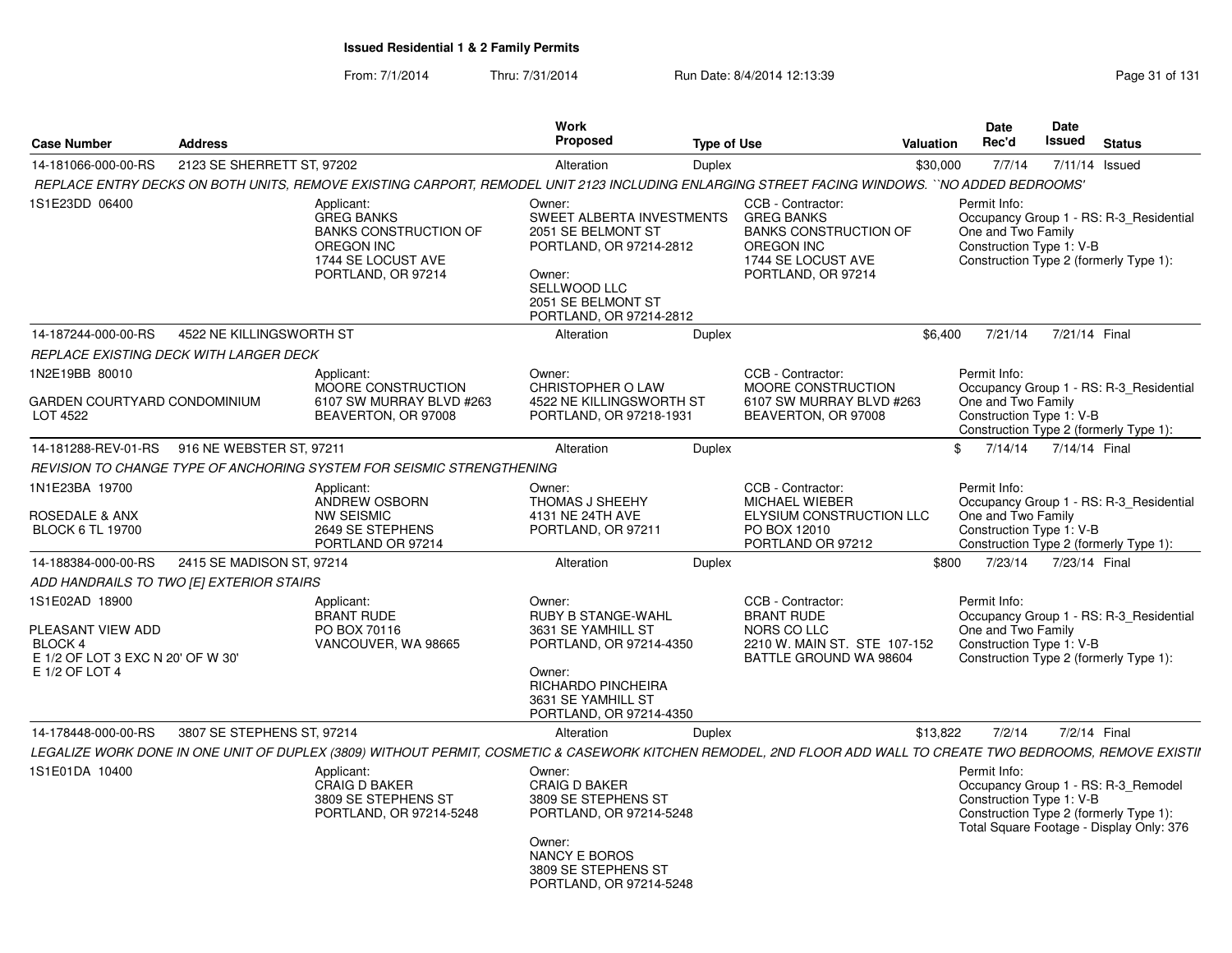From: 7/1/2014Thru: 7/31/2014 Run Date: 8/4/2014 12:13:39 Research 2010 Rage 31 of 131

|                                                                                                       |                                              |                                                                                                                                                                | Work                                                                                                                                                                  |                                                                                                                                         |                              | <b>Date</b>                                                                                                                                                           | Date          |                |  |
|-------------------------------------------------------------------------------------------------------|----------------------------------------------|----------------------------------------------------------------------------------------------------------------------------------------------------------------|-----------------------------------------------------------------------------------------------------------------------------------------------------------------------|-----------------------------------------------------------------------------------------------------------------------------------------|------------------------------|-----------------------------------------------------------------------------------------------------------------------------------------------------------------------|---------------|----------------|--|
| <b>Case Number</b>                                                                                    | <b>Address</b>                               |                                                                                                                                                                | Proposed                                                                                                                                                              | <b>Type of Use</b>                                                                                                                      | <b>Valuation</b>             | Rec'd                                                                                                                                                                 | <b>Issued</b> | <b>Status</b>  |  |
| 14-181066-000-00-RS                                                                                   | 2123 SE SHERRETT ST, 97202                   |                                                                                                                                                                | Alteration                                                                                                                                                            | Duplex                                                                                                                                  | \$30,000                     | 7/7/14                                                                                                                                                                |               | 7/11/14 Issued |  |
|                                                                                                       |                                              | REPLACE ENTRY DECKS ON BOTH UNITS, REMOVE EXISTING CARPORT, REMODEL UNIT 2123 INCLUDING ENLARGING STREET FACING WINDOWS. ``NO ADDED BEDROOMS'                  |                                                                                                                                                                       |                                                                                                                                         |                              |                                                                                                                                                                       |               |                |  |
| 1S1E23DD 06400                                                                                        |                                              | Applicant:<br><b>GREG BANKS</b><br><b>BANKS CONSTRUCTION OF</b><br>OREGON INC<br>1744 SE LOCUST AVE<br>PORTLAND, OR 97214                                      | Owner:<br>SWEET ALBERTA INVESTMENTS<br>2051 SE BELMONT ST<br>PORTLAND, OR 97214-2812<br>Owner:<br>SELLWOOD LLC<br>2051 SE BELMONT ST<br>PORTLAND, OR 97214-2812       | CCB - Contractor:<br><b>GREG BANKS</b><br><b>BANKS CONSTRUCTION OF</b><br><b>OREGON INC</b><br>1744 SE LOCUST AVE<br>PORTLAND, OR 97214 |                              | Permit Info:<br>Occupancy Group 1 - RS: R-3 Residential<br>One and Two Family<br>Construction Type 1: V-B<br>Construction Type 2 (formerly Type 1):                   |               |                |  |
| 14-187244-000-00-RS                                                                                   | 4522 NE KILLINGSWORTH ST                     |                                                                                                                                                                | Alteration                                                                                                                                                            | Duplex                                                                                                                                  | \$6.400                      | 7/21/14                                                                                                                                                               | 7/21/14 Final |                |  |
|                                                                                                       | REPLACE EXISTING DECK WITH LARGER DECK       |                                                                                                                                                                |                                                                                                                                                                       |                                                                                                                                         |                              |                                                                                                                                                                       |               |                |  |
| 1N2E19BB 80010<br>GARDEN COURTYARD CONDOMINIUM<br>LOT 4522                                            |                                              | Applicant:<br>MOORE CONSTRUCTION<br>6107 SW MURRAY BLVD #263<br>BEAVERTON, OR 97008                                                                            | Owner:<br>CHRISTOPHER O LAW<br>4522 NE KILLINGSWORTH ST<br>PORTLAND, OR 97218-1931                                                                                    | CCB - Contractor:<br>MOORE CONSTRUCTION<br>6107 SW MURRAY BLVD #263<br>BEAVERTON, OR 97008                                              |                              | Permit Info:<br>Occupancy Group 1 - RS: R-3_Residential<br>One and Two Family<br>Construction Type 1: V-B<br>Construction Type 2 (formerly Type 1):                   |               |                |  |
|                                                                                                       | 14-181288-REV-01-RS 916 NE WEBSTER ST, 97211 |                                                                                                                                                                | Alteration                                                                                                                                                            | Duplex                                                                                                                                  | \$                           | 7/14/14                                                                                                                                                               | 7/14/14 Final |                |  |
|                                                                                                       |                                              | REVISION TO CHANGE TYPE OF ANCHORING SYSTEM FOR SEISMIC STRENGTHENING                                                                                          |                                                                                                                                                                       |                                                                                                                                         |                              |                                                                                                                                                                       |               |                |  |
| 1N1E23BA 19700<br>ROSEDALE & ANX<br><b>BLOCK 6 TL 19700</b>                                           |                                              | Applicant:<br>ANDREW OSBORN<br><b>NW SEISMIC</b><br>2649 SE STEPHENS<br>PORTLAND OR 97214                                                                      | Owner:<br>THOMAS J SHEEHY<br>4131 NE 24TH AVE<br>PORTLAND, OR 97211                                                                                                   | CCB - Contractor:<br><b>MICHAEL WIEBER</b><br>ELYSIUM CONSTRUCTION LLC<br>PO BOX 12010<br>PORTLAND OR 97212                             |                              | Permit Info:<br>Occupancy Group 1 - RS: R-3 Residential<br>One and Two Family<br>Construction Type 1: V-B<br>Construction Type 2 (formerly Type 1):                   |               |                |  |
| 14-188384-000-00-RS                                                                                   | 2415 SE MADISON ST, 97214                    |                                                                                                                                                                | Alteration                                                                                                                                                            | Duplex                                                                                                                                  | \$800                        | 7/23/14                                                                                                                                                               | 7/23/14 Final |                |  |
|                                                                                                       | ADD HANDRAILS TO TWO [E] EXTERIOR STAIRS     |                                                                                                                                                                |                                                                                                                                                                       |                                                                                                                                         |                              |                                                                                                                                                                       |               |                |  |
| 1S1E02AD 18900<br>PLEASANT VIEW ADD<br>BLOCK 4<br>E 1/2 OF LOT 3 EXC N 20' OF W 30'<br>E 1/2 OF LOT 4 |                                              | Applicant:<br><b>BRANT RUDE</b><br>PO BOX 70116<br>VANCOUVER, WA 98665                                                                                         | Owner:<br><b>RUBY B STANGE-WAHL</b><br>3631 SE YAMHILL ST<br>PORTLAND, OR 97214-4350<br>Owner:<br>RICHARDO PINCHEIRA<br>3631 SE YAMHILL ST<br>PORTLAND, OR 97214-4350 | CCB - Contractor:<br><b>BRANT RUDE</b><br>NORS CO LLC<br>BATTLE GROUND WA 98604                                                         | 2210 W. MAIN ST. STE 107-152 | Permit Info:<br>Occupancy Group 1 - RS: R-3_Residential<br>One and Two Family<br>Construction Type 1: V-B<br>Construction Type 2 (formerly Type 1):                   |               |                |  |
| 14-178448-000-00-RS                                                                                   | 3807 SE STEPHENS ST, 97214                   |                                                                                                                                                                | Alteration                                                                                                                                                            | <b>Duplex</b>                                                                                                                           | \$13,822                     | 7/2/14                                                                                                                                                                |               | 7/2/14 Final   |  |
|                                                                                                       |                                              | LEGALIZE WORK DONE IN ONE UNIT OF DUPLEX (3809) WITHOUT PERMIT, COSMETIC & CASEWORK KITCHEN REMODEL, 2ND FLOOR ADD WALL TO CREATE TWO BEDROOMS, REMOVE EXISTII |                                                                                                                                                                       |                                                                                                                                         |                              |                                                                                                                                                                       |               |                |  |
| 1S1E01DA 10400                                                                                        |                                              | Applicant:<br><b>CRAIG D BAKER</b><br>3809 SE STEPHENS ST<br>PORTLAND, OR 97214-5248                                                                           | Owner:<br><b>CRAIG D BAKER</b><br>3809 SE STEPHENS ST<br>PORTLAND, OR 97214-5248<br>Owner:<br>NANCY E BOROS<br>3809 SE STEPHENS ST<br>PORTLAND, OR 97214-5248         |                                                                                                                                         |                              | Permit Info:<br>Occupancy Group 1 - RS: R-3 Remodel<br>Construction Type 1: V-B<br>Construction Type 2 (formerly Type 1):<br>Total Square Footage - Display Only: 376 |               |                |  |
|                                                                                                       |                                              |                                                                                                                                                                |                                                                                                                                                                       |                                                                                                                                         |                              |                                                                                                                                                                       |               |                |  |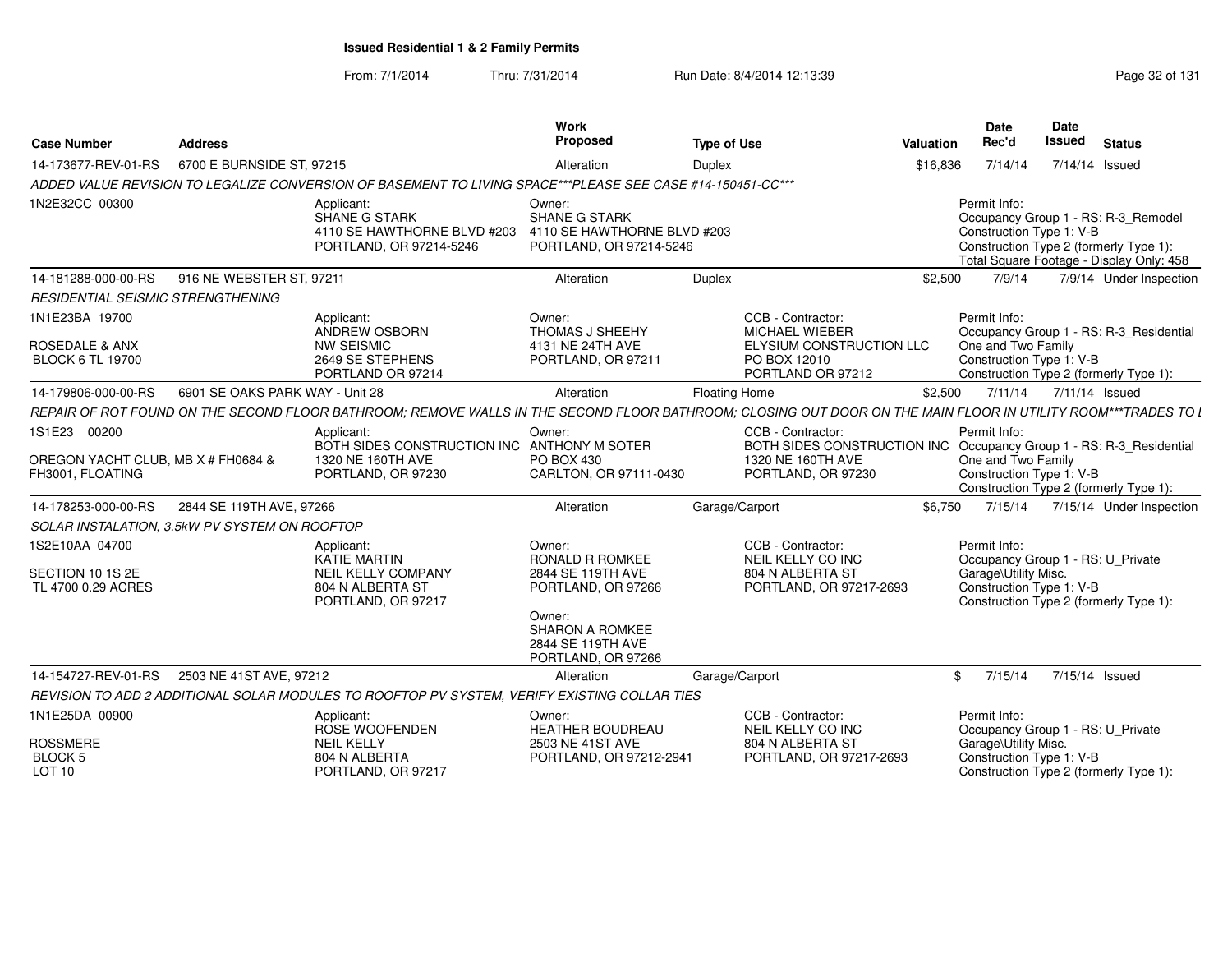From: 7/1/2014Thru: 7/31/2014 Run Date: 8/4/2014 12:13:39 Research 2014 13:14

| <b>Case Number</b>                                                     | <b>Address</b>                  |                                                                                                                                                               | Work<br>Proposed                                                                                                                                           | <b>Type of Use</b>   |                                                                                                             | <b>Valuation</b> | <b>Date</b><br>Rec'd                                             | Date<br>Issued | <b>Status</b>                                                                                                             |  |
|------------------------------------------------------------------------|---------------------------------|---------------------------------------------------------------------------------------------------------------------------------------------------------------|------------------------------------------------------------------------------------------------------------------------------------------------------------|----------------------|-------------------------------------------------------------------------------------------------------------|------------------|------------------------------------------------------------------|----------------|---------------------------------------------------------------------------------------------------------------------------|--|
| 14-173677-REV-01-RS                                                    | 6700 E BURNSIDE ST, 97215       |                                                                                                                                                               | Alteration                                                                                                                                                 | <b>Duplex</b>        |                                                                                                             | \$16,836         | 7/14/14                                                          |                | 7/14/14 Issued                                                                                                            |  |
|                                                                        |                                 | ADDED VALUE REVISION TO LEGALIZE CONVERSION OF BASEMENT TO LIVING SPACE***PLEASE SEE CASE #14-150451-CC***                                                    |                                                                                                                                                            |                      |                                                                                                             |                  |                                                                  |                |                                                                                                                           |  |
| 1N2E32CC 00300                                                         |                                 | Applicant:<br>SHANE G STARK<br>4110 SE HAWTHORNE BLVD #203<br>PORTLAND, OR 97214-5246                                                                         | Owner:<br><b>SHANE G STARK</b><br>4110 SE HAWTHORNE BLVD #203<br>PORTLAND, OR 97214-5246                                                                   |                      |                                                                                                             |                  | Permit Info:<br>Construction Type 1: V-B                         |                | Occupancy Group 1 - RS: R-3 Remodel<br>Construction Type 2 (formerly Type 1):<br>Total Square Footage - Display Only: 458 |  |
| 14-181288-000-00-RS                                                    | 916 NE WEBSTER ST, 97211        |                                                                                                                                                               | Alteration                                                                                                                                                 | Duplex               |                                                                                                             | \$2,500          | 7/9/14                                                           |                | 7/9/14 Under Inspection                                                                                                   |  |
| RESIDENTIAL SEISMIC STRENGTHENING                                      |                                 |                                                                                                                                                               |                                                                                                                                                            |                      |                                                                                                             |                  |                                                                  |                |                                                                                                                           |  |
| 1N1E23BA 19700<br><b>ROSEDALE &amp; ANX</b><br><b>BLOCK 6 TL 19700</b> |                                 | Applicant:<br>ANDREW OSBORN<br><b>NW SEISMIC</b><br>2649 SE STEPHENS<br>PORTLAND OR 97214                                                                     | Owner:<br><b>THOMAS J SHEEHY</b><br>4131 NE 24TH AVE<br>PORTLAND, OR 97211                                                                                 |                      | CCB - Contractor:<br><b>MICHAEL WIEBER</b><br>ELYSIUM CONSTRUCTION LLC<br>PO BOX 12010<br>PORTLAND OR 97212 |                  | Permit Info:<br>One and Two Family<br>Construction Type 1: V-B   |                | Occupancy Group 1 - RS: R-3 Residential<br>Construction Type 2 (formerly Type 1):                                         |  |
| 14-179806-000-00-RS                                                    | 6901 SE OAKS PARK WAY - Unit 28 |                                                                                                                                                               | Alteration                                                                                                                                                 | <b>Floating Home</b> |                                                                                                             | \$2,500          | 7/11/14                                                          |                | 7/11/14 Issued                                                                                                            |  |
|                                                                        |                                 | REPAIR OF ROT FOUND ON THE SECOND FLOOR BATHROOM; REMOVE WALLS IN THE SECOND FLOOR BATHROOM; CLOSING OUT DOOR ON THE MAIN FLOOR IN UTILITY ROOM***TRADES TO L |                                                                                                                                                            |                      |                                                                                                             |                  |                                                                  |                |                                                                                                                           |  |
| 1S1E23 00200                                                           |                                 | Applicant:                                                                                                                                                    | Owner:                                                                                                                                                     |                      | CCB - Contractor:                                                                                           |                  | Permit Info:                                                     |                |                                                                                                                           |  |
| OREGON YACHT CLUB, MB X # FH0684 &<br>FH3001, FLOATING                 |                                 | BOTH SIDES CONSTRUCTION INC ANTHONY M SOTER<br>1320 NE 160TH AVE<br>PORTLAND, OR 97230                                                                        | PO BOX 430<br>CARLTON, OR 97111-0430                                                                                                                       |                      | BOTH SIDES CONSTRUCTION INC<br>1320 NE 160TH AVE<br>PORTLAND, OR 97230                                      |                  | One and Two Family<br>Construction Type 1: V-B                   |                | Occupancy Group 1 - RS: R-3_Residential<br>Construction Type 2 (formerly Type 1):                                         |  |
| 14-178253-000-00-RS                                                    | 2844 SE 119TH AVE, 97266        |                                                                                                                                                               | Alteration                                                                                                                                                 | Garage/Carport       |                                                                                                             | \$6,750          | 7/15/14                                                          |                | 7/15/14 Under Inspection                                                                                                  |  |
| SOLAR INSTALATION, 3.5kW PV SYSTEM ON ROOFTOP                          |                                 |                                                                                                                                                               |                                                                                                                                                            |                      |                                                                                                             |                  |                                                                  |                |                                                                                                                           |  |
| 1S2E10AA 04700<br>SECTION 10 1S 2E<br>TL 4700 0.29 ACRES               |                                 | Applicant:<br>KATIE MARTIN<br><b>NEIL KELLY COMPANY</b><br>804 N ALBERTA ST<br>PORTLAND, OR 97217                                                             | Owner:<br><b>RONALD R ROMKEE</b><br>2844 SE 119TH AVE<br>PORTLAND, OR 97266<br>Owner:<br><b>SHARON A ROMKEE</b><br>2844 SE 119TH AVE<br>PORTLAND, OR 97266 |                      | CCB - Contractor:<br>NEIL KELLY CO INC<br>804 N ALBERTA ST<br>PORTLAND, OR 97217-2693                       |                  | Permit Info:<br>Garage\Utility Misc.<br>Construction Type 1: V-B |                | Occupancy Group 1 - RS: U_Private<br>Construction Type 2 (formerly Type 1):                                               |  |
| 14-154727-REV-01-RS                                                    | 2503 NE 41ST AVE, 97212         |                                                                                                                                                               | Alteration                                                                                                                                                 | Garage/Carport       |                                                                                                             | \$               | 7/15/14                                                          |                | 7/15/14 Issued                                                                                                            |  |
|                                                                        |                                 | REVISION TO ADD 2 ADDITIONAL SOLAR MODULES TO ROOFTOP PV SYSTEM. VERIFY EXISTING COLLAR TIES                                                                  |                                                                                                                                                            |                      |                                                                                                             |                  |                                                                  |                |                                                                                                                           |  |
| 1N1E25DA 00900                                                         |                                 | Applicant:<br>ROSE WOOFENDEN                                                                                                                                  | Owner:<br><b>HEATHER BOUDREAU</b>                                                                                                                          |                      | CCB - Contractor:<br>NEIL KELLY CO INC                                                                      |                  | Permit Info:                                                     |                | Occupancy Group 1 - RS: U_Private                                                                                         |  |
| <b>ROSSMERE</b><br><b>BLOCK 5</b><br>LOT 10                            |                                 | <b>NEIL KELLY</b><br>804 N ALBERTA<br>PORTLAND, OR 97217                                                                                                      | 2503 NE 41ST AVE<br>PORTLAND, OR 97212-2941                                                                                                                |                      | 804 N ALBERTA ST<br>PORTLAND, OR 97217-2693                                                                 |                  | Garage\Utility Misc.<br>Construction Type 1: V-B                 |                | Construction Type 2 (formerly Type 1):                                                                                    |  |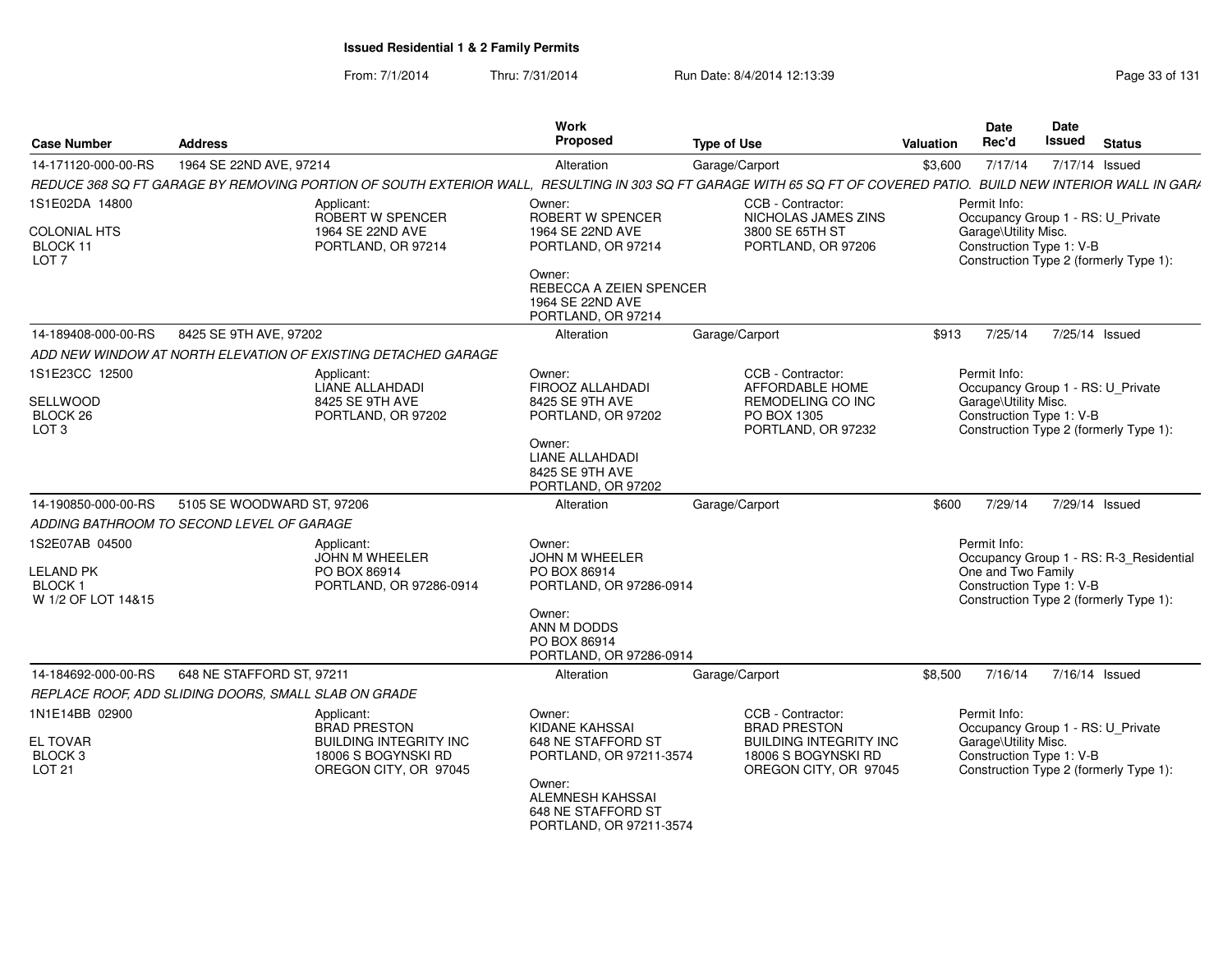From: 7/1/2014Thru: 7/31/2014 Run Date: 8/4/2014 12:13:39 Research 2014 13:14

| <b>Case Number</b>                                           | <b>Address</b>                                                                | Work<br><b>Proposed</b>                                                     | <b>Type of Use</b>                                                            | <b>Valuation</b> | <b>Date</b><br>Rec'd                             | Date<br><b>Issued</b> | <b>Status</b>                           |
|--------------------------------------------------------------|-------------------------------------------------------------------------------|-----------------------------------------------------------------------------|-------------------------------------------------------------------------------|------------------|--------------------------------------------------|-----------------------|-----------------------------------------|
| 14-171120-000-00-RS                                          | 1964 SE 22ND AVE, 97214                                                       | Alteration                                                                  | Garage/Carport                                                                | \$3,600          | 7/17/14                                          |                       | 7/17/14 Issued                          |
|                                                              | REDUCE 368 SQ FT GARAGE BY REMOVING PORTION OF SOUTH EXTERIOR WALL,           |                                                                             | RESULTING IN 303 SQ FT GARAGE WITH 65 SQ FT OF COVERED PATIO.                 |                  |                                                  |                       | <b>BUILD NEW INTERIOR WALL IN GARA</b>  |
| 1S1E02DA 14800                                               | Applicant:<br>ROBERT W SPENCER                                                | Owner:<br>ROBERT W SPENCER                                                  | CCB - Contractor:<br>NICHOLAS JAMES ZINS                                      |                  | Permit Info:                                     |                       | Occupancy Group 1 - RS: U_Private       |
| <b>COLONIAL HTS</b><br>BLOCK 11<br>LOT <sub>7</sub>          | 1964 SE 22ND AVE<br>PORTLAND, OR 97214                                        | 1964 SE 22ND AVE<br>PORTLAND, OR 97214<br>Owner:                            | 3800 SE 65TH ST<br>PORTLAND, OR 97206                                         |                  | Garage\Utility Misc.<br>Construction Type 1: V-B |                       | Construction Type 2 (formerly Type 1):  |
|                                                              |                                                                               | REBECCA A ZEIEN SPENCER<br>1964 SE 22ND AVE<br>PORTLAND, OR 97214           |                                                                               |                  |                                                  |                       |                                         |
| 14-189408-000-00-RS                                          | 8425 SE 9TH AVE, 97202                                                        | Alteration                                                                  | Garage/Carport                                                                | \$913            | 7/25/14                                          |                       | 7/25/14 Issued                          |
|                                                              | ADD NEW WINDOW AT NORTH ELEVATION OF EXISTING DETACHED GARAGE                 |                                                                             |                                                                               |                  |                                                  |                       |                                         |
| 1S1E23CC 12500                                               | Applicant:<br>LIANE ALLAHDADI                                                 | Owner:<br>FIROOZ ALLAHDADI                                                  | CCB - Contractor:<br>AFFORDABLE HOME                                          |                  | Permit Info:                                     |                       | Occupancy Group 1 - RS: U_Private       |
| SELLWOOD<br>BLOCK 26<br>LOT <sub>3</sub>                     | 8425 SE 9TH AVE<br>PORTLAND, OR 97202                                         | 8425 SE 9TH AVE<br>PORTLAND, OR 97202                                       | REMODELING CO INC<br>PO BOX 1305<br>PORTLAND, OR 97232                        |                  | Garage\Utility Misc.<br>Construction Type 1: V-B |                       | Construction Type 2 (formerly Type 1):  |
|                                                              |                                                                               | Owner:<br>LIANE ALLAHDADI<br>8425 SE 9TH AVE<br>PORTLAND, OR 97202          |                                                                               |                  |                                                  |                       |                                         |
| 14-190850-000-00-RS                                          | 5105 SE WOODWARD ST, 97206                                                    | Alteration                                                                  | Garage/Carport                                                                | \$600            | 7/29/14                                          |                       | 7/29/14 Issued                          |
|                                                              | ADDING BATHROOM TO SECOND LEVEL OF GARAGE                                     |                                                                             |                                                                               |                  |                                                  |                       |                                         |
| 1S2E07AB 04500                                               | Applicant:<br><b>JOHN M WHEELER</b>                                           | Owner:<br><b>JOHN M WHEELER</b>                                             |                                                                               |                  | Permit Info:                                     |                       | Occupancy Group 1 - RS: R-3_Residential |
| <b>LELAND PK</b><br>BLOCK <sub>1</sub><br>W 1/2 OF LOT 14&15 | PO BOX 86914<br>PORTLAND, OR 97286-0914                                       | PO BOX 86914<br>PORTLAND, OR 97286-0914                                     |                                                                               |                  | One and Two Family<br>Construction Type 1: V-B   |                       | Construction Type 2 (formerly Type 1):  |
|                                                              |                                                                               | Owner:<br>ANN M DODDS<br>PO BOX 86914<br>PORTLAND, OR 97286-0914            |                                                                               |                  |                                                  |                       |                                         |
| 14-184692-000-00-RS                                          | 648 NE STAFFORD ST, 97211                                                     | Alteration                                                                  | Garage/Carport                                                                | \$8,500          | 7/16/14                                          |                       | 7/16/14 Issued                          |
|                                                              | REPLACE ROOF, ADD SLIDING DOORS, SMALL SLAB ON GRADE                          |                                                                             |                                                                               |                  |                                                  |                       |                                         |
| 1N1E14BB 02900                                               | Applicant:<br><b>BRAD PRESTON</b>                                             | Owner:<br>KIDANE KAHSSAI                                                    | CCB - Contractor:<br><b>BRAD PRESTON</b>                                      |                  | Permit Info:                                     |                       | Occupancy Group 1 - RS: U_Private       |
| <b>EL TOVAR</b><br>BLOCK <sub>3</sub><br><b>LOT 21</b>       | <b>BUILDING INTEGRITY INC</b><br>18006 S BOGYNSKI RD<br>OREGON CITY, OR 97045 | 648 NE STAFFORD ST<br>PORTLAND, OR 97211-3574                               | <b>BUILDING INTEGRITY INC</b><br>18006 S BOGYNSKI RD<br>OREGON CITY, OR 97045 |                  | Garage\Utility Misc.<br>Construction Type 1: V-B |                       | Construction Type 2 (formerly Type 1):  |
|                                                              |                                                                               | Owner:<br>ALEMNESH KAHSSAI<br>648 NE STAFFORD ST<br>PORTLAND, OR 97211-3574 |                                                                               |                  |                                                  |                       |                                         |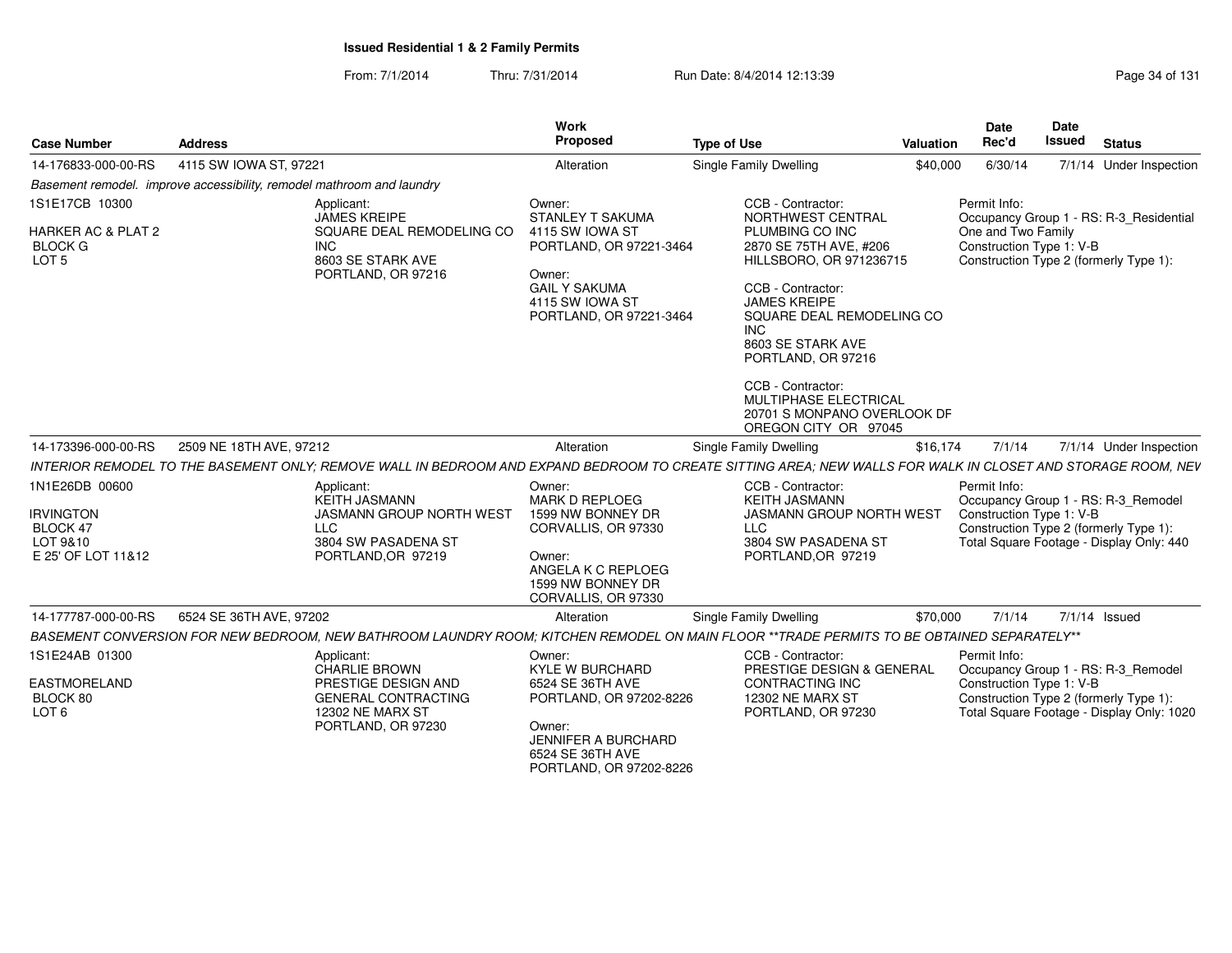From: 7/1/2014Thru: 7/31/2014 Run Date: 8/4/2014 12:13:39 Research 2014 131

| <b>Case Number</b>                                                                    | <b>Address</b>                                                                                                                                              | Work<br>Proposed                                                                                                                                                       | <b>Type of Use</b>                                                                                                                                                                                                                                                                                                                              | Valuation | <b>Date</b><br>Rec'd                                           | Date<br><b>Issued</b> | <b>Status</b>                                                                                                              |
|---------------------------------------------------------------------------------------|-------------------------------------------------------------------------------------------------------------------------------------------------------------|------------------------------------------------------------------------------------------------------------------------------------------------------------------------|-------------------------------------------------------------------------------------------------------------------------------------------------------------------------------------------------------------------------------------------------------------------------------------------------------------------------------------------------|-----------|----------------------------------------------------------------|-----------------------|----------------------------------------------------------------------------------------------------------------------------|
| 14-176833-000-00-RS                                                                   | 4115 SW IOWA ST, 97221                                                                                                                                      | Alteration                                                                                                                                                             | Single Family Dwelling                                                                                                                                                                                                                                                                                                                          | \$40,000  | 6/30/14                                                        |                       | 7/1/14 Under Inspection                                                                                                    |
|                                                                                       | Basement remodel. improve accessibility, remodel mathroom and laundry                                                                                       |                                                                                                                                                                        |                                                                                                                                                                                                                                                                                                                                                 |           |                                                                |                       |                                                                                                                            |
| 1S1E17CB 10300<br><b>HARKER AC &amp; PLAT 2</b><br><b>BLOCK G</b><br>LOT <sub>5</sub> | Applicant:<br><b>JAMES KREIPE</b><br>SQUARE DEAL REMODELING CO<br>INC.<br>8603 SE STARK AVE<br>PORTLAND, OR 97216                                           | Owner:<br>STANLEY T SAKUMA<br>4115 SW IOWA ST<br>PORTLAND, OR 97221-3464<br>Owner:<br><b>GAIL Y SAKUMA</b><br>4115 SW IOWA ST<br>PORTLAND, OR 97221-3464               | CCB - Contractor:<br>NORTHWEST CENTRAL<br>PLUMBING CO INC<br>2870 SE 75TH AVE. #206<br>HILLSBORO, OR 971236715<br>CCB - Contractor:<br><b>JAMES KREIPE</b><br>SQUARE DEAL REMODELING CO<br>INC.<br>8603 SE STARK AVE<br>PORTLAND, OR 97216<br>CCB - Contractor:<br>MULTIPHASE ELECTRICAL<br>20701 S MONPANO OVERLOOK DF<br>OREGON CITY OR 97045 |           | Permit Info:<br>One and Two Family<br>Construction Type 1: V-B |                       | Occupancy Group 1 - RS: R-3_Residential<br>Construction Type 2 (formerly Type 1):                                          |
| 14-173396-000-00-RS                                                                   | 2509 NE 18TH AVE, 97212                                                                                                                                     | Alteration                                                                                                                                                             | Single Family Dwelling                                                                                                                                                                                                                                                                                                                          | \$16,174  | 7/1/14                                                         |                       | 7/1/14 Under Inspection                                                                                                    |
|                                                                                       | INTERIOR REMODEL TO THE BASEMENT ONLY: REMOVE WALL IN BEDROOM AND EXPAND BEDROOM TO CREATE SITTING AREA: NEW WALLS FOR WALK IN CLOSET AND STORAGE ROOM, NEV |                                                                                                                                                                        |                                                                                                                                                                                                                                                                                                                                                 |           |                                                                |                       |                                                                                                                            |
| 1N1E26DB 00600<br><b>IRVINGTON</b><br>BLOCK 47<br>LOT 9&10<br>E 25' OF LOT 11&12      | Applicant:<br>KEITH JASMANN<br>JASMANN GROUP NORTH WEST<br><b>LLC</b><br>3804 SW PASADENA ST<br>PORTLAND, OR 97219                                          | Owner:<br>MARK D REPLOEG<br>1599 NW BONNEY DR<br>CORVALLIS, OR 97330<br>Owner:<br>ANGELA K C REPLOEG<br>1599 NW BONNEY DR<br>CORVALLIS, OR 97330                       | CCB - Contractor:<br><b>KEITH JASMANN</b><br><b>JASMANN GROUP NORTH WEST</b><br><b>LLC</b><br>3804 SW PASADENA ST<br>PORTLAND, OR 97219                                                                                                                                                                                                         |           | Permit Info:<br>Construction Type 1: V-B                       |                       | Occupancy Group 1 - RS: R-3_Remodel<br>Construction Type 2 (formerly Type 1):<br>Total Square Footage - Display Only: 440  |
| 14-177787-000-00-RS                                                                   | 6524 SE 36TH AVE, 97202                                                                                                                                     | Alteration                                                                                                                                                             | <b>Single Family Dwelling</b>                                                                                                                                                                                                                                                                                                                   | \$70,000  | 7/1/14                                                         |                       | 7/1/14 Issued                                                                                                              |
|                                                                                       | BASEMENT CONVERSION FOR NEW BEDROOM. NEW BATHROOM LAUNDRY ROOM: KITCHEN REMODEL ON MAIN FLOOR **TRADE PERMITS TO BE OBTAINED SEPARATELY**                   |                                                                                                                                                                        |                                                                                                                                                                                                                                                                                                                                                 |           |                                                                |                       |                                                                                                                            |
| 1S1E24AB 01300<br><b>EASTMORELAND</b><br>BLOCK 80<br>LOT <sub>6</sub>                 | Applicant:<br><b>CHARLIE BROWN</b><br>PRESTIGE DESIGN AND<br><b>GENERAL CONTRACTING</b><br><b>12302 NE MARX ST</b><br>PORTLAND, OR 97230                    | Owner:<br><b>KYLE W BURCHARD</b><br>6524 SE 36TH AVE<br>PORTLAND, OR 97202-8226<br>Owner:<br><b>JENNIFER A BURCHARD</b><br>6524 SE 36TH AVE<br>PORTLAND, OR 97202-8226 | CCB - Contractor:<br>PRESTIGE DESIGN & GENERAL<br><b>CONTRACTING INC</b><br><b>12302 NE MARX ST</b><br>PORTLAND, OR 97230                                                                                                                                                                                                                       |           | Permit Info:<br>Construction Type 1: V-B                       |                       | Occupancy Group 1 - RS: R-3_Remodel<br>Construction Type 2 (formerly Type 1):<br>Total Square Footage - Display Only: 1020 |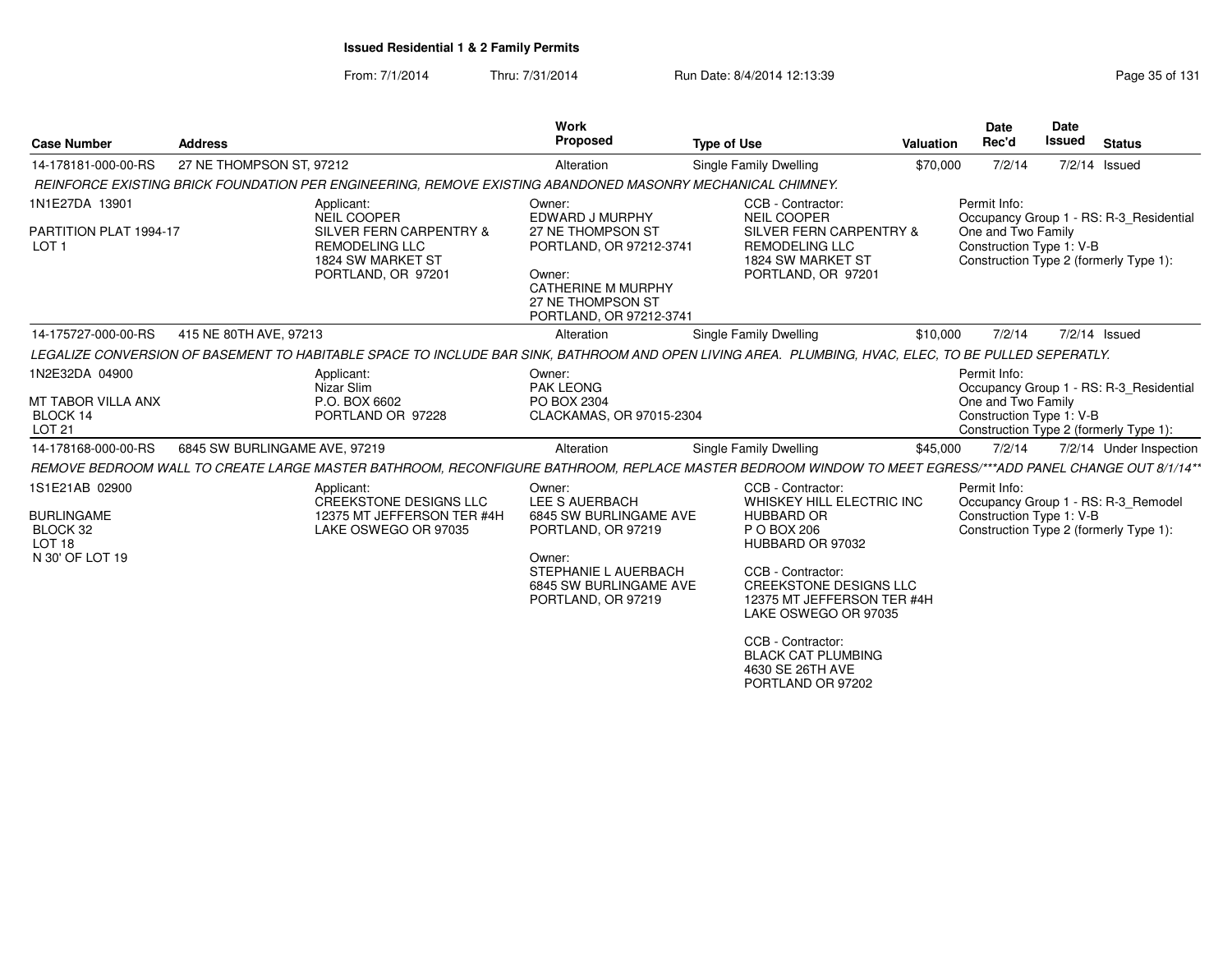From: 7/1/2014Thru: 7/31/2014 Run Date: 8/4/2014 12:13:39 Research 2010 Rage 35 of 131

| <b>Case Number</b>                                 | <b>Address</b>                |                                                                                                                                                          | Work<br><b>Proposed</b>                                                             | <b>Type of Use</b>                                                                                | Valuation                                                          | <b>Date</b><br>Rec'd                                                                     | Date<br><b>Issued</b> | <b>Status</b>                           |  |
|----------------------------------------------------|-------------------------------|----------------------------------------------------------------------------------------------------------------------------------------------------------|-------------------------------------------------------------------------------------|---------------------------------------------------------------------------------------------------|--------------------------------------------------------------------|------------------------------------------------------------------------------------------|-----------------------|-----------------------------------------|--|
| 14-178181-000-00-RS                                | 27 NE THOMPSON ST, 97212      |                                                                                                                                                          | Alteration                                                                          | Single Family Dwelling                                                                            | \$70,000                                                           | 7/2/14                                                                                   |                       | $7/2/14$ Issued                         |  |
|                                                    |                               | REINFORCE EXISTING BRICK FOUNDATION PER ENGINEERING, REMOVE EXISTING ABANDONED MASONRY MECHANICAL CHIMNEY.                                               |                                                                                     |                                                                                                   |                                                                    |                                                                                          |                       |                                         |  |
| 1N1E27DA 13901                                     |                               | Applicant:<br>NEIL COOPER                                                                                                                                | Owner:<br>EDWARD J MURPHY                                                           | CCB - Contractor:<br><b>NEIL COOPER</b>                                                           |                                                                    | Permit Info:                                                                             |                       | Occupancy Group 1 - RS: R-3_Residential |  |
| PARTITION PLAT 1994-17<br>LOT <sub>1</sub>         |                               | <b>SILVER FERN CARPENTRY &amp;</b><br><b>REMODELING LLC</b><br>1824 SW MARKET ST                                                                         | 27 NE THOMPSON ST<br>PORTLAND, OR 97212-3741                                        | SILVER FERN CARPENTRY &<br><b>REMODELING LLC</b><br>1824 SW MARKET ST                             |                                                                    | One and Two Family<br>Construction Type 1: V-B<br>Construction Type 2 (formerly Type 1): |                       |                                         |  |
|                                                    |                               | PORTLAND, OR 97201                                                                                                                                       | Owner:<br><b>CATHERINE M MURPHY</b><br>27 NE THOMPSON ST<br>PORTLAND, OR 97212-3741 | PORTLAND, OR 97201                                                                                |                                                                    |                                                                                          |                       |                                         |  |
| 14-175727-000-00-RS                                | 415 NE 80TH AVE, 97213        |                                                                                                                                                          | Alteration                                                                          | <b>Single Family Dwelling</b>                                                                     | \$10,000                                                           | 7/2/14                                                                                   |                       | $7/2/14$ Issued                         |  |
|                                                    |                               | LEGALIZE CONVERSION OF BASEMENT TO HABITABLE SPACE TO INCLUDE BAR SINK, BATHROOM AND OPEN LIVING AREA. PLUMBING, HVAC, ELEC, TO BE PULLED SEPERATLY.     |                                                                                     |                                                                                                   |                                                                    |                                                                                          |                       |                                         |  |
| 1N2E32DA 04900                                     |                               | Applicant:<br>Nizar Slim                                                                                                                                 | Owner:<br><b>PAK LEONG</b>                                                          |                                                                                                   |                                                                    | Permit Info:                                                                             |                       | Occupancy Group 1 - RS: R-3 Residential |  |
| MT TABOR VILLA ANX<br>BLOCK 14<br>LOT 21           |                               | P.O. BOX 6602<br>PORTLAND OR 97228                                                                                                                       | PO BOX 2304<br>CLACKAMAS, OR 97015-2304                                             | One and Two Family                                                                                | Construction Type 1: V-B<br>Construction Type 2 (formerly Type 1): |                                                                                          |                       |                                         |  |
| 14-178168-000-00-RS                                | 6845 SW BURLINGAME AVE, 97219 |                                                                                                                                                          | Alteration                                                                          | Single Family Dwelling                                                                            | \$45,000                                                           | 7/2/14                                                                                   |                       | 7/2/14 Under Inspection                 |  |
|                                                    |                               | REMOVE BEDROOM WALL TO CREATE LARGE MASTER BATHROOM. RECONFIGURE BATHROOM, REPLACE MASTER BEDROOM WINDOW TO MEET EGRESS/***ADD PANEL CHANGE OUT 8/1/14** |                                                                                     |                                                                                                   |                                                                    |                                                                                          |                       |                                         |  |
| 1S1E21AB 02900                                     |                               | Applicant:<br><b>CREEKSTONE DESIGNS LLC</b>                                                                                                              | Owner:<br>LEE S AUERBACH                                                            | CCB - Contractor:<br>WHISKEY HILL ELECTRIC INC                                                    |                                                                    | Permit Info:<br>Occupancy Group 1 - RS: R-3_Remodel                                      |                       |                                         |  |
| <b>BURLINGAME</b><br>BLOCK 32<br>LOT <sub>18</sub> |                               | 12375 MT JEFFERSON TER #4H<br>LAKE OSWEGO OR 97035                                                                                                       | 6845 SW BURLINGAME AVE<br>PORTLAND, OR 97219                                        | <b>HUBBARD OR</b><br>P O BOX 206<br>HUBBARD OR 97032                                              |                                                                    | Construction Type 1: V-B<br>Construction Type 2 (formerly Type 1):                       |                       |                                         |  |
| N 30' OF LOT 19                                    |                               |                                                                                                                                                          | Owner:<br>STEPHANIE L AUERBACH<br>6845 SW BURLINGAME AVE<br>PORTLAND, OR 97219      | CCB - Contractor:<br>CREEKSTONE DESIGNS LLC<br>12375 MT JEFFERSON TER #4H<br>LAKE OSWEGO OR 97035 |                                                                    |                                                                                          |                       |                                         |  |
|                                                    |                               |                                                                                                                                                          |                                                                                     | CCB - Contractor:<br><b>BLACK CAT PLUMBING</b><br>4630 SE 26TH AVE<br>PORTLAND OR 97202           |                                                                    |                                                                                          |                       |                                         |  |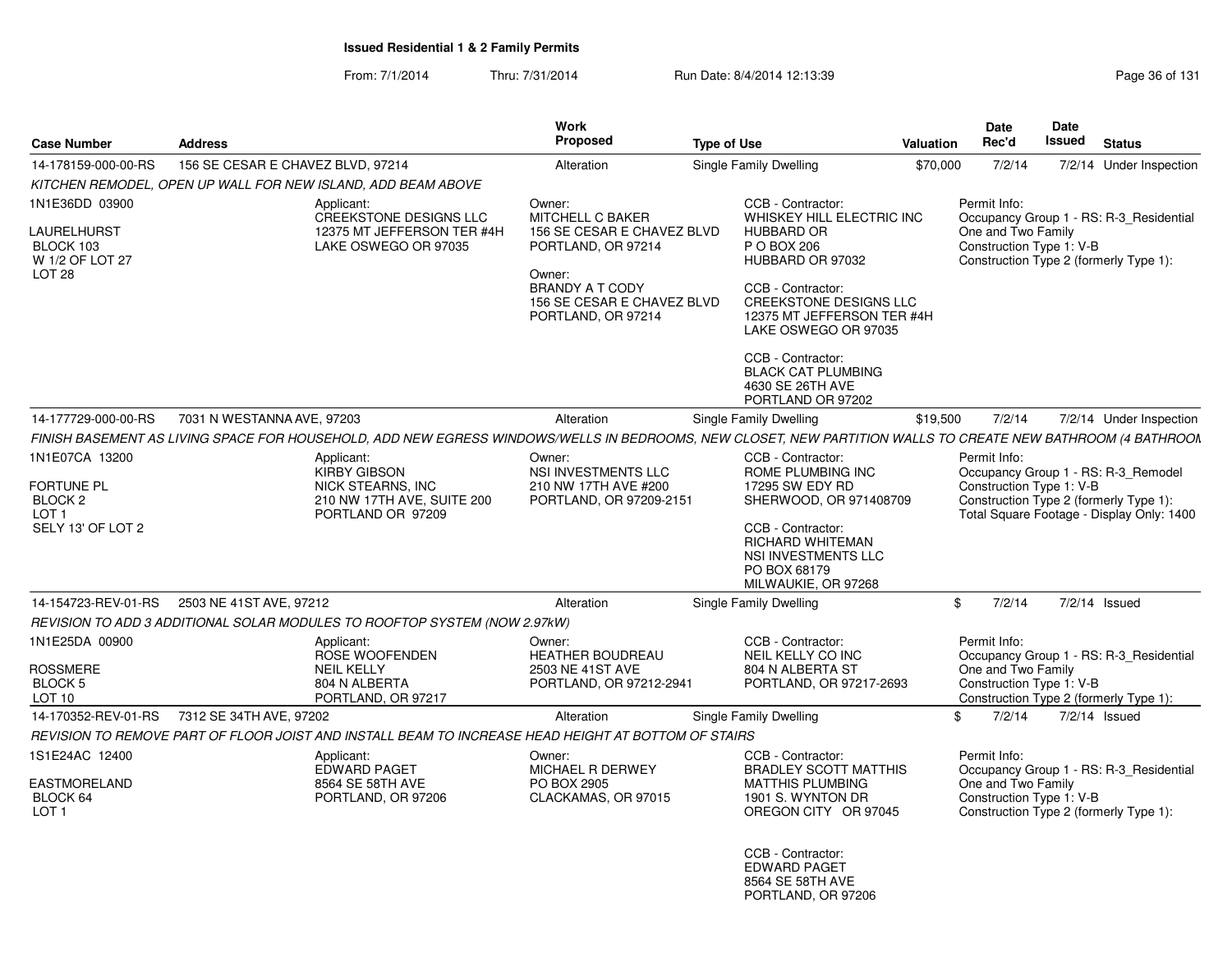From: 7/1/2014Thru: 7/31/2014 **Run Date: 8/4/2014 12:13:39 Run Page 36 of 131** 

|                                                             |                                                                                                                                                             | Work                                                                                                       |                                                                                         |                                                   | <b>Date</b>                                                                                                                                            | Date                                                          |                                         |
|-------------------------------------------------------------|-------------------------------------------------------------------------------------------------------------------------------------------------------------|------------------------------------------------------------------------------------------------------------|-----------------------------------------------------------------------------------------|---------------------------------------------------|--------------------------------------------------------------------------------------------------------------------------------------------------------|---------------------------------------------------------------|-----------------------------------------|
| <b>Case Number</b>                                          | <b>Address</b>                                                                                                                                              | Proposed                                                                                                   | <b>Type of Use</b>                                                                      | Valuation                                         | Rec'd                                                                                                                                                  | <b>Issued</b>                                                 | <b>Status</b>                           |
| 14-178159-000-00-RS                                         | 156 SE CESAR E CHAVEZ BLVD, 97214                                                                                                                           | Alteration                                                                                                 | <b>Single Family Dwelling</b>                                                           | \$70,000                                          | 7/2/14                                                                                                                                                 |                                                               | 7/2/14 Under Inspection                 |
|                                                             | KITCHEN REMODEL. OPEN UP WALL FOR NEW ISLAND. ADD BEAM ABOVE                                                                                                |                                                                                                            |                                                                                         |                                                   |                                                                                                                                                        |                                                               |                                         |
| 1N1E36DD 03900<br>LAURELHURST                               | Applicant:<br><b>CREEKSTONE DESIGNS LLC</b><br>12375 MT JEFFERSON TER #4H                                                                                   | Owner:<br>MITCHELL C BAKER<br>156 SE CESAR E CHAVEZ BLVD                                                   | CCB - Contractor:<br>WHISKEY HILL ELECTRIC INC<br><b>HUBBARD OR</b>                     |                                                   | Permit Info:                                                                                                                                           | Occupancy Group 1 - RS: R-3 Residential<br>One and Two Family |                                         |
| BLOCK 103<br>W 1/2 OF LOT 27<br>LOT <sub>28</sub>           | LAKE OSWEGO OR 97035                                                                                                                                        | PORTLAND, OR 97214<br>Owner:<br><b>BRANDY A T CODY</b><br>156 SE CESAR E CHAVEZ BLVD                       | P O BOX 206<br>HUBBARD OR 97032<br>CCB - Contractor:<br><b>CREEKSTONE DESIGNS LLC</b>   |                                                   | Construction Type 1: V-B<br>Construction Type 2 (formerly Type 1):                                                                                     |                                                               |                                         |
|                                                             |                                                                                                                                                             | PORTLAND, OR 97214                                                                                         | 12375 MT JEFFERSON TER #4H<br>LAKE OSWEGO OR 97035                                      |                                                   |                                                                                                                                                        |                                                               |                                         |
|                                                             |                                                                                                                                                             |                                                                                                            | CCB - Contractor:<br><b>BLACK CAT PLUMBING</b><br>4630 SE 26TH AVE<br>PORTLAND OR 97202 |                                                   |                                                                                                                                                        |                                                               |                                         |
| 14-177729-000-00-RS                                         | 7031 N WESTANNA AVE, 97203                                                                                                                                  | Alteration                                                                                                 | Single Family Dwelling                                                                  | \$19,500                                          | 7/2/14                                                                                                                                                 |                                                               | 7/2/14 Under Inspection                 |
|                                                             | FINISH BASEMENT AS LIVING SPACE FOR HOUSEHOLD, ADD NEW EGRESS WINDOWS/WELLS IN BEDROOMS, NEW CLOSET, NEW PARTITION WALLS TO CREATE NEW BATHROOM (4 BATHROON |                                                                                                            |                                                                                         |                                                   |                                                                                                                                                        |                                                               |                                         |
| 1N1E07CA 13200                                              | Applicant:                                                                                                                                                  | Owner:                                                                                                     | CCB - Contractor:                                                                       |                                                   | Permit Info:                                                                                                                                           |                                                               |                                         |
| <b>FORTUNE PL</b><br>BLOCK <sub>2</sub><br>LOT <sub>1</sub> | <b>KIRBY GIBSON</b><br><b>NICK STEARNS, INC</b><br>210 NW 17TH AVE, SUITE 200<br>PORTLAND OR 97209                                                          | NSI INVESTMENTS LLC<br>210 NW 17TH AVE #200<br>PORTLAND, OR 97209-2151                                     | ROME PLUMBING INC<br>17295 SW EDY RD<br>SHERWOOD, OR 971408709                          |                                                   | Occupancy Group 1 - RS: R-3_Remodel<br>Construction Type 1: V-B<br>Construction Type 2 (formerly Type 1):<br>Total Square Footage - Display Only: 1400 |                                                               |                                         |
| SELY 13' OF LOT 2                                           |                                                                                                                                                             | CCB - Contractor:<br><b>RICHARD WHITEMAN</b><br>NSI INVESTMENTS LLC<br>PO BOX 68179<br>MILWAUKIE, OR 97268 |                                                                                         |                                                   |                                                                                                                                                        |                                                               |                                         |
| 14-154723-REV-01-RS                                         | 2503 NE 41ST AVE, 97212                                                                                                                                     | Alteration                                                                                                 | Single Family Dwelling                                                                  | $\mathbb{S}$                                      | 7/2/14                                                                                                                                                 |                                                               | 7/2/14 Issued                           |
|                                                             | REVISION TO ADD 3 ADDITIONAL SOLAR MODULES TO ROOFTOP SYSTEM (NOW 2.97kW)                                                                                   |                                                                                                            |                                                                                         |                                                   |                                                                                                                                                        |                                                               |                                         |
| 1N1E25DA 00900                                              | Applicant:<br>ROSE WOOFENDEN                                                                                                                                | Owner:<br><b>HEATHER BOUDREAU</b>                                                                          | CCB - Contractor:<br><b>NEIL KELLY CO INC</b>                                           |                                                   | Permit Info:                                                                                                                                           |                                                               | Occupancy Group 1 - RS: R-3 Residential |
| <b>ROSSMERE</b><br><b>BLOCK 5</b><br>LOT 10                 | <b>NEIL KELLY</b><br>804 N ALBERTA<br>PORTLAND, OR 97217                                                                                                    | 2503 NE 41ST AVE<br>PORTLAND, OR 97212-2941                                                                | 804 N ALBERTA ST<br>PORTLAND, OR 97217-2693                                             |                                                   | One and Two Family<br>Construction Type 1: V-B                                                                                                         |                                                               | Construction Type 2 (formerly Type 1):  |
|                                                             | 14-170352-REV-01-RS 7312 SE 34TH AVE, 97202                                                                                                                 | Alteration                                                                                                 | Single Family Dwelling                                                                  | \$.                                               | 7/2/14                                                                                                                                                 |                                                               | 7/2/14 Issued                           |
|                                                             | REVISION TO REMOVE PART OF FLOOR JOIST AND INSTALL BEAM TO INCREASE HEAD HEIGHT AT BOTTOM OF STAIRS                                                         |                                                                                                            |                                                                                         |                                                   |                                                                                                                                                        |                                                               |                                         |
| 1S1E24AC 12400                                              | Applicant:<br><b>EDWARD PAGET</b>                                                                                                                           | Owner:<br>MICHAEL R DERWEY                                                                                 |                                                                                         | CCB - Contractor:<br><b>BRADLEY SCOTT MATTHIS</b> | Permit Info:                                                                                                                                           |                                                               | Occupancy Group 1 - RS: R-3 Residential |
| <b>EASTMORELAND</b><br>BLOCK 64<br>LOT <sub>1</sub>         | 8564 SE 58TH AVE<br>PORTLAND, OR 97206                                                                                                                      | PO BOX 2905<br>CLACKAMAS, OR 97015                                                                         | <b>MATTHIS PLUMBING</b><br>1901 S. WYNTON DR<br>OREGON CITY OR 97045                    |                                                   | One and Two Family<br>Construction Type 1: V-B<br>Construction Type 2 (formerly Type 1):                                                               |                                                               |                                         |
|                                                             |                                                                                                                                                             |                                                                                                            | CCB - Contractor:                                                                       |                                                   |                                                                                                                                                        |                                                               |                                         |

 EDWARD PAGET 8564 SE 58TH AVEPORTLAND, OR 97206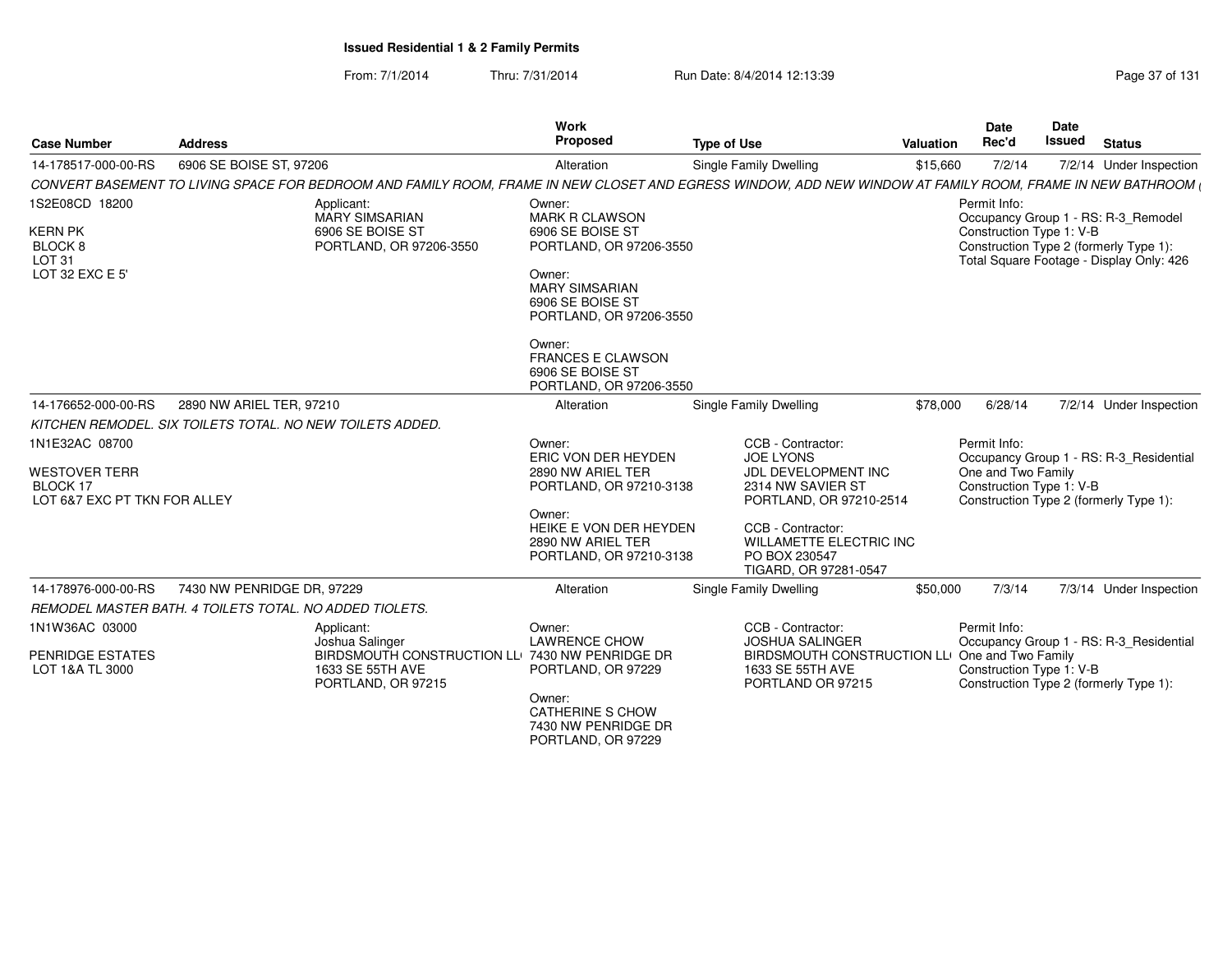From: 7/1/2014Thru: 7/31/2014 Run Date: 8/4/2014 12:13:39 Rege 37 of 131

| <b>Case Number</b>                                                                  | <b>Address</b>                                                                                                                                              | Work<br><b>Proposed</b>                                                                                                                                                                                                                        | <b>Type of Use</b><br>Valuation                                                                                                                                                                               | <b>Date</b><br>Rec'd                                           | <b>Date</b><br><b>Issued</b> | <b>Status</b>                                                                                                             |
|-------------------------------------------------------------------------------------|-------------------------------------------------------------------------------------------------------------------------------------------------------------|------------------------------------------------------------------------------------------------------------------------------------------------------------------------------------------------------------------------------------------------|---------------------------------------------------------------------------------------------------------------------------------------------------------------------------------------------------------------|----------------------------------------------------------------|------------------------------|---------------------------------------------------------------------------------------------------------------------------|
| 14-178517-000-00-RS                                                                 | 6906 SE BOISE ST, 97206                                                                                                                                     | Alteration                                                                                                                                                                                                                                     | Single Family Dwelling<br>\$15,660                                                                                                                                                                            | 7/2/14                                                         |                              | 7/2/14 Under Inspection                                                                                                   |
|                                                                                     | CONVERT BASEMENT TO LIVING SPACE FOR BEDROOM AND FAMILY ROOM. FRAME IN NEW CLOSET AND EGRESS WINDOW, ADD NEW WINDOW AT FAMILY ROOM, FRAME IN NEW BATHROOM ( |                                                                                                                                                                                                                                                |                                                                                                                                                                                                               |                                                                |                              |                                                                                                                           |
| 1S2E08CD 18200<br><b>KERN PK</b><br>BLOCK 8<br>LOT <sub>31</sub><br>LOT 32 EXC E 5' | Applicant:<br><b>MARY SIMSARIAN</b><br>6906 SE BOISE ST<br>PORTLAND, OR 97206-3550                                                                          | Owner:<br>MARK R CLAWSON<br>6906 SE BOISE ST<br>PORTLAND, OR 97206-3550<br>Owner:<br><b>MARY SIMSARIAN</b><br>6906 SE BOISE ST<br>PORTLAND, OR 97206-3550<br>Owner:<br><b>FRANCES E CLAWSON</b><br>6906 SE BOISE ST<br>PORTLAND, OR 97206-3550 |                                                                                                                                                                                                               | Permit Info:<br>Construction Type 1: V-B                       |                              | Occupancy Group 1 - RS: R-3_Remodel<br>Construction Type 2 (formerly Type 1):<br>Total Square Footage - Display Only: 426 |
| 14-176652-000-00-RS                                                                 | 2890 NW ARIEL TER, 97210                                                                                                                                    | Alteration                                                                                                                                                                                                                                     | Single Family Dwelling<br>\$78,000                                                                                                                                                                            | 6/28/14                                                        |                              | 7/2/14 Under Inspection                                                                                                   |
|                                                                                     | KITCHEN REMODEL. SIX TOILETS TOTAL. NO NEW TOILETS ADDED.                                                                                                   |                                                                                                                                                                                                                                                |                                                                                                                                                                                                               |                                                                |                              |                                                                                                                           |
| 1N1E32AC 08700<br><b>WESTOVER TERR</b><br>BLOCK 17<br>LOT 6&7 EXC PT TKN FOR ALLEY  |                                                                                                                                                             | Owner:<br>ERIC VON DER HEYDEN<br>2890 NW ARIEL TER<br>PORTLAND, OR 97210-3138<br>Owner:<br>HEIKE E VON DER HEYDEN<br>2890 NW ARIEL TER<br>PORTLAND, OR 97210-3138                                                                              | CCB - Contractor:<br><b>JOE LYONS</b><br>JDL DEVELOPMENT INC<br>2314 NW SAVIER ST<br>PORTLAND, OR 97210-2514<br>CCB - Contractor:<br><b>WILLAMETTE ELECTRIC INC</b><br>PO BOX 230547<br>TIGARD, OR 97281-0547 | Permit Info:<br>One and Two Family<br>Construction Type 1: V-B |                              | Occupancy Group 1 - RS: R-3 Residential<br>Construction Type 2 (formerly Type 1):                                         |
| 14-178976-000-00-RS                                                                 | 7430 NW PENRIDGE DR, 97229                                                                                                                                  | Alteration                                                                                                                                                                                                                                     | Single Family Dwelling<br>\$50,000                                                                                                                                                                            | 7/3/14                                                         |                              | 7/3/14 Under Inspection                                                                                                   |
|                                                                                     | REMODEL MASTER BATH. 4 TOILETS TOTAL. NO ADDED TIOLETS.                                                                                                     |                                                                                                                                                                                                                                                |                                                                                                                                                                                                               |                                                                |                              |                                                                                                                           |
| 1N1W36AC 03000<br>PENRIDGE ESTATES<br>LOT 1&A TL 3000                               | Applicant:<br>Joshua Salinger<br>1633 SE 55TH AVE<br>PORTLAND, OR 97215                                                                                     | Owner:<br><b>LAWRENCE CHOW</b><br>BIRDSMOUTH CONSTRUCTION LL 7430 NW PENRIDGE DR<br>PORTLAND, OR 97229<br>Owner:<br><b>CATHERINE S CHOW</b><br>7430 NW PENRIDGE DR<br>PORTLAND, OR 97229                                                       | CCB - Contractor:<br><b>JOSHUA SALINGER</b><br>BIRDSMOUTH CONSTRUCTION LLI One and Two Family<br>1633 SE 55TH AVE<br>PORTLAND OR 97215                                                                        | Permit Info:<br>Construction Type 1: V-B                       |                              | Occupancy Group 1 - RS: R-3_Residential<br>Construction Type 2 (formerly Type 1):                                         |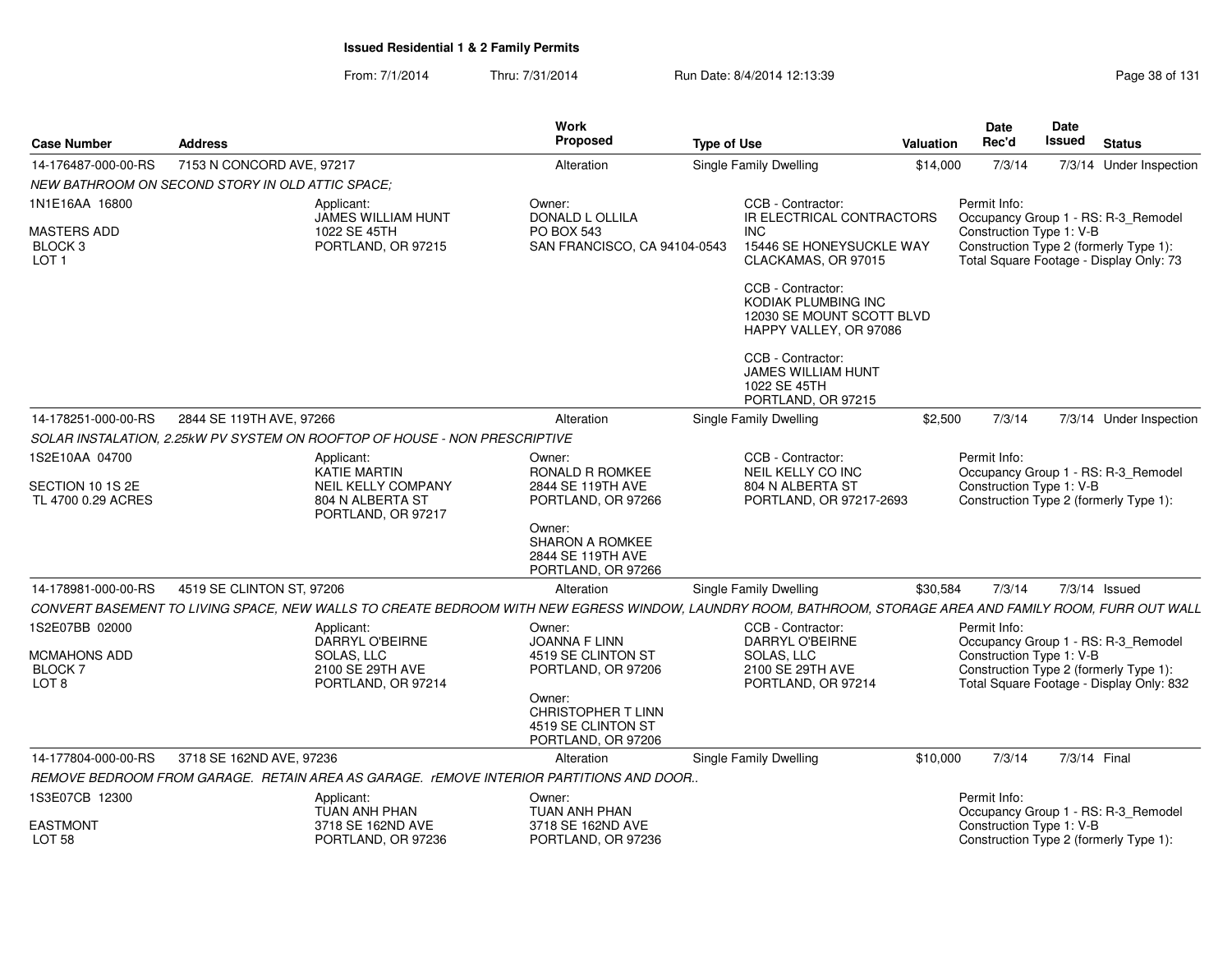From: 7/1/2014Thru: 7/31/2014 Run Date: 8/4/2014 12:13:39 Research 2010 Rage 38 of 131

| 7153 N CONCORD AVE, 97217<br><b>Single Family Dwelling</b><br>7/3/14 Under Inspection<br>Alteration<br>\$14,000<br>7/3/14<br>NEW BATHROOM ON SECOND STORY IN OLD ATTIC SPACE;<br>CCB - Contractor:<br>Owner:<br>Permit Info:<br>Applicant:<br><b>JAMES WILLIAM HUNT</b><br><b>DONALD L OLLILA</b><br>IR ELECTRICAL CONTRACTORS<br>Occupancy Group 1 - RS: R-3_Remodel<br><b>PO BOX 543</b><br>Construction Type 1: V-B<br>1022 SE 45TH<br><b>INC</b><br>Construction Type 2 (formerly Type 1):<br>BLOCK 3<br>PORTLAND, OR 97215<br>SAN FRANCISCO, CA 94104-0543<br>15446 SE HONEYSUCKLE WAY<br>Total Square Footage - Display Only: 73<br>CLACKAMAS, OR 97015<br>CCB - Contractor:<br>KODIAK PLUMBING INC<br>12030 SE MOUNT SCOTT BLVD<br>HAPPY VALLEY, OR 97086<br>CCB - Contractor:<br>JAMES WILLIAM HUNT<br>1022 SE 45TH<br>PORTLAND, OR 97215<br>2844 SE 119TH AVE, 97266<br>7/3/14<br>7/3/14 Under Inspection<br>Single Family Dwelling<br>\$2,500<br>Alteration<br>SOLAR INSTALATION, 2.25kW PV SYSTEM ON ROOFTOP OF HOUSE - NON PRESCRIPTIVE<br>CCB - Contractor:<br>Permit Info:<br>Applicant:<br>Owner:<br><b>KATIE MARTIN</b><br>RONALD R ROMKEE<br>NEIL KELLY CO INC<br>Occupancy Group 1 - RS: R-3_Remodel<br><b>NEIL KELLY COMPANY</b><br>2844 SE 119TH AVE<br>804 N ALBERTA ST<br>Construction Type 1: V-B<br>804 N ALBERTA ST<br>PORTLAND, OR 97217-2693<br>Construction Type 2 (formerly Type 1):<br>PORTLAND, OR 97266<br>PORTLAND, OR 97217<br>Owner:<br>SHARON A ROMKEE<br>2844 SE 119TH AVE<br>PORTLAND, OR 97266<br>4519 SE CLINTON ST, 97206<br>Single Family Dwelling<br>7/3/14 Issued<br>\$30,584<br>7/3/14<br>Alteration<br>CONVERT BASEMENT TO LIVING SPACE, NEW WALLS TO CREATE BEDROOM WITH NEW EGRESS WINDOW, LAUNDRY ROOM, BATHROOM, STORAGE AREA AND FAMILY ROOM, FURR OUT WALL<br>Owner:<br>CCB - Contractor:<br>Permit Info:<br>Applicant:<br>DARRYL O'BEIRNE<br>JOANNA F LINN<br>DARRYL O'BEIRNE<br>Occupancy Group 1 - RS: R-3_Remodel<br>Construction Type 1: V-B<br>4519 SE CLINTON ST<br><b>MCMAHONS ADD</b><br>SOLAS, LLC<br>SOLAS, LLC<br>Construction Type 2 (formerly Type 1):<br>2100 SE 29TH AVE<br>PORTLAND, OR 97206<br>2100 SE 29TH AVE<br>Total Square Footage - Display Only: 832<br>PORTLAND, OR 97214<br>PORTLAND, OR 97214<br>Owner:<br><b>CHRISTOPHER T LINN</b><br>4519 SE CLINTON ST<br>PORTLAND, OR 97206<br><b>Single Family Dwelling</b><br>7/3/14<br>7/3/14 Final<br>3718 SE 162ND AVE, 97236<br>Alteration<br>\$10,000<br>REMOVE BEDROOM FROM GARAGE. RETAIN AREA AS GARAGE. rEMOVE INTERIOR PARTITIONS AND DOOR<br>Permit Info:<br>Applicant:<br>Owner:<br>TUAN ANH PHAN<br>TUAN ANH PHAN<br>Occupancy Group 1 - RS: R-3_Remodel<br>Construction Type 1: V-B<br>3718 SE 162ND AVE<br>3718 SE 162ND AVE<br>Construction Type 2 (formerly Type 1):<br>PORTLAND, OR 97236<br>PORTLAND, OR 97236 | <b>Case Number</b>                     | <b>Address</b> | Work<br>Proposed | <b>Type of Use</b> | <b>Valuation</b> | <b>Date</b><br>Rec'd | Date<br>Issued | <b>Status</b> |
|-----------------------------------------------------------------------------------------------------------------------------------------------------------------------------------------------------------------------------------------------------------------------------------------------------------------------------------------------------------------------------------------------------------------------------------------------------------------------------------------------------------------------------------------------------------------------------------------------------------------------------------------------------------------------------------------------------------------------------------------------------------------------------------------------------------------------------------------------------------------------------------------------------------------------------------------------------------------------------------------------------------------------------------------------------------------------------------------------------------------------------------------------------------------------------------------------------------------------------------------------------------------------------------------------------------------------------------------------------------------------------------------------------------------------------------------------------------------------------------------------------------------------------------------------------------------------------------------------------------------------------------------------------------------------------------------------------------------------------------------------------------------------------------------------------------------------------------------------------------------------------------------------------------------------------------------------------------------------------------------------------------------------------------------------------------------------------------------------------------------------------------------------------------------------------------------------------------------------------------------------------------------------------------------------------------------------------------------------------------------------------------------------------------------------------------------------------------------------------------------------------------------------------------------------------------------------------------------------------------------------------------------------------------------------------------------------------------------------------------------------------------------------------------------------------------------------------------------------------------|----------------------------------------|----------------|------------------|--------------------|------------------|----------------------|----------------|---------------|
|                                                                                                                                                                                                                                                                                                                                                                                                                                                                                                                                                                                                                                                                                                                                                                                                                                                                                                                                                                                                                                                                                                                                                                                                                                                                                                                                                                                                                                                                                                                                                                                                                                                                                                                                                                                                                                                                                                                                                                                                                                                                                                                                                                                                                                                                                                                                                                                                                                                                                                                                                                                                                                                                                                                                                                                                                                                           | 14-176487-000-00-RS                    |                |                  |                    |                  |                      |                |               |
|                                                                                                                                                                                                                                                                                                                                                                                                                                                                                                                                                                                                                                                                                                                                                                                                                                                                                                                                                                                                                                                                                                                                                                                                                                                                                                                                                                                                                                                                                                                                                                                                                                                                                                                                                                                                                                                                                                                                                                                                                                                                                                                                                                                                                                                                                                                                                                                                                                                                                                                                                                                                                                                                                                                                                                                                                                                           |                                        |                |                  |                    |                  |                      |                |               |
|                                                                                                                                                                                                                                                                                                                                                                                                                                                                                                                                                                                                                                                                                                                                                                                                                                                                                                                                                                                                                                                                                                                                                                                                                                                                                                                                                                                                                                                                                                                                                                                                                                                                                                                                                                                                                                                                                                                                                                                                                                                                                                                                                                                                                                                                                                                                                                                                                                                                                                                                                                                                                                                                                                                                                                                                                                                           | 1N1E16AA 16800                         |                |                  |                    |                  |                      |                |               |
|                                                                                                                                                                                                                                                                                                                                                                                                                                                                                                                                                                                                                                                                                                                                                                                                                                                                                                                                                                                                                                                                                                                                                                                                                                                                                                                                                                                                                                                                                                                                                                                                                                                                                                                                                                                                                                                                                                                                                                                                                                                                                                                                                                                                                                                                                                                                                                                                                                                                                                                                                                                                                                                                                                                                                                                                                                                           | <b>MASTERS ADD</b><br>LOT <sub>1</sub> |                |                  |                    |                  |                      |                |               |
|                                                                                                                                                                                                                                                                                                                                                                                                                                                                                                                                                                                                                                                                                                                                                                                                                                                                                                                                                                                                                                                                                                                                                                                                                                                                                                                                                                                                                                                                                                                                                                                                                                                                                                                                                                                                                                                                                                                                                                                                                                                                                                                                                                                                                                                                                                                                                                                                                                                                                                                                                                                                                                                                                                                                                                                                                                                           |                                        |                |                  |                    |                  |                      |                |               |
|                                                                                                                                                                                                                                                                                                                                                                                                                                                                                                                                                                                                                                                                                                                                                                                                                                                                                                                                                                                                                                                                                                                                                                                                                                                                                                                                                                                                                                                                                                                                                                                                                                                                                                                                                                                                                                                                                                                                                                                                                                                                                                                                                                                                                                                                                                                                                                                                                                                                                                                                                                                                                                                                                                                                                                                                                                                           |                                        |                |                  |                    |                  |                      |                |               |
|                                                                                                                                                                                                                                                                                                                                                                                                                                                                                                                                                                                                                                                                                                                                                                                                                                                                                                                                                                                                                                                                                                                                                                                                                                                                                                                                                                                                                                                                                                                                                                                                                                                                                                                                                                                                                                                                                                                                                                                                                                                                                                                                                                                                                                                                                                                                                                                                                                                                                                                                                                                                                                                                                                                                                                                                                                                           | 14-178251-000-00-RS                    |                |                  |                    |                  |                      |                |               |
|                                                                                                                                                                                                                                                                                                                                                                                                                                                                                                                                                                                                                                                                                                                                                                                                                                                                                                                                                                                                                                                                                                                                                                                                                                                                                                                                                                                                                                                                                                                                                                                                                                                                                                                                                                                                                                                                                                                                                                                                                                                                                                                                                                                                                                                                                                                                                                                                                                                                                                                                                                                                                                                                                                                                                                                                                                                           |                                        |                |                  |                    |                  |                      |                |               |
|                                                                                                                                                                                                                                                                                                                                                                                                                                                                                                                                                                                                                                                                                                                                                                                                                                                                                                                                                                                                                                                                                                                                                                                                                                                                                                                                                                                                                                                                                                                                                                                                                                                                                                                                                                                                                                                                                                                                                                                                                                                                                                                                                                                                                                                                                                                                                                                                                                                                                                                                                                                                                                                                                                                                                                                                                                                           | 1S2E10AA 04700                         |                |                  |                    |                  |                      |                |               |
|                                                                                                                                                                                                                                                                                                                                                                                                                                                                                                                                                                                                                                                                                                                                                                                                                                                                                                                                                                                                                                                                                                                                                                                                                                                                                                                                                                                                                                                                                                                                                                                                                                                                                                                                                                                                                                                                                                                                                                                                                                                                                                                                                                                                                                                                                                                                                                                                                                                                                                                                                                                                                                                                                                                                                                                                                                                           | SECTION 10 1S 2E<br>TL 4700 0.29 ACRES |                |                  |                    |                  |                      |                |               |
|                                                                                                                                                                                                                                                                                                                                                                                                                                                                                                                                                                                                                                                                                                                                                                                                                                                                                                                                                                                                                                                                                                                                                                                                                                                                                                                                                                                                                                                                                                                                                                                                                                                                                                                                                                                                                                                                                                                                                                                                                                                                                                                                                                                                                                                                                                                                                                                                                                                                                                                                                                                                                                                                                                                                                                                                                                                           |                                        |                |                  |                    |                  |                      |                |               |
|                                                                                                                                                                                                                                                                                                                                                                                                                                                                                                                                                                                                                                                                                                                                                                                                                                                                                                                                                                                                                                                                                                                                                                                                                                                                                                                                                                                                                                                                                                                                                                                                                                                                                                                                                                                                                                                                                                                                                                                                                                                                                                                                                                                                                                                                                                                                                                                                                                                                                                                                                                                                                                                                                                                                                                                                                                                           | 14-178981-000-00-RS                    |                |                  |                    |                  |                      |                |               |
|                                                                                                                                                                                                                                                                                                                                                                                                                                                                                                                                                                                                                                                                                                                                                                                                                                                                                                                                                                                                                                                                                                                                                                                                                                                                                                                                                                                                                                                                                                                                                                                                                                                                                                                                                                                                                                                                                                                                                                                                                                                                                                                                                                                                                                                                                                                                                                                                                                                                                                                                                                                                                                                                                                                                                                                                                                                           |                                        |                |                  |                    |                  |                      |                |               |
|                                                                                                                                                                                                                                                                                                                                                                                                                                                                                                                                                                                                                                                                                                                                                                                                                                                                                                                                                                                                                                                                                                                                                                                                                                                                                                                                                                                                                                                                                                                                                                                                                                                                                                                                                                                                                                                                                                                                                                                                                                                                                                                                                                                                                                                                                                                                                                                                                                                                                                                                                                                                                                                                                                                                                                                                                                                           | 1S2E07BB 02000                         |                |                  |                    |                  |                      |                |               |
|                                                                                                                                                                                                                                                                                                                                                                                                                                                                                                                                                                                                                                                                                                                                                                                                                                                                                                                                                                                                                                                                                                                                                                                                                                                                                                                                                                                                                                                                                                                                                                                                                                                                                                                                                                                                                                                                                                                                                                                                                                                                                                                                                                                                                                                                                                                                                                                                                                                                                                                                                                                                                                                                                                                                                                                                                                                           | BLOCK 7<br>LOT <sub>8</sub>            |                |                  |                    |                  |                      |                |               |
|                                                                                                                                                                                                                                                                                                                                                                                                                                                                                                                                                                                                                                                                                                                                                                                                                                                                                                                                                                                                                                                                                                                                                                                                                                                                                                                                                                                                                                                                                                                                                                                                                                                                                                                                                                                                                                                                                                                                                                                                                                                                                                                                                                                                                                                                                                                                                                                                                                                                                                                                                                                                                                                                                                                                                                                                                                                           |                                        |                |                  |                    |                  |                      |                |               |
|                                                                                                                                                                                                                                                                                                                                                                                                                                                                                                                                                                                                                                                                                                                                                                                                                                                                                                                                                                                                                                                                                                                                                                                                                                                                                                                                                                                                                                                                                                                                                                                                                                                                                                                                                                                                                                                                                                                                                                                                                                                                                                                                                                                                                                                                                                                                                                                                                                                                                                                                                                                                                                                                                                                                                                                                                                                           | 14-177804-000-00-RS                    |                |                  |                    |                  |                      |                |               |
|                                                                                                                                                                                                                                                                                                                                                                                                                                                                                                                                                                                                                                                                                                                                                                                                                                                                                                                                                                                                                                                                                                                                                                                                                                                                                                                                                                                                                                                                                                                                                                                                                                                                                                                                                                                                                                                                                                                                                                                                                                                                                                                                                                                                                                                                                                                                                                                                                                                                                                                                                                                                                                                                                                                                                                                                                                                           |                                        |                |                  |                    |                  |                      |                |               |
|                                                                                                                                                                                                                                                                                                                                                                                                                                                                                                                                                                                                                                                                                                                                                                                                                                                                                                                                                                                                                                                                                                                                                                                                                                                                                                                                                                                                                                                                                                                                                                                                                                                                                                                                                                                                                                                                                                                                                                                                                                                                                                                                                                                                                                                                                                                                                                                                                                                                                                                                                                                                                                                                                                                                                                                                                                                           | 1S3E07CB 12300                         |                |                  |                    |                  |                      |                |               |
|                                                                                                                                                                                                                                                                                                                                                                                                                                                                                                                                                                                                                                                                                                                                                                                                                                                                                                                                                                                                                                                                                                                                                                                                                                                                                                                                                                                                                                                                                                                                                                                                                                                                                                                                                                                                                                                                                                                                                                                                                                                                                                                                                                                                                                                                                                                                                                                                                                                                                                                                                                                                                                                                                                                                                                                                                                                           | <b>EASTMONT</b><br><b>LOT 58</b>       |                |                  |                    |                  |                      |                |               |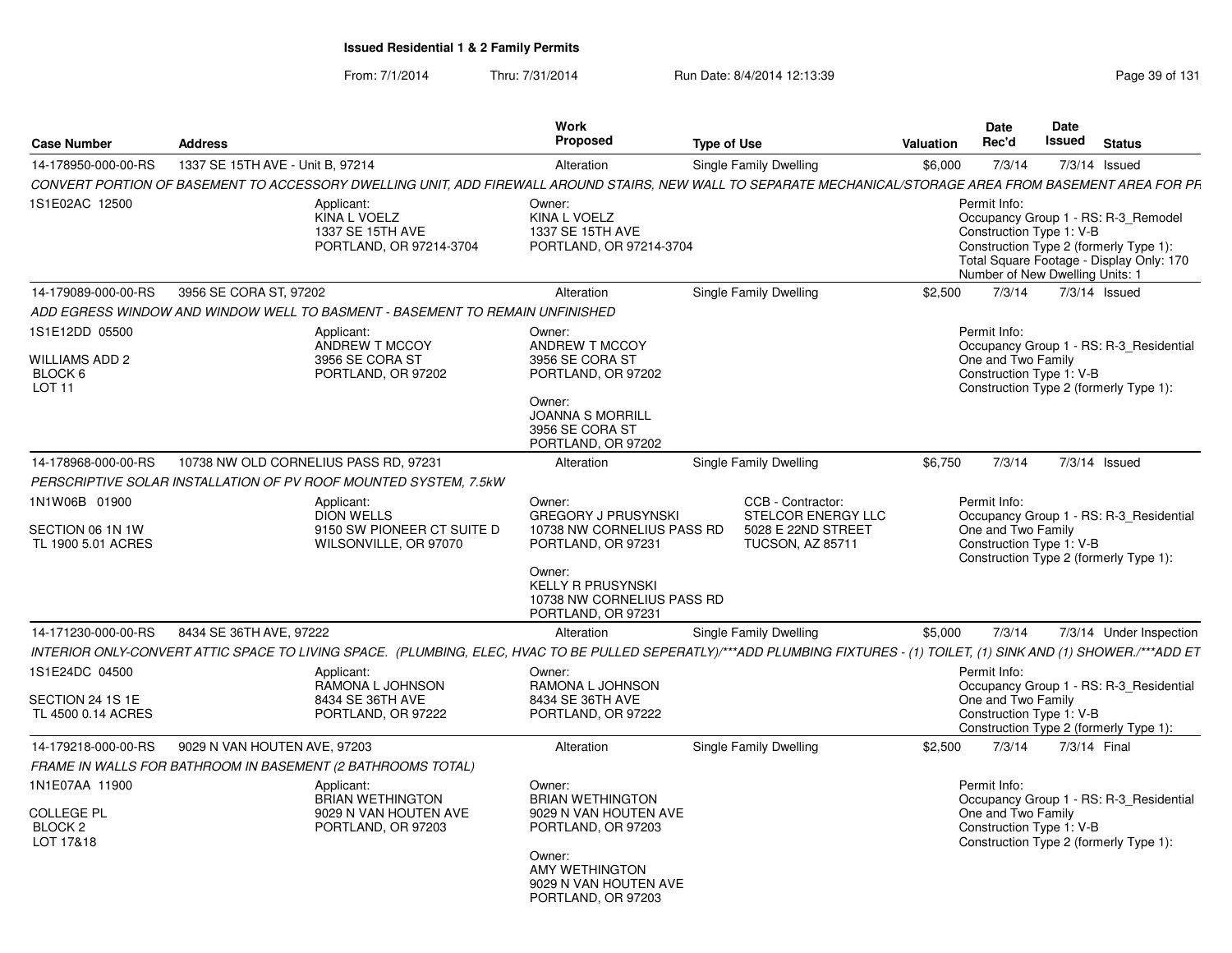From: 7/1/2014Thru: 7/31/2014 Run Date: 8/4/2014 12:13:39 Research 2010 Rage 39 of 131

| <b>Case Number</b>                                                      | <b>Address</b>                   |                                                                                                                                                                            | Work<br><b>Proposed</b>                                                                                                                                      | <b>Type of Use</b>                                                                              | <b>Valuation</b> | <b>Date</b><br>Rec'd                                                        | Date<br>Issued | <b>Status</b>                                                                                                             |
|-------------------------------------------------------------------------|----------------------------------|----------------------------------------------------------------------------------------------------------------------------------------------------------------------------|--------------------------------------------------------------------------------------------------------------------------------------------------------------|-------------------------------------------------------------------------------------------------|------------------|-----------------------------------------------------------------------------|----------------|---------------------------------------------------------------------------------------------------------------------------|
| 14-178950-000-00-RS                                                     | 1337 SE 15TH AVE - Unit B. 97214 |                                                                                                                                                                            | Alteration                                                                                                                                                   | Single Family Dwelling                                                                          | \$6.000          | 7/3/14                                                                      |                | $7/3/14$ Issued                                                                                                           |
|                                                                         |                                  | CONVERT PORTION OF BASEMENT TO ACCESSORY DWELLING UNIT, ADD FIREWALL AROUND STAIRS, NEW WALL TO SEPARATE MECHANICAL/STORAGE AREA FROM BASEMENT AREA FOR PF                 |                                                                                                                                                              |                                                                                                 |                  |                                                                             |                |                                                                                                                           |
| 1S1E02AC 12500                                                          |                                  | Applicant:<br>KINA L VOELZ<br>1337 SE 15TH AVE<br>PORTLAND, OR 97214-3704                                                                                                  | Owner:<br>KINA L VOELZ<br>1337 SE 15TH AVE<br>PORTLAND, OR 97214-3704                                                                                        |                                                                                                 |                  | Permit Info:<br>Construction Type 1: V-B<br>Number of New Dwelling Units: 1 |                | Occupancy Group 1 - RS: R-3_Remodel<br>Construction Type 2 (formerly Type 1):<br>Total Square Footage - Display Only: 170 |
| 14-179089-000-00-RS                                                     | 3956 SE CORA ST, 97202           |                                                                                                                                                                            | Alteration                                                                                                                                                   | Single Family Dwelling                                                                          | \$2,500          | 7/3/14                                                                      |                | 7/3/14 Issued                                                                                                             |
|                                                                         |                                  | ADD EGRESS WINDOW AND WINDOW WELL TO BASMENT - BASEMENT TO REMAIN UNFINISHED                                                                                               |                                                                                                                                                              |                                                                                                 |                  |                                                                             |                |                                                                                                                           |
| 1S1E12DD 05500<br><b>WILLIAMS ADD 2</b><br>BLOCK 6<br>LOT <sub>11</sub> |                                  | Applicant:<br>ANDREW T MCCOY<br>3956 SE CORA ST<br>PORTLAND, OR 97202                                                                                                      | Owner:<br>ANDREW T MCCOY<br>3956 SE CORA ST<br>PORTLAND, OR 97202<br>Owner:<br><b>JOANNA S MORRILL</b><br>3956 SE CORA ST<br>PORTLAND, OR 97202              |                                                                                                 |                  | Permit Info:<br>One and Two Family<br>Construction Type 1: V-B              |                | Occupancy Group 1 - RS: R-3_Residential<br>Construction Type 2 (formerly Type 1):                                         |
| 14-178968-000-00-RS                                                     |                                  | 10738 NW OLD CORNELIUS PASS RD, 97231                                                                                                                                      | Alteration                                                                                                                                                   | Single Family Dwelling                                                                          | \$6,750          | 7/3/14                                                                      |                | 7/3/14 Issued                                                                                                             |
|                                                                         |                                  | PERSCRIPTIVE SOLAR INSTALLATION OF PV ROOF MOUNTED SYSTEM, 7.5kW                                                                                                           |                                                                                                                                                              |                                                                                                 |                  |                                                                             |                |                                                                                                                           |
| 1N1W06B 01900<br>SECTION 06 1N 1W<br>TL 1900 5.01 ACRES                 |                                  | Applicant:<br><b>DION WELLS</b><br>9150 SW PIONEER CT SUITE D<br>WILSONVILLE, OR 97070                                                                                     | Owner:<br><b>GREGORY J PRUSYNSKI</b><br>10738 NW CORNELIUS PASS RD<br>PORTLAND, OR 97231<br>Owner:<br><b>KELLY R PRUSYNSKI</b><br>10738 NW CORNELIUS PASS RD | CCB - Contractor:<br><b>STELCOR ENERGY LLC</b><br>5028 E 22ND STREET<br><b>TUCSON, AZ 85711</b> |                  | Permit Info:<br>One and Two Family<br>Construction Type 1: V-B              |                | Occupancy Group 1 - RS: R-3 Residential<br>Construction Type 2 (formerly Type 1):                                         |
|                                                                         |                                  |                                                                                                                                                                            | PORTLAND, OR 97231                                                                                                                                           |                                                                                                 |                  |                                                                             |                |                                                                                                                           |
| 14-171230-000-00-RS                                                     | 8434 SE 36TH AVE, 97222          |                                                                                                                                                                            | Alteration                                                                                                                                                   | Single Family Dwelling                                                                          | \$5,000          | 7/3/14                                                                      |                | 7/3/14 Under Inspection                                                                                                   |
|                                                                         |                                  | INTERIOR ONLY-CONVERT ATTIC SPACE TO LIVING SPACE. (PLUMBING, ELEC, HVAC TO BE PULLED SEPERATLY)/***ADD PLUMBING FIXTURES - (1) TOILET, (1) SINK AND (1) SHOWER./***ADD ET |                                                                                                                                                              |                                                                                                 |                  |                                                                             |                |                                                                                                                           |
| 1S1E24DC 04500<br>SECTION 24 1S 1E<br>TL 4500 0.14 ACRES                |                                  | Applicant:<br>RAMONA L JOHNSON<br>8434 SE 36TH AVE<br>PORTLAND, OR 97222                                                                                                   | Owner:<br>RAMONA L JOHNSON<br>8434 SE 36TH AVE<br>PORTLAND, OR 97222                                                                                         |                                                                                                 |                  | Permit Info:<br>One and Two Family<br>Construction Type 1: V-B              |                | Occupancy Group 1 - RS: R-3 Residential<br>Construction Type 2 (formerly Type 1):                                         |
| 14-179218-000-00-RS                                                     | 9029 N VAN HOUTEN AVE, 97203     |                                                                                                                                                                            | Alteration                                                                                                                                                   | Single Family Dwelling                                                                          | \$2,500          | 7/3/14                                                                      |                | 7/3/14 Final                                                                                                              |
|                                                                         |                                  | FRAME IN WALLS FOR BATHROOM IN BASEMENT (2 BATHROOMS TOTAL)                                                                                                                |                                                                                                                                                              |                                                                                                 |                  |                                                                             |                |                                                                                                                           |
| 1N1E07AA 11900<br><b>COLLEGE PL</b><br>BLOCK <sub>2</sub><br>LOT 17&18  |                                  | Applicant:<br><b>BRIAN WETHINGTON</b><br>9029 N VAN HOUTEN AVE<br>PORTLAND, OR 97203                                                                                       | Owner:<br><b>BRIAN WETHINGTON</b><br>9029 N VAN HOUTEN AVE<br>PORTLAND, OR 97203<br>Owner:<br>AMY WETHINGTON<br>9029 N VAN HOUTEN AVE<br>PORTLAND, OR 97203  |                                                                                                 |                  | Permit Info:<br>One and Two Family<br>Construction Type 1: V-B              |                | Occupancy Group 1 - RS: R-3 Residential<br>Construction Type 2 (formerly Type 1):                                         |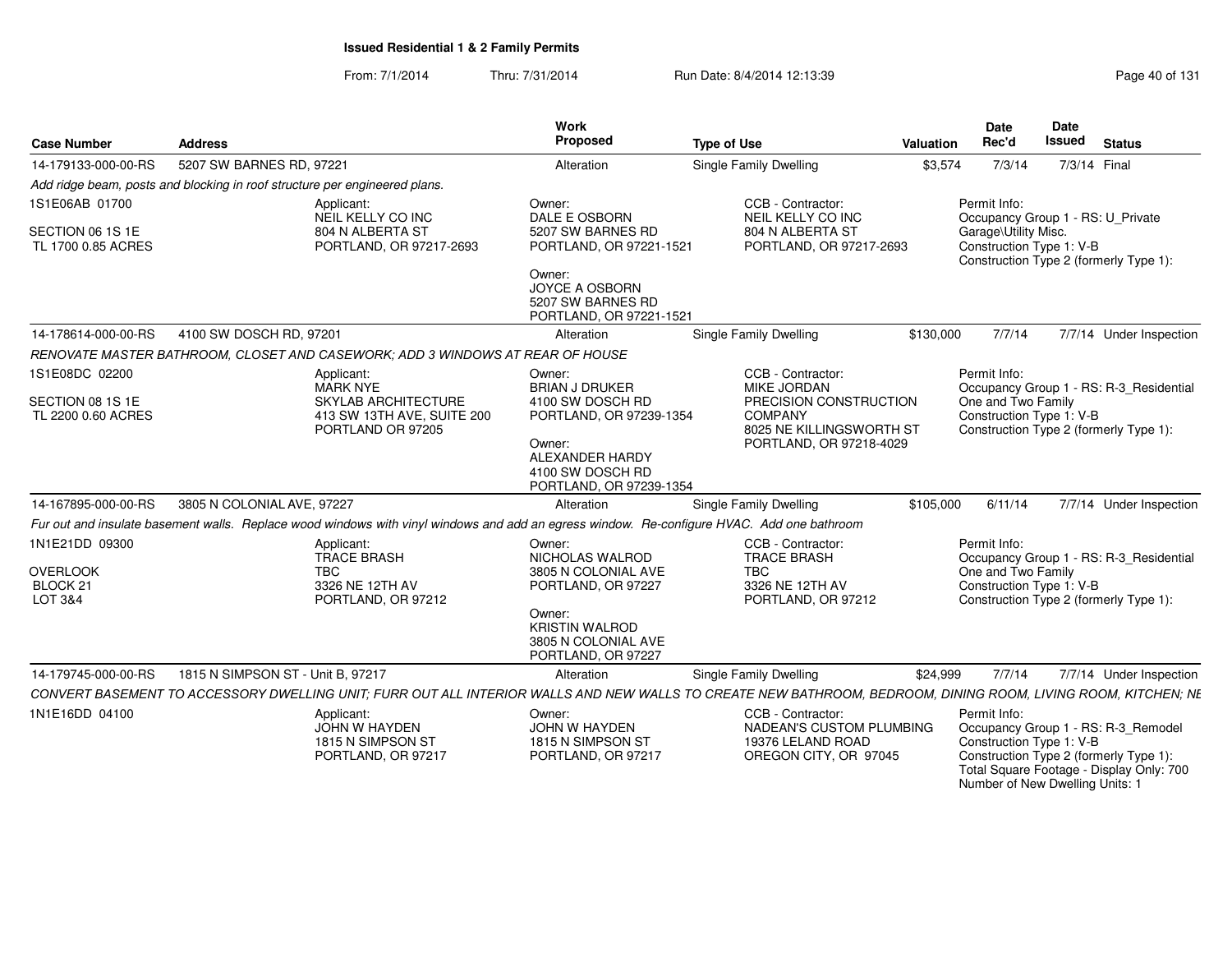From: 7/1/2014Thru: 7/31/2014 Run Date: 8/4/2014 12:13:39 Rege 40 of 131

| <b>Case Number</b>                     | <b>Address</b>                    |                                                                                                                                                               | Work<br>Proposed                                                                | <b>Type of Use</b>                                                                              | <b>Valuation</b> | <b>Date</b><br>Rec'd                                                        | <b>Date</b><br><b>Issued</b> | <b>Status</b>                                                                                                             |
|----------------------------------------|-----------------------------------|---------------------------------------------------------------------------------------------------------------------------------------------------------------|---------------------------------------------------------------------------------|-------------------------------------------------------------------------------------------------|------------------|-----------------------------------------------------------------------------|------------------------------|---------------------------------------------------------------------------------------------------------------------------|
| 14-179133-000-00-RS                    | 5207 SW BARNES RD, 97221          |                                                                                                                                                               | Alteration                                                                      | Single Family Dwelling                                                                          | \$3,574          | 7/3/14                                                                      | 7/3/14 Final                 |                                                                                                                           |
|                                        |                                   | Add ridge beam, posts and blocking in roof structure per engineered plans.                                                                                    |                                                                                 |                                                                                                 |                  |                                                                             |                              |                                                                                                                           |
| 1S1E06AB 01700                         |                                   | Applicant:<br>NEIL KELLY CO INC                                                                                                                               | Owner:<br>DALE E OSBORN                                                         | CCB - Contractor:<br>NEIL KELLY CO INC                                                          |                  | Permit Info:<br>Occupancy Group 1 - RS: U Private                           |                              |                                                                                                                           |
| SECTION 06 1S 1E<br>TL 1700 0.85 ACRES |                                   | 804 N ALBERTA ST<br>PORTLAND, OR 97217-2693                                                                                                                   | 5207 SW BARNES RD<br>PORTLAND, OR 97221-1521                                    | 804 N ALBERTA ST<br>PORTLAND, OR 97217-2693                                                     |                  | Garage\Utility Misc.<br>Construction Type 1: V-B                            |                              | Construction Type 2 (formerly Type 1):                                                                                    |
|                                        |                                   |                                                                                                                                                               | Owner:<br><b>JOYCE A OSBORN</b><br>5207 SW BARNES RD<br>PORTLAND, OR 97221-1521 |                                                                                                 |                  |                                                                             |                              |                                                                                                                           |
| 14-178614-000-00-RS                    | 4100 SW DOSCH RD, 97201           |                                                                                                                                                               | Alteration                                                                      | <b>Single Family Dwelling</b>                                                                   | \$130,000        | 7/7/14                                                                      |                              | 7/7/14 Under Inspection                                                                                                   |
|                                        |                                   | RENOVATE MASTER BATHROOM, CLOSET AND CASEWORK; ADD 3 WINDOWS AT REAR OF HOUSE                                                                                 |                                                                                 |                                                                                                 |                  |                                                                             |                              |                                                                                                                           |
| 1S1E08DC 02200                         |                                   | Applicant:<br><b>MARK NYE</b>                                                                                                                                 | Owner:<br><b>BRIAN J DRUKER</b>                                                 | CCB - Contractor:<br><b>MIKE JORDAN</b>                                                         |                  | Permit Info:                                                                |                              | Occupancy Group 1 - RS: R-3_Residential                                                                                   |
| SECTION 08 1S 1E<br>TL 2200 0.60 ACRES |                                   | <b>SKYLAB ARCHITECTURE</b><br>413 SW 13TH AVE, SUITE 200<br>PORTLAND OR 97205                                                                                 | 4100 SW DOSCH RD<br>PORTLAND, OR 97239-1354<br>Owner:                           | PRECISION CONSTRUCTION<br><b>COMPANY</b><br>8025 NE KILLINGSWORTH ST<br>PORTLAND, OR 97218-4029 |                  | One and Two Family<br>Construction Type 1: V-B                              |                              | Construction Type 2 (formerly Type 1):                                                                                    |
|                                        |                                   |                                                                                                                                                               | ALEXANDER HARDY<br>4100 SW DOSCH RD<br>PORTLAND, OR 97239-1354                  |                                                                                                 |                  |                                                                             |                              |                                                                                                                           |
| 14-167895-000-00-RS                    | 3805 N COLONIAL AVE, 97227        |                                                                                                                                                               | Alteration                                                                      | Single Family Dwelling                                                                          | \$105,000        | 6/11/14                                                                     |                              | 7/7/14 Under Inspection                                                                                                   |
|                                        |                                   | Fur out and insulate basement walls. Replace wood windows with vinyl windows and add an egress window. Re-configure HVAC. Add one bathroom                    |                                                                                 |                                                                                                 |                  |                                                                             |                              |                                                                                                                           |
| 1N1E21DD 09300                         |                                   | Applicant:<br><b>TRACE BRASH</b>                                                                                                                              | Owner:<br>NICHOLAS WALROD                                                       | CCB - Contractor:<br><b>TRACE BRASH</b>                                                         |                  | Permit Info:                                                                |                              | Occupancy Group 1 - RS: R-3_Residential                                                                                   |
| <b>OVERLOOK</b><br>BLOCK <sub>21</sub> |                                   | <b>TBC</b><br>3326 NE 12TH AV                                                                                                                                 | 3805 N COLONIAL AVE<br>PORTLAND, OR 97227                                       | <b>TBC</b><br>3326 NE 12TH AV                                                                   |                  | One and Two Family<br>Construction Type 1: V-B                              |                              |                                                                                                                           |
| LOT 3&4                                |                                   | PORTLAND, OR 97212                                                                                                                                            |                                                                                 | PORTLAND, OR 97212                                                                              |                  |                                                                             |                              | Construction Type 2 (formerly Type 1):                                                                                    |
|                                        |                                   |                                                                                                                                                               | Owner:<br><b>KRISTIN WALROD</b><br>3805 N COLONIAL AVE<br>PORTLAND, OR 97227    |                                                                                                 |                  |                                                                             |                              |                                                                                                                           |
| 14-179745-000-00-RS                    | 1815 N SIMPSON ST - Unit B, 97217 |                                                                                                                                                               | Alteration                                                                      | <b>Single Family Dwelling</b>                                                                   | \$24,999         | 7/7/14                                                                      |                              | 7/7/14 Under Inspection                                                                                                   |
|                                        |                                   | CONVERT BASEMENT TO ACCESSORY DWELLING UNIT: FURR OUT ALL INTERIOR WALLS AND NEW WALLS TO CREATE NEW BATHROOM, BEDROOM, DINING ROOM, LIVING ROOM, KITCHEN: NE |                                                                                 |                                                                                                 |                  |                                                                             |                              |                                                                                                                           |
| 1N1E16DD 04100                         |                                   | Applicant:<br>JOHN W HAYDEN<br>1815 N SIMPSON ST<br>PORTLAND, OR 97217                                                                                        | Owner:<br>JOHN W HAYDEN<br>1815 N SIMPSON ST<br>PORTLAND, OR 97217              | CCB - Contractor:<br>NADEAN'S CUSTOM PLUMBING<br>19376 LELAND ROAD<br>OREGON CITY, OR 97045     |                  | Permit Info:<br>Construction Type 1: V-B<br>Number of New Dwelling Units: 1 |                              | Occupancy Group 1 - RS: R-3_Remodel<br>Construction Type 2 (formerly Type 1):<br>Total Square Footage - Display Only: 700 |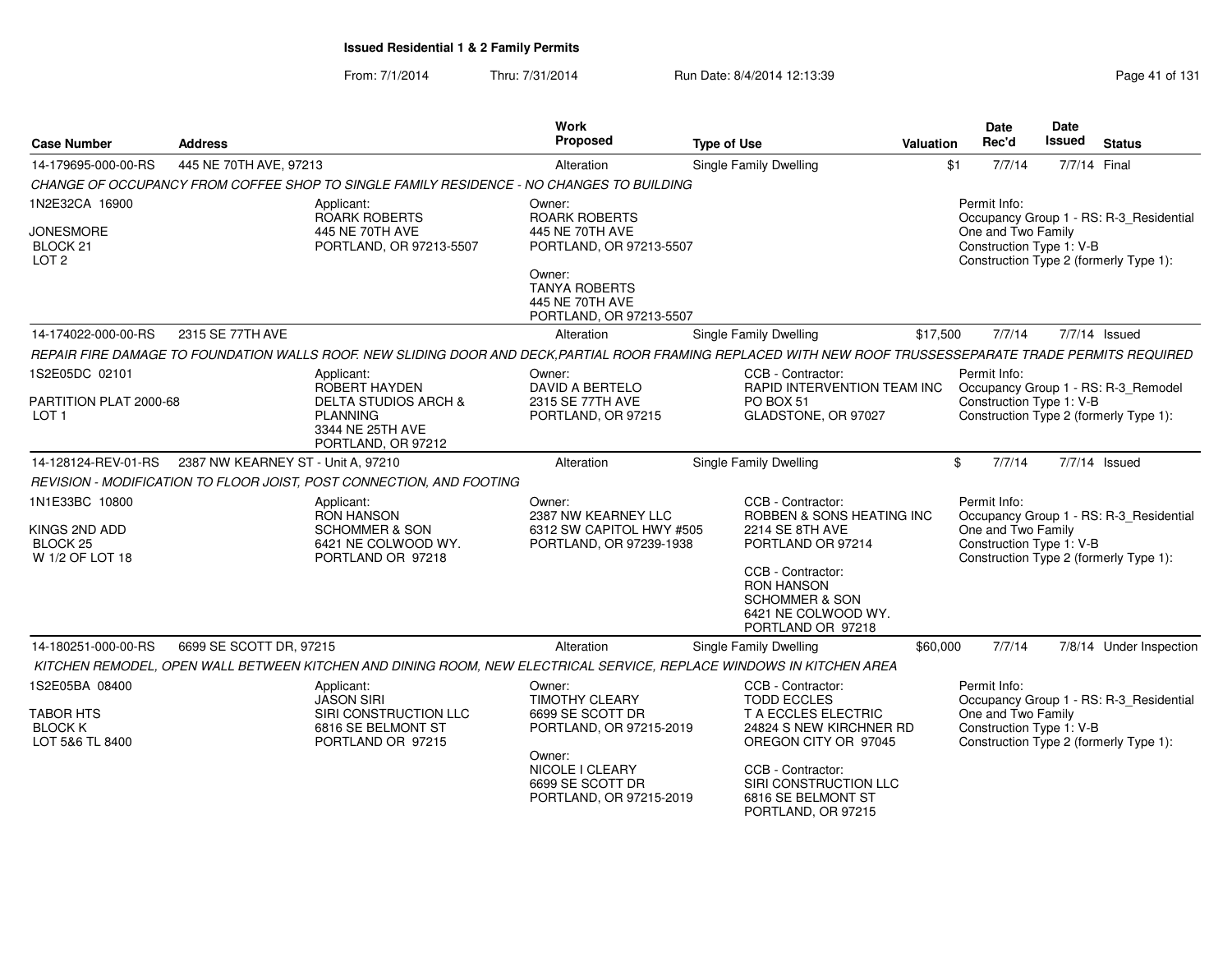From: 7/1/2014Thru: 7/31/2014 Run Date: 8/4/2014 12:13:39 Research 2010 Rage 41 of 131

| <b>Case Number</b>                                          | <b>Address</b>                     |                                                                                                                                                           | <b>Work</b><br>Proposed                                                      | <b>Type of Use</b>                                                                                              | <b>Valuation</b> | <b>Date</b><br>Rec'd                           | Date<br>Issued | <b>Status</b>                                                                     |
|-------------------------------------------------------------|------------------------------------|-----------------------------------------------------------------------------------------------------------------------------------------------------------|------------------------------------------------------------------------------|-----------------------------------------------------------------------------------------------------------------|------------------|------------------------------------------------|----------------|-----------------------------------------------------------------------------------|
| 14-179695-000-00-RS                                         | 445 NE 70TH AVE, 97213             |                                                                                                                                                           | Alteration                                                                   | Single Family Dwelling                                                                                          | \$1              | 7/7/14                                         |                | 7/7/14 Final                                                                      |
|                                                             |                                    | CHANGE OF OCCUPANCY FROM COFFEE SHOP TO SINGLE FAMILY RESIDENCE - NO CHANGES TO BUILDING                                                                  |                                                                              |                                                                                                                 |                  |                                                |                |                                                                                   |
| 1N2E32CA 16900                                              |                                    | Applicant:                                                                                                                                                | Owner:                                                                       |                                                                                                                 |                  | Permit Info:                                   |                |                                                                                   |
| <b>JONESMORE</b><br>BLOCK <sub>21</sub><br>LOT <sub>2</sub> |                                    | ROARK ROBERTS<br>445 NE 70TH AVE<br>PORTLAND, OR 97213-5507                                                                                               | <b>ROARK ROBERTS</b><br>445 NE 70TH AVE<br>PORTLAND, OR 97213-5507           |                                                                                                                 |                  | One and Two Family<br>Construction Type 1: V-B |                | Occupancy Group 1 - RS: R-3 Residential<br>Construction Type 2 (formerly Type 1): |
|                                                             |                                    |                                                                                                                                                           | Owner:<br><b>TANYA ROBERTS</b><br>445 NE 70TH AVE<br>PORTLAND, OR 97213-5507 |                                                                                                                 |                  |                                                |                |                                                                                   |
| 14-174022-000-00-RS                                         | 2315 SE 77TH AVE                   |                                                                                                                                                           | Alteration                                                                   | <b>Single Family Dwelling</b>                                                                                   | \$17,500         | 7/7/14                                         |                | 7/7/14 Issued                                                                     |
|                                                             |                                    | REPAIR FIRE DAMAGE TO FOUNDATION WALLS ROOF. NEW SLIDING DOOR AND DECK,PARTIAL ROOR FRAMING REPLACED WITH NEW ROOF TRUSSESSEPARATE TRADE PERMITS REQUIRED |                                                                              |                                                                                                                 |                  |                                                |                |                                                                                   |
| 1S2E05DC 02101                                              |                                    | Applicant:                                                                                                                                                | Owner:                                                                       | CCB - Contractor:                                                                                               |                  | Permit Info:                                   |                |                                                                                   |
| PARTITION PLAT 2000-68<br>LOT <sub>1</sub>                  |                                    | ROBERT HAYDEN<br><b>DELTA STUDIOS ARCH &amp;</b><br><b>PLANNING</b><br>3344 NE 25TH AVE<br>PORTLAND, OR 97212                                             | <b>DAVID A BERTELO</b><br>2315 SE 77TH AVE<br>PORTLAND, OR 97215             | RAPID INTERVENTION TEAM INC<br>PO BOX 51<br>GLADSTONE, OR 97027                                                 |                  | Construction Type 1: V-B                       |                | Occupancy Group 1 - RS: R-3_Remodel<br>Construction Type 2 (formerly Type 1):     |
| 14-128124-REV-01-RS                                         | 2387 NW KEARNEY ST - Unit A, 97210 |                                                                                                                                                           | Alteration                                                                   | Single Family Dwelling                                                                                          |                  | $\mathbf{\$}$<br>7/7/14                        |                | 7/7/14 Issued                                                                     |
|                                                             |                                    | REVISION - MODIFICATION TO FLOOR JOIST, POST CONNECTION, AND FOOTING                                                                                      |                                                                              |                                                                                                                 |                  |                                                |                |                                                                                   |
| 1N1E33BC 10800                                              |                                    | Applicant:<br><b>RON HANSON</b>                                                                                                                           | Owner:<br>2387 NW KEARNEY LLC                                                | CCB - Contractor:<br>ROBBEN & SONS HEATING INC                                                                  |                  | Permit Info:                                   |                | Occupancy Group 1 - RS: R-3_Residential                                           |
| KINGS 2ND ADD<br>BLOCK <sub>25</sub>                        |                                    | <b>SCHOMMER &amp; SON</b><br>6421 NE COLWOOD WY.                                                                                                          | 6312 SW CAPITOL HWY #505<br>PORTLAND, OR 97239-1938                          | 2214 SE 8TH AVE<br>PORTLAND OR 97214                                                                            |                  | One and Two Family<br>Construction Type 1: V-B |                |                                                                                   |
| W 1/2 OF LOT 18                                             |                                    | PORTLAND OR 97218                                                                                                                                         |                                                                              | CCB - Contractor:<br><b>RON HANSON</b><br><b>SCHOMMER &amp; SON</b><br>6421 NE COLWOOD WY.<br>PORTLAND OR 97218 |                  |                                                |                | Construction Type 2 (formerly Type 1):                                            |
| 14-180251-000-00-RS                                         | 6699 SE SCOTT DR, 97215            |                                                                                                                                                           | Alteration                                                                   | Single Family Dwelling                                                                                          | \$60,000         | 7/7/14                                         |                | 7/8/14 Under Inspection                                                           |
|                                                             |                                    | KITCHEN REMODEL, OPEN WALL BETWEEN KITCHEN AND DINING ROOM, NEW ELECTRICAL SERVICE, REPLACE WINDOWS IN KITCHEN AREA                                       |                                                                              |                                                                                                                 |                  |                                                |                |                                                                                   |
| 1S2E05BA 08400                                              |                                    | Applicant:<br><b>JASON SIRI</b>                                                                                                                           | Owner:<br><b>TIMOTHY CLEARY</b>                                              | CCB - Contractor:<br><b>TODD ECCLES</b>                                                                         |                  | Permit Info:                                   |                | Occupancy Group 1 - RS: R-3_Residential                                           |
| <b>TABOR HTS</b><br><b>BLOCK K</b><br>LOT 5&6 TL 8400       |                                    | SIRI CONSTRUCTION LLC<br>6816 SE BELMONT ST<br>PORTLAND OR 97215                                                                                          | 6699 SE SCOTT DR<br>PORTLAND, OR 97215-2019                                  | T A ECCLES ELECTRIC<br>24824 S NEW KIRCHNER RD<br>OREGON CITY OR 97045                                          |                  | One and Two Family<br>Construction Type 1: V-B |                | Construction Type 2 (formerly Type 1):                                            |
|                                                             |                                    |                                                                                                                                                           | Owner:<br>NICOLE I CLEARY<br>6699 SE SCOTT DR<br>PORTLAND, OR 97215-2019     | CCB - Contractor:<br>SIRI CONSTRUCTION LLC<br>6816 SE BELMONT ST<br>PORTLAND, OR 97215                          |                  |                                                |                |                                                                                   |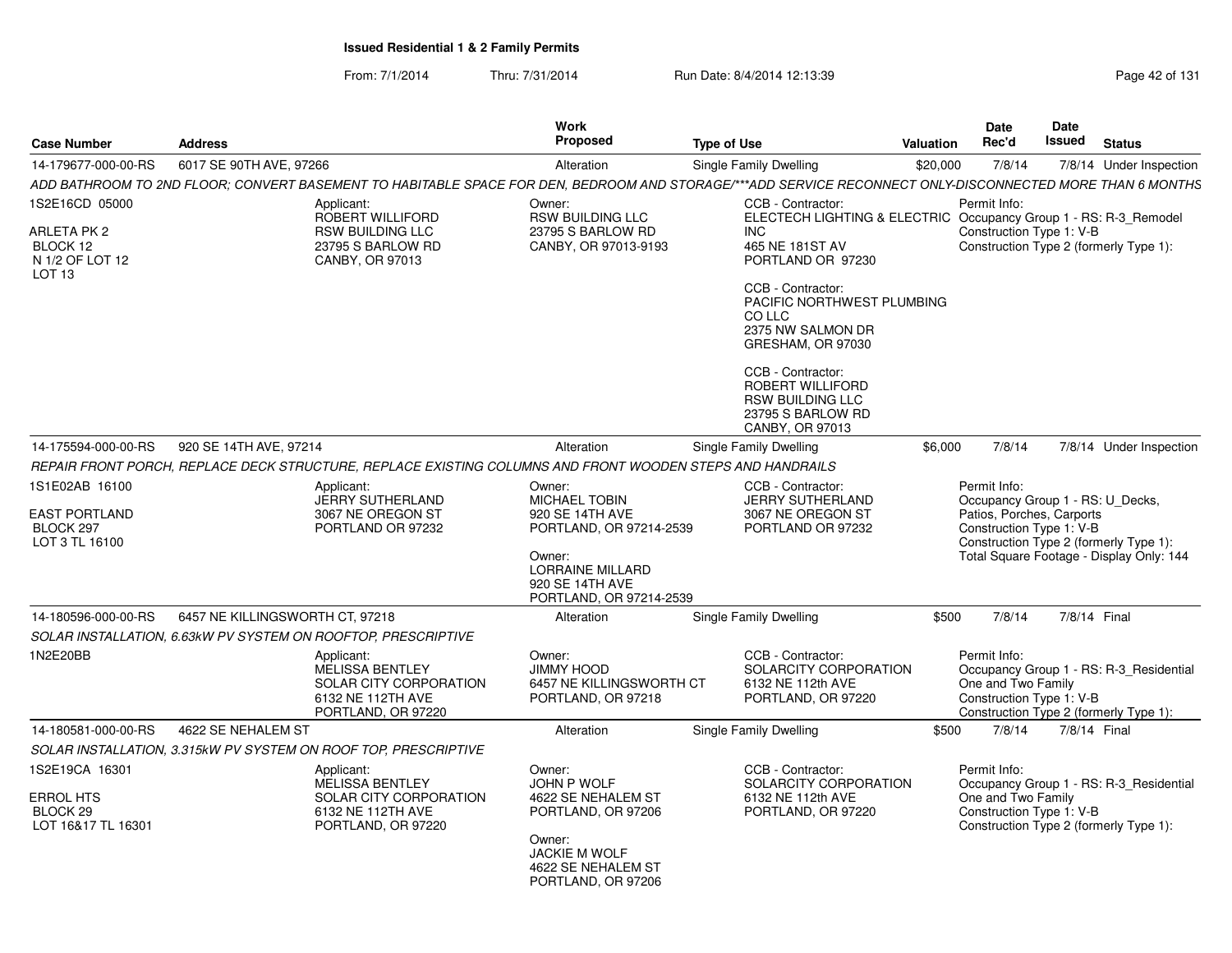From: 7/1/2014Thru: 7/31/2014 Run Date: 8/4/2014 12:13:39 Research 2014 13:14 Page 42 of 131

| <b>Case Number</b>                                                                | <b>Address</b>                  |                                                                                                           | <b>Work</b><br><b>Proposed</b>                                                                                                                  | <b>Type of Use</b>                                                                                                                                                                      | <b>Valuation</b> | Date<br>Rec'd                                                                                             | <b>Date</b><br><b>Issued</b> | <b>Status</b>                                                                      |
|-----------------------------------------------------------------------------------|---------------------------------|-----------------------------------------------------------------------------------------------------------|-------------------------------------------------------------------------------------------------------------------------------------------------|-----------------------------------------------------------------------------------------------------------------------------------------------------------------------------------------|------------------|-----------------------------------------------------------------------------------------------------------|------------------------------|------------------------------------------------------------------------------------|
| 14-179677-000-00-RS                                                               | 6017 SE 90TH AVE, 97266         |                                                                                                           | Alteration                                                                                                                                      | Single Family Dwelling                                                                                                                                                                  | \$20,000         | 7/8/14                                                                                                    |                              | 7/8/14 Under Inspection                                                            |
|                                                                                   |                                 |                                                                                                           |                                                                                                                                                 | ADD BATHROOM TO 2ND FLOOR; CONVERT BASEMENT TO HABITABLE SPACE FOR DEN, BEDROOM AND STORAGE/***ADD SERVICE RECONNECT ONLY-DISCONNECTED MORE THAN 6 MONTHS                               |                  |                                                                                                           |                              |                                                                                    |
| 1S2E16CD 05000<br>ARLETA PK 2<br>BLOCK 12<br>N 1/2 OF LOT 12<br>LOT <sub>13</sub> |                                 | Applicant:<br>ROBERT WILLIFORD<br><b>RSW BUILDING LLC</b><br>23795 S BARLOW RD<br>CANBY, OR 97013         | Owner:<br><b>RSW BUILDING LLC</b><br>23795 S BARLOW RD<br>CANBY, OR 97013-9193                                                                  | CCB - Contractor:<br>ELECTECH LIGHTING & ELECTRIC Occupancy Group 1 - RS: R-3_Remodel<br>INC<br>465 NE 181ST AV<br>PORTLAND OR 97230<br>CCB - Contractor:<br>PACIFIC NORTHWEST PLUMBING |                  | Permit Info:<br>Construction Type 1: V-B                                                                  |                              | Construction Type 2 (formerly Type 1):                                             |
|                                                                                   |                                 |                                                                                                           |                                                                                                                                                 | CO LLC<br>2375 NW SALMON DR<br>GRESHAM, OR 97030                                                                                                                                        |                  |                                                                                                           |                              |                                                                                    |
|                                                                                   |                                 |                                                                                                           |                                                                                                                                                 | CCB - Contractor:<br><b>ROBERT WILLIFORD</b><br><b>RSW BUILDING LLC</b><br>23795 S BARLOW RD<br>CANBY, OR 97013                                                                         |                  |                                                                                                           |                              |                                                                                    |
| 14-175594-000-00-RS                                                               | 920 SE 14TH AVE, 97214          |                                                                                                           | Alteration                                                                                                                                      | Single Family Dwelling                                                                                                                                                                  | \$6,000          | 7/8/14                                                                                                    |                              | 7/8/14 Under Inspection                                                            |
|                                                                                   |                                 | REPAIR FRONT PORCH, REPLACE DECK STRUCTURE, REPLACE EXISTING COLUMNS AND FRONT WOODEN STEPS AND HANDRAILS |                                                                                                                                                 |                                                                                                                                                                                         |                  |                                                                                                           |                              |                                                                                    |
| 1S1E02AB 16100<br><b>EAST PORTLAND</b><br>BLOCK 297<br>LOT 3 TL 16100             |                                 | Applicant:<br>JERRY SUTHERLAND<br>3067 NE OREGON ST<br>PORTLAND OR 97232                                  | Owner:<br><b>MICHAEL TOBIN</b><br>920 SE 14TH AVE<br>PORTLAND, OR 97214-2539<br>Owner:<br><b>LORRAINE MILLARD</b>                               | CCB - Contractor:<br><b>JERRY SUTHERLAND</b><br>3067 NE OREGON ST<br>PORTLAND OR 97232                                                                                                  |                  | Permit Info:<br>Occupancy Group 1 - RS: U_Decks,<br>Patios, Porches, Carports<br>Construction Type 1: V-B |                              | Construction Type 2 (formerly Type 1):<br>Total Square Footage - Display Only: 144 |
|                                                                                   |                                 |                                                                                                           | 920 SE 14TH AVE<br>PORTLAND, OR 97214-2539                                                                                                      |                                                                                                                                                                                         |                  |                                                                                                           |                              |                                                                                    |
| 14-180596-000-00-RS                                                               | 6457 NE KILLINGSWORTH CT. 97218 |                                                                                                           | Alteration                                                                                                                                      | <b>Single Family Dwelling</b>                                                                                                                                                           | \$500            | 7/8/14                                                                                                    | 7/8/14 Final                 |                                                                                    |
|                                                                                   |                                 | SOLAR INSTALLATION, 6.63kW PV SYSTEM ON ROOFTOP, PRESCRIPTIVE                                             |                                                                                                                                                 |                                                                                                                                                                                         |                  |                                                                                                           |                              |                                                                                    |
| 1N2E20BB                                                                          |                                 | Applicant:<br><b>MELISSA BENTLEY</b><br>SOLAR CITY CORPORATION<br>6132 NE 112TH AVE<br>PORTLAND, OR 97220 | Owner:<br>JIMMY HOOD<br>6457 NE KILLINGSWORTH CT<br>PORTLAND, OR 97218                                                                          | CCB - Contractor:<br>SOLARCITY CORPORATION<br>6132 NE 112th AVE<br>PORTLAND, OR 97220                                                                                                   |                  | Permit Info:<br>One and Two Family<br>Construction Type 1: V-B                                            |                              | Occupancy Group 1 - RS: R-3 Residential<br>Construction Type 2 (formerly Type 1):  |
| 14-180581-000-00-RS                                                               | 4622 SE NEHALEM ST              |                                                                                                           | Alteration                                                                                                                                      | Single Family Dwelling                                                                                                                                                                  | \$500            | 7/8/14                                                                                                    | 7/8/14 Final                 |                                                                                    |
|                                                                                   |                                 | SOLAR INSTALLATION, 3.315kW PV SYSTEM ON ROOF TOP, PRESCRIPTIVE                                           |                                                                                                                                                 |                                                                                                                                                                                         |                  |                                                                                                           |                              |                                                                                    |
| 1S2E19CA 16301<br><b>ERROL HTS</b><br>BLOCK <sub>29</sub><br>LOT 16&17 TL 16301   |                                 | Applicant:<br><b>MELISSA BENTLEY</b><br>SOLAR CITY CORPORATION<br>6132 NE 112TH AVE<br>PORTLAND, OR 97220 | Owner:<br>JOHN P WOLF<br>4622 SE NEHALEM ST<br>PORTLAND, OR 97206<br>Owner:<br><b>JACKIE M WOLF</b><br>4622 SE NEHALEM ST<br>PORTLAND, OR 97206 | CCB - Contractor:<br>SOLARCITY CORPORATION<br>6132 NE 112th AVE<br>PORTLAND, OR 97220                                                                                                   |                  | Permit Info:<br>One and Two Family<br>Construction Type 1: V-B                                            |                              | Occupancy Group 1 - RS: R-3_Residential<br>Construction Type 2 (formerly Type 1):  |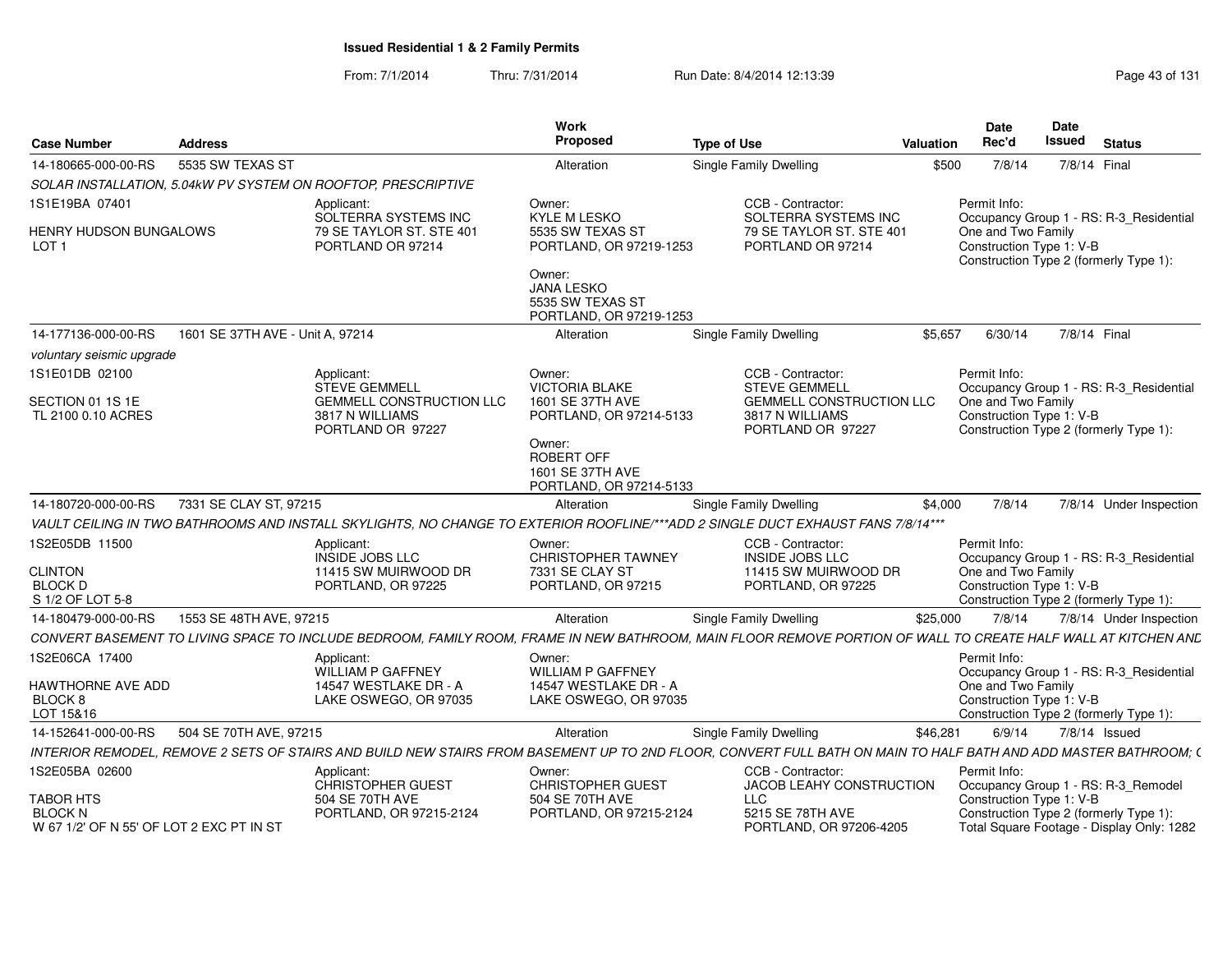From: 7/1/2014Thru: 7/31/2014 Run Date: 8/4/2014 12:13:39 Research 2014 13:14 Page 43 of 131

|                                                          |                                  |                                                                                                                                                                 | Work<br>Proposed                                                                                               |                                                                                                 |           | Date                                                           | <b>Date</b>                                                                       |  |
|----------------------------------------------------------|----------------------------------|-----------------------------------------------------------------------------------------------------------------------------------------------------------------|----------------------------------------------------------------------------------------------------------------|-------------------------------------------------------------------------------------------------|-----------|----------------------------------------------------------------|-----------------------------------------------------------------------------------|--|
| <b>Case Number</b>                                       | <b>Address</b>                   |                                                                                                                                                                 |                                                                                                                | <b>Type of Use</b>                                                                              | Valuation | Rec'd                                                          | Issued<br><b>Status</b>                                                           |  |
| 14-180665-000-00-RS                                      | 5535 SW TEXAS ST                 |                                                                                                                                                                 | Alteration                                                                                                     | Single Family Dwelling                                                                          | \$500     | 7/8/14                                                         | 7/8/14 Final                                                                      |  |
|                                                          |                                  | SOLAR INSTALLATION, 5.04kW PV SYSTEM ON ROOFTOP, PRESCRIPTIVE                                                                                                   |                                                                                                                |                                                                                                 |           |                                                                |                                                                                   |  |
| 1S1E19BA 07401                                           |                                  | Applicant:                                                                                                                                                      | Owner:                                                                                                         | CCB - Contractor:                                                                               |           | Permit Info:                                                   |                                                                                   |  |
| HENRY HUDSON BUNGALOWS<br>LOT <sub>1</sub>               |                                  | SOLTERRA SYSTEMS INC<br>79 SE TAYLOR ST. STE 401<br>PORTLAND OR 97214                                                                                           | KYLE M LESKO<br>5535 SW TEXAS ST<br>PORTLAND, OR 97219-1253<br>Owner:<br><b>JANA LESKO</b><br>5535 SW TEXAS ST | SOLTERRA SYSTEMS INC<br>79 SE TAYLOR ST. STE 401<br>PORTLAND OR 97214                           |           | One and Two Family<br>Construction Type 1: V-B                 | Occupancy Group 1 - RS: R-3_Residential<br>Construction Type 2 (formerly Type 1): |  |
|                                                          |                                  |                                                                                                                                                                 | PORTLAND, OR 97219-1253                                                                                        |                                                                                                 |           |                                                                |                                                                                   |  |
| 14-177136-000-00-RS                                      | 1601 SE 37TH AVE - Unit A, 97214 |                                                                                                                                                                 | Alteration                                                                                                     | Single Family Dwelling                                                                          | \$5.657   | 6/30/14                                                        | 7/8/14 Final                                                                      |  |
| voluntary seismic upgrade                                |                                  |                                                                                                                                                                 |                                                                                                                |                                                                                                 |           |                                                                |                                                                                   |  |
| 1S1E01DB 02100<br>SECTION 01 1S 1E<br>TL 2100 0.10 ACRES |                                  | Applicant:<br>STEVE GEMMELL<br><b>GEMMELL CONSTRUCTION LLC</b><br>3817 N WILLIAMS                                                                               | Owner:<br><b>VICTORIA BLAKE</b><br>1601 SE 37TH AVE<br>PORTLAND, OR 97214-5133                                 | CCB - Contractor:<br><b>STEVE GEMMELI</b><br><b>GEMMELL CONSTRUCTION LLC</b><br>3817 N WILLIAMS |           | Permit Info:<br>One and Two Family<br>Construction Type 1: V-B | Occupancy Group 1 - RS: R-3_Residential                                           |  |
|                                                          |                                  | PORTLAND OR 97227                                                                                                                                               | Owner:<br>ROBERT OFF<br>1601 SE 37TH AVE<br>PORTLAND, OR 97214-5133                                            | PORTLAND OR 97227                                                                               |           |                                                                | Construction Type 2 (formerly Type 1):                                            |  |
| 14-180720-000-00-RS                                      | 7331 SE CLAY ST, 97215           |                                                                                                                                                                 | Alteration                                                                                                     | <b>Single Family Dwelling</b>                                                                   | \$4,000   | 7/8/14                                                         | 7/8/14 Under Inspection                                                           |  |
|                                                          |                                  | VAULT CEILING IN TWO BATHROOMS AND INSTALL SKYLIGHTS, NO CHANGE TO EXTERIOR ROOFLINE/***ADD 2 SINGLE DUCT EXHAUST FANS 7/8/14***                                |                                                                                                                |                                                                                                 |           |                                                                |                                                                                   |  |
| 1S2E05DB 11500                                           |                                  | Applicant:                                                                                                                                                      | Owner:                                                                                                         | CCB - Contractor:                                                                               |           | Permit Info:                                                   |                                                                                   |  |
|                                                          |                                  | INSIDE JOBS LLC                                                                                                                                                 | <b>CHRISTOPHER TAWNEY</b>                                                                                      | <b>INSIDE JOBS LLC</b>                                                                          |           |                                                                | Occupancy Group 1 - RS: R-3_Residential                                           |  |
| <b>CLINTON</b><br><b>BLOCK D</b>                         |                                  | 11415 SW MUIRWOOD DR<br>PORTLAND, OR 97225                                                                                                                      | 7331 SE CLAY ST<br>PORTLAND, OR 97215                                                                          | 11415 SW MUIRWOOD DR<br>PORTLAND, OR 97225                                                      |           | One and Two Family<br>Construction Type 1: V-B                 |                                                                                   |  |
| S 1/2 OF LOT 5-8                                         |                                  |                                                                                                                                                                 |                                                                                                                |                                                                                                 |           |                                                                | Construction Type 2 (formerly Type 1):                                            |  |
| 14-180479-000-00-RS                                      | 1553 SE 48TH AVE, 97215          |                                                                                                                                                                 | Alteration                                                                                                     | Single Family Dwelling                                                                          | \$25,000  | 7/8/14                                                         | 7/8/14 Under Inspection                                                           |  |
|                                                          |                                  | CONVERT BASEMENT TO LIVING SPACE TO INCLUDE BEDROOM, FAMILY ROOM, FRAME IN NEW BATHROOM, MAIN FLOOR REMOVE PORTION OF WALL TO CREATE HALF WALL AT KITCHEN AND   |                                                                                                                |                                                                                                 |           |                                                                |                                                                                   |  |
| 1S2E06CA 17400                                           |                                  | Applicant:                                                                                                                                                      | Owner:                                                                                                         |                                                                                                 |           | Permit Info:                                                   |                                                                                   |  |
|                                                          |                                  | <b>WILLIAM P GAFFNEY</b>                                                                                                                                        | <b>WILLIAM P GAFFNEY</b>                                                                                       |                                                                                                 |           |                                                                | Occupancy Group 1 - RS: R-3_Residential                                           |  |
| HAWTHORNE AVE ADD<br>BLOCK 8                             |                                  | 14547 WESTLAKE DR - A<br>LAKE OSWEGO, OR 97035                                                                                                                  | 14547 WESTLAKE DR - A<br>LAKE OSWEGO, OR 97035                                                                 |                                                                                                 |           | One and Two Family<br>Construction Type 1: V-B                 |                                                                                   |  |
| LOT 15&16                                                |                                  |                                                                                                                                                                 |                                                                                                                |                                                                                                 |           |                                                                | Construction Type 2 (formerly Type 1):                                            |  |
| 14-152641-000-00-RS                                      | 504 SE 70TH AVE, 97215           |                                                                                                                                                                 | Alteration                                                                                                     | Single Family Dwelling                                                                          | \$46,281  | 6/9/14                                                         | 7/8/14 Issued                                                                     |  |
|                                                          |                                  | INTERIOR REMODEL. REMOVE 2 SETS OF STAIRS AND BUILD NEW STAIRS FROM BASEMENT UP TO 2ND FLOOR. CONVERT FULL BATH ON MAIN TO HALF BATH AND ADD MASTER BATHROOM: ( |                                                                                                                |                                                                                                 |           |                                                                |                                                                                   |  |
| 1S2E05BA 02600                                           |                                  | Applicant:                                                                                                                                                      | Owner:                                                                                                         | CCB - Contractor:                                                                               |           | Permit Info:                                                   |                                                                                   |  |
|                                                          |                                  | CHRISTOPHER GUEST                                                                                                                                               | <b>CHRISTOPHER GUEST</b>                                                                                       | JACOB LEAHY CONSTRUCTION                                                                        |           |                                                                | Occupancy Group 1 - RS: R-3_Remodel                                               |  |
| TABOR HTS<br><b>BLOCK N</b>                              |                                  | 504 SE 70TH AVE<br>PORTLAND, OR 97215-2124                                                                                                                      | 504 SE 70TH AVE<br>PORTLAND, OR 97215-2124                                                                     | <b>LLC</b><br>5215 SE 78TH AVE                                                                  |           | Construction Type 1: V-B                                       | Construction Type 2 (formerly Type 1):                                            |  |
| W 67 1/2' OF N 55' OF LOT 2 EXC PT IN ST                 |                                  |                                                                                                                                                                 |                                                                                                                | PORTLAND, OR 97206-4205                                                                         |           |                                                                | Total Square Footage - Display Only: 1282                                         |  |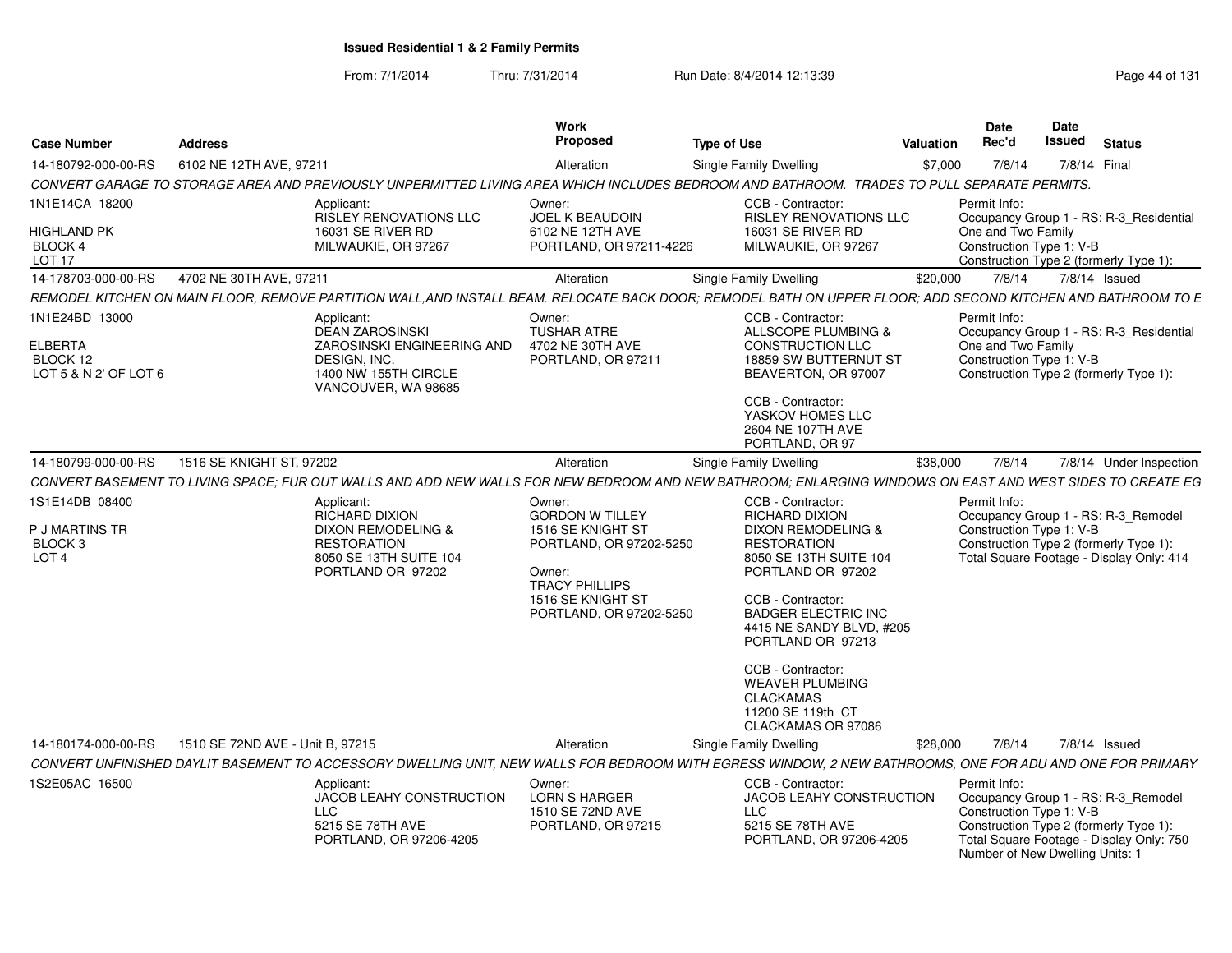From: 7/1/2014

Thru: 7/31/2014 Run Date: 8/4/2014 12:13:39 Research 2014 131

| <b>Case Number</b>                                                    | <b>Address</b>                   |                                                                                                                                                              | Work<br>Proposed                                                         | <b>Type of Use</b>                                                                                                  | <b>Valuation</b> | Date<br>Rec'd                                                  | Date<br><b>Issued</b> | <b>Status</b>                                                                                                                                                |
|-----------------------------------------------------------------------|----------------------------------|--------------------------------------------------------------------------------------------------------------------------------------------------------------|--------------------------------------------------------------------------|---------------------------------------------------------------------------------------------------------------------|------------------|----------------------------------------------------------------|-----------------------|--------------------------------------------------------------------------------------------------------------------------------------------------------------|
| 14-180792-000-00-RS                                                   | 6102 NE 12TH AVE, 97211          |                                                                                                                                                              | Alteration                                                               | <b>Single Family Dwelling</b>                                                                                       | \$7,000          | 7/8/14                                                         |                       | 7/8/14 Final                                                                                                                                                 |
|                                                                       |                                  | CONVERT GARAGE TO STORAGE AREA AND PREVIOUSLY UNPERMITTED LIVING AREA WHICH INCLUDES BEDROOM AND BATHROOM. TRADES TO PULL SEPARATE PERMITS.                  |                                                                          |                                                                                                                     |                  |                                                                |                       |                                                                                                                                                              |
| 1N1E14CA 18200                                                        |                                  | Applicant:<br>RISLEY RENOVATIONS LLC                                                                                                                         | Owner:<br>JOEL K BEAUDOIN                                                | CCB - Contractor:<br>RISLEY RENOVATIONS LLC                                                                         |                  | Permit Info:                                                   |                       | Occupancy Group 1 - RS: R-3_Residential                                                                                                                      |
| <b>HIGHLAND PK</b><br>BLOCK 4<br><b>LOT 17</b>                        |                                  | 16031 SE RIVER RD<br>MILWAUKIE, OR 97267                                                                                                                     | 6102 NE 12TH AVE<br>PORTLAND, OR 97211-4226                              | 16031 SE RIVER RD<br>MILWAUKIE, OR 97267                                                                            |                  | One and Two Family<br>Construction Type 1: V-B                 |                       | Construction Type 2 (formerly Type 1):                                                                                                                       |
| 14-178703-000-00-RS                                                   | 4702 NE 30TH AVE, 97211          |                                                                                                                                                              | Alteration                                                               | Single Family Dwelling                                                                                              | \$20,000         | 7/8/14                                                         |                       | 7/8/14 Issued                                                                                                                                                |
|                                                                       |                                  | REMODEL KITCHEN ON MAIN FLOOR. REMOVE PARTITION WALL AND INSTALL BEAM. RELOCATE BACK DOOR: REMODEL BATH ON UPPER FLOOR: ADD SECOND KITCHEN AND BATHROOM TO E |                                                                          |                                                                                                                     |                  |                                                                |                       |                                                                                                                                                              |
| 1N1E24BD 13000<br><b>ELBERTA</b><br>BLOCK 12<br>LOT 5 & N 2' OF LOT 6 |                                  | Applicant:<br><b>DEAN ZAROSINSKI</b><br>ZAROSINSKI ENGINEERING AND<br>DESIGN, INC.<br>1400 NW 155TH CIRCLE<br>VANCOUVER, WA 98685                            | Owner:<br><b>TUSHAR ATRE</b><br>4702 NE 30TH AVE<br>PORTLAND, OR 97211   | CCB - Contractor:<br>ALLSCOPE PLUMBING &<br><b>CONSTRUCTION LLC</b><br>18859 SW BUTTERNUT ST<br>BEAVERTON, OR 97007 |                  | Permit Info:<br>One and Two Family<br>Construction Type 1: V-B |                       | Occupancy Group 1 - RS: R-3_Residential<br>Construction Type 2 (formerly Type 1):                                                                            |
|                                                                       |                                  |                                                                                                                                                              |                                                                          | CCB - Contractor:<br>YASKOV HOMES LLC<br>2604 NE 107TH AVE<br>PORTLAND, OR 97                                       |                  |                                                                |                       |                                                                                                                                                              |
| 14-180799-000-00-RS                                                   | 1516 SE KNIGHT ST, 97202         |                                                                                                                                                              | Alteration                                                               | Single Family Dwelling                                                                                              | \$38,000         | 7/8/14                                                         |                       | 7/8/14 Under Inspection                                                                                                                                      |
|                                                                       |                                  | CONVERT BASEMENT TO LIVING SPACE: FUR OUT WALLS AND ADD NEW WALLS FOR NEW BEDROOM AND NEW BATHROOM: ENLARGING WINDOWS ON EAST AND WEST SIDES TO CREATE EG    |                                                                          |                                                                                                                     |                  |                                                                |                       |                                                                                                                                                              |
| 1S1E14DB 08400                                                        |                                  | Applicant:<br>RICHARD DIXION                                                                                                                                 | Owner:<br><b>GORDON W TILLEY</b>                                         | CCB - Contractor:<br><b>RICHARD DIXION</b>                                                                          |                  | Permit Info:                                                   |                       | Occupancy Group 1 - RS: R-3_Remodel                                                                                                                          |
| <b>P J MARTINS TR</b><br>BLOCK 3<br>LOT <sub>4</sub>                  |                                  | <b>DIXON REMODELING &amp;</b><br><b>RESTORATION</b><br>8050 SE 13TH SUITE 104<br>PORTLAND OR 97202                                                           | 1516 SE KNIGHT ST<br>PORTLAND, OR 97202-5250<br>Owner:                   | <b>DIXON REMODELING &amp;</b><br><b>RESTORATION</b><br>8050 SE 13TH SUITE 104<br>PORTLAND OR 97202                  |                  | Construction Type 1: V-B                                       |                       | Construction Type 2 (formerly Type 1):<br>Total Square Footage - Display Only: 414                                                                           |
|                                                                       |                                  |                                                                                                                                                              | <b>TRACY PHILLIPS</b><br>1516 SE KNIGHT ST<br>PORTLAND, OR 97202-5250    | CCB - Contractor:<br><b>BADGER ELECTRIC INC</b><br>4415 NE SANDY BLVD, #205<br>PORTLAND OR 97213                    |                  |                                                                |                       |                                                                                                                                                              |
|                                                                       |                                  |                                                                                                                                                              |                                                                          | CCB - Contractor:<br><b>WEAVER PLUMBING</b><br><b>CLACKAMAS</b><br>11200 SE 119th CT<br>CLACKAMAS OR 97086          |                  |                                                                |                       |                                                                                                                                                              |
| 14-180174-000-00-RS                                                   | 1510 SE 72ND AVE - Unit B, 97215 |                                                                                                                                                              | Alteration                                                               | Single Family Dwelling                                                                                              | \$28,000         | 7/8/14                                                         |                       | 7/8/14 Issued                                                                                                                                                |
|                                                                       |                                  | CONVERT UNFINISHED DAYLIT BASEMENT TO ACCESSORY DWELLING UNIT, NEW WALLS FOR BEDROOM WITH EGRESS WINDOW, 2 NEW BATHROOMS, ONE FOR ADU AND ONE FOR PRIMARY    |                                                                          |                                                                                                                     |                  |                                                                |                       |                                                                                                                                                              |
| 1S2E05AC 16500                                                        |                                  | Applicant:<br>JACOB LEAHY CONSTRUCTION<br><b>LLC</b><br>5215 SE 78TH AVE<br>PORTLAND, OR 97206-4205                                                          | Owner:<br><b>LORN S HARGER</b><br>1510 SE 72ND AVE<br>PORTLAND, OR 97215 | CCB - Contractor:<br><b>JACOB LEAHY CONSTRUCTION</b><br>LLC<br>5215 SE 78TH AVE<br>PORTLAND, OR 97206-4205          |                  | Permit Info:<br>Construction Type 1: V-B                       |                       | Occupancy Group 1 - RS: R-3 Remodel<br>Construction Type 2 (formerly Type 1):<br>Total Square Footage - Display Only: 750<br>Number of New Dwelling Units: 1 |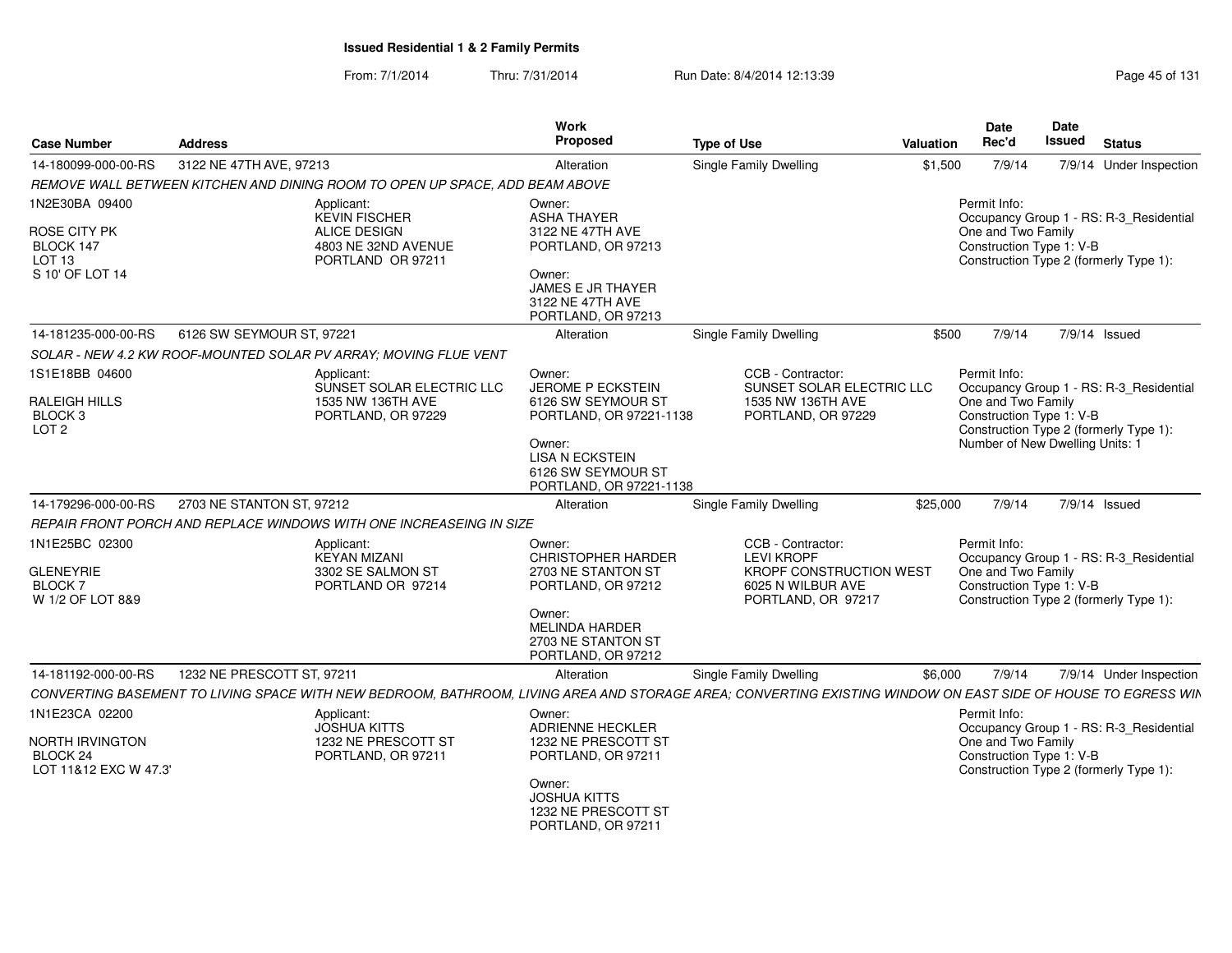From: 7/1/2014Thru: 7/31/2014 Run Date: 8/4/2014 12:13:39 Research 2014 13:14 Page 45 of 131

| <b>Case Number</b>                                             | <b>Address</b>             |                                                                                                                                                              | Work<br>Proposed                                                                  | <b>Type of Use</b>                                                | <b>Valuation</b> | <b>Date</b><br>Rec'd                                                                     | Date<br><b>Issued</b> | <b>Status</b>                           |
|----------------------------------------------------------------|----------------------------|--------------------------------------------------------------------------------------------------------------------------------------------------------------|-----------------------------------------------------------------------------------|-------------------------------------------------------------------|------------------|------------------------------------------------------------------------------------------|-----------------------|-----------------------------------------|
| 14-180099-000-00-RS                                            | 3122 NE 47TH AVE, 97213    |                                                                                                                                                              | Alteration                                                                        | Single Family Dwelling                                            | \$1,500          | 7/9/14                                                                                   |                       | 7/9/14 Under Inspection                 |
|                                                                |                            | REMOVE WALL BETWEEN KITCHEN AND DINING ROOM TO OPEN UP SPACE, ADD BEAM ABOVE                                                                                 |                                                                                   |                                                                   |                  |                                                                                          |                       |                                         |
| 1N2E30BA 09400<br>ROSE CITY PK                                 |                            | Applicant:<br><b>KEVIN FISCHER</b><br>ALICE DESIGN                                                                                                           | Owner:<br><b>ASHA THAYER</b><br>3122 NE 47TH AVE                                  |                                                                   |                  | Permit Info:<br>One and Two Family                                                       |                       | Occupancy Group 1 - RS: R-3_Residential |
| BLOCK 147<br>LOT 13<br>S 10' OF LOT 14                         |                            | 4803 NE 32ND AVENUE<br>PORTLAND OR 97211                                                                                                                     | PORTLAND, OR 97213<br>Owner:<br><b>JAMES E JR THAYER</b><br>3122 NE 47TH AVE      |                                                                   |                  | Construction Type 1: V-B<br>Construction Type 2 (formerly Type 1):                       |                       |                                         |
|                                                                |                            |                                                                                                                                                              | PORTLAND, OR 97213                                                                |                                                                   |                  |                                                                                          |                       |                                         |
| 14-181235-000-00-RS                                            | 6126 SW SEYMOUR ST, 97221  |                                                                                                                                                              | Alteration                                                                        | Single Family Dwelling                                            | \$500            | 7/9/14                                                                                   |                       | 7/9/14 Issued                           |
|                                                                |                            | SOLAR - NEW 4.2 KW ROOF-MOUNTED SOLAR PV ARRAY; MOVING FLUE VENT                                                                                             |                                                                                   |                                                                   |                  |                                                                                          |                       |                                         |
| 1S1E18BB 04600                                                 |                            | Applicant:<br>SUNSET SOLAR ELECTRIC LLC                                                                                                                      | Owner:<br>JEROME P ECKSTEIN                                                       | CCB - Contractor:<br>SUNSET SOLAR ELECTRIC LLC                    |                  | Permit Info:                                                                             |                       | Occupancy Group 1 - RS: R-3_Residential |
| <b>RALEIGH HILLS</b><br>BLOCK <sub>3</sub><br>LOT <sub>2</sub> |                            | 1535 NW 136TH AVE<br>PORTLAND, OR 97229                                                                                                                      | 6126 SW SEYMOUR ST<br>PORTLAND, OR 97221-1138                                     | 1535 NW 136TH AVE<br>PORTLAND, OR 97229                           |                  | One and Two Family<br>Construction Type 1: V-B                                           |                       | Construction Type 2 (formerly Type 1):  |
|                                                                |                            |                                                                                                                                                              | Owner:<br><b>LISA N ECKSTEIN</b><br>6126 SW SEYMOUR ST<br>PORTLAND, OR 97221-1138 |                                                                   |                  | Number of New Dwelling Units: 1                                                          |                       |                                         |
| 14-179296-000-00-RS                                            | 2703 NE STANTON ST, 97212  |                                                                                                                                                              | Alteration                                                                        | Single Family Dwelling                                            | \$25,000         | 7/9/14                                                                                   |                       | 7/9/14 Issued                           |
|                                                                |                            | REPAIR FRONT PORCH AND REPLACE WINDOWS WITH ONE INCREASEING IN SIZE                                                                                          |                                                                                   |                                                                   |                  |                                                                                          |                       |                                         |
| 1N1E25BC 02300<br><b>GLENEYRIE</b>                             |                            | Applicant:<br><b>KEYAN MIZANI</b><br>3302 SE SALMON ST                                                                                                       | Owner:<br><b>CHRISTOPHER HARDER</b><br>2703 NE STANTON ST                         | CCB - Contractor:<br><b>LEVI KROPF</b><br>KROPF CONSTRUCTION WEST |                  | Permit Info:<br>One and Two Family                                                       |                       | Occupancy Group 1 - RS: R-3 Residential |
| <b>BLOCK7</b><br>W 1/2 OF LOT 8&9                              |                            | PORTLAND OR 97214                                                                                                                                            | PORTLAND, OR 97212                                                                | 6025 N WILBUR AVE<br>PORTLAND, OR 97217                           |                  | Construction Type 1: V-B<br>Construction Type 2 (formerly Type 1):                       |                       |                                         |
|                                                                |                            |                                                                                                                                                              | Owner:<br><b>MELINDA HARDER</b><br>2703 NE STANTON ST<br>PORTLAND, OR 97212       |                                                                   |                  |                                                                                          |                       |                                         |
| 14-181192-000-00-RS                                            | 1232 NE PRESCOTT ST, 97211 |                                                                                                                                                              | Alteration                                                                        | Single Family Dwelling                                            | \$6,000          | 7/9/14                                                                                   |                       | 7/9/14 Under Inspection                 |
|                                                                |                            | CONVERTING BASEMENT TO LIVING SPACE WITH NEW BEDROOM, BATHROOM, LIVING AREA AND STORAGE AREA; CONVERTING EXISTING WINDOW ON EAST SIDE OF HOUSE TO EGRESS WIN |                                                                                   |                                                                   |                  |                                                                                          |                       |                                         |
| 1N1E23CA 02200                                                 |                            | Applicant:<br><b>JOSHUA KITTS</b>                                                                                                                            | Owner:<br>ADRIENNE HECKLER                                                        |                                                                   |                  | Permit Info:                                                                             |                       | Occupancy Group 1 - RS: R-3_Residential |
| NORTH IRVINGTON<br>BLOCK 24<br>LOT 11&12 EXC W 47.3'           |                            | 1232 NE PRESCOTT ST<br>PORTLAND, OR 97211                                                                                                                    | 1232 NE PRESCOTT ST<br>PORTLAND, OR 97211                                         |                                                                   |                  | One and Two Family<br>Construction Type 1: V-B<br>Construction Type 2 (formerly Type 1): |                       |                                         |
|                                                                |                            |                                                                                                                                                              | Owner:<br><b>JOSHUA KITTS</b><br>1232 NE PRESCOTT ST<br>PORTLAND, OR 97211        |                                                                   |                  |                                                                                          |                       |                                         |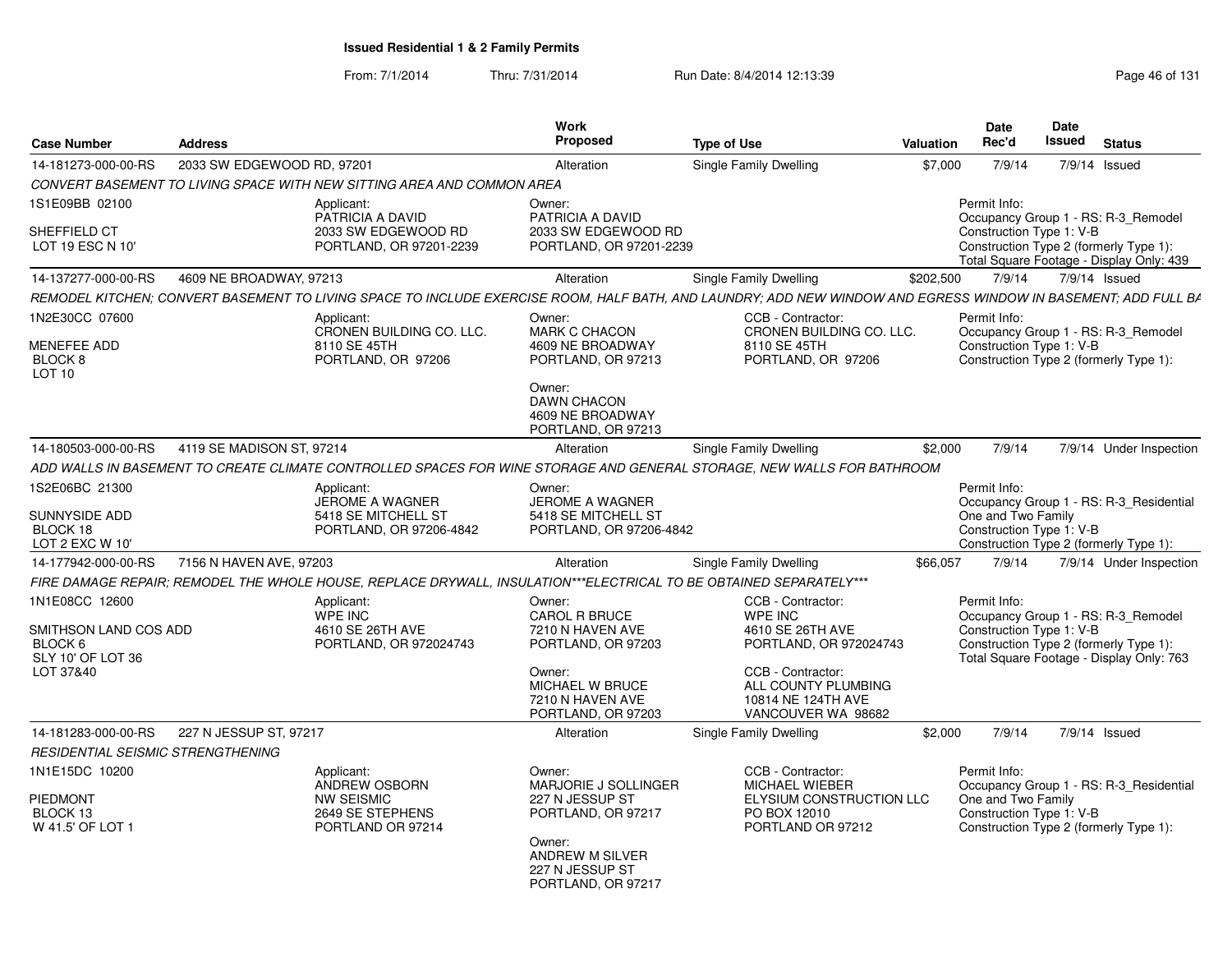From: 7/1/2014Thru: 7/31/2014 Run Date: 8/4/2014 12:13:39 Research 2014 13:14 Page 46 of 131

| <b>Case Number</b>                                                                   | <b>Address</b>             |                                                                                                                    | Work<br>Proposed                                                                                                                                | <b>Type of Use</b>                                                                                                                                                        | Valuation | Date<br>Rec'd                                                  | <b>Date</b><br>Issued | <b>Status</b>                                                                                                             |
|--------------------------------------------------------------------------------------|----------------------------|--------------------------------------------------------------------------------------------------------------------|-------------------------------------------------------------------------------------------------------------------------------------------------|---------------------------------------------------------------------------------------------------------------------------------------------------------------------------|-----------|----------------------------------------------------------------|-----------------------|---------------------------------------------------------------------------------------------------------------------------|
| 14-181273-000-00-RS                                                                  | 2033 SW EDGEWOOD RD, 97201 |                                                                                                                    | Alteration                                                                                                                                      | Single Family Dwelling                                                                                                                                                    | \$7,000   | 7/9/14                                                         |                       | 7/9/14 Issued                                                                                                             |
|                                                                                      |                            | CONVERT BASEMENT TO LIVING SPACE WITH NEW SITTING AREA AND COMMON AREA                                             |                                                                                                                                                 |                                                                                                                                                                           |           |                                                                |                       |                                                                                                                           |
| 1S1E09BB 02100                                                                       |                            | Applicant:<br>PATRICIA A DAVID                                                                                     | Owner:<br>PATRICIA A DAVID                                                                                                                      |                                                                                                                                                                           |           | Permit Info:                                                   |                       | Occupancy Group 1 - RS: R-3_Remodel                                                                                       |
| SHEFFIELD CT<br>LOT 19 ESC N 10'                                                     |                            | 2033 SW EDGEWOOD RD<br>PORTLAND, OR 97201-2239                                                                     | 2033 SW EDGEWOOD RD<br>PORTLAND, OR 97201-2239                                                                                                  |                                                                                                                                                                           |           | Construction Type 1: V-B                                       |                       | Construction Type 2 (formerly Type 1):<br>Total Square Footage - Display Only: 439                                        |
| 14-137277-000-00-RS                                                                  | 4609 NE BROADWAY, 97213    |                                                                                                                    | Alteration                                                                                                                                      | Single Family Dwelling                                                                                                                                                    | \$202,500 | 7/9/14                                                         |                       | 7/9/14 Issued                                                                                                             |
|                                                                                      |                            |                                                                                                                    |                                                                                                                                                 | REMODEL KITCHEN; CONVERT BASEMENT TO LIVING SPACE TO INCLUDE EXERCISE ROOM, HALF BATH, AND LAUNDRY; ADD NEW WINDOW AND EGRESS WINDOW IN BASEMENT; ADD FULL BA             |           |                                                                |                       |                                                                                                                           |
| 1N2E30CC 07600<br>MENEFEE ADD<br>BLOCK 8<br>LOT 10                                   |                            | Applicant:<br>CRONEN BUILDING CO. LLC.<br>8110 SE 45TH<br>PORTLAND, OR 97206                                       | Owner:<br><b>MARK C CHACON</b><br>4609 NE BROADWAY<br>PORTLAND, OR 97213                                                                        | CCB - Contractor:<br>CRONEN BUILDING CO. LLC.<br>8110 SE 45TH<br>PORTLAND, OR 97206                                                                                       |           | Permit Info:<br>Construction Type 1: V-B                       |                       | Occupancy Group 1 - RS: R-3_Remodel<br>Construction Type 2 (formerly Type 1):                                             |
|                                                                                      |                            |                                                                                                                    | Owner:<br><b>DAWN CHACON</b><br>4609 NE BROADWAY<br>PORTLAND, OR 97213                                                                          |                                                                                                                                                                           |           |                                                                |                       |                                                                                                                           |
| 14-180503-000-00-RS                                                                  | 4119 SE MADISON ST, 97214  |                                                                                                                    | Alteration                                                                                                                                      | <b>Single Family Dwelling</b>                                                                                                                                             | \$2,000   | 7/9/14                                                         |                       | 7/9/14 Under Inspection                                                                                                   |
|                                                                                      |                            |                                                                                                                    |                                                                                                                                                 | ADD WALLS IN BASEMENT TO CREATE CLIMATE CONTROLLED SPACES FOR WINE STORAGE AND GENERAL STORAGE, NEW WALLS FOR BATHROOM                                                    |           |                                                                |                       |                                                                                                                           |
| 1S2E06BC 21300<br>SUNNYSIDE ADD<br>BLOCK 18<br>LOT 2 EXC W 10'                       |                            | Applicant:<br><b>JEROME A WAGNER</b><br>5418 SE MITCHELL ST<br>PORTLAND, OR 97206-4842                             | Owner:<br><b>JEROME A WAGNER</b><br>5418 SE MITCHELL ST<br>PORTLAND, OR 97206-4842                                                              |                                                                                                                                                                           |           | Permit Info:<br>One and Two Family<br>Construction Type 1: V-B |                       | Occupancy Group 1 - RS: R-3_Residential<br>Construction Type 2 (formerly Type 1):                                         |
| 14-177942-000-00-RS                                                                  | 7156 N HAVEN AVE, 97203    |                                                                                                                    | Alteration                                                                                                                                      | Single Family Dwelling                                                                                                                                                    | \$66,057  | 7/9/14                                                         |                       | 7/9/14 Under Inspection                                                                                                   |
|                                                                                      |                            | FIRE DAMAGE REPAIR; REMODEL THE WHOLE HOUSE, REPLACE DRYWALL, INSULATION***ELECTRICAL TO BE OBTAINED SEPARATELY*** |                                                                                                                                                 |                                                                                                                                                                           |           |                                                                |                       |                                                                                                                           |
| 1N1E08CC 12600<br>SMITHSON LAND COS ADD<br>BLOCK 6<br>SLY 10' OF LOT 36<br>LOT 37&40 |                            | Applicant:<br><b>WPE INC</b><br>4610 SE 26TH AVE<br>PORTLAND, OR 972024743                                         | Owner:<br><b>CAROL R BRUCE</b><br>7210 N HAVEN AVE<br>PORTLAND, OR 97203<br>Owner:<br>MICHAEL W BRUCE<br>7210 N HAVEN AVE<br>PORTLAND, OR 97203 | CCB - Contractor:<br><b>WPE INC</b><br>4610 SE 26TH AVE<br>PORTLAND, OR 972024743<br>CCB - Contractor:<br>ALL COUNTY PLUMBING<br>10814 NE 124TH AVE<br>VANCOUVER WA 98682 |           | Permit Info:<br>Construction Type 1: V-B                       |                       | Occupancy Group 1 - RS: R-3_Remodel<br>Construction Type 2 (formerly Type 1):<br>Total Square Footage - Display Only: 763 |
| 14-181283-000-00-RS                                                                  | 227 N JESSUP ST, 97217     |                                                                                                                    | Alteration                                                                                                                                      | Single Family Dwelling                                                                                                                                                    | \$2,000   | 7/9/14                                                         |                       | 7/9/14 Issued                                                                                                             |
| RESIDENTIAL SEISMIC STRENGTHENING                                                    |                            |                                                                                                                    |                                                                                                                                                 |                                                                                                                                                                           |           |                                                                |                       |                                                                                                                           |
| 1N1E15DC 10200<br><b>PIEDMONT</b><br>BLOCK 13<br>W 41.5' OF LOT 1                    |                            | Applicant:<br>ANDREW OSBORN<br><b>NW SEISMIC</b><br>2649 SE STEPHENS<br>PORTLAND OR 97214                          | Owner:<br>MARJORIE J SOLLINGER<br>227 N JESSUP ST<br>PORTLAND, OR 97217<br>Owner:<br>ANDREW M SILVER<br>227 N JESSUP ST<br>PORTLAND, OR 97217   | CCB - Contractor:<br>MICHAEL WIEBER<br>ELYSIUM CONSTRUCTION LLC<br>PO BOX 12010<br>PORTLAND OR 97212                                                                      |           | Permit Info:<br>One and Two Family<br>Construction Type 1: V-B |                       | Occupancy Group 1 - RS: R-3_Residential<br>Construction Type 2 (formerly Type 1):                                         |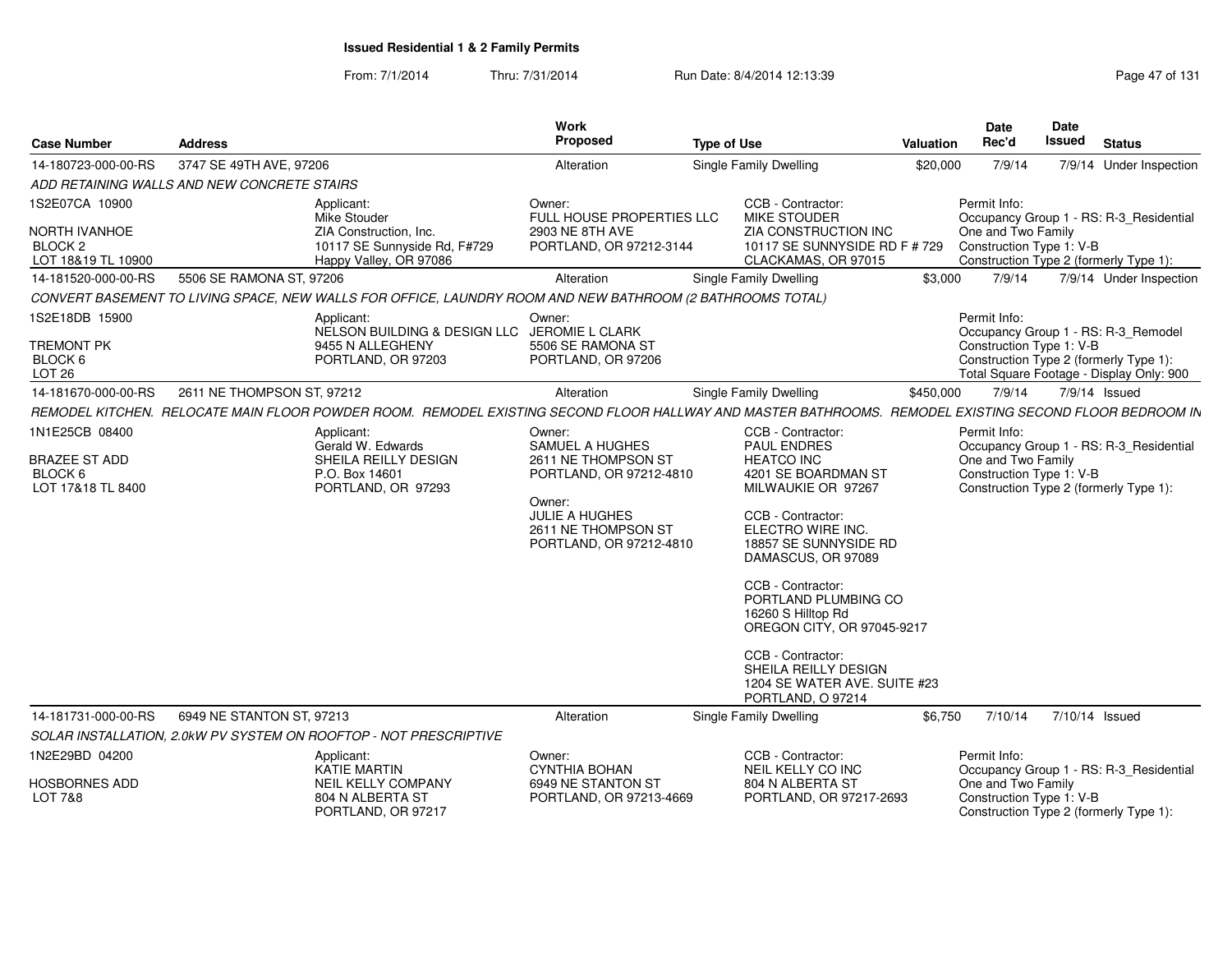From: 7/1/2014Thru: 7/31/2014 Run Date: 8/4/2014 12:13:39 Research 2014 131

| <b>Case Number</b>                                               | <b>Address</b>                              |                                                                                                                                                        | Work<br>Proposed                                                                                                                                       | <b>Type of Use</b> |                                                                                                                                                                                                                                                                                                                                                                                  | Valuation | <b>Date</b><br>Rec'd                           | Date<br>Issued | <b>Status</b>                                                                      |
|------------------------------------------------------------------|---------------------------------------------|--------------------------------------------------------------------------------------------------------------------------------------------------------|--------------------------------------------------------------------------------------------------------------------------------------------------------|--------------------|----------------------------------------------------------------------------------------------------------------------------------------------------------------------------------------------------------------------------------------------------------------------------------------------------------------------------------------------------------------------------------|-----------|------------------------------------------------|----------------|------------------------------------------------------------------------------------|
| 14-180723-000-00-RS                                              | 3747 SE 49TH AVE, 97206                     |                                                                                                                                                        | Alteration                                                                                                                                             |                    | Single Family Dwelling                                                                                                                                                                                                                                                                                                                                                           | \$20,000  | 7/9/14                                         |                | 7/9/14 Under Inspection                                                            |
|                                                                  | ADD RETAINING WALLS AND NEW CONCRETE STAIRS |                                                                                                                                                        |                                                                                                                                                        |                    |                                                                                                                                                                                                                                                                                                                                                                                  |           |                                                |                |                                                                                    |
| 1S2E07CA 10900                                                   |                                             | Applicant:<br>Mike Stouder                                                                                                                             | Owner:<br>FULL HOUSE PROPERTIES LLC                                                                                                                    |                    | CCB - Contractor:<br><b>MIKE STOUDER</b>                                                                                                                                                                                                                                                                                                                                         |           | Permit Info:                                   |                | Occupancy Group 1 - RS: R-3_Residential                                            |
| <b>NORTH IVANHOE</b><br>BLOCK <sub>2</sub><br>LOT 18&19 TL 10900 |                                             | ZIA Construction, Inc.<br>10117 SE Sunnyside Rd, F#729<br>Happy Valley, OR 97086                                                                       | <b>2903 NE 8TH AVE</b><br>PORTLAND, OR 97212-3144                                                                                                      |                    | ZIA CONSTRUCTION INC<br>10117 SE SUNNYSIDE RD F # 729<br>CLACKAMAS, OR 97015                                                                                                                                                                                                                                                                                                     |           | One and Two Family<br>Construction Type 1: V-B |                | Construction Type 2 (formerly Type 1):                                             |
| 14-181520-000-00-RS                                              | 5506 SE RAMONA ST, 97206                    |                                                                                                                                                        | Alteration                                                                                                                                             |                    | Single Family Dwelling                                                                                                                                                                                                                                                                                                                                                           | \$3,000   | 7/9/14                                         |                | 7/9/14 Under Inspection                                                            |
|                                                                  |                                             | CONVERT BASEMENT TO LIVING SPACE, NEW WALLS FOR OFFICE, LAUNDRY ROOM AND NEW BATHROOM (2 BATHROOMS TOTAL)                                              |                                                                                                                                                        |                    |                                                                                                                                                                                                                                                                                                                                                                                  |           |                                                |                |                                                                                    |
| 1S2E18DB 15900                                                   |                                             | Applicant:<br>NELSON BUILDING & DESIGN LLC JEROMIE L CLARK                                                                                             | Owner:                                                                                                                                                 |                    |                                                                                                                                                                                                                                                                                                                                                                                  |           | Permit Info:                                   |                | Occupancy Group 1 - RS: R-3_Remodel                                                |
| <b>TREMONT PK</b><br>BLOCK 6<br>LOT 26                           |                                             | 9455 N ALLEGHENY<br>PORTLAND, OR 97203                                                                                                                 | 5506 SE RAMONA ST<br>PORTLAND, OR 97206                                                                                                                |                    |                                                                                                                                                                                                                                                                                                                                                                                  |           | Construction Type 1: V-B                       |                | Construction Type 2 (formerly Type 1):<br>Total Square Footage - Display Only: 900 |
| 14-181670-000-00-RS                                              | 2611 NE THOMPSON ST, 97212                  |                                                                                                                                                        | Alteration                                                                                                                                             |                    | Single Family Dwelling                                                                                                                                                                                                                                                                                                                                                           | \$450,000 | 7/9/14                                         |                | 7/9/14 Issued                                                                      |
|                                                                  |                                             | REMODEL KITCHEN. RELOCATE MAIN FLOOR POWDER ROOM. REMODEL EXISTING SECOND FLOOR HALLWAY AND MASTER BATHROOMS. REMODEL EXISTING SECOND FLOOR BEDROOM IN |                                                                                                                                                        |                    |                                                                                                                                                                                                                                                                                                                                                                                  |           |                                                |                |                                                                                    |
| 1N1E25CB 08400                                                   |                                             | Applicant:                                                                                                                                             | Owner:                                                                                                                                                 |                    | CCB - Contractor:                                                                                                                                                                                                                                                                                                                                                                |           | Permit Info:                                   |                |                                                                                    |
| <b>BRAZEE ST ADD</b><br>BLOCK 6<br>LOT 17&18 TL 8400             |                                             | Gerald W. Edwards<br>SHEILA REILLY DESIGN<br>P.O. Box 14601<br>PORTLAND, OR 97293                                                                      | SAMUEL A HUGHES<br>2611 NE THOMPSON ST<br>PORTLAND, OR 97212-4810<br>Owner:<br><b>JULIE A HUGHES</b><br>2611 NE THOMPSON ST<br>PORTLAND, OR 97212-4810 |                    | <b>PAUL ENDRES</b><br><b>HEATCO INC</b><br>4201 SE BOARDMAN ST<br>MILWAUKIE OR 97267<br>CCB - Contractor:<br>ELECTRO WIRE INC.<br>18857 SE SUNNYSIDE RD<br>DAMASCUS, OR 97089<br>CCB - Contractor:<br>PORTLAND PLUMBING CO<br>16260 S Hilltop Rd<br>OREGON CITY, OR 97045-9217<br>CCB - Contractor:<br>SHEILA REILLY DESIGN<br>1204 SE WATER AVE. SUITE #23<br>PORTLAND, O 97214 |           | One and Two Family<br>Construction Type 1: V-B |                | Occupancy Group 1 - RS: R-3 Residential<br>Construction Type 2 (formerly Type 1):  |
| 14-181731-000-00-RS                                              | 6949 NE STANTON ST, 97213                   |                                                                                                                                                        | Alteration                                                                                                                                             |                    | Single Family Dwelling                                                                                                                                                                                                                                                                                                                                                           | \$6,750   | 7/10/14                                        |                | 7/10/14 Issued                                                                     |
|                                                                  |                                             | SOLAR INSTALLATION, 2.0kW PV SYSTEM ON ROOFTOP - NOT PRESCRIPTIVE                                                                                      |                                                                                                                                                        |                    |                                                                                                                                                                                                                                                                                                                                                                                  |           |                                                |                |                                                                                    |
| 1N2E29BD 04200                                                   |                                             | Applicant:<br>KATIE MARTIN                                                                                                                             | Owner:<br>CYNTHIA BOHAN                                                                                                                                |                    | CCB - Contractor:<br>NEIL KELLY CO INC                                                                                                                                                                                                                                                                                                                                           |           | Permit Info:                                   |                | Occupancy Group 1 - RS: R-3_Residential                                            |
| <b>HOSBORNES ADD</b><br><b>LOT 7&amp;8</b>                       |                                             | <b>NEIL KELLY COMPANY</b><br>804 N ALBERTA ST<br>PORTLAND, OR 97217                                                                                    | 6949 NE STANTON ST<br>PORTLAND, OR 97213-4669                                                                                                          |                    | 804 N ALBERTA ST<br>PORTLAND, OR 97217-2693                                                                                                                                                                                                                                                                                                                                      |           | One and Two Family<br>Construction Type 1: V-B |                | Construction Type 2 (formerly Type 1):                                             |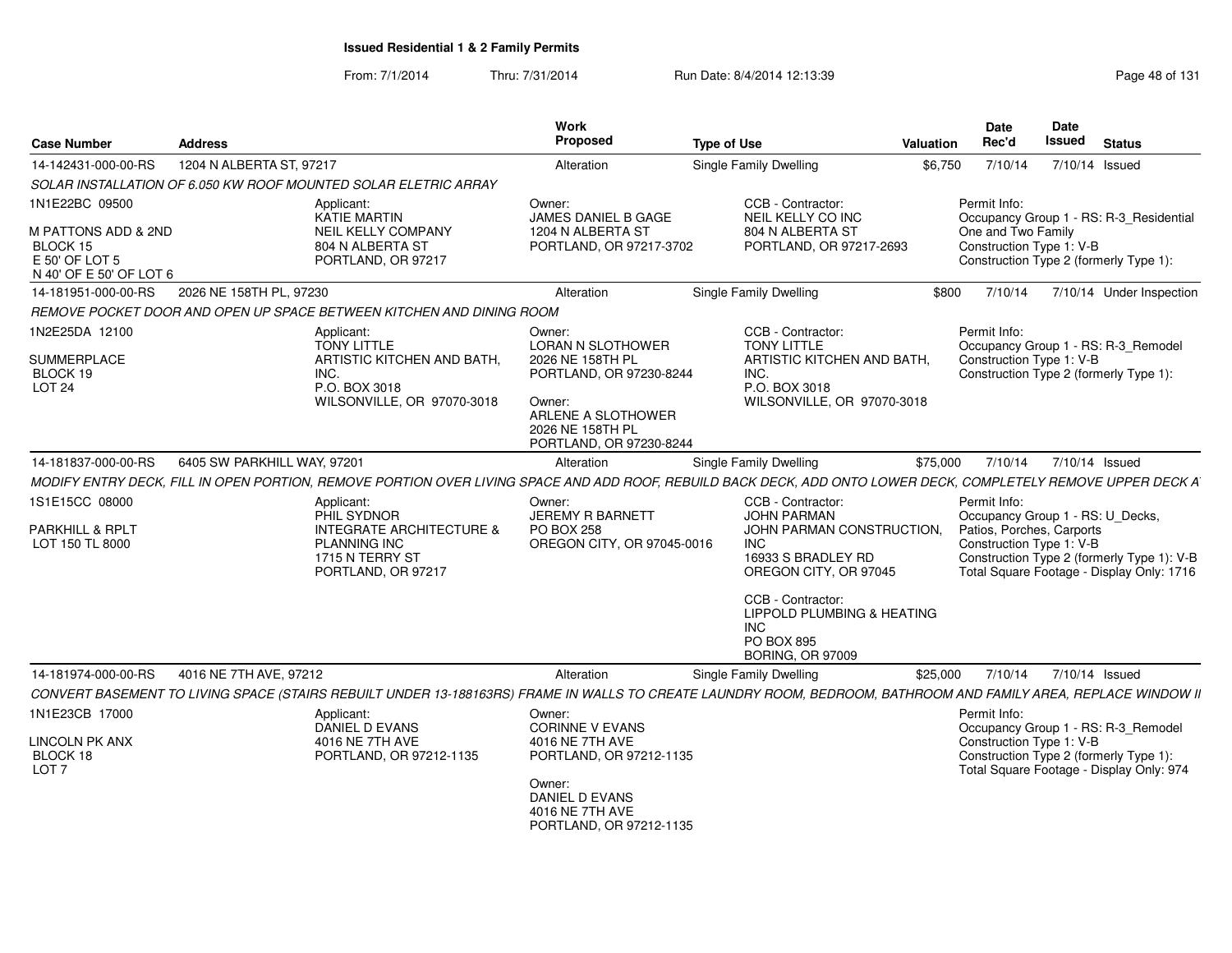From: 7/1/2014Thru: 7/31/2014 Run Date: 8/4/2014 12:13:39 Research 2014 13:14 Page 48 of 131

| <b>Case Number</b>                                                                             | <b>Address</b>                                                                                                                                                                            | Work<br>Proposed                                                                                                                                                 | <b>Type of Use</b>                                                                                                                                     | <b>Valuation</b> | <b>Date</b><br>Rec'd                                                                                      | <b>Date</b><br><b>Issued</b> | <b>Status</b>                                                                           |
|------------------------------------------------------------------------------------------------|-------------------------------------------------------------------------------------------------------------------------------------------------------------------------------------------|------------------------------------------------------------------------------------------------------------------------------------------------------------------|--------------------------------------------------------------------------------------------------------------------------------------------------------|------------------|-----------------------------------------------------------------------------------------------------------|------------------------------|-----------------------------------------------------------------------------------------|
| 14-142431-000-00-RS                                                                            | 1204 N ALBERTA ST, 97217                                                                                                                                                                  | Alteration                                                                                                                                                       | Single Family Dwelling                                                                                                                                 | \$6,750          | 7/10/14                                                                                                   |                              | 7/10/14 Issued                                                                          |
|                                                                                                | SOLAR INSTALLATION OF 6.050 KW ROOF MOUNTED SOLAR ELETRIC ARRAY                                                                                                                           |                                                                                                                                                                  |                                                                                                                                                        |                  |                                                                                                           |                              |                                                                                         |
| 1N1E22BC 09500<br>M PATTONS ADD & 2ND<br>BLOCK 15<br>E 50' OF LOT 5<br>N 40' OF E 50' OF LOT 6 | Applicant:<br><b>KATIE MARTIN</b><br>NEIL KELLY COMPANY<br>804 N ALBERTA ST<br>PORTLAND, OR 97217                                                                                         | Owner:<br><b>JAMES DANIEL B GAGE</b><br>1204 N ALBERTA ST<br>PORTLAND, OR 97217-3702                                                                             | CCB - Contractor:<br>NEIL KELLY CO INC<br>804 N ALBERTA ST<br>PORTLAND, OR 97217-2693                                                                  |                  | Permit Info:<br>One and Two Family<br>Construction Type 1: V-B                                            |                              | Occupancy Group 1 - RS: R-3_Residential<br>Construction Type 2 (formerly Type 1):       |
| 14-181951-000-00-RS                                                                            | 2026 NE 158TH PL, 97230                                                                                                                                                                   | Alteration                                                                                                                                                       | Single Family Dwelling                                                                                                                                 | \$800            | 7/10/14                                                                                                   |                              | 7/10/14 Under Inspection                                                                |
|                                                                                                | REMOVE POCKET DOOR AND OPEN UP SPACE BETWEEN KITCHEN AND DINING ROOM                                                                                                                      |                                                                                                                                                                  |                                                                                                                                                        |                  |                                                                                                           |                              |                                                                                         |
| 1N2E25DA 12100<br><b>SUMMERPLACE</b><br>BLOCK 19<br>LOT <sub>24</sub>                          | Applicant:<br><b>TONY LITTLE</b><br>ARTISTIC KITCHEN AND BATH.<br>INC.<br>P.O. BOX 3018<br>WILSONVILLE, OR 97070-3018                                                                     | Owner:<br><b>LORAN N SLOTHOWER</b><br>2026 NE 158TH PL<br>PORTLAND, OR 97230-8244<br>Owner:<br>ARLENE A SLOTHOWER<br>2026 NE 158TH PL<br>PORTLAND, OR 97230-8244 | CCB - Contractor:<br><b>TONY LITTLE</b><br>ARTISTIC KITCHEN AND BATH.<br>INC.<br>P.O. BOX 3018<br>WILSONVILLE, OR 97070-3018                           |                  | Permit Info:<br>Construction Type 1: V-B                                                                  |                              | Occupancy Group 1 - RS: R-3_Remodel<br>Construction Type 2 (formerly Type 1):           |
| 14-181837-000-00-RS                                                                            | 6405 SW PARKHILL WAY, 97201                                                                                                                                                               | Alteration                                                                                                                                                       | <b>Single Family Dwelling</b>                                                                                                                          | \$75,000         |                                                                                                           | 7/10/14 7/10/14 Issued       |                                                                                         |
|                                                                                                | MODIFY ENTRY DECK, FILL IN OPEN PORTION, REMOVE PORTION OVER LIVING SPACE AND ADD ROOF, REBUILD BACK DECK, ADD ONTO LOWER DECK, COMPLETELY REMOVE UPPER DECK A                            |                                                                                                                                                                  |                                                                                                                                                        |                  |                                                                                                           |                              |                                                                                         |
| 1S1E15CC 08000<br><b>PARKHILL &amp; RPLT</b><br>LOT 150 TL 8000                                | Applicant:<br>PHIL SYDNOR<br><b>INTEGRATE ARCHITECTURE &amp;</b><br><b>PLANNING INC</b><br>1715 N TERRY ST<br>PORTLAND, OR 97217                                                          | Owner:<br><b>JEREMY R BARNETT</b><br>PO BOX 258<br>OREGON CITY, OR 97045-0016                                                                                    | CCB - Contractor:<br><b>JOHN PARMAN</b><br>JOHN PARMAN CONSTRUCTION.<br><b>INC</b><br>16933 S BRADLEY RD<br>OREGON CITY, OR 97045<br>CCB - Contractor: |                  | Permit Info:<br>Occupancy Group 1 - RS: U_Decks,<br>Patios, Porches, Carports<br>Construction Type 1: V-B |                              | Construction Type 2 (formerly Type 1): V-B<br>Total Square Footage - Display Only: 1716 |
|                                                                                                |                                                                                                                                                                                           |                                                                                                                                                                  | <b>LIPPOLD PLUMBING &amp; HEATING</b><br><b>INC</b><br><b>PO BOX 895</b><br><b>BORING, OR 97009</b>                                                    |                  |                                                                                                           |                              |                                                                                         |
| 14-181974-000-00-RS                                                                            | 4016 NE 7TH AVE, 97212<br>CONVERT BASEMENT TO LIVING SPACE (STAIRS REBUILT UNDER 13-188163RS) FRAME IN WALLS TO CREATE LAUNDRY ROOM, BEDROOM, BATHROOM AND FAMILY AREA, REPLACE WINDOW II | Alteration                                                                                                                                                       | Single Family Dwelling                                                                                                                                 | \$25,000         | 7/10/14                                                                                                   |                              | 7/10/14 Issued                                                                          |
| 1N1E23CB 17000<br>LINCOLN PK ANX                                                               | Applicant:<br>DANIEL D EVANS<br>4016 NE 7TH AVE                                                                                                                                           | Owner:<br><b>CORINNE V EVANS</b><br>4016 NE 7TH AVE                                                                                                              |                                                                                                                                                        |                  | Permit Info:<br>Construction Type 1: V-B                                                                  |                              | Occupancy Group 1 - RS: R-3_Remodel                                                     |
| BLOCK 18<br>LOT <sub>7</sub>                                                                   | PORTLAND, OR 97212-1135                                                                                                                                                                   | PORTLAND, OR 97212-1135<br>Owner:<br>DANIEL D EVANS<br>4016 NE 7TH AVE<br>PORTLAND, OR 97212-1135                                                                |                                                                                                                                                        |                  |                                                                                                           |                              | Construction Type 2 (formerly Type 1):<br>Total Square Footage - Display Only: 974      |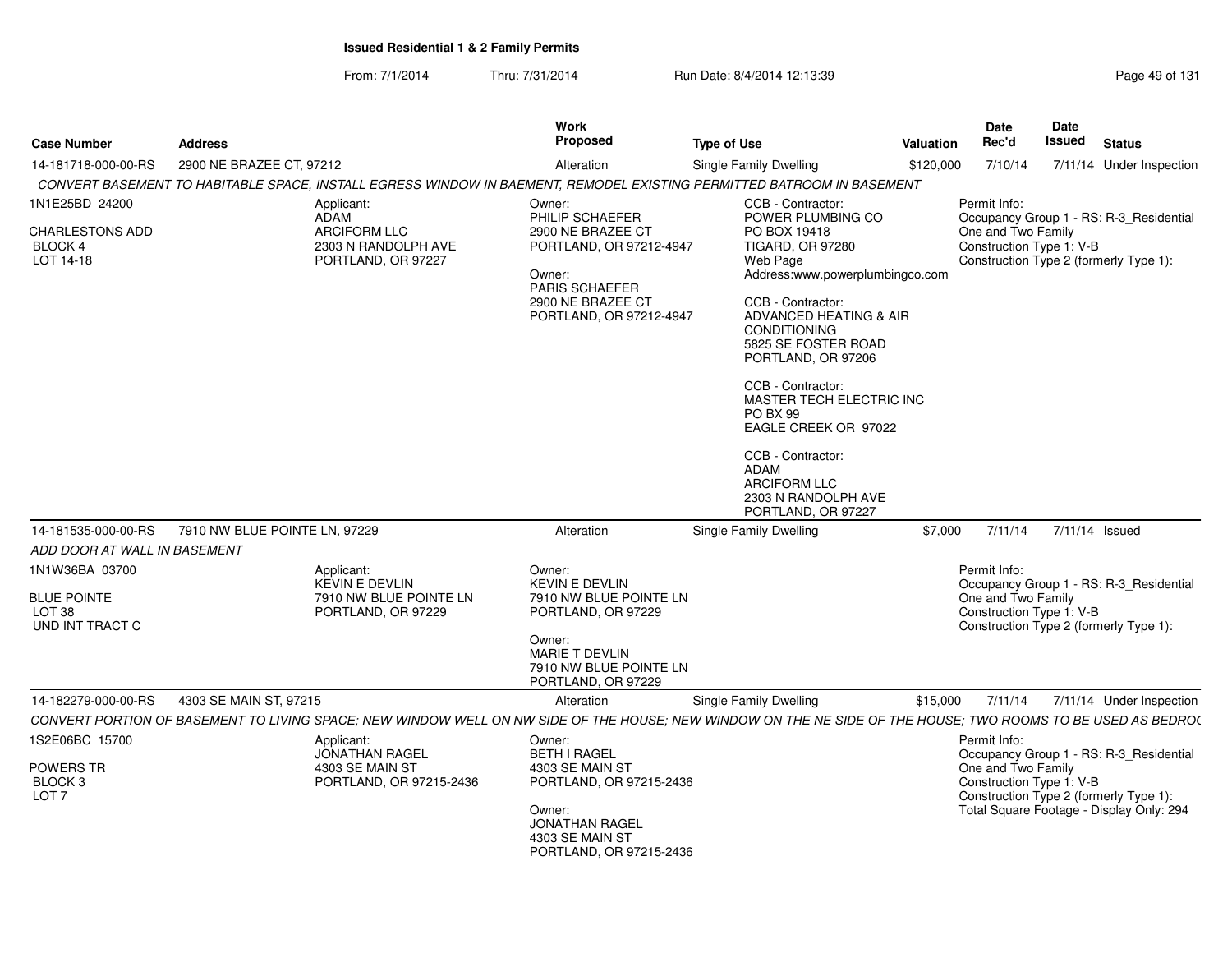From: 7/1/2014Thru: 7/31/2014 Run Date: 8/4/2014 12:13:39 Research 2014 131

| <b>Case Number</b>                                                           | <b>Address</b>                                         |                                              | <b>Work</b><br>Proposed                                                                                                                                     | <b>Type of Use</b>                                                                                                                                                                                                                                                                                                                                                                              | Valuation | <b>Date</b><br>Rec'd                                           | Date<br><b>Issued</b> | <b>Status</b>                                                                                                                 |
|------------------------------------------------------------------------------|--------------------------------------------------------|----------------------------------------------|-------------------------------------------------------------------------------------------------------------------------------------------------------------|-------------------------------------------------------------------------------------------------------------------------------------------------------------------------------------------------------------------------------------------------------------------------------------------------------------------------------------------------------------------------------------------------|-----------|----------------------------------------------------------------|-----------------------|-------------------------------------------------------------------------------------------------------------------------------|
| 14-181718-000-00-RS                                                          | 2900 NE BRAZEE CT, 97212                               |                                              | Alteration                                                                                                                                                  | Single Family Dwelling                                                                                                                                                                                                                                                                                                                                                                          | \$120,000 | 7/10/14                                                        |                       | 7/11/14 Under Inspection                                                                                                      |
|                                                                              |                                                        |                                              |                                                                                                                                                             | CONVERT BASEMENT TO HABITABLE SPACE, INSTALL EGRESS WINDOW IN BAEMENT, REMODEL EXISTING PERMITTED BATROOM IN BASEMENT                                                                                                                                                                                                                                                                           |           |                                                                |                       |                                                                                                                               |
| 1N1E25BD 24200                                                               | Applicant:<br><b>ADAM</b>                              |                                              | Owner:<br>PHILIP SCHAEFER                                                                                                                                   | CCB - Contractor:<br>POWER PLUMBING CO                                                                                                                                                                                                                                                                                                                                                          |           | Permit Info:                                                   |                       | Occupancy Group 1 - RS: R-3_Residential                                                                                       |
| CHARLESTONS ADD<br>BLOCK 4<br>LOT 14-18                                      | <b>ARCIFORM LLC</b>                                    | 2303 N RANDOLPH AVE<br>PORTLAND, OR 97227    | 2900 NE BRAZEE CT<br>PORTLAND, OR 97212-4947<br>Owner:<br>PARIS SCHAEFER<br>2900 NE BRAZEE CT<br>PORTLAND, OR 97212-4947                                    | PO BOX 19418<br>TIGARD, OR 97280<br>Web Page<br>Address:www.powerplumbingco.com<br>CCB - Contractor:<br>ADVANCED HEATING & AIR<br><b>CONDITIONING</b><br>5825 SE FOSTER ROAD<br>PORTLAND, OR 97206<br>CCB - Contractor:<br>MASTER TECH ELECTRIC INC<br>PO BX 99<br>EAGLE CREEK OR 97022<br>CCB - Contractor:<br><b>ADAM</b><br><b>ARCIFORM LLC</b><br>2303 N RANDOLPH AVE<br>PORTLAND, OR 97227 |           | One and Two Family<br>Construction Type 1: V-B                 |                       | Construction Type 2 (formerly Type 1):                                                                                        |
| 14-181535-000-00-RS                                                          | 7910 NW BLUE POINTE LN, 97229                          |                                              | Alteration                                                                                                                                                  | Single Family Dwelling                                                                                                                                                                                                                                                                                                                                                                          | \$7,000   | 7/11/14                                                        | $7/11/14$ Issued      |                                                                                                                               |
| ADD DOOR AT WALL IN BASEMENT                                                 |                                                        |                                              |                                                                                                                                                             |                                                                                                                                                                                                                                                                                                                                                                                                 |           |                                                                |                       |                                                                                                                               |
| 1N1W36BA 03700<br><b>BLUE POINTE</b><br>LOT <sub>38</sub><br>UND INT TRACT C | Applicant:<br><b>KEVIN E DEVLIN</b>                    | 7910 NW BLUE POINTE LN<br>PORTLAND, OR 97229 | Owner:<br><b>KEVIN E DEVLIN</b><br>7910 NW BLUE POINTE LN<br>PORTLAND, OR 97229<br>Owner:<br>MARIE T DEVLIN<br>7910 NW BLUE POINTE LN<br>PORTLAND, OR 97229 |                                                                                                                                                                                                                                                                                                                                                                                                 |           | Permit Info:<br>One and Two Family<br>Construction Type 1: V-B |                       | Occupancy Group 1 - RS: R-3_Residential<br>Construction Type 2 (formerly Type 1):                                             |
| 14-182279-000-00-RS                                                          | 4303 SE MAIN ST, 97215                                 |                                              | Alteration                                                                                                                                                  | Single Family Dwelling                                                                                                                                                                                                                                                                                                                                                                          | \$15,000  | 7/11/14                                                        |                       | 7/11/14 Under Inspection                                                                                                      |
|                                                                              |                                                        |                                              |                                                                                                                                                             | CONVERT PORTION OF BASEMENT TO LIVING SPACE; NEW WINDOW WELL ON NW SIDE OF THE HOUSE; NEW WINDOW ON THE NE SIDE OF THE HOUSE; TWO ROOMS TO BE USED AS BEDRO(                                                                                                                                                                                                                                    |           |                                                                |                       |                                                                                                                               |
| 1S2E06BC 15700<br>POWERS TR<br>BLOCK <sub>3</sub><br>LOT <sub>7</sub>        | Applicant:<br><b>JONATHAN RAGEL</b><br>4303 SE MAIN ST | PORTLAND, OR 97215-2436                      | Owner:<br><b>BETH I RAGEL</b><br>4303 SE MAIN ST<br>PORTLAND, OR 97215-2436<br>Owner:<br>JONATHAN RAGEL<br>4303 SE MAIN ST<br>PORTLAND, OR 97215-2436       |                                                                                                                                                                                                                                                                                                                                                                                                 |           | Permit Info:<br>One and Two Family<br>Construction Type 1: V-B |                       | Occupancy Group 1 - RS: R-3_Residential<br>Construction Type 2 (formerly Type 1):<br>Total Square Footage - Display Only: 294 |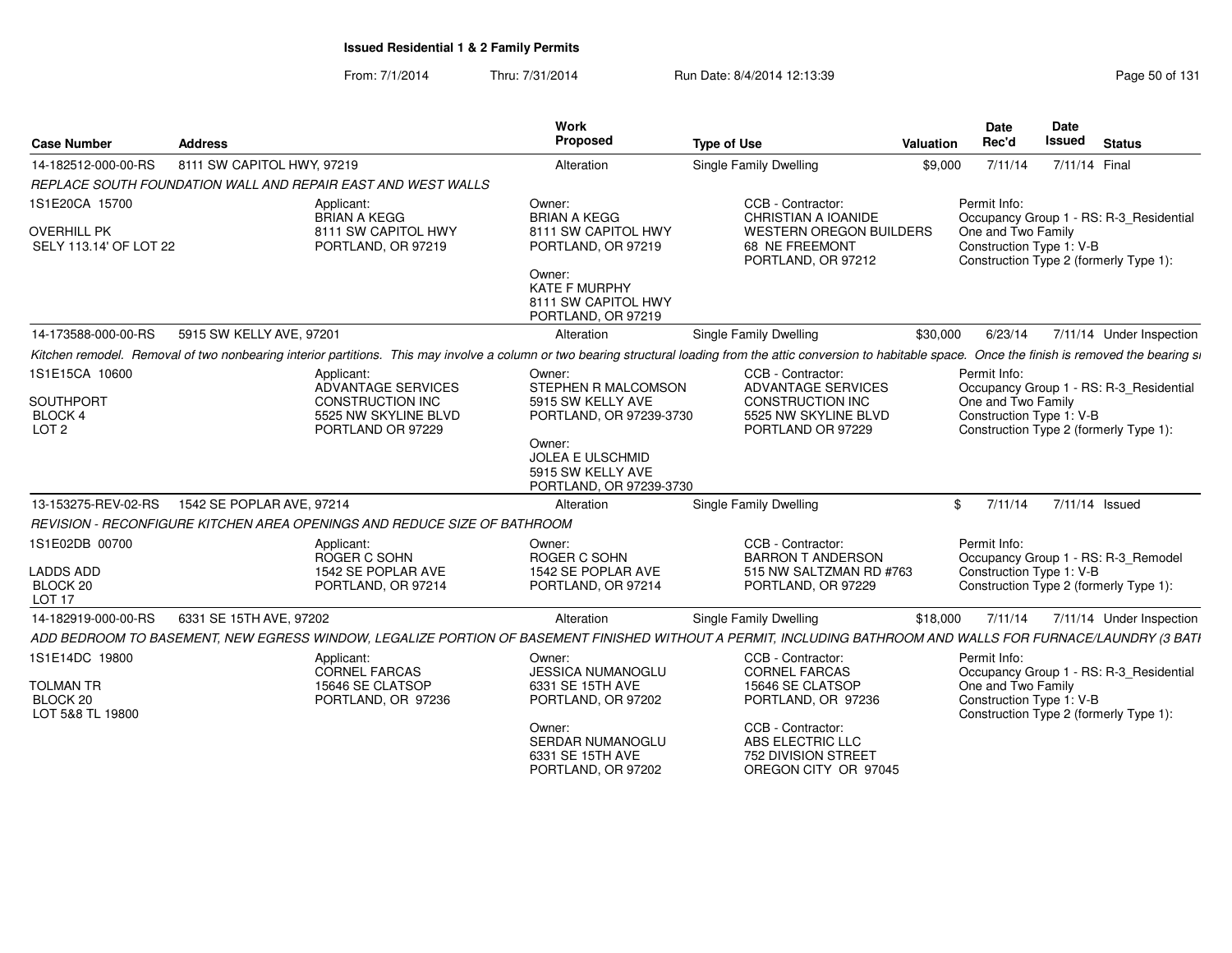From: 7/1/2014Thru: 7/31/2014 Run Date: 8/4/2014 12:13:39 Research 2010 Rage 50 of 131

| <b>Case Number</b>                                | <b>Address</b>                                                                                                                                                                                                      | <b>Work</b><br>Proposed                                                           | <b>Type of Use</b>                                                                   | Valuation | <b>Date</b><br>Rec'd               | <b>Date</b><br><b>Issued</b> | <b>Status</b>                           |
|---------------------------------------------------|---------------------------------------------------------------------------------------------------------------------------------------------------------------------------------------------------------------------|-----------------------------------------------------------------------------------|--------------------------------------------------------------------------------------|-----------|------------------------------------|------------------------------|-----------------------------------------|
| 14-182512-000-00-RS                               | 8111 SW CAPITOL HWY, 97219                                                                                                                                                                                          | Alteration                                                                        | Single Family Dwelling                                                               | \$9,000   | 7/11/14                            | 7/11/14 Final                |                                         |
|                                                   | REPLACE SOUTH FOUNDATION WALL AND REPAIR EAST AND WEST WALLS                                                                                                                                                        |                                                                                   |                                                                                      |           |                                    |                              |                                         |
| 1S1E20CA 15700<br><b>OVERHILL PK</b>              | Applicant:<br><b>BRIAN A KEGG</b><br>8111 SW CAPITOL HWY                                                                                                                                                            | Owner:<br><b>BRIAN A KEGG</b><br>8111 SW CAPITOL HWY                              | CCB - Contractor:<br><b>CHRISTIAN A IOANIDE</b><br><b>WESTERN OREGON BUILDERS</b>    |           | Permit Info:<br>One and Two Family |                              | Occupancy Group 1 - RS: R-3_Residential |
| SELY 113.14' OF LOT 22                            | PORTLAND, OR 97219                                                                                                                                                                                                  | PORTLAND, OR 97219<br>Owner:                                                      | 68 NE FREEMONT<br>PORTLAND, OR 97212                                                 |           | Construction Type 1: V-B           |                              | Construction Type 2 (formerly Type 1):  |
|                                                   |                                                                                                                                                                                                                     | <b>KATE F MURPHY</b><br>8111 SW CAPITOL HWY<br>PORTLAND, OR 97219                 |                                                                                      |           |                                    |                              |                                         |
| 14-173588-000-00-RS                               | 5915 SW KELLY AVE, 97201                                                                                                                                                                                            | Alteration                                                                        | Single Family Dwelling                                                               | \$30,000  | 6/23/14                            |                              | 7/11/14 Under Inspection                |
|                                                   | Kitchen remodel. Removal of two nonbearing interior partitions. This may involve a column or two bearing structural loading from the attic conversion to habitable space. Once the finish is removed the bearing si |                                                                                   |                                                                                      |           |                                    |                              |                                         |
| 1S1E15CA 10600                                    | Applicant:<br>ADVANTAGE SERVICES                                                                                                                                                                                    | Owner:<br>STEPHEN R MALCOMSON                                                     | CCB - Contractor:<br><b>ADVANTAGE SERVICES</b>                                       |           | Permit Info:                       |                              | Occupancy Group 1 - RS: R-3_Residential |
| SOUTHPORT                                         | <b>CONSTRUCTION INC</b>                                                                                                                                                                                             | 5915 SW KELLY AVE                                                                 | CONSTRUCTION INC                                                                     |           | One and Two Family                 |                              |                                         |
| BLOCK 4<br>LOT <sub>2</sub>                       | 5525 NW SKYLINE BLVD<br>PORTLAND OR 97229                                                                                                                                                                           | PORTLAND, OR 97239-3730                                                           | 5525 NW SKYLINE BLVD<br>PORTLAND OR 97229                                            |           | Construction Type 1: V-B           |                              | Construction Type 2 (formerly Type 1):  |
|                                                   |                                                                                                                                                                                                                     | Owner:<br><b>JOLEA E ULSCHMID</b><br>5915 SW KELLY AVE<br>PORTLAND, OR 97239-3730 |                                                                                      |           |                                    |                              |                                         |
| 13-153275-REV-02-RS                               | 1542 SE POPLAR AVE, 97214                                                                                                                                                                                           | Alteration                                                                        | Single Family Dwelling                                                               | \$        | 7/11/14                            | 7/11/14 Issued               |                                         |
|                                                   | REVISION - RECONFIGURE KITCHEN AREA OPENINGS AND REDUCE SIZE OF BATHROOM                                                                                                                                            |                                                                                   |                                                                                      |           |                                    |                              |                                         |
| 1S1E02DB 00700                                    | Applicant:<br>ROGER C SOHN                                                                                                                                                                                          | Owner:<br>ROGER C SOHN                                                            | CCB - Contractor:<br><b>BARRON T ANDERSON</b>                                        |           | Permit Info:                       |                              | Occupancy Group 1 - RS: R-3_Remodel     |
| <b>LADDS ADD</b><br>BLOCK 20<br>LOT <sub>17</sub> | 1542 SE POPLAR AVE<br>PORTLAND, OR 97214                                                                                                                                                                            | 1542 SE POPLAR AVE<br>PORTLAND, OR 97214                                          | 515 NW SALTZMAN RD #763<br>PORTLAND, OR 97229                                        |           | Construction Type 1: V-B           |                              | Construction Type 2 (formerly Type 1):  |
| 14-182919-000-00-RS                               | 6331 SE 15TH AVE, 97202                                                                                                                                                                                             | Alteration                                                                        | Single Family Dwelling                                                               | \$18,000  | 7/11/14                            |                              | 7/11/14 Under Inspection                |
|                                                   | ADD BEDROOM TO BASEMENT. NEW EGRESS WINDOW, LEGALIZE PORTION OF BASEMENT FINISHED WITHOUT A PERMIT, INCLUDING BATHROOM AND WALLS FOR FURNACE/LAUNDRY (3 BATI                                                        |                                                                                   |                                                                                      |           |                                    |                              |                                         |
| 1S1E14DC 19800                                    | Applicant:<br><b>CORNEL FARCAS</b>                                                                                                                                                                                  | Owner:<br><b>JESSICA NUMANOGLU</b>                                                | CCB - Contractor:<br><b>CORNEL FARCAS</b>                                            |           | Permit Info:                       |                              | Occupancy Group 1 - RS: R-3 Residential |
| <b>TOLMAN TR</b>                                  | 15646 SE CLATSOP                                                                                                                                                                                                    | 6331 SE 15TH AVE                                                                  | 15646 SE CLATSOP                                                                     |           | One and Two Family                 |                              |                                         |
| BLOCK <sub>20</sub><br>LOT 5&8 TL 19800           | PORTLAND, OR 97236                                                                                                                                                                                                  | PORTLAND, OR 97202                                                                | PORTLAND, OR 97236                                                                   |           | Construction Type 1: V-B           |                              | Construction Type 2 (formerly Type 1):  |
|                                                   |                                                                                                                                                                                                                     | Owner:<br><b>SERDAR NUMANOGLU</b><br>6331 SE 15TH AVE<br>PORTLAND, OR 97202       | CCB - Contractor:<br>ABS ELECTRIC LLC<br>752 DIVISION STREET<br>OREGON CITY OR 97045 |           |                                    |                              |                                         |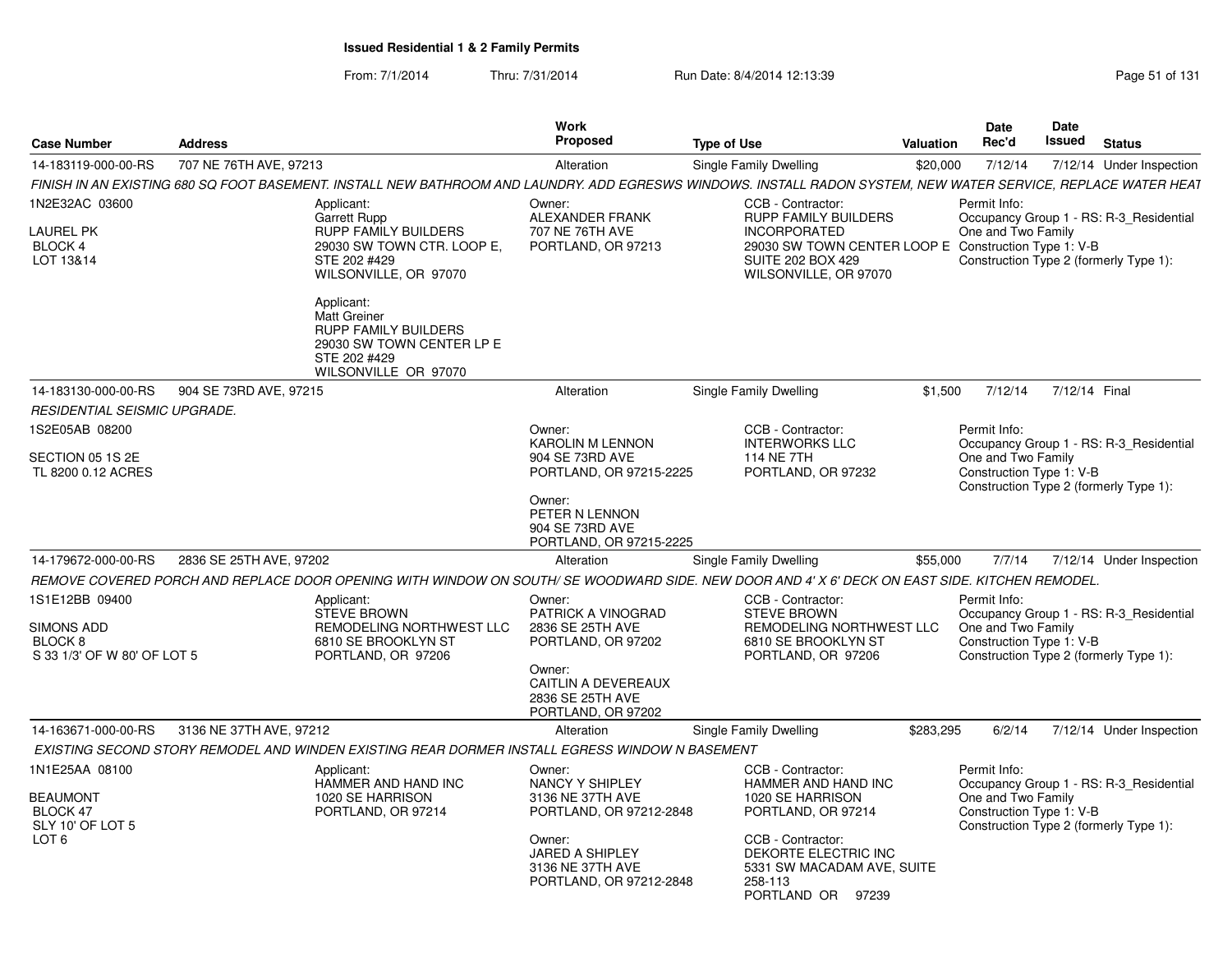| From: 7/1/2014 | Thru: 7/31/2014 | Run Date: 8/4/2014 12:13:39 | Page 51 of 131 |
|----------------|-----------------|-----------------------------|----------------|
|----------------|-----------------|-----------------------------|----------------|

| <b>Case Number</b>                                                                    | <b>Address</b>                                                                                                                                                 | <b>Work</b><br>Proposed                                                                                                                              | <b>Type of Use</b>                                                                                                                                                                            | <b>Valuation</b> | <b>Date</b><br>Rec'd                                           | Date<br><b>Issued</b> | <b>Status</b>                                                                     |
|---------------------------------------------------------------------------------------|----------------------------------------------------------------------------------------------------------------------------------------------------------------|------------------------------------------------------------------------------------------------------------------------------------------------------|-----------------------------------------------------------------------------------------------------------------------------------------------------------------------------------------------|------------------|----------------------------------------------------------------|-----------------------|-----------------------------------------------------------------------------------|
| 14-183119-000-00-RS                                                                   | 707 NE 76TH AVE, 97213                                                                                                                                         | Alteration                                                                                                                                           | Single Family Dwelling                                                                                                                                                                        | \$20,000         | 7/12/14                                                        |                       | 7/12/14 Under Inspection                                                          |
|                                                                                       | FINISH IN AN EXISTING 680 SQ FOOT BASEMENT. INSTALL NEW BATHROOM AND LAUNDRY. ADD EGRESWS WINDOWS. INSTALL RADON SYSTEM, NEW WATER SERVICE, REPLACE WATER HEAT |                                                                                                                                                      |                                                                                                                                                                                               |                  |                                                                |                       |                                                                                   |
| 1N2E32AC 03600<br><b>LAUREL PK</b><br>BLOCK 4<br>LOT 13&14                            | Applicant:<br>Garrett Rupp<br>RUPP FAMILY BUILDERS<br>29030 SW TOWN CTR, LOOP E.<br>STE 202 #429<br>WILSONVILLE, OR 97070                                      | Owner:<br>ALEXANDER FRANK<br>707 NE 76TH AVE<br>PORTLAND, OR 97213                                                                                   | CCB - Contractor:<br><b>RUPP FAMILY BUILDERS</b><br><b>INCORPORATED</b><br>29030 SW TOWN CENTER LOOP E Construction Type 1: V-B<br><b>SUITE 202 BOX 429</b><br>WILSONVILLE, OR 97070          |                  | Permit Info:<br>One and Two Family                             |                       | Occupancy Group 1 - RS: R-3_Residential<br>Construction Type 2 (formerly Type 1): |
|                                                                                       | Applicant:<br><b>Matt Greiner</b><br>RUPP FAMILY BUILDERS<br>29030 SW TOWN CENTER LP E<br>STE 202 #429<br>WILSONVILLE OR 97070                                 |                                                                                                                                                      |                                                                                                                                                                                               |                  |                                                                |                       |                                                                                   |
| 14-183130-000-00-RS                                                                   | 904 SE 73RD AVE, 97215                                                                                                                                         | Alteration                                                                                                                                           | Single Family Dwelling                                                                                                                                                                        | \$1,500          | 7/12/14                                                        | 7/12/14 Final         |                                                                                   |
| RESIDENTIAL SEISMIC UPGRADE.                                                          |                                                                                                                                                                |                                                                                                                                                      |                                                                                                                                                                                               |                  |                                                                |                       |                                                                                   |
| 1S2E05AB 08200                                                                        |                                                                                                                                                                | Owner:<br><b>KAROLIN M LENNON</b>                                                                                                                    | CCB - Contractor:<br><b>INTERWORKS LLC</b>                                                                                                                                                    |                  | Permit Info:                                                   |                       | Occupancy Group 1 - RS: R-3 Residential                                           |
| SECTION 05 1S 2E<br>TL 8200 0.12 ACRES                                                |                                                                                                                                                                | 904 SE 73RD AVE<br>PORTLAND, OR 97215-2225                                                                                                           | 114 NE 7TH<br>PORTLAND, OR 97232                                                                                                                                                              |                  | One and Two Family<br>Construction Type 1: V-B                 |                       | Construction Type 2 (formerly Type 1):                                            |
|                                                                                       |                                                                                                                                                                | Owner:<br>PETER N LENNON<br>904 SE 73RD AVE<br>PORTLAND, OR 97215-2225                                                                               |                                                                                                                                                                                               |                  |                                                                |                       |                                                                                   |
| 14-179672-000-00-RS                                                                   | 2836 SE 25TH AVE, 97202                                                                                                                                        | Alteration                                                                                                                                           | Single Family Dwelling                                                                                                                                                                        | \$55,000         | 7/7/14                                                         |                       | 7/12/14 Under Inspection                                                          |
|                                                                                       | REMOVE COVERED PORCH AND REPLACE DOOR OPENING WITH WINDOW ON SOUTH/ SE WOODWARD SIDE. NEW DOOR AND 4' X 6' DECK ON EAST SIDE. KITCHEN REMODEL.                 |                                                                                                                                                      |                                                                                                                                                                                               |                  |                                                                |                       |                                                                                   |
| 1S1E12BB 09400<br><b>SIMONS ADD</b><br>BLOCK 8<br>S 33 1/3' OF W 80' OF LOT 5         | Applicant:<br>STEVE BROWN<br>REMODELING NORTHWEST LLC<br>6810 SE BROOKLYN ST<br>PORTLAND, OR 97206                                                             | Owner:<br>PATRICK A VINOGRAD<br>2836 SE 25TH AVE<br>PORTLAND, OR 97202<br>Owner:<br>CAITLIN A DEVEREAUX<br>2836 SE 25TH AVE<br>PORTLAND, OR 97202    | CCB - Contractor:<br><b>STEVE BROWN</b><br>REMODELING NORTHWEST LLC<br>6810 SE BROOKLYN ST<br>PORTLAND, OR 97206                                                                              |                  | Permit Info:<br>One and Two Family<br>Construction Type 1: V-B |                       | Occupancy Group 1 - RS: R-3_Residential<br>Construction Type 2 (formerly Type 1): |
| 14-163671-000-00-RS                                                                   | 3136 NE 37TH AVE, 97212                                                                                                                                        | Alteration                                                                                                                                           | Single Family Dwelling                                                                                                                                                                        | \$283.295        | 6/2/14                                                         |                       | 7/12/14 Under Inspection                                                          |
|                                                                                       | EXISTING SECOND STORY REMODEL AND WINDEN EXISTING REAR DORMER INSTALL EGRESS WINDOW N BASEMENT                                                                 |                                                                                                                                                      |                                                                                                                                                                                               |                  |                                                                |                       |                                                                                   |
| 1N1E25AA 08100<br><b>BEAUMONT</b><br>BLOCK 47<br>SLY 10' OF LOT 5<br>LOT <sub>6</sub> | Applicant:<br>HAMMER AND HAND INC<br>1020 SE HARRISON<br>PORTLAND, OR 97214                                                                                    | Owner:<br>NANCY Y SHIPLEY<br>3136 NE 37TH AVE<br>PORTLAND, OR 97212-2848<br>Owner:<br>JARED A SHIPLEY<br>3136 NE 37TH AVE<br>PORTLAND, OR 97212-2848 | CCB - Contractor:<br>HAMMER AND HAND INC<br>1020 SE HARRISON<br>PORTLAND, OR 97214<br>CCB - Contractor:<br>DEKORTE ELECTRIC INC<br>5331 SW MACADAM AVE, SUITE<br>258-113<br>PORTLAND OR 97239 |                  | Permit Info:<br>One and Two Family<br>Construction Type 1: V-B |                       | Occupancy Group 1 - RS: R-3_Residential<br>Construction Type 2 (formerly Type 1): |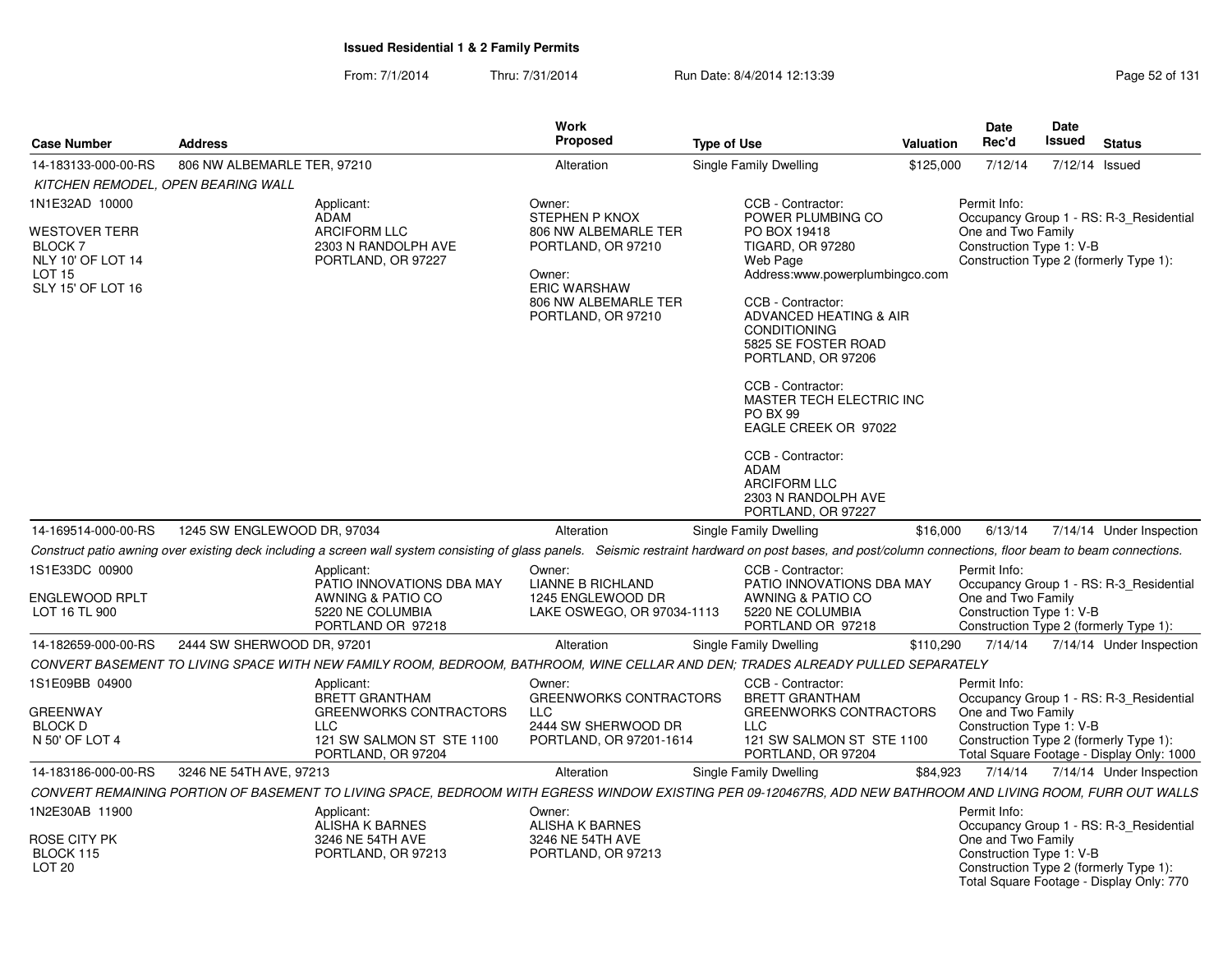From: 7/1/2014Thru: 7/31/2014 Run Date: 8/4/2014 12:13:39 Rege 52 of 131

| <b>Case Number</b>                                                                         | <b>Address</b>              |                                                                                                                                                                                                             | <b>Work</b><br><b>Proposed</b>                                                                                            | <b>Type of Use</b>                                                                                                                                                                                                                                                                                                                                                                                     | Valuation | Date<br>Rec'd                                                                            | Date<br>Issued | <b>Status</b>                             |
|--------------------------------------------------------------------------------------------|-----------------------------|-------------------------------------------------------------------------------------------------------------------------------------------------------------------------------------------------------------|---------------------------------------------------------------------------------------------------------------------------|--------------------------------------------------------------------------------------------------------------------------------------------------------------------------------------------------------------------------------------------------------------------------------------------------------------------------------------------------------------------------------------------------------|-----------|------------------------------------------------------------------------------------------|----------------|-------------------------------------------|
| 14-183133-000-00-RS                                                                        | 806 NW ALBEMARLE TER, 97210 |                                                                                                                                                                                                             | Alteration                                                                                                                | Single Family Dwelling                                                                                                                                                                                                                                                                                                                                                                                 | \$125,000 | 7/12/14                                                                                  | 7/12/14 Issued |                                           |
| KITCHEN REMODEL, OPEN BEARING WALL                                                         |                             |                                                                                                                                                                                                             |                                                                                                                           |                                                                                                                                                                                                                                                                                                                                                                                                        |           |                                                                                          |                |                                           |
| 1N1E32AD 10000                                                                             |                             | Applicant:<br><b>ADAM</b>                                                                                                                                                                                   | Owner:<br>STEPHEN P KNOX                                                                                                  | CCB - Contractor:<br>POWER PLUMBING CO                                                                                                                                                                                                                                                                                                                                                                 |           | Permit Info:                                                                             |                | Occupancy Group 1 - RS: R-3_Residential   |
| <b>WESTOVER TERR</b><br>BLOCK 7<br>NLY 10' OF LOT 14<br><b>LOT 15</b><br>SLY 15' OF LOT 16 |                             | <b>ARCIFORM LLC</b><br>2303 N RANDOLPH AVE<br>PORTLAND, OR 97227                                                                                                                                            | 806 NW ALBEMARLE TER<br>PORTLAND, OR 97210<br>Owner:<br><b>ERIC WARSHAW</b><br>806 NW ALBEMARLE TER<br>PORTLAND, OR 97210 | PO BOX 19418<br><b>TIGARD, OR 97280</b><br>Web Page<br>Address:www.powerplumbingco.com<br>CCB - Contractor:<br>ADVANCED HEATING & AIR<br><b>CONDITIONING</b><br>5825 SE FOSTER ROAD<br>PORTLAND, OR 97206<br>CCB - Contractor:<br>MASTER TECH ELECTRIC INC<br>PO BX 99<br>EAGLE CREEK OR 97022<br>CCB - Contractor:<br><b>ADAM</b><br><b>ARCIFORM LLC</b><br>2303 N RANDOLPH AVE<br>PORTLAND, OR 97227 |           | One and Two Family<br>Construction Type 1: V-B<br>Construction Type 2 (formerly Type 1): |                |                                           |
| 14-169514-000-00-RS                                                                        | 1245 SW ENGLEWOOD DR, 97034 |                                                                                                                                                                                                             | Alteration                                                                                                                | Single Family Dwelling                                                                                                                                                                                                                                                                                                                                                                                 | \$16,000  | 6/13/14                                                                                  |                | 7/14/14 Under Inspection                  |
|                                                                                            |                             | Construct patio awning over existing deck including a screen wall system consisting of glass panels. Seismic restraint hardward on post bases, and post/column connections, floor beam to beam connections. |                                                                                                                           |                                                                                                                                                                                                                                                                                                                                                                                                        |           |                                                                                          |                |                                           |
| 1S1E33DC 00900                                                                             |                             | Applicant:<br>PATIO INNOVATIONS DBA MAY                                                                                                                                                                     | Owner:<br>LIANNE B RICHLAND                                                                                               | CCB - Contractor:<br>PATIO INNOVATIONS DBA MAY                                                                                                                                                                                                                                                                                                                                                         |           | Permit Info:                                                                             |                | Occupancy Group 1 - RS: R-3_Residential   |
| ENGLEWOOD RPLT<br>LOT 16 TL 900                                                            |                             | AWNING & PATIO CO<br>5220 NE COLUMBIA<br>PORTLAND OR 97218                                                                                                                                                  | 1245 ENGLEWOOD DR<br>LAKE OSWEGO, OR 97034-1113                                                                           | AWNING & PATIO CO<br>5220 NE COLUMBIA<br>PORTLAND OR 97218                                                                                                                                                                                                                                                                                                                                             |           | One and Two Family<br>Construction Type 1: V-B                                           |                | Construction Type 2 (formerly Type 1):    |
| 14-182659-000-00-RS                                                                        | 2444 SW SHERWOOD DR, 97201  |                                                                                                                                                                                                             | Alteration                                                                                                                | Single Family Dwelling                                                                                                                                                                                                                                                                                                                                                                                 | \$110,290 | 7/14/14                                                                                  |                | 7/14/14 Under Inspection                  |
|                                                                                            |                             | CONVERT BASEMENT TO LIVING SPACE WITH NEW FAMILY ROOM, BEDROOM, BATHROOM, WINE CELLAR AND DEN; TRADES ALREADY PULLED SEPARATELY                                                                             |                                                                                                                           |                                                                                                                                                                                                                                                                                                                                                                                                        |           |                                                                                          |                |                                           |
| 1S1E09BB 04900                                                                             |                             | Applicant:<br><b>BRETT GRANTHAM</b>                                                                                                                                                                         | Owner:<br>GREENWORKS CONTRACTORS                                                                                          | CCB - Contractor:<br>BRETT GRANTHAM                                                                                                                                                                                                                                                                                                                                                                    |           | Permit Info:                                                                             |                | Occupancy Group 1 - RS: R-3_Residential   |
| <b>GREENWAY</b>                                                                            |                             | <b>GREENWORKS CONTRACTORS</b>                                                                                                                                                                               | <b>LLC</b>                                                                                                                | <b>GREENWORKS CONTRACTORS</b>                                                                                                                                                                                                                                                                                                                                                                          |           | One and Two Family                                                                       |                |                                           |
| <b>BLOCK D</b><br>N 50' OF LOT 4                                                           |                             | LLC<br>121 SW SALMON ST STE 1100<br>PORTLAND, OR 97204                                                                                                                                                      | 2444 SW SHERWOOD DR<br>PORTLAND, OR 97201-1614                                                                            | <b>LLC</b><br>121 SW SALMON ST STE 1100<br>PORTLAND, OR 97204                                                                                                                                                                                                                                                                                                                                          |           | Construction Type 1: V-B<br>Construction Type 2 (formerly Type 1):                       |                | Total Square Footage - Display Only: 1000 |
| 14-183186-000-00-RS                                                                        | 3246 NE 54TH AVE, 97213     |                                                                                                                                                                                                             | Alteration                                                                                                                | Single Family Dwelling                                                                                                                                                                                                                                                                                                                                                                                 | \$84,923  | 7/14/14                                                                                  |                | 7/14/14 Under Inspection                  |
|                                                                                            |                             | CONVERT REMAINING PORTION OF BASEMENT TO LIVING SPACE, BEDROOM WITH EGRESS WINDOW EXISTING PER 09-120467RS, ADD NEW BATHROOM AND LIVING ROOM, FURR OUT WALLS                                                |                                                                                                                           |                                                                                                                                                                                                                                                                                                                                                                                                        |           |                                                                                          |                |                                           |
| 1N2E30AB 11900                                                                             |                             | Applicant:<br><b>ALISHA K BARNES</b>                                                                                                                                                                        | Owner:<br><b>ALISHA K BARNES</b>                                                                                          |                                                                                                                                                                                                                                                                                                                                                                                                        |           | Permit Info:                                                                             |                | Occupancy Group 1 - RS: R-3_Residential   |
| ROSE CITY PK<br>BLOCK 115<br>LOT <sub>20</sub>                                             |                             | 3246 NE 54TH AVE<br>PORTLAND, OR 97213                                                                                                                                                                      | 3246 NE 54TH AVE<br>PORTLAND, OR 97213                                                                                    |                                                                                                                                                                                                                                                                                                                                                                                                        |           | One and Two Family<br>Construction Type 1: V-B<br>Construction Type 2 (formerly Type 1): |                |                                           |

Total Square Footage - Display Only: 770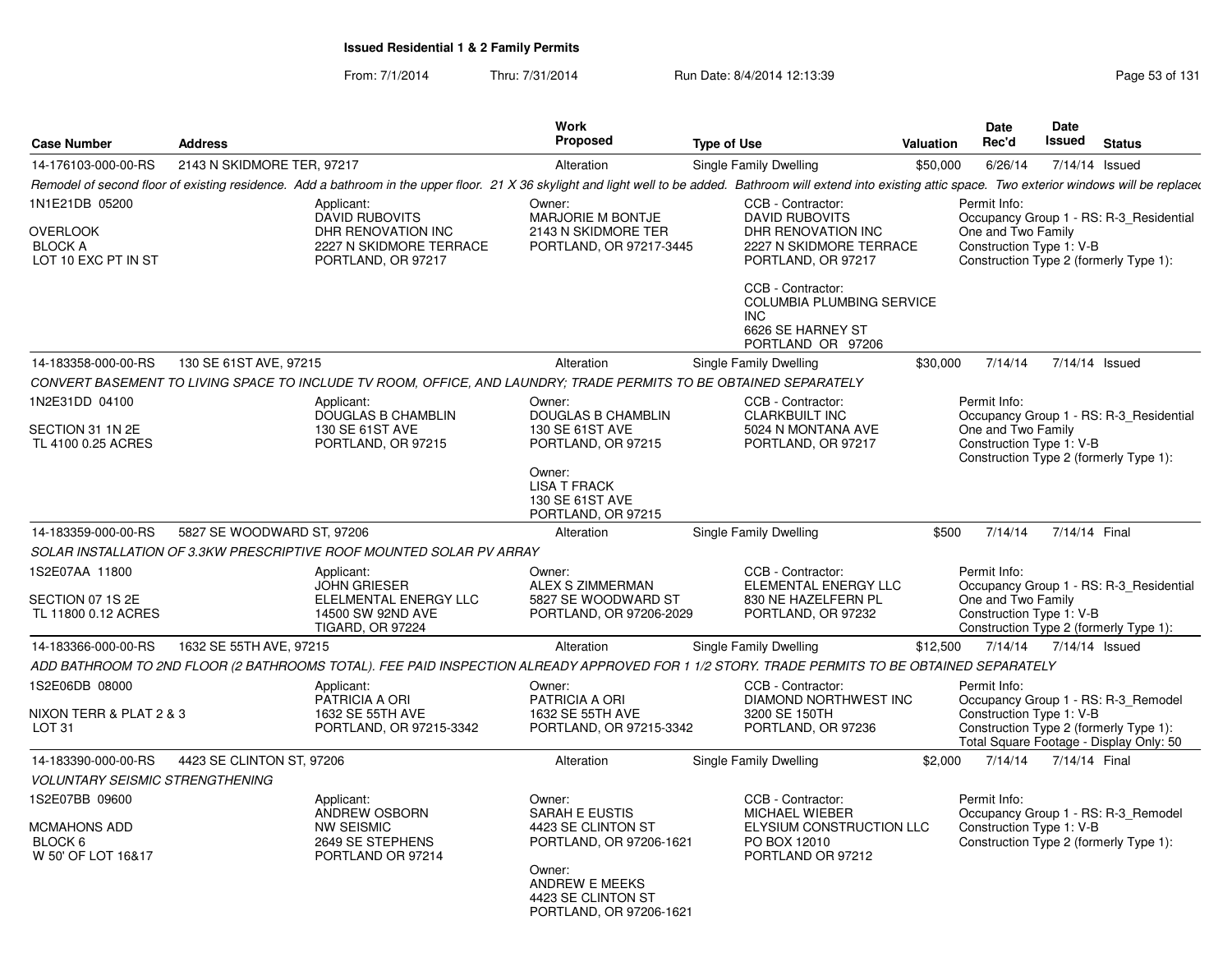From: 7/1/2014Thru: 7/31/2014 Run Date: 8/4/2014 12:13:39 Research 2010 Rage 53 of 131

| <b>Case Number</b>                                                         | <b>Address</b>                                                                                                                                                                                                       | Work<br>Proposed                                                                     | <b>Type of Use</b>                                                                                                | <b>Valuation</b> | Date<br>Rec'd                                                  | Date<br><b>Issued</b> | <b>Status</b>                                                                     |
|----------------------------------------------------------------------------|----------------------------------------------------------------------------------------------------------------------------------------------------------------------------------------------------------------------|--------------------------------------------------------------------------------------|-------------------------------------------------------------------------------------------------------------------|------------------|----------------------------------------------------------------|-----------------------|-----------------------------------------------------------------------------------|
| 14-176103-000-00-RS                                                        | 2143 N SKIDMORE TER, 97217                                                                                                                                                                                           | Alteration                                                                           | Single Family Dwelling                                                                                            | \$50,000         | 6/26/14                                                        | 7/14/14 Issued        |                                                                                   |
|                                                                            | Remodel of second floor of existing residence. Add a bathroom in the upper floor. 21 X 36 skylight and light well to be added. Bathroom will extend into existing attic space. Two exterior windows will be replaced |                                                                                      |                                                                                                                   |                  |                                                                |                       |                                                                                   |
| 1N1E21DB 05200<br><b>OVERLOOK</b><br><b>BLOCK A</b><br>LOT 10 EXC PT IN ST | Applicant:<br><b>DAVID RUBOVITS</b><br>DHR RENOVATION INC<br>2227 N SKIDMORE TERRACE<br>PORTLAND, OR 97217                                                                                                           | Owner:<br><b>MARJORIE M BONTJE</b><br>2143 N SKIDMORE TER<br>PORTLAND, OR 97217-3445 | CCB - Contractor:<br><b>DAVID RUBOVITS</b><br>DHR RENOVATION INC<br>2227 N SKIDMORE TERRACE<br>PORTLAND, OR 97217 |                  | Permit Info:<br>One and Two Family<br>Construction Type 1: V-B |                       | Occupancy Group 1 - RS: R-3_Residential<br>Construction Type 2 (formerly Type 1): |
|                                                                            |                                                                                                                                                                                                                      |                                                                                      | CCB - Contractor:<br>COLUMBIA PLUMBING SERVICE<br>INC.<br>6626 SE HARNEY ST<br>PORTLAND OR 97206                  |                  |                                                                |                       |                                                                                   |
| 14-183358-000-00-RS                                                        | 130 SE 61ST AVE, 97215                                                                                                                                                                                               | Alteration                                                                           | Single Family Dwelling                                                                                            | \$30,000         | 7/14/14                                                        | 7/14/14 Issued        |                                                                                   |
|                                                                            | CONVERT BASEMENT TO LIVING SPACE TO INCLUDE TV ROOM, OFFICE, AND LAUNDRY; TRADE PERMITS TO BE OBTAINED SEPARATELY                                                                                                    |                                                                                      |                                                                                                                   |                  |                                                                |                       |                                                                                   |
| 1N2E31DD 04100<br>SECTION 31 1N 2E<br>TL 4100 0.25 ACRES                   | Applicant:<br><b>DOUGLAS B CHAMBLIN</b><br>130 SE 61ST AVE<br>PORTLAND, OR 97215                                                                                                                                     | Owner:<br><b>DOUGLAS B CHAMBLIN</b><br>130 SE 61ST AVE<br>PORTLAND, OR 97215         | CCB - Contractor:<br><b>CLARKBUILT INC</b><br>5024 N MONTANA AVE<br>PORTLAND, OR 97217                            |                  | Permit Info:<br>One and Two Family<br>Construction Type 1: V-B |                       | Occupancy Group 1 - RS: R-3 Residential<br>Construction Type 2 (formerly Type 1): |
|                                                                            |                                                                                                                                                                                                                      | Owner:<br><b>LISA T FRACK</b><br>130 SE 61ST AVE<br>PORTLAND, OR 97215               |                                                                                                                   |                  |                                                                |                       |                                                                                   |
| 14-183359-000-00-RS                                                        | 5827 SE WOODWARD ST, 97206                                                                                                                                                                                           | Alteration                                                                           | Single Family Dwelling                                                                                            | \$500            | 7/14/14                                                        | 7/14/14 Final         |                                                                                   |
|                                                                            | SOLAR INSTALLATION OF 3.3KW PRESCRIPTIVE ROOF MOUNTED SOLAR PV ARRAY                                                                                                                                                 |                                                                                      |                                                                                                                   |                  |                                                                |                       |                                                                                   |
| 1S2E07AA 11800<br>SECTION 07 1S 2E<br>TL 11800 0.12 ACRES                  | Applicant:<br><b>JOHN GRIESER</b><br>ELELMENTAL ENERGY LLC<br>14500 SW 92ND AVE<br><b>TIGARD, OR 97224</b>                                                                                                           | Owner:<br><b>ALEX S ZIMMERMAN</b><br>5827 SE WOODWARD ST<br>PORTLAND, OR 97206-2029  | CCB - Contractor:<br>ELEMENTAL ENERGY LLC<br>830 NE HAZELFERN PL<br>PORTLAND, OR 97232                            |                  | Permit Info:<br>One and Two Family<br>Construction Type 1: V-B |                       | Occupancy Group 1 - RS: R-3_Residential<br>Construction Type 2 (formerly Type 1): |
| 14-183366-000-00-RS                                                        | 1632 SE 55TH AVE, 97215                                                                                                                                                                                              | Alteration                                                                           | Single Family Dwelling                                                                                            | \$12,500         | 7/14/14                                                        | 7/14/14 Issued        |                                                                                   |
|                                                                            | ADD BATHROOM TO 2ND FLOOR (2 BATHROOMS TOTAL). FEE PAID INSPECTION ALREADY APPROVED FOR 1 1/2 STORY. TRADE PERMITS TO BE OBTAINED SEPARATELY                                                                         |                                                                                      |                                                                                                                   |                  |                                                                |                       |                                                                                   |
| 1S2E06DB 08000<br>NIXON TERR & PLAT 2 & 3                                  | Applicant:<br>PATRICIA A ORI<br>1632 SE 55TH AVE                                                                                                                                                                     | Owner:<br>PATRICIA A ORI<br>1632 SE 55TH AVE                                         | CCB - Contractor:<br>DIAMOND NORTHWEST INC<br>3200 SE 150TH                                                       |                  | Permit Info:<br>Construction Type 1: V-B                       |                       | Occupancy Group 1 - RS: R-3_Remodel                                               |
| LOT <sub>31</sub>                                                          | PORTLAND, OR 97215-3342                                                                                                                                                                                              | PORTLAND, OR 97215-3342                                                              | PORTLAND, OR 97236                                                                                                |                  |                                                                |                       | Construction Type 2 (formerly Type 1):<br>Total Square Footage - Display Only: 50 |
| 14-183390-000-00-RS                                                        | 4423 SE CLINTON ST, 97206                                                                                                                                                                                            | Alteration                                                                           | Single Family Dwelling                                                                                            | \$2,000          | 7/14/14                                                        | 7/14/14 Final         |                                                                                   |
| <b>VOLUNTARY SEISMIC STRENGTHENING</b>                                     |                                                                                                                                                                                                                      |                                                                                      |                                                                                                                   |                  |                                                                |                       |                                                                                   |
| 1S2E07BB 09600<br>MCMAHONS ADD<br>BLOCK 6<br>W 50' OF LOT 16&17            | Applicant:<br>ANDREW OSBORN<br><b>NW SEISMIC</b><br>2649 SE STEPHENS<br>PORTLAND OR 97214                                                                                                                            | Owner:<br><b>SARAH E EUSTIS</b><br>4423 SE CLINTON ST<br>PORTLAND, OR 97206-1621     | CCB - Contractor:<br>MICHAEL WIEBER<br>ELYSIUM CONSTRUCTION LLC<br>PO BOX 12010<br>PORTLAND OR 97212              |                  | Permit Info:<br>Construction Type 1: V-B                       |                       | Occupancy Group 1 - RS: R-3_Remodel<br>Construction Type 2 (formerly Type 1):     |
|                                                                            |                                                                                                                                                                                                                      | Owner:<br>ANDREW E MEEKS<br>4423 SE CLINTON ST<br>PORTLAND, OR 97206-1621            |                                                                                                                   |                  |                                                                |                       |                                                                                   |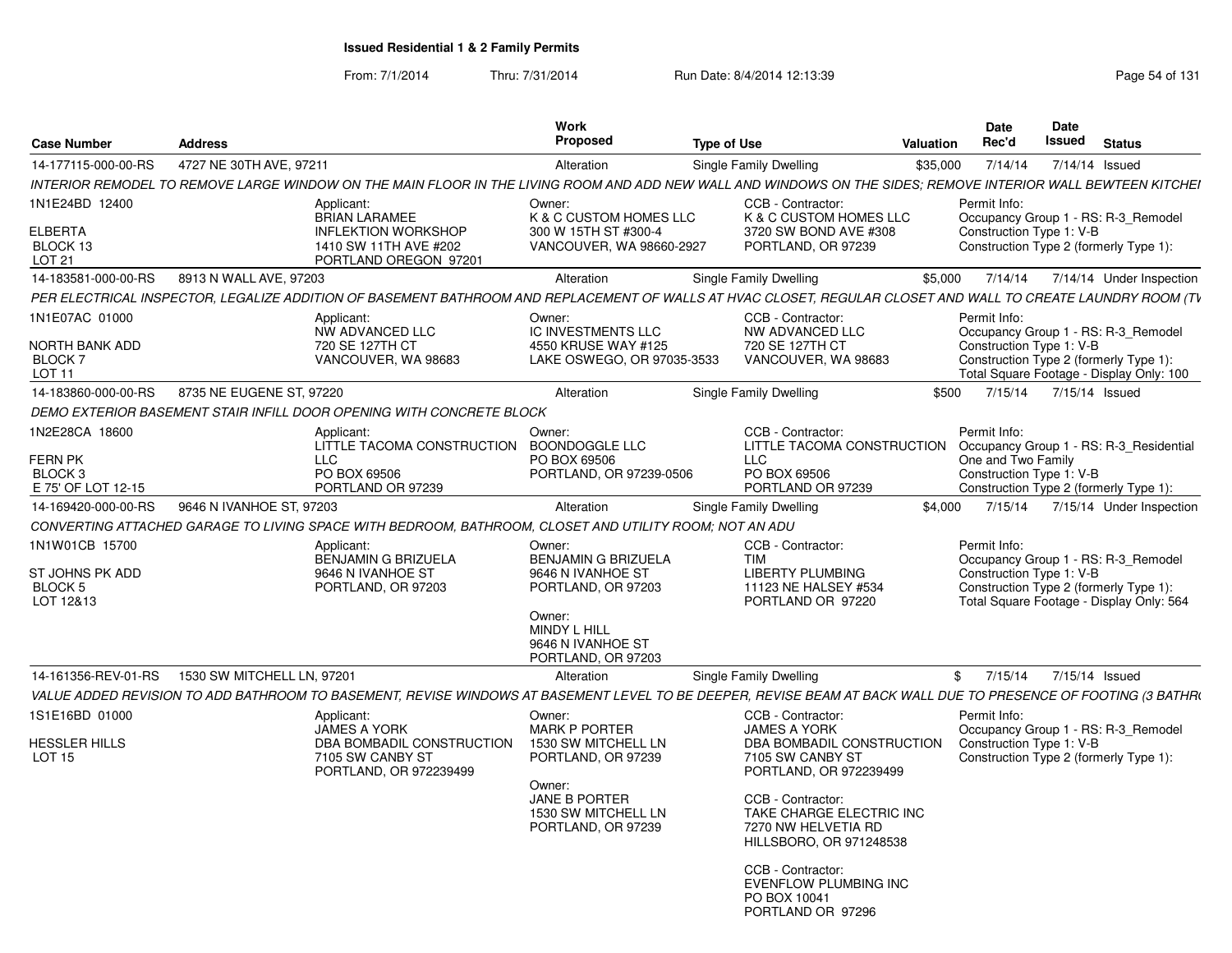From: 7/1/2014Thru: 7/31/2014 Run Date: 8/4/2014 12:13:39 Research 2014 131

| <b>Case Number</b>                      | <b>Address</b>             |                                                                                                                                                                | Work<br><b>Proposed</b>                                                              | <b>Type of Use</b> |                                                                                                 | Valuation | <b>Date</b><br>Rec'd                           | <b>Date</b><br>Issued | <b>Status</b>                                                                                                             |  |
|-----------------------------------------|----------------------------|----------------------------------------------------------------------------------------------------------------------------------------------------------------|--------------------------------------------------------------------------------------|--------------------|-------------------------------------------------------------------------------------------------|-----------|------------------------------------------------|-----------------------|---------------------------------------------------------------------------------------------------------------------------|--|
| 14-177115-000-00-RS                     | 4727 NE 30TH AVE, 97211    |                                                                                                                                                                | Alteration                                                                           |                    | Single Family Dwelling                                                                          | \$35,000  | 7/14/14                                        |                       | 7/14/14 Issued                                                                                                            |  |
|                                         |                            | INTERIOR REMODEL TO REMOVE LARGE WINDOW ON THE MAIN FLOOR IN THE LIVING ROOM AND ADD NEW WALL AND WINDOWS ON THE SIDES: REMOVE INTERIOR WALL BEWTEEN KITCHEI   |                                                                                      |                    |                                                                                                 |           |                                                |                       |                                                                                                                           |  |
| 1N1E24BD 12400<br>ELBERTA<br>BLOCK 13   |                            | Applicant:<br><b>BRIAN LARAMEE</b><br><b>INFLEKTION WORKSHOP</b><br>1410 SW 11TH AVE #202                                                                      | Owner:<br>K & C CUSTOM HOMES LLC<br>300 W 15TH ST #300-4<br>VANCOUVER, WA 98660-2927 |                    | CCB - Contractor:<br>K & C CUSTOM HOMES LLC<br>3720 SW BOND AVE #308<br>PORTLAND, OR 97239      |           | Permit Info:<br>Construction Type 1: V-B       |                       | Occupancy Group 1 - RS: R-3_Remodel<br>Construction Type 2 (formerly Type 1):                                             |  |
| LOT 21                                  |                            | PORTLAND OREGON 97201                                                                                                                                          |                                                                                      |                    |                                                                                                 |           |                                                |                       |                                                                                                                           |  |
| 14-183581-000-00-RS                     | 8913 N WALL AVE, 97203     |                                                                                                                                                                | Alteration                                                                           |                    | Single Family Dwelling                                                                          | \$5,000   |                                                |                       | 7/14/14  7/14/14  Under Inspection                                                                                        |  |
|                                         |                            | PER ELECTRICAL INSPECTOR, LEGALIZE ADDITION OF BASEMENT BATHROOM AND REPLACEMENT OF WALLS AT HVAC CLOSET, REGULAR CLOSET AND WALL TO CREATE LAUNDRY ROOM (TV   |                                                                                      |                    |                                                                                                 |           |                                                |                       |                                                                                                                           |  |
| 1N1E07AC 01000                          |                            | Applicant:                                                                                                                                                     | Owner:                                                                               |                    | CCB - Contractor:                                                                               |           | Permit Info:                                   |                       |                                                                                                                           |  |
| NORTH BANK ADD                          |                            | NW ADVANCED LLC<br>720 SE 127TH CT                                                                                                                             | IC INVESTMENTS LLC<br>4550 KRUSE WAY #125                                            |                    | NW ADVANCED LLC<br>720 SE 127TH CT                                                              |           | Construction Type 1: V-B                       |                       | Occupancy Group 1 - RS: R-3_Remodel                                                                                       |  |
| <b>BLOCK7</b>                           |                            | VANCOUVER, WA 98683                                                                                                                                            | LAKE OSWEGO, OR 97035-3533                                                           |                    | VANCOUVER, WA 98683                                                                             |           |                                                |                       | Construction Type 2 (formerly Type 1):                                                                                    |  |
| LOT <sub>11</sub>                       |                            |                                                                                                                                                                |                                                                                      |                    |                                                                                                 |           |                                                |                       | Total Square Footage - Display Only: 100                                                                                  |  |
| 14-183860-000-00-RS                     | 8735 NE EUGENE ST, 97220   |                                                                                                                                                                | Alteration                                                                           |                    | Single Family Dwelling                                                                          | \$500     |                                                |                       | 7/15/14 7/15/14 Issued                                                                                                    |  |
|                                         |                            | DEMO EXTERIOR BASEMENT STAIR INFILL DOOR OPENING WITH CONCRETE BLOCK                                                                                           |                                                                                      |                    |                                                                                                 |           |                                                |                       |                                                                                                                           |  |
| 1N2E28CA 18600                          |                            | Applicant:<br>LITTLE TACOMA CONSTRUCTION BOONDOGGLE LLC                                                                                                        | Owner:                                                                               |                    | CCB - Contractor:<br>LITTLE TACOMA CONSTRUCTION                                                 |           | Permit Info:                                   |                       | Occupancy Group 1 - RS: R-3_Residential                                                                                   |  |
| <b>FERN PK</b><br><b>BLOCK3</b>         |                            | <b>LLC</b><br>PO BOX 69506                                                                                                                                     | PO BOX 69506<br>PORTLAND, OR 97239-0506                                              |                    | <b>LLC</b><br>PO BOX 69506                                                                      |           | One and Two Family<br>Construction Type 1: V-B |                       |                                                                                                                           |  |
| E 75' OF LOT 12-15                      |                            | PORTLAND OR 97239                                                                                                                                              |                                                                                      |                    | PORTLAND OR 97239                                                                               |           |                                                |                       | Construction Type 2 (formerly Type 1):                                                                                    |  |
| 14-169420-000-00-RS                     | 9646 N IVANHOE ST, 97203   |                                                                                                                                                                | Alteration                                                                           |                    | Single Family Dwelling                                                                          | \$4.000   | 7/15/14                                        |                       | 7/15/14 Under Inspection                                                                                                  |  |
|                                         |                            | CONVERTING ATTACHED GARAGE TO LIVING SPACE WITH BEDROOM, BATHROOM, CLOSET AND UTILITY ROOM; NOT AN ADU                                                         |                                                                                      |                    |                                                                                                 |           |                                                |                       |                                                                                                                           |  |
| 1N1W01CB 15700                          |                            | Applicant:                                                                                                                                                     | Owner:                                                                               |                    | CCB - Contractor:                                                                               |           | Permit Info:                                   |                       |                                                                                                                           |  |
| ST JOHNS PK ADD<br>BLOCK 5<br>LOT 12&13 |                            | <b>BENJAMIN G BRIZUELA</b><br>9646 N IVANHOE ST<br>PORTLAND, OR 97203                                                                                          | BENJAMIN G BRIZUELA<br>9646 N IVANHOE ST<br>PORTLAND, OR 97203                       |                    | <b>TIM</b><br><b>LIBERTY PLUMBING</b><br>11123 NE HALSEY #534<br>PORTLAND OR 97220              |           | Construction Type 1: V-B                       |                       | Occupancy Group 1 - RS: R-3 Remodel<br>Construction Type 2 (formerly Type 1):<br>Total Square Footage - Display Only: 564 |  |
|                                         |                            |                                                                                                                                                                | Owner:<br>MINDY L HILL<br>9646 N IVANHOE ST<br>PORTLAND, OR 97203                    |                    |                                                                                                 |           |                                                |                       |                                                                                                                           |  |
| 14-161356-REV-01-RS                     | 1530 SW MITCHELL LN, 97201 |                                                                                                                                                                | Alteration                                                                           |                    | Single Family Dwelling                                                                          |           |                                                |                       | \$ 7/15/14 7/15/14 Issued                                                                                                 |  |
|                                         |                            | VALUE ADDED REVISION TO ADD BATHROOM TO BASEMENT, REVISE WINDOWS AT BASEMENT LEVEL TO BE DEEPER, REVISE BEAM AT BACK WALL DUE TO PRESENCE OF FOOTING (3 BATHRI |                                                                                      |                    |                                                                                                 |           |                                                |                       |                                                                                                                           |  |
| 1S1E16BD 01000                          |                            | Applicant:                                                                                                                                                     | Owner:                                                                               |                    | CCB - Contractor:                                                                               |           | Permit Info:                                   |                       |                                                                                                                           |  |
|                                         |                            | <b>JAMES A YORK</b>                                                                                                                                            | <b>MARK P PORTER</b>                                                                 |                    | <b>JAMES A YORK</b>                                                                             |           |                                                |                       | Occupancy Group 1 - RS: R-3 Remodel                                                                                       |  |
| <b>HESSLER HILLS</b><br><b>LOT 15</b>   |                            | DBA BOMBADIL CONSTRUCTION<br>7105 SW CANBY ST<br>PORTLAND, OR 972239499                                                                                        | 1530 SW MITCHELL LN<br>PORTLAND, OR 97239                                            |                    | DBA BOMBADIL CONSTRUCTION<br>7105 SW CANBY ST<br>PORTLAND, OR 972239499                         |           | Construction Type 1: V-B                       |                       | Construction Type 2 (formerly Type 1):                                                                                    |  |
|                                         |                            |                                                                                                                                                                | Owner:<br>JANE B PORTER<br>1530 SW MITCHELL LN<br>PORTLAND, OR 97239                 |                    | CCB - Contractor:<br>TAKE CHARGE ELECTRIC INC<br>7270 NW HELVETIA RD<br>HILLSBORO, OR 971248538 |           |                                                |                       |                                                                                                                           |  |
|                                         |                            |                                                                                                                                                                |                                                                                      |                    | CCB - Contractor:<br><b>EVENFLOW PLUMBING INC</b><br>PO BOX 10041<br>PORTLAND OR 97296          |           |                                                |                       |                                                                                                                           |  |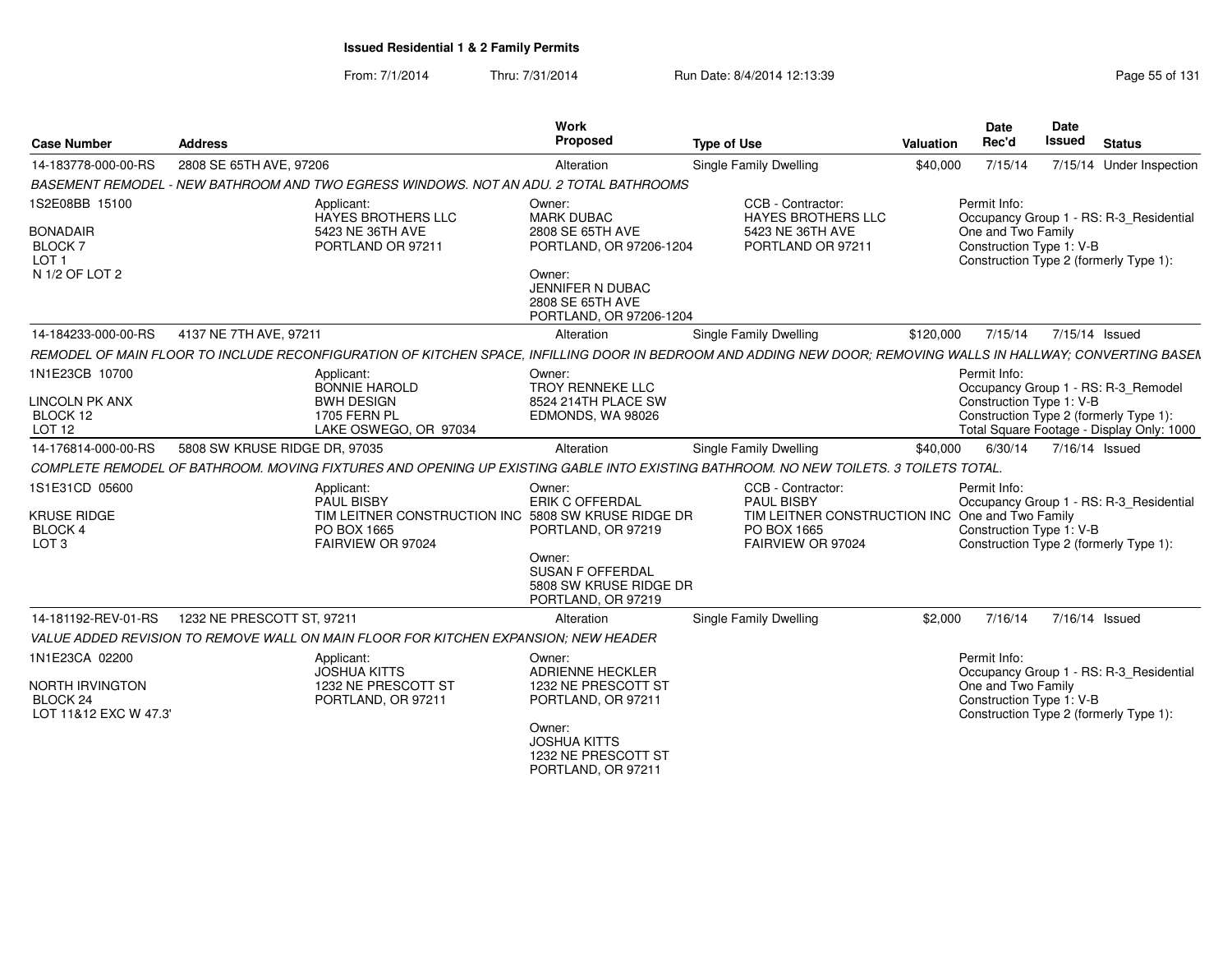From: 7/1/2014Thru: 7/31/2014 Run Date: 8/4/2014 12:13:39 Research 2010 Rage 55 of 131

| <b>Case Number</b>                                                                            | <b>Address</b>                                                                                                                                                | Work<br>Proposed                                                                                                                                             | <b>Type of Use</b>                                                                                                     | <b>Valuation</b> | Date<br>Rec'd                                                  | <b>Date</b><br><b>Issued</b> | <b>Status</b>                                                                                                              |
|-----------------------------------------------------------------------------------------------|---------------------------------------------------------------------------------------------------------------------------------------------------------------|--------------------------------------------------------------------------------------------------------------------------------------------------------------|------------------------------------------------------------------------------------------------------------------------|------------------|----------------------------------------------------------------|------------------------------|----------------------------------------------------------------------------------------------------------------------------|
| 14-183778-000-00-RS                                                                           | 2808 SE 65TH AVE, 97206                                                                                                                                       | Alteration                                                                                                                                                   | <b>Single Family Dwelling</b>                                                                                          | \$40,000         | 7/15/14                                                        |                              | 7/15/14 Under Inspection                                                                                                   |
|                                                                                               | BASEMENT REMODEL - NEW BATHROOM AND TWO EGRESS WINDOWS. NOT AN ADU, 2 TOTAL BATHROOMS                                                                         |                                                                                                                                                              |                                                                                                                        |                  |                                                                |                              |                                                                                                                            |
| 1S2E08BB 15100<br><b>BONADAIR</b><br>BLOCK <sub>7</sub><br>LOT <sub>1</sub><br>N 1/2 OF LOT 2 | Applicant:<br>HAYES BROTHERS LLC<br>5423 NE 36TH AVE<br>PORTLAND OR 97211                                                                                     | Owner:<br><b>MARK DUBAC</b><br>2808 SE 65TH AVE<br>PORTLAND, OR 97206-1204<br>Owner:<br>JENNIFER N DUBAC<br>2808 SE 65TH AVE<br>PORTLAND, OR 97206-1204      | CCB - Contractor:<br>HAYES BROTHERS LLC<br>5423 NE 36TH AVE<br>PORTLAND OR 97211                                       |                  | Permit Info:<br>One and Two Family<br>Construction Type 1: V-B |                              | Occupancy Group 1 - RS: R-3_Residential<br>Construction Type 2 (formerly Type 1):                                          |
| 14-184233-000-00-RS                                                                           | 4137 NE 7TH AVE, 97211                                                                                                                                        | Alteration                                                                                                                                                   | Single Family Dwelling                                                                                                 | \$120,000        | 7/15/14                                                        | 7/15/14 Issued               |                                                                                                                            |
|                                                                                               | REMODEL OF MAIN FLOOR TO INCLUDE RECONFIGURATION OF KITCHEN SPACE, INFILLING DOOR IN BEDROOM AND ADDING NEW DOOR; REMOVING WALLS IN HALLWAY; CONVERTING BASEN |                                                                                                                                                              |                                                                                                                        |                  |                                                                |                              |                                                                                                                            |
| 1N1E23CB 10700<br><b>LINCOLN PK ANX</b><br>BLOCK 12<br>LOT 12                                 | Applicant:<br>BONNIE HAROLD<br><b>BWH DESIGN</b><br><b>1705 FERN PL</b><br>LAKE OSWEGO, OR 97034                                                              | Owner:<br>TROY RENNEKE LLC<br>8524 214TH PLACE SW<br>EDMONDS, WA 98026                                                                                       |                                                                                                                        |                  | Permit Info:<br>Construction Type 1: V-B                       |                              | Occupancy Group 1 - RS: R-3 Remodel<br>Construction Type 2 (formerly Type 1):<br>Total Square Footage - Display Only: 1000 |
| 14-176814-000-00-RS                                                                           | 5808 SW KRUSE RIDGE DR, 97035                                                                                                                                 | Alteration                                                                                                                                                   | Single Family Dwelling                                                                                                 | \$40,000         | 6/30/14                                                        | 7/16/14 Issued               |                                                                                                                            |
|                                                                                               | COMPLETE REMODEL OF BATHROOM. MOVING FIXTURES AND OPENING UP EXISTING GABLE INTO EXISTING BATHROOM. NO NEW TOILETS. 3 TOILETS TOTAL.                          |                                                                                                                                                              |                                                                                                                        |                  |                                                                |                              |                                                                                                                            |
| 1S1E31CD 05600<br><b>KRUSE RIDGE</b><br>BLOCK 4<br>LOT <sub>3</sub>                           | Applicant:<br><b>PAUL BISBY</b><br>TIM LEITNER CONSTRUCTION INC 5808 SW KRUSE RIDGE DR<br>PO BOX 1665<br>FAIRVIEW OR 97024                                    | Owner:<br>ERIK C OFFERDAL<br>PORTLAND, OR 97219<br>Owner:<br><b>SUSAN F OFFERDAL</b><br>5808 SW KRUSE RIDGE DR<br>PORTLAND, OR 97219                         | CCB - Contractor:<br>PAUL BISBY<br>TIM LEITNER CONSTRUCTION INC One and Two Family<br>PO BOX 1665<br>FAIRVIEW OR 97024 |                  | Permit Info:<br>Construction Type 1: V-B                       |                              | Occupancy Group 1 - RS: R-3_Residential<br>Construction Type 2 (formerly Type 1):                                          |
| 14-181192-REV-01-RS                                                                           | 1232 NE PRESCOTT ST, 97211                                                                                                                                    | Alteration                                                                                                                                                   | Single Family Dwelling                                                                                                 | \$2.000          | 7/16/14                                                        | 7/16/14 Issued               |                                                                                                                            |
|                                                                                               | VALUE ADDED REVISION TO REMOVE WALL ON MAIN FLOOR FOR KITCHEN EXPANSION: NEW HEADER                                                                           |                                                                                                                                                              |                                                                                                                        |                  |                                                                |                              |                                                                                                                            |
| 1N1E23CA 02200<br><b>NORTH IRVINGTON</b><br>BLOCK 24<br>LOT 11&12 EXC W 47.3'                 | Applicant:<br><b>JOSHUA KITTS</b><br>1232 NE PRESCOTT ST<br>PORTLAND, OR 97211                                                                                | Owner:<br><b>ADRIENNE HECKLER</b><br>1232 NE PRESCOTT ST<br>PORTLAND, OR 97211<br>Owner:<br><b>JOSHUA KITTS</b><br>1232 NE PRESCOTT ST<br>PORTLAND, OR 97211 |                                                                                                                        |                  | Permit Info:<br>One and Two Family<br>Construction Type 1: V-B |                              | Occupancy Group 1 - RS: R-3 Residential<br>Construction Type 2 (formerly Type 1):                                          |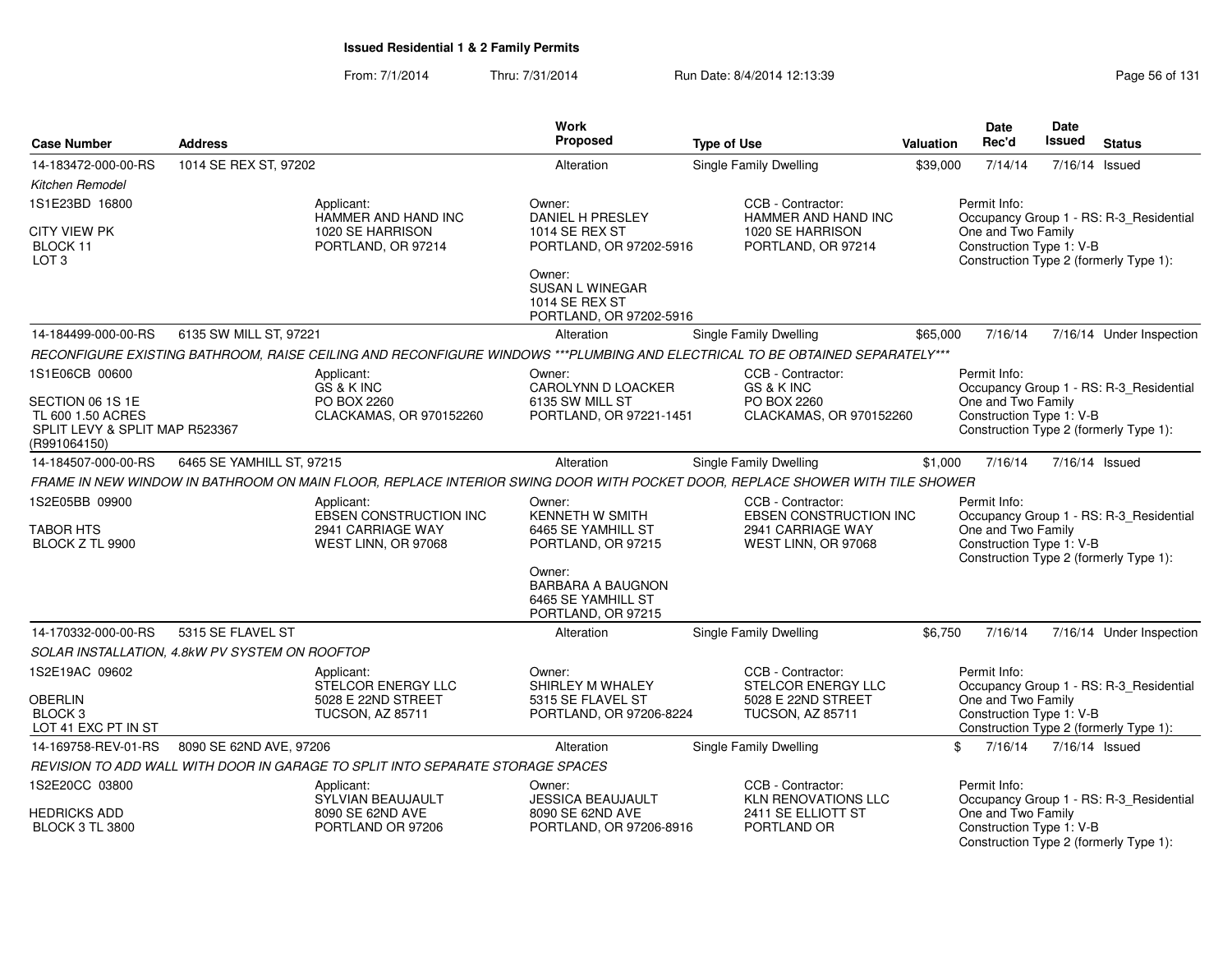From: 7/1/2014Thru: 7/31/2014 **Run Date: 8/4/2014 12:13:39 Run Page 56 of 131** 

|                                                                                           |                                                |                                                                                  | <b>Work</b>                                                                    |                                                                                                                              |           | Date                                                           | Date   |                                                                                   |
|-------------------------------------------------------------------------------------------|------------------------------------------------|----------------------------------------------------------------------------------|--------------------------------------------------------------------------------|------------------------------------------------------------------------------------------------------------------------------|-----------|----------------------------------------------------------------|--------|-----------------------------------------------------------------------------------|
| <b>Case Number</b>                                                                        | <b>Address</b>                                 |                                                                                  | Proposed                                                                       | <b>Type of Use</b>                                                                                                           | Valuation | Rec'd                                                          | Issued | <b>Status</b>                                                                     |
| 14-183472-000-00-RS                                                                       | 1014 SE REX ST, 97202                          |                                                                                  | Alteration                                                                     | <b>Single Family Dwelling</b>                                                                                                | \$39,000  | 7/14/14                                                        |        | 7/16/14 Issued                                                                    |
| Kitchen Remodel                                                                           |                                                |                                                                                  |                                                                                |                                                                                                                              |           |                                                                |        |                                                                                   |
| 1S1E23BD 16800                                                                            |                                                | Applicant:<br>HAMMER AND HAND INC                                                | Owner:<br><b>DANIEL H PRESLEY</b>                                              | CCB - Contractor:<br>HAMMER AND HAND INC                                                                                     |           | Permit Info:                                                   |        | Occupancy Group 1 - RS: R-3 Residential                                           |
| CITY VIEW PK<br>BLOCK 11<br>LOT <sub>3</sub>                                              |                                                | 1020 SE HARRISON<br>PORTLAND, OR 97214                                           | <b>1014 SE REX ST</b><br>PORTLAND, OR 97202-5916                               | 1020 SE HARRISON<br>PORTLAND, OR 97214                                                                                       |           | One and Two Family<br>Construction Type 1: V-B                 |        | Construction Type 2 (formerly Type 1):                                            |
|                                                                                           |                                                |                                                                                  | Owner:<br>SUSAN L WINEGAR<br><b>1014 SE REX ST</b><br>PORTLAND, OR 97202-5916  |                                                                                                                              |           |                                                                |        |                                                                                   |
| 14-184499-000-00-RS                                                                       | 6135 SW MILL ST, 97221                         |                                                                                  | Alteration                                                                     | Single Family Dwelling                                                                                                       | \$65,000  | 7/16/14                                                        |        | 7/16/14 Under Inspection                                                          |
|                                                                                           |                                                |                                                                                  |                                                                                | RECONFIGURE EXISTING BATHROOM, RAISE CEILING AND RECONFIGURE WINDOWS ***PLUMBING AND ELECTRICAL TO BE OBTAINED SEPARATELY*** |           |                                                                |        |                                                                                   |
| 1S1E06CB 00600<br>SECTION 06 1S 1E<br>TL 600 1.50 ACRES<br>SPLIT LEVY & SPLIT MAP R523367 |                                                | Applicant:<br>GS & K INC<br>PO BOX 2260<br>CLACKAMAS, OR 970152260               | Owner:<br>CAROLYNN D LOACKER<br>6135 SW MILL ST<br>PORTLAND, OR 97221-1451     | CCB - Contractor:<br>GS & K INC<br>PO BOX 2260<br>CLACKAMAS, OR 970152260                                                    |           | Permit Info:<br>One and Two Family<br>Construction Type 1: V-B |        | Occupancy Group 1 - RS: R-3 Residential<br>Construction Type 2 (formerly Type 1): |
| (R991064150)                                                                              |                                                |                                                                                  |                                                                                |                                                                                                                              |           |                                                                |        |                                                                                   |
| 14-184507-000-00-RS                                                                       | 6465 SE YAMHILL ST, 97215                      |                                                                                  | Alteration                                                                     | Single Family Dwelling                                                                                                       | \$1,000   | 7/16/14                                                        |        | 7/16/14 Issued                                                                    |
|                                                                                           |                                                |                                                                                  |                                                                                | FRAME IN NEW WINDOW IN BATHROOM ON MAIN FLOOR, REPLACE INTERIOR SWING DOOR WITH POCKET DOOR, REPLACE SHOWER WITH TILE SHOWER |           |                                                                |        |                                                                                   |
| 1S2E05BB 09900<br><b>TABOR HTS</b><br>BLOCK Z TL 9900                                     |                                                | Applicant:<br>EBSEN CONSTRUCTION INC<br>2941 CARRIAGE WAY<br>WEST LINN, OR 97068 | Owner:<br>KENNETH W SMITH<br>6465 SE YAMHILL ST<br>PORTLAND, OR 97215          | CCB - Contractor:<br><b>EBSEN CONSTRUCTION INC</b><br>2941 CARRIAGE WAY<br>WEST LINN, OR 97068                               |           | Permit Info:<br>One and Two Family<br>Construction Type 1: V-B |        | Occupancy Group 1 - RS: R-3_Residential<br>Construction Type 2 (formerly Type 1): |
|                                                                                           |                                                |                                                                                  | Owner:<br><b>BARBARA A BAUGNON</b><br>6465 SE YAMHILL ST<br>PORTLAND, OR 97215 |                                                                                                                              |           |                                                                |        |                                                                                   |
| 14-170332-000-00-RS                                                                       | 5315 SE FLAVEL ST                              |                                                                                  | Alteration                                                                     | <b>Single Family Dwelling</b>                                                                                                | \$6.750   | 7/16/14                                                        |        | 7/16/14 Under Inspection                                                          |
|                                                                                           | SOLAR INSTALLATION, 4.8kW PV SYSTEM ON ROOFTOP |                                                                                  |                                                                                |                                                                                                                              |           |                                                                |        |                                                                                   |
| 1S2E19AC 09602                                                                            |                                                | Applicant:<br>STELCOR ENERGY LLC                                                 | Owner:<br>SHIRLEY M WHALEY                                                     | CCB - Contractor:<br>STELCOR ENERGY LLC                                                                                      |           | Permit Info:                                                   |        | Occupancy Group 1 - RS: R-3 Residential                                           |
| <b>OBERLIN</b><br>BLOCK <sub>3</sub><br>LOT 41 EXC PT IN ST                               |                                                | 5028 E 22ND STREET<br><b>TUCSON, AZ 85711</b>                                    | 5315 SE FLAVEL ST<br>PORTLAND, OR 97206-8224                                   | 5028 E 22ND STREET<br><b>TUCSON, AZ 85711</b>                                                                                |           | One and Two Family<br>Construction Type 1: V-B                 |        | Construction Type 2 (formerly Type 1):                                            |
| 14-169758-REV-01-RS                                                                       | 8090 SE 62ND AVE, 97206                        |                                                                                  | Alteration                                                                     | Single Family Dwelling                                                                                                       |           | \$<br>7/16/14                                                  |        | 7/16/14 Issued                                                                    |
|                                                                                           |                                                | REVISION TO ADD WALL WITH DOOR IN GARAGE TO SPLIT INTO SEPARATE STORAGE SPACES   |                                                                                |                                                                                                                              |           |                                                                |        |                                                                                   |
| 1S2E20CC 03800                                                                            |                                                | Applicant:<br>SYLVIAN BEAUJAULT                                                  | Owner:<br><b>JESSICA BEAUJAULT</b>                                             | CCB - Contractor:<br><b>KLN RENOVATIONS LLC</b>                                                                              |           | Permit Info:                                                   |        | Occupancy Group 1 - RS: R-3_Residential                                           |
| HEDRICKS ADD<br><b>BLOCK 3 TL 3800</b>                                                    |                                                | 8090 SE 62ND AVE<br>PORTLAND OR 97206                                            | 8090 SE 62ND AVE<br>PORTLAND, OR 97206-8916                                    | 2411 SE ELLIOTT ST<br>PORTLAND OR                                                                                            |           | One and Two Family<br>Construction Type 1: V-B                 |        | Construction Type 2 (formerly Type 1):                                            |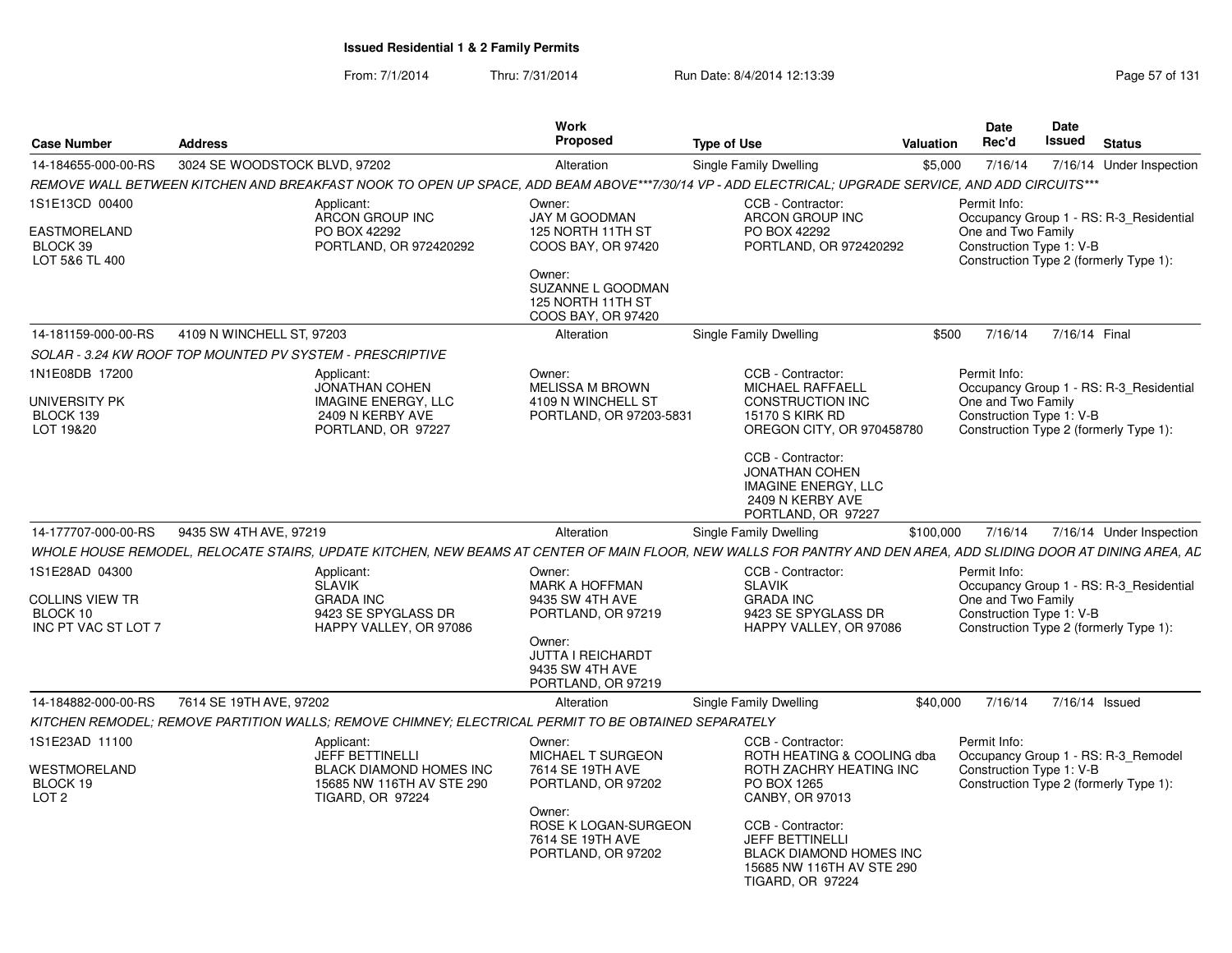From: 7/1/2014Thru: 7/31/2014 Run Date: 8/4/2014 12:13:39 Research 2010 Rage 57 of 131

| <b>Case Number</b>                                                          | <b>Address</b>                |                                                                                                             | Work<br>Proposed                                                                                                       | <b>Type of Use</b>                                                                                                                                              | Valuation | <b>Date</b><br>Rec'd                                           | Date<br>Issued | <b>Status</b>                                                                     |
|-----------------------------------------------------------------------------|-------------------------------|-------------------------------------------------------------------------------------------------------------|------------------------------------------------------------------------------------------------------------------------|-----------------------------------------------------------------------------------------------------------------------------------------------------------------|-----------|----------------------------------------------------------------|----------------|-----------------------------------------------------------------------------------|
| 14-184655-000-00-RS                                                         | 3024 SE WOODSTOCK BLVD, 97202 |                                                                                                             | Alteration                                                                                                             | Single Family Dwelling                                                                                                                                          | \$5,000   | 7/16/14                                                        |                | 7/16/14 Under Inspection                                                          |
|                                                                             |                               |                                                                                                             |                                                                                                                        | REMOVE WALL BETWEEN KITCHEN AND BREAKFAST NOOK TO OPEN UP SPACE. ADD BEAM ABOVE***7/30/14 VP - ADD ELECTRICAL: UPGRADE SERVICE. AND ADD CIRCUITS***             |           |                                                                |                |                                                                                   |
| 1S1E13CD 00400<br>EASTMORELAND<br>BLOCK 39<br>LOT 5&6 TL 400                |                               | Applicant:<br>ARCON GROUP INC<br>PO BOX 42292<br>PORTLAND, OR 972420292                                     | Owner:<br>JAY M GOODMAN<br>125 NORTH 11TH ST<br>COOS BAY, OR 97420<br>Owner:<br>SUZANNE L GOODMAN<br>125 NORTH 11TH ST | CCB - Contractor:<br>ARCON GROUP INC<br>PO BOX 42292<br>PORTLAND, OR 972420292                                                                                  |           | Permit Info:<br>One and Two Family<br>Construction Type 1: V-B |                | Occupancy Group 1 - RS: R-3 Residential<br>Construction Type 2 (formerly Type 1): |
|                                                                             |                               |                                                                                                             | COOS BAY, OR 97420                                                                                                     |                                                                                                                                                                 |           |                                                                |                |                                                                                   |
| 14-181159-000-00-RS                                                         | 4109 N WINCHELL ST, 97203     |                                                                                                             | Alteration                                                                                                             | Single Family Dwelling                                                                                                                                          | \$500     | 7/16/14                                                        |                | 7/16/14 Final                                                                     |
| SOLAR - 3.24 KW ROOF TOP MOUNTED PV SYSTEM - PRESCRIPTIVE                   |                               |                                                                                                             |                                                                                                                        |                                                                                                                                                                 |           |                                                                |                |                                                                                   |
| 1N1E08DB 17200<br>UNIVERSITY PK<br>BLOCK 139<br>LOT 19&20                   |                               | Applicant:<br><b>JONATHAN COHEN</b><br><b>IMAGINE ENERGY, LLC</b><br>2409 N KERBY AVE<br>PORTLAND, OR 97227 | Owner:<br><b>MELISSA M BROWN</b><br>4109 N WINCHELL ST<br>PORTLAND, OR 97203-5831                                      | CCB - Contractor:<br><b>MICHAEL RAFFAELL</b><br><b>CONSTRUCTION INC</b><br><b>15170 S KIRK RD</b><br>OREGON CITY, OR 970458780                                  |           | Permit Info:<br>One and Two Family<br>Construction Type 1: V-B |                | Occupancy Group 1 - RS: R-3 Residential<br>Construction Type 2 (formerly Type 1): |
|                                                                             |                               |                                                                                                             |                                                                                                                        | CCB - Contractor:<br><b>JONATHAN COHEN</b><br><b>IMAGINE ENERGY, LLC</b><br>2409 N KERBY AVE<br>PORTLAND, OR 97227                                              |           |                                                                |                |                                                                                   |
| 14-177707-000-00-RS                                                         | 9435 SW 4TH AVE, 97219        |                                                                                                             | Alteration                                                                                                             | Single Family Dwelling                                                                                                                                          | \$100,000 | 7/16/14                                                        |                | 7/16/14 Under Inspection                                                          |
|                                                                             |                               |                                                                                                             |                                                                                                                        | WHOLE HOUSE REMODEL. RELOCATE STAIRS, UPDATE KITCHEN, NEW BEAMS AT CENTER OF MAIN FLOOR, NEW WALLS FOR PANTRY AND DEN AREA, ADD SLIDING DOOR AT DINING AREA, AC |           |                                                                |                |                                                                                   |
| 1S1E28AD 04300<br><b>COLLINS VIEW TR</b><br>BLOCK 10<br>INC PT VAC ST LOT 7 |                               | Applicant<br><b>SLAVIK</b><br><b>GRADA INC</b><br>9423 SE SPYGLASS DR<br>HAPPY VALLEY, OR 97086             | Owner:<br>MARK A HOFFMAN<br>9435 SW 4TH AVE<br>PORTLAND, OR 97219                                                      | CCB - Contractor:<br><b>SLAVIK</b><br><b>GRADA INC</b><br>9423 SE SPYGLASS DR<br>HAPPY VALLEY, OR 97086                                                         |           | Permit Info:<br>One and Two Family<br>Construction Type 1: V-B |                | Occupancy Group 1 - RS: R-3 Residential<br>Construction Type 2 (formerly Type 1): |
|                                                                             |                               |                                                                                                             | Owner:<br>JUTTA I REICHARDT<br>9435 SW 4TH AVE<br>PORTLAND, OR 97219                                                   |                                                                                                                                                                 |           |                                                                |                |                                                                                   |
| 14-184882-000-00-RS                                                         | 7614 SE 19TH AVE, 97202       |                                                                                                             | Alteration                                                                                                             | Single Family Dwelling                                                                                                                                          | \$40,000  | 7/16/14                                                        |                | 7/16/14 Issued                                                                    |
|                                                                             |                               | KITCHEN REMODEL; REMOVE PARTITION WALLS; REMOVE CHIMNEY; ELECTRICAL PERMIT TO BE OBTAINED SEPARATELY        |                                                                                                                        |                                                                                                                                                                 |           |                                                                |                |                                                                                   |
| 1S1E23AD 11100                                                              |                               | Applicant:<br><b>JEFF BETTINELLI</b>                                                                        | Owner:<br><b>MICHAEL T SURGEON</b>                                                                                     | CCB - Contractor:<br>ROTH HEATING & COOLING dba                                                                                                                 |           | Permit Info:                                                   |                | Occupancy Group 1 - RS: R-3 Remodel                                               |
| WESTMORELAND<br>BLOCK 19<br>LOT <sub>2</sub>                                |                               | <b>BLACK DIAMOND HOMES INC</b><br>15685 NW 116TH AV STE 290<br><b>TIGARD, OR 97224</b>                      | 7614 SE 19TH AVE<br>PORTLAND, OR 97202                                                                                 | ROTH ZACHRY HEATING INC<br>PO BOX 1265<br>CANBY, OR 97013                                                                                                       |           | Construction Type 1: V-B                                       |                | Construction Type 2 (formerly Type 1):                                            |
|                                                                             |                               |                                                                                                             | Owner:<br>ROSE K LOGAN-SURGEON<br>7614 SE 19TH AVE<br>PORTLAND, OR 97202                                               | CCB - Contractor:<br><b>JEFF BETTINELLI</b><br><b>BLACK DIAMOND HOMES INC</b><br>15685 NW 116TH AV STE 290<br><b>TIGARD, OR 97224</b>                           |           |                                                                |                |                                                                                   |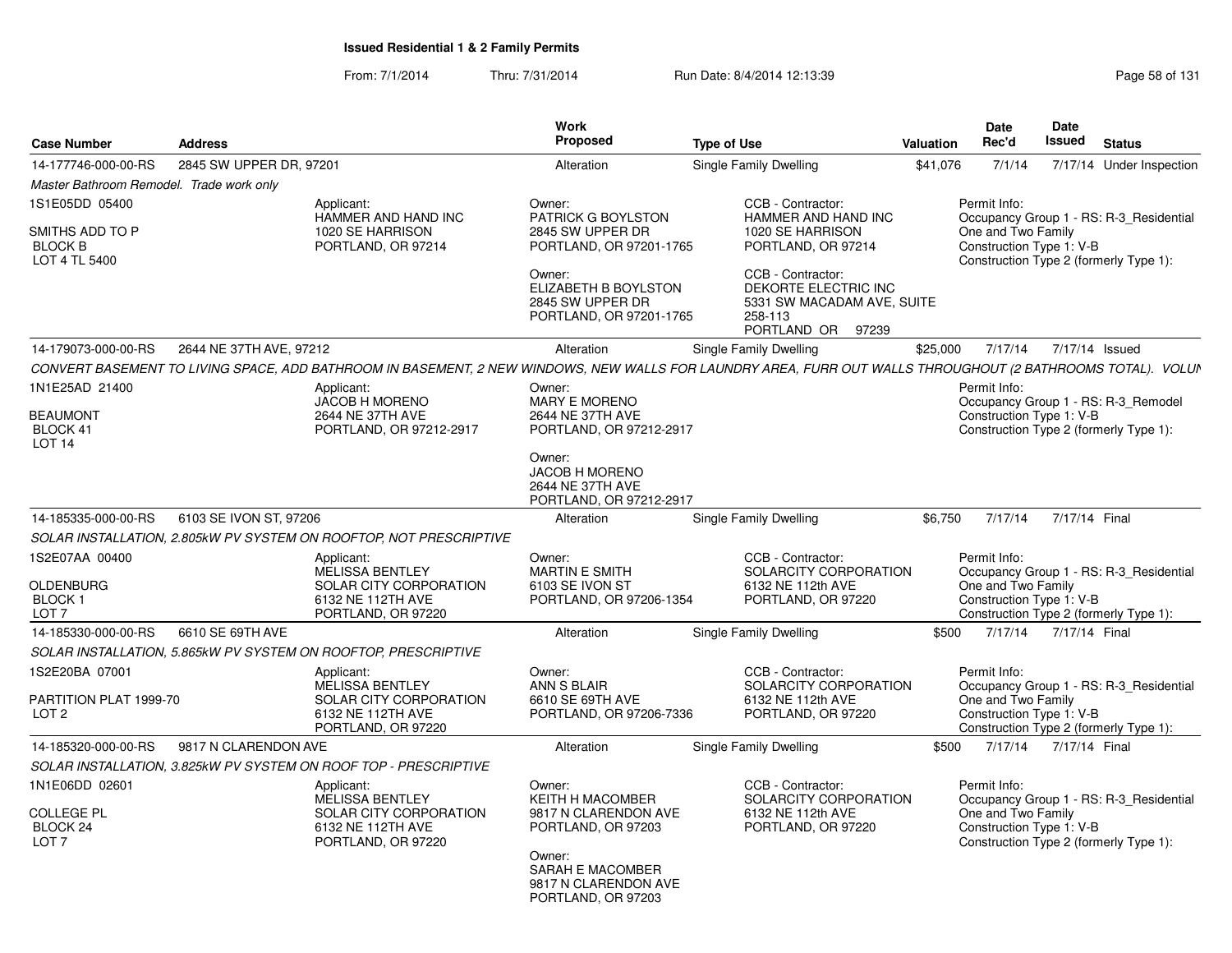From: 7/1/2014Thru: 7/31/2014 Run Date: 8/4/2014 12:13:39 Research 2010 Rage 58 of 131

| <b>Case Number</b>                                                 | <b>Address</b>          |                                                                                    | Work<br>Proposed                                                                               | <b>Type of Use</b>                                                                                                                                          | Valuation | Date<br>Rec'd                      | Date<br><b>Issued</b>    |                | <b>Status</b>                                                                     |
|--------------------------------------------------------------------|-------------------------|------------------------------------------------------------------------------------|------------------------------------------------------------------------------------------------|-------------------------------------------------------------------------------------------------------------------------------------------------------------|-----------|------------------------------------|--------------------------|----------------|-----------------------------------------------------------------------------------|
| 14-177746-000-00-RS                                                | 2845 SW UPPER DR, 97201 |                                                                                    | Alteration                                                                                     | Single Family Dwelling                                                                                                                                      | \$41,076  | 7/1/14                             |                          |                | 7/17/14 Under Inspection                                                          |
| Master Bathroom Remodel. Trade work only                           |                         |                                                                                    |                                                                                                |                                                                                                                                                             |           |                                    |                          |                |                                                                                   |
| 1S1E05DD 05400                                                     |                         | Applicant:                                                                         | Owner:                                                                                         | CCB - Contractor:                                                                                                                                           |           | Permit Info:                       |                          |                |                                                                                   |
| SMITHS ADD TO P<br><b>BLOCK B</b><br>LOT 4 TL 5400                 |                         | HAMMER AND HAND INC<br>1020 SE HARRISON<br>PORTLAND, OR 97214                      | PATRICK G BOYLSTON<br>2845 SW UPPER DR<br>PORTLAND, OR 97201-1765                              | HAMMER AND HAND INC<br>1020 SE HARRISON<br>PORTLAND, OR 97214                                                                                               |           | One and Two Family                 | Construction Type 1: V-B |                | Occupancy Group 1 - RS: R-3 Residential<br>Construction Type 2 (formerly Type 1): |
|                                                                    |                         |                                                                                    | Owner:<br>ELIZABETH B BOYLSTON<br>2845 SW UPPER DR<br>PORTLAND, OR 97201-1765                  | CCB - Contractor:<br>DEKORTE ELECTRIC INC<br>5331 SW MACADAM AVE, SUITE<br>258-113<br>PORTLAND OR 97239                                                     |           |                                    |                          |                |                                                                                   |
| 14-179073-000-00-RS                                                | 2644 NE 37TH AVE, 97212 |                                                                                    | Alteration                                                                                     | Single Family Dwelling                                                                                                                                      | \$25,000  | 7/17/14                            |                          | 7/17/14 Issued |                                                                                   |
|                                                                    |                         |                                                                                    |                                                                                                | CONVERT BASEMENT TO LIVING SPACE, ADD BATHROOM IN BASEMENT, 2 NEW WINDOWS, NEW WALLS FOR LAUNDRY AREA, FURR OUT WALLS THROUGHOUT (2 BATHROOMS TOTAL). VOLUN |           |                                    |                          |                |                                                                                   |
| 1N1E25AD 21400<br><b>BEAUMONT</b><br>BLOCK 41<br>LOT <sub>14</sub> |                         | Applicant:<br><b>JACOB H MORENO</b><br>2644 NE 37TH AVE<br>PORTLAND, OR 97212-2917 | Owner:<br>MARY E MORENO<br>2644 NE 37TH AVE<br>PORTLAND, OR 97212-2917                         |                                                                                                                                                             |           | Permit Info:                       | Construction Type 1: V-B |                | Occupancy Group 1 - RS: R-3 Remodel<br>Construction Type 2 (formerly Type 1):     |
|                                                                    |                         |                                                                                    | Owner:<br><b>JACOB H MORENO</b><br>2644 NE 37TH AVE<br>PORTLAND, OR 97212-2917                 |                                                                                                                                                             |           |                                    |                          |                |                                                                                   |
| 14-185335-000-00-RS                                                | 6103 SE IVON ST, 97206  |                                                                                    | Alteration                                                                                     | Single Family Dwelling                                                                                                                                      | \$6,750   | 7/17/14                            |                          | 7/17/14 Final  |                                                                                   |
|                                                                    |                         | SOLAR INSTALLATION, 2.805kW PV SYSTEM ON ROOFTOP, NOT PRESCRIPTIVE                 |                                                                                                |                                                                                                                                                             |           |                                    |                          |                |                                                                                   |
| 1S2E07AA 00400<br><b>OLDENBURG</b>                                 |                         | Applicant:<br><b>MELISSA BENTLEY</b><br><b>SOLAR CITY CORPORATION</b>              | Owner:<br><b>MARTIN E SMITH</b><br>6103 SE IVON ST                                             | CCB - Contractor:<br>SOLARCITY CORPORATION<br>6132 NE 112th AVE                                                                                             |           | Permit Info:<br>One and Two Family |                          |                | Occupancy Group 1 - RS: R-3 Residential                                           |
| <b>BLOCK1</b><br>LOT <sub>7</sub>                                  |                         | 6132 NE 112TH AVE<br>PORTLAND, OR 97220                                            | PORTLAND, OR 97206-1354                                                                        | PORTLAND, OR 97220                                                                                                                                          |           |                                    | Construction Type 1: V-B |                | Construction Type 2 (formerly Type 1):                                            |
| 14-185330-000-00-RS                                                | 6610 SE 69TH AVE        |                                                                                    | Alteration                                                                                     | Single Family Dwelling                                                                                                                                      | \$500     | 7/17/14                            |                          | 7/17/14 Final  |                                                                                   |
|                                                                    |                         | SOLAR INSTALLATION, 5.865kW PV SYSTEM ON ROOFTOP, PRESCRIPTIVE                     |                                                                                                |                                                                                                                                                             |           |                                    |                          |                |                                                                                   |
| 1S2E20BA 07001                                                     |                         | Applicant:<br><b>MELISSA BENTLEY</b>                                               | Owner:<br>ANN S BLAIR                                                                          | CCB - Contractor:<br>SOLARCITY CORPORATION                                                                                                                  |           | Permit Info:                       |                          |                | Occupancy Group 1 - RS: R-3_Residential                                           |
| PARTITION PLAT 1999-70<br>LOT <sub>2</sub>                         |                         | SOLAR CITY CORPORATION<br>6132 NE 112TH AVE<br>PORTLAND, OR 97220                  | 6610 SE 69TH AVE<br>PORTLAND, OR 97206-7336                                                    | 6132 NE 112th AVE<br>PORTLAND, OR 97220                                                                                                                     |           | One and Two Family                 | Construction Type 1: V-B |                | Construction Type 2 (formerly Type 1):                                            |
| 14-185320-000-00-RS                                                | 9817 N CLARENDON AVE    |                                                                                    | Alteration                                                                                     | Single Family Dwelling                                                                                                                                      | \$500     | 7/17/14                            |                          | 7/17/14 Final  |                                                                                   |
|                                                                    |                         | SOLAR INSTALLATION, 3.825kW PV SYSTEM ON ROOF TOP - PRESCRIPTIVE                   |                                                                                                |                                                                                                                                                             |           |                                    |                          |                |                                                                                   |
| 1N1E06DD 02601<br><b>COLLEGE PL</b>                                |                         | Applicant:<br><b>MELISSA BENTLEY</b><br>SOLAR CITY CORPORATION                     | Owner:<br><b>KEITH H MACOMBER</b><br>9817 N CLARENDON AVE                                      | CCB - Contractor:<br>SOLARCITY CORPORATION<br>6132 NE 112th AVE                                                                                             |           | Permit Info:                       | One and Two Family       |                | Occupancy Group 1 - RS: R-3 Residential                                           |
| BLOCK <sub>24</sub><br>LOT <sub>7</sub>                            |                         | 6132 NE 112TH AVE<br>PORTLAND, OR 97220                                            | PORTLAND, OR 97203<br>Owner:<br>SARAH E MACOMBER<br>9817 N CLARENDON AVE<br>PORTLAND, OR 97203 | PORTLAND, OR 97220                                                                                                                                          |           |                                    | Construction Type 1: V-B |                | Construction Type 2 (formerly Type 1):                                            |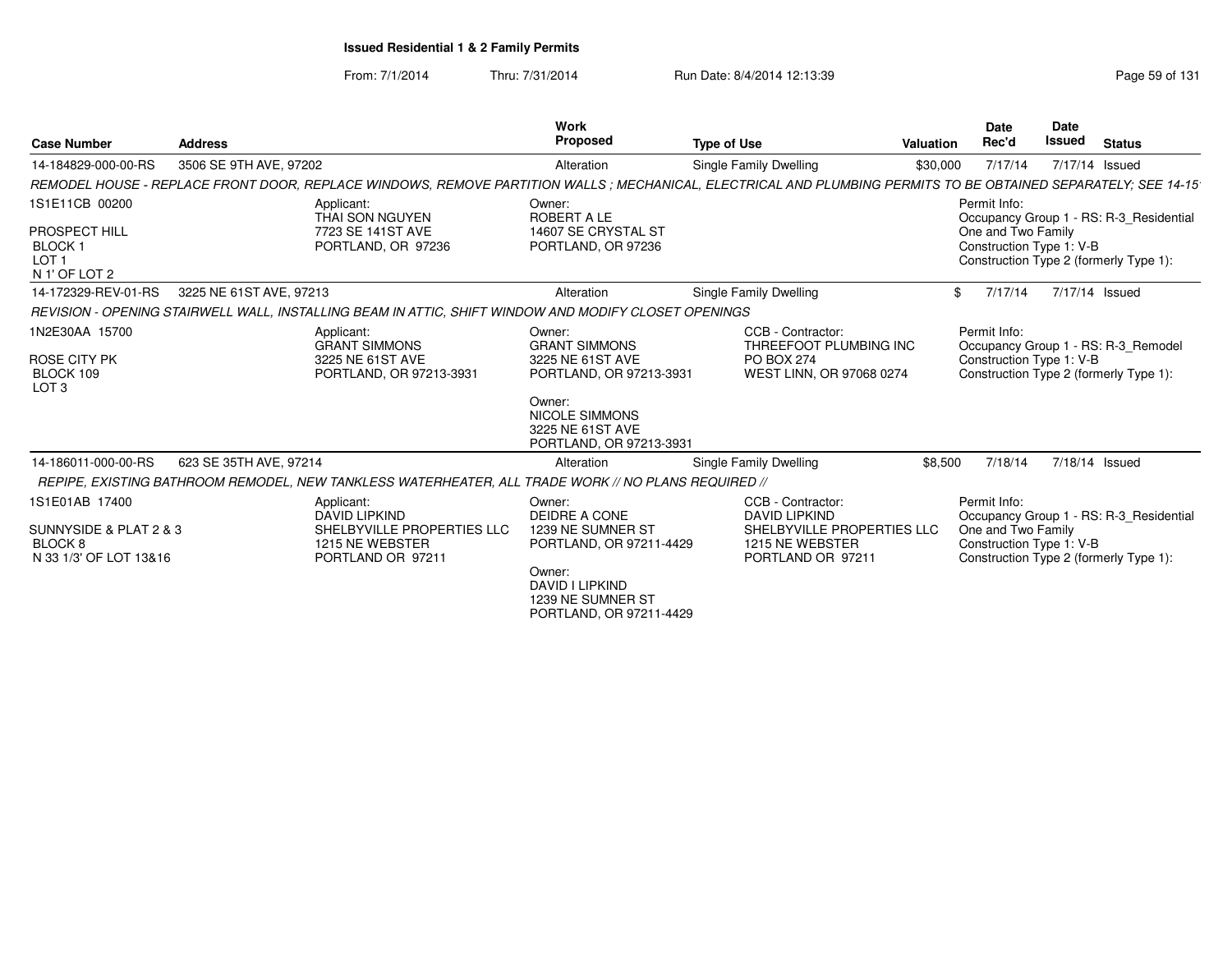From: 7/1/2014Thru: 7/31/2014 Run Date: 8/4/2014 12:13:39 Research 2010 Rage 59 of 131

| <b>Case Number</b>                                                                    | <b>Address</b>          |                                                                                                          | <b>Work</b><br>Proposed                                                                                                                                         | <b>Type of Use</b>                                                                                                                                            | <b>Valuation</b> | <b>Date</b><br>Rec'd                                           | <b>Date</b><br><b>Issued</b> | <b>Status</b>                                                                     |
|---------------------------------------------------------------------------------------|-------------------------|----------------------------------------------------------------------------------------------------------|-----------------------------------------------------------------------------------------------------------------------------------------------------------------|---------------------------------------------------------------------------------------------------------------------------------------------------------------|------------------|----------------------------------------------------------------|------------------------------|-----------------------------------------------------------------------------------|
| 14-184829-000-00-RS                                                                   | 3506 SE 9TH AVE, 97202  |                                                                                                          | Alteration                                                                                                                                                      | Single Family Dwelling                                                                                                                                        | \$30,000         | 7/17/14                                                        | 7/17/14 Issued               |                                                                                   |
|                                                                                       |                         |                                                                                                          |                                                                                                                                                                 | REMODEL HOUSE - REPLACE FRONT DOOR, REPLACE WINDOWS, REMOVE PARTITION WALLS; MECHANICAL, ELECTRICAL AND PLUMBING PERMITS TO BE OBTAINED SEPARATELY; SEE 14-15 |                  |                                                                |                              |                                                                                   |
| 1S1E11CB 00200<br>PROSPECT HILL<br><b>BLOCK1</b><br>LOT <sub>1</sub><br>N 1' OF LOT 2 |                         | Applicant:<br>THAI SON NGUYEN<br>7723 SE 141ST AVE<br>PORTLAND, OR 97236                                 | Owner:<br>ROBERT A LE<br>14607 SE CRYSTAL ST<br>PORTLAND, OR 97236                                                                                              |                                                                                                                                                               |                  | Permit Info:<br>One and Two Family<br>Construction Type 1: V-B |                              | Occupancy Group 1 - RS: R-3 Residential<br>Construction Type 2 (formerly Type 1): |
| 14-172329-REV-01-RS                                                                   | 3225 NE 61ST AVE, 97213 |                                                                                                          | Alteration                                                                                                                                                      | Single Family Dwelling                                                                                                                                        | \$               | 7/17/14                                                        | 7/17/14 Issued               |                                                                                   |
|                                                                                       |                         | REVISION - OPENING STAIRWELL WALL, INSTALLING BEAM IN ATTIC, SHIFT WINDOW AND MODIFY CLOSET OPENINGS     |                                                                                                                                                                 |                                                                                                                                                               |                  |                                                                |                              |                                                                                   |
| 1N2E30AA 15700<br><b>ROSE CITY PK</b><br>BLOCK 109<br>LOT <sub>3</sub>                |                         | Applicant:<br><b>GRANT SIMMONS</b><br>3225 NE 61ST AVE<br>PORTLAND, OR 97213-3931                        | Owner:<br><b>GRANT SIMMONS</b><br>3225 NE 61ST AVE<br>PORTLAND, OR 97213-3931<br>Owner:<br><b>NICOLE SIMMONS</b><br>3225 NE 61ST AVE<br>PORTLAND, OR 97213-3931 | CCB - Contractor:<br>THREEFOOT PLUMBING INC<br><b>PO BOX 274</b><br>WEST LINN, OR 97068 0274                                                                  |                  | Permit Info:<br>Construction Type 1: V-B                       |                              | Occupancy Group 1 - RS: R-3 Remodel<br>Construction Type 2 (formerly Type 1):     |
| 14-186011-000-00-RS                                                                   | 623 SE 35TH AVE, 97214  |                                                                                                          | Alteration                                                                                                                                                      | Single Family Dwelling                                                                                                                                        | \$8,500          | 7/18/14                                                        | 7/18/14 Issued               |                                                                                   |
|                                                                                       |                         | REPIPE, EXISTING BATHROOM REMODEL, NEW TANKLESS WATERHEATER, ALL TRADE WORK // NO PLANS REQUIRED //      |                                                                                                                                                                 |                                                                                                                                                               |                  |                                                                |                              |                                                                                   |
| 1S1E01AB 17400<br>SUNNYSIDE & PLAT 2 & 3<br>BLOCK 8<br>N 33 1/3' OF LOT 13&16         |                         | Applicant:<br><b>DAVID LIPKIND</b><br>SHELBYVILLE PROPERTIES LLC<br>1215 NE WEBSTER<br>PORTLAND OR 97211 | Owner:<br>DEIDRE A CONE<br>1239 NE SUMNER ST<br>PORTLAND, OR 97211-4429<br>Owner:<br>DAVID I LIPKIND<br>1239 NE SUMNER ST<br>PORTLAND, OR 97211-4429            | CCB - Contractor:<br><b>DAVID LIPKIND</b><br>SHELBYVILLE PROPERTIES LLC<br>1215 NE WEBSTER<br>PORTLAND OR 97211                                               |                  | Permit Info:<br>One and Two Family<br>Construction Type 1: V-B |                              | Occupancy Group 1 - RS: R-3_Residential<br>Construction Type 2 (formerly Type 1): |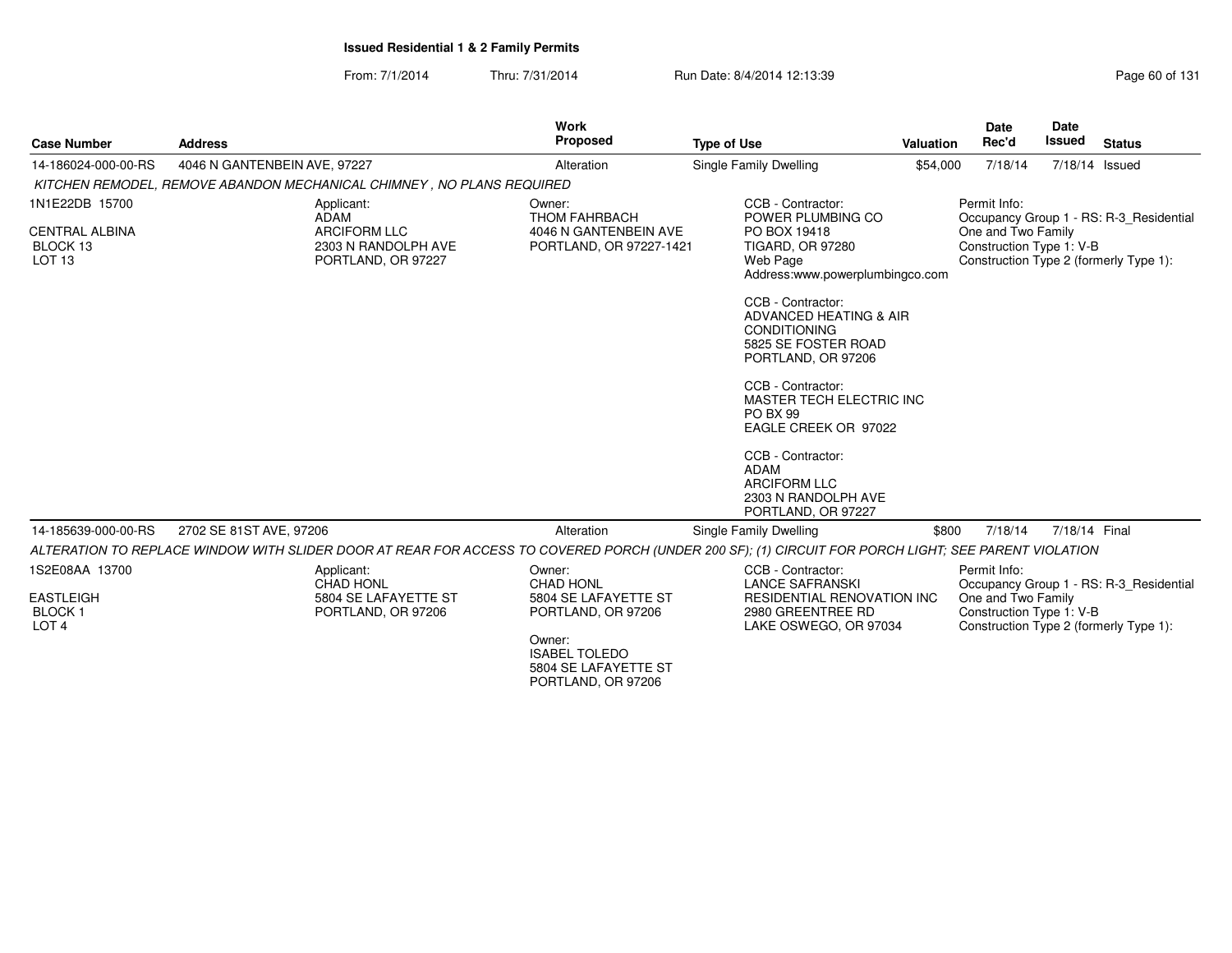From: 7/1/2014Thru: 7/31/2014 Run Date: 8/4/2014 12:13:39 Research 2010 Rage 60 of 131

| <b>Case Number</b>                                                       | <b>Address</b>                                                                                                                                      | Work<br><b>Proposed</b>                                                                                                                           | <b>Type of Use</b>                                                                                                                                                                                                                                                                                                                                                                                                                        | <b>Valuation</b> | <b>Date</b><br>Rec'd                                           | Date<br>Issued | <b>Status</b>                                                                     |
|--------------------------------------------------------------------------|-----------------------------------------------------------------------------------------------------------------------------------------------------|---------------------------------------------------------------------------------------------------------------------------------------------------|-------------------------------------------------------------------------------------------------------------------------------------------------------------------------------------------------------------------------------------------------------------------------------------------------------------------------------------------------------------------------------------------------------------------------------------------|------------------|----------------------------------------------------------------|----------------|-----------------------------------------------------------------------------------|
| 14-186024-000-00-RS                                                      | 4046 N GANTENBEIN AVE, 97227                                                                                                                        | Alteration                                                                                                                                        | Single Family Dwelling                                                                                                                                                                                                                                                                                                                                                                                                                    | \$54,000         | 7/18/14                                                        |                | 7/18/14 Issued                                                                    |
|                                                                          | KITCHEN REMODEL, REMOVE ABANDON MECHANICAL CHIMNEY, NO PLANS REQUIRED                                                                               |                                                                                                                                                   |                                                                                                                                                                                                                                                                                                                                                                                                                                           |                  |                                                                |                |                                                                                   |
| 1N1E22DB 15700<br><b>CENTRAL ALBINA</b><br>BLOCK 13<br>LOT <sub>13</sub> | Applicant:<br><b>ADAM</b><br><b>ARCIFORM LLC</b><br>2303 N RANDOLPH AVE<br>PORTLAND, OR 97227                                                       | Owner:<br><b>THOM FAHRBACH</b><br>4046 N GANTENBEIN AVE<br>PORTLAND, OR 97227-1421                                                                | CCB - Contractor:<br>POWER PLUMBING CO<br>PO BOX 19418<br><b>TIGARD, OR 97280</b><br>Web Page<br>Address:www.powerplumbingco.com<br>CCB - Contractor:<br>ADVANCED HEATING & AIR<br><b>CONDITIONING</b><br>5825 SE FOSTER ROAD<br>PORTLAND, OR 97206<br>CCB - Contractor:<br>MASTER TECH ELECTRIC INC<br>PO BX 99<br>EAGLE CREEK OR 97022<br>CCB - Contractor:<br>ADAM<br><b>ARCIFORM LLC</b><br>2303 N RANDOLPH AVE<br>PORTLAND, OR 97227 |                  | Permit Info:<br>One and Two Family<br>Construction Type 1: V-B |                | Occupancy Group 1 - RS: R-3 Residential<br>Construction Type 2 (formerly Type 1): |
| 14-185639-000-00-RS                                                      | 2702 SE 81ST AVE, 97206                                                                                                                             | Alteration                                                                                                                                        | Single Family Dwelling                                                                                                                                                                                                                                                                                                                                                                                                                    | \$800            | 7/18/14                                                        | 7/18/14 Final  |                                                                                   |
|                                                                          | ALTERATION TO REPLACE WINDOW WITH SLIDER DOOR AT REAR FOR ACCESS TO COVERED PORCH (UNDER 200 SF); (1) CIRCUIT FOR PORCH LIGHT; SEE PARENT VIOLATION |                                                                                                                                                   |                                                                                                                                                                                                                                                                                                                                                                                                                                           |                  |                                                                |                |                                                                                   |
| 1S2E08AA 13700<br><b>EASTLEIGH</b><br><b>BLOCK1</b><br>LOT <sub>4</sub>  | Applicant:<br>CHAD HONL<br>5804 SE LAFAYETTE ST<br>PORTLAND, OR 97206                                                                               | Owner:<br>CHAD HONL<br>5804 SE LAFAYETTE ST<br>PORTLAND, OR 97206<br>Owner:<br><b>ISABEL TOLEDO</b><br>5804 SE LAFAYETTE ST<br>PORTLAND, OR 97206 | CCB - Contractor:<br><b>LANCE SAFRANSKI</b><br>RESIDENTIAL RENOVATION INC<br>2980 GREENTREE RD<br>LAKE OSWEGO, OR 97034                                                                                                                                                                                                                                                                                                                   |                  | Permit Info:<br>One and Two Family<br>Construction Type 1: V-B |                | Occupancy Group 1 - RS: R-3 Residential<br>Construction Type 2 (formerly Type 1): |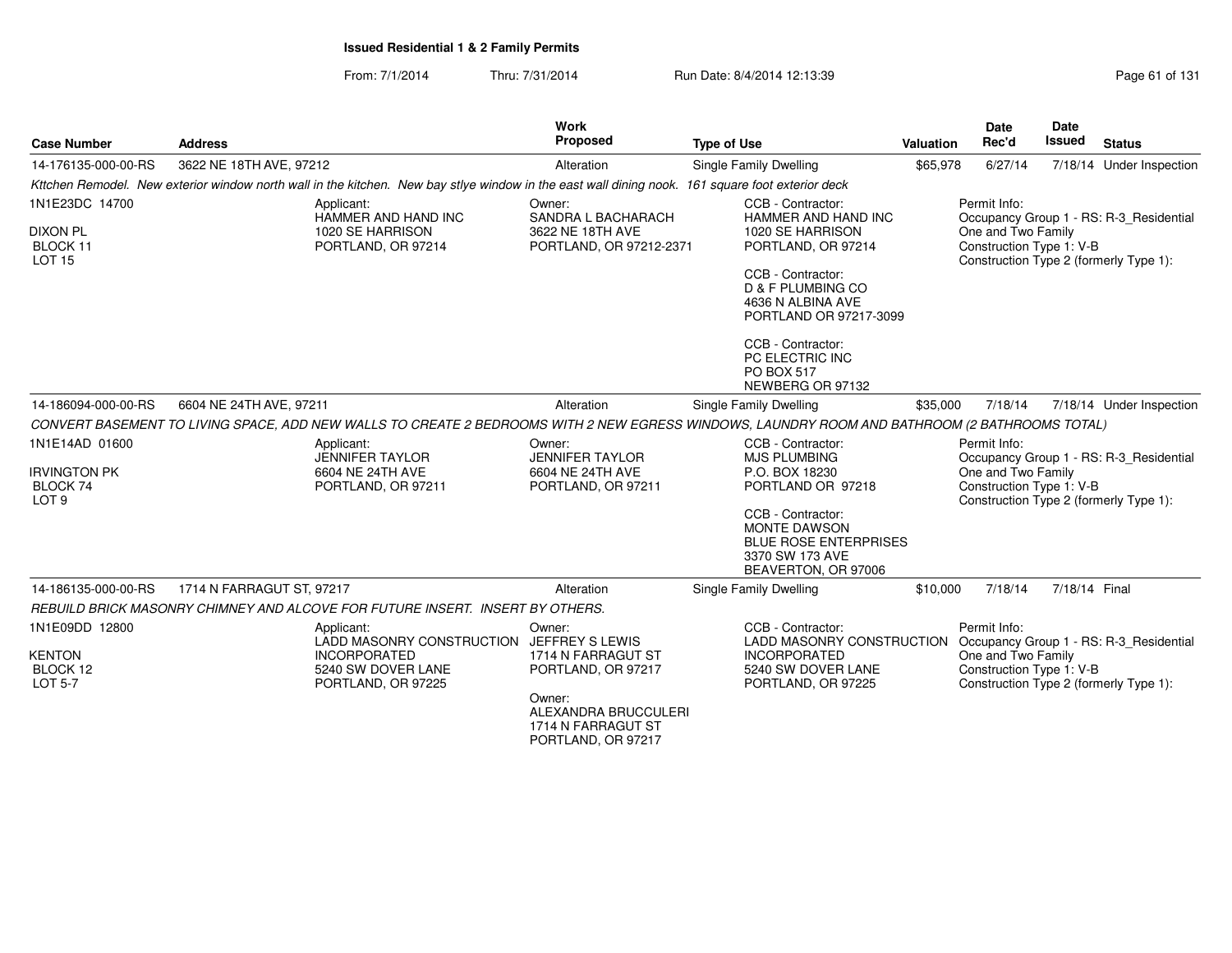From: 7/1/2014Thru: 7/31/2014 Run Date: 8/4/2014 12:13:39 Rege 61 of 131

| <b>Case Number</b>                                                    | <b>Address</b>            |                                                                                                                                                  | <b>Work</b><br>Proposed                                                                                                                             | <b>Type of Use</b>     |                                                                                                                                                                                                                                          | Valuation | <b>Date</b><br>Rec'd                                           | <b>Date</b><br><b>Issued</b> | <b>Status</b>                                                                     |
|-----------------------------------------------------------------------|---------------------------|--------------------------------------------------------------------------------------------------------------------------------------------------|-----------------------------------------------------------------------------------------------------------------------------------------------------|------------------------|------------------------------------------------------------------------------------------------------------------------------------------------------------------------------------------------------------------------------------------|-----------|----------------------------------------------------------------|------------------------------|-----------------------------------------------------------------------------------|
| 14-176135-000-00-RS                                                   | 3622 NE 18TH AVE, 97212   |                                                                                                                                                  | Alteration                                                                                                                                          | Single Family Dwelling |                                                                                                                                                                                                                                          | \$65,978  | 6/27/14                                                        |                              | 7/18/14 Under Inspection                                                          |
|                                                                       |                           | Kttchen Remodel. New exterior window north wall in the kitchen. New bay stlye window in the east wall dining nook. 161 square foot exterior deck |                                                                                                                                                     |                        |                                                                                                                                                                                                                                          |           |                                                                |                              |                                                                                   |
| 1N1E23DC 14700<br><b>DIXON PL</b><br>BLOCK 11<br><b>LOT 15</b>        |                           | Applicant:<br>HAMMER AND HAND INC<br>1020 SE HARRISON<br>PORTLAND, OR 97214                                                                      | Owner:<br>SANDRA L BACHARACH<br>3622 NE 18TH AVE<br>PORTLAND, OR 97212-2371                                                                         |                        | CCB - Contractor:<br>HAMMER AND HAND INC<br>1020 SE HARRISON<br>PORTLAND, OR 97214<br>CCB - Contractor:<br>D & F PLUMBING CO<br>4636 N ALBINA AVE<br>PORTLAND OR 97217-3099<br>CCB - Contractor:<br>PC ELECTRIC INC<br><b>PO BOX 517</b> |           | Permit Info:<br>One and Two Family<br>Construction Type 1: V-B |                              | Occupancy Group 1 - RS: R-3_Residential<br>Construction Type 2 (formerly Type 1): |
| 14-186094-000-00-RS                                                   | 6604 NE 24TH AVE, 97211   |                                                                                                                                                  | Alteration                                                                                                                                          | Single Family Dwelling | NEWBERG OR 97132                                                                                                                                                                                                                         | \$35,000  | 7/18/14                                                        |                              | 7/18/14 Under Inspection                                                          |
|                                                                       |                           | CONVERT BASEMENT TO LIVING SPACE, ADD NEW WALLS TO CREATE 2 BEDROOMS WITH 2 NEW EGRESS WINDOWS, LAUNDRY ROOM AND BATHROOM (2 BATHROOMS TOTAL)    |                                                                                                                                                     |                        |                                                                                                                                                                                                                                          |           |                                                                |                              |                                                                                   |
| 1N1E14AD 01600<br><b>IRVINGTON PK</b><br>BLOCK 74<br>LOT <sub>9</sub> |                           | Applicant:<br>JENNIFER TAYLOR<br>6604 NE 24TH AVE<br>PORTLAND, OR 97211                                                                          | Owner:<br><b>JENNIFER TAYLOR</b><br>6604 NE 24TH AVE<br>PORTLAND, OR 97211                                                                          |                        | CCB - Contractor:<br><b>MJS PLUMBING</b><br>P.O. BOX 18230<br>PORTLAND OR 97218<br>CCB - Contractor:<br><b>MONTE DAWSON</b><br><b>BLUE ROSE ENTERPRISES</b><br>3370 SW 173 AVE<br>BEAVERTON, OR 97006                                    |           | Permit Info:<br>One and Two Family<br>Construction Type 1: V-B |                              | Occupancy Group 1 - RS: R-3_Residential<br>Construction Type 2 (formerly Type 1): |
| 14-186135-000-00-RS                                                   | 1714 N FARRAGUT ST, 97217 |                                                                                                                                                  | Alteration                                                                                                                                          | Single Family Dwelling |                                                                                                                                                                                                                                          | \$10,000  | 7/18/14                                                        | 7/18/14 Final                |                                                                                   |
|                                                                       |                           | REBUILD BRICK MASONRY CHIMNEY AND ALCOVE FOR FUTURE INSERT. INSERT BY OTHERS.                                                                    |                                                                                                                                                     |                        |                                                                                                                                                                                                                                          |           |                                                                |                              |                                                                                   |
| 1N1E09DD 12800<br><b>KENTON</b><br>BLOCK 12<br><b>LOT 5-7</b>         |                           | Applicant:<br><b>LADD MASONRY CONSTRUCTION</b><br><b>INCORPORATED</b><br>5240 SW DOVER LANE<br>PORTLAND, OR 97225                                | Owner:<br>JEFFREY S LEWIS<br>1714 N FARRAGUT ST<br>PORTLAND, OR 97217<br>Owner:<br>ALEXANDRA BRUCCULERI<br>1714 N FARRAGUT ST<br>PORTLAND, OR 97217 |                        | CCB - Contractor:<br><b>LADD MASONRY CONSTRUCTION</b><br><b>INCORPORATED</b><br>5240 SW DOVER LANE<br>PORTLAND, OR 97225                                                                                                                 |           | Permit Info:<br>One and Two Family<br>Construction Type 1: V-B |                              | Occupancy Group 1 - RS: R-3_Residential<br>Construction Type 2 (formerly Type 1): |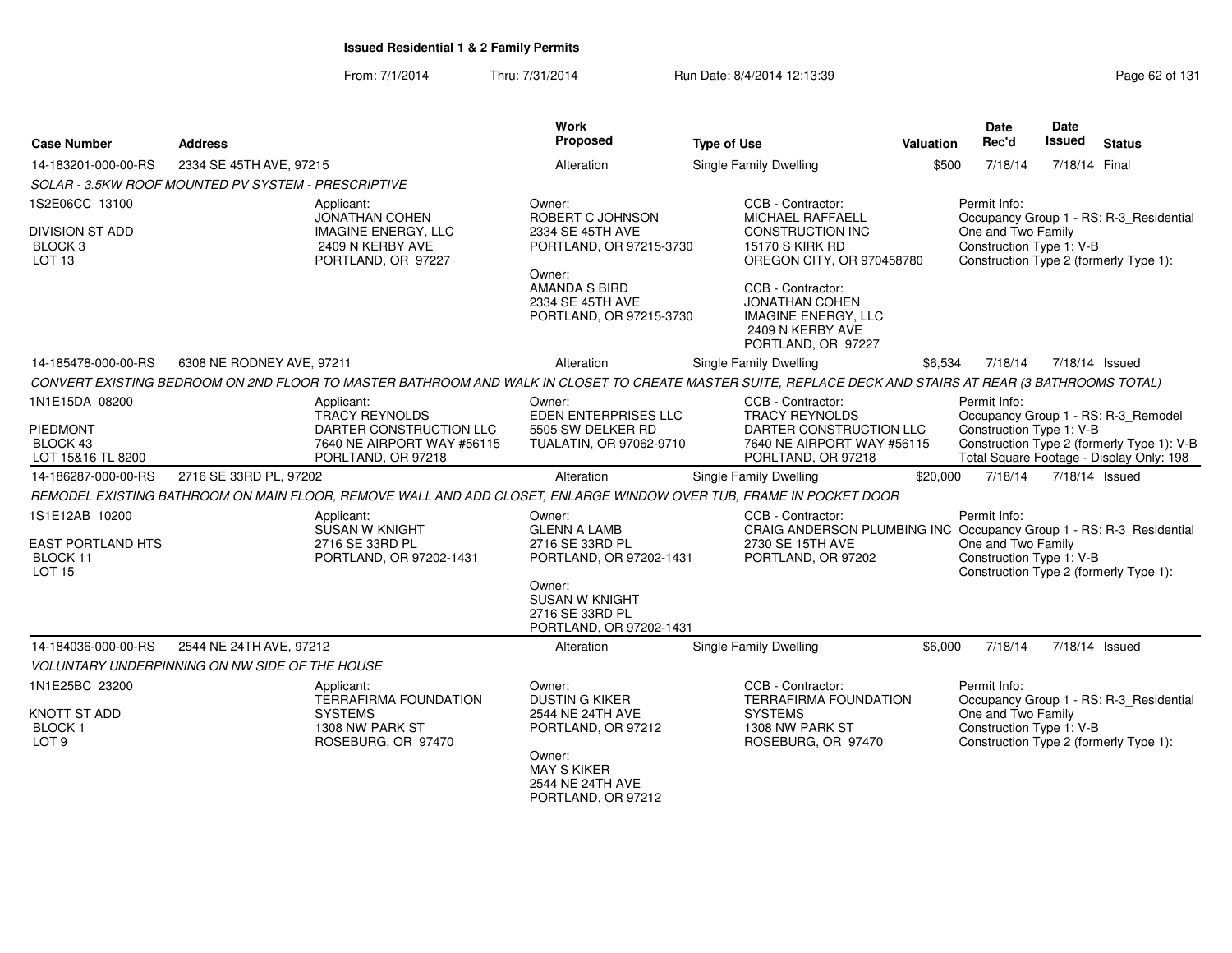From: 7/1/2014Thru: 7/31/2014 Run Date: 8/4/2014 12:13:39 Rege 62 of 131

| <b>Case Number</b>                                                | <b>Address</b>                                        |                                                                                                                                                         | <b>Work</b><br>Proposed                                                       | <b>Type of Use</b>                                                                                          | <b>Valuation</b> | <b>Date</b><br>Rec'd                           | Date<br>Issued | <b>Status</b>                                                                          |
|-------------------------------------------------------------------|-------------------------------------------------------|---------------------------------------------------------------------------------------------------------------------------------------------------------|-------------------------------------------------------------------------------|-------------------------------------------------------------------------------------------------------------|------------------|------------------------------------------------|----------------|----------------------------------------------------------------------------------------|
| 14-183201-000-00-RS                                               | 2334 SE 45TH AVE, 97215                               |                                                                                                                                                         | Alteration                                                                    | <b>Single Family Dwelling</b>                                                                               | \$500            | 7/18/14                                        | 7/18/14 Final  |                                                                                        |
|                                                                   | SOLAR - 3.5KW ROOF MOUNTED PV SYSTEM - PRESCRIPTIVE   |                                                                                                                                                         |                                                                               |                                                                                                             |                  |                                                |                |                                                                                        |
| 1S2E06CC 13100                                                    |                                                       | Applicant:<br><b>JONATHAN COHEN</b>                                                                                                                     | Owner:<br>ROBERT C JOHNSON                                                    | CCB - Contractor:<br><b>MICHAEL RAFFAELL</b>                                                                |                  | Permit Info:                                   |                | Occupancy Group 1 - RS: R-3_Residential                                                |
| <b>DIVISION ST ADD</b><br>BLOCK <sub>3</sub><br>LOT <sub>13</sub> |                                                       | <b>IMAGINE ENERGY, LLC</b><br>2409 N KERBY AVE<br>PORTLAND, OR 97227                                                                                    | 2334 SE 45TH AVE<br>PORTLAND, OR 97215-3730                                   | <b>CONSTRUCTION INC</b><br><b>15170 S KIRK RD</b><br>OREGON CITY, OR 970458780                              |                  | One and Two Family<br>Construction Type 1: V-B |                | Construction Type 2 (formerly Type 1):                                                 |
|                                                                   |                                                       |                                                                                                                                                         | Owner:<br><b>AMANDA S BIRD</b><br>2334 SE 45TH AVE<br>PORTLAND, OR 97215-3730 | CCB - Contractor:<br>JONATHAN COHEN<br><b>IMAGINE ENERGY, LLC</b><br>2409 N KERBY AVE<br>PORTLAND, OR 97227 |                  |                                                |                |                                                                                        |
| 14-185478-000-00-RS                                               | 6308 NE RODNEY AVE, 97211                             |                                                                                                                                                         | Alteration                                                                    | Single Family Dwelling                                                                                      | \$6,534          | 7/18/14                                        |                | 7/18/14 Issued                                                                         |
|                                                                   |                                                       | CONVERT EXISTING BEDROOM ON 2ND FLOOR TO MASTER BATHROOM AND WALK IN CLOSET TO CREATE MASTER SUITE, REPLACE DECK AND STAIRS AT REAR (3 BATHROOMS TOTAL) |                                                                               |                                                                                                             |                  |                                                |                |                                                                                        |
| 1N1E15DA 08200                                                    |                                                       | Applicant:<br><b>TRACY REYNOLDS</b>                                                                                                                     | Owner:<br><b>EDEN ENTERPRISES LLC</b>                                         | CCB - Contractor:<br><b>TRACY REYNOLDS</b>                                                                  |                  | Permit Info:                                   |                | Occupancy Group 1 - RS: R-3 Remodel                                                    |
| <b>PIEDMONT</b><br>BLOCK 43<br>LOT 15&16 TL 8200                  |                                                       | DARTER CONSTRUCTION LLC<br>7640 NE AIRPORT WAY #56115<br>PORLTAND, OR 97218                                                                             | 5505 SW DELKER RD<br>TUALATIN, OR 97062-9710                                  | DARTER CONSTRUCTION LLC<br>7640 NE AIRPORT WAY #56115<br>PORLTAND, OR 97218                                 |                  | Construction Type 1: V-B                       |                | Construction Type 2 (formerly Type 1): V-B<br>Total Square Footage - Display Only: 198 |
| 14-186287-000-00-RS                                               | 2716 SE 33RD PL, 97202                                |                                                                                                                                                         | Alteration                                                                    | <b>Single Family Dwelling</b>                                                                               | \$20,000         | 7/18/14                                        |                | 7/18/14 Issued                                                                         |
|                                                                   |                                                       | REMODEL EXISTING BATHROOM ON MAIN FLOOR, REMOVE WALL AND ADD CLOSET, ENLARGE WINDOW OVER TUB, FRAME IN POCKET DOOR                                      |                                                                               |                                                                                                             |                  |                                                |                |                                                                                        |
| 1S1E12AB 10200                                                    |                                                       | Applicant:<br><b>SUSAN W KNIGHT</b>                                                                                                                     | Owner:<br><b>GLENN A LAMB</b>                                                 | CCB - Contractor:<br>CRAIG ANDERSON PLUMBING INC Occupancy Group 1 - RS: R-3_Residential                    |                  | Permit Info:                                   |                |                                                                                        |
| <b>EAST PORTLAND HTS</b><br>BLOCK 11<br><b>LOT 15</b>             |                                                       | 2716 SE 33RD PL<br>PORTLAND, OR 97202-1431                                                                                                              | 2716 SE 33RD PL<br>PORTLAND, OR 97202-1431                                    | 2730 SE 15TH AVE<br>PORTLAND, OR 97202                                                                      |                  | One and Two Family<br>Construction Type 1: V-B |                | Construction Type 2 (formerly Type 1):                                                 |
|                                                                   |                                                       |                                                                                                                                                         | Owner:<br><b>SUSAN W KNIGHT</b><br>2716 SE 33RD PL<br>PORTLAND, OR 97202-1431 |                                                                                                             |                  |                                                |                |                                                                                        |
| 14-184036-000-00-RS                                               | 2544 NE 24TH AVE, 97212                               |                                                                                                                                                         | Alteration                                                                    | <b>Single Family Dwelling</b>                                                                               | \$6,000          | 7/18/14                                        |                | 7/18/14 Issued                                                                         |
|                                                                   | <b>VOLUNTARY UNDERPINNING ON NW SIDE OF THE HOUSE</b> |                                                                                                                                                         |                                                                               |                                                                                                             |                  |                                                |                |                                                                                        |
| 1N1E25BC 23200                                                    |                                                       | Applicant:<br><b>TERRAFIRMA FOUNDATION</b>                                                                                                              | Owner:<br><b>DUSTIN G KIKER</b>                                               | CCB - Contractor:<br><b>TERRAFIRMA FOUNDATION</b>                                                           |                  | Permit Info:                                   |                | Occupancy Group 1 - RS: R-3 Residential                                                |
| <b>KNOTT ST ADD</b><br><b>BLOCK1</b><br>LOT <sub>9</sub>          |                                                       | <b>SYSTEMS</b><br>1308 NW PARK ST<br>ROSEBURG, OR 97470                                                                                                 | 2544 NE 24TH AVE<br>PORTLAND, OR 97212                                        | <b>SYSTEMS</b><br>1308 NW PARK ST<br>ROSEBURG, OR 97470                                                     |                  | One and Two Family<br>Construction Type 1: V-B |                | Construction Type 2 (formerly Type 1):                                                 |
|                                                                   |                                                       |                                                                                                                                                         | Owner:<br><b>MAY S KIKER</b><br>2544 NE 24TH AVE<br>PORTLAND, OR 97212        |                                                                                                             |                  |                                                |                |                                                                                        |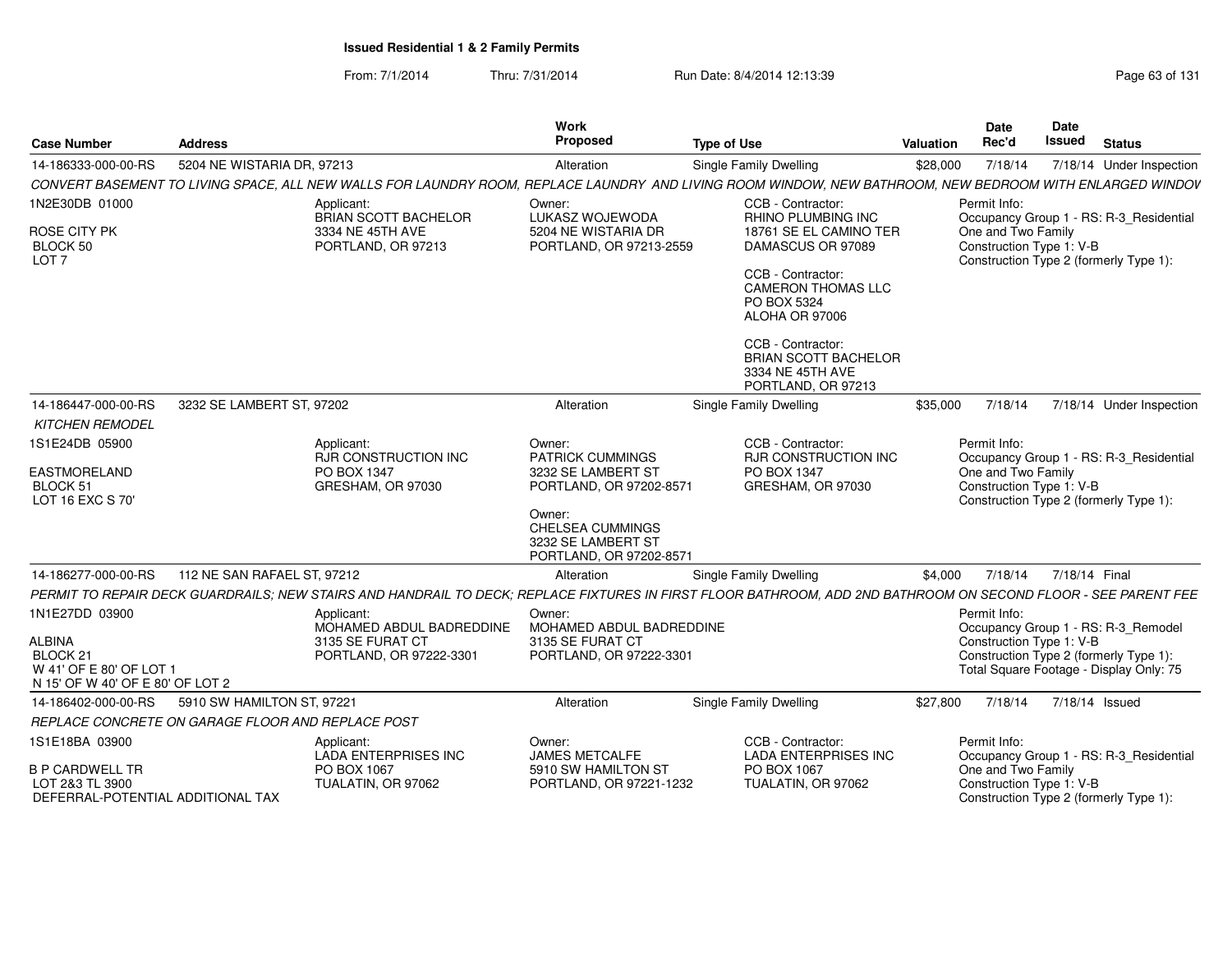From: 7/1/2014Thru: 7/31/2014 Run Date: 8/4/2014 12:13:39 Rege 63 of 131

| <b>Case Number</b>                                                                                                    | <b>Address</b>                                    |                                                                                                                                                                | Work<br>Proposed                                                                                                                                                         | <b>Type of Use</b>                                                                                                                                                                                                                   | Valuation | Date<br>Rec'd                                                  | <b>Date</b><br><b>Issued</b> | <b>Status</b>                                                                                                            |
|-----------------------------------------------------------------------------------------------------------------------|---------------------------------------------------|----------------------------------------------------------------------------------------------------------------------------------------------------------------|--------------------------------------------------------------------------------------------------------------------------------------------------------------------------|--------------------------------------------------------------------------------------------------------------------------------------------------------------------------------------------------------------------------------------|-----------|----------------------------------------------------------------|------------------------------|--------------------------------------------------------------------------------------------------------------------------|
| 14-186333-000-00-RS                                                                                                   | 5204 NE WISTARIA DR, 97213                        |                                                                                                                                                                | Alteration                                                                                                                                                               | Single Family Dwelling                                                                                                                                                                                                               | \$28,000  | 7/18/14                                                        |                              | 7/18/14 Under Inspection                                                                                                 |
|                                                                                                                       |                                                   | CONVERT BASEMENT TO LIVING SPACE, ALL NEW WALLS FOR LAUNDRY ROOM, REPLACE LAUNDRY AND LIVING ROOM WINDOW, NEW BATHROOM, NEW BEDROOM WITH ENLARGED WINDOV       |                                                                                                                                                                          |                                                                                                                                                                                                                                      |           |                                                                |                              |                                                                                                                          |
| 1N2E30DB 01000<br>ROSE CITY PK<br>BLOCK 50<br>LOT <sub>7</sub>                                                        |                                                   | Applicant:<br><b>BRIAN SCOTT BACHELOR</b><br>3334 NE 45TH AVE<br>PORTLAND, OR 97213                                                                            | Owner:<br>LUKASZ WOJEWODA<br>5204 NE WISTARIA DR<br>PORTLAND, OR 97213-2559                                                                                              | CCB - Contractor:<br><b>RHINO PLUMBING INC</b><br>18761 SE EL CAMINO TER<br>DAMASCUS OR 97089<br>CCB - Contractor:<br><b>CAMERON THOMAS LLC</b><br>PO BOX 5324<br>ALOHA OR 97006<br>CCB - Contractor:<br><b>BRIAN SCOTT BACHELOR</b> |           | Permit Info:<br>One and Two Family<br>Construction Type 1: V-B |                              | Occupancy Group 1 - RS: R-3_Residential<br>Construction Type 2 (formerly Type 1):                                        |
|                                                                                                                       |                                                   |                                                                                                                                                                |                                                                                                                                                                          | 3334 NE 45TH AVE<br>PORTLAND, OR 97213                                                                                                                                                                                               |           |                                                                |                              |                                                                                                                          |
| 14-186447-000-00-RS                                                                                                   | 3232 SE LAMBERT ST, 97202                         |                                                                                                                                                                | Alteration                                                                                                                                                               | Single Family Dwelling                                                                                                                                                                                                               | \$35,000  | 7/18/14                                                        |                              | 7/18/14 Under Inspection                                                                                                 |
| <b>KITCHEN REMODEL</b>                                                                                                |                                                   |                                                                                                                                                                |                                                                                                                                                                          |                                                                                                                                                                                                                                      |           |                                                                |                              |                                                                                                                          |
| 1S1E24DB 05900<br><b>EASTMORELAND</b><br>BLOCK 51<br>LOT 16 EXC S 70'                                                 |                                                   | Applicant:<br><b>RJR CONSTRUCTION INC</b><br>PO BOX 1347<br>GRESHAM, OR 97030                                                                                  | Owner:<br><b>PATRICK CUMMINGS</b><br>3232 SE LAMBERT ST<br>PORTLAND, OR 97202-8571<br>Owner:<br><b>CHELSEA CUMMINGS</b><br>3232 SE LAMBERT ST<br>PORTLAND, OR 97202-8571 | CCB - Contractor:<br><b>RJR CONSTRUCTION INC</b><br>PO BOX 1347<br>GRESHAM, OR 97030                                                                                                                                                 |           | Permit Info:<br>One and Two Family<br>Construction Type 1: V-B |                              | Occupancy Group 1 - RS: R-3_Residential<br>Construction Type 2 (formerly Type 1):                                        |
| 14-186277-000-00-RS                                                                                                   | 112 NE SAN RAFAEL ST. 97212                       |                                                                                                                                                                | Alteration                                                                                                                                                               | Single Family Dwelling                                                                                                                                                                                                               | \$4,000   | 7/18/14                                                        | 7/18/14 Final                |                                                                                                                          |
|                                                                                                                       |                                                   | PERMIT TO REPAIR DECK GUARDRAILS; NEW STAIRS AND HANDRAIL TO DECK; REPLACE FIXTURES IN FIRST FLOOR BATHROOM, ADD 2ND BATHROOM ON SECOND FLOOR - SEE PARENT FEE |                                                                                                                                                                          |                                                                                                                                                                                                                                      |           |                                                                |                              |                                                                                                                          |
| 1N1E27DD 03900<br><b>ALBINA</b><br>BLOCK <sub>21</sub><br>W 41' OF E 80' OF LOT 1<br>N 15' OF W 40' OF E 80' OF LOT 2 |                                                   | Applicant:<br>MOHAMED ABDUL BADREDDINE<br>3135 SE FURAT CT<br>PORTLAND, OR 97222-3301                                                                          | Owner:<br>MOHAMED ABDUL BADREDDINE<br>3135 SE FURAT CT<br>PORTLAND, OR 97222-3301                                                                                        |                                                                                                                                                                                                                                      |           | Permit Info:<br>Construction Type 1: V-B                       |                              | Occupancy Group 1 - RS: R-3_Remodel<br>Construction Type 2 (formerly Type 1):<br>Total Square Footage - Display Only: 75 |
| 14-186402-000-00-RS                                                                                                   | 5910 SW HAMILTON ST, 97221                        |                                                                                                                                                                | Alteration                                                                                                                                                               | Single Family Dwelling                                                                                                                                                                                                               | \$27,800  | 7/18/14                                                        | 7/18/14 Issued               |                                                                                                                          |
|                                                                                                                       | REPLACE CONCRETE ON GARAGE FLOOR AND REPLACE POST |                                                                                                                                                                |                                                                                                                                                                          |                                                                                                                                                                                                                                      |           |                                                                |                              |                                                                                                                          |
| 1S1E18BA 03900<br><b>B P CARDWELL TR</b>                                                                              |                                                   | Applicant:<br><b>LADA ENTERPRISES INC</b><br>PO BOX 1067                                                                                                       | Owner:<br><b>JAMES METCALFE</b><br>5910 SW HAMILTON ST                                                                                                                   | CCB - Contractor:<br><b>LADA ENTERPRISES INC</b><br>PO BOX 1067                                                                                                                                                                      |           | Permit Info:<br>One and Two Family                             |                              | Occupancy Group 1 - RS: R-3_Residential                                                                                  |
| LOT 2&3 TL 3900<br>DEFERRAL-POTENTIAL ADDITIONAL TAX                                                                  |                                                   | TUALATIN, OR 97062                                                                                                                                             | PORTLAND, OR 97221-1232                                                                                                                                                  | TUALATIN, OR 97062                                                                                                                                                                                                                   |           | Construction Type 1: V-B                                       |                              | Construction Type 2 (formerly Type 1):                                                                                   |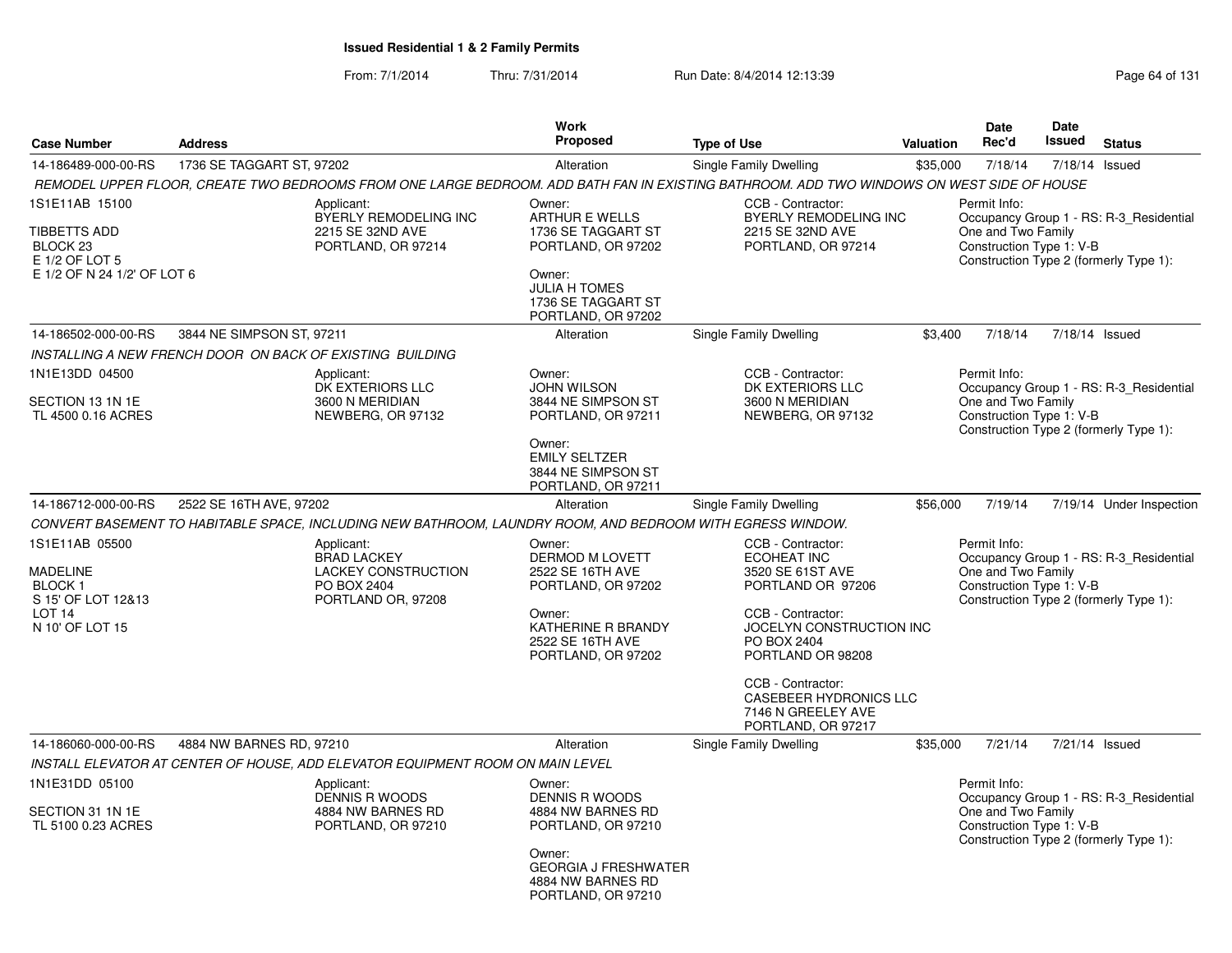From: 7/1/2014Thru: 7/31/2014 Run Date: 8/4/2014 12:13:39 Research 2014 131

|                                                                                                                  |                           |                                                                                                            | <b>Work</b>                                                                                                                                                    |                                                                                                                                                                       |           | Date                                                           | <b>Date</b>                                                                                                                                                                                                                                                                                                                                                                                                                                         |               |
|------------------------------------------------------------------------------------------------------------------|---------------------------|------------------------------------------------------------------------------------------------------------|----------------------------------------------------------------------------------------------------------------------------------------------------------------|-----------------------------------------------------------------------------------------------------------------------------------------------------------------------|-----------|----------------------------------------------------------------|-----------------------------------------------------------------------------------------------------------------------------------------------------------------------------------------------------------------------------------------------------------------------------------------------------------------------------------------------------------------------------------------------------------------------------------------------------|---------------|
| <b>Case Number</b>                                                                                               | <b>Address</b>            |                                                                                                            | Proposed                                                                                                                                                       | <b>Type of Use</b>                                                                                                                                                    | Valuation | Rec'd                                                          |                                                                                                                                                                                                                                                                                                                                                                                                                                                     | <b>Status</b> |
| 14-186489-000-00-RS                                                                                              | 1736 SE TAGGART ST, 97202 |                                                                                                            | Alteration                                                                                                                                                     | Single Family Dwelling                                                                                                                                                | \$35,000  | 7/18/14                                                        | <b>Issued</b><br>7/18/14 Issued<br>Occupancy Group 1 - RS: R-3 Residential<br>Construction Type 2 (formerly Type 1):<br>7/18/14 Issued<br>Occupancy Group 1 - RS: R-3 Residential<br>Construction Type 2 (formerly Type 1):<br>7/19/14 Under Inspection<br>Occupancy Group 1 - RS: R-3_Residential<br>Construction Type 2 (formerly Type 1):<br>7/21/14 Issued<br>Occupancy Group 1 - RS: R-3_Residential<br>Construction Type 2 (formerly Type 1): |               |
|                                                                                                                  |                           |                                                                                                            |                                                                                                                                                                | REMODEL UPPER FLOOR, CREATE TWO BEDROOMS FROM ONE LARGE BEDROOM. ADD BATH FAN IN EXISTING BATHROOM. ADD TWO WINDOWS ON WEST SIDE OF HOUSE                             |           |                                                                |                                                                                                                                                                                                                                                                                                                                                                                                                                                     |               |
| 1S1E11AB 15100<br><b>TIBBETTS ADD</b><br>BLOCK <sub>23</sub><br>E 1/2 OF LOT 5<br>E 1/2 OF N 24 1/2' OF LOT 6    |                           | Applicant:<br>BYERLY REMODELING INC<br>2215 SE 32ND AVE<br>PORTLAND, OR 97214                              | Owner:<br><b>ARTHUR E WELLS</b><br>1736 SE TAGGART ST<br>PORTLAND, OR 97202<br>Owner:<br><b>JULIA H TOMES</b><br>1736 SE TAGGART ST<br>PORTLAND, OR 97202      | CCB - Contractor:<br>BYERLY REMODELING INC<br>2215 SE 32ND AVE<br>PORTLAND, OR 97214                                                                                  |           | Permit Info:<br>One and Two Family<br>Construction Type 1: V-B |                                                                                                                                                                                                                                                                                                                                                                                                                                                     |               |
| 14-186502-000-00-RS                                                                                              | 3844 NE SIMPSON ST, 97211 |                                                                                                            | Alteration                                                                                                                                                     | <b>Single Family Dwelling</b>                                                                                                                                         | \$3,400   | 7/18/14                                                        |                                                                                                                                                                                                                                                                                                                                                                                                                                                     |               |
|                                                                                                                  |                           | INSTALLING A NEW FRENCH DOOR ON BACK OF EXISTING BUILDING                                                  |                                                                                                                                                                |                                                                                                                                                                       |           |                                                                |                                                                                                                                                                                                                                                                                                                                                                                                                                                     |               |
| 1N1E13DD 04500<br>SECTION 13 1N 1E<br>TL 4500 0.16 ACRES                                                         |                           | Applicant:<br>DK EXTERIORS LLC<br>3600 N MERIDIAN<br>NEWBERG, OR 97132                                     | Owner:<br><b>JOHN WILSON</b><br>3844 NE SIMPSON ST<br>PORTLAND, OR 97211<br>Owner:<br><b>EMILY SELTZER</b><br>3844 NE SIMPSON ST                               | CCB - Contractor:<br>DK EXTERIORS LLC<br>3600 N MERIDIAN<br>NEWBERG, OR 97132                                                                                         |           | Permit Info:<br>One and Two Family<br>Construction Type 1: V-B |                                                                                                                                                                                                                                                                                                                                                                                                                                                     |               |
|                                                                                                                  |                           |                                                                                                            | PORTLAND, OR 97211                                                                                                                                             |                                                                                                                                                                       |           |                                                                |                                                                                                                                                                                                                                                                                                                                                                                                                                                     |               |
| 14-186712-000-00-RS                                                                                              | 2522 SE 16TH AVE, 97202   |                                                                                                            | Alteration                                                                                                                                                     | <b>Single Family Dwelling</b>                                                                                                                                         | \$56,000  | 7/19/14                                                        |                                                                                                                                                                                                                                                                                                                                                                                                                                                     |               |
|                                                                                                                  |                           | CONVERT BASEMENT TO HABITABLE SPACE, INCLUDING NEW BATHROOM, LAUNDRY ROOM, AND BEDROOM WITH EGRESS WINDOW. |                                                                                                                                                                |                                                                                                                                                                       |           |                                                                |                                                                                                                                                                                                                                                                                                                                                                                                                                                     |               |
| 1S1E11AB 05500<br><b>MADELINE</b><br><b>BLOCK1</b><br>S 15' OF LOT 12&13<br>LOT <sub>14</sub><br>N 10' OF LOT 15 |                           | Applicant:<br><b>BRAD LACKEY</b><br><b>LACKEY CONSTRUCTION</b><br>PO BOX 2404<br>PORTLAND OR, 97208        | Owner:<br>DERMOD M LOVETT<br>2522 SE 16TH AVE<br>PORTLAND, OR 97202<br>Owner:<br>KATHERINE R BRANDY<br>2522 SE 16TH AVE<br>PORTLAND, OR 97202                  | CCB - Contractor:<br><b>ECOHEAT INC</b><br>3520 SE 61ST AVE<br>PORTLAND OR 97206<br>CCB - Contractor:<br>JOCELYN CONSTRUCTION INC<br>PO BOX 2404<br>PORTLAND OR 98208 |           | Permit Info:<br>One and Two Family<br>Construction Type 1: V-B |                                                                                                                                                                                                                                                                                                                                                                                                                                                     |               |
|                                                                                                                  |                           |                                                                                                            |                                                                                                                                                                | CCB - Contractor:<br>CASEBEER HYDRONICS LLC<br>7146 N GREELEY AVE<br>PORTLAND, OR 97217                                                                               |           |                                                                |                                                                                                                                                                                                                                                                                                                                                                                                                                                     |               |
| 14-186060-000-00-RS                                                                                              | 4884 NW BARNES RD, 97210  |                                                                                                            | Alteration                                                                                                                                                     | <b>Single Family Dwelling</b>                                                                                                                                         | \$35,000  | 7/21/14                                                        |                                                                                                                                                                                                                                                                                                                                                                                                                                                     |               |
|                                                                                                                  |                           | INSTALL ELEVATOR AT CENTER OF HOUSE, ADD ELEVATOR EQUIPMENT ROOM ON MAIN LEVEL                             |                                                                                                                                                                |                                                                                                                                                                       |           |                                                                |                                                                                                                                                                                                                                                                                                                                                                                                                                                     |               |
| 1N1E31DD 05100<br>SECTION 31 1N 1E<br>TL 5100 0.23 ACRES                                                         |                           | Applicant:<br><b>DENNIS R WOODS</b><br>4884 NW BARNES RD<br>PORTLAND, OR 97210                             | Owner:<br><b>DENNIS R WOODS</b><br>4884 NW BARNES RD<br>PORTLAND, OR 97210<br>Owner:<br><b>GEORGIA J FRESHWATER</b><br>4884 NW BARNES RD<br>PORTLAND, OR 97210 |                                                                                                                                                                       |           | Permit Info:<br>One and Two Family<br>Construction Type 1: V-B |                                                                                                                                                                                                                                                                                                                                                                                                                                                     |               |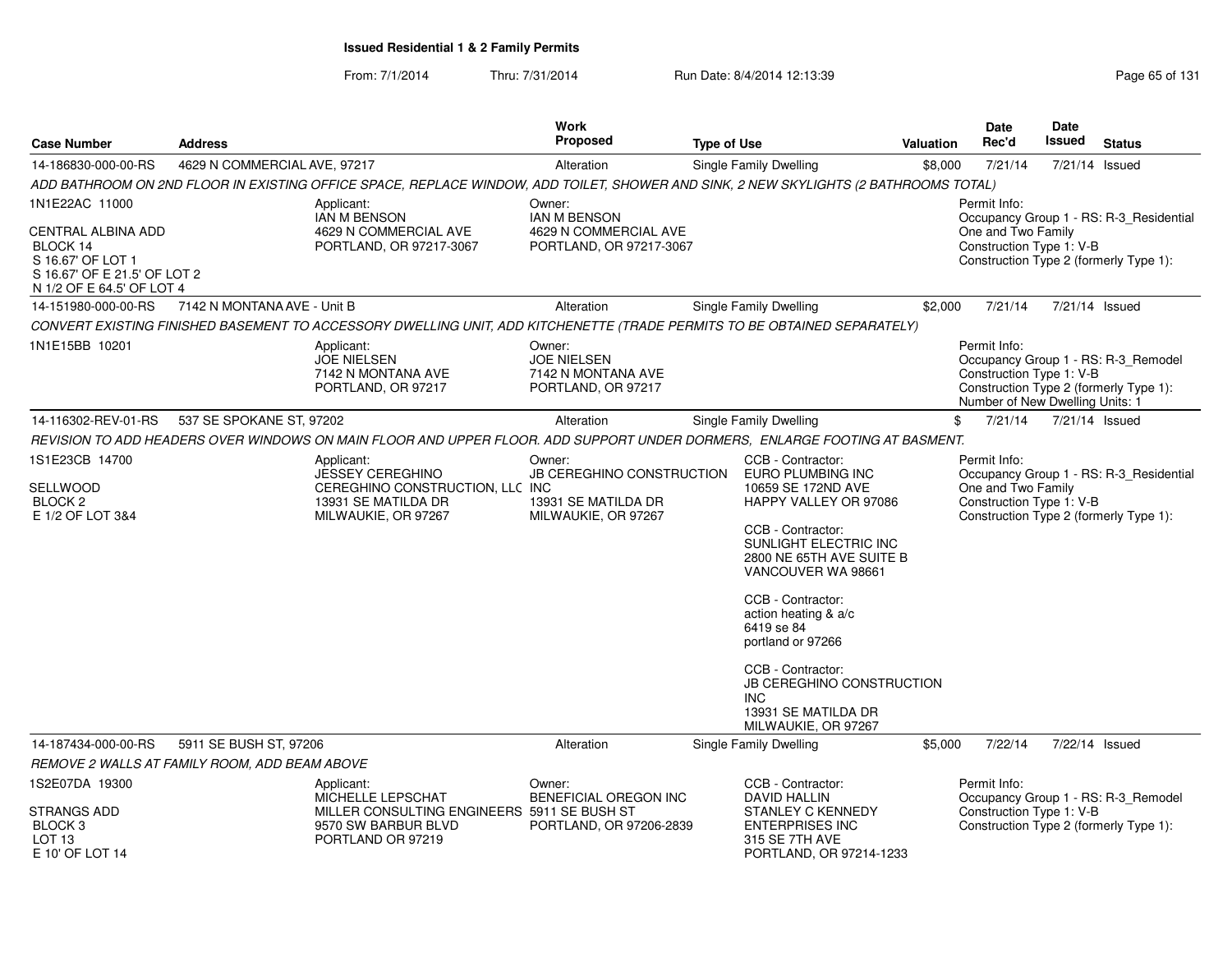From: 7/1/2014Thru: 7/31/2014 Run Date: 8/4/2014 12:13:39 Research 2010 Rage 65 of 131

| <b>Case Number</b>                                                               | <b>Address</b>               |                                                                                                                                      | <b>Work</b><br><b>Proposed</b>                                                    | <b>Type of Use</b>                                                                                         | <b>Valuation</b> | Date<br>Rec'd                                                               | Date<br><b>Issued</b> | <b>Status</b>                                                                     |
|----------------------------------------------------------------------------------|------------------------------|--------------------------------------------------------------------------------------------------------------------------------------|-----------------------------------------------------------------------------------|------------------------------------------------------------------------------------------------------------|------------------|-----------------------------------------------------------------------------|-----------------------|-----------------------------------------------------------------------------------|
| 14-186830-000-00-RS                                                              | 4629 N COMMERCIAL AVE, 97217 |                                                                                                                                      | Alteration                                                                        | Single Family Dwelling                                                                                     | \$8,000          | 7/21/14                                                                     | 7/21/14 Issued        |                                                                                   |
|                                                                                  |                              | ADD BATHROOM ON 2ND FLOOR IN EXISTING OFFICE SPACE, REPLACE WINDOW, ADD TOILET, SHOWER AND SINK, 2 NEW SKYLIGHTS (2 BATHROOMS TOTAL) |                                                                                   |                                                                                                            |                  |                                                                             |                       |                                                                                   |
| 1N1E22AC 11000<br><b>CENTRAL ALBINA ADD</b><br>BLOCK 14                          |                              | Applicant:<br><b>IAN M BENSON</b><br>4629 N COMMERCIAL AVE<br>PORTLAND, OR 97217-3067                                                | Owner:<br><b>IAN M BENSON</b><br>4629 N COMMERCIAL AVE<br>PORTLAND, OR 97217-3067 |                                                                                                            |                  | Permit Info:<br>One and Two Family<br>Construction Type 1: V-B              |                       | Occupancy Group 1 - RS: R-3 Residential                                           |
| S 16.67' OF LOT 1<br>S 16.67' OF E 21.5' OF LOT 2<br>N 1/2 OF E 64.5' OF LOT 4   |                              |                                                                                                                                      |                                                                                   |                                                                                                            |                  |                                                                             |                       | Construction Type 2 (formerly Type 1):                                            |
| 14-151980-000-00-RS                                                              | 7142 N MONTANA AVE - Unit B  |                                                                                                                                      | Alteration                                                                        | Single Family Dwelling                                                                                     | \$2,000          | 7/21/14                                                                     |                       | 7/21/14 Issued                                                                    |
|                                                                                  |                              | CONVERT EXISTING FINISHED BASEMENT TO ACCESSORY DWELLING UNIT, ADD KITCHENETTE (TRADE PERMITS TO BE OBTAINED SEPARATELY)             |                                                                                   |                                                                                                            |                  |                                                                             |                       |                                                                                   |
| 1N1E15BB 10201                                                                   |                              | Applicant:<br><b>JOE NIELSEN</b><br>7142 N MONTANA AVE<br>PORTLAND, OR 97217                                                         | Owner:<br><b>JOE NIELSEN</b><br>7142 N MONTANA AVE<br>PORTLAND, OR 97217          |                                                                                                            |                  | Permit Info:<br>Construction Type 1: V-B<br>Number of New Dwelling Units: 1 |                       | Occupancy Group 1 - RS: R-3_Remodel<br>Construction Type 2 (formerly Type 1):     |
| 14-116302-REV-01-RS                                                              | 537 SE SPOKANE ST, 97202     |                                                                                                                                      | Alteration                                                                        | Single Family Dwelling                                                                                     |                  | \$<br>7/21/14                                                               | 7/21/14 Issued        |                                                                                   |
|                                                                                  |                              | REVISION TO ADD HEADERS OVER WINDOWS ON MAIN FLOOR AND UPPER FLOOR. ADD SUPPORT UNDER DORMERS, ENLARGE FOOTING AT BASMENT.           |                                                                                   |                                                                                                            |                  |                                                                             |                       |                                                                                   |
| 1S1E23CB 14700                                                                   |                              | Applicant:                                                                                                                           | Owner:                                                                            | CCB - Contractor:                                                                                          |                  | Permit Info:                                                                |                       |                                                                                   |
| <b>SELLWOOD</b><br>BLOCK <sub>2</sub><br>E 1/2 OF LOT 3&4                        |                              | JESSEY CEREGHINO<br>CEREGHINO CONSTRUCTION, LLC INC<br>13931 SE MATILDA DR<br>MILWAUKIE, OR 97267                                    | JB CEREGHINO CONSTRUCTION<br>13931 SE MATILDA DR<br>MILWAUKIE, OR 97267           | EURO PLUMBING INC<br>10659 SE 172ND AVE<br>HAPPY VALLEY OR 97086                                           |                  | One and Two Family<br>Construction Type 1: V-B                              |                       | Occupancy Group 1 - RS: R-3_Residential<br>Construction Type 2 (formerly Type 1): |
|                                                                                  |                              |                                                                                                                                      |                                                                                   | CCB - Contractor:<br>SUNLIGHT ELECTRIC INC<br>2800 NE 65TH AVE SUITE B<br>VANCOUVER WA 98661               |                  |                                                                             |                       |                                                                                   |
|                                                                                  |                              |                                                                                                                                      |                                                                                   | CCB - Contractor:<br>action heating & a/c<br>6419 se 84<br>portland or 97266                               |                  |                                                                             |                       |                                                                                   |
|                                                                                  |                              |                                                                                                                                      |                                                                                   | CCB - Contractor:<br>JB CEREGHINO CONSTRUCTION<br><b>INC</b><br>13931 SE MATILDA DR<br>MILWAUKIE, OR 97267 |                  |                                                                             |                       |                                                                                   |
| 14-187434-000-00-RS                                                              | 5911 SE BUSH ST, 97206       |                                                                                                                                      | Alteration                                                                        | Single Family Dwelling                                                                                     | \$5,000          | 7/22/14                                                                     |                       | 7/22/14 Issued                                                                    |
| REMOVE 2 WALLS AT FAMILY ROOM, ADD BEAM ABOVE                                    |                              |                                                                                                                                      |                                                                                   |                                                                                                            |                  |                                                                             |                       |                                                                                   |
| 1S2E07DA 19300                                                                   |                              | Applicant:<br>MICHELLE LEPSCHAT                                                                                                      | Owner:<br>BENEFICIAL OREGON INC                                                   | CCB - Contractor:<br>DAVID HALLIN                                                                          |                  | Permit Info:                                                                |                       | Occupancy Group 1 - RS: R-3_Remodel                                               |
| <b>STRANGS ADD</b><br>BLOCK <sub>3</sub><br>LOT <sub>13</sub><br>E 10' OF LOT 14 |                              | MILLER CONSULTING ENGINEERS 5911 SE BUSH ST<br>9570 SW BARBUR BLVD<br>PORTLAND OR 97219                                              | PORTLAND, OR 97206-2839                                                           | <b>STANLEY C KENNEDY</b><br><b>ENTERPRISES INC</b><br>315 SE 7TH AVE<br>PORTLAND, OR 97214-1233            |                  | Construction Type 1: V-B                                                    |                       | Construction Type 2 (formerly Type 1):                                            |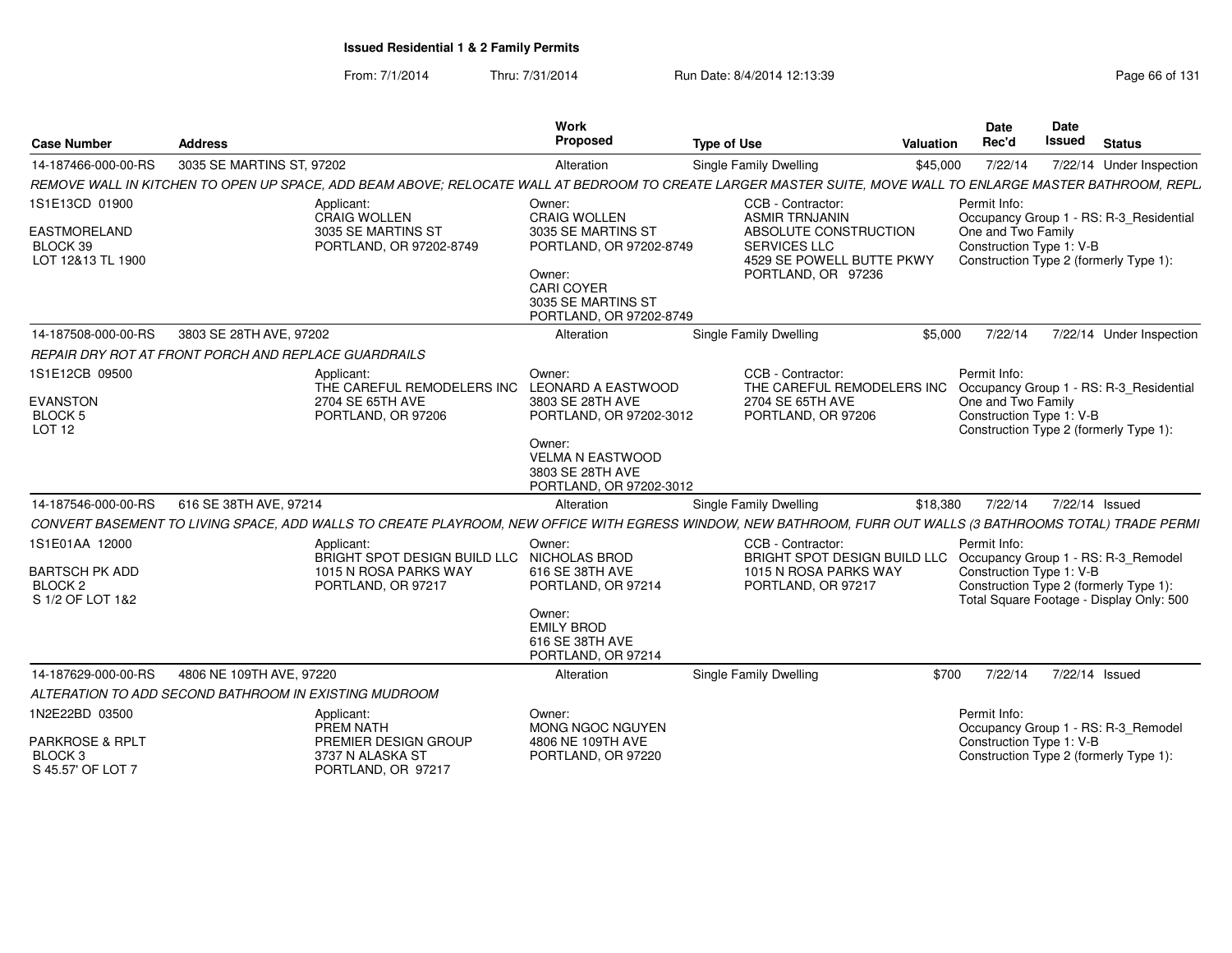From: 7/1/2014Thru: 7/31/2014 Run Date: 8/4/2014 12:13:39 Research 2010 Rage 66 of 131

| <b>Case Number</b>                                                                | <b>Address</b>                                                                                                                                               | <b>Work</b><br>Proposed                                                                                                                                                | <b>Type of Use</b>                                                                                                                            | Valuation | <b>Date</b><br>Rec'd                                           | Date<br>Issued | <b>Status</b>                                                                                                             |
|-----------------------------------------------------------------------------------|--------------------------------------------------------------------------------------------------------------------------------------------------------------|------------------------------------------------------------------------------------------------------------------------------------------------------------------------|-----------------------------------------------------------------------------------------------------------------------------------------------|-----------|----------------------------------------------------------------|----------------|---------------------------------------------------------------------------------------------------------------------------|
| 14-187466-000-00-RS                                                               | 3035 SE MARTINS ST. 97202                                                                                                                                    | Alteration                                                                                                                                                             | Single Family Dwelling                                                                                                                        | \$45,000  | 7/22/14                                                        |                | 7/22/14 Under Inspection                                                                                                  |
|                                                                                   | REMOVE WALL IN KITCHEN TO OPEN UP SPACE, ADD BEAM ABOVE; RELOCATE WALL AT BEDROOM TO CREATE LARGER MASTER SUITE, MOVE WALL TO ENLARGE MASTER BATHROOM, REPL. |                                                                                                                                                                        |                                                                                                                                               |           |                                                                |                |                                                                                                                           |
| 1S1E13CD 01900<br>EASTMORELAND<br>BLOCK 39<br>LOT 12&13 TL 1900                   | Applicant:<br><b>CRAIG WOLLEN</b><br>3035 SE MARTINS ST<br>PORTLAND, OR 97202-8749                                                                           | Owner:<br><b>CRAIG WOLLEN</b><br>3035 SE MARTINS ST<br>PORTLAND, OR 97202-8749<br>Owner:<br><b>CARI COYER</b><br>3035 SE MARTINS ST<br>PORTLAND, OR 97202-8749         | CCB - Contractor:<br><b>ASMIR TRNJANIN</b><br>ABSOLUTE CONSTRUCTION<br><b>SERVICES LLC</b><br>4529 SE POWELL BUTTE PKWY<br>PORTLAND, OR 97236 |           | Permit Info:<br>One and Two Family<br>Construction Type 1: V-B |                | Occupancy Group 1 - RS: R-3_Residential<br>Construction Type 2 (formerly Type 1):                                         |
| 14-187508-000-00-RS                                                               | 3803 SE 28TH AVE, 97202                                                                                                                                      | Alteration                                                                                                                                                             | Single Family Dwelling                                                                                                                        | \$5,000   | 7/22/14                                                        |                | 7/22/14 Under Inspection                                                                                                  |
|                                                                                   | REPAIR DRY ROT AT FRONT PORCH AND REPLACE GUARDRAILS                                                                                                         |                                                                                                                                                                        |                                                                                                                                               |           |                                                                |                |                                                                                                                           |
| 1S1E12CB 09500<br><b>EVANSTON</b><br><b>BLOCK 5</b><br>LOT <sub>12</sub>          | Applicant:<br>THE CAREFUL REMODELERS INC<br>2704 SE 65TH AVE<br>PORTLAND, OR 97206                                                                           | Owner:<br><b>LEONARD A EASTWOOD</b><br>3803 SE 28TH AVE<br>PORTLAND, OR 97202-3012<br>Owner:<br><b>VELMA N EASTWOOD</b><br>3803 SE 28TH AVE<br>PORTLAND, OR 97202-3012 | CCB - Contractor:<br>THE CAREFUL REMODELERS INC<br>2704 SE 65TH AVE<br>PORTLAND, OR 97206                                                     |           | Permit Info:<br>One and Two Family<br>Construction Type 1: V-B |                | Occupancy Group 1 - RS: R-3 Residential<br>Construction Type 2 (formerly Type 1):                                         |
| 14-187546-000-00-RS                                                               | 616 SE 38TH AVE, 97214                                                                                                                                       | Alteration                                                                                                                                                             | <b>Single Family Dwelling</b>                                                                                                                 | \$18,380  | 7/22/14                                                        |                | 7/22/14 Issued                                                                                                            |
|                                                                                   | CONVERT BASEMENT TO LIVING SPACE, ADD WALLS TO CREATE PLAYROOM, NEW OFFICE WITH EGRESS WINDOW, NEW BATHROOM, FURR OUT WALLS (3 BATHROOMS TOTAL) TRADE PERMI  |                                                                                                                                                                        |                                                                                                                                               |           |                                                                |                |                                                                                                                           |
| 1S1E01AA 12000<br><b>BARTSCH PK ADD</b><br>BLOCK <sub>2</sub><br>S 1/2 OF LOT 1&2 | Applicant:<br>BRIGHT SPOT DESIGN BUILD LLC<br>1015 N ROSA PARKS WAY<br>PORTLAND, OR 97217                                                                    | Owner:<br>NICHOLAS BROD<br>616 SE 38TH AVE<br>PORTLAND, OR 97214<br>Owner:<br><b>EMILY BROD</b><br>616 SE 38TH AVE<br>PORTLAND, OR 97214                               | CCB - Contractor:<br>BRIGHT SPOT DESIGN BUILD LLC<br>1015 N ROSA PARKS WAY<br>PORTLAND, OR 97217                                              |           | Permit Info:<br>Construction Type 1: V-B                       |                | Occupancy Group 1 - RS: R-3_Remodel<br>Construction Type 2 (formerly Type 1):<br>Total Square Footage - Display Only: 500 |
| 14-187629-000-00-RS                                                               | 4806 NE 109TH AVE, 97220                                                                                                                                     | Alteration                                                                                                                                                             | <b>Single Family Dwelling</b>                                                                                                                 | \$700     | 7/22/14                                                        |                | 7/22/14 Issued                                                                                                            |
|                                                                                   | ALTERATION TO ADD SECOND BATHROOM IN EXISTING MUDROOM                                                                                                        |                                                                                                                                                                        |                                                                                                                                               |           |                                                                |                |                                                                                                                           |
| 1N2E22BD 03500<br>PARKROSE & RPLT<br>BLOCK <sub>3</sub><br>S 45.57' OF LOT 7      | Applicant:<br>PREM NATH<br>PREMIER DESIGN GROUP<br>3737 N ALASKA ST<br>PORTLAND, OR 97217                                                                    | Owner:<br>MONG NGOC NGUYEN<br>4806 NE 109TH AVE<br>PORTLAND, OR 97220                                                                                                  |                                                                                                                                               |           | Permit Info:<br>Construction Type 1: V-B                       |                | Occupancy Group 1 - RS: R-3_Remodel<br>Construction Type 2 (formerly Type 1):                                             |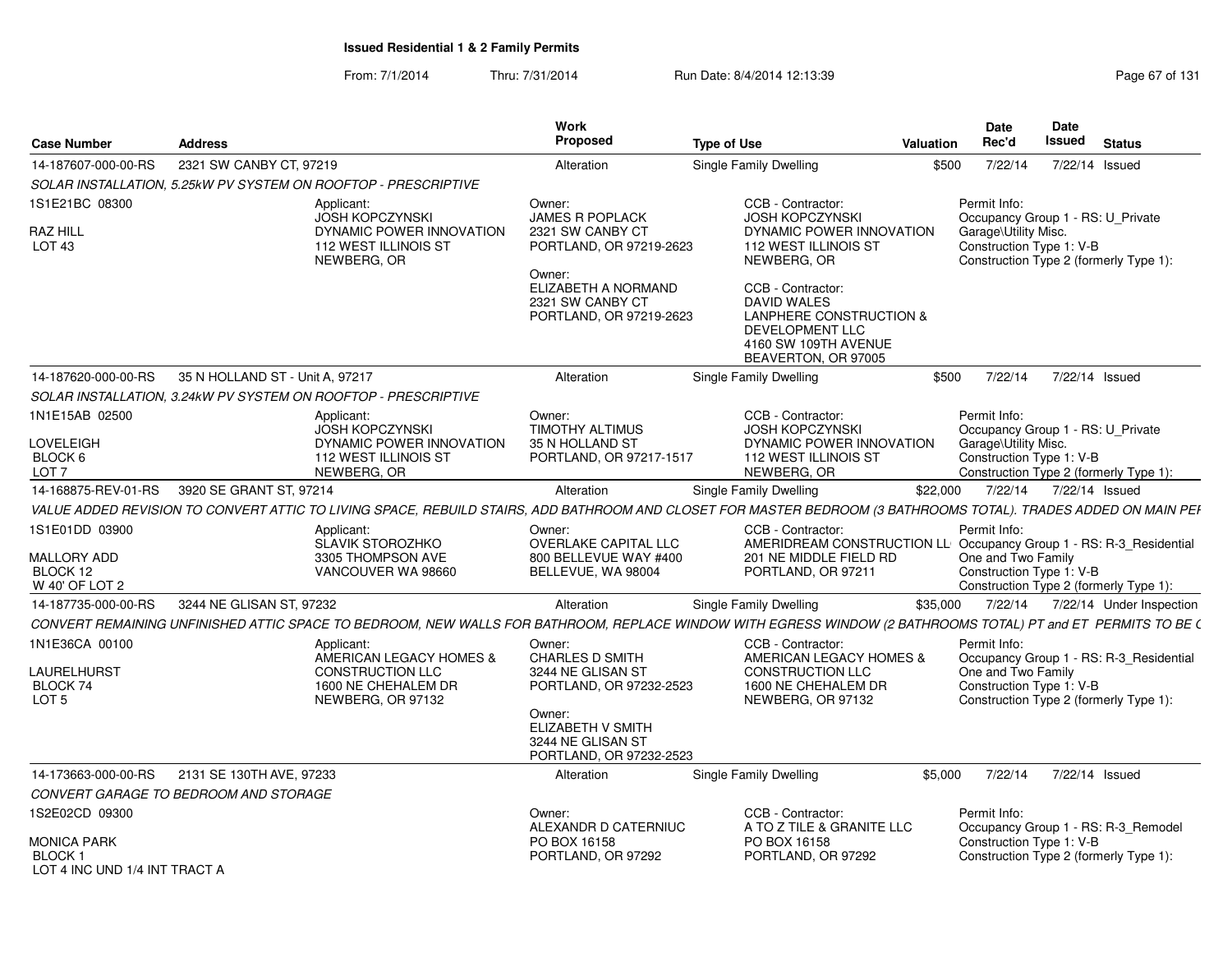From: 7/1/2014Thru: 7/31/2014 Run Date: 8/4/2014 12:13:39 Research 2010 Rage 67 of 131

| <b>Case Number</b>                                                   | <b>Address</b>                                                                                                                                                  | Work<br>Proposed                                                                           | <b>Type of Use</b>                                                                                                                      | Valuation | <b>Date</b><br>Rec'd                                                                                  | Date<br><b>Issued</b> | <b>Status</b>                                                                     |
|----------------------------------------------------------------------|-----------------------------------------------------------------------------------------------------------------------------------------------------------------|--------------------------------------------------------------------------------------------|-----------------------------------------------------------------------------------------------------------------------------------------|-----------|-------------------------------------------------------------------------------------------------------|-----------------------|-----------------------------------------------------------------------------------|
| 14-187607-000-00-RS                                                  | 2321 SW CANBY CT, 97219                                                                                                                                         | Alteration                                                                                 | Single Family Dwelling                                                                                                                  | \$500     | 7/22/14                                                                                               | 7/22/14 Issued        |                                                                                   |
|                                                                      | SOLAR INSTALLATION, 5.25kW PV SYSTEM ON ROOFTOP - PRESCRIPTIVE                                                                                                  |                                                                                            |                                                                                                                                         |           |                                                                                                       |                       |                                                                                   |
| 1S1E21BC 08300<br><b>RAZ HILL</b><br>LOT <sub>43</sub>               | Applicant:<br><b>JOSH KOPCZYNSKI</b><br>DYNAMIC POWER INNOVATION<br><b>112 WEST ILLINOIS ST</b><br>NEWBERG, OR                                                  | Owner:<br><b>JAMES R POPLACK</b><br>2321 SW CANBY CT<br>PORTLAND, OR 97219-2623<br>Owner:  | CCB - Contractor:<br><b>JOSH KOPCZYNSKI</b><br>DYNAMIC POWER INNOVATION<br>112 WEST ILLINOIS ST<br>NEWBERG, OR                          |           | Permit Info:<br>Occupancy Group 1 - RS: U_Private<br>Garage\Utility Misc.<br>Construction Type 1: V-B |                       | Construction Type 2 (formerly Type 1):                                            |
|                                                                      |                                                                                                                                                                 | ELIZABETH A NORMAND<br>2321 SW CANBY CT<br>PORTLAND, OR 97219-2623                         | CCB - Contractor:<br><b>DAVID WALES</b><br>LANPHERE CONSTRUCTION &<br>DEVELOPMENT LLC<br>4160 SW 109TH AVENUE<br>BEAVERTON, OR 97005    |           |                                                                                                       |                       |                                                                                   |
| 14-187620-000-00-RS                                                  | 35 N HOLLAND ST - Unit A, 97217                                                                                                                                 | Alteration                                                                                 | Single Family Dwelling                                                                                                                  | \$500     | 7/22/14                                                                                               | 7/22/14 Issued        |                                                                                   |
|                                                                      | SOLAR INSTALLATION, 3.24kW PV SYSTEM ON ROOFTOP - PRESCRIPTIVE                                                                                                  |                                                                                            |                                                                                                                                         |           |                                                                                                       |                       |                                                                                   |
| 1N1E15AB 02500<br>LOVELEIGH                                          | Applicant:<br><b>JOSH KOPCZYNSKI</b><br>DYNAMIC POWER INNOVATION                                                                                                | Owner:<br>TIMOTHY ALTIMUS<br>35 N HOLLAND ST                                               | CCB - Contractor:<br><b>JOSH KOPCZYNSKI</b><br>DYNAMIC POWER INNOVATION                                                                 |           | Permit Info:<br>Occupancy Group 1 - RS: U_Private<br>Garage\Utility Misc.                             |                       |                                                                                   |
| BLOCK 6<br>LOT <sub>7</sub>                                          | <b>112 WEST ILLINOIS ST</b><br>NEWBERG, OR                                                                                                                      | PORTLAND, OR 97217-1517                                                                    | <b>112 WEST ILLINOIS ST</b><br>NEWBERG, OR                                                                                              |           | Construction Type 1: V-B                                                                              |                       | Construction Type 2 (formerly Type 1):                                            |
| 14-168875-REV-01-RS                                                  | 3920 SE GRANT ST. 97214                                                                                                                                         | Alteration                                                                                 | Single Family Dwelling                                                                                                                  | \$22,000  | 7/22/14                                                                                               | 7/22/14 Issued        |                                                                                   |
|                                                                      | VALUE ADDED REVISION TO CONVERT ATTIC TO LIVING SPACE, REBUILD STAIRS, ADD BATHROOM AND CLOSET FOR MASTER BEDROOM (3 BATHROOMS TOTAL). TRADES ADDED ON MAIN PEI |                                                                                            |                                                                                                                                         |           |                                                                                                       |                       |                                                                                   |
| 1S1E01DD 03900<br>MALLORY ADD<br>BLOCK 12<br>W 40' OF LOT 2          | Applicant:<br>SLAVIK STOROZHKO<br>3305 THOMPSON AVE<br>VANCOUVER WA 98660                                                                                       | Owner:<br>OVERLAKE CAPITAL LLC<br>800 BELLEVUE WAY #400<br>BELLEVUE, WA 98004              | CCB - Contractor:<br>AMERIDREAM CONSTRUCTION LL Occupancy Group 1 - RS: R-3_Residential<br>201 NE MIDDLE FIELD RD<br>PORTLAND, OR 97211 |           | Permit Info:<br>One and Two Family<br>Construction Type 1: V-B                                        |                       | Construction Type 2 (formerly Type 1):                                            |
| 14-187735-000-00-RS                                                  | 3244 NE GLISAN ST, 97232                                                                                                                                        | Alteration                                                                                 | Single Family Dwelling                                                                                                                  | \$35,000  | 7/22/14                                                                                               |                       | 7/22/14 Under Inspection                                                          |
|                                                                      | CONVERT REMAINING UNFINISHED ATTIC SPACE TO BEDROOM, NEW WALLS FOR BATHROOM, REPLACE WINDOW WITH EGRESS WINDOW (2 BATHROOMS TOTAL) PT and ET PERMITS TO BE (    |                                                                                            |                                                                                                                                         |           |                                                                                                       |                       |                                                                                   |
| 1N1E36CA 00100<br><b>LAURELHURST</b><br>BLOCK 74<br>LOT <sub>5</sub> | Applicant:<br>AMERICAN LEGACY HOMES &<br><b>CONSTRUCTION LLC</b><br>1600 NE CHEHALEM DR<br>NEWBERG, OR 97132                                                    | Owner:<br><b>CHARLES D SMITH</b><br>3244 NE GLISAN ST<br>PORTLAND, OR 97232-2523<br>Owner: | CCB - Contractor:<br>AMERICAN LEGACY HOMES &<br><b>CONSTRUCTION LLC</b><br>1600 NE CHEHALEM DR<br>NEWBERG, OR 97132                     |           | Permit Info:<br>One and Two Family<br>Construction Type 1: V-B                                        |                       | Occupancy Group 1 - RS: R-3_Residential<br>Construction Type 2 (formerly Type 1): |
|                                                                      |                                                                                                                                                                 | ELIZABETH V SMITH<br>3244 NE GLISAN ST<br>PORTLAND, OR 97232-2523                          |                                                                                                                                         |           |                                                                                                       |                       |                                                                                   |
| 14-173663-000-00-RS                                                  | 2131 SE 130TH AVE, 97233                                                                                                                                        | Alteration                                                                                 | Single Family Dwelling                                                                                                                  | \$5,000   | 7/22/14                                                                                               | 7/22/14 Issued        |                                                                                   |
|                                                                      | CONVERT GARAGE TO BEDROOM AND STORAGE                                                                                                                           |                                                                                            |                                                                                                                                         |           |                                                                                                       |                       |                                                                                   |
| 1S2E02CD 09300                                                       |                                                                                                                                                                 | Owner:<br>ALEXANDR D CATERNIUC                                                             | CCB - Contractor:<br>A TO Z TILE & GRANITE LLC                                                                                          |           | Permit Info:                                                                                          |                       | Occupancy Group 1 - RS: R-3_Remodel                                               |
| <b>MONICA PARK</b><br><b>BLOCK1</b><br>LOT 4 INC UND 1/4 INT TRACT A |                                                                                                                                                                 | PO BOX 16158<br>PORTLAND, OR 97292                                                         | PO BOX 16158<br>PORTLAND, OR 97292                                                                                                      |           | Construction Type 1: V-B                                                                              |                       | Construction Type 2 (formerly Type 1):                                            |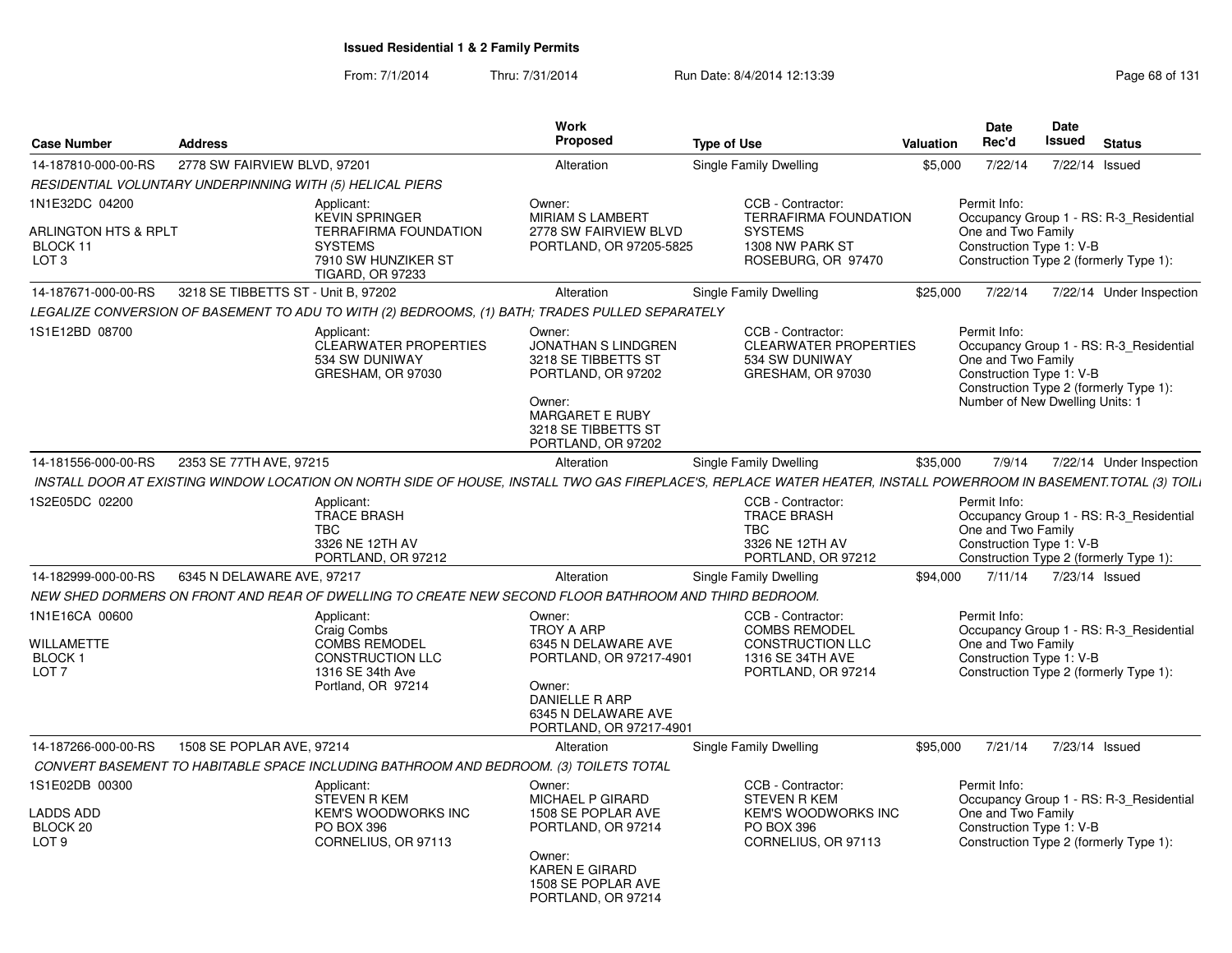From: 7/1/2014Thru: 7/31/2014 Run Date: 8/4/2014 12:13:39 Research 2010 Rage 68 of 131

| <b>Case Number</b>                                                                | <b>Address</b>                                            |                                                                                                                                                                   | Work<br><b>Proposed</b>                                                                                                                                            | <b>Type of Use</b> |                                                                                                                | Valuation | Date<br>Rec'd                                                                                                                               | Date<br><b>Issued</b> | <b>Status</b>                           |
|-----------------------------------------------------------------------------------|-----------------------------------------------------------|-------------------------------------------------------------------------------------------------------------------------------------------------------------------|--------------------------------------------------------------------------------------------------------------------------------------------------------------------|--------------------|----------------------------------------------------------------------------------------------------------------|-----------|---------------------------------------------------------------------------------------------------------------------------------------------|-----------------------|-----------------------------------------|
| 14-187810-000-00-RS                                                               | 2778 SW FAIRVIEW BLVD, 97201                              |                                                                                                                                                                   | Alteration                                                                                                                                                         |                    | Single Family Dwelling                                                                                         | \$5,000   | 7/22/14                                                                                                                                     | 7/22/14 Issued        |                                         |
|                                                                                   | RESIDENTIAL VOLUNTARY UNDERPINNING WITH (5) HELICAL PIERS |                                                                                                                                                                   |                                                                                                                                                                    |                    |                                                                                                                |           |                                                                                                                                             |                       |                                         |
| 1N1E32DC 04200<br><b>ARLINGTON HTS &amp; RPLT</b><br>BLOCK 11<br>LOT <sub>3</sub> |                                                           | Applicant:<br><b>KEVIN SPRINGER</b><br><b>TERRAFIRMA FOUNDATION</b><br><b>SYSTEMS</b><br>7910 SW HUNZIKER ST<br><b>TIGARD, OR 97233</b>                           | Owner:<br><b>MIRIAM S LAMBERT</b><br>2778 SW FAIRVIEW BLVD<br>PORTLAND, OR 97205-5825                                                                              |                    | CCB - Contractor:<br><b>TERRAFIRMA FOUNDATION</b><br><b>SYSTEMS</b><br>1308 NW PARK ST<br>ROSEBURG, OR 97470   |           | Permit Info:<br>One and Two Family<br>Construction Type 1: V-B<br>Construction Type 2 (formerly Type 1):                                    |                       | Occupancy Group 1 - RS: R-3_Residential |
| 14-187671-000-00-RS                                                               | 3218 SE TIBBETTS ST - Unit B, 97202                       |                                                                                                                                                                   | Alteration                                                                                                                                                         |                    | Single Family Dwelling                                                                                         | \$25,000  | 7/22/14                                                                                                                                     |                       | 7/22/14 Under Inspection                |
|                                                                                   |                                                           | LEGALIZE CONVERSION OF BASEMENT TO ADU TO WITH (2) BEDROOMS, (1) BATH; TRADES PULLED SEPARATELY                                                                   |                                                                                                                                                                    |                    |                                                                                                                |           |                                                                                                                                             |                       |                                         |
| 1S1E12BD 08700                                                                    |                                                           | Applicant:<br><b>CLEARWATER PROPERTIES</b><br>534 SW DUNIWAY<br>GRESHAM, OR 97030                                                                                 | Owner:<br><b>JONATHAN S LINDGREN</b><br>3218 SE TIBBETTS ST<br>PORTLAND, OR 97202<br>Owner:<br><b>MARGARET E RUBY</b><br>3218 SE TIBBETTS ST<br>PORTLAND, OR 97202 |                    | CCB - Contractor:<br><b>CLEARWATER PROPERTIES</b><br>534 SW DUNIWAY<br>GRESHAM, OR 97030                       |           | Permit Info:<br>One and Two Family<br>Construction Type 1: V-B<br>Construction Type 2 (formerly Type 1):<br>Number of New Dwelling Units: 1 |                       | Occupancy Group 1 - RS: R-3 Residential |
| 14-181556-000-00-RS                                                               | 2353 SE 77TH AVE, 97215                                   |                                                                                                                                                                   | Alteration                                                                                                                                                         |                    | Single Family Dwelling                                                                                         | \$35,000  | 7/9/14                                                                                                                                      |                       | 7/22/14 Under Inspection                |
|                                                                                   |                                                           | INSTALL DOOR AT EXISTING WINDOW LOCATION ON NORTH SIDE OF HOUSE, INSTALL TWO GAS FIREPLACE'S, REPLACE WATER HEATER, INSTALL POWERROOM IN BASEMENT.TOTAL (3) TOILI |                                                                                                                                                                    |                    |                                                                                                                |           |                                                                                                                                             |                       |                                         |
| 1S2E05DC 02200                                                                    | <b>TBC</b>                                                | Applicant:<br><b>TRACE BRASH</b><br>3326 NE 12TH AV<br>PORTLAND, OR 97212                                                                                         |                                                                                                                                                                    |                    | CCB - Contractor:<br><b>TRACE BRASH</b><br><b>TBC</b><br>3326 NE 12TH AV<br>PORTLAND, OR 97212                 |           | Permit Info:<br>One and Two Family<br>Construction Type 1: V-B<br>Construction Type 2 (formerly Type 1):                                    |                       | Occupancy Group 1 - RS: R-3_Residential |
| 14-182999-000-00-RS                                                               | 6345 N DELAWARE AVE, 97217                                |                                                                                                                                                                   | Alteration                                                                                                                                                         |                    | Single Family Dwelling                                                                                         | \$94,000  | 7/11/14                                                                                                                                     | 7/23/14 Issued        |                                         |
|                                                                                   |                                                           | NEW SHED DORMERS ON FRONT AND REAR OF DWELLING TO CREATE NEW SECOND FLOOR BATHROOM AND THIRD BEDROOM.                                                             |                                                                                                                                                                    |                    |                                                                                                                |           |                                                                                                                                             |                       |                                         |
| 1N1E16CA 00600<br><b>WILLAMETTE</b><br>BLOCK <sub>1</sub><br>LOT <sub>7</sub>     |                                                           | Applicant:<br>Craig Combs<br><b>COMBS REMODEL</b><br><b>CONSTRUCTION LLC</b><br>1316 SE 34th Ave<br>Portland, OR 97214                                            | Owner:<br><b>TROY A ARP</b><br>6345 N DELAWARE AVE<br>PORTLAND, OR 97217-4901<br>Owner:<br><b>DANIELLE R ARP</b><br>6345 N DELAWARE AVE<br>PORTLAND, OR 97217-4901 |                    | CCB - Contractor:<br><b>COMBS REMODEL</b><br><b>CONSTRUCTION LLC</b><br>1316 SE 34TH AVE<br>PORTLAND, OR 97214 |           | Permit Info:<br>One and Two Family<br>Construction Type 1: V-B<br>Construction Type 2 (formerly Type 1):                                    |                       | Occupancy Group 1 - RS: R-3 Residential |
| 14-187266-000-00-RS                                                               | 1508 SE POPLAR AVE, 97214                                 |                                                                                                                                                                   | Alteration                                                                                                                                                         |                    | Single Family Dwelling                                                                                         | \$95,000  | 7/21/14                                                                                                                                     | 7/23/14 Issued        |                                         |
|                                                                                   |                                                           | CONVERT BASEMENT TO HABITABLE SPACE INCLUDING BATHROOM AND BEDROOM. (3) TOILETS TOTAL                                                                             |                                                                                                                                                                    |                    |                                                                                                                |           |                                                                                                                                             |                       |                                         |
| 1S1E02DB 00300<br><b>LADDS ADD</b><br>BLOCK 20<br>LOT <sub>9</sub>                |                                                           | Applicant:<br><b>STEVEN R KEM</b><br><b>KEM'S WOODWORKS INC</b><br>PO BOX 396<br>CORNELIUS, OR 97113                                                              | Owner:<br>MICHAEL P GIRARD<br>1508 SE POPLAR AVE<br>PORTLAND, OR 97214<br>Owner:<br><b>KAREN E GIRARD</b><br>1508 SE POPLAR AVE<br>PORTLAND, OR 97214              |                    | CCB - Contractor:<br>STEVEN R KEM<br><b>KEM'S WOODWORKS INC</b><br><b>PO BOX 396</b><br>CORNELIUS, OR 97113    |           | Permit Info:<br>One and Two Family<br>Construction Type 1: V-B<br>Construction Type 2 (formerly Type 1):                                    |                       | Occupancy Group 1 - RS: R-3 Residential |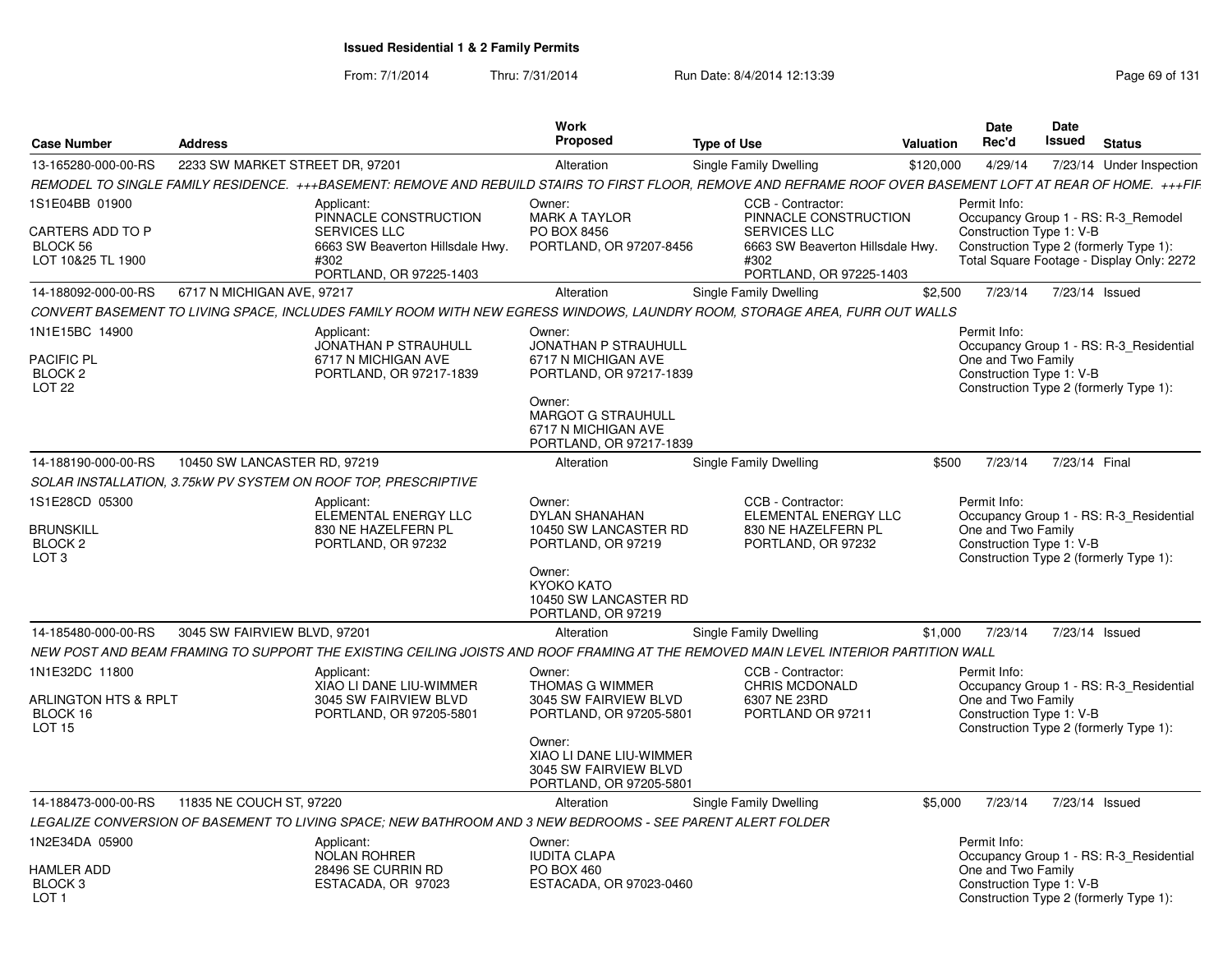From: 7/1/2014Thru: 7/31/2014 Run Date: 8/4/2014 12:13:39 Research 2010 Rage 69 of 131

| <b>Case Number</b>                                                           | <b>Address</b>                  |                                                                                                                                                               | <b>Work</b><br><b>Proposed</b>                                                                                                                                                   | <b>Type of Use</b>                                                                                                               | Valuation | <b>Date</b><br>Rec'd                                           | <b>Date</b><br>Issued | <b>Status</b>                                                                                                              |
|------------------------------------------------------------------------------|---------------------------------|---------------------------------------------------------------------------------------------------------------------------------------------------------------|----------------------------------------------------------------------------------------------------------------------------------------------------------------------------------|----------------------------------------------------------------------------------------------------------------------------------|-----------|----------------------------------------------------------------|-----------------------|----------------------------------------------------------------------------------------------------------------------------|
| 13-165280-000-00-RS                                                          | 2233 SW MARKET STREET DR, 97201 |                                                                                                                                                               | Alteration                                                                                                                                                                       | Single Family Dwelling                                                                                                           | \$120,000 | 4/29/14                                                        |                       | 7/23/14 Under Inspection                                                                                                   |
|                                                                              |                                 | REMODEL TO SINGLE FAMILY RESIDENCE. +++BASEMENT: REMOVE AND REBUILD STAIRS TO FIRST FLOOR, REMOVE AND REFRAME ROOF OVER BASEMENT LOFT AT REAR OF HOME. +++FIF |                                                                                                                                                                                  |                                                                                                                                  |           |                                                                |                       |                                                                                                                            |
| 1S1E04BB 01900<br>CARTERS ADD TO P<br>BLOCK 56<br>LOT 10&25 TL 1900          |                                 | Applicant:<br>PINNACLE CONSTRUCTION<br><b>SERVICES LLC</b><br>6663 SW Beaverton Hillsdale Hwy.<br>#302<br>PORTLAND, OR 97225-1403                             | Owner:<br><b>MARK A TAYLOR</b><br>PO BOX 8456<br>PORTLAND, OR 97207-8456                                                                                                         | CCB - Contractor<br>PINNACLE CONSTRUCTION<br>SERVICES LLC<br>6663 SW Beaverton Hillsdale Hwy.<br>#302<br>PORTLAND, OR 97225-1403 |           | Permit Info:<br>Construction Type 1: V-B                       |                       | Occupancy Group 1 - RS: R-3_Remodel<br>Construction Type 2 (formerly Type 1):<br>Total Square Footage - Display Only: 2272 |
| 14-188092-000-00-RS                                                          | 6717 N MICHIGAN AVE, 97217      |                                                                                                                                                               | Alteration                                                                                                                                                                       | Single Family Dwelling                                                                                                           | \$2.500   | 7/23/14                                                        | 7/23/14 Issued        |                                                                                                                            |
|                                                                              |                                 | CONVERT BASEMENT TO LIVING SPACE, INCLUDES FAMILY ROOM WITH NEW EGRESS WINDOWS, LAUNDRY ROOM, STORAGE AREA, FURR OUT WALLS                                    |                                                                                                                                                                                  |                                                                                                                                  |           |                                                                |                       |                                                                                                                            |
| 1N1E15BC 14900<br>PACIFIC PL<br>BLOCK <sub>2</sub><br>LOT <sub>22</sub>      |                                 | Applicant:<br>JONATHAN P STRAUHULL<br>6717 N MICHIGAN AVE<br>PORTLAND, OR 97217-1839                                                                          | Owner:<br><b>JONATHAN P STRAUHULL</b><br>6717 N MICHIGAN AVE<br>PORTLAND, OR 97217-1839<br>Owner:<br><b>MARGOT G STRAUHULL</b><br>6717 N MICHIGAN AVE<br>PORTLAND, OR 97217-1839 |                                                                                                                                  |           | Permit Info:<br>One and Two Family<br>Construction Type 1: V-B |                       | Occupancy Group 1 - RS: R-3_Residential<br>Construction Type 2 (formerly Type 1):                                          |
| 14-188190-000-00-RS                                                          | 10450 SW LANCASTER RD, 97219    |                                                                                                                                                               | Alteration                                                                                                                                                                       | Single Family Dwelling                                                                                                           | \$500     | 7/23/14                                                        | 7/23/14 Final         |                                                                                                                            |
|                                                                              |                                 | SOLAR INSTALLATION, 3.75kW PV SYSTEM ON ROOF TOP, PRESCRIPTIVE                                                                                                |                                                                                                                                                                                  |                                                                                                                                  |           |                                                                |                       |                                                                                                                            |
| 1S1E28CD 05300<br><b>BRUNSKILL</b><br>BLOCK <sub>2</sub><br>LOT <sub>3</sub> |                                 | Applicant:<br>ELEMENTAL ENERGY LLC<br>830 NE HAZELFERN PL<br>PORTLAND, OR 97232                                                                               | Owner:<br><b>DYLAN SHANAHAN</b><br>10450 SW LANCASTER RD<br>PORTLAND, OR 97219<br>Owner:<br>KYOKO KATO<br>10450 SW LANCASTER RD                                                  | CCB - Contractor:<br>ELEMENTAL ENERGY LLC<br>830 NE HAZELFERN PL<br>PORTLAND, OR 97232                                           |           | Permit Info:<br>One and Two Family<br>Construction Type 1: V-B |                       | Occupancy Group 1 - RS: R-3 Residential<br>Construction Type 2 (formerly Type 1):                                          |
| 14-185480-000-00-RS                                                          | 3045 SW FAIRVIEW BLVD, 97201    |                                                                                                                                                               | PORTLAND, OR 97219                                                                                                                                                               |                                                                                                                                  |           | 7/23/14                                                        |                       | 7/23/14 Issued                                                                                                             |
|                                                                              |                                 | NEW POST AND BEAM FRAMING TO SUPPORT THE EXISTING CEILING JOISTS AND ROOF FRAMING AT THE REMOVED MAIN LEVEL INTERIOR PARTITION WALL                           | Alteration                                                                                                                                                                       | Single Family Dwelling                                                                                                           | \$1,000   |                                                                |                       |                                                                                                                            |
| 1N1E32DC 11800                                                               |                                 | Applicant:                                                                                                                                                    | Owner:                                                                                                                                                                           | CCB - Contractor:                                                                                                                |           | Permit Info:                                                   |                       |                                                                                                                            |
| <b>ARLINGTON HTS &amp; RPLT</b><br>BLOCK 16<br>LOT <sub>15</sub>             |                                 | XIAO LI DANE LIU-WIMMER<br>3045 SW FAIRVIEW BLVD<br>PORTLAND, OR 97205-5801                                                                                   | <b>THOMAS G WIMMER</b><br>3045 SW FAIRVIEW BLVD<br>PORTLAND, OR 97205-5801                                                                                                       | <b>CHRIS MCDONALD</b><br>6307 NE 23RD<br>PORTLAND OR 97211                                                                       |           | One and Two Family<br>Construction Type 1: V-B                 |                       | Occupancy Group 1 - RS: R-3_Residential<br>Construction Type 2 (formerly Type 1):                                          |
|                                                                              |                                 |                                                                                                                                                               | Owner:<br>XIAO LI DANE LIU-WIMMER<br>3045 SW FAIRVIEW BLVD<br>PORTLAND, OR 97205-5801                                                                                            |                                                                                                                                  |           |                                                                |                       |                                                                                                                            |
| 14-188473-000-00-RS                                                          | 11835 NE COUCH ST, 97220        |                                                                                                                                                               | Alteration                                                                                                                                                                       | Single Family Dwelling                                                                                                           | \$5.000   | 7/23/14                                                        |                       | 7/23/14 Issued                                                                                                             |
|                                                                              |                                 | LEGALIZE CONVERSION OF BASEMENT TO LIVING SPACE; NEW BATHROOM AND 3 NEW BEDROOMS - SEE PARENT ALERT FOLDER                                                    |                                                                                                                                                                                  |                                                                                                                                  |           |                                                                |                       |                                                                                                                            |
| 1N2E34DA 05900<br><b>HAMLER ADD</b><br>BLOCK 3<br>LOT <sub>1</sub>           |                                 | Applicant:<br><b>NOLAN ROHRER</b><br>28496 SE CURRIN RD<br>ESTACADA, OR 97023                                                                                 | Owner:<br><b>IUDITA CLAPA</b><br>PO BOX 460<br>ESTACADA, OR 97023-0460                                                                                                           |                                                                                                                                  |           | Permit Info:<br>One and Two Family<br>Construction Type 1: V-B |                       | Occupancy Group 1 - RS: R-3 Residential<br>Construction Type 2 (formerly Type 1):                                          |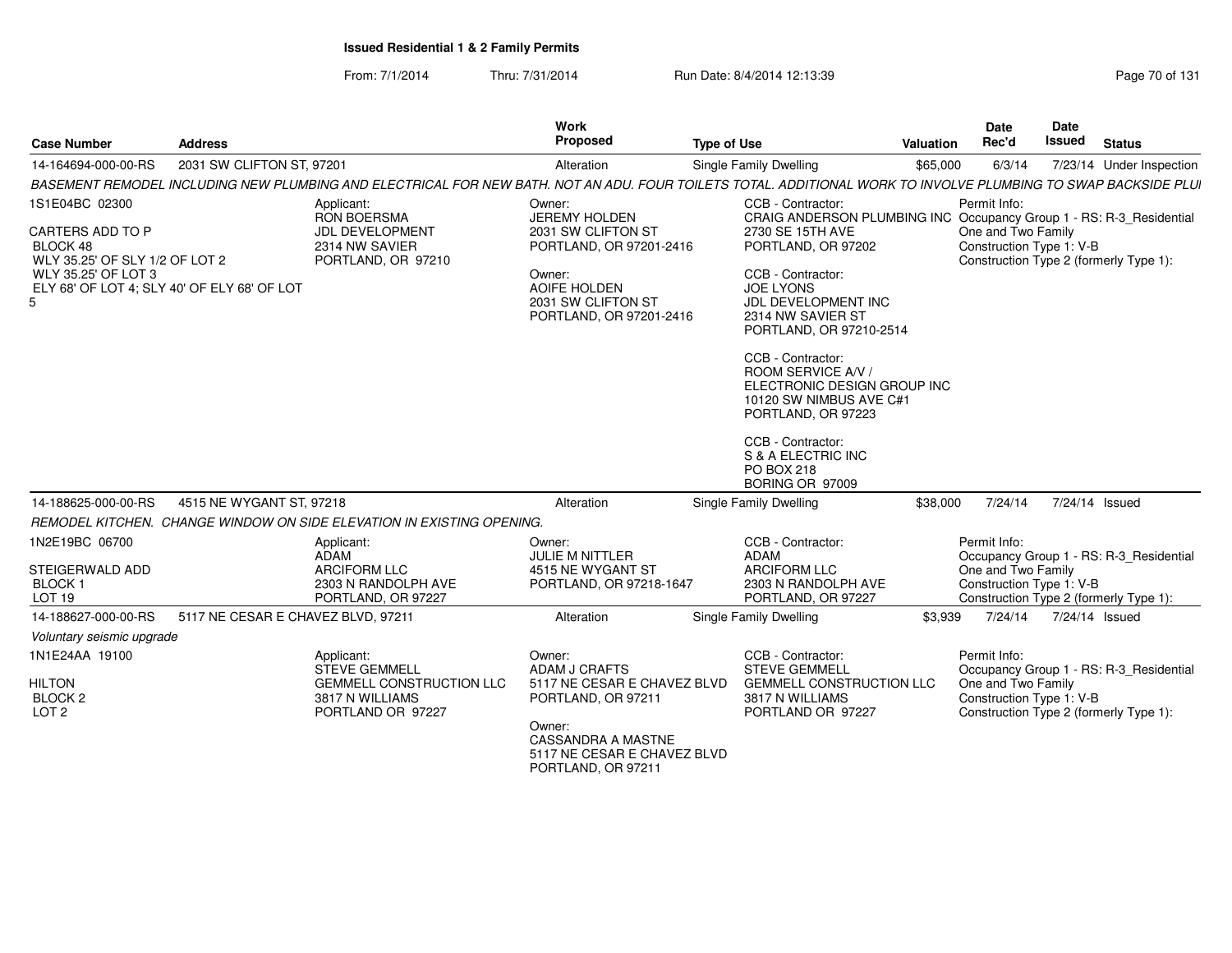From: 7/1/2014Thru: 7/31/2014 Run Date: 8/4/2014 12:13:39 Research 2010 131

| <b>Case Number</b>                                                                                                                                     | <b>Address</b>                     |                                                                                                               | <b>Work</b><br>Proposed                                                                                                                                                  | <b>Type of Use</b>                                                                                                                                                                                                                                                                                                                                                                                                                     | Valuation | <b>Date</b><br>Rec'd                                           | Date<br>Issued | <b>Status</b>                                                                     |
|--------------------------------------------------------------------------------------------------------------------------------------------------------|------------------------------------|---------------------------------------------------------------------------------------------------------------|--------------------------------------------------------------------------------------------------------------------------------------------------------------------------|----------------------------------------------------------------------------------------------------------------------------------------------------------------------------------------------------------------------------------------------------------------------------------------------------------------------------------------------------------------------------------------------------------------------------------------|-----------|----------------------------------------------------------------|----------------|-----------------------------------------------------------------------------------|
| 14-164694-000-00-RS                                                                                                                                    | 2031 SW CLIFTON ST, 97201          |                                                                                                               | Alteration                                                                                                                                                               | <b>Single Family Dwelling</b>                                                                                                                                                                                                                                                                                                                                                                                                          | \$65,000  | 6/3/14                                                         |                | 7/23/14 Under Inspection                                                          |
|                                                                                                                                                        |                                    |                                                                                                               |                                                                                                                                                                          | BASEMENT REMODEL INCLUDING NEW PLUMBING AND ELECTRICAL FOR NEW BATH. NOT AN ADU. FOUR TOILETS TOTAL. ADDITIONAL WORK TO INVOLVE PLUMBING TO SWAP BACKSIDE PLUI                                                                                                                                                                                                                                                                         |           |                                                                |                |                                                                                   |
| 1S1E04BC 02300<br>CARTERS ADD TO P<br>BLOCK 48<br>WLY 35.25' OF SLY 1/2 OF LOT 2<br>WLY 35.25' OF LOT 3<br>ELY 68' OF LOT 4; SLY 40' OF ELY 68' OF LOT |                                    | Applicant:<br><b>RON BOERSMA</b><br><b>JDL DEVELOPMENT</b><br>2314 NW SAVIER<br>PORTLAND, OR 97210            | Owner:<br><b>JEREMY HOLDEN</b><br>2031 SW CLIFTON ST<br>PORTLAND, OR 97201-2416<br>Owner:<br>AOIFE HOLDEN<br>2031 SW CLIFTON ST<br>PORTLAND, OR 97201-2416               | CCB - Contractor:<br>CRAIG ANDERSON PLUMBING INC Occupancy Group 1 - RS: R-3_Residential<br>2730 SE 15TH AVE<br>PORTLAND, OR 97202<br>CCB - Contractor:<br><b>JOE LYONS</b><br>JDL DEVELOPMENT INC<br>2314 NW SAVIER ST<br>PORTLAND, OR 97210-2514<br>CCB - Contractor:<br>ROOM SERVICE A/V /<br>ELECTRONIC DESIGN GROUP INC<br>10120 SW NIMBUS AVE C#1<br>PORTLAND, OR 97223<br>CCB - Contractor:<br>S & A ELECTRIC INC<br>PO BOX 218 |           | Permit Info:<br>One and Two Family<br>Construction Type 1: V-B |                | Construction Type 2 (formerly Type 1):                                            |
| 14-188625-000-00-RS                                                                                                                                    | 4515 NE WYGANT ST, 97218           |                                                                                                               | Alteration                                                                                                                                                               | BORING OR 97009<br>Single Family Dwelling                                                                                                                                                                                                                                                                                                                                                                                              | \$38,000  | 7/24/14                                                        |                | 7/24/14 Issued                                                                    |
|                                                                                                                                                        |                                    | REMODEL KITCHEN. CHANGE WINDOW ON SIDE ELEVATION IN EXISTING OPENING.                                         |                                                                                                                                                                          |                                                                                                                                                                                                                                                                                                                                                                                                                                        |           |                                                                |                |                                                                                   |
| 1N2E19BC 06700<br>STEIGERWALD ADD<br><b>BLOCK1</b><br>LOT 19                                                                                           |                                    | Applicant:<br>ADAM<br><b>ARCIFORM LLC</b><br>2303 N RANDOLPH AVE<br>PORTLAND, OR 97227                        | Owner:<br>JULIE M NITTLER<br>4515 NE WYGANT ST<br>PORTLAND, OR 97218-1647                                                                                                | CCB - Contractor:<br><b>ADAM</b><br><b>ARCIFORM LLC</b><br>2303 N RANDOLPH AVE<br>PORTLAND, OR 97227                                                                                                                                                                                                                                                                                                                                   |           | Permit Info:<br>One and Two Family<br>Construction Type 1: V-B |                | Occupancy Group 1 - RS: R-3_Residential<br>Construction Type 2 (formerly Type 1): |
| 14-188627-000-00-RS                                                                                                                                    | 5117 NE CESAR E CHAVEZ BLVD, 97211 |                                                                                                               | Alteration                                                                                                                                                               | Single Family Dwelling                                                                                                                                                                                                                                                                                                                                                                                                                 | \$3.939   | 7/24/14                                                        |                | 7/24/14 Issued                                                                    |
| Voluntary seismic upgrade                                                                                                                              |                                    |                                                                                                               |                                                                                                                                                                          |                                                                                                                                                                                                                                                                                                                                                                                                                                        |           |                                                                |                |                                                                                   |
| 1N1E24AA 19100<br><b>HILTON</b><br>BLOCK <sub>2</sub><br>LOT <sub>2</sub>                                                                              |                                    | Applicant:<br><b>STEVE GEMMELL</b><br><b>GEMMELL CONSTRUCTION LLC</b><br>3817 N WILLIAMS<br>PORTLAND OR 97227 | Owner:<br>ADAM J CRAFTS<br>5117 NE CESAR E CHAVEZ BLVD<br>PORTLAND, OR 97211<br>Owner:<br><b>CASSANDRA A MASTNE</b><br>5117 NE CESAR E CHAVEZ BLVD<br>PORTLAND, OR 97211 | CCB - Contractor:<br><b>STEVE GEMMELL</b><br><b>GEMMELL CONSTRUCTION LLC</b><br>3817 N WILLIAMS<br>PORTLAND OR 97227                                                                                                                                                                                                                                                                                                                   |           | Permit Info:<br>One and Two Family<br>Construction Type 1: V-B |                | Occupancy Group 1 - RS: R-3 Residential<br>Construction Type 2 (formerly Type 1): |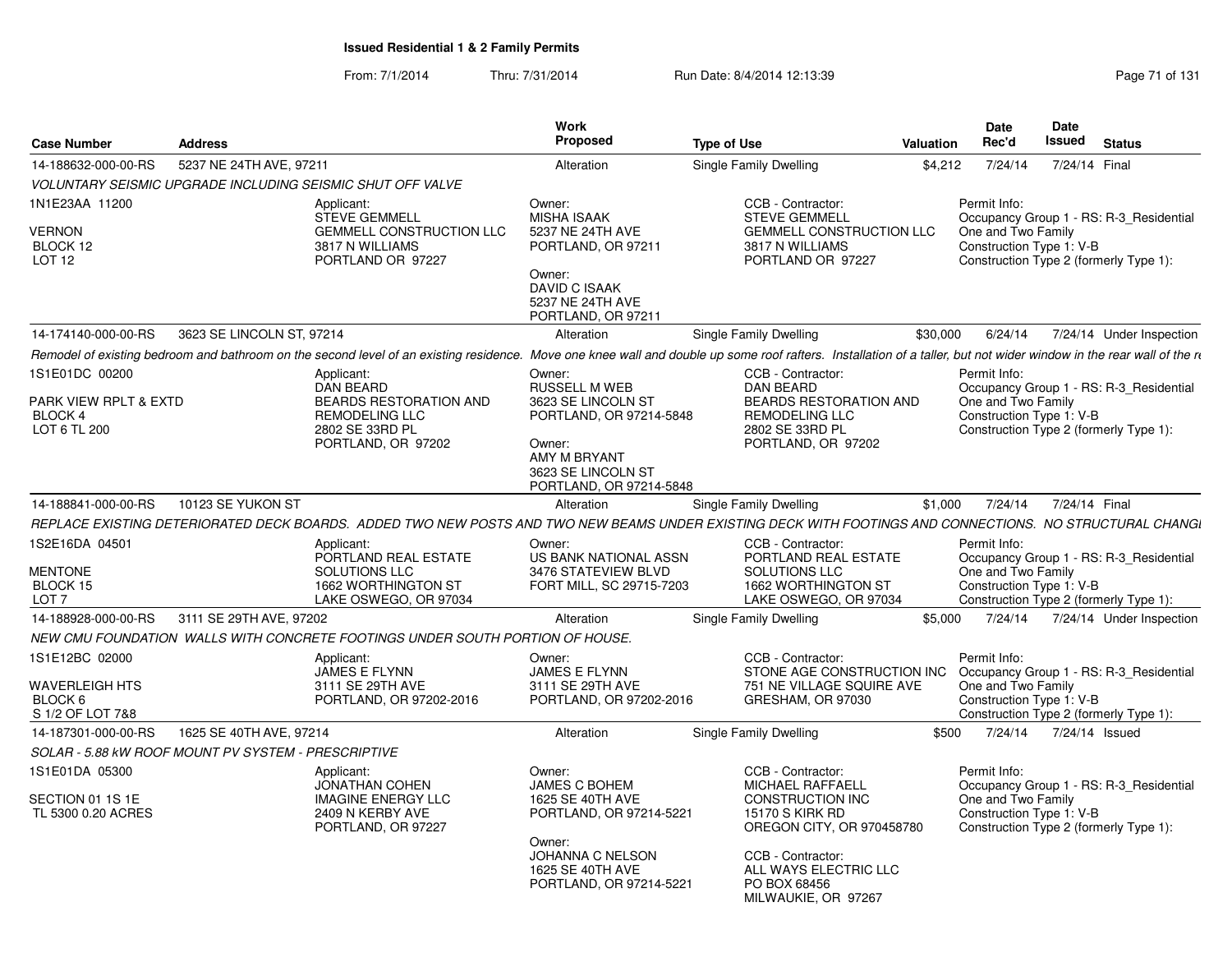From: 7/1/2014Thru: 7/31/2014 Run Date: 8/4/2014 12:13:39 Research 2010 Rage 71 of 131

| <b>Case Number</b>                                                     | <b>Address</b>            |                                                                                                                     | Work<br>Proposed                                                                                                                                           | <b>Type of Use</b>                                                                                                                                                                                                             | <b>Valuation</b> | <b>Date</b><br>Rec'd                                           | <b>Date</b><br>Issued | <b>Status</b>                                                                     |
|------------------------------------------------------------------------|---------------------------|---------------------------------------------------------------------------------------------------------------------|------------------------------------------------------------------------------------------------------------------------------------------------------------|--------------------------------------------------------------------------------------------------------------------------------------------------------------------------------------------------------------------------------|------------------|----------------------------------------------------------------|-----------------------|-----------------------------------------------------------------------------------|
| 14-188632-000-00-RS                                                    | 5237 NE 24TH AVE, 97211   |                                                                                                                     | Alteration                                                                                                                                                 | Single Family Dwelling                                                                                                                                                                                                         | \$4,212          | 7/24/14                                                        | 7/24/14 Final         |                                                                                   |
|                                                                        |                           | VOLUNTARY SEISMIC UPGRADE INCLUDING SEISMIC SHUT OFF VALVE                                                          |                                                                                                                                                            |                                                                                                                                                                                                                                |                  |                                                                |                       |                                                                                   |
| 1N1E23AA 11200<br>VERNON<br>BLOCK 12<br><b>LOT 12</b>                  |                           | Applicant:<br><b>STEVE GEMMELL</b><br>GEMMELL CONSTRUCTION LLC<br>3817 N WILLIAMS<br>PORTLAND OR 97227              | Owner:<br><b>MISHA ISAAK</b><br>5237 NE 24TH AVE<br>PORTLAND, OR 97211<br>Owner:<br><b>DAVID C ISAAK</b><br>5237 NE 24TH AVE                               | CCB - Contractor:<br><b>STEVE GEMMELL</b><br><b>GEMMELL CONSTRUCTION LLC</b><br>3817 N WILLIAMS<br>PORTLAND OR 97227                                                                                                           |                  | Permit Info:<br>One and Two Family<br>Construction Type 1: V-B |                       | Occupancy Group 1 - RS: R-3 Residential<br>Construction Type 2 (formerly Type 1): |
| 14-174140-000-00-RS                                                    | 3623 SE LINCOLN ST, 97214 |                                                                                                                     | PORTLAND, OR 97211<br>Alteration                                                                                                                           | Single Family Dwelling                                                                                                                                                                                                         | \$30,000         | 6/24/14                                                        |                       | 7/24/14 Under Inspection                                                          |
|                                                                        |                           |                                                                                                                     |                                                                                                                                                            |                                                                                                                                                                                                                                |                  |                                                                |                       |                                                                                   |
|                                                                        |                           |                                                                                                                     |                                                                                                                                                            | Remodel of existing bedroom and bathroom on the second level of an existing residence. Move one knee wall and double up some roof rafters. Installation of a taller, but not wider window in the rear wall of the regulation o |                  |                                                                |                       |                                                                                   |
| 1S1E01DC 00200<br>PARK VIEW RPLT & EXTD<br>BLOCK 4<br>LOT 6 TL 200     |                           | Applicant:<br><b>DAN BEARD</b><br>BEARDS RESTORATION AND<br>REMODELING LLC<br>2802 SE 33RD PL<br>PORTLAND, OR 97202 | Owner:<br><b>RUSSELL M WEB</b><br>3623 SE LINCOLN ST<br>PORTLAND, OR 97214-5848<br>Owner:<br>AMY M BRYANT<br>3623 SE LINCOLN ST<br>PORTLAND, OR 97214-5848 | CCB - Contractor:<br><b>DAN BEARD</b><br>BEARDS RESTORATION AND<br><b>REMODELING LLC</b><br>2802 SE 33RD PL<br>PORTLAND, OR 97202                                                                                              |                  | Permit Info:<br>One and Two Family<br>Construction Type 1: V-B |                       | Occupancy Group 1 - RS: R-3 Residential<br>Construction Type 2 (formerly Type 1): |
| 14-188841-000-00-RS                                                    | 10123 SE YUKON ST         |                                                                                                                     | Alteration                                                                                                                                                 | Single Family Dwelling                                                                                                                                                                                                         | \$1,000          | 7/24/14                                                        | 7/24/14 Final         |                                                                                   |
|                                                                        |                           |                                                                                                                     |                                                                                                                                                            | REPLACE EXISTING DETERIORATED DECK BOARDS. ADDED TWO NEW POSTS AND TWO NEW BEAMS UNDER EXISTING DECK WITH FOOTINGS AND CONNECTIONS. NO STRUCTURAL CHANGI                                                                       |                  |                                                                |                       |                                                                                   |
| 1S2E16DA 04501<br><b>MENTONE</b><br>BLOCK 15<br>LOT 7                  |                           | Applicant:<br>PORTLAND REAL ESTATE<br>SOLUTIONS LLC<br>1662 WORTHINGTON ST<br>LAKE OSWEGO, OR 97034                 | Owner:<br><b>US BANK NATIONAL ASSN</b><br>3476 STATEVIEW BLVD<br>FORT MILL, SC 29715-7203                                                                  | CCB - Contractor:<br>PORTLAND REAL ESTATE<br>SOLUTIONS LLC<br>1662 WORTHINGTON ST<br>LAKE OSWEGO, OR 97034                                                                                                                     |                  | Permit Info:<br>One and Two Family<br>Construction Type 1: V-B |                       | Occupancy Group 1 - RS: R-3_Residential<br>Construction Type 2 (formerly Type 1): |
| 14-188928-000-00-RS                                                    | 3111 SE 29TH AVE, 97202   |                                                                                                                     | Alteration                                                                                                                                                 | Single Family Dwelling                                                                                                                                                                                                         | \$5,000          | 7/24/14                                                        |                       | 7/24/14 Under Inspection                                                          |
|                                                                        |                           | NEW CMU FOUNDATION WALLS WITH CONCRETE FOOTINGS UNDER SOUTH PORTION OF HOUSE.                                       |                                                                                                                                                            |                                                                                                                                                                                                                                |                  |                                                                |                       |                                                                                   |
| 1S1E12BC 02000<br><b>WAVERLEIGH HTS</b><br>BLOCK 6<br>S 1/2 OF LOT 7&8 |                           | Applicant:<br>JAMES E FLYNN<br>3111 SE 29TH AVE<br>PORTLAND, OR 97202-2016                                          | Owner:<br><b>JAMES E FLYNN</b><br>3111 SE 29TH AVE<br>PORTLAND, OR 97202-2016                                                                              | CCB - Contractor:<br>STONE AGE CONSTRUCTION INC<br>751 NE VILLAGE SQUIRE AVE<br>GRESHAM, OR 97030                                                                                                                              |                  | Permit Info:<br>One and Two Family<br>Construction Type 1: V-B |                       | Occupancy Group 1 - RS: R-3 Residential<br>Construction Type 2 (formerly Type 1): |
| 14-187301-000-00-RS                                                    | 1625 SE 40TH AVE, 97214   |                                                                                                                     | Alteration                                                                                                                                                 | Single Family Dwelling                                                                                                                                                                                                         | \$500            | 7/24/14                                                        |                       | 7/24/14 Issued                                                                    |
| SOLAR - 5.88 KW ROOF MOUNT PV SYSTEM - PRESCRIPTIVE                    |                           |                                                                                                                     |                                                                                                                                                            |                                                                                                                                                                                                                                |                  |                                                                |                       |                                                                                   |
| 1S1E01DA 05300<br>SECTION 01 1S 1E<br>TL 5300 0.20 ACRES               |                           | Applicant:<br><b>JONATHAN COHEN</b><br><b>IMAGINE ENERGY LLC</b><br>2409 N KERBY AVE<br>PORTLAND, OR 97227          | Owner:<br><b>JAMES C BOHEM</b><br>1625 SE 40TH AVE<br>PORTLAND, OR 97214-5221<br>Owner:                                                                    | CCB - Contractor:<br><b>MICHAEL RAFFAELL</b><br>CONSTRUCTION INC<br><b>15170 S KIRK RD</b><br>OREGON CITY, OR 970458780                                                                                                        |                  | Permit Info:<br>One and Two Family<br>Construction Type 1: V-B |                       | Occupancy Group 1 - RS: R-3 Residential<br>Construction Type 2 (formerly Type 1): |
|                                                                        |                           |                                                                                                                     | JOHANNA C NELSON<br>1625 SE 40TH AVE<br>PORTLAND, OR 97214-5221                                                                                            | CCB - Contractor:<br>ALL WAYS ELECTRIC LLC<br>PO BOX 68456<br>MILWAUKIE, OR 97267                                                                                                                                              |                  |                                                                |                       |                                                                                   |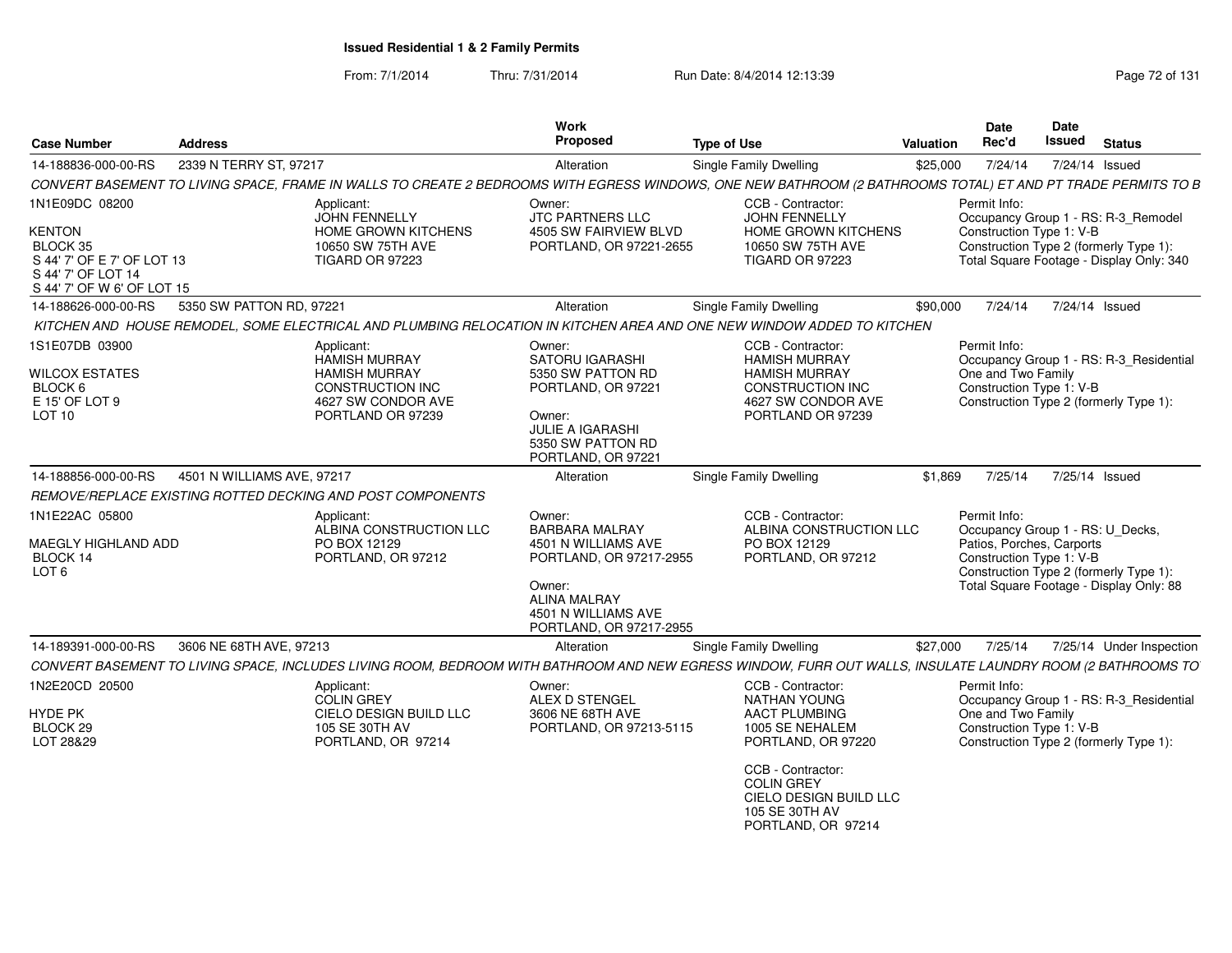From: 7/1/2014Thru: 7/31/2014 Run Date: 8/4/2014 12:13:39 Research 2014 13:14 Page 72 of 131

| <b>Case Number</b>                                                                                          | <b>Address</b>             |                                                                                                                           | <b>Work</b><br>Proposed                                                                                                                                              | <b>Type of Use</b>                                                                                                                                           | Valuation | <b>Date</b><br>Rec'd                                                                                                                | <b>Date</b><br><b>Issued</b> | <b>Status</b>                                                                     |
|-------------------------------------------------------------------------------------------------------------|----------------------------|---------------------------------------------------------------------------------------------------------------------------|----------------------------------------------------------------------------------------------------------------------------------------------------------------------|--------------------------------------------------------------------------------------------------------------------------------------------------------------|-----------|-------------------------------------------------------------------------------------------------------------------------------------|------------------------------|-----------------------------------------------------------------------------------|
| 14-188836-000-00-RS                                                                                         | 2339 N TERRY ST, 97217     |                                                                                                                           | Alteration                                                                                                                                                           | <b>Single Family Dwelling</b>                                                                                                                                | \$25,000  | 7/24/14                                                                                                                             |                              | 7/24/14 Issued                                                                    |
|                                                                                                             |                            |                                                                                                                           |                                                                                                                                                                      | CONVERT BASEMENT TO LIVING SPACE, FRAME IN WALLS TO CREATE 2 BEDROOMS WITH EGRESS WINDOWS, ONE NEW BATHROOM (2 BATHROOMS TOTAL) ET AND PT TRADE PERMITS TO B |           |                                                                                                                                     |                              |                                                                                   |
| 1N1E09DC 08200                                                                                              |                            | Applicant:<br><b>JOHN FENNELLY</b>                                                                                        | Owner:<br>JTC PARTNERS LLC                                                                                                                                           | CCB - Contractor:<br>JOHN FENNELLY                                                                                                                           |           | Permit Info:                                                                                                                        |                              | Occupancy Group 1 - RS: R-3_Remodel                                               |
| <b>KENTON</b><br>BLOCK 35<br>S 44' 7' OF E 7' OF LOT 13<br>S 44' 7' OF LOT 14<br>S 44' 7' OF W 6' OF LOT 15 |                            | <b>HOME GROWN KITCHENS</b><br>10650 SW 75TH AVE<br><b>TIGARD OR 97223</b>                                                 | 4505 SW FAIRVIEW BLVD<br>PORTLAND, OR 97221-2655                                                                                                                     | <b>HOME GROWN KITCHENS</b><br>10650 SW 75TH AVE<br><b>TIGARD OR 97223</b>                                                                                    |           | Construction Type 1: V-B<br>Construction Type 2 (formerly Type 1):                                                                  |                              | Total Square Footage - Display Only: 340                                          |
| 14-188626-000-00-RS                                                                                         | 5350 SW PATTON RD, 97221   |                                                                                                                           | Alteration                                                                                                                                                           | Single Family Dwelling                                                                                                                                       | \$90,000  | 7/24/14                                                                                                                             |                              | 7/24/14 Issued                                                                    |
|                                                                                                             |                            |                                                                                                                           |                                                                                                                                                                      | KITCHEN AND HOUSE REMODEL, SOME ELECTRICAL AND PLUMBING RELOCATION IN KITCHEN AREA AND ONE NEW WINDOW ADDED TO KITCHEN                                       |           |                                                                                                                                     |                              |                                                                                   |
| 1S1E07DB 03900<br>WILCOX ESTATES<br>BLOCK 6<br>E 15' OF LOT 9<br>LOT <sub>10</sub>                          |                            | Applicant:<br><b>HAMISH MURRAY</b><br><b>HAMISH MURRAY</b><br>CONSTRUCTION INC<br>4627 SW CONDOR AVE<br>PORTLAND OR 97239 | Owner:<br><b>SATORU IGARASHI</b><br>5350 SW PATTON RD<br>PORTLAND, OR 97221<br>Owner:<br><b>JULIE A IGARASHI</b><br>5350 SW PATTON RD<br>PORTLAND, OR 97221          | CCB - Contractor:<br><b>HAMISH MURRAY</b><br><b>HAMISH MURRAY</b><br>CONSTRUCTION INC<br>4627 SW CONDOR AVE<br>PORTLAND OR 97239                             |           | Permit Info:<br>One and Two Family<br>Construction Type 1: V-B                                                                      |                              | Occupancy Group 1 - RS: R-3_Residential<br>Construction Type 2 (formerly Type 1): |
| 14-188856-000-00-RS                                                                                         | 4501 N WILLIAMS AVE, 97217 |                                                                                                                           | Alteration                                                                                                                                                           | <b>Single Family Dwelling</b>                                                                                                                                | \$1,869   | 7/25/14                                                                                                                             |                              | 7/25/14 Issued                                                                    |
|                                                                                                             |                            | REMOVE/REPLACE EXISTING ROTTED DECKING AND POST COMPONENTS                                                                |                                                                                                                                                                      |                                                                                                                                                              |           |                                                                                                                                     |                              |                                                                                   |
| 1N1E22AC 05800<br><b>MAEGLY HIGHLAND ADD</b><br>BLOCK 14<br>LOT <sub>6</sub>                                |                            | Applicant:<br>ALBINA CONSTRUCTION LLC<br>PO BOX 12129<br>PORTLAND, OR 97212                                               | Owner:<br><b>BARBARA MALRAY</b><br>4501 N WILLIAMS AVE<br>PORTLAND, OR 97217-2955<br>Owner:<br><b>ALINA MALRAY</b><br>4501 N WILLIAMS AVE<br>PORTLAND, OR 97217-2955 | CCB - Contractor:<br>ALBINA CONSTRUCTION LLC<br>PO BOX 12129<br>PORTLAND, OR 97212                                                                           |           | Permit Info:<br>Occupancy Group 1 - RS: U_Decks,<br>Patios, Porches, Carports<br>Construction Type 1: V-B                           |                              | Construction Type 2 (formerly Type 1):<br>Total Square Footage - Display Only: 88 |
| 14-189391-000-00-RS                                                                                         | 3606 NE 68TH AVE, 97213    |                                                                                                                           | Alteration                                                                                                                                                           | Single Family Dwelling                                                                                                                                       | \$27,000  | 7/25/14                                                                                                                             |                              | 7/25/14 Under Inspection                                                          |
|                                                                                                             |                            |                                                                                                                           |                                                                                                                                                                      | CONVERT BASEMENT TO LIVING SPACE, INCLUDES LIVING ROOM, BEDROOM WITH BATHROOM AND NEW EGRESS WINDOW, FURR OUT WALLS, INSULATE LAUNDRY ROOM (2 BATHROOMS TO   |           |                                                                                                                                     |                              |                                                                                   |
| 1N2E20CD 20500                                                                                              |                            | Applicant:                                                                                                                | Owner:                                                                                                                                                               | CCB - Contractor:                                                                                                                                            |           | Permit Info:                                                                                                                        |                              |                                                                                   |
| <b>HYDE PK</b><br>BLOCK 29<br>LOT 28&29                                                                     |                            | <b>COLIN GREY</b><br><b>CIELO DESIGN BUILD LLC</b><br>105 SE 30TH AV<br>PORTLAND, OR 97214                                | ALEX D STENGEL<br>3606 NE 68TH AVE<br>PORTLAND, OR 97213-5115                                                                                                        | <b>NATHAN YOUNG</b><br><b>AACT PLUMBING</b><br>1005 SE NEHALEM<br>PORTLAND, OR 97220                                                                         |           | Occupancy Group 1 - RS: R-3_Residential<br>One and Two Family<br>Construction Type 1: V-B<br>Construction Type 2 (formerly Type 1): |                              |                                                                                   |
|                                                                                                             |                            |                                                                                                                           |                                                                                                                                                                      | CCB - Contractor:<br><b>COLIN GREY</b><br>CIELO DESIGN BUILD LLC<br>105 SE 30TH AV<br>PORTLAND, OR 97214                                                     |           |                                                                                                                                     |                              |                                                                                   |
|                                                                                                             |                            |                                                                                                                           |                                                                                                                                                                      |                                                                                                                                                              |           |                                                                                                                                     |                              |                                                                                   |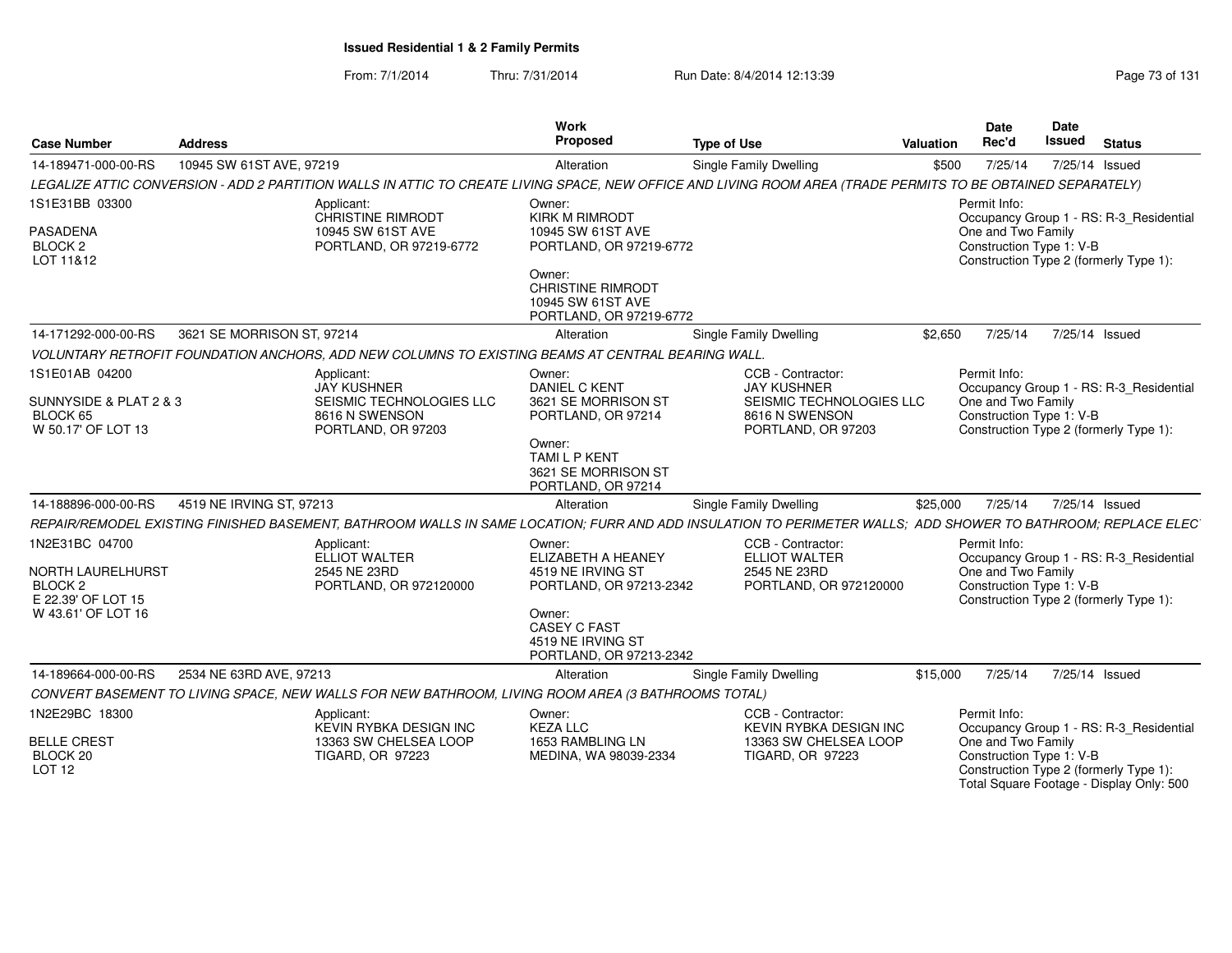From: 7/1/2014Thru: 7/31/2014 Run Date: 8/4/2014 12:13:39 Rege 73 of 131

| <b>Case Number</b>                                                   | <b>Address</b>             |                                                                                                    | Work<br>Proposed                                                                          | <b>Type of Use</b>                                                                                                                                           | <b>Valuation</b> | <b>Date</b><br>Rec'd                                                                                     | <b>Date</b><br><b>Issued</b> | <b>Status</b>                            |
|----------------------------------------------------------------------|----------------------------|----------------------------------------------------------------------------------------------------|-------------------------------------------------------------------------------------------|--------------------------------------------------------------------------------------------------------------------------------------------------------------|------------------|----------------------------------------------------------------------------------------------------------|------------------------------|------------------------------------------|
| 14-189471-000-00-RS                                                  | 10945 SW 61ST AVE, 97219   |                                                                                                    | Alteration                                                                                | Single Family Dwelling                                                                                                                                       | \$500            | 7/25/14                                                                                                  | 7/25/14 Issued               |                                          |
|                                                                      |                            |                                                                                                    |                                                                                           | LEGALIZE ATTIC CONVERSION - ADD 2 PARTITION WALLS IN ATTIC TO CREATE LIVING SPACE, NEW OFFICE AND LIVING ROOM AREA (TRADE PERMITS TO BE OBTAINED SEPARATELY) |                  |                                                                                                          |                              |                                          |
| 1S1E31BB 03300<br>PASADENA<br>BLOCK <sub>2</sub><br>LOT 11&12        |                            | Applicant:<br><b>CHRISTINE RIMRODT</b><br>10945 SW 61ST AVE<br>PORTLAND, OR 97219-6772             | Owner:<br><b>KIRK M RIMRODT</b><br>10945 SW 61ST AVE<br>PORTLAND, OR 97219-6772<br>Owner: |                                                                                                                                                              |                  | Permit Info:<br>One and Two Family<br>Construction Type 1: V-B<br>Construction Type 2 (formerly Type 1): |                              | Occupancy Group 1 - RS: R-3_Residential  |
|                                                                      |                            |                                                                                                    | <b>CHRISTINE RIMRODT</b><br>10945 SW 61ST AVE<br>PORTLAND, OR 97219-6772                  |                                                                                                                                                              |                  |                                                                                                          |                              |                                          |
| 14-171292-000-00-RS                                                  | 3621 SE MORRISON ST, 97214 |                                                                                                    | Alteration                                                                                | <b>Single Family Dwelling</b>                                                                                                                                | \$2.650          | 7/25/14                                                                                                  | 7/25/14 Issued               |                                          |
|                                                                      |                            | VOLUNTARY RETROFIT FOUNDATION ANCHORS, ADD NEW COLUMNS TO EXISTING BEAMS AT CENTRAL BEARING WALL.  |                                                                                           |                                                                                                                                                              |                  |                                                                                                          |                              |                                          |
| 1S1E01AB 04200<br>SUNNYSIDE & PLAT 2 & 3                             |                            | Applicant:<br><b>JAY KUSHNER</b><br>SEISMIC TECHNOLOGIES LLC                                       | Owner:<br><b>DANIEL C KENT</b><br>3621 SE MORRISON ST                                     | CCB - Contractor:<br><b>JAY KUSHNER</b><br>SEISMIC TECHNOLOGIES LLC                                                                                          |                  | Permit Info:<br>One and Two Family                                                                       |                              | Occupancy Group 1 - RS: R-3_Residential  |
| BLOCK 65<br>W 50.17' OF LOT 13                                       |                            | 8616 N SWENSON<br>PORTLAND, OR 97203                                                               | PORTLAND, OR 97214                                                                        | 8616 N SWENSON<br>PORTLAND, OR 97203                                                                                                                         |                  | Construction Type 1: V-B<br>Construction Type 2 (formerly Type 1):                                       |                              |                                          |
|                                                                      |                            |                                                                                                    | Owner:<br><b>TAMILP KENT</b><br>3621 SE MORRISON ST<br>PORTLAND, OR 97214                 |                                                                                                                                                              |                  |                                                                                                          |                              |                                          |
| 14-188896-000-00-RS                                                  | 4519 NE IRVING ST, 97213   |                                                                                                    | Alteration                                                                                | <b>Single Family Dwelling</b>                                                                                                                                | \$25,000         | 7/25/14                                                                                                  | 7/25/14 Issued               |                                          |
|                                                                      |                            |                                                                                                    |                                                                                           | REPAIR/REMODEL EXISTING FINISHED BASEMENT, BATHROOM WALLS IN SAME LOCATION; FURR AND ADD INSULATION TO PERIMETER WALLS; ADD SHOWER TO BATHROOM; REPLACE ELEC |                  |                                                                                                          |                              |                                          |
| 1N2E31BC 04700                                                       |                            | Applicant:<br><b>ELLIOT WALTER</b>                                                                 | Owner:<br><b>ELIZABETH A HEANEY</b>                                                       | CCB - Contractor:<br><b>ELLIOT WALTER</b>                                                                                                                    |                  | Permit Info:                                                                                             |                              | Occupancy Group 1 - RS: R-3_Residential  |
| <b>NORTH LAURELHURST</b><br>BLOCK <sub>2</sub><br>E 22.39' OF LOT 15 |                            | 2545 NE 23RD<br>PORTLAND, OR 972120000                                                             | 4519 NE IRVING ST<br>PORTLAND, OR 97213-2342                                              | 2545 NE 23RD<br>PORTLAND, OR 972120000                                                                                                                       |                  | One and Two Family<br>Construction Type 1: V-B<br>Construction Type 2 (formerly Type 1):                 |                              |                                          |
| W 43.61' OF LOT 16                                                   |                            |                                                                                                    | Owner:<br><b>CASEY C FAST</b><br>4519 NE IRVING ST<br>PORTLAND, OR 97213-2342             |                                                                                                                                                              |                  |                                                                                                          |                              |                                          |
| 14-189664-000-00-RS                                                  | 2534 NE 63RD AVE, 97213    |                                                                                                    | Alteration                                                                                | <b>Single Family Dwelling</b>                                                                                                                                | \$15,000         | 7/25/14                                                                                                  | 7/25/14 Issued               |                                          |
|                                                                      |                            | CONVERT BASEMENT TO LIVING SPACE, NEW WALLS FOR NEW BATHROOM, LIVING ROOM AREA (3 BATHROOMS TOTAL) |                                                                                           |                                                                                                                                                              |                  |                                                                                                          |                              |                                          |
| 1N2E29BC 18300                                                       |                            | Applicant:<br><b>KEVIN RYBKA DESIGN INC</b>                                                        | Owner:<br><b>KEZA LLC</b>                                                                 | CCB - Contractor:<br><b>KEVIN RYBKA DESIGN INC</b>                                                                                                           |                  | Permit Info:                                                                                             |                              | Occupancy Group 1 - RS: R-3_Residential  |
| <b>BELLE CREST</b><br>BLOCK 20<br><b>LOT 12</b>                      |                            | 13363 SW CHELSEA LOOP<br>TIGARD, OR 97223                                                          | 1653 RAMBLING LN<br>MEDINA, WA 98039-2334                                                 | 13363 SW CHELSEA LOOP<br><b>TIGARD, OR 97223</b>                                                                                                             |                  | One and Two Family<br>Construction Type 1: V-B<br>Construction Type 2 (formerly Type 1):                 |                              | Total Square Footage - Display Only: 500 |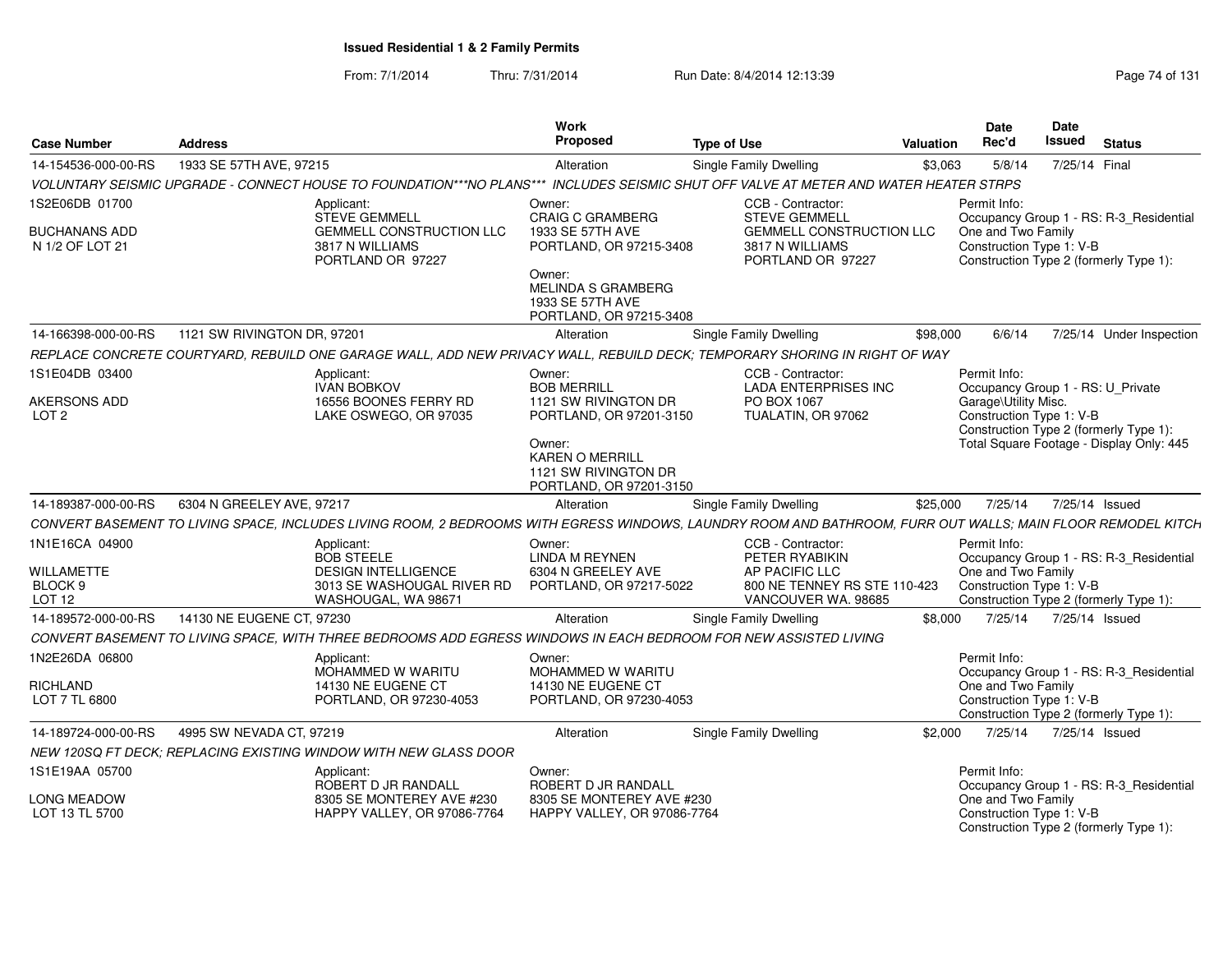From: 7/1/2014Thru: 7/31/2014 **Run Date: 8/4/2014 12:13:39** Page 74 of 131

| <b>Case Number</b>               | <b>Address</b>              |                                                                                                                                                             | <b>Work</b><br>Proposed                                                             | <b>Type of Use</b>            |                                                                  | <b>Valuation</b> | Date<br>Rec'd                                     | Date<br><b>Issued</b> | <b>Status</b>                            |
|----------------------------------|-----------------------------|-------------------------------------------------------------------------------------------------------------------------------------------------------------|-------------------------------------------------------------------------------------|-------------------------------|------------------------------------------------------------------|------------------|---------------------------------------------------|-----------------------|------------------------------------------|
| 14-154536-000-00-RS              | 1933 SE 57TH AVE, 97215     |                                                                                                                                                             | Alteration                                                                          | <b>Single Family Dwelling</b> |                                                                  | \$3,063          | 5/8/14                                            | 7/25/14 Final         |                                          |
|                                  |                             | VOLUNTARY SEISMIC UPGRADE - CONNECT HOUSE TO FOUNDATION***NO PLANS***                                                                                       | INCLUDES SEISMIC SHUT OFF VALVE AT METER AND WATER HEATER STRPS                     |                               |                                                                  |                  |                                                   |                       |                                          |
| 1S2E06DB 01700                   |                             | Applicant:<br><b>STEVE GEMMELL</b>                                                                                                                          | Owner:<br><b>CRAIG C GRAMBERG</b>                                                   |                               | CCB - Contractor:<br><b>STEVE GEMMELL</b>                        |                  | Permit Info:                                      |                       | Occupancy Group 1 - RS: R-3_Residential  |
| BUCHANANS ADD<br>N 1/2 OF LOT 21 |                             | <b>GEMMELL CONSTRUCTION LLC</b><br>3817 N WILLIAMS<br>PORTLAND OR 97227                                                                                     | 1933 SE 57TH AVE<br>PORTLAND, OR 97215-3408                                         |                               | GEMMELL CONSTRUCTION LLC<br>3817 N WILLIAMS<br>PORTLAND OR 97227 |                  | One and Two Family<br>Construction Type 1: V-B    |                       | Construction Type 2 (formerly Type 1):   |
|                                  |                             |                                                                                                                                                             | Owner:<br><b>MELINDA S GRAMBERG</b><br>1933 SE 57TH AVE<br>PORTLAND, OR 97215-3408  |                               |                                                                  |                  |                                                   |                       |                                          |
| 14-166398-000-00-RS              | 1121 SW RIVINGTON DR, 97201 |                                                                                                                                                             | Alteration                                                                          | Single Family Dwelling        |                                                                  | \$98,000         | 6/6/14                                            |                       | 7/25/14 Under Inspection                 |
|                                  |                             | REPLACE CONCRETE COURTYARD, REBUILD ONE GARAGE WALL, ADD NEW PRIVACY WALL, REBUILD DECK; TEMPORARY SHORING IN RIGHT OF WAY                                  |                                                                                     |                               |                                                                  |                  |                                                   |                       |                                          |
| 1S1E04DB 03400                   |                             | Applicant:<br><b>IVAN BOBKOV</b>                                                                                                                            | Owner:<br><b>BOB MERRILL</b>                                                        |                               | CCB - Contractor:<br><b>LADA ENTERPRISES INC</b>                 |                  | Permit Info:<br>Occupancy Group 1 - RS: U_Private |                       |                                          |
| AKERSONS ADD<br>LOT <sub>2</sub> |                             | 16556 BOONES FERRY RD<br>LAKE OSWEGO, OR 97035                                                                                                              | 1121 SW RIVINGTON DR<br>PORTLAND, OR 97201-3150                                     |                               | PO BOX 1067<br>TUALATIN, OR 97062                                |                  | Garage\Utility Misc.<br>Construction Type 1: V-B  |                       | Construction Type 2 (formerly Type 1):   |
|                                  |                             |                                                                                                                                                             | Owner:<br><b>KAREN O MERRILL</b><br>1121 SW RIVINGTON DR<br>PORTLAND, OR 97201-3150 |                               |                                                                  |                  |                                                   |                       | Total Square Footage - Display Only: 445 |
| 14-189387-000-00-RS              | 6304 N GREELEY AVE, 97217   |                                                                                                                                                             | Alteration                                                                          | <b>Single Family Dwelling</b> |                                                                  | \$25,000         | 7/25/14                                           |                       | 7/25/14 Issued                           |
|                                  |                             | CONVERT BASEMENT TO LIVING SPACE, INCLUDES LIVING ROOM, 2 BEDROOMS WITH EGRESS WINDOWS, LAUNDRY ROOM AND BATHROOM, FURR OUT WALLS; MAIN FLOOR REMODEL KITCH |                                                                                     |                               |                                                                  |                  |                                                   |                       |                                          |
| 1N1E16CA 04900                   |                             | Applicant:<br><b>BOB STEELE</b>                                                                                                                             | Owner:<br><b>LINDA M REYNEN</b>                                                     |                               | CCB - Contractor:<br>PETER RYABIKIN                              |                  | Permit Info:                                      |                       | Occupancy Group 1 - RS: R-3_Residential  |
| <b>WILLAMETTE</b>                |                             | <b>DESIGN INTELLIGENCE</b>                                                                                                                                  | 6304 N GREELEY AVE                                                                  |                               | AP PACIFIC LLC                                                   |                  | One and Two Family                                |                       |                                          |
| BLOCK <sub>9</sub><br>LOT 12     |                             | 3013 SE WASHOUGAL RIVER RD<br>WASHOUGAL, WA 98671                                                                                                           | PORTLAND, OR 97217-5022                                                             |                               | 800 NE TENNEY RS STE 110-423<br>VANCOUVER WA. 98685              |                  | Construction Type 1: V-B                          |                       | Construction Type 2 (formerly Type 1):   |
| 14-189572-000-00-RS              | 14130 NE EUGENE CT. 97230   |                                                                                                                                                             | Alteration                                                                          | Single Family Dwelling        |                                                                  | \$8,000          | 7/25/14                                           |                       | 7/25/14 Issued                           |
|                                  |                             | CONVERT BASEMENT TO LIVING SPACE, WITH THREE BEDROOMS ADD EGRESS WINDOWS IN EACH BEDROOM FOR NEW ASSISTED LIVING                                            |                                                                                     |                               |                                                                  |                  |                                                   |                       |                                          |
| 1N2E26DA 06800                   |                             | Applicant:                                                                                                                                                  | Owner:                                                                              |                               |                                                                  |                  | Permit Info:                                      |                       |                                          |
| <b>RICHLAND</b>                  |                             | <b>MOHAMMED W WARITU</b><br>14130 NE EUGENE CT                                                                                                              | <b>MOHAMMED W WARITU</b><br>14130 NE EUGENE CT                                      |                               |                                                                  |                  | One and Two Family                                |                       | Occupancy Group 1 - RS: R-3_Residential  |
| LOT 7 TL 6800                    |                             | PORTLAND, OR 97230-4053                                                                                                                                     | PORTLAND, OR 97230-4053                                                             |                               |                                                                  |                  | Construction Type 1: V-B                          |                       | Construction Type 2 (formerly Type 1):   |
| 14-189724-000-00-RS              | 4995 SW NEVADA CT, 97219    |                                                                                                                                                             | Alteration                                                                          | <b>Single Family Dwelling</b> |                                                                  | \$2,000          | 7/25/14                                           |                       | 7/25/14 Issued                           |
|                                  |                             | NEW 120SQ FT DECK: REPLACING EXISTING WINDOW WITH NEW GLASS DOOR                                                                                            |                                                                                     |                               |                                                                  |                  |                                                   |                       |                                          |
| 1S1E19AA 05700                   |                             | Applicant:<br>ROBERT D JR RANDALL                                                                                                                           | Owner:<br>ROBERT D JR RANDALL                                                       |                               |                                                                  |                  | Permit Info:                                      |                       | Occupancy Group 1 - RS: R-3_Residential  |
| LONG MEADOW<br>LOT 13 TL 5700    |                             | 8305 SE MONTEREY AVE #230<br>HAPPY VALLEY, OR 97086-7764                                                                                                    | 8305 SE MONTEREY AVE #230<br>HAPPY VALLEY, OR 97086-7764                            |                               |                                                                  |                  | One and Two Family<br>Construction Type 1: V-B    |                       | Construction Type 2 (formerly Type 1):   |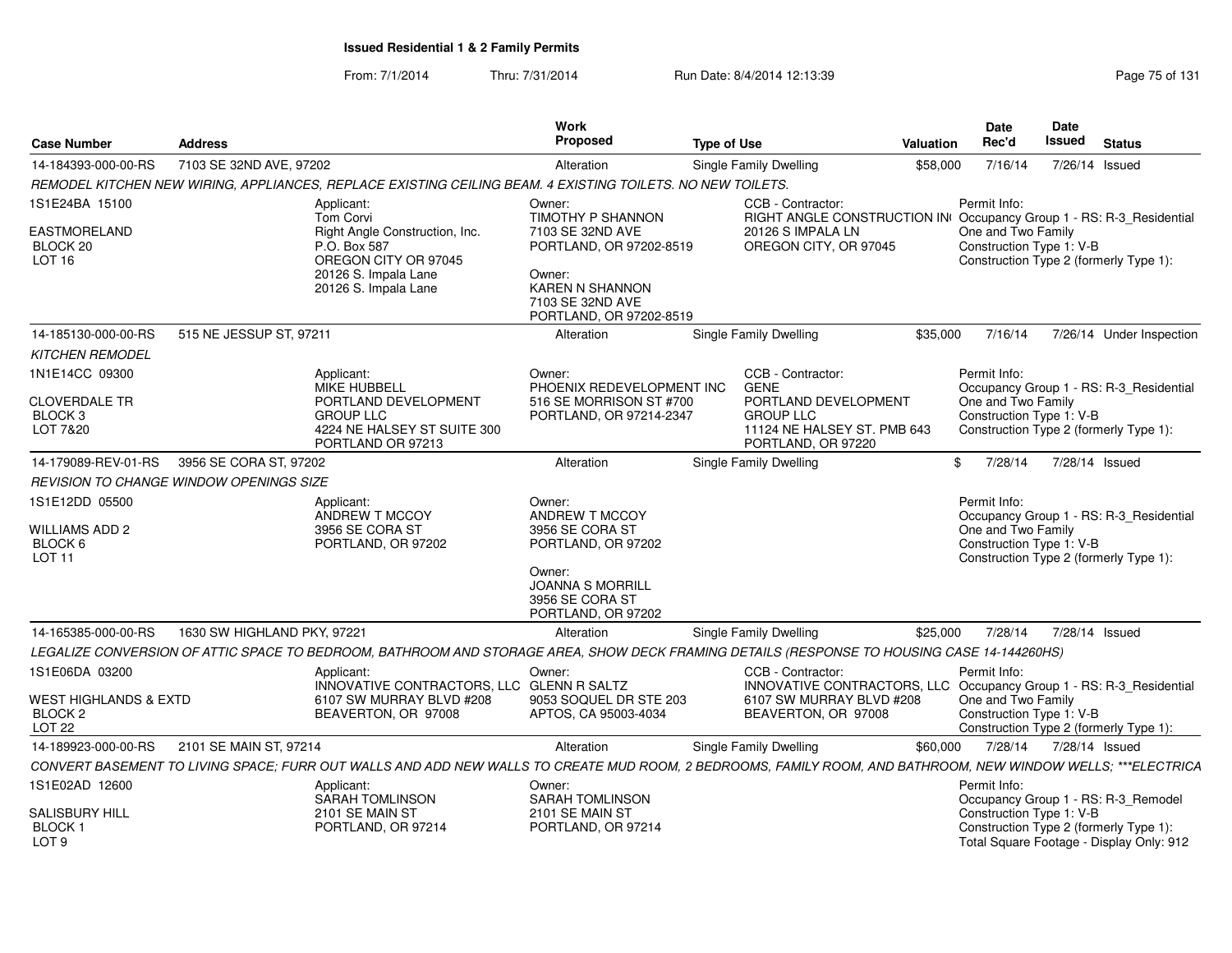| <b>Case Number</b>                                                      | <b>Address</b>                                        |                                                                                                                                                              | Work<br>Proposed                                                                                                                                | <b>Type of Use</b> |                                                                                               | <b>Valuation</b> | <b>Date</b><br>Rec'd                                           | Date<br>Issued | <b>Status</b>                                                                      |
|-------------------------------------------------------------------------|-------------------------------------------------------|--------------------------------------------------------------------------------------------------------------------------------------------------------------|-------------------------------------------------------------------------------------------------------------------------------------------------|--------------------|-----------------------------------------------------------------------------------------------|------------------|----------------------------------------------------------------|----------------|------------------------------------------------------------------------------------|
| 14-184393-000-00-RS                                                     | 7103 SE 32ND AVE, 97202                               |                                                                                                                                                              | Alteration                                                                                                                                      |                    | Single Family Dwelling                                                                        | \$58,000         | 7/16/14                                                        | 7/26/14 Issued |                                                                                    |
|                                                                         |                                                       | REMODEL KITCHEN NEW WIRING, APPLIANCES, REPLACE EXISTING CEILING BEAM. 4 EXISTING TOILETS. NO NEW TOILETS.                                                   |                                                                                                                                                 |                    |                                                                                               |                  |                                                                |                |                                                                                    |
| 1S1E24BA 15100                                                          |                                                       | Applicant:<br>Tom Corvi                                                                                                                                      | Owner:<br>TIMOTHY P SHANNON                                                                                                                     |                    | CCB - Contractor:<br>RIGHT ANGLE CONSTRUCTION IN Occupancy Group 1 - RS: R-3_Residential      |                  | Permit Info:                                                   |                |                                                                                    |
| <b>EASTMORELAND</b><br>BLOCK 20<br>LOT <sub>16</sub>                    |                                                       | Right Angle Construction, Inc.<br>P.O. Box 587<br>OREGON CITY OR 97045<br>20126 S. Impala Lane<br>20126 S. Impala Lane                                       | 7103 SE 32ND AVE<br>PORTLAND, OR 97202-8519<br>Owner:<br>KAREN N SHANNON<br>7103 SE 32ND AVE<br>PORTLAND, OR 97202-8519                         |                    | 20126 S IMPALA LN<br>OREGON CITY, OR 97045                                                    |                  | One and Two Family<br>Construction Type 1: V-B                 |                | Construction Type 2 (formerly Type 1):                                             |
| 14-185130-000-00-RS<br><b>KITCHEN REMODEL</b>                           | 515 NE JESSUP ST, 97211                               |                                                                                                                                                              | Alteration                                                                                                                                      |                    | Single Family Dwelling                                                                        | \$35,000         | 7/16/14                                                        |                | 7/26/14 Under Inspection                                                           |
| 1N1E14CC 09300                                                          |                                                       | Applicant:<br><b>MIKE HUBBELL</b>                                                                                                                            | Owner:<br>PHOENIX REDEVELOPMENT INC                                                                                                             |                    | CCB - Contractor:<br><b>GENE</b>                                                              |                  | Permit Info:                                                   |                | Occupancy Group 1 - RS: R-3_Residential                                            |
| <b>CLOVERDALE TR</b><br>BLOCK <sub>3</sub><br>LOT 7&20                  |                                                       | PORTLAND DEVELOPMENT<br><b>GROUP LLC</b><br>4224 NE HALSEY ST SUITE 300<br>PORTLAND OR 97213                                                                 | 516 SE MORRISON ST #700<br>PORTLAND, OR 97214-2347                                                                                              |                    | PORTLAND DEVELOPMENT<br><b>GROUP LLC</b><br>11124 NE HALSEY ST. PMB 643<br>PORTLAND, OR 97220 |                  | One and Two Family<br>Construction Type 1: V-B                 |                | Construction Type 2 (formerly Type 1):                                             |
| 14-179089-REV-01-RS                                                     | 3956 SE CORA ST, 97202                                |                                                                                                                                                              | Alteration                                                                                                                                      |                    | Single Family Dwelling                                                                        |                  | 7/28/14<br>\$                                                  | 7/28/14 Issued |                                                                                    |
|                                                                         | <i><b>REVISION TO CHANGE WINDOW OPENINGS SIZE</b></i> |                                                                                                                                                              |                                                                                                                                                 |                    |                                                                                               |                  |                                                                |                |                                                                                    |
| 1S1E12DD 05500<br>WILLIAMS ADD 2<br>BLOCK 6<br>LOT <sub>11</sub>        |                                                       | Applicant:<br>ANDREW T MCCOY<br>3956 SE CORA ST<br>PORTLAND, OR 97202                                                                                        | Owner:<br>ANDREW T MCCOY<br>3956 SE CORA ST<br>PORTLAND, OR 97202<br>Owner:<br><b>JOANNA S MORRILL</b><br>3956 SE CORA ST<br>PORTLAND, OR 97202 |                    |                                                                                               |                  | Permit Info:<br>One and Two Family<br>Construction Type 1: V-B |                | Occupancy Group 1 - RS: R-3_Residential<br>Construction Type 2 (formerly Type 1):  |
| 14-165385-000-00-RS                                                     | 1630 SW HIGHLAND PKY, 97221                           |                                                                                                                                                              | Alteration                                                                                                                                      |                    | <b>Single Family Dwelling</b>                                                                 | \$25,000         | 7/28/14                                                        | 7/28/14 Issued |                                                                                    |
|                                                                         |                                                       | LEGALIZE CONVERSION OF ATTIC SPACE TO BEDROOM, BATHROOM AND STORAGE AREA, SHOW DECK FRAMING DETAILS (RESPONSE TO HOUSING CASE 14-144260HS)                   |                                                                                                                                                 |                    |                                                                                               |                  |                                                                |                |                                                                                    |
| 1S1E06DA 03200                                                          |                                                       | Applicant:<br>INNOVATIVE CONTRACTORS, LLC GLENN R SALTZ                                                                                                      | Owner:                                                                                                                                          |                    | CCB - Contractor:<br>INNOVATIVE CONTRACTORS, LLC Occupancy Group 1 - RS: R-3_Residential      |                  | Permit Info:                                                   |                |                                                                                    |
| <b>WEST HIGHLANDS &amp; EXTD</b><br>BLOCK <sub>2</sub><br><b>LOT 22</b> |                                                       | 6107 SW MURRAY BLVD #208<br>BEAVERTON, OR 97008                                                                                                              | 9053 SOQUEL DR STE 203<br>APTOS, CA 95003-4034                                                                                                  |                    | 6107 SW MURRAY BLVD #208<br>BEAVERTON, OR 97008                                               |                  | One and Two Family<br>Construction Type 1: V-B                 |                | Construction Type 2 (formerly Type 1):                                             |
| 14-189923-000-00-RS                                                     | 2101 SE MAIN ST, 97214                                |                                                                                                                                                              | Alteration                                                                                                                                      |                    | Single Family Dwelling                                                                        | \$60,000         | 7/28/14                                                        | 7/28/14 Issued |                                                                                    |
|                                                                         |                                                       | CONVERT BASEMENT TO LIVING SPACE; FURR OUT WALLS AND ADD NEW WALLS TO CREATE MUD ROOM, 2 BEDROOMS, FAMILY ROOM, AND BATHROOM, NEW WINDOW WELLS; ***ELECTRICA |                                                                                                                                                 |                    |                                                                                               |                  |                                                                |                |                                                                                    |
| 1S1E02AD 12600                                                          |                                                       | Applicant:<br>SARAH TOMLINSON                                                                                                                                | Owner:<br><b>SARAH TOMLINSON</b>                                                                                                                |                    |                                                                                               |                  | Permit Info:                                                   |                | Occupancy Group 1 - RS: R-3_Remodel                                                |
| <b>SALISBURY HILL</b><br><b>BLOCK1</b><br>LOT <sub>9</sub>              |                                                       | 2101 SE MAIN ST<br>PORTLAND, OR 97214                                                                                                                        | 2101 SE MAIN ST<br>PORTLAND, OR 97214                                                                                                           |                    |                                                                                               |                  | Construction Type 1: V-B                                       |                | Construction Type 2 (formerly Type 1):<br>Total Square Footage - Display Only: 912 |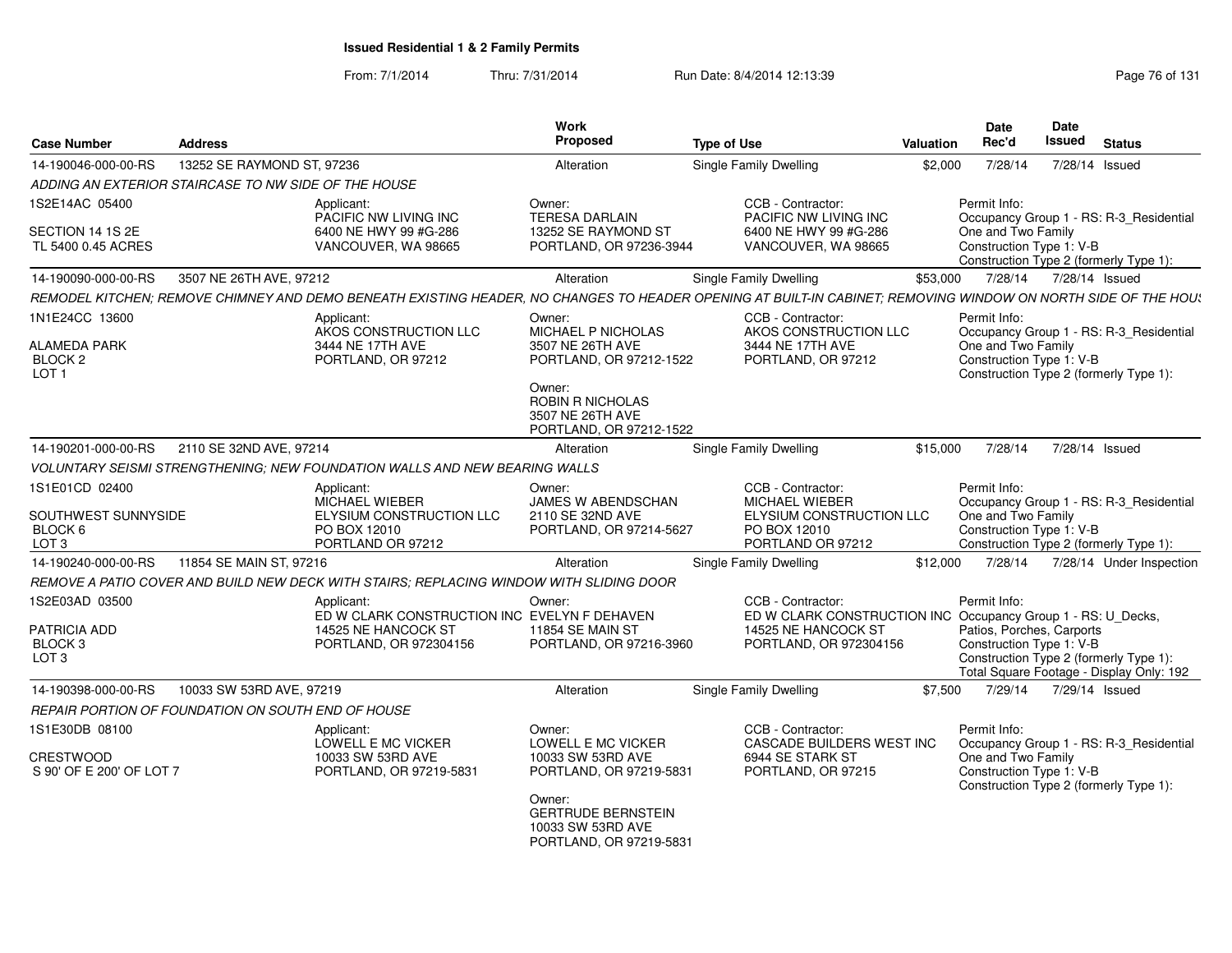| <b>Case Number</b>                                                              | <b>Address</b>                                                                                                                                                | <b>Work</b><br>Proposed                                                                                                                                  | <b>Type of Use</b>                                                                                                                 | <b>Valuation</b> | <b>Date</b><br>Rec'd                                                  | Date<br>Issued | <b>Status</b>                                                                      |
|---------------------------------------------------------------------------------|---------------------------------------------------------------------------------------------------------------------------------------------------------------|----------------------------------------------------------------------------------------------------------------------------------------------------------|------------------------------------------------------------------------------------------------------------------------------------|------------------|-----------------------------------------------------------------------|----------------|------------------------------------------------------------------------------------|
| 14-190046-000-00-RS                                                             | 13252 SE RAYMOND ST, 97236                                                                                                                                    | Alteration                                                                                                                                               | <b>Single Family Dwelling</b>                                                                                                      | \$2,000          | 7/28/14                                                               | 7/28/14 Issued |                                                                                    |
|                                                                                 | ADDING AN EXTERIOR STAIRCASE TO NW SIDE OF THE HOUSE                                                                                                          |                                                                                                                                                          |                                                                                                                                    |                  |                                                                       |                |                                                                                    |
| 1S2E14AC 05400                                                                  | Applicant:<br>PACIFIC NW LIVING INC                                                                                                                           | Owner:<br><b>TERESA DARLAIN</b>                                                                                                                          | CCB - Contractor:<br>PACIFIC NW LIVING INC                                                                                         |                  | Permit Info:                                                          |                | Occupancy Group 1 - RS: R-3 Residential                                            |
| SECTION 14 1S 2E<br>TL 5400 0.45 ACRES                                          | 6400 NE HWY 99 #G-286<br>VANCOUVER, WA 98665                                                                                                                  | 13252 SE RAYMOND ST<br>PORTLAND, OR 97236-3944                                                                                                           | 6400 NE HWY 99 #G-286<br>VANCOUVER, WA 98665                                                                                       |                  | One and Two Family<br>Construction Type 1: V-B                        |                | Construction Type 2 (formerly Type 1):                                             |
| 14-190090-000-00-RS                                                             | 3507 NE 26TH AVE, 97212                                                                                                                                       | Alteration                                                                                                                                               | Single Family Dwelling                                                                                                             | \$53,000         | 7/28/14                                                               | 7/28/14 Issued |                                                                                    |
|                                                                                 | REMODEL KITCHEN; REMOVE CHIMNEY AND DEMO BENEATH EXISTING HEADER, NO CHANGES TO HEADER OPENING AT BUILT-IN CABINET; REMOVING WINDOW ON NORTH SIDE OF THE HOU: |                                                                                                                                                          |                                                                                                                                    |                  |                                                                       |                |                                                                                    |
| 1N1E24CC 13600<br><b>ALAMEDA PARK</b><br>BLOCK <sub>2</sub><br>LOT <sub>1</sub> | Applicant:<br>AKOS CONSTRUCTION LLC<br>3444 NE 17TH AVE<br>PORTLAND, OR 97212                                                                                 | Owner:<br>MICHAEL P NICHOLAS<br>3507 NE 26TH AVE<br>PORTLAND, OR 97212-1522<br>Owner:<br>ROBIN R NICHOLAS<br>3507 NE 26TH AVE<br>PORTLAND, OR 97212-1522 | CCB - Contractor:<br>AKOS CONSTRUCTION LLC<br>3444 NE 17TH AVE<br>PORTLAND, OR 97212                                               |                  | Permit Info:<br>One and Two Family<br>Construction Type 1: V-B        |                | Occupancy Group 1 - RS: R-3_Residential<br>Construction Type 2 (formerly Type 1):  |
| 14-190201-000-00-RS                                                             | 2110 SE 32ND AVE, 97214                                                                                                                                       | Alteration                                                                                                                                               | <b>Single Family Dwelling</b>                                                                                                      | \$15,000         | 7/28/14                                                               | 7/28/14 Issued |                                                                                    |
|                                                                                 | VOLUNTARY SEISMI STRENGTHENING: NEW FOUNDATION WALLS AND NEW BEARING WALLS                                                                                    |                                                                                                                                                          |                                                                                                                                    |                  |                                                                       |                |                                                                                    |
| 1S1E01CD 02400<br>SOUTHWEST SUNNYSIDE<br>BLOCK 6<br>LOT 3                       | Applicant:<br>MICHAEL WIEBER<br>ELYSIUM CONSTRUCTION LLC<br>PO BOX 12010<br>PORTLAND OR 97212                                                                 | Owner:<br>JAMES W ABENDSCHAN<br>2110 SE 32ND AVE<br>PORTLAND, OR 97214-5627                                                                              | CCB - Contractor:<br><b>MICHAEL WIEBER</b><br>ELYSIUM CONSTRUCTION LLC<br>PO BOX 12010<br>PORTLAND OR 97212                        |                  | Permit Info:<br>One and Two Family<br>Construction Type 1: V-B        |                | Occupancy Group 1 - RS: R-3 Residential<br>Construction Type 2 (formerly Type 1):  |
| 14-190240-000-00-RS                                                             | 11854 SE MAIN ST, 97216                                                                                                                                       | Alteration                                                                                                                                               | Single Family Dwelling                                                                                                             | \$12,000         | 7/28/14                                                               |                | 7/28/14 Under Inspection                                                           |
|                                                                                 | REMOVE A PATIO COVER AND BUILD NEW DECK WITH STAIRS; REPLACING WINDOW WITH SLIDING DOOR                                                                       |                                                                                                                                                          |                                                                                                                                    |                  |                                                                       |                |                                                                                    |
| 1S2E03AD 03500<br><b>PATRICIA ADD</b><br>BLOCK 3<br>LOT <sub>3</sub>            | Applicant:<br>ED W CLARK CONSTRUCTION INC EVELYN F DEHAVEN<br>14525 NE HANCOCK ST<br>PORTLAND, OR 972304156                                                   | Owner:<br><b>11854 SE MAIN ST</b><br>PORTLAND, OR 97216-3960                                                                                             | CCB - Contractor:<br>ED W CLARK CONSTRUCTION INC Occupancy Group 1 - RS: U_Decks,<br>14525 NE HANCOCK ST<br>PORTLAND, OR 972304156 |                  | Permit Info:<br>Patios, Porches, Carports<br>Construction Type 1: V-B |                | Construction Type 2 (formerly Type 1):<br>Total Square Footage - Display Only: 192 |
| 14-190398-000-00-RS                                                             | 10033 SW 53RD AVE, 97219                                                                                                                                      | Alteration                                                                                                                                               | Single Family Dwelling                                                                                                             | \$7,500          | 7/29/14                                                               | 7/29/14 Issued |                                                                                    |
|                                                                                 | REPAIR PORTION OF FOUNDATION ON SOUTH END OF HOUSE                                                                                                            |                                                                                                                                                          |                                                                                                                                    |                  |                                                                       |                |                                                                                    |
| 1S1E30DB 08100<br><b>CRESTWOOD</b><br>S 90' OF E 200' OF LOT 7                  | Applicant:<br>LOWELL E MC VICKER<br>10033 SW 53RD AVE<br>PORTLAND, OR 97219-5831                                                                              | Owner:<br>LOWELL E MC VICKER<br>10033 SW 53RD AVE<br>PORTLAND, OR 97219-5831<br>Owner:                                                                   | CCB - Contractor:<br>CASCADE BUILDERS WEST INC<br>6944 SE STARK ST<br>PORTLAND, OR 97215                                           |                  | Permit Info:<br>One and Two Family<br>Construction Type 1: V-B        |                | Occupancy Group 1 - RS: R-3_Residential<br>Construction Type 2 (formerly Type 1):  |
|                                                                                 |                                                                                                                                                               | <b>GERTRUDE BERNSTEIN</b><br>10033 SW 53RD AVE<br>PORTLAND, OR 97219-5831                                                                                |                                                                                                                                    |                  |                                                                       |                |                                                                                    |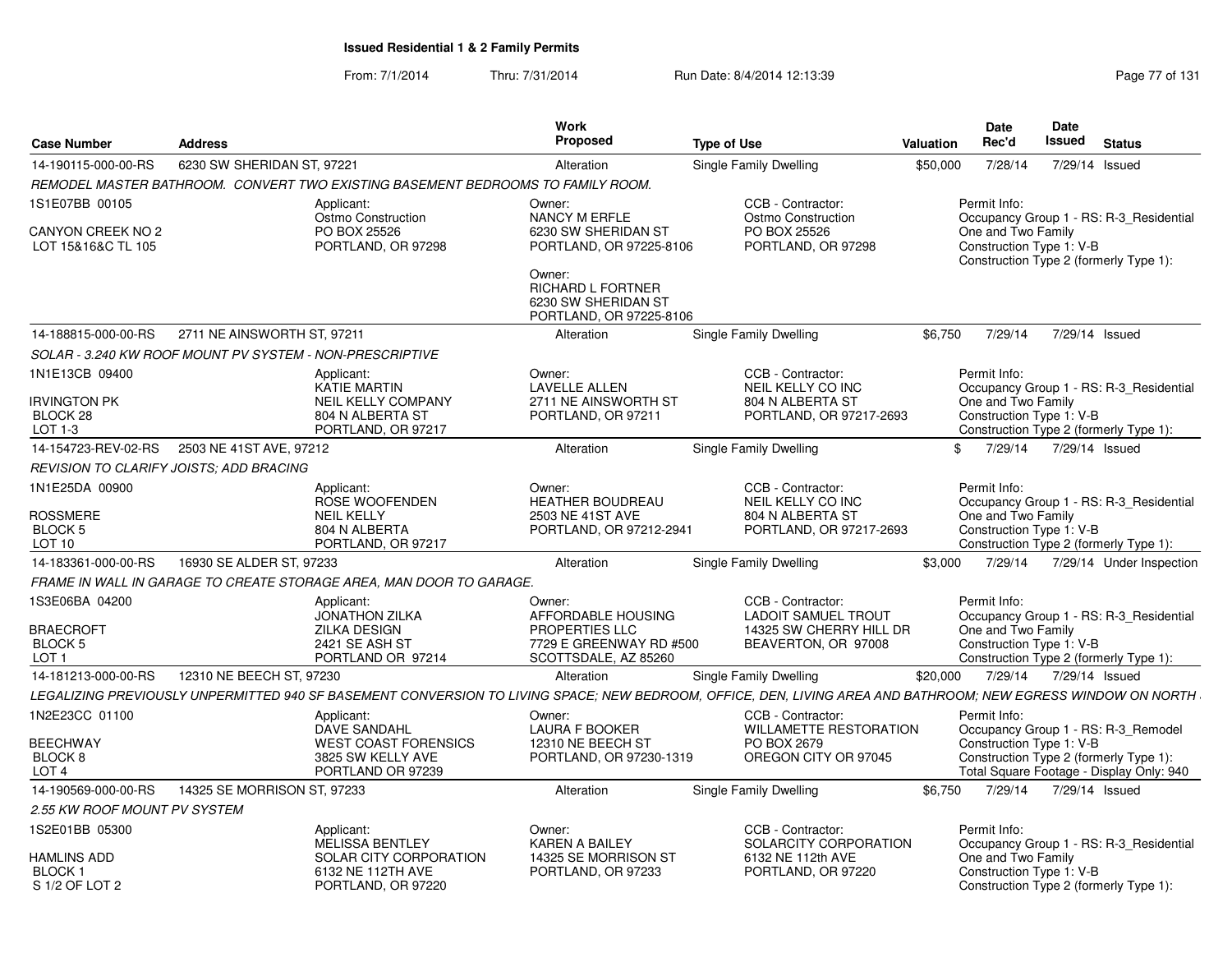| <b>Case Number</b>                                                           | <b>Address</b>              |                                                                                                                                                              | Work<br><b>Proposed</b>                                                                                                         | <b>Type of Use</b> |                                                                                                   | <b>Valuation</b> | Date<br>Rec'd                                                  | <b>Date</b><br>Issued | <b>Status</b>                                                                                                             |
|------------------------------------------------------------------------------|-----------------------------|--------------------------------------------------------------------------------------------------------------------------------------------------------------|---------------------------------------------------------------------------------------------------------------------------------|--------------------|---------------------------------------------------------------------------------------------------|------------------|----------------------------------------------------------------|-----------------------|---------------------------------------------------------------------------------------------------------------------------|
| 14-190115-000-00-RS                                                          | 6230 SW SHERIDAN ST, 97221  |                                                                                                                                                              | Alteration                                                                                                                      |                    | <b>Single Family Dwelling</b>                                                                     | \$50,000         | 7/28/14                                                        |                       | 7/29/14 Issued                                                                                                            |
|                                                                              |                             | REMODEL MASTER BATHROOM. CONVERT TWO EXISTING BASEMENT BEDROOMS TO FAMILY ROOM.                                                                              |                                                                                                                                 |                    |                                                                                                   |                  |                                                                |                       |                                                                                                                           |
| 1S1E07BB 00105<br>CANYON CREEK NO 2<br>LOT 15&16&C TL 105                    |                             | Applicant:<br>Ostmo Construction<br>PO BOX 25526<br>PORTLAND, OR 97298                                                                                       | Owner:<br>NANCY M ERFLE<br>6230 SW SHERIDAN ST<br>PORTLAND, OR 97225-8106<br>Owner:<br>RICHARD L FORTNER<br>6230 SW SHERIDAN ST |                    | CCB - Contractor:<br>Ostmo Construction<br>PO BOX 25526<br>PORTLAND, OR 97298                     |                  | Permit Info:<br>One and Two Family<br>Construction Type 1: V-B |                       | Occupancy Group 1 - RS: R-3 Residential<br>Construction Type 2 (formerly Type 1):                                         |
| 14-188815-000-00-RS                                                          | 2711 NE AINSWORTH ST. 97211 |                                                                                                                                                              | PORTLAND, OR 97225-8106<br>Alteration                                                                                           |                    |                                                                                                   | \$6.750          | 7/29/14                                                        |                       | 7/29/14 Issued                                                                                                            |
| SOLAR - 3.240 KW ROOF MOUNT PV SYSTEM - NON-PRESCRIPTIVE                     |                             |                                                                                                                                                              |                                                                                                                                 |                    | Single Family Dwelling                                                                            |                  |                                                                |                       |                                                                                                                           |
| 1N1E13CB 09400<br><b>IRVINGTON PK</b><br>BLOCK <sub>28</sub>                 |                             | Applicant:<br><b>KATIE MARTIN</b><br><b>NEIL KELLY COMPANY</b><br>804 N ALBERTA ST                                                                           | Owner:<br><b>LAVELLE ALLEN</b><br>2711 NE AINSWORTH ST<br>PORTLAND, OR 97211                                                    |                    | CCB - Contractor:<br>NEIL KELLY CO INC<br>804 N ALBERTA ST<br>PORTLAND, OR 97217-2693             |                  | Permit Info:<br>One and Two Family<br>Construction Type 1: V-B |                       | Occupancy Group 1 - RS: R-3 Residential<br>Construction Type 2 (formerly Type 1):                                         |
| LOT 1-3<br>14-154723-REV-02-RS                                               | 2503 NE 41ST AVE, 97212     | PORTLAND, OR 97217                                                                                                                                           | Alteration                                                                                                                      |                    | Single Family Dwelling                                                                            |                  | \$<br>7/29/14                                                  | 7/29/14 Issued        |                                                                                                                           |
| REVISION TO CLARIFY JOISTS; ADD BRACING                                      |                             |                                                                                                                                                              |                                                                                                                                 |                    |                                                                                                   |                  |                                                                |                       |                                                                                                                           |
| 1N1E25DA 00900<br><b>ROSSMERE</b><br>BLOCK <sub>5</sub><br>LOT 10            |                             | Applicant:<br>ROSE WOOFENDEN<br><b>NEIL KELLY</b><br>804 N ALBERTA<br>PORTLAND, OR 97217                                                                     | Owner:<br><b>HEATHER BOUDREAU</b><br>2503 NE 41ST AVE<br>PORTLAND, OR 97212-2941                                                |                    | CCB - Contractor:<br>NEIL KELLY CO INC<br>804 N ALBERTA ST<br>PORTLAND, OR 97217-2693             |                  | Permit Info:<br>One and Two Family<br>Construction Type 1: V-B |                       | Occupancy Group 1 - RS: R-3 Residential<br>Construction Type 2 (formerly Type 1):                                         |
| 14-183361-000-00-RS                                                          | 16930 SE ALDER ST, 97233    |                                                                                                                                                              | Alteration                                                                                                                      |                    | Single Family Dwelling                                                                            | \$3.000          | 7/29/14                                                        |                       | 7/29/14 Under Inspection                                                                                                  |
|                                                                              |                             | FRAME IN WALL IN GARAGE TO CREATE STORAGE AREA, MAN DOOR TO GARAGE.                                                                                          |                                                                                                                                 |                    |                                                                                                   |                  |                                                                |                       |                                                                                                                           |
| 1S3E06BA 04200<br><b>BRAECROFT</b><br>BLOCK <sub>5</sub><br>LOT <sub>1</sub> |                             | Applicant:<br><b>JONATHON ZILKA</b><br><b>ZILKA DESIGN</b><br>2421 SE ASH ST<br>PORTLAND OR 97214                                                            | Owner:<br>AFFORDABLE HOUSING<br>PROPERTIES LLC<br>7729 E GREENWAY RD #500<br>SCOTTSDALE, AZ 85260                               |                    | CCB - Contractor:<br><b>LADOIT SAMUEL TROUT</b><br>14325 SW CHERRY HILL DR<br>BEAVERTON, OR 97008 |                  | Permit Info:<br>One and Two Family<br>Construction Type 1: V-B |                       | Occupancy Group 1 - RS: R-3 Residential<br>Construction Type 2 (formerly Type 1):                                         |
| 14-181213-000-00-RS                                                          | 12310 NE BEECH ST, 97230    |                                                                                                                                                              | Alteration                                                                                                                      |                    | Single Family Dwelling                                                                            | \$20,000         | 7/29/14                                                        | 7/29/14 Issued        |                                                                                                                           |
|                                                                              |                             | LEGALIZING PREVIOUSLY UNPERMITTED 940 SF BASEMENT CONVERSION TO LIVING SPACE: NEW BEDROOM, OFFICE, DEN, LIVING AREA AND BATHROOM; NEW EGRESS WINDOW ON NORTH |                                                                                                                                 |                    |                                                                                                   |                  |                                                                |                       |                                                                                                                           |
| 1N2E23CC 01100<br><b>BEECHWAY</b><br>BLOCK <sub>8</sub><br>LOT <sub>4</sub>  |                             | Applicant:<br><b>DAVE SANDAHL</b><br><b>WEST COAST FORENSICS</b><br>3825 SW KELLY AVE<br>PORTLAND OR 97239                                                   | Owner:<br><b>LAURA F BOOKER</b><br>12310 NE BEECH ST<br>PORTLAND, OR 97230-1319                                                 |                    | CCB - Contractor:<br>WILLAMETTE RESTORATION<br>PO BOX 2679<br>OREGON CITY OR 97045                |                  | Permit Info:<br>Construction Type 1: V-B                       |                       | Occupancy Group 1 - RS: R-3_Remodel<br>Construction Type 2 (formerly Type 1):<br>Total Square Footage - Display Only: 940 |
| 14-190569-000-00-RS                                                          | 14325 SE MORRISON ST, 97233 |                                                                                                                                                              | Alteration                                                                                                                      |                    | Single Family Dwelling                                                                            | \$6.750          | 7/29/14                                                        | 7/29/14 Issued        |                                                                                                                           |
| 2.55 KW ROOF MOUNT PV SYSTEM                                                 |                             |                                                                                                                                                              |                                                                                                                                 |                    |                                                                                                   |                  |                                                                |                       |                                                                                                                           |
| 1S2E01BB 05300<br><b>HAMLINS ADD</b><br><b>BLOCK1</b>                        |                             | Applicant:<br><b>MELISSA BENTLEY</b><br>SOLAR CITY CORPORATION<br>6132 NE 112TH AVE                                                                          | Owner:<br><b>KAREN A BAILEY</b><br>14325 SE MORRISON ST<br>PORTLAND, OR 97233                                                   |                    | CCB - Contractor:<br>SOLARCITY CORPORATION<br>6132 NE 112th AVE<br>PORTLAND, OR 97220             |                  | Permit Info:<br>One and Two Family<br>Construction Type 1: V-B |                       | Occupancy Group 1 - RS: R-3 Residential                                                                                   |
| S 1/2 OF LOT 2                                                               |                             | PORTLAND, OR 97220                                                                                                                                           |                                                                                                                                 |                    |                                                                                                   |                  |                                                                |                       | Construction Type 2 (formerly Type 1):                                                                                    |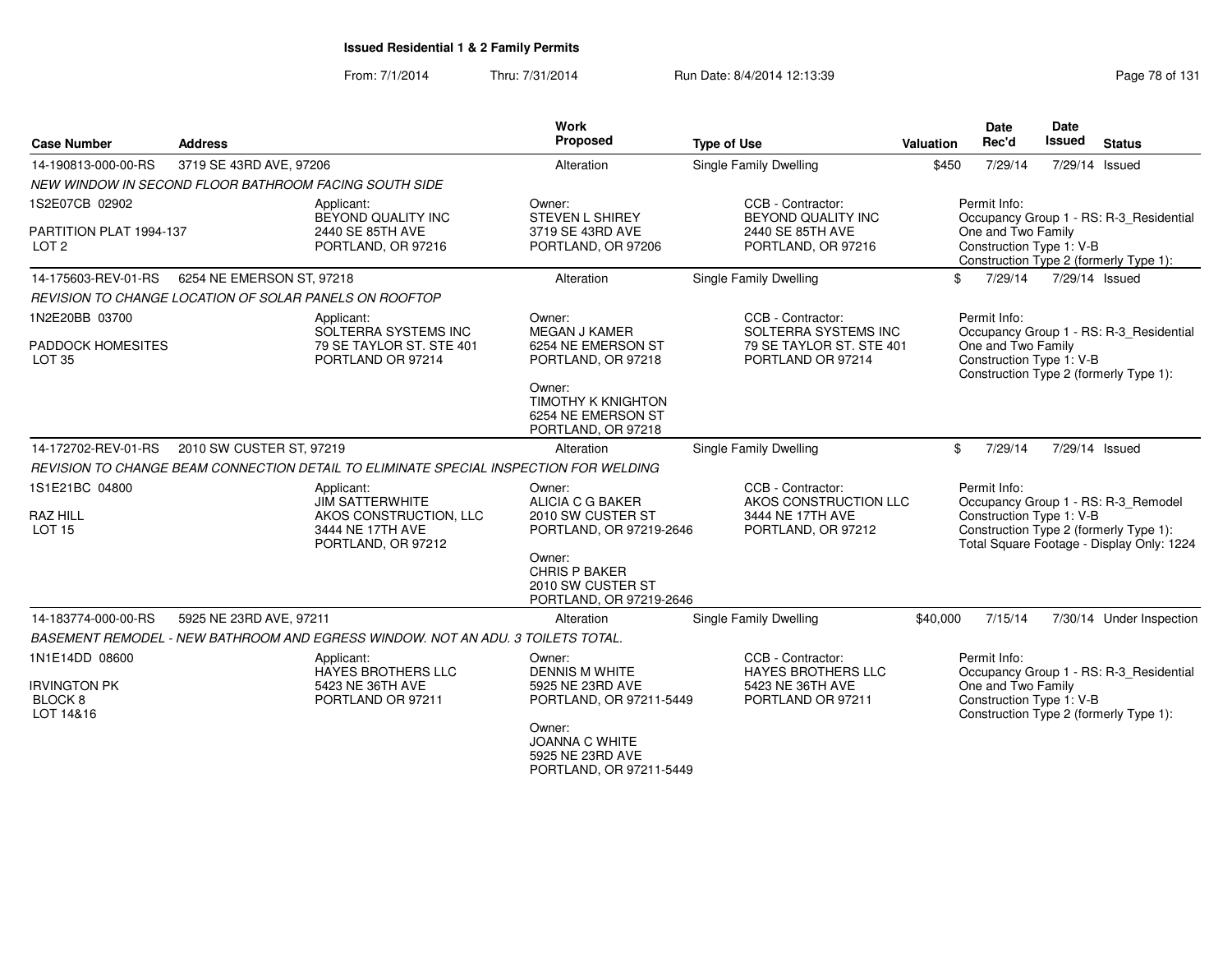| <b>Case Number</b>                                          | <b>Address</b>                                         |                                                                                                          | Work<br>Proposed                                                                                             | <b>Type of Use</b>                                                                         | Valuation | Date<br>Rec'd                                                  | <b>Date</b><br>Issued | <b>Status</b>                                                                                                              |
|-------------------------------------------------------------|--------------------------------------------------------|----------------------------------------------------------------------------------------------------------|--------------------------------------------------------------------------------------------------------------|--------------------------------------------------------------------------------------------|-----------|----------------------------------------------------------------|-----------------------|----------------------------------------------------------------------------------------------------------------------------|
| 14-190813-000-00-RS                                         | 3719 SE 43RD AVE, 97206                                |                                                                                                          | Alteration                                                                                                   | Single Family Dwelling                                                                     | \$450     | 7/29/14                                                        | 7/29/14 Issued        |                                                                                                                            |
|                                                             | NEW WINDOW IN SECOND FLOOR BATHROOM FACING SOUTH SIDE  |                                                                                                          |                                                                                                              |                                                                                            |           |                                                                |                       |                                                                                                                            |
| 1S2E07CB 02902                                              |                                                        | Applicant:<br>BEYOND QUALITY INC                                                                         | Owner:<br><b>STEVEN L SHIREY</b>                                                                             | CCB - Contractor:<br>BEYOND QUALITY INC                                                    |           | Permit Info:                                                   |                       | Occupancy Group 1 - RS: R-3 Residential                                                                                    |
| PARTITION PLAT 1994-137<br>LOT <sub>2</sub>                 |                                                        | 2440 SE 85TH AVE<br>PORTLAND, OR 97216                                                                   | 3719 SE 43RD AVE<br>PORTLAND, OR 97206                                                                       | 2440 SE 85TH AVE<br>PORTLAND, OR 97216                                                     |           | One and Two Family<br>Construction Type 1: V-B                 |                       | Construction Type 2 (formerly Type 1):                                                                                     |
| 14-175603-REV-01-RS                                         | 6254 NE EMERSON ST, 97218                              |                                                                                                          | Alteration                                                                                                   | <b>Single Family Dwelling</b>                                                              |           | \$<br>7/29/14                                                  | 7/29/14 Issued        |                                                                                                                            |
|                                                             | REVISION TO CHANGE LOCATION OF SOLAR PANELS ON ROOFTOP |                                                                                                          |                                                                                                              |                                                                                            |           |                                                                |                       |                                                                                                                            |
| 1N2E20BB 03700<br><b>PADDOCK HOMESITES</b><br><b>LOT 35</b> |                                                        | Applicant:<br>SOLTERRA SYSTEMS INC<br>79 SE TAYLOR ST. STE 401<br>PORTLAND OR 97214                      | Owner:<br>MEGAN J KAMER<br>6254 NE EMERSON ST<br>PORTLAND, OR 97218                                          | CCB - Contractor:<br>SOLTERRA SYSTEMS INC<br>79 SE TAYLOR ST. STE 401<br>PORTLAND OR 97214 |           | Permit Info:<br>One and Two Family<br>Construction Type 1: V-B |                       | Occupancy Group 1 - RS: R-3_Residential<br>Construction Type 2 (formerly Type 1):                                          |
|                                                             |                                                        |                                                                                                          | Owner:<br><b>TIMOTHY K KNIGHTON</b><br>6254 NE EMERSON ST<br>PORTLAND, OR 97218                              |                                                                                            |           |                                                                |                       |                                                                                                                            |
| 14-172702-REV-01-RS                                         | 2010 SW CUSTER ST, 97219                               |                                                                                                          | Alteration                                                                                                   | Single Family Dwelling                                                                     |           | \$<br>7/29/14                                                  | 7/29/14 Issued        |                                                                                                                            |
|                                                             |                                                        | REVISION TO CHANGE BEAM CONNECTION DETAIL TO ELIMINATE SPECIAL INSPECTION FOR WELDING                    |                                                                                                              |                                                                                            |           |                                                                |                       |                                                                                                                            |
| 1S1E21BC 04800<br><b>RAZ HILL</b><br><b>LOT 15</b>          |                                                        | Applicant:<br><b>JIM SATTERWHITE</b><br>AKOS CONSTRUCTION, LLC<br>3444 NE 17TH AVE<br>PORTLAND, OR 97212 | Owner:<br>ALICIA C G BAKER<br>2010 SW CUSTER ST<br>PORTLAND, OR 97219-2646<br>Owner:<br><b>CHRIS P BAKER</b> | CCB - Contractor:<br>AKOS CONSTRUCTION LLC<br>3444 NE 17TH AVE<br>PORTLAND, OR 97212       |           | Permit Info:<br>Construction Type 1: V-B                       |                       | Occupancy Group 1 - RS: R-3_Remodel<br>Construction Type 2 (formerly Type 1):<br>Total Square Footage - Display Only: 1224 |
|                                                             |                                                        |                                                                                                          | 2010 SW CUSTER ST<br>PORTLAND, OR 97219-2646                                                                 |                                                                                            |           |                                                                |                       |                                                                                                                            |
| 14-183774-000-00-RS                                         | 5925 NE 23RD AVE, 97211                                |                                                                                                          | Alteration                                                                                                   | Single Family Dwelling                                                                     | \$40,000  | 7/15/14                                                        |                       | 7/30/14 Under Inspection                                                                                                   |
|                                                             |                                                        | BASEMENT REMODEL - NEW BATHROOM AND EGRESS WINDOW. NOT AN ADU. 3 TOILETS TOTAL.                          |                                                                                                              |                                                                                            |           |                                                                |                       |                                                                                                                            |
| 1N1E14DD 08600                                              |                                                        | Applicant:<br>HAYES BROTHERS LLC                                                                         | Owner:<br><b>DENNIS M WHITE</b>                                                                              | CCB - Contractor:<br><b>HAYES BROTHERS LLC</b>                                             |           | Permit Info:                                                   |                       | Occupancy Group 1 - RS: R-3_Residential                                                                                    |
| <b>IRVINGTON PK</b><br>BLOCK <sub>8</sub><br>LOT 14&16      |                                                        | 5423 NE 36TH AVE<br>PORTLAND OR 97211                                                                    | 5925 NE 23RD AVE<br>PORTLAND, OR 97211-5449                                                                  | 5423 NE 36TH AVE<br>PORTLAND OR 97211                                                      |           | One and Two Family<br>Construction Type 1: V-B                 |                       | Construction Type 2 (formerly Type 1):                                                                                     |
|                                                             |                                                        |                                                                                                          | Owner:<br><b>JOANNA C WHITE</b><br>5925 NE 23RD AVE<br>PORTLAND, OR 97211-5449                               |                                                                                            |           |                                                                |                       |                                                                                                                            |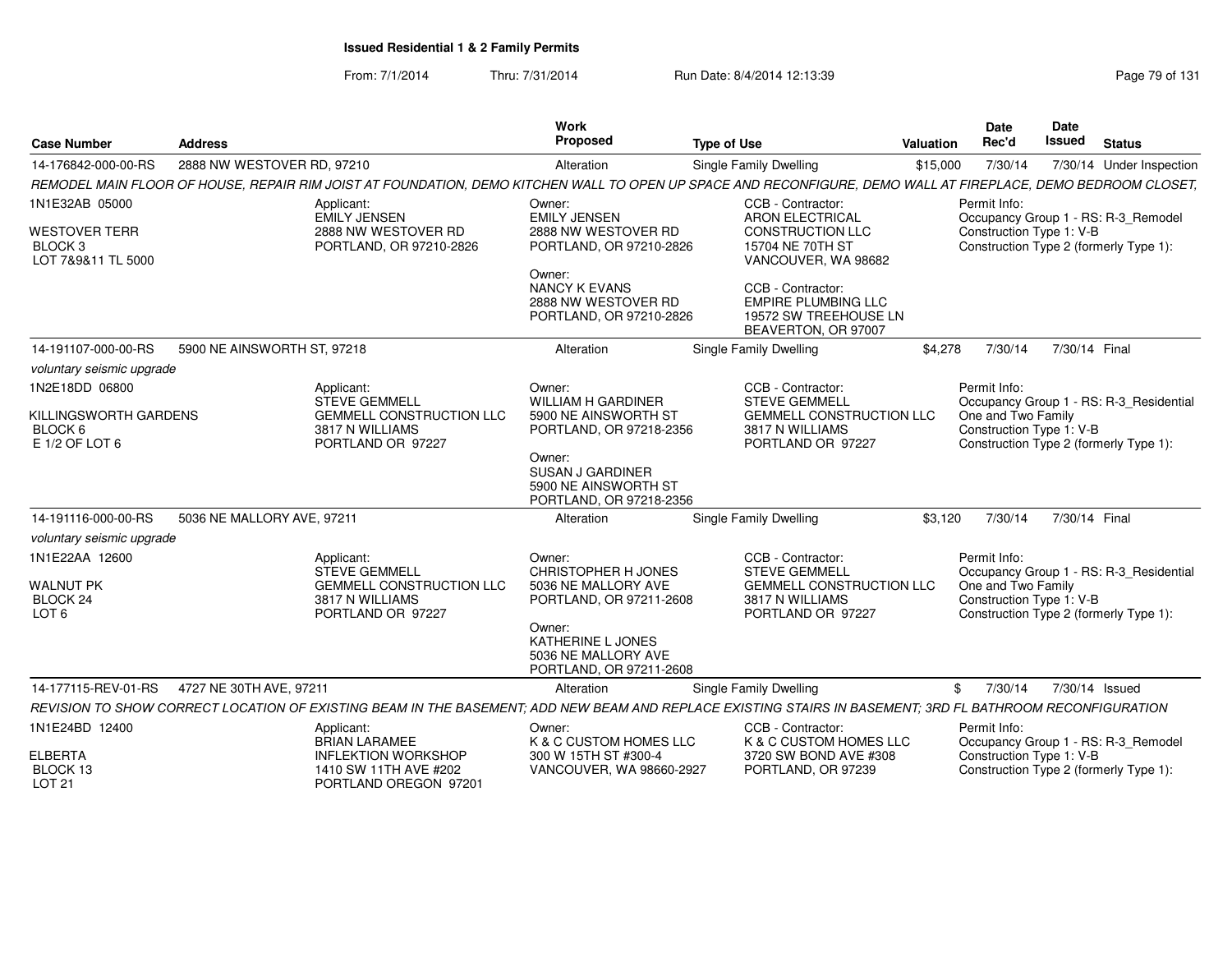| <b>Case Number</b>                                               | <b>Address</b>              |                                                                                                                                                               | Work<br><b>Proposed</b>                                                              | <b>Type of Use</b>                                                                              | Valuation | <b>Date</b><br>Rec'd                                               | Date<br>Issued | <b>Status</b>                           |
|------------------------------------------------------------------|-----------------------------|---------------------------------------------------------------------------------------------------------------------------------------------------------------|--------------------------------------------------------------------------------------|-------------------------------------------------------------------------------------------------|-----------|--------------------------------------------------------------------|----------------|-----------------------------------------|
| 14-176842-000-00-RS                                              | 2888 NW WESTOVER RD, 97210  |                                                                                                                                                               | Alteration                                                                           | Single Family Dwelling                                                                          | \$15,000  | 7/30/14                                                            |                | 7/30/14 Under Inspection                |
|                                                                  |                             | REMODEL MAIN FLOOR OF HOUSE, REPAIR RIM JOIST AT FOUNDATION, DEMO KITCHEN WALL TO OPEN UP SPACE AND RECONFIGURE, DEMO WALL AT FIREPLACE, DEMO BEDROOM CLOSET, |                                                                                      |                                                                                                 |           |                                                                    |                |                                         |
| 1N1E32AB 05000                                                   |                             | Applicant:<br><b>EMILY JENSEN</b>                                                                                                                             | Owner:<br><b>EMILY JENSEN</b>                                                        | CCB - Contractor:<br><b>ARON ELECTRICAL</b>                                                     |           | Permit Info:                                                       |                | Occupancy Group 1 - RS: R-3_Remodel     |
| <b>WESTOVER TERR</b><br>BLOCK <sub>3</sub><br>LOT 7&9&11 TL 5000 |                             | 2888 NW WESTOVER RD<br>PORTLAND, OR 97210-2826                                                                                                                | 2888 NW WESTOVER RD<br>PORTLAND, OR 97210-2826                                       | <b>CONSTRUCTION LLC</b><br>15704 NE 70TH ST<br>VANCOUVER, WA 98682                              |           | Construction Type 1: V-B<br>Construction Type 2 (formerly Type 1): |                |                                         |
|                                                                  |                             |                                                                                                                                                               | Owner:<br><b>NANCY K EVANS</b><br>2888 NW WESTOVER RD<br>PORTLAND, OR 97210-2826     | CCB - Contractor:<br><b>EMPIRE PLUMBING LLC</b><br>19572 SW TREEHOUSE LN<br>BEAVERTON, OR 97007 |           |                                                                    |                |                                         |
| 14-191107-000-00-RS                                              | 5900 NE AINSWORTH ST, 97218 |                                                                                                                                                               | Alteration                                                                           | Single Family Dwelling                                                                          | \$4,278   | 7/30/14                                                            | 7/30/14 Final  |                                         |
| voluntary seismic upgrade                                        |                             |                                                                                                                                                               |                                                                                      |                                                                                                 |           |                                                                    |                |                                         |
| 1N2E18DD 06800                                                   |                             | Applicant:<br><b>STEVE GEMMELL</b>                                                                                                                            | Owner:<br><b>WILLIAM H GARDINER</b>                                                  | CCB - Contractor:<br><b>STEVE GEMMELL</b>                                                       |           | Permit Info:                                                       |                | Occupancy Group 1 - RS: R-3 Residential |
| KILLINGSWORTH GARDENS<br>BLOCK 6<br>E 1/2 OF LOT 6               |                             | <b>GEMMELL CONSTRUCTION LLC</b><br>3817 N WILLIAMS<br>PORTLAND OR 97227                                                                                       | 5900 NE AINSWORTH ST<br>PORTLAND, OR 97218-2356                                      | <b>GEMMELL CONSTRUCTION LLC</b><br>3817 N WILLIAMS<br>PORTLAND OR 97227                         |           | One and Two Family<br>Construction Type 1: V-B                     |                | Construction Type 2 (formerly Type 1):  |
|                                                                  |                             |                                                                                                                                                               | Owner:<br><b>SUSAN J GARDINER</b><br>5900 NE AINSWORTH ST<br>PORTLAND, OR 97218-2356 |                                                                                                 |           |                                                                    |                |                                         |
| 14-191116-000-00-RS                                              | 5036 NE MALLORY AVE, 97211  |                                                                                                                                                               | Alteration                                                                           | Single Family Dwelling                                                                          | \$3,120   | 7/30/14                                                            | 7/30/14 Final  |                                         |
| voluntary seismic upgrade                                        |                             |                                                                                                                                                               |                                                                                      |                                                                                                 |           |                                                                    |                |                                         |
| 1N1E22AA 12600                                                   |                             | Applicant:<br><b>STEVE GEMMELL</b>                                                                                                                            | Owner:<br>CHRISTOPHER H JONES                                                        | CCB - Contractor:<br><b>STEVE GEMMELL</b>                                                       |           | Permit Info:                                                       |                | Occupancy Group 1 - RS: R-3 Residential |
| <b>WALNUT PK</b><br>BLOCK <sub>24</sub><br>LOT <sub>6</sub>      |                             | <b>GEMMELL CONSTRUCTION LLC</b><br>3817 N WILLIAMS<br>PORTLAND OR 97227                                                                                       | 5036 NE MALLORY AVE<br>PORTLAND, OR 97211-2608                                       | <b>GEMMELL CONSTRUCTION LLC</b><br>3817 N WILLIAMS<br>PORTLAND OR 97227                         |           | One and Two Family<br>Construction Type 1: V-B                     |                | Construction Type 2 (formerly Type 1):  |
|                                                                  |                             |                                                                                                                                                               | Owner:<br>KATHERINE L JONES<br>5036 NE MALLORY AVE<br>PORTLAND, OR 97211-2608        |                                                                                                 |           |                                                                    |                |                                         |
| 14-177115-REV-01-RS                                              | 4727 NE 30TH AVE, 97211     |                                                                                                                                                               | Alteration                                                                           | Single Family Dwelling                                                                          |           | 7/30/14<br>\$                                                      | 7/30/14 Issued |                                         |
|                                                                  |                             | REVISION TO SHOW CORRECT LOCATION OF EXISTING BEAM IN THE BASEMENT: ADD NEW BEAM AND REPLACE EXISTING STAIRS IN BASEMENT: 3RD FL BATHROOM RECONFIGURATION     |                                                                                      |                                                                                                 |           |                                                                    |                |                                         |
| 1N1E24BD 12400                                                   |                             | Applicant:<br><b>BRIAN LARAMEE</b>                                                                                                                            | Owner:<br>K & C CUSTOM HOMES LLC                                                     | CCB - Contractor:<br>K & C CUSTOM HOMES LLC                                                     |           | Permit Info:                                                       |                | Occupancy Group 1 - RS: R-3_Remodel     |
| <b>ELBERTA</b><br>BLOCK 13<br><b>LOT 21</b>                      |                             | <b>INFLEKTION WORKSHOP</b><br>1410 SW 11TH AVE #202<br>PORTLAND OREGON 97201                                                                                  | 300 W 15TH ST #300-4<br>VANCOUVER, WA 98660-2927                                     | 3720 SW BOND AVE #308<br>PORTLAND, OR 97239                                                     |           | Construction Type 1: V-B                                           |                | Construction Type 2 (formerly Type 1):  |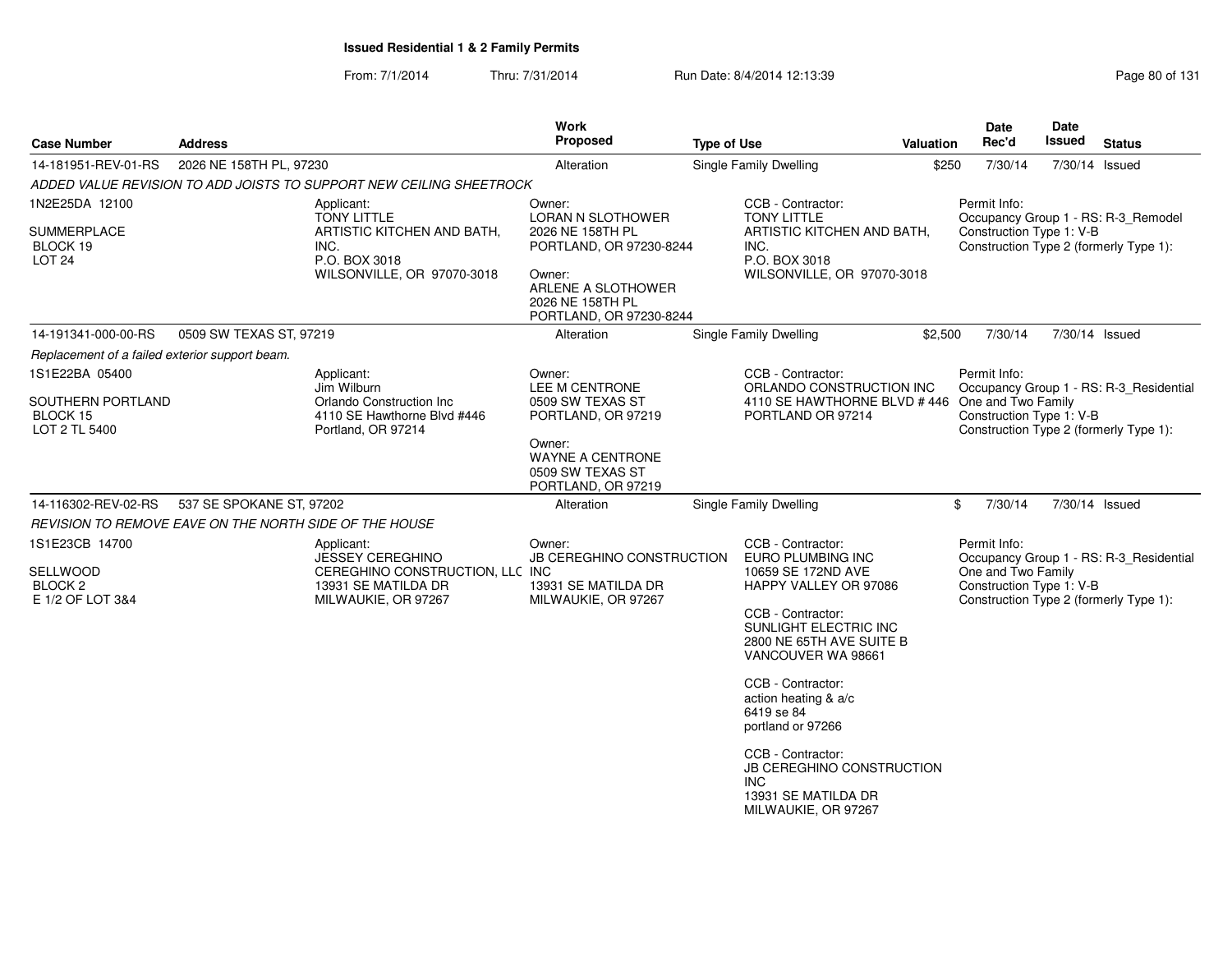| 2026 NE 158TH PL, 97230                        |                                                                     |                                                                                                                                                                                                                                                                                                            |                                                                                                                                                                    |                                                                                        |                                                                                                                                                                                                                                                                                                                                                                                                                 |                                                                                                                                                                                                 |                | <b>Status</b>                                                                                                                                                                                                                                                                                                                                                                                                                                           |
|------------------------------------------------|---------------------------------------------------------------------|------------------------------------------------------------------------------------------------------------------------------------------------------------------------------------------------------------------------------------------------------------------------------------------------------------|--------------------------------------------------------------------------------------------------------------------------------------------------------------------|----------------------------------------------------------------------------------------|-----------------------------------------------------------------------------------------------------------------------------------------------------------------------------------------------------------------------------------------------------------------------------------------------------------------------------------------------------------------------------------------------------------------|-------------------------------------------------------------------------------------------------------------------------------------------------------------------------------------------------|----------------|---------------------------------------------------------------------------------------------------------------------------------------------------------------------------------------------------------------------------------------------------------------------------------------------------------------------------------------------------------------------------------------------------------------------------------------------------------|
|                                                |                                                                     | Alteration                                                                                                                                                                                                                                                                                                 |                                                                                                                                                                    | Single Family Dwelling                                                                 | \$250                                                                                                                                                                                                                                                                                                                                                                                                           | 7/30/14                                                                                                                                                                                         | 7/30/14 Issued |                                                                                                                                                                                                                                                                                                                                                                                                                                                         |
|                                                | ADDED VALUE REVISION TO ADD JOISTS TO SUPPORT NEW CEILING SHEETROCK |                                                                                                                                                                                                                                                                                                            |                                                                                                                                                                    |                                                                                        |                                                                                                                                                                                                                                                                                                                                                                                                                 |                                                                                                                                                                                                 |                |                                                                                                                                                                                                                                                                                                                                                                                                                                                         |
|                                                | Applicant:                                                          | Owner:                                                                                                                                                                                                                                                                                                     |                                                                                                                                                                    | CCB - Contractor:                                                                      |                                                                                                                                                                                                                                                                                                                                                                                                                 | Permit Info:                                                                                                                                                                                    |                |                                                                                                                                                                                                                                                                                                                                                                                                                                                         |
|                                                | INC.<br>P.O. BOX 3018                                               | 2026 NE 158TH PL<br>Owner:<br>2026 NE 158TH PL                                                                                                                                                                                                                                                             |                                                                                                                                                                    |                                                                                        |                                                                                                                                                                                                                                                                                                                                                                                                                 |                                                                                                                                                                                                 |                |                                                                                                                                                                                                                                                                                                                                                                                                                                                         |
|                                                |                                                                     | Alteration                                                                                                                                                                                                                                                                                                 |                                                                                                                                                                    |                                                                                        |                                                                                                                                                                                                                                                                                                                                                                                                                 | 7/30/14                                                                                                                                                                                         |                |                                                                                                                                                                                                                                                                                                                                                                                                                                                         |
| Replacement of a failed exterior support beam. |                                                                     |                                                                                                                                                                                                                                                                                                            |                                                                                                                                                                    |                                                                                        |                                                                                                                                                                                                                                                                                                                                                                                                                 |                                                                                                                                                                                                 |                |                                                                                                                                                                                                                                                                                                                                                                                                                                                         |
|                                                | Jim Wilburn                                                         | Owner:<br>LEE M CENTRONE                                                                                                                                                                                                                                                                                   |                                                                                                                                                                    |                                                                                        |                                                                                                                                                                                                                                                                                                                                                                                                                 | Permit Info:                                                                                                                                                                                    |                |                                                                                                                                                                                                                                                                                                                                                                                                                                                         |
|                                                | 4110 SE Hawthorne Blvd #446                                         | PORTLAND, OR 97219                                                                                                                                                                                                                                                                                         |                                                                                                                                                                    |                                                                                        |                                                                                                                                                                                                                                                                                                                                                                                                                 |                                                                                                                                                                                                 |                |                                                                                                                                                                                                                                                                                                                                                                                                                                                         |
|                                                |                                                                     | Owner:<br><b>WAYNE A CENTRONE</b><br>0509 SW TEXAS ST                                                                                                                                                                                                                                                      |                                                                                                                                                                    |                                                                                        |                                                                                                                                                                                                                                                                                                                                                                                                                 |                                                                                                                                                                                                 |                |                                                                                                                                                                                                                                                                                                                                                                                                                                                         |
|                                                |                                                                     | Alteration                                                                                                                                                                                                                                                                                                 |                                                                                                                                                                    |                                                                                        |                                                                                                                                                                                                                                                                                                                                                                                                                 | 7/30/14                                                                                                                                                                                         |                |                                                                                                                                                                                                                                                                                                                                                                                                                                                         |
|                                                |                                                                     |                                                                                                                                                                                                                                                                                                            |                                                                                                                                                                    |                                                                                        |                                                                                                                                                                                                                                                                                                                                                                                                                 |                                                                                                                                                                                                 |                |                                                                                                                                                                                                                                                                                                                                                                                                                                                         |
|                                                | Applicant:                                                          | Owner:                                                                                                                                                                                                                                                                                                     |                                                                                                                                                                    |                                                                                        |                                                                                                                                                                                                                                                                                                                                                                                                                 | Permit Info:                                                                                                                                                                                    |                |                                                                                                                                                                                                                                                                                                                                                                                                                                                         |
|                                                | 13931 SE MATILDA DR                                                 |                                                                                                                                                                                                                                                                                                            |                                                                                                                                                                    |                                                                                        |                                                                                                                                                                                                                                                                                                                                                                                                                 |                                                                                                                                                                                                 |                |                                                                                                                                                                                                                                                                                                                                                                                                                                                         |
|                                                |                                                                     |                                                                                                                                                                                                                                                                                                            |                                                                                                                                                                    |                                                                                        |                                                                                                                                                                                                                                                                                                                                                                                                                 |                                                                                                                                                                                                 |                |                                                                                                                                                                                                                                                                                                                                                                                                                                                         |
|                                                |                                                                     |                                                                                                                                                                                                                                                                                                            |                                                                                                                                                                    |                                                                                        |                                                                                                                                                                                                                                                                                                                                                                                                                 |                                                                                                                                                                                                 |                |                                                                                                                                                                                                                                                                                                                                                                                                                                                         |
|                                                |                                                                     |                                                                                                                                                                                                                                                                                                            |                                                                                                                                                                    |                                                                                        |                                                                                                                                                                                                                                                                                                                                                                                                                 |                                                                                                                                                                                                 |                |                                                                                                                                                                                                                                                                                                                                                                                                                                                         |
|                                                |                                                                     | <b>TONY LITTLE</b><br>ARTISTIC KITCHEN AND BATH,<br>WILSONVILLE, OR 97070-3018<br>0509 SW TEXAS ST, 97219<br>Applicant:<br>Orlando Construction Inc<br>Portland, OR 97214<br>537 SE SPOKANE ST, 97202<br>REVISION TO REMOVE EAVE ON THE NORTH SIDE OF THE HOUSE<br>JESSEY CEREGHINO<br>MILWAUKIE, OR 97267 | LORAN N SLOTHOWER<br>ARLENE A SLOTHOWER<br>0509 SW TEXAS ST<br>PORTLAND, OR 97219<br>CEREGHINO CONSTRUCTION, LLC INC<br>13931 SE MATILDA DR<br>MILWAUKIE, OR 97267 | PORTLAND, OR 97230-8244<br>PORTLAND, OR 97230-8244<br><b>JB CEREGHINO CONSTRUCTION</b> | <b>TONY LITTLE</b><br>INC.<br>P.O. BOX 3018<br>Single Family Dwelling<br>CCB - Contractor:<br>PORTLAND OR 97214<br>Single Family Dwelling<br>CCB - Contractor:<br>EURO PLUMBING INC<br>10659 SE 172ND AVE<br>CCB - Contractor:<br>VANCOUVER WA 98661<br>CCB - Contractor:<br>action heating & a/c<br>6419 se 84<br>portland or 97266<br>CCB - Contractor:<br>INC.<br>13931 SE MATILDA DR<br>MILWAUKIE, OR 97267 | ARTISTIC KITCHEN AND BATH,<br>WILSONVILLE, OR 97070-3018<br>ORLANDO CONSTRUCTION INC<br>HAPPY VALLEY OR 97086<br>SUNLIGHT ELECTRIC INC<br>2800 NE 65TH AVE SUITE B<br>JB CEREGHINO CONSTRUCTION | \$2,500<br>\$  | Occupancy Group 1 - RS: R-3_Remodel<br>Construction Type 1: V-B<br>Construction Type 2 (formerly Type 1):<br>7/30/14 Issued<br>Occupancy Group 1 - RS: R-3_Residential<br>4110 SE HAWTHORNE BLVD #446 One and Two Family<br>Construction Type 1: V-B<br>Construction Type 2 (formerly Type 1):<br>7/30/14 Issued<br>Occupancy Group 1 - RS: R-3_Residential<br>One and Two Family<br>Construction Type 1: V-B<br>Construction Type 2 (formerly Type 1): |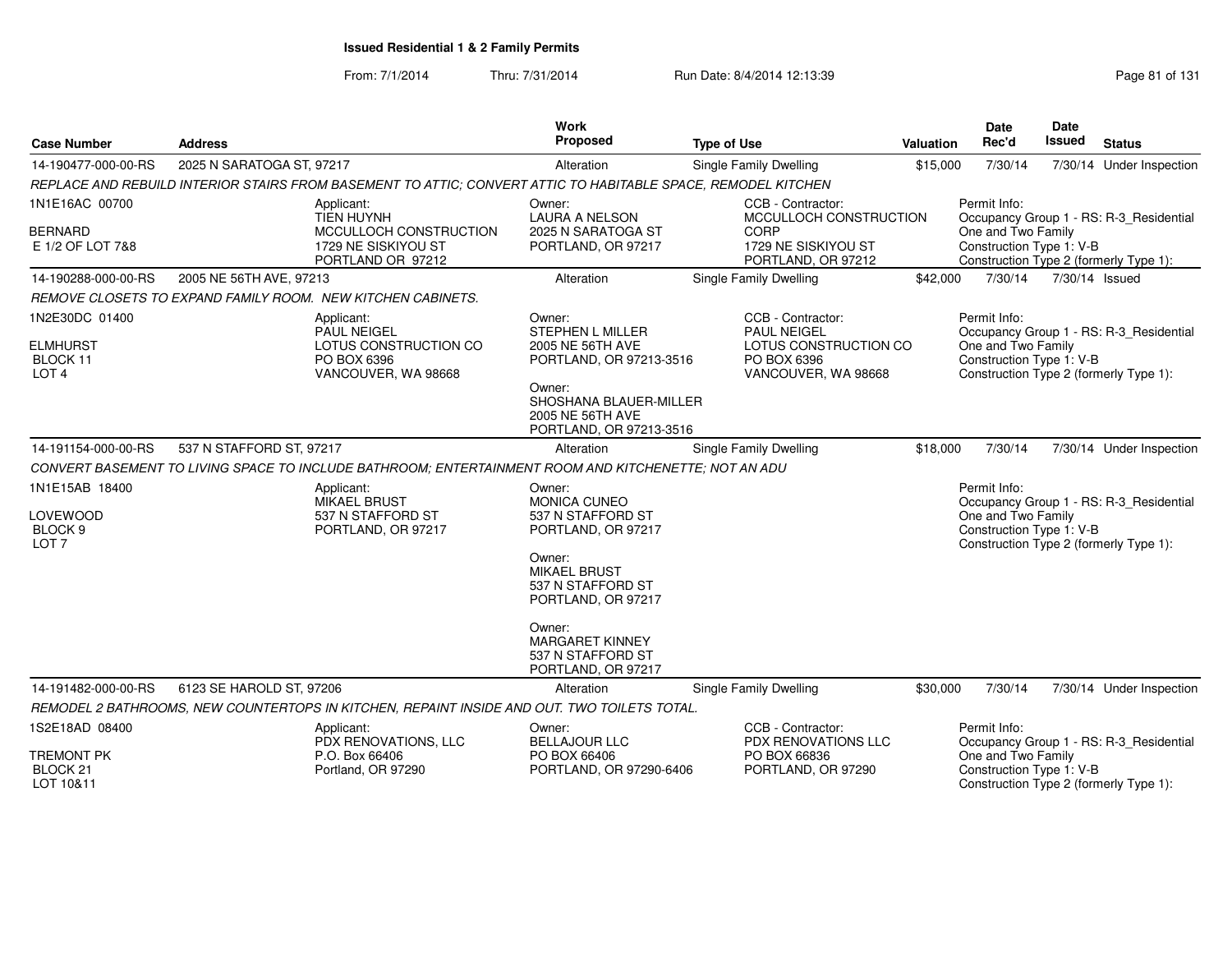| <b>Case Number</b>                                                   | <b>Address</b>                                                                                                | <b>Work</b><br>Proposed                                                                                                                                      | <b>Type of Use</b>                                                                                     | <b>Valuation</b> | <b>Date</b><br>Rec'd                                           | <b>Date</b><br><b>Issued</b> | <b>Status</b>                                                                     |
|----------------------------------------------------------------------|---------------------------------------------------------------------------------------------------------------|--------------------------------------------------------------------------------------------------------------------------------------------------------------|--------------------------------------------------------------------------------------------------------|------------------|----------------------------------------------------------------|------------------------------|-----------------------------------------------------------------------------------|
| 14-190477-000-00-RS                                                  | 2025 N SARATOGA ST, 97217                                                                                     | Alteration                                                                                                                                                   | Single Family Dwelling                                                                                 | \$15,000         | 7/30/14                                                        |                              | 7/30/14 Under Inspection                                                          |
|                                                                      | REPLACE AND REBUILD INTERIOR STAIRS FROM BASEMENT TO ATTIC: CONVERT ATTIC TO HABITABLE SPACE, REMODEL KITCHEN |                                                                                                                                                              |                                                                                                        |                  |                                                                |                              |                                                                                   |
| 1N1E16AC 00700<br><b>BERNARD</b><br>E 1/2 OF LOT 7&8                 | Applicant:<br><b>TIEN HUYNH</b><br>MCCULLOCH CONSTRUCTION<br>1729 NE SISKIYOU ST<br>PORTLAND OR 97212         | Owner:<br><b>LAURA A NELSON</b><br>2025 N SARATOGA ST<br>PORTLAND, OR 97217                                                                                  | CCB - Contractor:<br>MCCULLOCH CONSTRUCTION<br>CORP<br>1729 NE SISKIYOU ST<br>PORTLAND, OR 97212       |                  | Permit Info:<br>One and Two Family<br>Construction Type 1: V-B |                              | Occupancy Group 1 - RS: R-3 Residential<br>Construction Type 2 (formerly Type 1): |
| 14-190288-000-00-RS                                                  | 2005 NE 56TH AVE, 97213                                                                                       | Alteration                                                                                                                                                   | Single Family Dwelling                                                                                 | \$42,000         | 7/30/14                                                        | 7/30/14 Issued               |                                                                                   |
|                                                                      | REMOVE CLOSETS TO EXPAND FAMILY ROOM. NEW KITCHEN CABINETS.                                                   |                                                                                                                                                              |                                                                                                        |                  |                                                                |                              |                                                                                   |
| 1N2E30DC 01400<br><b>ELMHURST</b><br>BLOCK 11<br>LOT <sub>4</sub>    | Applicant:<br><b>PAUL NEIGEL</b><br>LOTUS CONSTRUCTION CO<br>PO BOX 6396<br>VANCOUVER, WA 98668               | Owner:<br>STEPHEN L MILLER<br>2005 NE 56TH AVE<br>PORTLAND, OR 97213-3516<br>Owner:<br>SHOSHANA BLAUER-MILLER<br>2005 NE 56TH AVE<br>PORTLAND, OR 97213-3516 | CCB - Contractor:<br><b>PAUL NEIGEL</b><br>LOTUS CONSTRUCTION CO<br>PO BOX 6396<br>VANCOUVER, WA 98668 |                  | Permit Info:<br>One and Two Family<br>Construction Type 1: V-B |                              | Occupancy Group 1 - RS: R-3_Residential<br>Construction Type 2 (formerly Type 1): |
| 14-191154-000-00-RS                                                  | 537 N STAFFORD ST, 97217                                                                                      | Alteration                                                                                                                                                   | <b>Single Family Dwelling</b>                                                                          | \$18,000         | 7/30/14                                                        |                              | 7/30/14 Under Inspection                                                          |
|                                                                      | CONVERT BASEMENT TO LIVING SPACE TO INCLUDE BATHROOM: ENTERTAINMENT ROOM AND KITCHENETTE; NOT AN ADU          |                                                                                                                                                              |                                                                                                        |                  |                                                                |                              |                                                                                   |
| 1N1E15AB 18400<br>LOVEWOOD<br>BLOCK <sub>9</sub><br>LOT <sub>7</sub> | Applicant:<br>MIKAEL BRUST<br>537 N STAFFORD ST<br>PORTLAND, OR 97217                                         | Owner:<br>MONICA CUNEO<br>537 N STAFFORD ST<br>PORTLAND, OR 97217                                                                                            |                                                                                                        |                  | Permit Info:<br>One and Two Family<br>Construction Type 1: V-B |                              | Occupancy Group 1 - RS: R-3 Residential<br>Construction Type 2 (formerly Type 1): |
|                                                                      |                                                                                                               | Owner:<br><b>MIKAEL BRUST</b><br>537 N STAFFORD ST<br>PORTLAND, OR 97217<br>Owner:                                                                           |                                                                                                        |                  |                                                                |                              |                                                                                   |
|                                                                      |                                                                                                               | <b>MARGARET KINNEY</b><br>537 N STAFFORD ST<br>PORTLAND, OR 97217                                                                                            |                                                                                                        |                  |                                                                |                              |                                                                                   |
| 14-191482-000-00-RS                                                  | 6123 SE HAROLD ST, 97206                                                                                      | Alteration                                                                                                                                                   | <b>Single Family Dwelling</b>                                                                          | \$30,000         | 7/30/14                                                        |                              | 7/30/14 Under Inspection                                                          |
|                                                                      | REMODEL 2 BATHROOMS, NEW COUNTERTOPS IN KITCHEN, REPAINT INSIDE AND OUT. TWO TOILETS TOTAL.                   |                                                                                                                                                              |                                                                                                        |                  |                                                                |                              |                                                                                   |
| 1S2E18AD 08400                                                       | Applicant:<br>PDX RENOVATIONS, LLC                                                                            | Owner:<br><b>BELLAJOUR LLC</b>                                                                                                                               | CCB - Contractor:<br>PDX RENOVATIONS LLC                                                               |                  | Permit Info:                                                   |                              | Occupancy Group 1 - RS: R-3_Residential                                           |
| <b>TREMONT PK</b><br>BLOCK <sub>21</sub><br>LOT 10&11                | P.O. Box 66406<br>Portland, OR 97290                                                                          | PO BOX 66406<br>PORTLAND, OR 97290-6406                                                                                                                      | PO BOX 66836<br>PORTLAND, OR 97290                                                                     |                  | One and Two Family<br>Construction Type 1: V-B                 |                              | Construction Type 2 (formerly Type 1):                                            |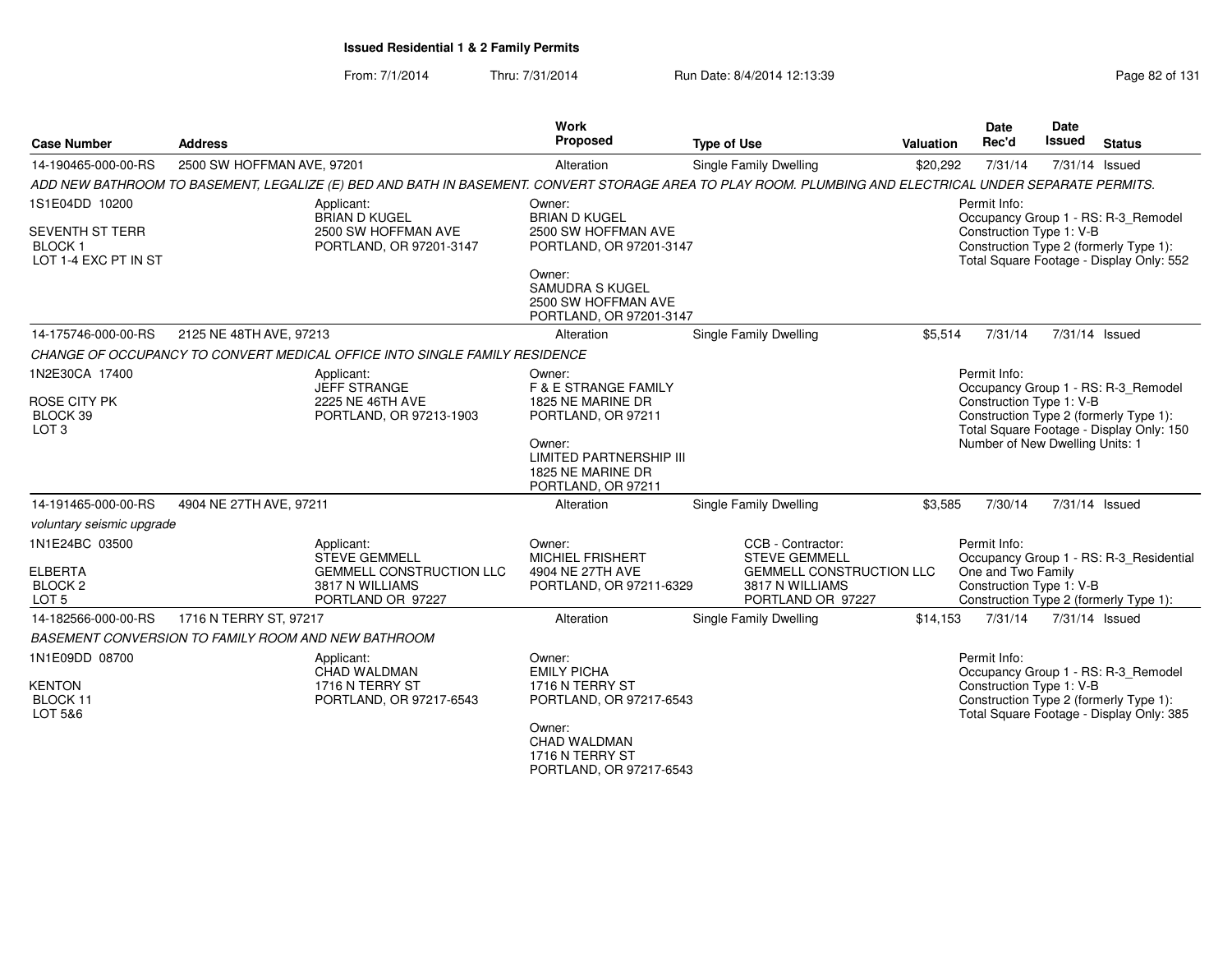From: 7/1/2014Thru: 7/31/2014 Run Date: 8/4/2014 12:13:39 Research 2014 13:14 Page 82 of 131

| <b>Case Number</b>                                                                     | <b>Address</b>                                      |                                                                                                                                                         | Work<br>Proposed                                                                    | <b>Type of Use</b>                                                      | <b>Valuation</b> | <b>Date</b><br>Rec'd                           | <b>Date</b><br><b>Issued</b> | <b>Status</b>                                                                                                             |
|----------------------------------------------------------------------------------------|-----------------------------------------------------|---------------------------------------------------------------------------------------------------------------------------------------------------------|-------------------------------------------------------------------------------------|-------------------------------------------------------------------------|------------------|------------------------------------------------|------------------------------|---------------------------------------------------------------------------------------------------------------------------|
| 14-190465-000-00-RS                                                                    | 2500 SW HOFFMAN AVE, 97201                          |                                                                                                                                                         | Alteration                                                                          | Single Family Dwelling                                                  | \$20,292         | 7/31/14                                        |                              | 7/31/14 Issued                                                                                                            |
|                                                                                        |                                                     | ADD NEW BATHROOM TO BASEMENT, LEGALIZE (E) BED AND BATH IN BASEMENT. CONVERT STORAGE AREA TO PLAY ROOM. PLUMBING AND ELECTRICAL UNDER SEPARATE PERMITS. |                                                                                     |                                                                         |                  |                                                |                              |                                                                                                                           |
| 1S1E04DD 10200<br><b>SEVENTH ST TERR</b><br>BLOCK <sub>1</sub><br>LOT 1-4 EXC PT IN ST |                                                     | Applicant:<br><b>BRIAN D KUGEL</b><br>2500 SW HOFFMAN AVE<br>PORTLAND, OR 97201-3147                                                                    | Owner:<br><b>BRIAN D KUGEL</b><br>2500 SW HOFFMAN AVE<br>PORTLAND, OR 97201-3147    |                                                                         |                  | Permit Info:<br>Construction Type 1: V-B       |                              | Occupancy Group 1 - RS: R-3_Remodel<br>Construction Type 2 (formerly Type 1):<br>Total Square Footage - Display Only: 552 |
|                                                                                        |                                                     |                                                                                                                                                         | Owner:<br>SAMUDRA S KUGEL<br>2500 SW HOFFMAN AVE<br>PORTLAND, OR 97201-3147         |                                                                         |                  |                                                |                              |                                                                                                                           |
| 14-175746-000-00-RS                                                                    | 2125 NE 48TH AVE, 97213                             |                                                                                                                                                         | Alteration                                                                          | Single Family Dwelling                                                  | \$5,514          | 7/31/14                                        |                              | 7/31/14 Issued                                                                                                            |
|                                                                                        |                                                     | CHANGE OF OCCUPANCY TO CONVERT MEDICAL OFFICE INTO SINGLE FAMILY RESIDENCE                                                                              |                                                                                     |                                                                         |                  |                                                |                              |                                                                                                                           |
| 1N2E30CA 17400                                                                         |                                                     | Applicant:<br>JEFF STRANGE                                                                                                                              | Owner:<br><b>F &amp; E STRANGE FAMILY</b>                                           |                                                                         |                  | Permit Info:                                   |                              | Occupancy Group 1 - RS: R-3_Remodel                                                                                       |
| ROSE CITY PK<br>BLOCK 39<br>LOT <sub>3</sub>                                           |                                                     | 2225 NE 46TH AVE<br>PORTLAND, OR 97213-1903                                                                                                             | 1825 NE MARINE DR<br>PORTLAND, OR 97211                                             |                                                                         |                  | Construction Type 1: V-B                       |                              | Construction Type 2 (formerly Type 1):<br>Total Square Footage - Display Only: 150                                        |
|                                                                                        |                                                     |                                                                                                                                                         | Owner:<br><b>LIMITED PARTNERSHIP III</b><br>1825 NE MARINE DR<br>PORTLAND, OR 97211 |                                                                         |                  | Number of New Dwelling Units: 1                |                              |                                                                                                                           |
| 14-191465-000-00-RS                                                                    | 4904 NE 27TH AVE, 97211                             |                                                                                                                                                         | Alteration                                                                          | Single Family Dwelling                                                  | \$3,585          | 7/30/14                                        |                              | 7/31/14 Issued                                                                                                            |
| voluntary seismic upgrade                                                              |                                                     |                                                                                                                                                         |                                                                                     |                                                                         |                  |                                                |                              |                                                                                                                           |
| 1N1E24BC 03500                                                                         |                                                     | Applicant:<br><b>STEVE GEMMELL</b>                                                                                                                      | Owner:<br><b>MICHIEL FRISHERT</b>                                                   | CCB - Contractor:<br><b>STEVE GEMMELL</b>                               |                  | Permit Info:                                   |                              | Occupancy Group 1 - RS: R-3_Residential                                                                                   |
| <b>ELBERTA</b><br>BLOCK <sub>2</sub><br>LOT <sub>5</sub>                               |                                                     | <b>GEMMELL CONSTRUCTION LLC</b><br>3817 N WILLIAMS<br>PORTLAND OR 97227                                                                                 | 4904 NE 27TH AVE<br>PORTLAND, OR 97211-6329                                         | <b>GEMMELL CONSTRUCTION LLC</b><br>3817 N WILLIAMS<br>PORTLAND OR 97227 |                  | One and Two Family<br>Construction Type 1: V-B |                              | Construction Type 2 (formerly Type 1):                                                                                    |
| 14-182566-000-00-RS                                                                    | 1716 N TERRY ST, 97217                              |                                                                                                                                                         | Alteration                                                                          | Single Family Dwelling                                                  | \$14,153         | 7/31/14                                        |                              | 7/31/14 Issued                                                                                                            |
|                                                                                        | BASEMENT CONVERSION TO FAMILY ROOM AND NEW BATHROOM |                                                                                                                                                         |                                                                                     |                                                                         |                  |                                                |                              |                                                                                                                           |
| 1N1E09DD 08700                                                                         |                                                     | Applicant:<br>CHAD WALDMAN                                                                                                                              | Owner:<br><b>EMILY PICHA</b>                                                        |                                                                         |                  | Permit Info:                                   |                              | Occupancy Group 1 - RS: R-3_Remodel                                                                                       |
| <b>KENTON</b><br>BLOCK 11<br>LOT 5&6                                                   |                                                     | 1716 N TERRY ST<br>PORTLAND, OR 97217-6543                                                                                                              | 1716 N TERRY ST<br>PORTLAND, OR 97217-6543                                          |                                                                         |                  | Construction Type 1: V-B                       |                              | Construction Type 2 (formerly Type 1):<br>Total Square Footage - Display Only: 385                                        |
|                                                                                        |                                                     |                                                                                                                                                         | Owner:<br>CHAD WALDMAN<br>1716 N TERRY ST<br>PORTLAND, OR 97217-6543                |                                                                         |                  |                                                |                              |                                                                                                                           |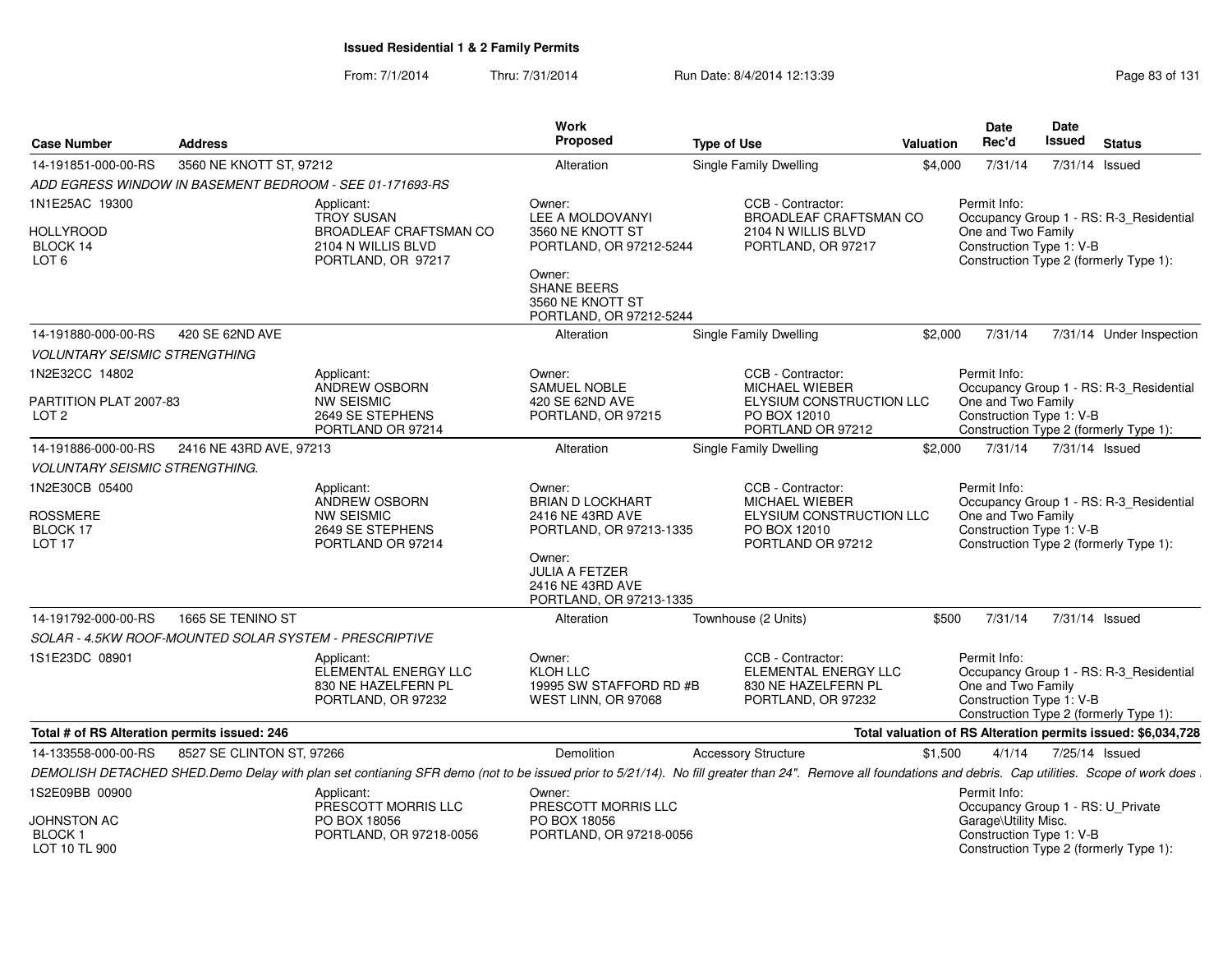| <b>Case Number</b>                                       | <b>Address</b>            |                                                                                                                                                                                                         | Work<br>Proposed                                                                                                           | <b>Type of Use</b>                                                                                          | <b>Valuation</b> | <b>Date</b><br>Rec'd                                                                                     | Date<br><b>Issued</b> | <b>Status</b>                                                |
|----------------------------------------------------------|---------------------------|---------------------------------------------------------------------------------------------------------------------------------------------------------------------------------------------------------|----------------------------------------------------------------------------------------------------------------------------|-------------------------------------------------------------------------------------------------------------|------------------|----------------------------------------------------------------------------------------------------------|-----------------------|--------------------------------------------------------------|
| 14-191851-000-00-RS                                      | 3560 NE KNOTT ST, 97212   |                                                                                                                                                                                                         | Alteration                                                                                                                 | Single Family Dwelling                                                                                      | \$4,000          | 7/31/14                                                                                                  | 7/31/14 Issued        |                                                              |
| ADD EGRESS WINDOW IN BASEMENT BEDROOM - SEE 01-171693-RS |                           |                                                                                                                                                                                                         |                                                                                                                            |                                                                                                             |                  |                                                                                                          |                       |                                                              |
| 1N1E25AC 19300                                           |                           | Applicant:<br><b>TROY SUSAN</b>                                                                                                                                                                         | Owner:<br>LEE A MOLDOVANYI                                                                                                 | CCB - Contractor:<br><b>BROADLEAF CRAFTSMAN CO</b>                                                          |                  | Permit Info:                                                                                             |                       | Occupancy Group 1 - RS: R-3 Residential                      |
| HOLLYROOD<br>BLOCK 14<br>LOT <sub>6</sub>                |                           | <b>BROADLEAF CRAFTSMAN CO</b><br>2104 N WILLIS BLVD<br>PORTLAND, OR 97217                                                                                                                               | 3560 NE KNOTT ST<br>PORTLAND, OR 97212-5244<br>Owner:<br><b>SHANE BEERS</b><br>3560 NE KNOTT ST<br>PORTLAND, OR 97212-5244 | 2104 N WILLIS BLVD<br>PORTLAND, OR 97217                                                                    |                  | One and Two Family<br>Construction Type 1: V-B<br>Construction Type 2 (formerly Type 1):                 |                       |                                                              |
| 14-191880-000-00-RS                                      | 420 SE 62ND AVE           |                                                                                                                                                                                                         | Alteration                                                                                                                 | Single Family Dwelling                                                                                      | \$2,000          | 7/31/14                                                                                                  |                       | 7/31/14 Under Inspection                                     |
| <b>VOLUNTARY SEISMIC STRENGTHING</b>                     |                           |                                                                                                                                                                                                         |                                                                                                                            |                                                                                                             |                  |                                                                                                          |                       |                                                              |
| 1N2E32CC 14802                                           |                           | Applicant:<br>ANDREW OSBORN                                                                                                                                                                             | Owner:<br>SAMUEL NOBLE                                                                                                     | CCB - Contractor:<br>MICHAEL WIEBER                                                                         |                  | Permit Info:                                                                                             |                       | Occupancy Group 1 - RS: R-3_Residential                      |
| PARTITION PLAT 2007-83<br>LOT <sub>2</sub>               |                           | <b>NW SEISMIC</b><br>2649 SE STEPHENS<br>PORTLAND OR 97214                                                                                                                                              | 420 SE 62ND AVE<br>PORTLAND, OR 97215                                                                                      | ELYSIUM CONSTRUCTION LLC<br>PO BOX 12010<br>PORTLAND OR 97212                                               |                  | One and Two Family<br>Construction Type 1: V-B<br>Construction Type 2 (formerly Type 1):                 |                       |                                                              |
| 14-191886-000-00-RS                                      | 2416 NE 43RD AVE, 97213   |                                                                                                                                                                                                         | Alteration                                                                                                                 | Single Family Dwelling                                                                                      | \$2,000          | 7/31/14                                                                                                  | 7/31/14 Issued        |                                                              |
| <b>VOLUNTARY SEISMIC STRENGTHING.</b>                    |                           |                                                                                                                                                                                                         |                                                                                                                            |                                                                                                             |                  |                                                                                                          |                       |                                                              |
| 1N2E30CB 05400<br>ROSSMERE<br>BLOCK 17<br>LOT 17         |                           | Applicant:<br><b>ANDREW OSBORN</b><br><b>NW SEISMIC</b><br>2649 SE STEPHENS<br>PORTLAND OR 97214                                                                                                        | Owner:<br><b>BRIAN D LOCKHART</b><br>2416 NE 43RD AVE<br>PORTLAND, OR 97213-1335<br>Owner:                                 | CCB - Contractor:<br><b>MICHAEL WIEBER</b><br>ELYSIUM CONSTRUCTION LLC<br>PO BOX 12010<br>PORTLAND OR 97212 |                  | Permit Info:<br>One and Two Family<br>Construction Type 1: V-B<br>Construction Type 2 (formerly Type 1): |                       | Occupancy Group 1 - RS: R-3 Residential                      |
|                                                          |                           |                                                                                                                                                                                                         | <b>JULIA A FETZER</b><br>2416 NE 43RD AVE<br>PORTLAND, OR 97213-1335                                                       |                                                                                                             |                  |                                                                                                          |                       |                                                              |
| 14-191792-000-00-RS                                      | 1665 SE TENINO ST         |                                                                                                                                                                                                         | Alteration                                                                                                                 | Townhouse (2 Units)                                                                                         | \$500            | 7/31/14                                                                                                  | 7/31/14 Issued        |                                                              |
| SOLAR - 4.5KW ROOF-MOUNTED SOLAR SYSTEM - PRESCRIPTIVE   |                           |                                                                                                                                                                                                         |                                                                                                                            |                                                                                                             |                  |                                                                                                          |                       |                                                              |
| 1S1E23DC 08901                                           |                           | Applicant:<br>ELEMENTAL ENERGY LLC<br>830 NE HAZELFERN PL<br>PORTLAND, OR 97232                                                                                                                         | Owner:<br>KLOH LLC<br>19995 SW STAFFORD RD #B<br>WEST LINN, OR 97068                                                       | CCB - Contractor:<br>ELEMENTAL ENERGY LLC<br>830 NE HAZELFERN PL<br>PORTLAND, OR 97232                      |                  | Permit Info:<br>One and Two Family<br>Construction Type 1: V-B<br>Construction Type 2 (formerly Type 1): |                       | Occupancy Group 1 - RS: R-3_Residential                      |
| Total # of RS Alteration permits issued: 246             |                           |                                                                                                                                                                                                         |                                                                                                                            |                                                                                                             |                  |                                                                                                          |                       | Total valuation of RS Alteration permits issued: \$6,034,728 |
| 14-133558-000-00-RS                                      | 8527 SE CLINTON ST, 97266 |                                                                                                                                                                                                         | Demolition                                                                                                                 | <b>Accessory Structure</b>                                                                                  | \$1,500          | 4/1/14                                                                                                   | 7/25/14 Issued        |                                                              |
|                                                          |                           | DEMOLISH DETACHED SHED.Demo Delay with plan set contianing SFR demo (not to be issued prior to 5/21/14). No fill greater than 24". Remove all foundations and debris. Cap utilities. Scope of work does |                                                                                                                            |                                                                                                             |                  |                                                                                                          |                       |                                                              |
| 1S2E09BB 00900                                           |                           | Applicant:<br>PRESCOTT MORRIS LLC                                                                                                                                                                       | Owner:<br>PRESCOTT MORRIS LLC                                                                                              |                                                                                                             |                  | Permit Info:<br>Occupancy Group 1 - RS: U_Private                                                        |                       |                                                              |
| JOHNSTON AC<br><b>BLOCK1</b><br>LOT 10 TL 900            |                           | PO BOX 18056<br>PORTLAND, OR 97218-0056                                                                                                                                                                 | PO BOX 18056<br>PORTLAND, OR 97218-0056                                                                                    |                                                                                                             |                  | Garage\Utility Misc.<br>Construction Type 1: V-B<br>Construction Type 2 (formerly Type 1):               |                       |                                                              |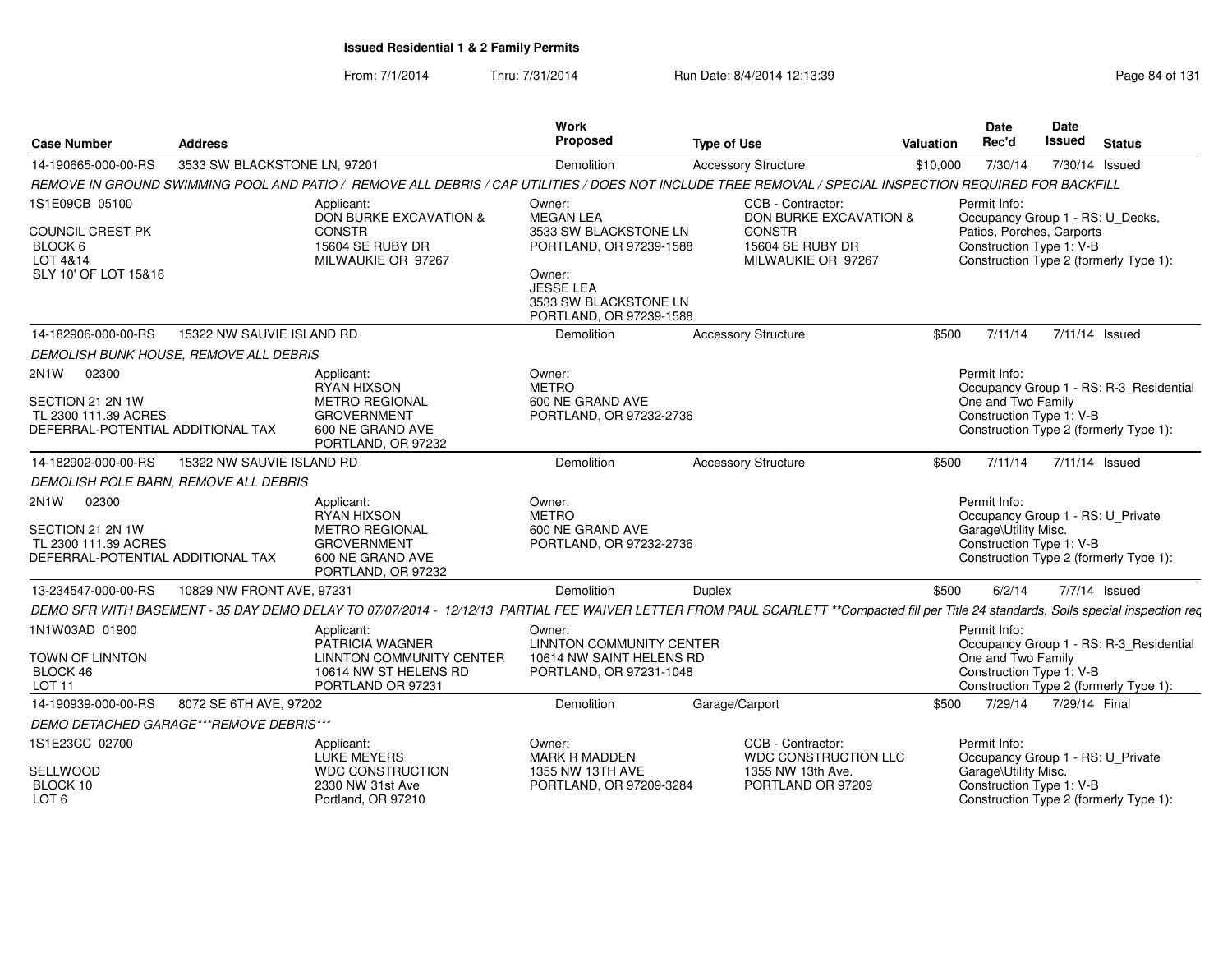| <b>Case Number</b>                            | <b>Address</b>               |                                                                                                                                                                                        | Work<br>Proposed                                                               | <b>Type of Use</b>                                                                         | <b>Valuation</b> | <b>Date</b><br>Rec'd                                                                                  | Date<br><b>Issued</b> | <b>Status</b>                           |
|-----------------------------------------------|------------------------------|----------------------------------------------------------------------------------------------------------------------------------------------------------------------------------------|--------------------------------------------------------------------------------|--------------------------------------------------------------------------------------------|------------------|-------------------------------------------------------------------------------------------------------|-----------------------|-----------------------------------------|
| 14-190665-000-00-RS                           | 3533 SW BLACKSTONE LN, 97201 |                                                                                                                                                                                        | <b>Demolition</b>                                                              | <b>Accessory Structure</b>                                                                 | \$10,000         | 7/30/14                                                                                               |                       | 7/30/14 Issued                          |
|                                               |                              | REMOVE IN GROUND SWIMMING POOL AND PATIO / REMOVE ALL DEBRIS / CAP UTILITIES / DOES NOT INCLUDE TREE REMOVAL / SPECIAL INSPECTION REQUIRED FOR BACKFILL                                |                                                                                |                                                                                            |                  |                                                                                                       |                       |                                         |
| 1S1E09CB 05100<br><b>COUNCIL CREST PK</b>     |                              | Applicant:<br><b>DON BURKE EXCAVATION &amp;</b><br><b>CONSTR</b>                                                                                                                       | Owner:<br><b>MEGAN LEA</b><br>3533 SW BLACKSTONE LN                            | CCB - Contractor:<br><b>DON BURKE EXCAVATION &amp;</b><br><b>CONSTR</b>                    |                  | Permit Info:<br>Occupancy Group 1 - RS: U Decks,<br>Patios, Porches, Carports                         |                       |                                         |
| BLOCK 6<br>LOT 4&14                           |                              | 15604 SE RUBY DR<br>MILWAUKIE OR 97267                                                                                                                                                 | PORTLAND, OR 97239-1588                                                        | 15604 SE RUBY DR<br>MILWAUKIE OR 97267                                                     |                  | Construction Type 1: V-B                                                                              |                       | Construction Type 2 (formerly Type 1):  |
| SLY 10' OF LOT 15&16                          |                              |                                                                                                                                                                                        | Owner:<br><b>JESSE LEA</b><br>3533 SW BLACKSTONE LN<br>PORTLAND, OR 97239-1588 |                                                                                            |                  |                                                                                                       |                       |                                         |
| 14-182906-000-00-RS                           | 15322 NW SAUVIE ISLAND RD    |                                                                                                                                                                                        | Demolition                                                                     | <b>Accessory Structure</b>                                                                 | \$500            | 7/11/14                                                                                               |                       | 7/11/14 Issued                          |
| DEMOLISH BUNK HOUSE, REMOVE ALL DEBRIS        |                              |                                                                                                                                                                                        |                                                                                |                                                                                            |                  |                                                                                                       |                       |                                         |
| 2N1W<br>02300                                 |                              | Applicant:<br>RYAN HIXSON                                                                                                                                                              | Owner:<br><b>METRO</b>                                                         |                                                                                            |                  | Permit Info:                                                                                          |                       | Occupancy Group 1 - RS: R-3_Residential |
| SECTION 21 2N 1W<br>TL 2300 111.39 ACRES      |                              | <b>METRO REGIONAL</b><br><b>GROVERNMENT</b>                                                                                                                                            | 600 NE GRAND AVE                                                               |                                                                                            |                  | One and Two Family<br>Construction Type 1: V-B                                                        |                       |                                         |
| DEFERRAL-POTENTIAL ADDITIONAL TAX             |                              | 600 NE GRAND AVE<br>PORTLAND, OR 97232                                                                                                                                                 | PORTLAND, OR 97232-2736                                                        |                                                                                            |                  |                                                                                                       |                       | Construction Type 2 (formerly Type 1):  |
| 14-182902-000-00-RS                           | 15322 NW SAUVIE ISLAND RD    |                                                                                                                                                                                        | Demolition                                                                     | <b>Accessory Structure</b>                                                                 | \$500            | 7/11/14                                                                                               | 7/11/14 Issued        |                                         |
| DEMOLISH POLE BARN, REMOVE ALL DEBRIS         |                              |                                                                                                                                                                                        |                                                                                |                                                                                            |                  |                                                                                                       |                       |                                         |
| <b>2N1W</b><br>02300                          |                              | Applicant:<br>RYAN HIXSON                                                                                                                                                              | Owner:<br><b>METRO</b>                                                         |                                                                                            |                  | Permit Info:<br>Occupancy Group 1 - RS: U_Private                                                     |                       |                                         |
| SECTION 21 2N 1W<br>TL 2300 111.39 ACRES      |                              | <b>METRO REGIONAL</b><br><b>GROVERNMENT</b>                                                                                                                                            | 600 NE GRAND AVE<br>PORTLAND, OR 97232-2736                                    |                                                                                            |                  | Garage\Utility Misc.<br>Construction Type 1: V-B                                                      |                       |                                         |
| DEFERRAL-POTENTIAL ADDITIONAL TAX             |                              | 600 NE GRAND AVE<br>PORTLAND, OR 97232                                                                                                                                                 |                                                                                |                                                                                            |                  |                                                                                                       |                       | Construction Type 2 (formerly Type 1):  |
| 13-234547-000-00-RS                           | 10829 NW FRONT AVE, 97231    |                                                                                                                                                                                        | <b>Demolition</b>                                                              | Duplex                                                                                     | \$500            | 6/2/14                                                                                                |                       | 7/7/14 Issued                           |
|                                               |                              | DEMO SFR WITH BASEMENT - 35 DAY DEMO DELAY TO 07/07/2014 - 12/12/13 PARTIAL FEE WAIVER LETTER FROM PAUL SCARLETT **Compacted fill per Title 24 standards, Soils special inspection req |                                                                                |                                                                                            |                  |                                                                                                       |                       |                                         |
| 1N1W03AD 01900                                |                              | Applicant:<br>PATRICIA WAGNER                                                                                                                                                          | Owner:<br><b>LINNTON COMMUNITY CENTER</b>                                      |                                                                                            |                  | Permit Info:                                                                                          |                       | Occupancy Group 1 - RS: R-3_Residential |
| <b>TOWN OF LINNTON</b><br>BLOCK 46            |                              | <b>LINNTON COMMUNITY CENTER</b><br>10614 NW ST HELENS RD                                                                                                                               | 10614 NW SAINT HELENS RD<br>PORTLAND, OR 97231-1048                            |                                                                                            |                  | One and Two Family<br>Construction Type 1: V-B                                                        |                       |                                         |
| LOT <sub>11</sub>                             |                              | PORTLAND OR 97231                                                                                                                                                                      |                                                                                |                                                                                            |                  |                                                                                                       |                       | Construction Type 2 (formerly Type 1):  |
| 14-190939-000-00-RS                           | 8072 SE 6TH AVE, 97202       |                                                                                                                                                                                        | <b>Demolition</b>                                                              | Garage/Carport                                                                             | \$500            | 7/29/14                                                                                               | 7/29/14 Final         |                                         |
| DEMO DETACHED GARAGE***REMOVE DEBRIS***       |                              |                                                                                                                                                                                        |                                                                                |                                                                                            |                  |                                                                                                       |                       |                                         |
| 1S1E23CC 02700<br><b>SELLWOOD</b><br>BLOCK 10 |                              | Applicant:<br>LUKE MEYERS<br><b>WDC CONSTRUCTION</b><br>2330 NW 31st Ave                                                                                                               | Owner:<br><b>MARK R MADDEN</b><br>1355 NW 13TH AVE<br>PORTLAND, OR 97209-3284  | CCB - Contractor:<br><b>WDC CONSTRUCTION LLC</b><br>1355 NW 13th Ave.<br>PORTLAND OR 97209 |                  | Permit Info:<br>Occupancy Group 1 - RS: U_Private<br>Garage\Utility Misc.<br>Construction Type 1: V-B |                       |                                         |
| LOT <sub>6</sub>                              |                              | Portland, OR 97210                                                                                                                                                                     |                                                                                |                                                                                            |                  |                                                                                                       |                       | Construction Type 2 (formerly Type 1):  |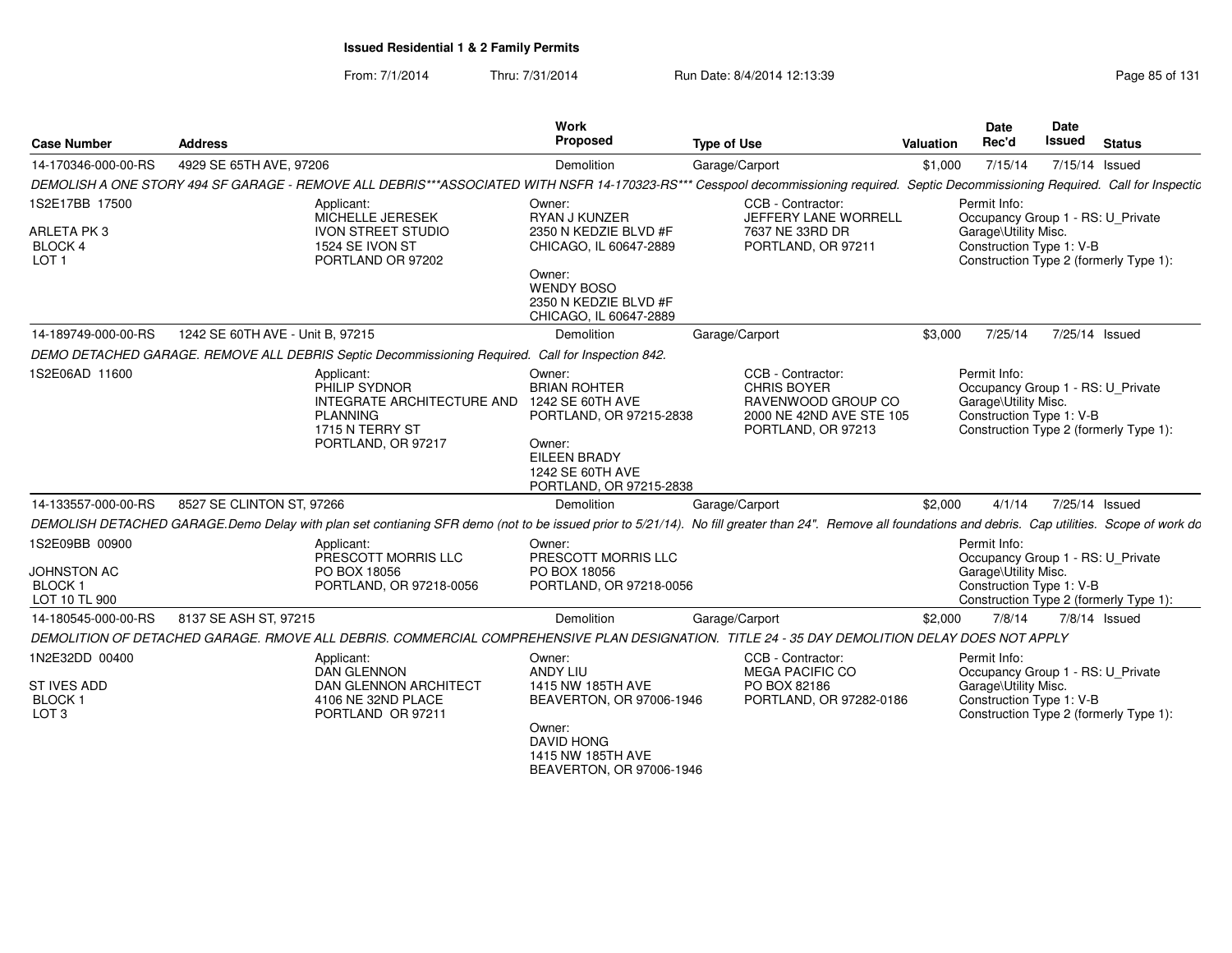| <b>Case Number</b>                                                        | <b>Address</b>                                                                                                                                                                                          | <b>Work</b><br>Proposed                                                                                                                                      | <b>Type of Use</b>                                                                                              | Valuation | <b>Date</b><br>Rec'd                                                                                  | Date<br><b>Issued</b> | <b>Status</b>                          |
|---------------------------------------------------------------------------|---------------------------------------------------------------------------------------------------------------------------------------------------------------------------------------------------------|--------------------------------------------------------------------------------------------------------------------------------------------------------------|-----------------------------------------------------------------------------------------------------------------|-----------|-------------------------------------------------------------------------------------------------------|-----------------------|----------------------------------------|
| 14-170346-000-00-RS                                                       | 4929 SE 65TH AVE, 97206                                                                                                                                                                                 | Demolition                                                                                                                                                   | Garage/Carport                                                                                                  | \$1,000   | 7/15/14                                                                                               | 7/15/14 Issued        |                                        |
|                                                                           | DEMOLISH A ONE STORY 494 SF GARAGE - REMOVE ALL DEBRIS***ASSOCIATED WITH NSFR 14-170323-RS*** Cesspool decommissioning required. Septic Decommissioning Required. Call for Inspectic                    |                                                                                                                                                              |                                                                                                                 |           |                                                                                                       |                       |                                        |
| 1S2E17BB 17500<br>ARLETA PK3<br><b>BLOCK 4</b><br>LOT <sub>1</sub>        | Applicant:<br>MICHELLE JERESEK<br><b>IVON STREET STUDIO</b><br>1524 SE IVON ST<br>PORTLAND OR 97202                                                                                                     | Owner:<br>RYAN J KUNZER<br>2350 N KEDZIE BLVD #F<br>CHICAGO, IL 60647-2889<br>Owner:<br><b>WENDY BOSO</b><br>2350 N KEDZIE BLVD #F<br>CHICAGO, IL 60647-2889 | CCB - Contractor:<br>JEFFERY LANE WORRELL<br>7637 NE 33RD DR<br>PORTLAND, OR 97211                              |           | Permit Info:<br>Occupancy Group 1 - RS: U_Private<br>Garage\Utility Misc.<br>Construction Type 1: V-B |                       | Construction Type 2 (formerly Type 1): |
| 14-189749-000-00-RS                                                       | 1242 SE 60TH AVE - Unit B. 97215                                                                                                                                                                        | Demolition                                                                                                                                                   | Garage/Carport                                                                                                  | \$3,000   | 7/25/14                                                                                               | 7/25/14 Issued        |                                        |
|                                                                           | DEMO DETACHED GARAGE. REMOVE ALL DEBRIS Septic Decommissioning Required. Call for Inspection 842.                                                                                                       |                                                                                                                                                              |                                                                                                                 |           |                                                                                                       |                       |                                        |
| 1S2E06AD 11600                                                            | Applicant:<br>PHILIP SYDNOR<br>INTEGRATE ARCHITECTURE AND<br><b>PLANNING</b><br>1715 N TERRY ST<br>PORTLAND, OR 97217                                                                                   | Owner:<br><b>BRIAN ROHTER</b><br>1242 SE 60TH AVE<br>PORTLAND, OR 97215-2838<br>Owner:<br><b>EILEEN BRADY</b><br>1242 SE 60TH AVE<br>PORTLAND, OR 97215-2838 | CCB - Contractor:<br><b>CHRIS BOYER</b><br>RAVENWOOD GROUP CO<br>2000 NE 42ND AVE STE 105<br>PORTLAND, OR 97213 |           | Permit Info:<br>Occupancy Group 1 - RS: U Private<br>Garage\Utility Misc.<br>Construction Type 1: V-B |                       | Construction Type 2 (formerly Type 1): |
| 14-133557-000-00-RS                                                       | 8527 SE CLINTON ST, 97266                                                                                                                                                                               | Demolition                                                                                                                                                   | Garage/Carport                                                                                                  | \$2,000   | 4/1/14                                                                                                | 7/25/14 Issued        |                                        |
|                                                                           | DEMOLISH DETACHED GARAGE.Demo Delay with plan set contianing SFR demo (not to be issued prior to 5/21/14). No fill greater than 24". Remove all foundations and debris. Cap utilities. Scope of work do |                                                                                                                                                              |                                                                                                                 |           |                                                                                                       |                       |                                        |
| 1S2E09BB 00900<br><b>JOHNSTON AC</b><br><b>BLOCK1</b><br>LOT 10 TL 900    | Applicant:<br>PRESCOTT MORRIS LLC<br>PO BOX 18056<br>PORTLAND, OR 97218-0056                                                                                                                            | Owner:<br>PRESCOTT MORRIS LLC<br>PO BOX 18056<br>PORTLAND, OR 97218-0056                                                                                     |                                                                                                                 |           | Permit Info:<br>Occupancy Group 1 - RS: U_Private<br>Garage\Utility Misc.<br>Construction Type 1: V-B |                       | Construction Type 2 (formerly Type 1): |
| 14-180545-000-00-RS                                                       | 8137 SE ASH ST, 97215                                                                                                                                                                                   | Demolition                                                                                                                                                   | Garage/Carport                                                                                                  | \$2,000   | 7/8/14                                                                                                |                       | 7/8/14 Issued                          |
|                                                                           | DEMOLITION OF DETACHED GARAGE. RMOVE ALL DEBRIS. COMMERCIAL COMPREHENSIVE PLAN DESIGNATION. TITLE 24 - 35 DAY DEMOLITION DELAY DOES NOT APPLY                                                           |                                                                                                                                                              |                                                                                                                 |           |                                                                                                       |                       |                                        |
| 1N2E32DD 00400<br><b>ST IVES ADD</b><br><b>BLOCK1</b><br>LOT <sub>3</sub> | Applicant:<br><b>DAN GLENNON</b><br><b>DAN GLENNON ARCHITECT</b><br>4106 NE 32ND PLACE<br>PORTLAND OR 97211                                                                                             | Owner:<br>ANDY LIU<br>1415 NW 185TH AVE<br>BEAVERTON, OR 97006-1946<br>Owner:<br><b>DAVID HONG</b><br>1415 NW 185TH AVE<br>BEAVERTON, OR 97006-1946          | CCB - Contractor:<br><b>MEGA PACIFIC CO</b><br>PO BOX 82186<br>PORTLAND, OR 97282-0186                          |           | Permit Info:<br>Occupancy Group 1 - RS: U_Private<br>Garage\Utility Misc.<br>Construction Type 1: V-B |                       | Construction Type 2 (formerly Type 1): |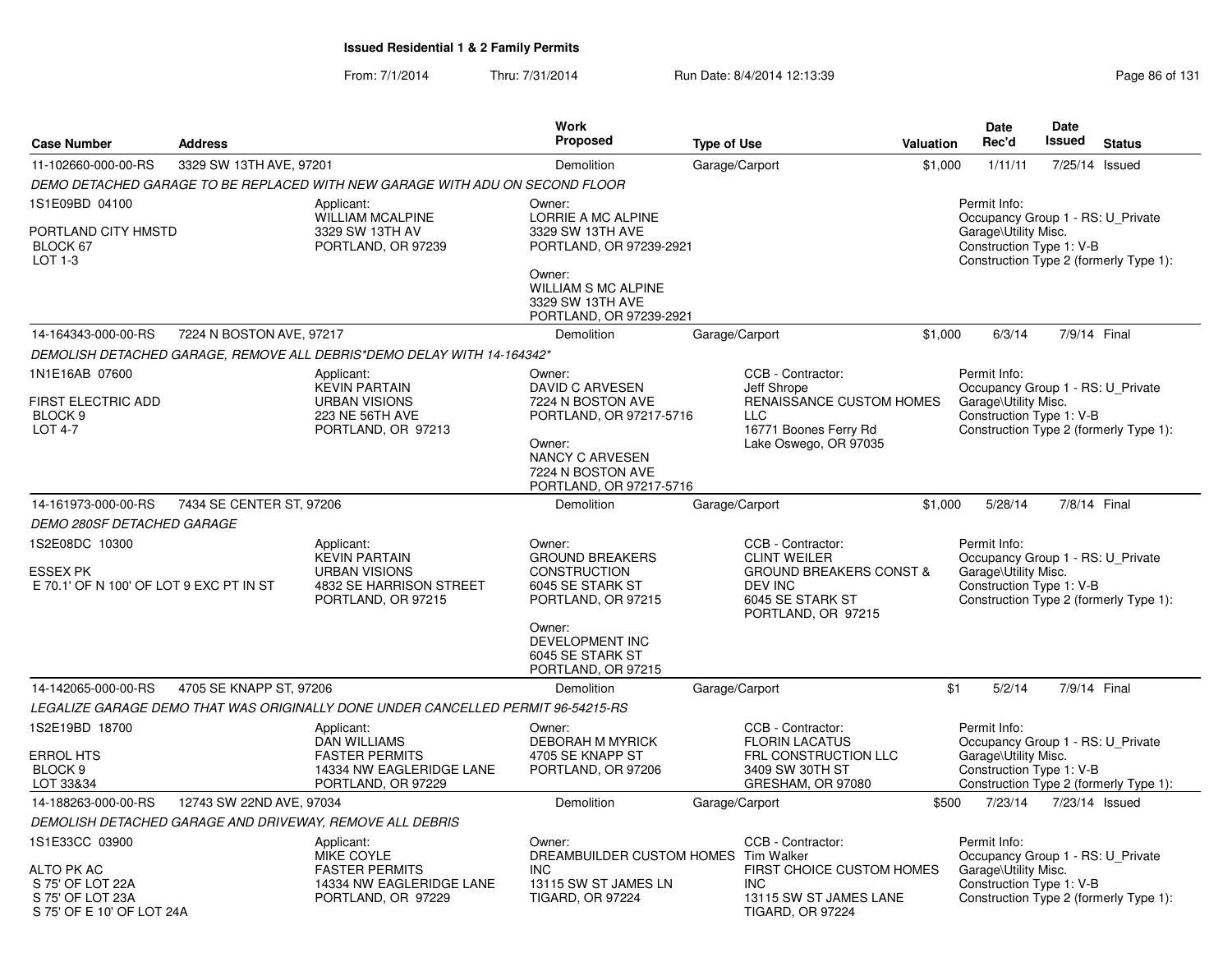| <b>Case Number</b>                                                              | <b>Address</b>           |                                                                                                              | Work<br>Proposed                                                                                                                                                          | <b>Type of Use</b>                                                                                         | <b>Valuation</b>                   | Date<br>Rec'd                                                                                                                                   | Date<br><b>Issued</b> | <b>Status</b> |
|---------------------------------------------------------------------------------|--------------------------|--------------------------------------------------------------------------------------------------------------|---------------------------------------------------------------------------------------------------------------------------------------------------------------------------|------------------------------------------------------------------------------------------------------------|------------------------------------|-------------------------------------------------------------------------------------------------------------------------------------------------|-----------------------|---------------|
| 11-102660-000-00-RS                                                             | 3329 SW 13TH AVE, 97201  |                                                                                                              | Demolition                                                                                                                                                                | Garage/Carport                                                                                             | \$1,000                            | 1/11/11                                                                                                                                         | 7/25/14 Issued        |               |
|                                                                                 |                          | DEMO DETACHED GARAGE TO BE REPLACED WITH NEW GARAGE WITH ADU ON SECOND FLOOR                                 |                                                                                                                                                                           |                                                                                                            |                                    |                                                                                                                                                 |                       |               |
| 1S1E09BD 04100<br>PORTLAND CITY HMSTD<br>BLOCK 67<br>LOT 1-3                    |                          | Applicant:<br><b>WILLIAM MCALPINE</b><br>3329 SW 13TH AV<br>PORTLAND, OR 97239                               | Owner:<br><b>LORRIE A MC ALPINE</b><br>3329 SW 13TH AVE<br>PORTLAND, OR 97239-2921<br>Owner:<br><b>WILLIAM S MC ALPINE</b><br>3329 SW 13TH AVE<br>PORTLAND, OR 97239-2921 |                                                                                                            |                                    | Permit Info:<br>Occupancy Group 1 - RS: U_Private<br>Garage\Utility Misc.<br>Construction Type 1: V-B<br>Construction Type 2 (formerly Type 1): |                       |               |
| 14-164343-000-00-RS                                                             | 7224 N BOSTON AVE, 97217 |                                                                                                              | Demolition                                                                                                                                                                | Garage/Carport                                                                                             | \$1,000                            | 6/3/14                                                                                                                                          | 7/9/14 Final          |               |
|                                                                                 |                          | DEMOLISH DETACHED GARAGE, REMOVE ALL DEBRIS*DEMO DELAY WITH 14-164342*                                       |                                                                                                                                                                           |                                                                                                            |                                    |                                                                                                                                                 |                       |               |
| 1N1E16AB 07600<br>FIRST ELECTRIC ADD<br>BLOCK <sub>9</sub><br><b>LOT 4-7</b>    |                          | Applicant:<br><b>KEVIN PARTAIN</b><br><b>URBAN VISIONS</b><br><b>223 NE 56TH AVE</b><br>PORTLAND, OR 97213   | Owner:<br>DAVID C ARVESEN<br>7224 N BOSTON AVE<br>PORTLAND, OR 97217-5716<br>Owner:<br><b>NANCY C ARVESEN</b><br>7224 N BOSTON AVE<br>PORTLAND, OR 97217-5716             | CCB - Contractor:<br>Jeff Shrope<br><b>LLC</b><br>16771 Boones Ferry Rd<br>Lake Oswego, OR 97035           | RENAISSANCE CUSTOM HOMES           | Permit Info:<br>Occupancy Group 1 - RS: U Private<br>Garage\Utility Misc.<br>Construction Type 1: V-B<br>Construction Type 2 (formerly Type 1): |                       |               |
| 14-161973-000-00-RS                                                             | 7434 SE CENTER ST, 97206 |                                                                                                              | Demolition                                                                                                                                                                | Garage/Carport                                                                                             | \$1,000                            | 5/28/14                                                                                                                                         | 7/8/14 Final          |               |
| <b>DEMO 280SF DETACHED GARAGE</b>                                               |                          |                                                                                                              |                                                                                                                                                                           |                                                                                                            |                                    |                                                                                                                                                 |                       |               |
| 1S2E08DC 10300<br><b>ESSEX PK</b><br>E 70.1' OF N 100' OF LOT 9 EXC PT IN ST    |                          | Applicant:<br><b>KEVIN PARTAIN</b><br><b>URBAN VISIONS</b><br>4832 SE HARRISON STREET<br>PORTLAND, OR 97215  | Owner:<br><b>GROUND BREAKERS</b><br><b>CONSTRUCTION</b><br>6045 SE STARK ST<br>PORTLAND, OR 97215<br>Owner:                                                               | CCB - Contractor:<br><b>CLINT WEILER</b><br>DEV INC<br>6045 SE STARK ST<br>PORTLAND, OR 97215              | <b>GROUND BREAKERS CONST &amp;</b> | Permit Info:<br>Occupancy Group 1 - RS: U Private<br>Garage\Utility Misc.<br>Construction Type 1: V-B<br>Construction Type 2 (formerly Type 1): |                       |               |
|                                                                                 |                          |                                                                                                              | DEVELOPMENT INC<br>6045 SE STARK ST<br>PORTLAND, OR 97215                                                                                                                 |                                                                                                            |                                    |                                                                                                                                                 |                       |               |
| 14-142065-000-00-RS                                                             | 4705 SE KNAPP ST, 97206  |                                                                                                              | Demolition                                                                                                                                                                | Garage/Carport                                                                                             |                                    | \$1<br>5/2/14                                                                                                                                   | 7/9/14 Final          |               |
|                                                                                 |                          | LEGALIZE GARAGE DEMO THAT WAS ORIGINALLY DONE UNDER CANCELLED PERMIT 96-54215-RS                             |                                                                                                                                                                           |                                                                                                            |                                    |                                                                                                                                                 |                       |               |
| 1S2E19BD 18700<br>ERROL HTS<br>BLOCK 9<br>LOT 33&34                             |                          | Applicant:<br><b>DAN WILLIAMS</b><br><b>FASTER PERMITS</b><br>14334 NW EAGLERIDGE LANE<br>PORTLAND, OR 97229 | Owner:<br><b>DEBORAH M MYRICK</b><br>4705 SE KNAPP ST<br>PORTLAND, OR 97206                                                                                               | CCB - Contractor:<br><b>FLORIN LACATUS</b><br>FRL CONSTRUCTION LLC<br>3409 SW 30TH ST<br>GRESHAM, OR 97080 |                                    | Permit Info:<br>Occupancy Group 1 - RS: U Private<br>Garage\Utility Misc.<br>Construction Type 1: V-B<br>Construction Type 2 (formerly Type 1): |                       |               |
| 14-188263-000-00-RS                                                             | 12743 SW 22ND AVE, 97034 |                                                                                                              | Demolition                                                                                                                                                                | Garage/Carport                                                                                             | \$500                              | 7/23/14                                                                                                                                         | 7/23/14 Issued        |               |
|                                                                                 |                          | DEMOLISH DETACHED GARAGE AND DRIVEWAY, REMOVE ALL DEBRIS                                                     |                                                                                                                                                                           |                                                                                                            |                                    |                                                                                                                                                 |                       |               |
| 1S1E33CC 03900                                                                  |                          | Applicant:<br>MIKE COYLE                                                                                     | Owner:<br>DREAMBUILDER CUSTOM HOMES Tim Walker                                                                                                                            | CCB - Contractor:                                                                                          |                                    | Permit Info:<br>Occupancy Group 1 - RS: U Private                                                                                               |                       |               |
| ALTO PK AC<br>S 75' OF LOT 22A<br>S 75' OF LOT 23A<br>S 75' OF E 10' OF LOT 24A |                          | <b>FASTER PERMITS</b><br>14334 NW EAGLERIDGE LANE<br>PORTLAND, OR 97229                                      | <b>INC</b><br>13115 SW ST JAMES LN<br><b>TIGARD, OR 97224</b>                                                                                                             | <b>INC</b><br>13115 SW ST JAMES LANE<br><b>TIGARD, OR 97224</b>                                            | FIRST CHOICE CUSTOM HOMES          | Garage\Utility Misc.<br>Construction Type 1: V-B<br>Construction Type 2 (formerly Type 1):                                                      |                       |               |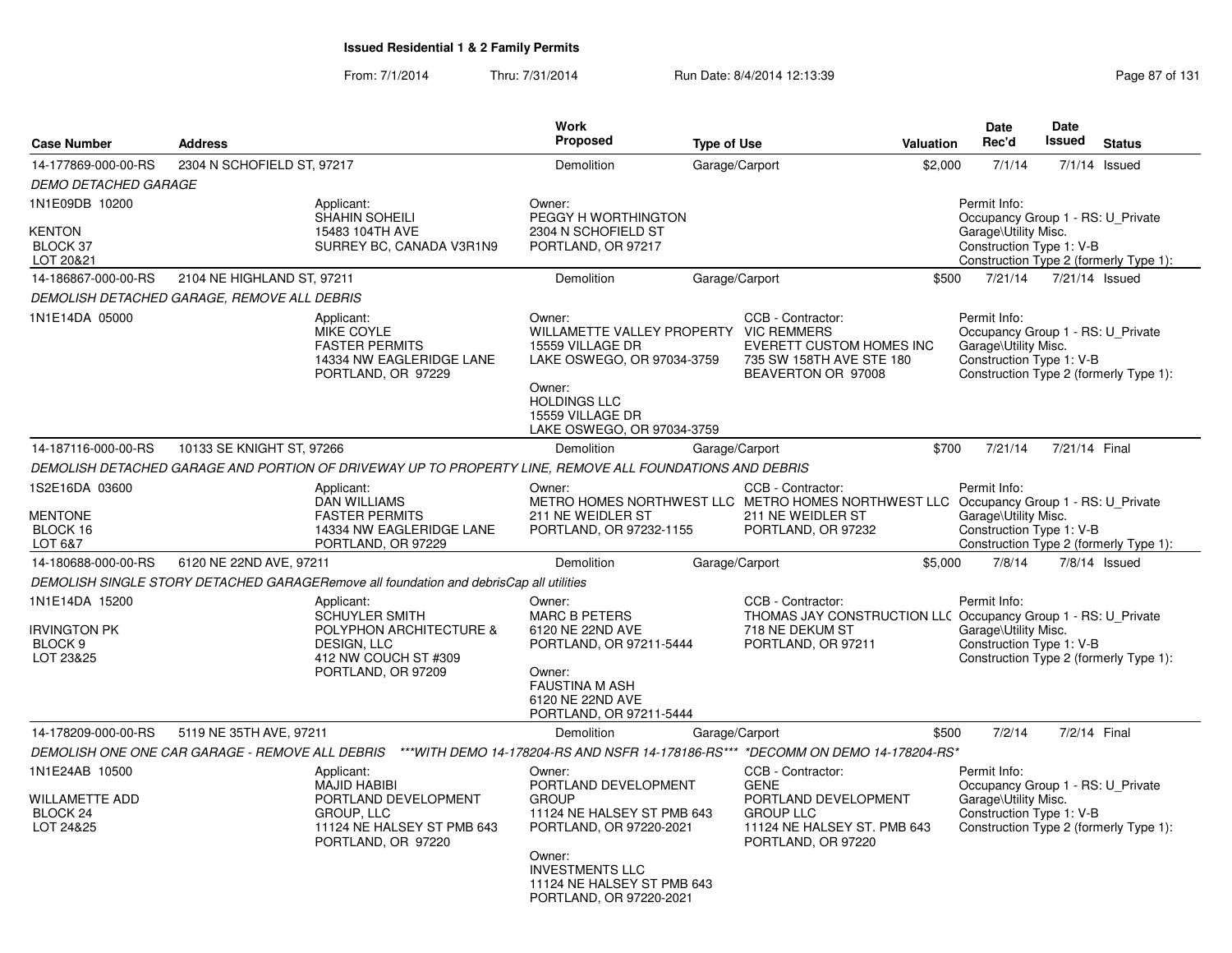| <b>Case Number</b>                                                          | <b>Address</b>                              |                                                                                                                                  | Work<br><b>Proposed</b>                                                                                                                                                                              | <b>Type of Use</b>                                                                                                                                    | Valuation | <b>Date</b><br>Rec'd                                                                                  | Date<br>Issued | <b>Status</b>                          |
|-----------------------------------------------------------------------------|---------------------------------------------|----------------------------------------------------------------------------------------------------------------------------------|------------------------------------------------------------------------------------------------------------------------------------------------------------------------------------------------------|-------------------------------------------------------------------------------------------------------------------------------------------------------|-----------|-------------------------------------------------------------------------------------------------------|----------------|----------------------------------------|
| 14-177869-000-00-RS                                                         | 2304 N SCHOFIELD ST, 97217                  |                                                                                                                                  | Demolition                                                                                                                                                                                           | Garage/Carport                                                                                                                                        | \$2,000   | 7/1/14                                                                                                |                | $7/1/14$ Issued                        |
| <b>DEMO DETACHED GARAGE</b>                                                 |                                             |                                                                                                                                  |                                                                                                                                                                                                      |                                                                                                                                                       |           |                                                                                                       |                |                                        |
| 1N1E09DB 10200<br><b>KENTON</b><br>BLOCK 37<br>LOT 20&21                    |                                             | Applicant:<br><b>SHAHIN SOHEILI</b><br>15483 104TH AVE<br>SURREY BC, CANADA V3R1N9                                               | Owner:<br>PEGGY H WORTHINGTON<br>2304 N SCHOFIELD ST<br>PORTLAND, OR 97217                                                                                                                           |                                                                                                                                                       |           | Permit Info:<br>Occupancy Group 1 - RS: U Private<br>Garage\Utility Misc.<br>Construction Type 1: V-B |                | Construction Type 2 (formerly Type 1): |
| 14-186867-000-00-RS                                                         | 2104 NE HIGHLAND ST, 97211                  |                                                                                                                                  | Demolition                                                                                                                                                                                           | Garage/Carport                                                                                                                                        | \$500     | 7/21/14                                                                                               |                | 7/21/14 Issued                         |
|                                                                             | DEMOLISH DETACHED GARAGE, REMOVE ALL DEBRIS |                                                                                                                                  |                                                                                                                                                                                                      |                                                                                                                                                       |           |                                                                                                       |                |                                        |
| 1N1E14DA 05000                                                              |                                             | Applicant:<br>MIKE COYLE<br><b>FASTER PERMITS</b><br>14334 NW EAGLERIDGE LANE<br>PORTLAND, OR 97229                              | Owner:<br>WILLAMETTE VALLEY PROPERTY VIC REMMERS<br>15559 VILLAGE DR<br>LAKE OSWEGO, OR 97034-3759<br>Owner:<br><b>HOLDINGS LLC</b><br>15559 VILLAGE DR<br>LAKE OSWEGO, OR 97034-3759                | CCB - Contractor:<br>EVERETT CUSTOM HOMES INC<br>735 SW 158TH AVE STE 180<br>BEAVERTON OR 97008                                                       |           | Permit Info:<br>Occupancy Group 1 - RS: U_Private<br>Garage\Utility Misc.<br>Construction Type 1: V-B |                | Construction Type 2 (formerly Type 1): |
| 14-187116-000-00-RS                                                         | 10133 SE KNIGHT ST, 97266                   |                                                                                                                                  | Demolition                                                                                                                                                                                           | Garage/Carport                                                                                                                                        | \$700     | 7/21/14                                                                                               | 7/21/14 Final  |                                        |
|                                                                             |                                             | DEMOLISH DETACHED GARAGE AND PORTION OF DRIVEWAY UP TO PROPERTY LINE, REMOVE ALL FOUNDATIONS AND DEBRIS                          |                                                                                                                                                                                                      |                                                                                                                                                       |           |                                                                                                       |                |                                        |
| 1S2E16DA 03600<br><b>MENTONE</b><br>BLOCK 16<br>LOT 6&7                     |                                             | Applicant:<br><b>DAN WILLIAMS</b><br><b>FASTER PERMITS</b><br>14334 NW EAGLERIDGE LANE<br>PORTLAND, OR 97229                     | Owner:<br>211 NE WEIDLER ST<br>PORTLAND, OR 97232-1155                                                                                                                                               | CCB - Contractor:<br>METRO HOMES NORTHWEST LLC METRO HOMES NORTHWEST LLC Occupancy Group 1 - RS: U Private<br>211 NE WEIDLER ST<br>PORTLAND, OR 97232 |           | Permit Info:<br>Garage\Utility Misc.<br>Construction Type 1: V-B                                      |                | Construction Type 2 (formerly Type 1): |
| 14-180688-000-00-RS                                                         | 6120 NE 22ND AVE, 97211                     |                                                                                                                                  | Demolition                                                                                                                                                                                           | Garage/Carport                                                                                                                                        | \$5,000   | 7/8/14                                                                                                |                | $7/8/14$ Issued                        |
|                                                                             |                                             | DEMOLISH SINGLE STORY DETACHED GARAGERemove all foundation and debrisCap all utilities                                           |                                                                                                                                                                                                      |                                                                                                                                                       |           |                                                                                                       |                |                                        |
| 1N1E14DA 15200<br><b>IRVINGTON PK</b><br>BLOCK <sub>9</sub><br>LOT 23&25    |                                             | Applicant:<br>SCHUYLER SMITH<br>POLYPHON ARCHITECTURE &<br>DESIGN, LLC<br>412 NW COUCH ST #309<br>PORTLAND, OR 97209             | Owner:<br><b>MARC B PETERS</b><br>6120 NE 22ND AVE<br>PORTLAND, OR 97211-5444<br>Owner:<br>FAUSTINA M ASH<br>6120 NE 22ND AVE<br>PORTLAND, OR 97211-5444                                             | CCB - Contractor:<br>THOMAS JAY CONSTRUCTION LLC Occupancy Group 1 - RS: U_Private<br>718 NE DEKUM ST<br>PORTLAND, OR 97211                           |           | Permit Info:<br>Garage\Utility Misc.<br>Construction Type 1: V-B                                      |                | Construction Type 2 (formerly Type 1): |
| 14-178209-000-00-RS                                                         | 5119 NE 35TH AVE, 97211                     |                                                                                                                                  | Demolition                                                                                                                                                                                           | Garage/Carport                                                                                                                                        | \$500     | 7/2/14                                                                                                | 7/2/14 Final   |                                        |
|                                                                             |                                             | DEMOLISH ONE ONE CAR GARAGE - REMOVE ALL DEBRIS ***WITH DEMO 14-178204-RS AND NSFR 14-178186-RS*** *DECOMM ON DEMO 14-178204-RS* |                                                                                                                                                                                                      |                                                                                                                                                       |           |                                                                                                       |                |                                        |
| 1N1E24AB 10500<br><b>WILLAMETTE ADD</b><br>BLOCK <sub>24</sub><br>LOT 24&25 |                                             | Applicant:<br><b>MAJID HABIBI</b><br>PORTLAND DEVELOPMENT<br>GROUP, LLC<br>11124 NE HALSEY ST PMB 643<br>PORTLAND, OR 97220      | Owner:<br>PORTLAND DEVELOPMENT<br><b>GROUP</b><br>11124 NE HALSEY ST PMB 643<br>PORTLAND, OR 97220-2021<br>Owner:<br><b>INVESTMENTS LLC</b><br>11124 NE HALSEY ST PMB 643<br>PORTLAND, OR 97220-2021 | CCB - Contractor:<br><b>GENE</b><br>PORTLAND DEVELOPMENT<br><b>GROUP LLC</b><br>11124 NE HALSEY ST. PMB 643<br>PORTLAND, OR 97220                     |           | Permit Info:<br>Occupancy Group 1 - RS: U Private<br>Garage\Utility Misc.<br>Construction Type 1: V-B |                | Construction Type 2 (formerly Type 1): |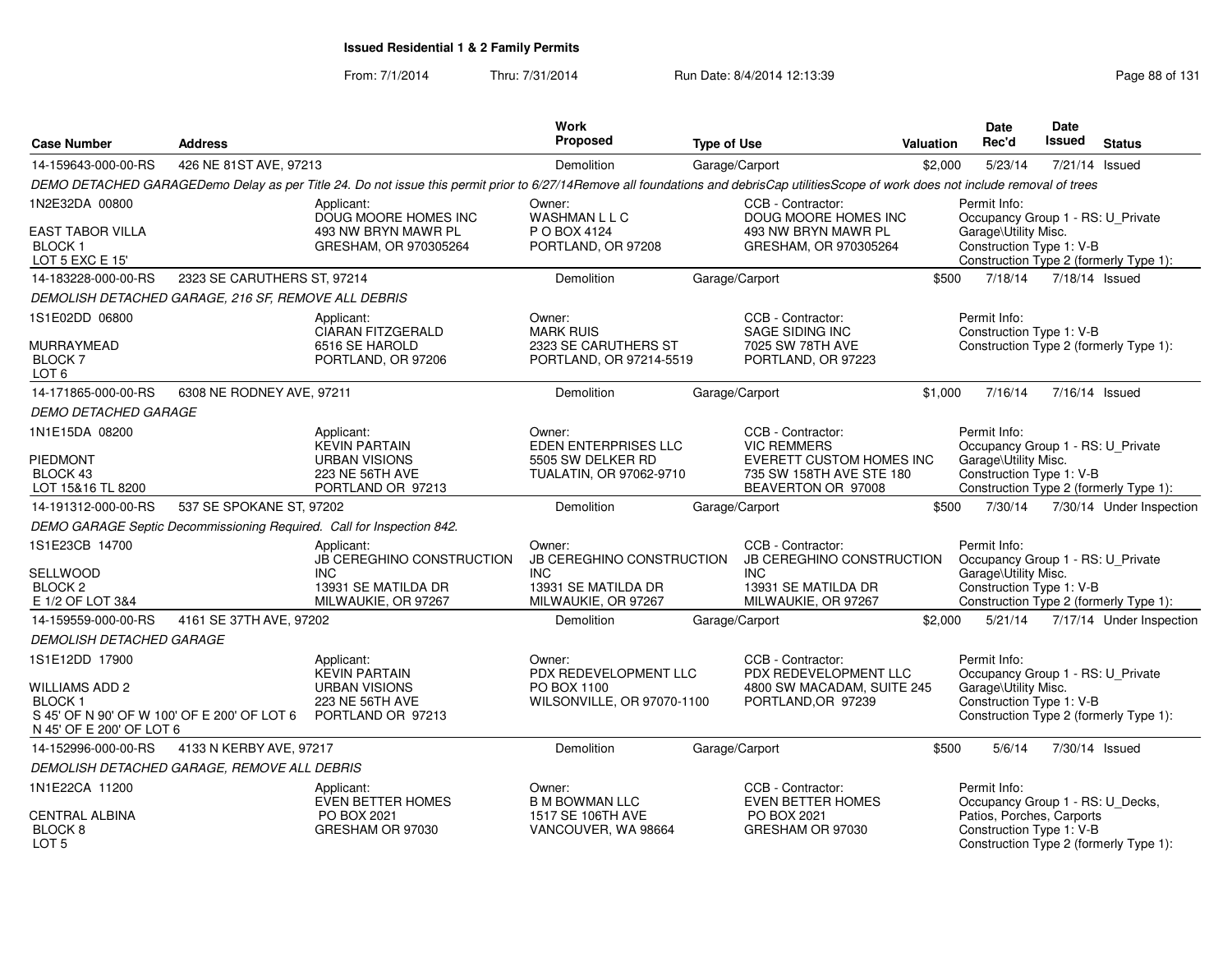| <b>Case Number</b>                                                                                                | <b>Address</b>                                      |                                                                                                                                                                                        | Work<br>Proposed                                         | <b>Type of Use</b>                                                                | <b>Valuation</b> | <b>Date</b><br>Rec'd                                  | <b>Date</b><br><b>Issued</b> | <b>Status</b>                          |
|-------------------------------------------------------------------------------------------------------------------|-----------------------------------------------------|----------------------------------------------------------------------------------------------------------------------------------------------------------------------------------------|----------------------------------------------------------|-----------------------------------------------------------------------------------|------------------|-------------------------------------------------------|------------------------------|----------------------------------------|
| 14-159643-000-00-RS                                                                                               | 426 NE 81ST AVE, 97213                              |                                                                                                                                                                                        | Demolition                                               | Garage/Carport                                                                    | \$2,000          | 5/23/14                                               | 7/21/14                      | Issued                                 |
|                                                                                                                   |                                                     | DEMO DETACHED GARAGEDemo Delay as per Title 24. Do not issue this permit prior to 6/27/14Remove all foundations and debrisCap utilitiesScope of work does not include removal of trees |                                                          |                                                                                   |                  |                                                       |                              |                                        |
| 1N2E32DA 00800                                                                                                    |                                                     | Applicant:<br>DOUG MOORE HOMES INC                                                                                                                                                     | Owner:<br>WASHMAN L L C                                  | CCB - Contractor:<br>DOUG MOORE HOMES INC                                         |                  | Permit Info:<br>Occupancy Group 1 - RS: U_Private     |                              |                                        |
| EAST TABOR VILLA<br><b>BLOCK1</b><br>LOT 5 EXC E 15'                                                              |                                                     | 493 NW BRYN MAWR PL<br>GRESHAM, OR 970305264                                                                                                                                           | P O BOX 4124<br>PORTLAND, OR 97208                       | 493 NW BRYN MAWR PL<br>GRESHAM, OR 970305264                                      |                  | Garage\Utility Misc.<br>Construction Type 1: V-B      |                              | Construction Type 2 (formerly Type 1): |
| 14-183228-000-00-RS                                                                                               | 2323 SE CARUTHERS ST, 97214                         |                                                                                                                                                                                        | Demolition                                               | Garage/Carport                                                                    | \$500            | 7/18/14                                               |                              | 7/18/14 Issued                         |
|                                                                                                                   | DEMOLISH DETACHED GARAGE, 216 SF, REMOVE ALL DEBRIS |                                                                                                                                                                                        |                                                          |                                                                                   |                  |                                                       |                              |                                        |
| 1S1E02DD 06800                                                                                                    |                                                     | Applicant:<br><b>CIARAN FITZGERALD</b>                                                                                                                                                 | Owner:<br><b>MARK RUIS</b>                               | CCB - Contractor:<br>SAGE SIDING INC                                              |                  | Permit Info:<br>Construction Type 1: V-B              |                              |                                        |
| MURRAYMEAD<br><b>BLOCK7</b><br>LOT <sub>6</sub>                                                                   |                                                     | 6516 SE HAROLD<br>PORTLAND, OR 97206                                                                                                                                                   | 2323 SE CARUTHERS ST<br>PORTLAND, OR 97214-5519          | 7025 SW 78TH AVE<br>PORTLAND, OR 97223                                            |                  |                                                       |                              | Construction Type 2 (formerly Type 1): |
| 14-171865-000-00-RS                                                                                               | 6308 NE RODNEY AVE, 97211                           |                                                                                                                                                                                        | <b>Demolition</b>                                        | Garage/Carport                                                                    | \$1,000          | 7/16/14                                               |                              | 7/16/14 Issued                         |
| <b>DEMO DETACHED GARAGE</b>                                                                                       |                                                     |                                                                                                                                                                                        |                                                          |                                                                                   |                  |                                                       |                              |                                        |
| 1N1E15DA 08200                                                                                                    |                                                     | Applicant:<br><b>KEVIN PARTAIN</b>                                                                                                                                                     | Owner:<br><b>EDEN ENTERPRISES LLC</b>                    | CCB - Contractor:<br><b>VIC REMMERS</b>                                           |                  | Permit Info:<br>Occupancy Group 1 - RS: U_Private     |                              |                                        |
| PIEDMONT<br>BLOCK 43<br>LOT 15&16 TL 8200                                                                         |                                                     | <b>URBAN VISIONS</b><br>223 NE 56TH AVE<br>PORTLAND OR 97213                                                                                                                           | 5505 SW DELKER RD<br>TUALATIN, OR 97062-9710             | <b>EVERETT CUSTOM HOMES INC</b><br>735 SW 158TH AVE STE 180<br>BEAVERTON OR 97008 |                  | Garage\Utility Misc.<br>Construction Type 1: V-B      |                              | Construction Type 2 (formerly Type 1): |
| 14-191312-000-00-RS                                                                                               | 537 SE SPOKANE ST, 97202                            |                                                                                                                                                                                        | <b>Demolition</b>                                        | Garage/Carport                                                                    | \$500            | 7/30/14                                               |                              | 7/30/14 Under Inspection               |
|                                                                                                                   |                                                     | DEMO GARAGE Septic Decommissioning Required. Call for Inspection 842.                                                                                                                  |                                                          |                                                                                   |                  |                                                       |                              |                                        |
| 1S1E23CB 14700                                                                                                    |                                                     | Applicant:<br>JB CEREGHINO CONSTRUCTION                                                                                                                                                | Owner:<br>JB CEREGHINO CONSTRUCTION                      | CCB - Contractor:<br><b>JB CEREGHINO CONSTRUCTION</b>                             |                  | Permit Info:<br>Occupancy Group 1 - RS: U_Private     |                              |                                        |
| SELLWOOD<br>BLOCK <sub>2</sub><br>E 1/2 OF LOT 3&4                                                                |                                                     | <b>INC</b><br>13931 SE MATILDA DR<br>MILWAUKIE, OR 97267                                                                                                                               | <b>INC</b><br>13931 SE MATILDA DR<br>MILWAUKIE, OR 97267 | <b>INC</b><br>13931 SE MATILDA DR<br>MILWAUKIE, OR 97267                          |                  | Garage\Utility Misc.<br>Construction Type 1: V-B      |                              | Construction Type 2 (formerly Type 1): |
| 14-159559-000-00-RS                                                                                               | 4161 SE 37TH AVE, 97202                             |                                                                                                                                                                                        | Demolition                                               | Garage/Carport                                                                    | \$2,000          | 5/21/14                                               |                              | 7/17/14 Under Inspection               |
| <b>DEMOLISH DETACHED GARAGE</b>                                                                                   |                                                     |                                                                                                                                                                                        |                                                          |                                                                                   |                  |                                                       |                              |                                        |
| 1S1E12DD 17900                                                                                                    |                                                     | Applicant:<br><b>KEVIN PARTAIN</b>                                                                                                                                                     | Owner:<br>PDX REDEVELOPMENT LLC                          | CCB - Contractor:<br>PDX REDEVELOPMENT LLC                                        |                  | Permit Info:<br>Occupancy Group 1 - RS: U_Private     |                              |                                        |
| <b>WILLIAMS ADD 2</b><br><b>BLOCK1</b><br>S 45' OF N 90' OF W 100' OF E 200' OF LOT 6<br>N 45' OF E 200' OF LOT 6 |                                                     | <b>URBAN VISIONS</b><br>223 NE 56TH AVE<br>PORTLAND OR 97213                                                                                                                           | PO BOX 1100<br>WILSONVILLE, OR 97070-1100                | 4800 SW MACADAM, SUITE 245<br>PORTLAND, OR 97239                                  |                  | Garage\Utility Misc.<br>Construction Type 1: V-B      |                              | Construction Type 2 (formerly Type 1): |
| 14-152996-000-00-RS                                                                                               | 4133 N KERBY AVE, 97217                             |                                                                                                                                                                                        | <b>Demolition</b>                                        | Garage/Carport                                                                    | \$500            | 5/6/14                                                |                              | 7/30/14 Issued                         |
|                                                                                                                   | DEMOLISH DETACHED GARAGE. REMOVE ALL DEBRIS         |                                                                                                                                                                                        |                                                          |                                                                                   |                  |                                                       |                              |                                        |
| 1N1E22CA 11200                                                                                                    |                                                     | Applicant:<br>EVEN BETTER HOMES                                                                                                                                                        | Owner:<br><b>B M BOWMAN LLC</b>                          | CCB - Contractor:<br>EVEN BETTER HOMES                                            |                  | Permit Info:<br>Occupancy Group 1 - RS: U_Decks,      |                              |                                        |
| CENTRAL ALBINA<br>BLOCK <sub>8</sub><br>LOT <sub>5</sub>                                                          |                                                     | PO BOX 2021<br>GRESHAM OR 97030                                                                                                                                                        | 1517 SE 106TH AVE<br>VANCOUVER, WA 98664                 | PO BOX 2021<br>GRESHAM OR 97030                                                   |                  | Patios, Porches, Carports<br>Construction Type 1: V-B |                              | Construction Type 2 (formerly Type 1): |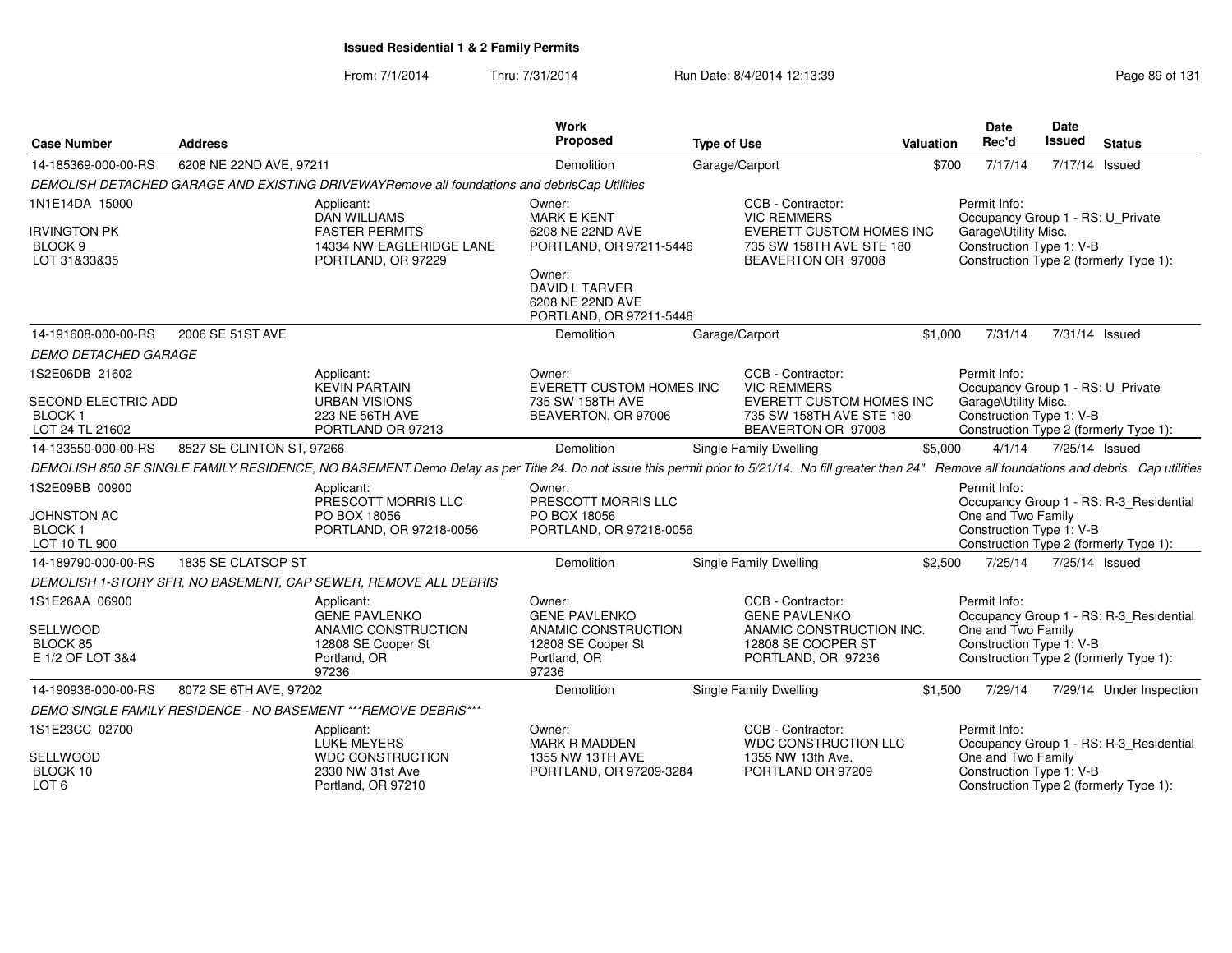From: 7/1/2014Thru: 7/31/2014 Run Date: 8/4/2014 12:13:39 Rege 89 of 131

| <b>Case Number</b>                                 | <b>Address</b>            |                                                                                              | Work<br><b>Proposed</b>                                                        | <b>Type of Use</b>                                                                                                                                                                                     | Valuation | Date<br>Rec'd                                                                                         | Date<br><b>Issued</b> | <b>Status</b>  |                          |
|----------------------------------------------------|---------------------------|----------------------------------------------------------------------------------------------|--------------------------------------------------------------------------------|--------------------------------------------------------------------------------------------------------------------------------------------------------------------------------------------------------|-----------|-------------------------------------------------------------------------------------------------------|-----------------------|----------------|--------------------------|
| 14-185369-000-00-RS                                | 6208 NE 22ND AVE, 97211   |                                                                                              | Demolition                                                                     | Garage/Carport                                                                                                                                                                                         | \$700     | 7/17/14                                                                                               |                       | 7/17/14 Issued |                          |
|                                                    |                           | DEMOLISH DETACHED GARAGE AND EXISTING DRIVEWAYRemove all foundations and debrisCap Utilities |                                                                                |                                                                                                                                                                                                        |           |                                                                                                       |                       |                |                          |
| 1N1E14DA 15000<br><b>IRVINGTON PK</b><br>BLOCK 9   |                           | Applicant:<br><b>DAN WILLIAMS</b><br><b>FASTER PERMITS</b><br>14334 NW EAGLERIDGE LANE       | Owner:<br><b>MARK E KENT</b><br>6208 NE 22ND AVE<br>PORTLAND, OR 97211-5446    | CCB - Contractor:<br><b>VIC REMMERS</b><br>EVERETT CUSTOM HOMES INC<br>735 SW 158TH AVE STE 180                                                                                                        |           | Permit Info:<br>Occupancy Group 1 - RS: U Private<br>Garage\Utility Misc.<br>Construction Type 1: V-B |                       |                |                          |
| LOT 31&33&35                                       |                           | PORTLAND, OR 97229                                                                           | Owner:<br><b>DAVID L TARVER</b><br>6208 NE 22ND AVE<br>PORTLAND, OR 97211-5446 | BEAVERTON OR 97008                                                                                                                                                                                     |           | Construction Type 2 (formerly Type 1):                                                                |                       |                |                          |
| 14-191608-000-00-RS                                | 2006 SE 51ST AVE          |                                                                                              | Demolition                                                                     | Garage/Carport                                                                                                                                                                                         | \$1,000   | 7/31/14                                                                                               |                       | 7/31/14 Issued |                          |
| <b>DEMO DETACHED GARAGE</b>                        |                           |                                                                                              |                                                                                |                                                                                                                                                                                                        |           |                                                                                                       |                       |                |                          |
| 1S2E06DB 21602<br>SECOND ELECTRIC ADD              |                           | Applicant:<br><b>KEVIN PARTAIN</b><br><b>URBAN VISIONS</b>                                   | Owner:<br><b>EVERETT CUSTOM HOMES INC</b><br>735 SW 158TH AVE                  | CCB - Contractor:<br><b>VIC REMMERS</b><br>EVERETT CUSTOM HOMES INC                                                                                                                                    |           | Permit Info:<br>Occupancy Group 1 - RS: U Private<br>Garage\Utility Misc.                             |                       |                |                          |
| BLOCK 1<br>LOT 24 TL 21602                         |                           | 223 NE 56TH AVE<br>PORTLAND OR 97213                                                         | BEAVERTON, OR 97006                                                            | 735 SW 158TH AVE STE 180<br>BEAVERTON OR 97008                                                                                                                                                         |           | Construction Type 1: V-B<br>Construction Type 2 (formerly Type 1):                                    |                       |                |                          |
| 14-133550-000-00-RS                                | 8527 SE CLINTON ST, 97266 |                                                                                              | Demolition                                                                     | Single Family Dwelling                                                                                                                                                                                 | \$5,000   |                                                                                                       | 4/1/14 7/25/14 Issued |                |                          |
|                                                    |                           |                                                                                              |                                                                                | DEMOLISH 850 SF SINGLE FAMILY RESIDENCE, NO BASEMENT.Demo Delay as per Title 24. Do not issue this permit prior to 5/21/14. No fill greater than 24". Remove all foundations and debris. Cap utilities |           |                                                                                                       |                       |                |                          |
| 1S2E09BB 00900                                     |                           | Applicant:<br>PRESCOTT MORRIS LLC                                                            | Owner:<br>PRESCOTT MORRIS LLC                                                  |                                                                                                                                                                                                        |           | Permit Info:<br>Occupancy Group 1 - RS: R-3_Residential                                               |                       |                |                          |
| JOHNSTON AC<br>BLOCK <sub>1</sub><br>LOT 10 TL 900 |                           | PO BOX 18056<br>PORTLAND, OR 97218-0056                                                      | PO BOX 18056<br>PORTLAND, OR 97218-0056                                        |                                                                                                                                                                                                        |           | One and Two Family<br>Construction Type 1: V-B<br>Construction Type 2 (formerly Type 1):              |                       |                |                          |
| 14-189790-000-00-RS                                | 1835 SE CLATSOP ST        |                                                                                              | Demolition                                                                     | Single Family Dwelling                                                                                                                                                                                 | \$2.500   | 7/25/14                                                                                               |                       | 7/25/14 Issued |                          |
|                                                    |                           | DEMOLISH 1-STORY SFR. NO BASEMENT, CAP SEWER, REMOVE ALL DEBRIS                              |                                                                                |                                                                                                                                                                                                        |           |                                                                                                       |                       |                |                          |
| 1S1E26AA 06900                                     |                           | Applicant:<br><b>GENE PAVLENKO</b>                                                           | Owner:<br><b>GENE PAVLENKO</b>                                                 | CCB - Contractor:<br><b>GENE PAVLENKO</b>                                                                                                                                                              |           | Permit Info:<br>Occupancy Group 1 - RS: R-3_Residential                                               |                       |                |                          |
| SELLWOOD<br>BLOCK 85<br>E 1/2 OF LOT 3&4           |                           | ANAMIC CONSTRUCTION<br>12808 SE Cooper St<br>Portland, OR                                    | ANAMIC CONSTRUCTION<br>12808 SE Cooper St<br>Portland, OR                      | ANAMIC CONSTRUCTION INC.<br>12808 SE COOPER ST<br>PORTLAND, OR 97236                                                                                                                                   |           | One and Two Family<br>Construction Type 1: V-B<br>Construction Type 2 (formerly Type 1):              |                       |                |                          |
|                                                    |                           | 97236                                                                                        | 97236                                                                          |                                                                                                                                                                                                        |           |                                                                                                       |                       |                |                          |
| 14-190936-000-00-RS                                | 8072 SE 6TH AVE, 97202    |                                                                                              | Demolition                                                                     | <b>Single Family Dwelling</b>                                                                                                                                                                          | \$1.500   | 7/29/14                                                                                               |                       |                | 7/29/14 Under Inspection |
|                                                    |                           | DEMO SINGLE FAMILY RESIDENCE - NO BASEMENT *** REMOVE DEBRIS***                              |                                                                                |                                                                                                                                                                                                        |           |                                                                                                       |                       |                |                          |
| 1S1E23CC 02700                                     |                           | Applicant:<br><b>LUKE MEYERS</b>                                                             | Owner:<br><b>MARK R MADDEN</b>                                                 | CCB - Contractor:<br>WDC CONSTRUCTION LLC                                                                                                                                                              |           | Permit Info:<br>Occupancy Group 1 - RS: R-3 Residential                                               |                       |                |                          |
| SELLWOOD<br>BLOCK 10<br>LOT <sub>6</sub>           |                           | <b>WDC CONSTRUCTION</b><br>2330 NW 31st Ave<br>Portland, OR 97210                            | 1355 NW 13TH AVE<br>PORTLAND, OR 97209-3284                                    | 1355 NW 13th Ave.<br>PORTLAND OR 97209                                                                                                                                                                 |           | One and Two Family<br>Construction Type 1: V-B<br>Construction Type 2 (formerly Type 1):              |                       |                |                          |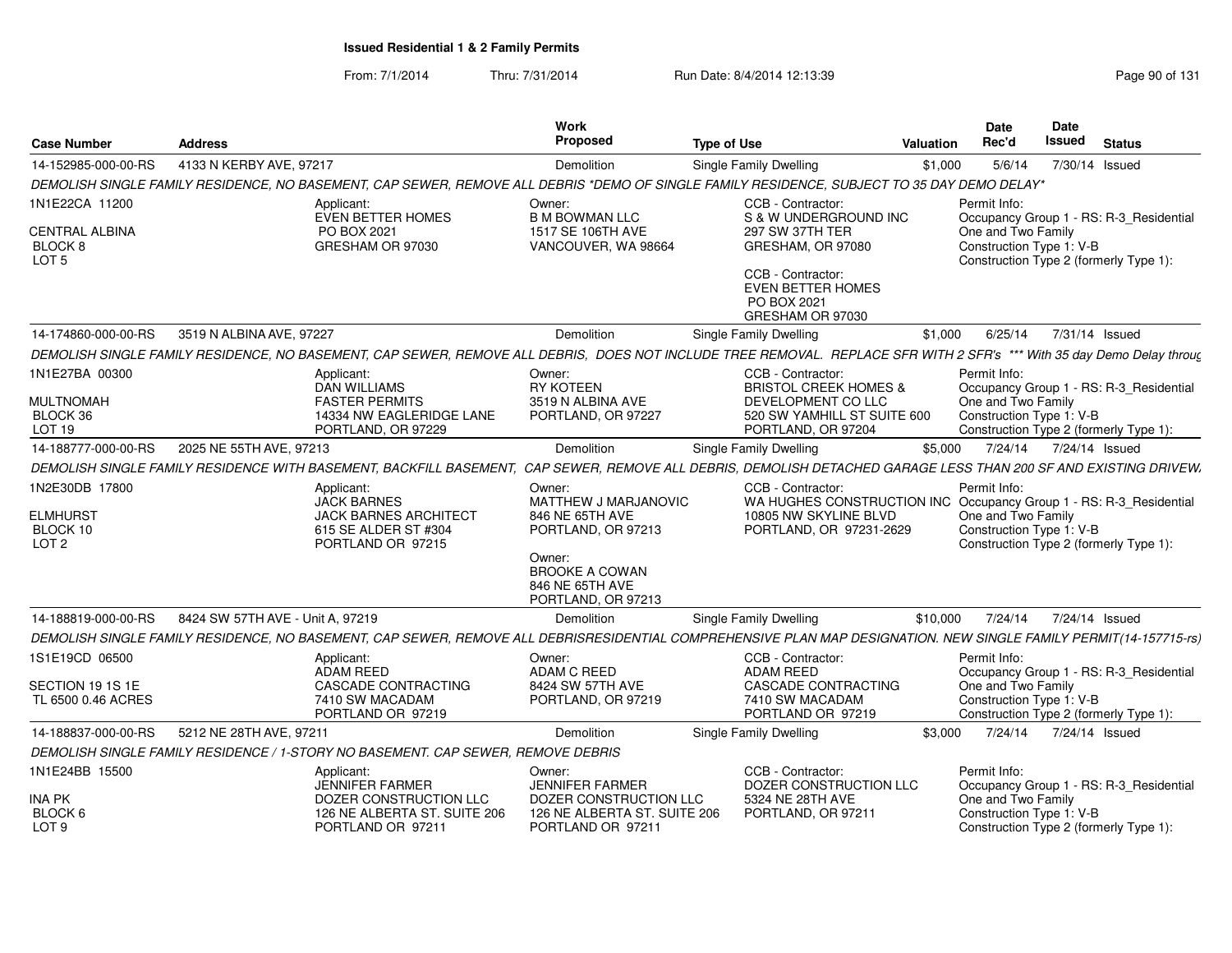| <b>Case Number</b>                                   | <b>Address</b>                   |                                                                                  | <b>Work</b><br><b>Proposed</b>                                           | <b>Type of Use</b>                                                                                                                                                     | <b>Valuation</b> | <b>Date</b><br>Rec'd                                                                     | Date<br><b>Issued</b> | <b>Status</b>                           |
|------------------------------------------------------|----------------------------------|----------------------------------------------------------------------------------|--------------------------------------------------------------------------|------------------------------------------------------------------------------------------------------------------------------------------------------------------------|------------------|------------------------------------------------------------------------------------------|-----------------------|-----------------------------------------|
| 14-152985-000-00-RS                                  | 4133 N KERBY AVE, 97217          |                                                                                  | Demolition                                                               | <b>Single Family Dwelling</b>                                                                                                                                          | \$1,000          | 5/6/14                                                                                   | 7/30/14 Issued        |                                         |
|                                                      |                                  |                                                                                  |                                                                          | DEMOLISH SINGLE FAMILY RESIDENCE, NO BASEMENT, CAP SEWER, REMOVE ALL DEBRIS *DEMO OF SINGLE FAMILY RESIDENCE, SUBJECT TO 35 DAY DEMO DELAY*                            |                  |                                                                                          |                       |                                         |
| 1N1E22CA 11200                                       |                                  | Applicant:<br><b>EVEN BETTER HOMES</b>                                           | Owner:<br><b>B M BOWMAN LLC</b>                                          | CCB - Contractor:<br>S & W UNDERGROUND INC                                                                                                                             |                  | Permit Info:                                                                             |                       | Occupancy Group 1 - RS: R-3_Residential |
| <b>CENTRAL ALBINA</b><br>BLOCK 8<br>LOT <sub>5</sub> |                                  | PO BOX 2021<br>GRESHAM OR 97030                                                  | 1517 SE 106TH AVE<br>VANCOUVER, WA 98664                                 | 297 SW 37TH TER<br>GRESHAM, OR 97080                                                                                                                                   |                  | One and Two Family<br>Construction Type 1: V-B<br>Construction Type 2 (formerly Type 1): |                       |                                         |
|                                                      |                                  |                                                                                  |                                                                          | CCB - Contractor:<br><b>EVEN BETTER HOMES</b><br>PO BOX 2021<br>GRESHAM OR 97030                                                                                       |                  |                                                                                          |                       |                                         |
| 14-174860-000-00-RS                                  | 3519 N ALBINA AVE, 97227         |                                                                                  | <b>Demolition</b>                                                        | <b>Single Family Dwelling</b>                                                                                                                                          | \$1.000          | 6/25/14                                                                                  | 7/31/14 Issued        |                                         |
|                                                      |                                  |                                                                                  |                                                                          | DEMOLISH SINGLE FAMILY RESIDENCE, NO BASEMENT, CAP SEWER, REMOVE ALL DEBRIS, DOES NOT INCLUDE TREE REMOVAL. REPLACE SFR WITH 2 SFR's *** With 35 day Demo Delay throug |                  |                                                                                          |                       |                                         |
| 1N1E27BA 00300                                       |                                  | Applicant:<br><b>DAN WILLIAMS</b>                                                | Owner:<br><b>RY KOTEEN</b>                                               | CCB - Contractor:<br><b>BRISTOL CREEK HOMES &amp;</b>                                                                                                                  |                  | Permit Info:                                                                             |                       | Occupancy Group 1 - RS: R-3_Residential |
| <b>MULTNOMAH</b>                                     |                                  | <b>FASTER PERMITS</b>                                                            | 3519 N ALBINA AVE                                                        | DEVELOPMENT CO LLC                                                                                                                                                     |                  | One and Two Family                                                                       |                       |                                         |
| BLOCK 36<br>LOT 19                                   |                                  | 14334 NW EAGLERIDGE LANE<br>PORTLAND, OR 97229                                   | PORTLAND, OR 97227                                                       | 520 SW YAMHILL ST SUITE 600<br>PORTLAND, OR 97204                                                                                                                      |                  | Construction Type 1: V-B                                                                 |                       | Construction Type 2 (formerly Type 1):  |
| 14-188777-000-00-RS                                  | 2025 NE 55TH AVE, 97213          |                                                                                  | <b>Demolition</b>                                                        | <b>Single Family Dwelling</b>                                                                                                                                          | \$5.000          | 7/24/14                                                                                  | 7/24/14 Issued        |                                         |
|                                                      |                                  |                                                                                  |                                                                          | DEMOLISH SINGLE FAMILY RESIDENCE WITH BASEMENT, BACKFILL BASEMENT, CAP SEWER, REMOVE ALL DEBRIS, DEMOLISH DETACHED GARAGE LESS THAN 200 SF AND EXISTING DRIVEW.        |                  |                                                                                          |                       |                                         |
| 1N2E30DB 17800                                       |                                  | Applicant:                                                                       | Owner:                                                                   | CCB - Contractor:                                                                                                                                                      |                  | Permit Info:                                                                             |                       |                                         |
| <b>ELMHURST</b>                                      |                                  | <b>JACK BARNES</b><br><b>JACK BARNES ARCHITECT</b>                               | MATTHEW J MARJANOVIC<br>846 NE 65TH AVE                                  | WA HUGHES CONSTRUCTION INC Occupancy Group 1 - RS: R-3_Residential<br>10805 NW SKYLINE BLVD                                                                            |                  | One and Two Family                                                                       |                       |                                         |
| BLOCK 10                                             |                                  | 615 SE ALDER ST #304                                                             | PORTLAND, OR 97213                                                       | PORTLAND, OR 97231-2629                                                                                                                                                |                  | Construction Type 1: V-B                                                                 |                       |                                         |
| LOT <sub>2</sub>                                     |                                  | PORTLAND OR 97215                                                                | Owner:<br><b>BROOKE A COWAN</b><br>846 NE 65TH AVE<br>PORTLAND, OR 97213 |                                                                                                                                                                        |                  | Construction Type 2 (formerly Type 1):                                                   |                       |                                         |
| 14-188819-000-00-RS                                  | 8424 SW 57TH AVE - Unit A, 97219 |                                                                                  | Demolition                                                               | <b>Single Family Dwelling</b>                                                                                                                                          | \$10,000         | 7/24/14                                                                                  | 7/24/14 Issued        |                                         |
|                                                      |                                  |                                                                                  |                                                                          | DEMOLISH SINGLE FAMILY RESIDENCE, NO BASEMENT, CAP SEWER, REMOVE ALL DEBRISRESIDENTIAL COMPREHENSIVE PLAN MAP DESIGNATION. NEW SINGLE FAMILY PERMIT(14-157715-rs)      |                  |                                                                                          |                       |                                         |
| 1S1E19CD 06500                                       |                                  | Applicant:<br>ADAM REED                                                          | Owner:<br>ADAM C REED                                                    | CCB - Contractor:<br><b>ADAM REED</b>                                                                                                                                  |                  | Permit Info:                                                                             |                       | Occupancy Group 1 - RS: R-3_Residential |
| SECTION 19 1S 1E<br>TL 6500 0.46 ACRES               |                                  | <b>CASCADE CONTRACTING</b><br>7410 SW MACADAM<br>PORTLAND OR 97219               | 8424 SW 57TH AVE<br>PORTLAND, OR 97219                                   | <b>CASCADE CONTRACTING</b><br>7410 SW MACADAM<br>PORTLAND OR 97219                                                                                                     |                  | One and Two Family<br>Construction Type 1: V-B                                           |                       | Construction Type 2 (formerly Type 1):  |
| 14-188837-000-00-RS                                  | 5212 NE 28TH AVE, 97211          |                                                                                  | <b>Demolition</b>                                                        | Single Family Dwelling                                                                                                                                                 | \$3,000          | 7/24/14                                                                                  | 7/24/14 Issued        |                                         |
|                                                      |                                  | DEMOLISH SINGLE FAMILY RESIDENCE / 1-STORY NO BASEMENT. CAP SEWER, REMOVE DEBRIS |                                                                          |                                                                                                                                                                        |                  |                                                                                          |                       |                                         |
| 1N1E24BB 15500                                       |                                  | Applicant:                                                                       | Owner:                                                                   | CCB - Contractor:                                                                                                                                                      |                  | Permit Info:                                                                             |                       |                                         |
| <b>INA PK</b>                                        |                                  | JENNIFER FARMER<br>DOZER CONSTRUCTION LLC                                        | <b>JENNIFER FARMER</b><br>DOZER CONSTRUCTION LLC                         | DOZER CONSTRUCTION LLC<br>5324 NE 28TH AVE                                                                                                                             |                  | One and Two Family                                                                       |                       | Occupancy Group 1 - RS: R-3 Residential |
| BLOCK 6<br>LOT <sub>9</sub>                          |                                  | 126 NE ALBERTA ST. SUITE 206<br>PORTLAND OR 97211                                | 126 NE ALBERTA ST. SUITE 206<br>PORTLAND OR 97211                        | PORTLAND, OR 97211                                                                                                                                                     |                  | Construction Type 1: V-B<br>Construction Type 2 (formerly Type 1):                       |                       |                                         |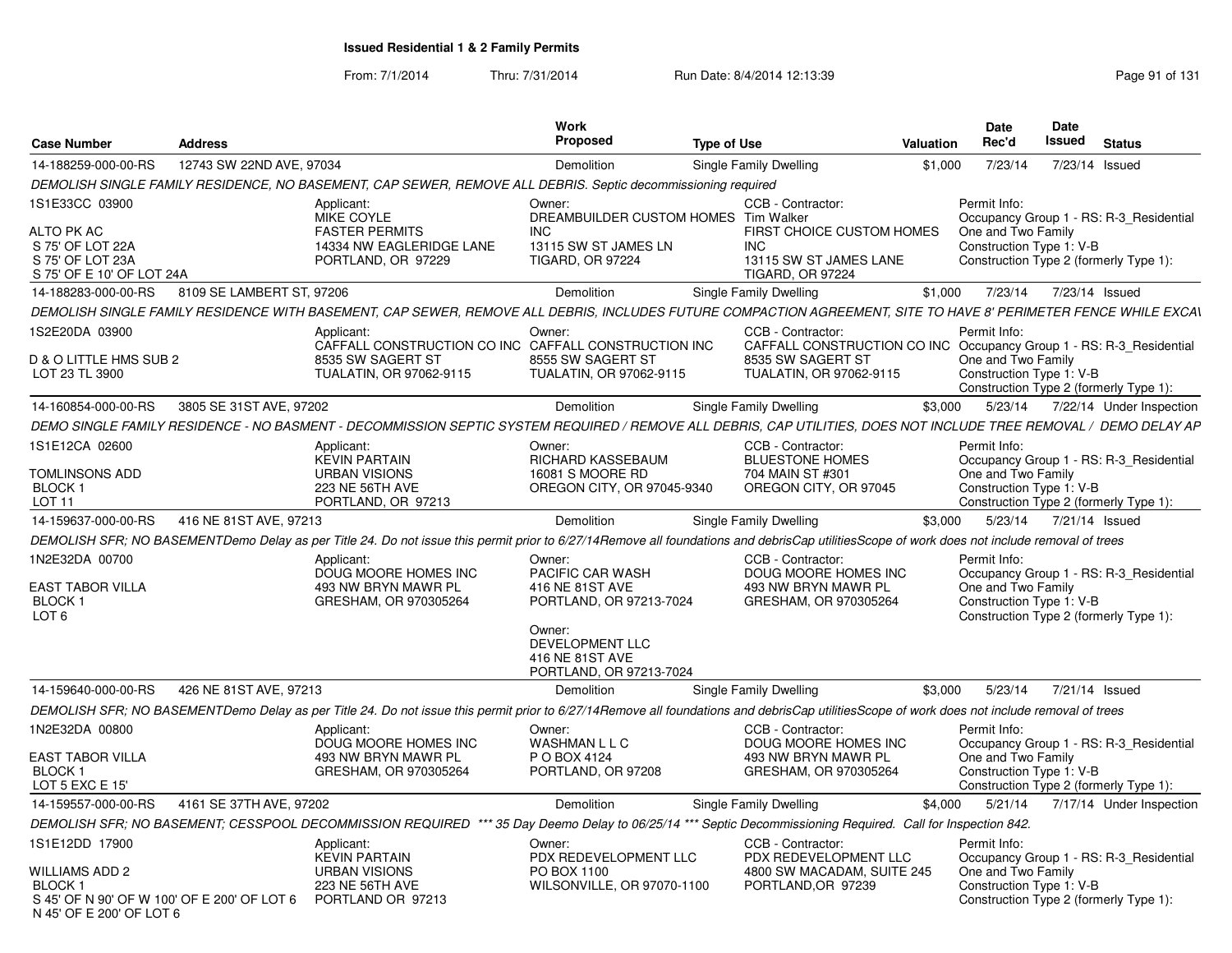| <b>Case Number</b>                                                                                         | <b>Address</b>            |                                                                                                                                                                                             | Work<br><b>Proposed</b>                                                                                                                             | <b>Type of Use</b> |                                                                                                                                          | Valuation | <b>Date</b><br>Rec'd                                           | Date<br>Issued | <b>Status</b>                                                                     |
|------------------------------------------------------------------------------------------------------------|---------------------------|---------------------------------------------------------------------------------------------------------------------------------------------------------------------------------------------|-----------------------------------------------------------------------------------------------------------------------------------------------------|--------------------|------------------------------------------------------------------------------------------------------------------------------------------|-----------|----------------------------------------------------------------|----------------|-----------------------------------------------------------------------------------|
| 14-188259-000-00-RS                                                                                        | 12743 SW 22ND AVE, 97034  |                                                                                                                                                                                             | Demolition                                                                                                                                          |                    | Single Family Dwelling                                                                                                                   | \$1,000   | 7/23/14                                                        |                | 7/23/14 Issued                                                                    |
|                                                                                                            |                           | DEMOLISH SINGLE FAMILY RESIDENCE, NO BASEMENT, CAP SEWER, REMOVE ALL DEBRIS. Septic decommissioning required                                                                                |                                                                                                                                                     |                    |                                                                                                                                          |           |                                                                |                |                                                                                   |
| 1S1E33CC 03900                                                                                             |                           | Applicant:                                                                                                                                                                                  | Owner:                                                                                                                                              |                    | CCB - Contractor:                                                                                                                        |           | Permit Info:                                                   |                |                                                                                   |
| <b>ALTO PK AC</b><br>S 75' OF LOT 22A<br>S 75' OF LOT 23A<br>S 75' OF E 10' OF LOT 24A                     |                           | MIKE COYLE<br><b>FASTER PERMITS</b><br>14334 NW EAGLERIDGE LANE<br>PORTLAND, OR 97229                                                                                                       | DREAMBUILDER CUSTOM HOMES Tim Walker<br><b>INC</b><br>13115 SW ST JAMES LN<br><b>TIGARD, OR 97224</b>                                               |                    | FIRST CHOICE CUSTOM HOMES<br><b>INC</b><br>13115 SW ST JAMES LANE<br><b>TIGARD, OR 97224</b>                                             |           | One and Two Family<br>Construction Type 1: V-B                 |                | Occupancy Group 1 - RS: R-3 Residential<br>Construction Type 2 (formerly Type 1): |
| 14-188283-000-00-RS                                                                                        | 8109 SE LAMBERT ST, 97206 |                                                                                                                                                                                             | Demolition                                                                                                                                          |                    | Single Family Dwelling                                                                                                                   | \$1,000   | 7/23/14                                                        |                | 7/23/14 Issued                                                                    |
|                                                                                                            |                           | DEMOLISH SINGLE FAMILY RESIDENCE WITH BASEMENT, CAP SEWER, REMOVE ALL DEBRIS, INCLUDES FUTURE COMPACTION AGREEMENT, SITE TO HAVE 8' PERIMETER FENCE WHILE EXCAV                             |                                                                                                                                                     |                    |                                                                                                                                          |           |                                                                |                |                                                                                   |
| 1S2E20DA 03900<br>D & O LITTLE HMS SUB 2<br>LOT 23 TL 3900                                                 |                           | Applicant:<br>CAFFALL CONSTRUCTION CO INC CAFFALL CONSTRUCTION INC<br>8535 SW SAGERT ST<br>TUALATIN, OR 97062-9115                                                                          | Owner:<br>8555 SW SAGERT ST<br>TUALATIN, OR 97062-9115                                                                                              |                    | CCB - Contractor:<br>CAFFALL CONSTRUCTION CO INC Occupancy Group 1 - RS: R-3_Residential<br>8535 SW SAGERT ST<br>TUALATIN, OR 97062-9115 |           | Permit Info:<br>One and Two Family<br>Construction Type 1: V-B |                |                                                                                   |
|                                                                                                            |                           |                                                                                                                                                                                             |                                                                                                                                                     |                    |                                                                                                                                          |           |                                                                |                | Construction Type 2 (formerly Type 1):                                            |
| 14-160854-000-00-RS                                                                                        | 3805 SE 31ST AVE, 97202   |                                                                                                                                                                                             | Demolition                                                                                                                                          |                    | Single Family Dwelling                                                                                                                   | \$3,000   | 5/23/14                                                        |                | 7/22/14 Under Inspection                                                          |
|                                                                                                            |                           | DEMO SINGLE FAMILY RESIDENCE - NO BASMENT - DECOMMISSION SEPTIC SYSTEM REQUIRED / REMOVE ALL DEBRIS, CAP UTILITIES, DOES NOT INCLUDE TREE REMOVAL / DEMO DELAY AP                           |                                                                                                                                                     |                    |                                                                                                                                          |           |                                                                |                |                                                                                   |
| 1S1E12CA 02600<br>TOMLINSONS ADD<br><b>BLOCK1</b><br>LOT <sub>11</sub>                                     |                           | Applicant:<br><b>KEVIN PARTAIN</b><br><b>URBAN VISIONS</b><br>223 NE 56TH AVE<br>PORTLAND, OR 97213                                                                                         | Owner:<br>RICHARD KASSEBAUM<br>16081 S MOORE RD<br>OREGON CITY, OR 97045-9340                                                                       |                    | CCB - Contractor:<br><b>BLUESTONE HOMES</b><br>704 MAIN ST #301<br>OREGON CITY, OR 97045                                                 |           | Permit Info:<br>One and Two Family<br>Construction Type 1: V-B |                | Occupancy Group 1 - RS: R-3_Residential<br>Construction Type 2 (formerly Type 1): |
| 14-159637-000-00-RS                                                                                        | 416 NE 81ST AVE, 97213    |                                                                                                                                                                                             | Demolition                                                                                                                                          |                    | Single Family Dwelling                                                                                                                   | \$3,000   |                                                                |                | 5/23/14  7/21/14  Issued                                                          |
|                                                                                                            |                           |                                                                                                                                                                                             |                                                                                                                                                     |                    |                                                                                                                                          |           |                                                                |                |                                                                                   |
|                                                                                                            |                           | DEMOLISH SFR; NO BASEMENTDemo Delay as per Title 24. Do not issue this permit prior to 6/27/14Remove all foundations and debrisCap utilitiesScope of work does not include removal of trees |                                                                                                                                                     |                    |                                                                                                                                          |           |                                                                |                |                                                                                   |
| 1N2E32DA 00700<br>EAST TABOR VILLA<br>BLOCK 1<br>LOT <sub>6</sub>                                          |                           | Applicant:<br>DOUG MOORE HOMES INC<br>493 NW BRYN MAWR PL<br>GRESHAM, OR 970305264                                                                                                          | Owner:<br>PACIFIC CAR WASH<br>416 NE 81ST AVE<br>PORTLAND, OR 97213-7024<br>Owner:<br>DEVELOPMENT LLC<br>416 NE 81ST AVE<br>PORTLAND, OR 97213-7024 |                    | CCB - Contractor:<br>DOUG MOORE HOMES INC<br>493 NW BRYN MAWR PL<br>GRESHAM, OR 970305264                                                |           | Permit Info:<br>One and Two Family<br>Construction Type 1: V-B |                | Occupancy Group 1 - RS: R-3 Residential<br>Construction Type 2 (formerly Type 1): |
| 14-159640-000-00-RS                                                                                        | 426 NE 81ST AVE, 97213    |                                                                                                                                                                                             | Demolition                                                                                                                                          |                    | Single Family Dwelling                                                                                                                   | \$3,000   | 5/23/14                                                        |                | 7/21/14 Issued                                                                    |
|                                                                                                            |                           | DEMOLISH SFR; NO BASEMENTDemo Delay as per Title 24. Do not issue this permit prior to 6/27/14Remove all foundations and debrisCap utilitiesScope of work does not include removal of trees |                                                                                                                                                     |                    |                                                                                                                                          |           |                                                                |                |                                                                                   |
| 1N2E32DA 00800                                                                                             |                           | Applicant:<br>DOUG MOORE HOMES INC                                                                                                                                                          | Owner:<br><b>WASHMAN L L C</b>                                                                                                                      |                    | CCB - Contractor:<br>DOUG MOORE HOMES INC                                                                                                |           | Permit Info:                                                   |                | Occupancy Group 1 - RS: R-3 Residential                                           |
| EAST TABOR VILLA<br><b>BLOCK1</b><br>LOT 5 EXC E 15'                                                       |                           | 493 NW BRYN MAWR PL<br>GRESHAM, OR 970305264                                                                                                                                                | P O BOX 4124<br>PORTLAND, OR 97208                                                                                                                  |                    | 493 NW BRYN MAWR PL<br>GRESHAM, OR 970305264                                                                                             |           | One and Two Family<br>Construction Type 1: V-B                 |                | Construction Type 2 (formerly Type 1):                                            |
| 14-159557-000-00-RS                                                                                        | 4161 SE 37TH AVE, 97202   |                                                                                                                                                                                             | Demolition                                                                                                                                          |                    | Single Family Dwelling                                                                                                                   | \$4,000   | 5/21/14                                                        |                | 7/17/14 Under Inspection                                                          |
|                                                                                                            |                           | DEMOLISH SFR; NO BASEMENT; CESSPOOL DECOMMISSION REQUIRED *** 35 Day Deemo Delay to 06/25/14 *** Septic Decommissioning Required. Call for Inspection 842.                                  |                                                                                                                                                     |                    |                                                                                                                                          |           |                                                                |                |                                                                                   |
| 1S1E12DD 17900                                                                                             |                           | Applicant:                                                                                                                                                                                  | Owner:                                                                                                                                              |                    | CCB - Contractor:                                                                                                                        |           | Permit Info:                                                   |                |                                                                                   |
| WILLIAMS ADD 2<br><b>BLOCK1</b><br>S 45' OF N 90' OF W 100' OF E 200' OF LOT 6<br>N 45' OF E 200' OF LOT 6 |                           | <b>KEVIN PARTAIN</b><br><b>URBAN VISIONS</b><br><b>223 NE 56TH AVE</b><br>PORTLAND OR 97213                                                                                                 | PDX REDEVELOPMENT LLC<br>PO BOX 1100<br>WILSONVILLE, OR 97070-1100                                                                                  |                    | PDX REDEVELOPMENT LLC<br>4800 SW MACADAM, SUITE 245<br>PORTLAND, OR 97239                                                                |           | One and Two Family<br>Construction Type 1: V-B                 |                | Occupancy Group 1 - RS: R-3 Residential<br>Construction Type 2 (formerly Type 1): |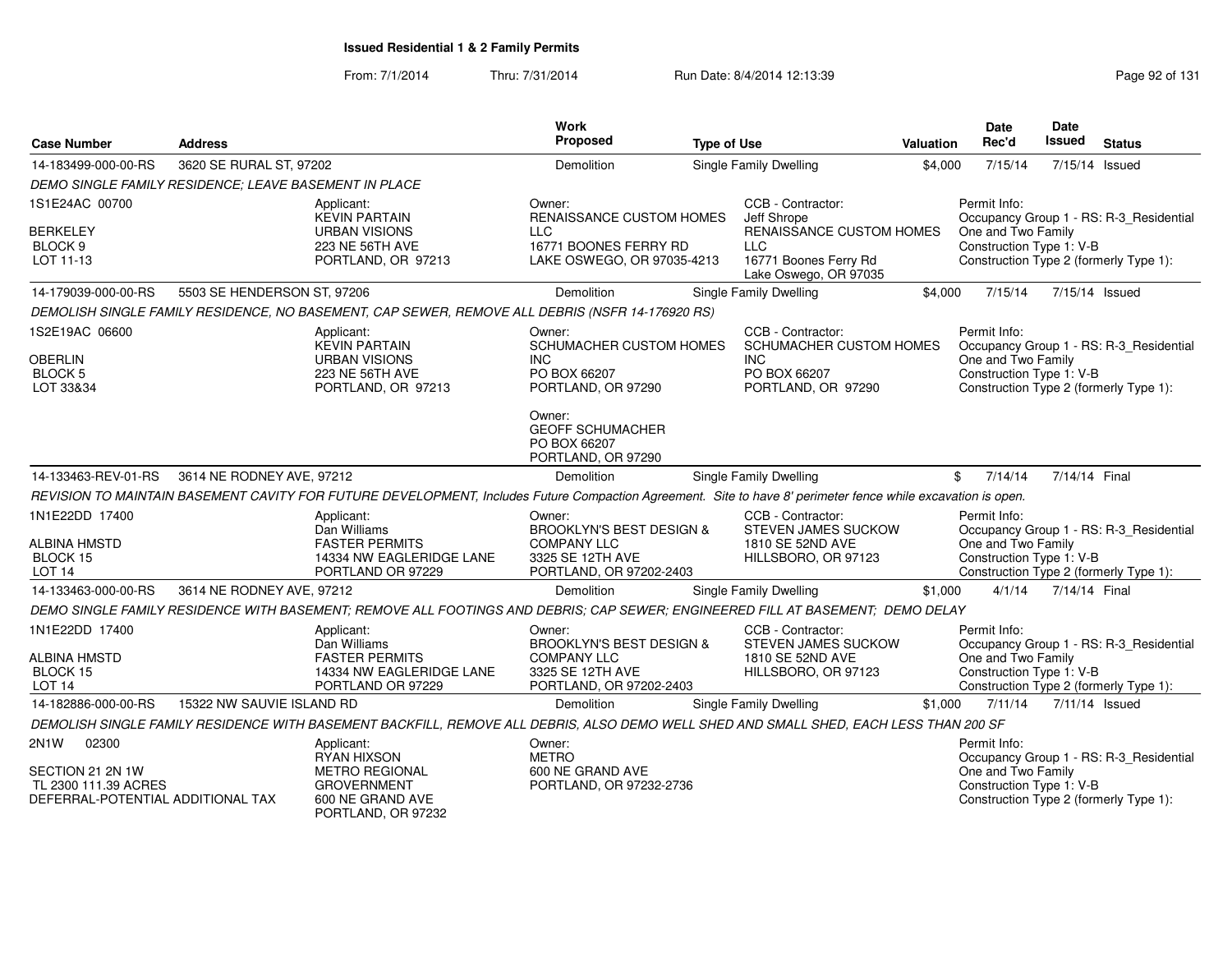| <b>Case Number</b>                                                                             | <b>Address</b>              |                                                                                                                                                              | Work<br>Proposed                                                                                                   | <b>Type of Use</b> |                                                                                                         | Valuation | <b>Date</b><br>Rec'd                                           | <b>Date</b><br>Issued | <b>Status</b>                                                                     |
|------------------------------------------------------------------------------------------------|-----------------------------|--------------------------------------------------------------------------------------------------------------------------------------------------------------|--------------------------------------------------------------------------------------------------------------------|--------------------|---------------------------------------------------------------------------------------------------------|-----------|----------------------------------------------------------------|-----------------------|-----------------------------------------------------------------------------------|
| 14-183499-000-00-RS                                                                            | 3620 SE RURAL ST, 97202     |                                                                                                                                                              | Demolition                                                                                                         |                    | <b>Single Family Dwelling</b>                                                                           | \$4,000   | 7/15/14                                                        | 7/15/14 Issued        |                                                                                   |
| DEMO SINGLE FAMILY RESIDENCE; LEAVE BASEMENT IN PLACE                                          |                             |                                                                                                                                                              |                                                                                                                    |                    |                                                                                                         |           |                                                                |                       |                                                                                   |
| 1S1E24AC 00700                                                                                 |                             | Applicant:<br><b>KEVIN PARTAIN</b>                                                                                                                           | Owner:<br><b>RENAISSANCE CUSTOM HOMES</b>                                                                          |                    | CCB - Contractor:<br>Jeff Shrope                                                                        |           | Permit Info:                                                   |                       | Occupancy Group 1 - RS: R-3_Residential                                           |
| <b>BERKELEY</b><br>BLOCK 9<br>LOT 11-13                                                        |                             | <b>URBAN VISIONS</b><br>223 NE 56TH AVE<br>PORTLAND, OR 97213                                                                                                | <b>LLC</b><br>16771 BOONES FERRY RD<br>LAKE OSWEGO, OR 97035-4213                                                  |                    | RENAISSANCE CUSTOM HOMES<br><b>LLC</b><br>16771 Boones Ferry Rd<br>Lake Oswego, OR 97035                |           | One and Two Family<br>Construction Type 1: V-B                 |                       | Construction Type 2 (formerly Type 1):                                            |
| 14-179039-000-00-RS                                                                            | 5503 SE HENDERSON ST, 97206 |                                                                                                                                                              | Demolition                                                                                                         |                    | <b>Single Family Dwelling</b>                                                                           | \$4,000   | 7/15/14                                                        | 7/15/14 Issued        |                                                                                   |
|                                                                                                |                             | DEMOLISH SINGLE FAMILY RESIDENCE, NO BASEMENT, CAP SEWER, REMOVE ALL DEBRIS (NSFR 14-176920 RS)                                                              |                                                                                                                    |                    |                                                                                                         |           |                                                                |                       |                                                                                   |
| 1S2E19AC 06600<br><b>OBERLIN</b><br>BLOCK 5<br>LOT 33&34                                       |                             | Applicant:<br><b>KEVIN PARTAIN</b><br><b>URBAN VISIONS</b><br>223 NE 56TH AVE<br>PORTLAND, OR 97213                                                          | Owner:<br>SCHUMACHER CUSTOM HOMES<br><b>INC</b><br>PO BOX 66207<br>PORTLAND, OR 97290                              |                    | CCB - Contractor:<br><b>SCHUMACHER CUSTOM HOMES</b><br><b>INC</b><br>PO BOX 66207<br>PORTLAND, OR 97290 |           | Permit Info:<br>One and Two Family<br>Construction Type 1: V-B |                       | Occupancy Group 1 - RS: R-3_Residential<br>Construction Type 2 (formerly Type 1): |
|                                                                                                |                             |                                                                                                                                                              | Owner:<br><b>GEOFF SCHUMACHER</b><br>PO BOX 66207<br>PORTLAND, OR 97290                                            |                    |                                                                                                         |           |                                                                |                       |                                                                                   |
| 14-133463-REV-01-RS                                                                            | 3614 NE RODNEY AVE, 97212   |                                                                                                                                                              | Demolition                                                                                                         |                    | Single Family Dwelling                                                                                  |           | 7/14/14<br>\$                                                  | 7/14/14 Final         |                                                                                   |
|                                                                                                |                             | REVISION TO MAINTAIN BASEMENT CAVITY FOR FUTURE DEVELOPMENT, Includes Future Compaction Agreement. Site to have 8' perimeter fence while excavation is open. |                                                                                                                    |                    |                                                                                                         |           |                                                                |                       |                                                                                   |
| 1N1E22DD 17400<br><b>ALBINA HMSTD</b><br>BLOCK 15<br><b>LOT 14</b>                             |                             | Applicant:<br>Dan Williams<br><b>FASTER PERMITS</b><br>14334 NW EAGLERIDGE LANE<br>PORTLAND OR 97229                                                         | Owner:<br><b>BROOKLYN'S BEST DESIGN &amp;</b><br><b>COMPANY LLC</b><br>3325 SE 12TH AVE<br>PORTLAND, OR 97202-2403 |                    | CCB - Contractor:<br>STEVEN JAMES SUCKOW<br>1810 SE 52ND AVE<br>HILLSBORO, OR 97123                     |           | Permit Info:<br>One and Two Family<br>Construction Type 1: V-B |                       | Occupancy Group 1 - RS: R-3_Residential<br>Construction Type 2 (formerly Type 1): |
| 14-133463-000-00-RS                                                                            | 3614 NE RODNEY AVE, 97212   |                                                                                                                                                              | Demolition                                                                                                         |                    | Single Family Dwelling                                                                                  | \$1,000   | 4/1/14                                                         | 7/14/14 Final         |                                                                                   |
|                                                                                                |                             | DEMO SINGLE FAMILY RESIDENCE WITH BASEMENT; REMOVE ALL FOOTINGS AND DEBRIS; CAP SEWER; ENGINEERED FILL AT BASEMENT; DEMO DELAY                               |                                                                                                                    |                    |                                                                                                         |           |                                                                |                       |                                                                                   |
| 1N1E22DD 17400<br><b>ALBINA HMSTD</b><br>BLOCK 15<br>LOT <sub>14</sub>                         |                             | Applicant:<br>Dan Williams<br><b>FASTER PERMITS</b><br>14334 NW EAGLERIDGE LANE<br>PORTLAND OR 97229                                                         | Owner:<br><b>BROOKLYN'S BEST DESIGN &amp;</b><br><b>COMPANY LLC</b><br>3325 SE 12TH AVE<br>PORTLAND, OR 97202-2403 |                    | CCB - Contractor:<br><b>STEVEN JAMES SUCKOW</b><br>1810 SE 52ND AVE<br>HILLSBORO, OR 97123              |           | Permit Info:<br>One and Two Family<br>Construction Type 1: V-B |                       | Occupancy Group 1 - RS: R-3_Residential<br>Construction Type 2 (formerly Type 1): |
| 14-182886-000-00-RS                                                                            | 15322 NW SAUVIE ISLAND RD   |                                                                                                                                                              | <b>Demolition</b>                                                                                                  |                    | Single Family Dwelling                                                                                  | \$1,000   | 7/11/14                                                        | 7/11/14 Issued        |                                                                                   |
|                                                                                                |                             | DEMOLISH SINGLE FAMILY RESIDENCE WITH BASEMENT BACKFILL, REMOVE ALL DEBRIS, ALSO DEMO WELL SHED AND SMALL SHED, EACH LESS THAN 200 SF                        |                                                                                                                    |                    |                                                                                                         |           |                                                                |                       |                                                                                   |
| 2N1W<br>02300<br>SECTION 21 2N 1W<br>TL 2300 111.39 ACRES<br>DEFERRAL-POTENTIAL ADDITIONAL TAX |                             | Applicant:<br><b>RYAN HIXSON</b><br><b>METRO REGIONAL</b><br><b>GROVERNMENT</b><br>600 NE GRAND AVE<br>PORTLAND, OR 97232                                    | Owner:<br><b>METRO</b><br>600 NE GRAND AVE<br>PORTLAND, OR 97232-2736                                              |                    |                                                                                                         |           | Permit Info:<br>One and Two Family<br>Construction Type 1: V-B |                       | Occupancy Group 1 - RS: R-3_Residential<br>Construction Type 2 (formerly Type 1): |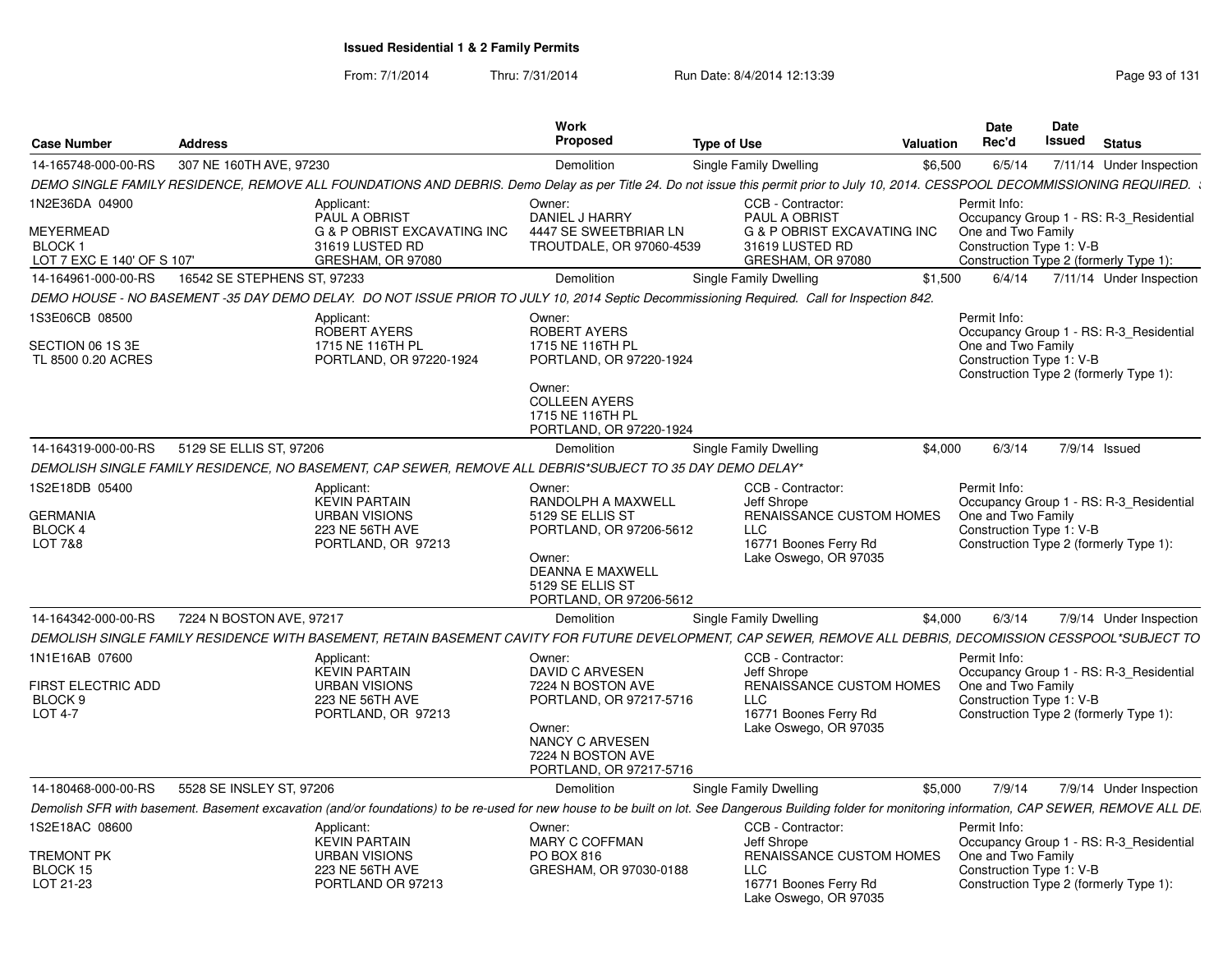| <b>Case Number</b>                                        | <b>Address</b>              |                                                                                                                                                                                                          | Work<br><b>Proposed</b>                                                       | <b>Type of Use</b>                                                             | Valuation | <b>Date</b><br>Rec'd                           | Date<br>Issued | <b>Status</b>                           |
|-----------------------------------------------------------|-----------------------------|----------------------------------------------------------------------------------------------------------------------------------------------------------------------------------------------------------|-------------------------------------------------------------------------------|--------------------------------------------------------------------------------|-----------|------------------------------------------------|----------------|-----------------------------------------|
| 14-165748-000-00-RS                                       | 307 NE 160TH AVE, 97230     |                                                                                                                                                                                                          | Demolition                                                                    | Single Family Dwelling                                                         | \$6,500   | 6/5/14                                         |                | 7/11/14 Under Inspection                |
|                                                           |                             | DEMO SINGLE FAMILY RESIDENCE, REMOVE ALL FOUNDATIONS AND DEBRIS. Demo Delay as per Title 24. Do not issue this permit prior to July 10, 2014. CESSPOOL DECOMMISSIONING REQUIRED.                         |                                                                               |                                                                                |           |                                                |                |                                         |
| 1N2E36DA 04900                                            |                             | Applicant:<br>PAUL A OBRIST                                                                                                                                                                              | Owner:<br>DANIEL J HARRY                                                      | CCB - Contractor:<br>PAUL A OBRIST                                             |           | Permit Info:                                   |                | Occupancy Group 1 - RS: R-3 Residential |
| <b>MEYERMEAD</b><br>BLOCK 1<br>LOT 7 EXC E 140' OF S 107' |                             | <b>G &amp; P OBRIST EXCAVATING INC</b><br>31619 LUSTED RD<br>GRESHAM, OR 97080                                                                                                                           | 4447 SE SWEETBRIAR LN<br>TROUTDALE, OR 97060-4539                             | <b>G &amp; P OBRIST EXCAVATING INC</b><br>31619 LUSTED RD<br>GRESHAM, OR 97080 |           | One and Two Family<br>Construction Type 1: V-B |                | Construction Type 2 (formerly Type 1):  |
| 14-164961-000-00-RS                                       | 16542 SE STEPHENS ST, 97233 |                                                                                                                                                                                                          | <b>Demolition</b>                                                             | Single Family Dwelling                                                         | \$1,500   | 6/4/14                                         |                | 7/11/14 Under Inspection                |
|                                                           |                             | DEMO HOUSE - NO BASEMENT -35 DAY DEMO DELAY. DO NOT ISSUE PRIOR TO JULY 10, 2014 Septic Decommissioning Required. Call for Inspection 842.                                                               |                                                                               |                                                                                |           |                                                |                |                                         |
| 1S3E06CB 08500                                            |                             | Applicant:<br><b>ROBERT AYERS</b>                                                                                                                                                                        | Owner:<br>ROBERT AYERS                                                        |                                                                                |           | Permit Info:                                   |                | Occupancy Group 1 - RS: R-3_Residential |
| SECTION 06 1S 3E<br>TL 8500 0.20 ACRES                    |                             | 1715 NE 116TH PL<br>PORTLAND, OR 97220-1924                                                                                                                                                              | 1715 NE 116TH PL<br>PORTLAND, OR 97220-1924                                   |                                                                                |           | One and Two Family<br>Construction Type 1: V-B |                | Construction Type 2 (formerly Type 1):  |
|                                                           |                             |                                                                                                                                                                                                          | Owner:<br><b>COLLEEN AYERS</b><br>1715 NE 116TH PL<br>PORTLAND, OR 97220-1924 |                                                                                |           |                                                |                |                                         |
| 14-164319-000-00-RS                                       | 5129 SE ELLIS ST, 97206     |                                                                                                                                                                                                          | Demolition                                                                    | Single Family Dwelling                                                         | \$4.000   | 6/3/14                                         |                | 7/9/14 Issued                           |
|                                                           |                             | DEMOLISH SINGLE FAMILY RESIDENCE, NO BASEMENT, CAP SEWER, REMOVE ALL DEBRIS*SUBJECT TO 35 DAY DEMO DELAY*                                                                                                |                                                                               |                                                                                |           |                                                |                |                                         |
| 1S2E18DB 05400                                            |                             | Applicant:<br><b>KEVIN PARTAIN</b>                                                                                                                                                                       | Owner:<br>RANDOLPH A MAXWELL                                                  | CCB - Contractor:<br>Jeff Shrope                                               |           | Permit Info:                                   |                | Occupancy Group 1 - RS: R-3 Residential |
| <b>GERMANIA</b><br>BLOCK 4<br>LOT 7&8                     |                             | <b>URBAN VISIONS</b><br>223 NE 56TH AVE<br>PORTLAND, OR 97213                                                                                                                                            | 5129 SE ELLIS ST<br>PORTLAND, OR 97206-5612                                   | RENAISSANCE CUSTOM HOMES<br>LLC<br>16771 Boones Ferry Rd                       |           | One and Two Family<br>Construction Type 1: V-B |                | Construction Type 2 (formerly Type 1):  |
|                                                           |                             |                                                                                                                                                                                                          | Owner:<br>DEANNA E MAXWELL<br>5129 SE ELLIS ST<br>PORTLAND, OR 97206-5612     | Lake Oswego, OR 97035                                                          |           |                                                |                |                                         |
| 14-164342-000-00-RS                                       | 7224 N BOSTON AVE, 97217    |                                                                                                                                                                                                          | <b>Demolition</b>                                                             | Single Family Dwelling                                                         | \$4.000   | 6/3/14                                         |                | 7/9/14 Under Inspection                 |
|                                                           |                             | DEMOLISH SINGLE FAMILY RESIDENCE WITH BASEMENT, RETAIN BASEMENT CAVITY FOR FUTURE DEVELOPMENT, CAP SEWER, REMOVE ALL DEBRIS, DECOMISSION CESSPOOL*SUBJECT TO                                             |                                                                               |                                                                                |           |                                                |                |                                         |
| 1N1E16AB 07600                                            |                             | Applicant:<br><b>KEVIN PARTAIN</b>                                                                                                                                                                       | Owner:<br>DAVID C ARVESEN                                                     | CCB - Contractor:<br>Jeff Shrope                                               |           | Permit Info:                                   |                | Occupancy Group 1 - RS: R-3_Residential |
| FIRST ELECTRIC ADD<br>BLOCK <sub>9</sub>                  |                             | <b>URBAN VISIONS</b><br>223 NE 56TH AVE                                                                                                                                                                  | 7224 N BOSTON AVE<br>PORTLAND, OR 97217-5716                                  | <b>RENAISSANCE CUSTOM HOMES</b><br>LLC                                         |           | One and Two Family<br>Construction Type 1: V-B |                |                                         |
| <b>LOT 4-7</b>                                            |                             | PORTLAND, OR 97213                                                                                                                                                                                       | Owner:<br>NANCY C ARVESEN<br>7224 N BOSTON AVE<br>PORTLAND, OR 97217-5716     | 16771 Boones Ferry Rd<br>Lake Oswego, OR 97035                                 |           |                                                |                | Construction Type 2 (formerly Type 1):  |
| 14-180468-000-00-RS                                       | 5528 SE INSLEY ST, 97206    |                                                                                                                                                                                                          | Demolition                                                                    | Single Family Dwelling                                                         | \$5,000   | 7/9/14                                         |                | 7/9/14 Under Inspection                 |
|                                                           |                             | Demolish SFR with basement. Basement excavation (and/or foundations) to be re-used for new house to be built on lot. See Dangerous Building folder for monitoring information, CAP SEWER, REMOVE ALL DE. |                                                                               |                                                                                |           |                                                |                |                                         |
| 1S2E18AC 08600                                            |                             | Applicant:<br><b>KEVIN PARTAIN</b>                                                                                                                                                                       | Owner:<br>MARY C COFFMAN                                                      | CCB - Contractor:<br>Jeff Shrope                                               |           | Permit Info:                                   |                | Occupancy Group 1 - RS: R-3 Residential |
| <b>TREMONT PK</b>                                         |                             | <b>URBAN VISIONS</b>                                                                                                                                                                                     | PO BOX 816                                                                    | RENAISSANCE CUSTOM HOMES                                                       |           | One and Two Family                             |                |                                         |
| BLOCK 15<br>LOT 21-23                                     |                             | 223 NE 56TH AVE<br>PORTLAND OR 97213                                                                                                                                                                     | GRESHAM, OR 97030-0188                                                        | <b>LLC</b><br>16771 Boones Ferry Rd<br>Lake Oswego, OR 97035                   |           | Construction Type 1: V-B                       |                | Construction Type 2 (formerly Type 1):  |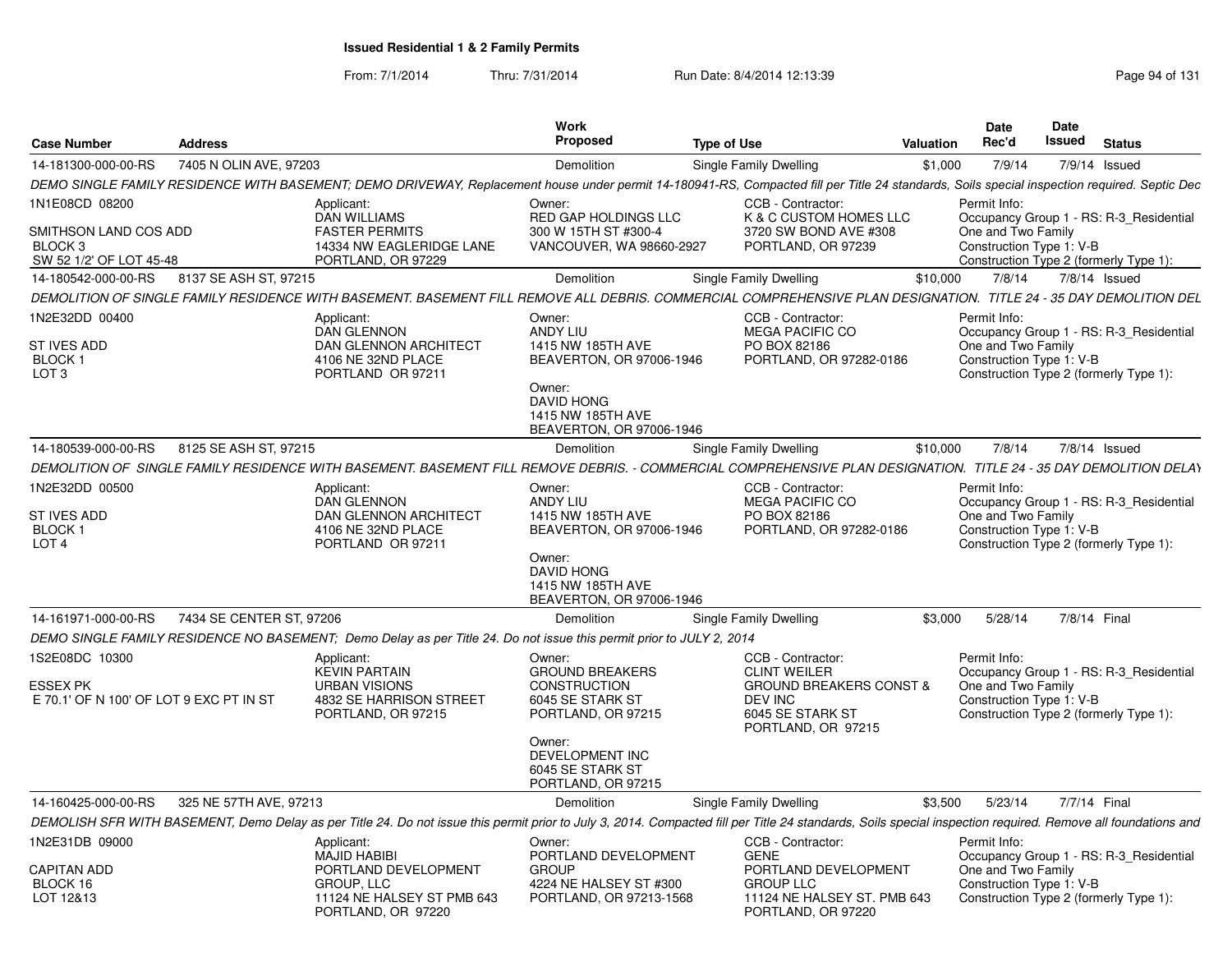| <b>Case Number</b>                                          | <b>Address</b>           |                                                                                                                                                                                                              | <b>Work</b><br><b>Proposed</b>                                                                                                | <b>Type of Use</b>                                                                      | <b>Valuation</b> | <b>Date</b><br>Rec'd | <b>Date</b><br>Issued                          | <b>Status</b>                                                                     |
|-------------------------------------------------------------|--------------------------|--------------------------------------------------------------------------------------------------------------------------------------------------------------------------------------------------------------|-------------------------------------------------------------------------------------------------------------------------------|-----------------------------------------------------------------------------------------|------------------|----------------------|------------------------------------------------|-----------------------------------------------------------------------------------|
| 14-181300-000-00-RS                                         | 7405 N OLIN AVE, 97203   |                                                                                                                                                                                                              | <b>Demolition</b>                                                                                                             | Single Family Dwelling                                                                  | \$1,000          | 7/9/14               |                                                | 7/9/14 Issued                                                                     |
|                                                             |                          | DEMO SINGLE FAMILY RESIDENCE WITH BASEMENT; DEMO DRIVEWAY, Replacement house under permit 14-180941-RS, Compacted fill per Title 24 standards, Soils special inspection required. Septic Dec                 |                                                                                                                               |                                                                                         |                  |                      |                                                |                                                                                   |
| 1N1E08CD 08200                                              |                          | Applicant:                                                                                                                                                                                                   | Owner:                                                                                                                        | CCB - Contractor:                                                                       |                  | Permit Info:         |                                                |                                                                                   |
| SMITHSON LAND COS ADD<br>BLOCK 3<br>SW 52 1/2' OF LOT 45-48 |                          | <b>DAN WILLIAMS</b><br><b>FASTER PERMITS</b><br>14334 NW EAGLERIDGE LANE<br>PORTLAND, OR 97229                                                                                                               | RED GAP HOLDINGS LLC<br>300 W 15TH ST #300-4<br>VANCOUVER, WA 98660-2927                                                      | K & C CUSTOM HOMES LLC<br>3720 SW BOND AVE #308<br>PORTLAND, OR 97239                   |                  |                      | One and Two Family<br>Construction Type 1: V-B | Occupancy Group 1 - RS: R-3 Residential<br>Construction Type 2 (formerly Type 1): |
| 14-180542-000-00-RS                                         | 8137 SE ASH ST, 97215    |                                                                                                                                                                                                              | Demolition                                                                                                                    | Single Family Dwelling                                                                  | \$10,000         | 7/8/14               |                                                | 7/8/14 Issued                                                                     |
|                                                             |                          | DEMOLITION OF SINGLE FAMILY RESIDENCE WITH BASEMENT. BASEMENT FILL REMOVE ALL DEBRIS. COMMERCIAL COMPREHENSIVE PLAN DESIGNATION. TITLE 24 - 35 DAY DEMOLITION DEL                                            |                                                                                                                               |                                                                                         |                  |                      |                                                |                                                                                   |
| 1N2E32DD 00400                                              |                          | Applicant:<br><b>DAN GLENNON</b>                                                                                                                                                                             | Owner:<br><b>ANDY LIU</b>                                                                                                     | CCB - Contractor:<br><b>MEGA PACIFIC CO</b>                                             |                  | Permit Info:         |                                                | Occupancy Group 1 - RS: R-3_Residential                                           |
| <b>ST IVES ADD</b><br>BLOCK <sub>1</sub><br>LOT 3           |                          | <b>DAN GLENNON ARCHITECT</b><br>4106 NE 32ND PLACE<br>PORTLAND OR 97211                                                                                                                                      | 1415 NW 185TH AVE<br>BEAVERTON, OR 97006-1946<br>Owner:<br><b>DAVID HONG</b><br>1415 NW 185TH AVE<br>BEAVERTON, OR 97006-1946 | PO BOX 82186<br>PORTLAND, OR 97282-0186                                                 |                  |                      | One and Two Family<br>Construction Type 1: V-B | Construction Type 2 (formerly Type 1):                                            |
| 14-180539-000-00-RS                                         | 8125 SE ASH ST, 97215    |                                                                                                                                                                                                              | Demolition                                                                                                                    | Single Family Dwelling                                                                  | \$10,000         | 7/8/14               |                                                | $7/8/14$ Issued                                                                   |
|                                                             |                          | DEMOLITION OF SINGLE FAMILY RESIDENCE WITH BASEMENT. BASEMENT FILL REMOVE DEBRIS. - COMMERCIAL COMPREHENSIVE PLAN DESIGNATION. TITLE 24 - 35 DAY DEMOLITION DELAY                                            |                                                                                                                               |                                                                                         |                  |                      |                                                |                                                                                   |
| 1N2E32DD 00500                                              |                          | Applicant:<br>DAN GLENNON                                                                                                                                                                                    | Owner:<br>ANDY LIU                                                                                                            | CCB - Contractor:<br><b>MEGA PACIFIC CO</b>                                             |                  | Permit Info:         |                                                | Occupancy Group 1 - RS: R-3_Residential                                           |
| <b>ST IVES ADD</b><br>BLOCK 1<br>LOT <sub>4</sub>           |                          | <b>DAN GLENNON ARCHITECT</b><br>4106 NE 32ND PLACE<br>PORTLAND OR 97211                                                                                                                                      | 1415 NW 185TH AVE<br>BEAVERTON, OR 97006-1946                                                                                 | PO BOX 82186<br>PORTLAND, OR 97282-0186                                                 |                  |                      | One and Two Family<br>Construction Type 1: V-B | Construction Type 2 (formerly Type 1):                                            |
|                                                             |                          |                                                                                                                                                                                                              | Owner:<br><b>DAVID HONG</b><br>1415 NW 185TH AVE<br>BEAVERTON, OR 97006-1946                                                  |                                                                                         |                  |                      |                                                |                                                                                   |
| 14-161971-000-00-RS                                         | 7434 SE CENTER ST, 97206 |                                                                                                                                                                                                              | <b>Demolition</b>                                                                                                             | Single Family Dwelling                                                                  | \$3,000          | 5/28/14              |                                                | 7/8/14 Final                                                                      |
|                                                             |                          | DEMO SINGLE FAMILY RESIDENCE NO BASEMENT; Demo Delay as per Title 24. Do not issue this permit prior to JULY 2, 2014                                                                                         |                                                                                                                               |                                                                                         |                  |                      |                                                |                                                                                   |
| 1S2E08DC 10300                                              |                          | Applicant:<br><b>KEVIN PARTAIN</b>                                                                                                                                                                           | Owner:<br><b>GROUND BREAKERS</b>                                                                                              | CCB - Contractor:<br><b>CLINT WEILER</b>                                                |                  | Permit Info:         |                                                | Occupancy Group 1 - RS: R-3 Residential                                           |
| <b>ESSEX PK</b><br>E 70.1' OF N 100' OF LOT 9 EXC PT IN ST  |                          | <b>URBAN VISIONS</b><br>4832 SE HARRISON STREET<br>PORTLAND, OR 97215                                                                                                                                        | <b>CONSTRUCTION</b><br>6045 SE STARK ST<br>PORTLAND, OR 97215                                                                 | <b>GROUND BREAKERS CONST &amp;</b><br>DEV INC<br>6045 SE STARK ST<br>PORTLAND, OR 97215 |                  |                      | One and Two Family<br>Construction Type 1: V-B | Construction Type 2 (formerly Type 1):                                            |
|                                                             |                          |                                                                                                                                                                                                              | Owner:<br>DEVELOPMENT INC<br>6045 SE STARK ST<br>PORTLAND, OR 97215                                                           |                                                                                         |                  |                      |                                                |                                                                                   |
| 14-160425-000-00-RS                                         | 325 NE 57TH AVE, 97213   |                                                                                                                                                                                                              | <b>Demolition</b>                                                                                                             | Single Family Dwelling                                                                  | \$3.500          | 5/23/14              |                                                | 7/7/14 Final                                                                      |
|                                                             |                          | DEMOLISH SFR WITH BASEMENT, Demo Delay as per Title 24. Do not issue this permit prior to July 3, 2014. Compacted fill per Title 24 standards, Soils special inspection required. Remove all foundations and |                                                                                                                               |                                                                                         |                  |                      |                                                |                                                                                   |
| 1N2E31DB 09000                                              |                          | Applicant:<br><b>MAJID HABIBI</b>                                                                                                                                                                            | Owner:<br>PORTLAND DEVELOPMENT                                                                                                | CCB - Contractor:<br><b>GENE</b>                                                        |                  | Permit Info:         |                                                | Occupancy Group 1 - RS: R-3_Residential                                           |
| <b>CAPITAN ADD</b><br>BLOCK 16<br>LOT 12&13                 |                          | PORTLAND DEVELOPMENT<br>GROUP, LLC<br>11124 NE HALSEY ST PMB 643                                                                                                                                             | <b>GROUP</b><br>4224 NE HALSEY ST #300<br>PORTLAND, OR 97213-1568                                                             | PORTLAND DEVELOPMENT<br><b>GROUP LLC</b><br>11124 NE HALSEY ST. PMB 643                 |                  |                      | One and Two Family<br>Construction Type 1: V-B | Construction Type 2 (formerly Type 1):                                            |
|                                                             |                          | PORTLAND, OR 97220                                                                                                                                                                                           |                                                                                                                               | PORTLAND, OR 97220                                                                      |                  |                      |                                                |                                                                                   |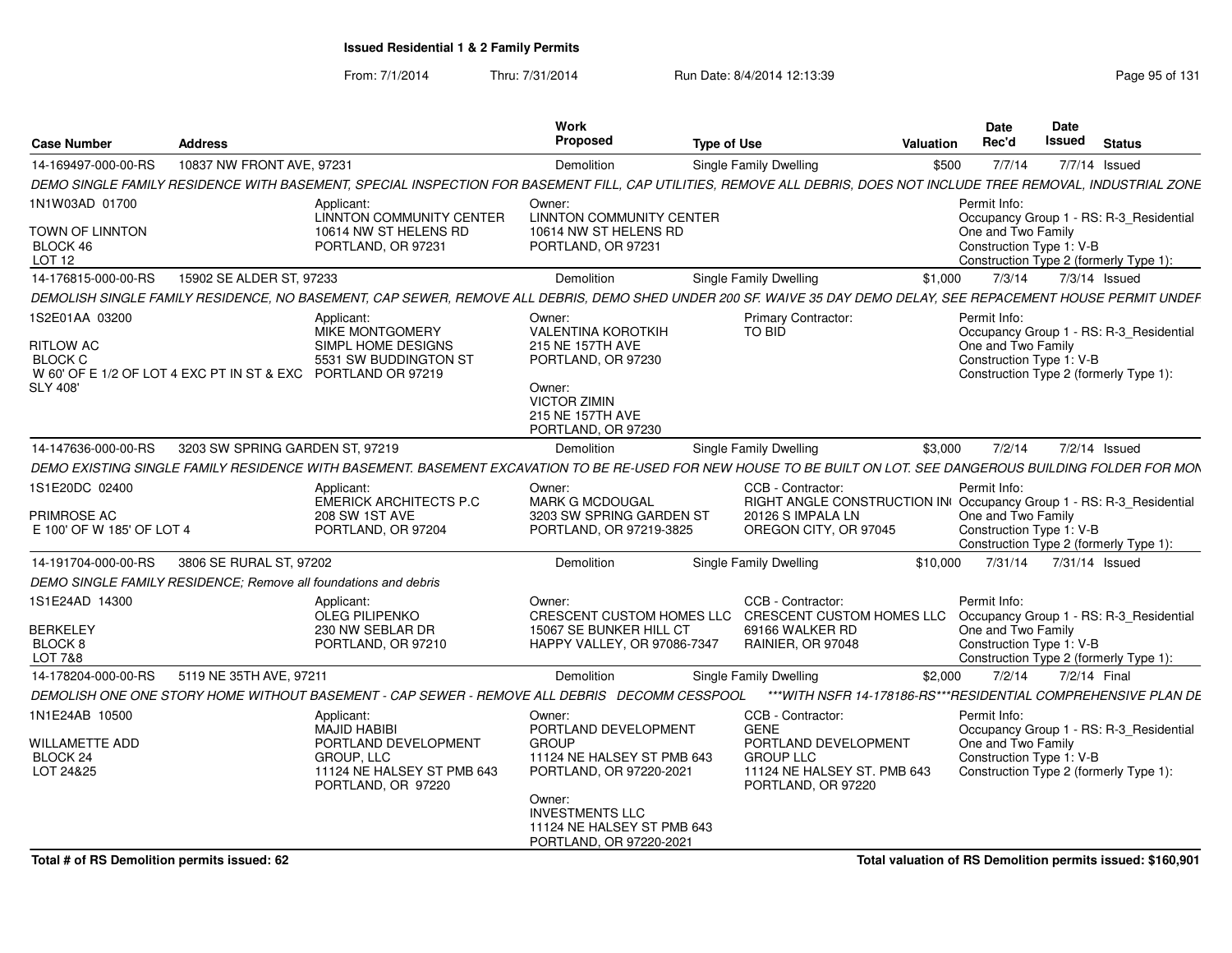From: 7/1/2014

Thru: 7/31/2014 Run Date: 8/4/2014 12:13:39 Research 2010 Rage 95 of 131

| <b>Case Number</b>                                                                                                                      | <b>Address</b>                  |                                                                                                                                                                    | Work<br>Proposec                                                                                                                                                   | <b>Type of Use</b> |                                                                                                                                        | Valuation | Date<br>Rec'd                                                                                                                                       | Date<br>Issued | <b>Status</b> |  |
|-----------------------------------------------------------------------------------------------------------------------------------------|---------------------------------|--------------------------------------------------------------------------------------------------------------------------------------------------------------------|--------------------------------------------------------------------------------------------------------------------------------------------------------------------|--------------------|----------------------------------------------------------------------------------------------------------------------------------------|-----------|-----------------------------------------------------------------------------------------------------------------------------------------------------|----------------|---------------|--|
| 14-169497-000-00-RS                                                                                                                     | 10837 NW FRONT AVE, 97231       |                                                                                                                                                                    | Demolition                                                                                                                                                         |                    | Single Family Dwelling                                                                                                                 | \$500     | 7/7/14                                                                                                                                              |                | 7/7/14 Issued |  |
|                                                                                                                                         |                                 | DEMO SINGLE FAMILY RESIDENCE WITH BASEMENT, SPECIAL INSPECTION FOR BASEMENT FILL, CAP UTILITIES, REMOVE ALL DEBRIS, DOES NOT INCLUDE TREE REMOVAL, INDUSTRIAL ZONE |                                                                                                                                                                    |                    |                                                                                                                                        |           |                                                                                                                                                     |                |               |  |
| 1N1W03AD 01700                                                                                                                          |                                 | Applicant:                                                                                                                                                         | Owner:                                                                                                                                                             |                    |                                                                                                                                        |           | Permit Info:                                                                                                                                        |                |               |  |
| <b>TOWN OF LINNTON</b><br>BLOCK 46<br>LOT 12                                                                                            |                                 | LINNTON COMMUNITY CENTER<br>10614 NW ST HELENS RD<br>PORTLAND, OR 97231                                                                                            | <b>LINNTON COMMUNITY CENTER</b><br>10614 NW ST HELENS RD<br>PORTLAND, OR 97231                                                                                     |                    |                                                                                                                                        |           | Occupancy Group 1 - RS: R-3_Residential<br>One and Two Family<br>Construction Type 1: V-B<br>Construction Type 2 (formerly Type 1):                 |                |               |  |
| 14-176815-000-00-RS                                                                                                                     | 15902 SE ALDER ST. 97233        |                                                                                                                                                                    | Demolition                                                                                                                                                         |                    | <b>Single Family Dwelling</b>                                                                                                          | \$1,000   | 7/3/14                                                                                                                                              |                | 7/3/14 Issued |  |
|                                                                                                                                         |                                 | DEMOLISH SINGLE FAMILY RESIDENCE. NO BASEMENT, CAP SEWER, REMOVE ALL DEBRIS, DEMO SHED UNDER 200 SF, WAIVE 35 DAY DEMO DELAY, SEE REPACEMENT HOUSE PERMIT UNDER    |                                                                                                                                                                    |                    |                                                                                                                                        |           |                                                                                                                                                     |                |               |  |
| 1S2E01AA 03200<br><b>RITLOW AC</b><br><b>BLOCK C</b><br>W 60' OF E 1/2 OF LOT 4 EXC PT IN ST & EXC PORTLAND OR 97219<br><b>SLY 408'</b> |                                 | Applicant:<br>MIKE MONTGOMERY<br>SIMPL HOME DESIGNS<br>5531 SW BUDDINGTON ST                                                                                       | Owner:<br><b>VALENTINA KOROTKIH</b><br>215 NE 157TH AVE<br>PORTLAND, OR 97230<br>Owner:<br><b>VICTOR ZIMIN</b><br>215 NE 157TH AVE<br>PORTLAND, OR 97230           |                    | <b>Primary Contractor:</b><br>TO BID                                                                                                   |           | Permit Info:<br>Occupancy Group 1 - RS: R-3_Residential<br>One and Two Family<br>Construction Type 1: V-B<br>Construction Type 2 (formerly Type 1): |                |               |  |
| 14-147636-000-00-RS                                                                                                                     | 3203 SW SPRING GARDEN ST, 97219 |                                                                                                                                                                    | Demolition                                                                                                                                                         |                    | <b>Single Family Dwelling</b>                                                                                                          | \$3,000   | 7/2/14                                                                                                                                              |                | 7/2/14 Issued |  |
|                                                                                                                                         |                                 | DEMO EXISTING SINGLE FAMILY RESIDENCE WITH BASEMENT. BASEMENT EXCAVATION TO BE RE-USED FOR NEW HOUSE TO BE BUILT ON LOT. SEE DANGEROUS BUILDING FOLDER FOR MON     |                                                                                                                                                                    |                    |                                                                                                                                        |           |                                                                                                                                                     |                |               |  |
| 1S1E20DC 02400<br><b>PRIMROSE AC</b><br>E 100' OF W 185' OF LOT 4                                                                       |                                 | Applicant:<br>EMERICK ARCHITECTS P.C<br>208 SW 1ST AVE<br>PORTLAND, OR 97204                                                                                       | Owner:<br><b>MARK G MCDOUGAL</b><br>3203 SW SPRING GARDEN ST<br>PORTLAND, OR 97219-3825                                                                            |                    | CCB - Contractor:<br>RIGHT ANGLE CONSTRUCTION IN Occupancy Group 1 - RS: R-3_Residential<br>20126 S IMPALA LN<br>OREGON CITY, OR 97045 |           | Permit Info:<br>One and Two Family<br>Construction Type 1: V-B<br>Construction Type 2 (formerly Type 1):                                            |                |               |  |
| 14-191704-000-00-RS                                                                                                                     | 3806 SE RURAL ST, 97202         |                                                                                                                                                                    | Demolition                                                                                                                                                         |                    | <b>Single Family Dwelling</b>                                                                                                          | \$10.000  | 7/31/14                                                                                                                                             | 7/31/14 Issued |               |  |
| DEMO SINGLE FAMILY RESIDENCE: Remove all foundations and debris                                                                         |                                 |                                                                                                                                                                    |                                                                                                                                                                    |                    |                                                                                                                                        |           |                                                                                                                                                     |                |               |  |
| 1S1E24AD 14300                                                                                                                          |                                 | Applicant:<br><b>OLEG PILIPENKO</b>                                                                                                                                | Owner:                                                                                                                                                             |                    | CCB - Contractor:<br>CRESCENT CUSTOM HOMES LLC CRESCENT CUSTOM HOMES LLC                                                               |           | Permit Info:<br>Occupancy Group 1 - RS: R-3_Residential                                                                                             |                |               |  |
| <b>BERKELEY</b><br>BLOCK <sub>8</sub><br>LOT 7&8                                                                                        |                                 | 230 NW SEBLAR DR<br>PORTLAND, OR 97210                                                                                                                             | 15067 SE BUNKER HILL CT<br>HAPPY VALLEY, OR 97086-7347                                                                                                             |                    | 69166 WALKER RD<br>RAINIER, OR 97048                                                                                                   |           | One and Two Family<br>Construction Type 1: V-B<br>Construction Type 2 (formerly Type 1):                                                            |                |               |  |
| 14-178204-000-00-RS                                                                                                                     | 5119 NE 35TH AVE, 97211         |                                                                                                                                                                    | Demolition                                                                                                                                                         |                    | Single Family Dwelling                                                                                                                 | \$2,000   | 7/2/14                                                                                                                                              |                | 7/2/14 Final  |  |
|                                                                                                                                         |                                 | DEMOLISH ONE ONE STORY HOME WITHOUT BASEMENT - CAP SEWER - REMOVE ALL DEBRIS DECOMM CESSPOOL                                                                       |                                                                                                                                                                    |                    | *** WITH NSFR 14-178186-RS*** RESIDENTIAL COMPREHENSIVE PLAN DE                                                                        |           |                                                                                                                                                     |                |               |  |
| 1N1E24AB 10500                                                                                                                          |                                 | Applicant:<br>MAJID HABIBI                                                                                                                                         | Owner:<br>PORTLAND DEVELOPMENT                                                                                                                                     |                    | CCB - Contractor:<br><b>GENE</b>                                                                                                       |           | Permit Info:<br>Occupancy Group 1 - RS: R-3_Residential                                                                                             |                |               |  |
| <b>WILLAMETTE ADD</b><br>BLOCK 24<br>LOT 24&25                                                                                          |                                 | PORTLAND DEVELOPMENT<br><b>GROUP, LLC</b><br>11124 NE HALSEY ST PMB 643<br>PORTLAND, OR 97220                                                                      | <b>GROUP</b><br>11124 NE HALSEY ST PMB 643<br>PORTLAND, OR 97220-2021<br>Owner:<br><b>INVESTMENTS LLC</b><br>11124 NE HALSEY ST PMB 643<br>PORTLAND, OR 97220-2021 |                    | PORTLAND DEVELOPMENT<br><b>GROUP LLC</b><br>11124 NE HALSEY ST. PMB 643<br>PORTLAND, OR 97220                                          |           | One and Two Family<br>Construction Type 1: V-B<br>Construction Type 2 (formerly Type 1):                                                            |                |               |  |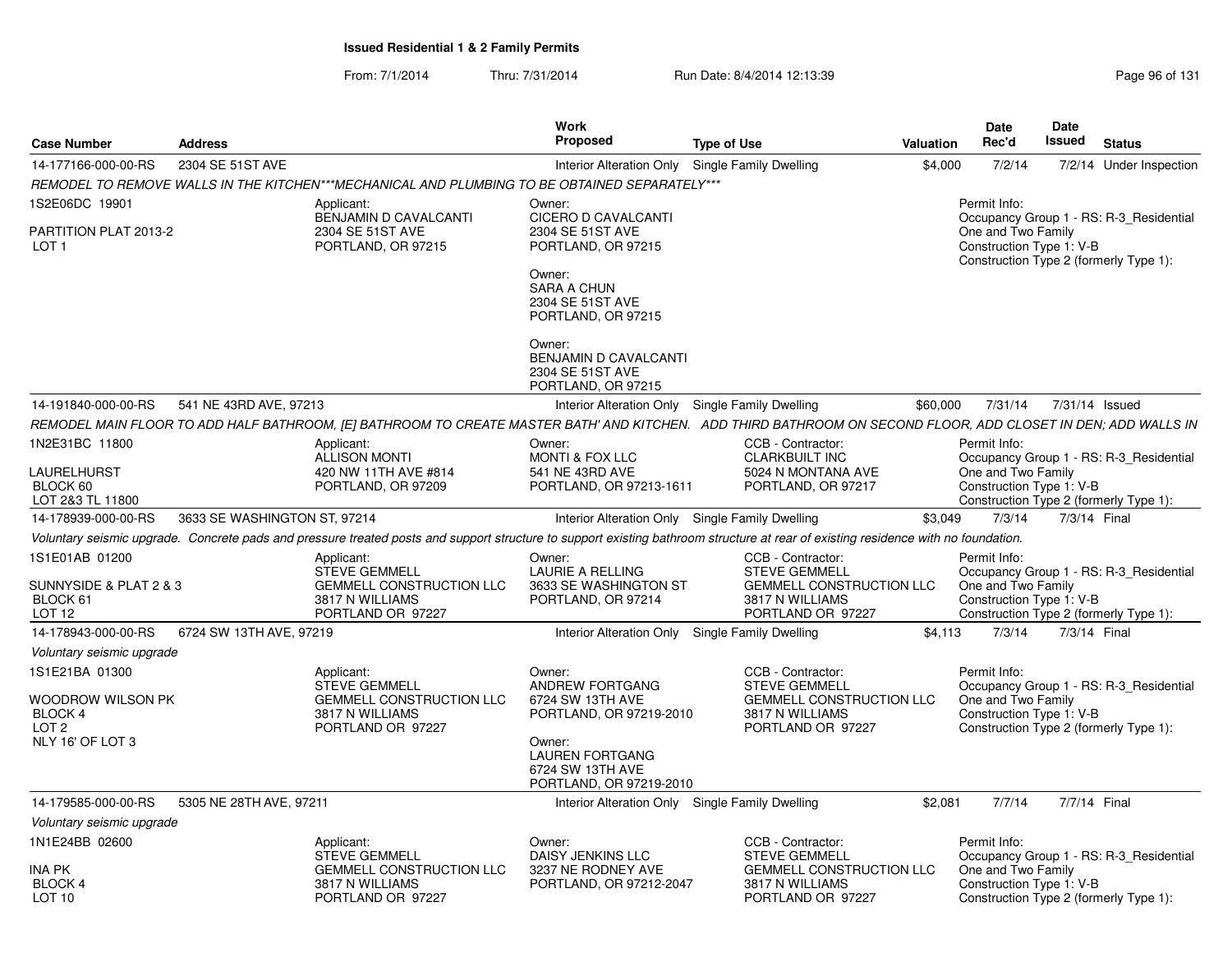|                                                             |                              |                                                                                               | <b>Work</b>                                                                     |                                                                                                                                                                                    |           | Date                                                                                     | Date   |               |                                         |
|-------------------------------------------------------------|------------------------------|-----------------------------------------------------------------------------------------------|---------------------------------------------------------------------------------|------------------------------------------------------------------------------------------------------------------------------------------------------------------------------------|-----------|------------------------------------------------------------------------------------------|--------|---------------|-----------------------------------------|
| <b>Case Number</b>                                          | <b>Address</b>               |                                                                                               | <b>Proposed</b>                                                                 | <b>Type of Use</b>                                                                                                                                                                 | Valuation | Rec'd                                                                                    | Issued | <b>Status</b> |                                         |
| 14-177166-000-00-RS                                         | 2304 SE 51ST AVE             |                                                                                               | Interior Alteration Only Single Family Dwelling                                 |                                                                                                                                                                                    | \$4,000   | 7/2/14                                                                                   |        |               | 7/2/14 Under Inspection                 |
|                                                             |                              | REMODEL TO REMOVE WALLS IN THE KITCHEN***MECHANICAL AND PLUMBING TO BE OBTAINED SEPARATELY*** |                                                                                 |                                                                                                                                                                                    |           |                                                                                          |        |               |                                         |
| 1S2E06DC 19901<br>PARTITION PLAT 2013-2<br>LOT <sub>1</sub> |                              | Applicant:<br><b>BENJAMIN D CAVALCANTI</b><br>2304 SE 51ST AVE<br>PORTLAND, OR 97215          | Owner:<br>CICERO D CAVALCANTI<br>2304 SE 51ST AVE<br>PORTLAND, OR 97215         |                                                                                                                                                                                    |           | Permit Info:<br>One and Two Family<br>Construction Type 1: V-B                           |        |               | Occupancy Group 1 - RS: R-3 Residential |
|                                                             |                              |                                                                                               | Owner:<br><b>SARA A CHUN</b><br>2304 SE 51ST AVE<br>PORTLAND, OR 97215          |                                                                                                                                                                                    |           | Construction Type 2 (formerly Type 1):                                                   |        |               |                                         |
|                                                             |                              |                                                                                               | Owner:<br>BENJAMIN D CAVALCANTI<br>2304 SE 51ST AVE<br>PORTLAND, OR 97215       |                                                                                                                                                                                    |           |                                                                                          |        |               |                                         |
| 14-191840-000-00-RS                                         | 541 NE 43RD AVE, 97213       |                                                                                               | Interior Alteration Only Single Family Dwelling                                 |                                                                                                                                                                                    | \$60,000  | 7/31/14 7/31/14 Issued                                                                   |        |               |                                         |
|                                                             |                              |                                                                                               |                                                                                 | REMODEL MAIN FLOOR TO ADD HALF BATHROOM, [E] BATHROOM TO CREATE MASTER BATH' AND KITCHEN. ADD THIRD BATHROOM ON SECOND FLOOR, ADD CLOSET IN DEN; ADD WALLS IN                      |           |                                                                                          |        |               |                                         |
| 1N2E31BC 11800                                              |                              | Applicant:<br>ALLISON MONTI                                                                   | Owner:<br>MONTI & FOX LLC                                                       | CCB - Contractor:<br><b>CLARKBUILT INC</b>                                                                                                                                         |           | Permit Info:                                                                             |        |               | Occupancy Group 1 - RS: R-3_Residential |
| LAURELHURST<br>BLOCK 60<br>LOT 2&3 TL 11800                 |                              | 420 NW 11TH AVE #814<br>PORTLAND, OR 97209                                                    | 541 NE 43RD AVE<br>PORTLAND, OR 97213-1611                                      | 5024 N MONTANA AVE<br>PORTLAND, OR 97217                                                                                                                                           |           | One and Two Family<br>Construction Type 1: V-B<br>Construction Type 2 (formerly Type 1): |        |               |                                         |
| 14-178939-000-00-RS                                         | 3633 SE WASHINGTON ST, 97214 |                                                                                               | Interior Alteration Only Single Family Dwelling                                 |                                                                                                                                                                                    | \$3.049   | 7/3/14                                                                                   |        | 7/3/14 Final  |                                         |
|                                                             |                              |                                                                                               |                                                                                 | Voluntary seismic upgrade. Concrete pads and pressure treated posts and support structure to support existing bathroom structure at rear of existing residence with no foundation. |           |                                                                                          |        |               |                                         |
| 1S1E01AB 01200                                              |                              | Applicant:<br><b>STEVE GEMMELL</b>                                                            | Owner:<br><b>LAURIE A RELLING</b>                                               | CCB - Contractor:<br><b>STEVE GEMMELL</b>                                                                                                                                          |           | Permit Info:                                                                             |        |               | Occupancy Group 1 - RS: R-3 Residential |
| SUNNYSIDE & PLAT 2 & 3<br>BLOCK 61<br>LOT <sub>12</sub>     |                              | <b>GEMMELL CONSTRUCTION LLC</b><br>3817 N WILLIAMS<br>PORTLAND OR 97227                       | 3633 SE WASHINGTON ST<br>PORTLAND, OR 97214                                     | <b>GEMMELL CONSTRUCTION LLC</b><br>3817 N WILLIAMS<br>PORTLAND OR 97227                                                                                                            |           | One and Two Family<br>Construction Type 1: V-B<br>Construction Type 2 (formerly Type 1): |        |               |                                         |
| 14-178943-000-00-RS                                         | 6724 SW 13TH AVE, 97219      |                                                                                               | Interior Alteration Only Single Family Dwelling                                 |                                                                                                                                                                                    | \$4.113   | 7/3/14                                                                                   |        | 7/3/14 Final  |                                         |
| Voluntary seismic upgrade                                   |                              |                                                                                               |                                                                                 |                                                                                                                                                                                    |           |                                                                                          |        |               |                                         |
| 1S1E21BA 01300<br>WOODROW WILSON PK<br>BLOCK 4              |                              | Applicant:<br><b>STEVE GEMMELL</b><br><b>GEMMELL CONSTRUCTION LLC</b><br>3817 N WILLIAMS      | Owner:<br>ANDREW FORTGANG<br>6724 SW 13TH AVE<br>PORTLAND, OR 97219-2010        | CCB - Contractor:<br><b>STEVE GEMMELL</b><br><b>GEMMELL CONSTRUCTION LLC</b><br>3817 N WILLIAMS                                                                                    |           | Permit Info:<br>One and Two Family<br>Construction Type 1: V-B                           |        |               | Occupancy Group 1 - RS: R-3 Residential |
| LOT <sub>2</sub><br>NLY 16' OF LOT 3                        |                              | PORTLAND OR 97227                                                                             | Owner:<br><b>LAUREN FORTGANG</b><br>6724 SW 13TH AVE<br>PORTLAND, OR 97219-2010 | PORTLAND OR 97227                                                                                                                                                                  |           | Construction Type 2 (formerly Type 1):                                                   |        |               |                                         |
| 14-179585-000-00-RS                                         | 5305 NE 28TH AVE, 97211      |                                                                                               | Interior Alteration Only Single Family Dwelling                                 |                                                                                                                                                                                    | \$2,081   | 7/7/14                                                                                   |        | 7/7/14 Final  |                                         |
| Voluntary seismic upgrade                                   |                              |                                                                                               |                                                                                 |                                                                                                                                                                                    |           |                                                                                          |        |               |                                         |
| 1N1E24BB 02600                                              |                              | Applicant:<br><b>STEVE GEMMELL</b>                                                            | Owner:<br>DAISY JENKINS LLC                                                     | CCB - Contractor:<br><b>STEVE GEMMELI</b>                                                                                                                                          |           | Permit Info:                                                                             |        |               | Occupancy Group 1 - RS: R-3 Residential |
| INA PK<br>BLOCK 4<br>LOT 10                                 |                              | <b>GEMMELL CONSTRUCTION LLC</b><br>3817 N WILLIAMS<br>PORTLAND OR 97227                       | 3237 NE RODNEY AVE<br>PORTLAND, OR 97212-2047                                   | <b>GEMMELL CONSTRUCTION LLC</b><br>3817 N WILLIAMS<br>PORTLAND OR 97227                                                                                                            |           | One and Two Family<br>Construction Type 1: V-B<br>Construction Type 2 (formerly Type 1): |        |               |                                         |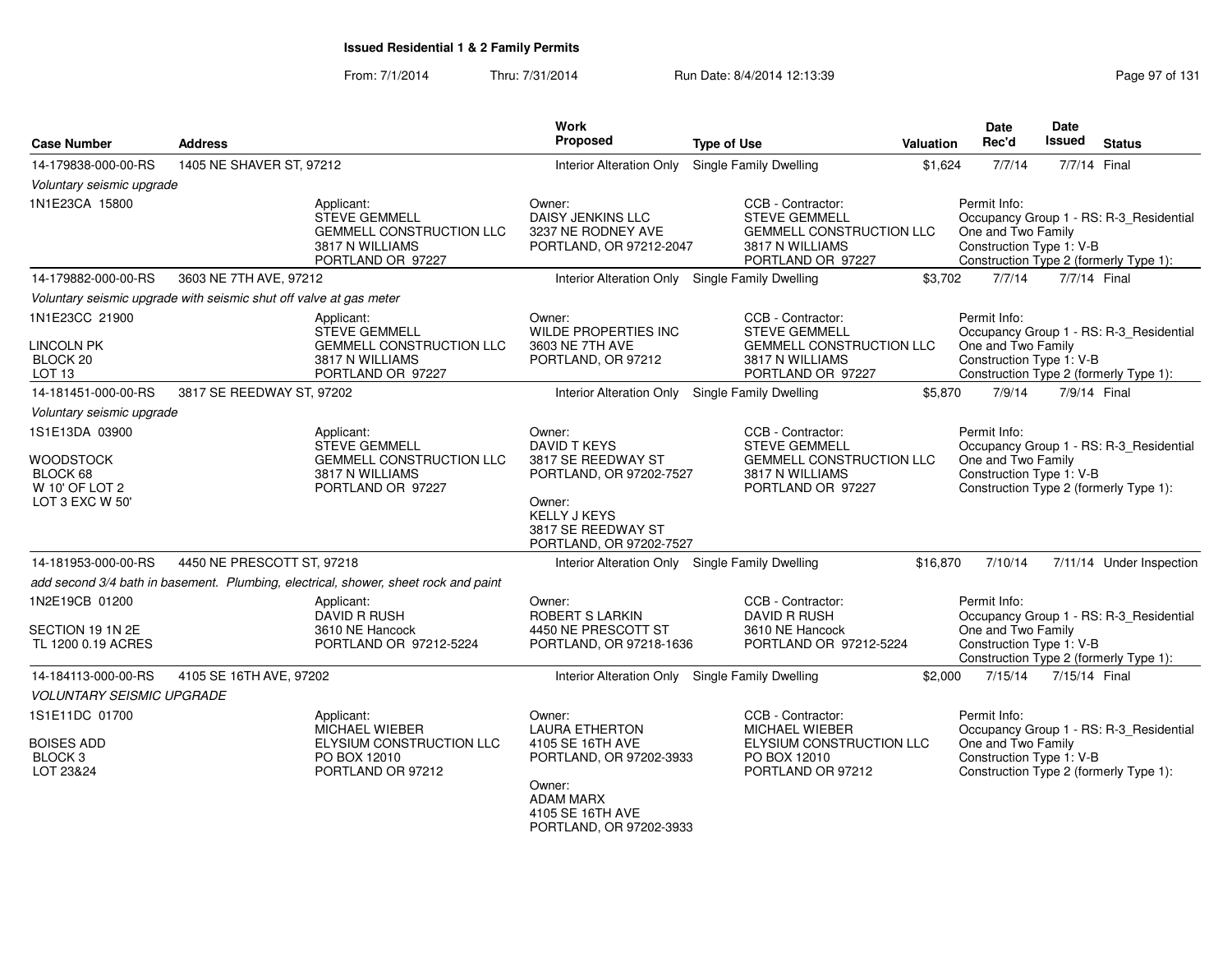| <b>Case Number</b>                                                           | <b>Address</b>                                                     |                                                                                                               | <b>Work</b><br>Proposed                                                                                                                                          | <b>Type of Use</b>                                                                                                   | Valuation | Date<br>Rec'd                                                  | <b>Date</b><br><b>Issued</b> | <b>Status</b>                                                                     |
|------------------------------------------------------------------------------|--------------------------------------------------------------------|---------------------------------------------------------------------------------------------------------------|------------------------------------------------------------------------------------------------------------------------------------------------------------------|----------------------------------------------------------------------------------------------------------------------|-----------|----------------------------------------------------------------|------------------------------|-----------------------------------------------------------------------------------|
|                                                                              |                                                                    |                                                                                                               |                                                                                                                                                                  |                                                                                                                      |           |                                                                |                              |                                                                                   |
| 14-179838-000-00-RS                                                          | 1405 NE SHAVER ST, 97212                                           |                                                                                                               | Interior Alteration Only Single Family Dwelling                                                                                                                  |                                                                                                                      | \$1,624   | 7/7/14                                                         |                              | 7/7/14 Final                                                                      |
| Voluntary seismic upgrade<br>1N1E23CA 15800                                  |                                                                    | Applicant:<br><b>STEVE GEMMELL</b><br><b>GEMMELL CONSTRUCTION LLC</b><br>3817 N WILLIAMS<br>PORTLAND OR 97227 | Owner:<br>DAISY JENKINS LLC<br>3237 NE RODNEY AVE<br>PORTLAND, OR 97212-2047                                                                                     | CCB - Contractor:<br><b>STEVE GEMMELL</b><br><b>GEMMELL CONSTRUCTION LLC</b><br>3817 N WILLIAMS<br>PORTLAND OR 97227 |           | Permit Info:<br>One and Two Family<br>Construction Type 1: V-B |                              | Occupancy Group 1 - RS: R-3_Residential<br>Construction Type 2 (formerly Type 1): |
| 14-179882-000-00-RS                                                          | 3603 NE 7TH AVE, 97212                                             |                                                                                                               | Interior Alteration Only Single Family Dwelling                                                                                                                  |                                                                                                                      | \$3,702   | 7/7/14                                                         |                              | 7/7/14 Final                                                                      |
|                                                                              | Voluntary seismic upgrade with seismic shut off valve at gas meter |                                                                                                               |                                                                                                                                                                  |                                                                                                                      |           |                                                                |                              |                                                                                   |
| 1N1E23CC 21900<br><b>LINCOLN PK</b><br>BLOCK 20<br>LOT <sub>13</sub>         |                                                                    | Applicant:<br><b>STEVE GEMMELL</b><br><b>GEMMELL CONSTRUCTION LLC</b><br>3817 N WILLIAMS<br>PORTLAND OR 97227 | Owner:<br><b>WILDE PROPERTIES INC</b><br>3603 NE 7TH AVE<br>PORTLAND, OR 97212                                                                                   | CCB - Contractor:<br><b>STEVE GEMMELL</b><br><b>GEMMELL CONSTRUCTION LLC</b><br>3817 N WILLIAMS<br>PORTLAND OR 97227 |           | Permit Info:<br>One and Two Family<br>Construction Type 1: V-B |                              | Occupancy Group 1 - RS: R-3 Residential<br>Construction Type 2 (formerly Type 1): |
| 14-181451-000-00-RS                                                          | 3817 SE REEDWAY ST, 97202                                          |                                                                                                               | Interior Alteration Only Single Family Dwelling                                                                                                                  |                                                                                                                      | \$5,870   | 7/9/14                                                         |                              | 7/9/14 Final                                                                      |
| Voluntary seismic upgrade                                                    |                                                                    |                                                                                                               |                                                                                                                                                                  |                                                                                                                      |           |                                                                |                              |                                                                                   |
| 1S1E13DA 03900<br>WOODSTOCK<br>BLOCK 68<br>W 10' OF LOT 2<br>LOT 3 EXC W 50' |                                                                    | Applicant:<br><b>STEVE GEMMELL</b><br><b>GEMMELL CONSTRUCTION LLC</b><br>3817 N WILLIAMS<br>PORTLAND OR 97227 | Owner:<br><b>DAVID T KEYS</b><br>3817 SE REEDWAY ST<br>PORTLAND, OR 97202-7527<br>Owner:<br><b>KELLY J KEYS</b><br>3817 SE REEDWAY ST<br>PORTLAND, OR 97202-7527 | CCB - Contractor:<br><b>STEVE GEMMELL</b><br><b>GEMMELL CONSTRUCTION LLC</b><br>3817 N WILLIAMS<br>PORTLAND OR 97227 |           | Permit Info:<br>One and Two Family<br>Construction Type 1: V-B |                              | Occupancy Group 1 - RS: R-3_Residential<br>Construction Type 2 (formerly Type 1): |
| 14-181953-000-00-RS                                                          | 4450 NE PRESCOTT ST, 97218                                         |                                                                                                               | Interior Alteration Only Single Family Dwelling                                                                                                                  |                                                                                                                      | \$16,870  | 7/10/14                                                        |                              | 7/11/14 Under Inspection                                                          |
|                                                                              |                                                                    | add second 3/4 bath in basement. Plumbing, electrical, shower, sheet rock and paint                           |                                                                                                                                                                  |                                                                                                                      |           |                                                                |                              |                                                                                   |
| 1N2E19CB 01200<br>SECTION 19 1N 2E<br>TL 1200 0.19 ACRES                     |                                                                    | Applicant:<br><b>DAVID R RUSH</b><br>3610 NE Hancock<br>PORTLAND OR 97212-5224                                | Owner:<br><b>ROBERT S LARKIN</b><br>4450 NE PRESCOTT ST<br>PORTLAND, OR 97218-1636                                                                               | CCB - Contractor:<br><b>DAVID R RUSH</b><br>3610 NE Hancock<br>PORTLAND OR 97212-5224                                |           | Permit Info:<br>One and Two Family<br>Construction Type 1: V-B |                              | Occupancy Group 1 - RS: R-3_Residential<br>Construction Type 2 (formerly Type 1): |
| 14-184113-000-00-RS                                                          | 4105 SE 16TH AVE, 97202                                            |                                                                                                               | Interior Alteration Only Single Family Dwelling                                                                                                                  |                                                                                                                      | \$2,000   | 7/15/14                                                        | 7/15/14 Final                |                                                                                   |
| <b>VOLUNTARY SEISMIC UPGRADE</b>                                             |                                                                    |                                                                                                               |                                                                                                                                                                  |                                                                                                                      |           |                                                                |                              |                                                                                   |
| 1S1E11DC 01700<br><b>BOISES ADD</b><br>BLOCK <sub>3</sub><br>LOT 23&24       |                                                                    | Applicant:<br><b>MICHAEL WIEBER</b><br>ELYSIUM CONSTRUCTION LLC<br>PO BOX 12010<br>PORTLAND OR 97212          | Owner:<br><b>LAURA ETHERTON</b><br>4105 SE 16TH AVE<br>PORTLAND, OR 97202-3933<br>Owner:<br><b>ADAM MARX</b><br>4105 SE 16TH AVE<br>PORTLAND, OR 97202-3933      | CCB - Contractor:<br><b>MICHAEL WIEBER</b><br>ELYSIUM CONSTRUCTION LLC<br>PO BOX 12010<br>PORTLAND OR 97212          |           | Permit Info:<br>One and Two Family<br>Construction Type 1: V-B |                              | Occupancy Group 1 - RS: R-3_Residential<br>Construction Type 2 (formerly Type 1): |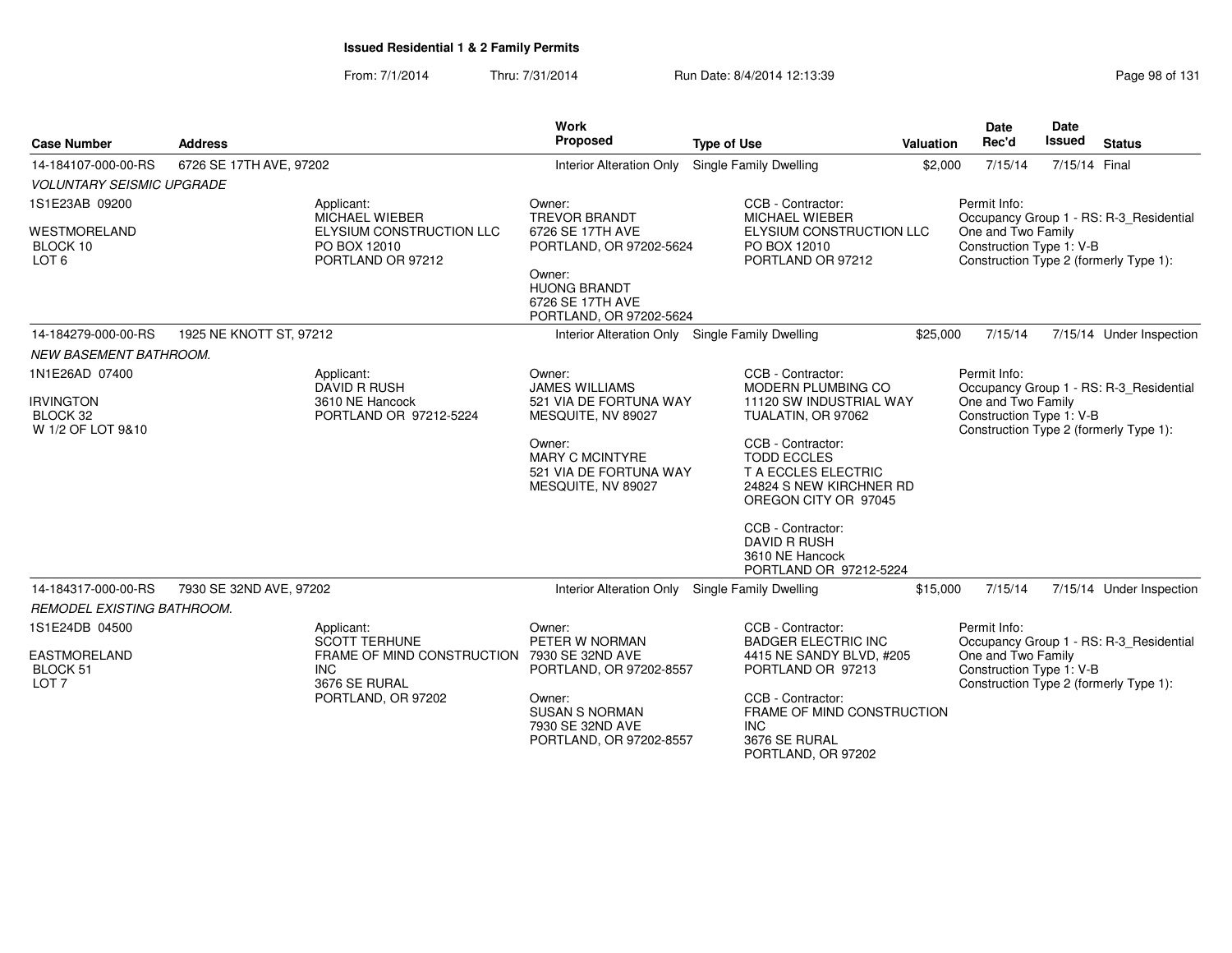|                                                     |                                                           |                                                               | Work                                                                             |                                                                                                                   |           | <b>Date</b>                                    | Date                                   |                                         |
|-----------------------------------------------------|-----------------------------------------------------------|---------------------------------------------------------------|----------------------------------------------------------------------------------|-------------------------------------------------------------------------------------------------------------------|-----------|------------------------------------------------|----------------------------------------|-----------------------------------------|
| <b>Case Number</b>                                  | <b>Address</b>                                            |                                                               | Proposed                                                                         | <b>Type of Use</b>                                                                                                | Valuation | Rec'd                                          | Issued                                 | <b>Status</b>                           |
| 14-184107-000-00-RS                                 | 6726 SE 17TH AVE, 97202                                   |                                                               | <b>Interior Alteration Only</b>                                                  | Single Family Dwelling                                                                                            | \$2,000   | 7/15/14                                        | 7/15/14 Final                          |                                         |
| <b>VOLUNTARY SEISMIC UPGRADE</b>                    |                                                           |                                                               |                                                                                  |                                                                                                                   |           |                                                |                                        |                                         |
| 1S1E23AB 09200                                      |                                                           | Applicant:<br><b>MICHAEL WIEBER</b>                           | Owner:<br><b>TREVOR BRANDT</b>                                                   | CCB - Contractor:<br><b>MICHAEL WIEBER</b>                                                                        |           | Permit Info:                                   |                                        | Occupancy Group 1 - RS: R-3_Residential |
| <b>WESTMORELAND</b><br>BLOCK 10<br>LOT <sub>6</sub> |                                                           | ELYSIUM CONSTRUCTION LLC<br>PO BOX 12010<br>PORTLAND OR 97212 | 6726 SE 17TH AVE<br>PORTLAND, OR 97202-5624<br>Owner:                            | ELYSIUM CONSTRUCTION LLC<br>PO BOX 12010<br>PORTLAND OR 97212                                                     |           | One and Two Family<br>Construction Type 1: V-B | Construction Type 2 (formerly Type 1): |                                         |
|                                                     |                                                           |                                                               | <b>HUONG BRANDT</b><br>6726 SE 17TH AVE<br>PORTLAND, OR 97202-5624               |                                                                                                                   |           |                                                |                                        |                                         |
| 14-184279-000-00-RS                                 | 1925 NE KNOTT ST, 97212                                   |                                                               | Interior Alteration Only Single Family Dwelling                                  |                                                                                                                   | \$25,000  | 7/15/14                                        |                                        | 7/15/14 Under Inspection                |
| <b>NEW BASEMENT BATHROOM.</b>                       |                                                           |                                                               |                                                                                  |                                                                                                                   |           |                                                |                                        |                                         |
| 1N1E26AD 07400                                      |                                                           | Applicant:<br><b>DAVID R RUSH</b>                             | Owner:<br><b>JAMES WILLIAMS</b>                                                  | CCB - Contractor:<br><b>MODERN PLUMBING CO</b>                                                                    |           | Permit Info:                                   |                                        | Occupancy Group 1 - RS: R-3_Residential |
| <b>IRVINGTON</b><br>BLOCK 32<br>W 1/2 OF LOT 9&10   |                                                           | 3610 NE Hancock<br>PORTLAND OR 97212-5224                     | 521 VIA DE FORTUNA WAY<br>MESQUITE, NV 89027                                     | 11120 SW INDUSTRIAL WAY<br>TUALATIN, OR 97062                                                                     |           | One and Two Family<br>Construction Type 1: V-B |                                        | Construction Type 2 (formerly Type 1):  |
|                                                     |                                                           |                                                               | Owner:<br><b>MARY C MCINTYRE</b><br>521 VIA DE FORTUNA WAY<br>MESQUITE, NV 89027 | CCB - Contractor:<br><b>TODD ECCLES</b><br>T A ECCLES ELECTRIC<br>24824 S NEW KIRCHNER RD<br>OREGON CITY OR 97045 |           |                                                |                                        |                                         |
|                                                     |                                                           |                                                               |                                                                                  | CCB - Contractor:<br><b>DAVID R RUSH</b><br>3610 NE Hancock<br>PORTLAND OR 97212-5224                             |           |                                                |                                        |                                         |
| 14-184317-000-00-RS                                 | 7930 SE 32ND AVE, 97202                                   |                                                               | Interior Alteration Only Single Family Dwelling                                  |                                                                                                                   | \$15,000  | 7/15/14                                        |                                        | 7/15/14 Under Inspection                |
| <b>REMODEL EXISTING BATHROOM.</b>                   |                                                           |                                                               |                                                                                  |                                                                                                                   |           |                                                |                                        |                                         |
| 1S1E24DB 04500                                      |                                                           | Applicant:<br><b>SCOTT TERHUNE</b>                            | Owner:<br>PETER W NORMAN                                                         | CCB - Contractor:<br><b>BADGER ELECTRIC INC</b>                                                                   |           | Permit Info:                                   |                                        | Occupancy Group 1 - RS: R-3_Residential |
| EASTMORELAND<br>BLOCK 51<br>LOT <sub>7</sub>        | FRAME OF MIND CONSTRUCTION<br><b>INC</b><br>3676 SE RURAL |                                                               | 7930 SE 32ND AVE<br>PORTLAND, OR 97202-8557                                      | 4415 NE SANDY BLVD, #205<br>PORTLAND OR 97213                                                                     |           | One and Two Family<br>Construction Type 1: V-B |                                        | Construction Type 2 (formerly Type 1):  |
|                                                     |                                                           | PORTLAND, OR 97202                                            | Owner:<br><b>SUSAN S NORMAN</b><br>7930 SE 32ND AVE<br>PORTLAND, OR 97202-8557   | CCB - Contractor:<br>FRAME OF MIND CONSTRUCTION<br>INC.<br>3676 SE RURAL<br>PORTLAND, OR 97202                    |           |                                                |                                        |                                         |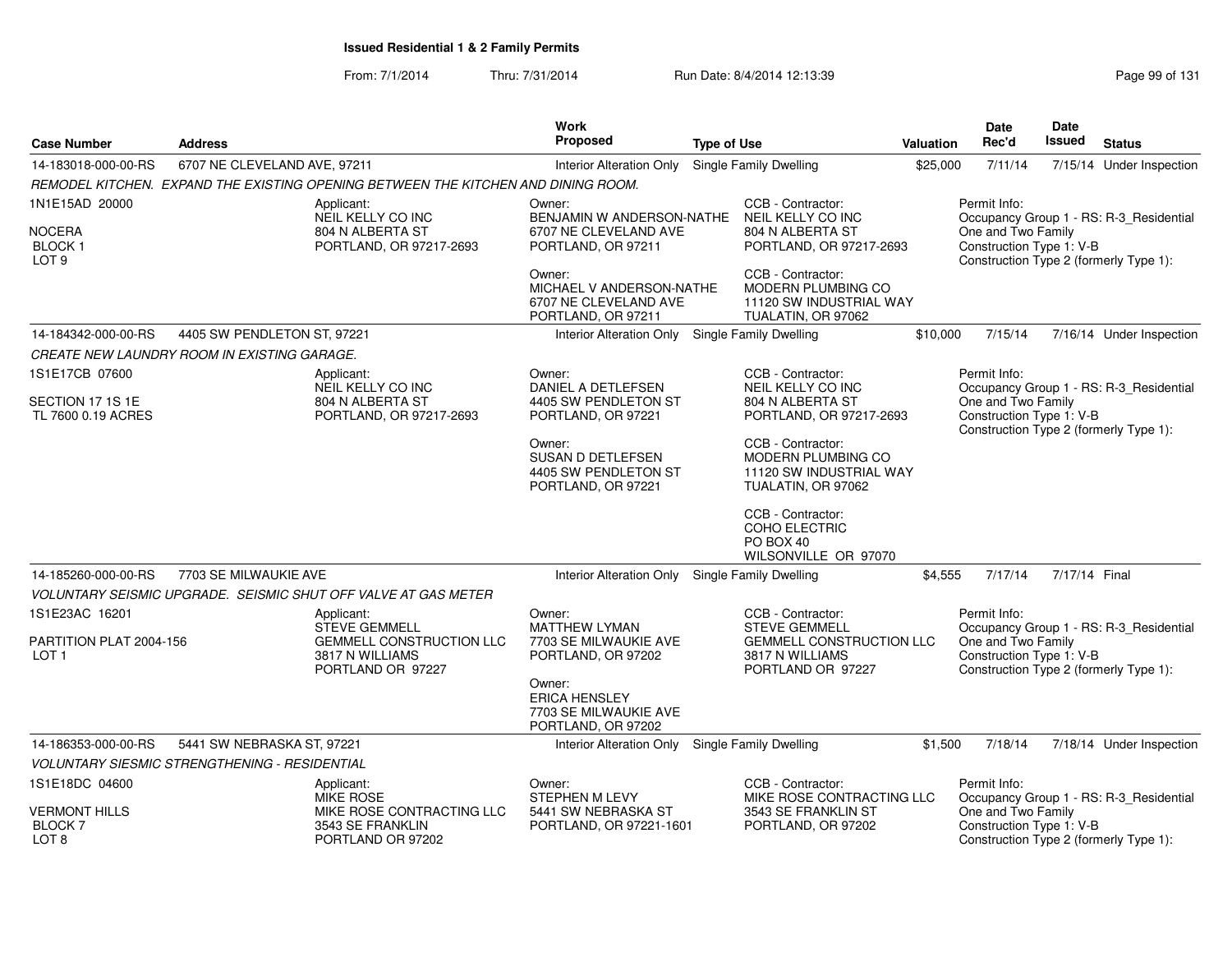| <b>Case Number</b>                                            | <b>Work</b><br>Proposed<br><b>Address</b><br><b>Type of Use</b> |                                                                                                               |                                                                                   |  |                                                                                                                      | Valuation | Date<br>Rec'd                                                  | <b>Date</b><br>Issued | <b>Status</b>                                                                     |
|---------------------------------------------------------------|-----------------------------------------------------------------|---------------------------------------------------------------------------------------------------------------|-----------------------------------------------------------------------------------|--|----------------------------------------------------------------------------------------------------------------------|-----------|----------------------------------------------------------------|-----------------------|-----------------------------------------------------------------------------------|
| 14-183018-000-00-RS                                           | 6707 NE CLEVELAND AVE, 97211                                    |                                                                                                               | <b>Interior Alteration Only</b>                                                   |  | <b>Single Family Dwelling</b>                                                                                        | \$25,000  | 7/11/14                                                        |                       | 7/15/14 Under Inspection                                                          |
|                                                               |                                                                 | REMODEL KITCHEN. EXPAND THE EXISTING OPENING BETWEEN THE KITCHEN AND DINING ROOM.                             |                                                                                   |  |                                                                                                                      |           |                                                                |                       |                                                                                   |
| 1N1E15AD 20000                                                |                                                                 | Applicant:                                                                                                    | Owner:                                                                            |  | CCB - Contractor:                                                                                                    |           | Permit Info:                                                   |                       |                                                                                   |
| <b>NOCERA</b><br><b>BLOCK1</b><br>LOT <sub>9</sub>            |                                                                 | NEIL KELLY CO INC<br>804 N ALBERTA ST<br>PORTLAND, OR 97217-2693                                              | BENJAMIN W ANDERSON-NATHE<br>6707 NE CLEVELAND AVE<br>PORTLAND, OR 97211          |  | NEIL KELLY CO INC<br>804 N ALBERTA ST<br>PORTLAND, OR 97217-2693                                                     |           | One and Two Family<br>Construction Type 1: V-B                 |                       | Occupancy Group 1 - RS: R-3 Residential<br>Construction Type 2 (formerly Type 1): |
|                                                               |                                                                 |                                                                                                               | Owner:<br>MICHAEL V ANDERSON-NATHE<br>6707 NE CLEVELAND AVE<br>PORTLAND, OR 97211 |  | CCB - Contractor:<br><b>MODERN PLUMBING CO</b><br>11120 SW INDUSTRIAL WAY<br>TUALATIN, OR 97062                      |           |                                                                |                       |                                                                                   |
| 14-184342-000-00-RS                                           | 4405 SW PENDLETON ST, 97221                                     |                                                                                                               | Interior Alteration Only Single Family Dwelling                                   |  |                                                                                                                      | \$10,000  | 7/15/14                                                        |                       | 7/16/14 Under Inspection                                                          |
|                                                               | CREATE NEW LAUNDRY ROOM IN EXISTING GARAGE.                     |                                                                                                               |                                                                                   |  |                                                                                                                      |           |                                                                |                       |                                                                                   |
| 1S1E17CB 07600                                                |                                                                 | Applicant:<br>NEIL KELLY CO INC                                                                               | Owner:<br>DANIEL A DETLEFSEN                                                      |  | CCB - Contractor:<br>NEIL KELLY CO INC                                                                               |           | Permit Info:                                                   |                       | Occupancy Group 1 - RS: R-3_Residential                                           |
| SECTION 17 1S 1E<br>TL 7600 0.19 ACRES                        |                                                                 | 804 N ALBERTA ST<br>PORTLAND, OR 97217-2693                                                                   | 4405 SW PENDLETON ST<br>PORTLAND, OR 97221                                        |  | 804 N ALBERTA ST<br>PORTLAND, OR 97217-2693                                                                          |           | One and Two Family<br>Construction Type 1: V-B                 |                       | Construction Type 2 (formerly Type 1):                                            |
|                                                               |                                                                 |                                                                                                               | Owner:<br><b>SUSAN D DETLEFSEN</b><br>4405 SW PENDLETON ST<br>PORTLAND, OR 97221  |  | CCB - Contractor:<br>MODERN PLUMBING CO<br>11120 SW INDUSTRIAL WAY<br>TUALATIN, OR 97062                             |           |                                                                |                       |                                                                                   |
|                                                               |                                                                 |                                                                                                               |                                                                                   |  | CCB - Contractor:<br>COHO ELECTRIC<br>PO BOX 40<br>WILSONVILLE OR 97070                                              |           |                                                                |                       |                                                                                   |
| 14-185260-000-00-RS                                           | 7703 SE MILWAUKIE AVE                                           |                                                                                                               | <b>Interior Alteration Only</b>                                                   |  | Single Family Dwelling                                                                                               | \$4,555   | 7/17/14                                                        | 7/17/14 Final         |                                                                                   |
|                                                               |                                                                 | VOLUNTARY SEISMIC UPGRADE. SEISMIC SHUT OFF VALVE AT GAS METER                                                |                                                                                   |  |                                                                                                                      |           |                                                                |                       |                                                                                   |
| 1S1E23AC 16201<br>PARTITION PLAT 2004-156<br>LOT <sub>1</sub> |                                                                 | Applicant:<br><b>STEVE GEMMELL</b><br><b>GEMMELL CONSTRUCTION LLC</b><br>3817 N WILLIAMS<br>PORTLAND OR 97227 | Owner:<br><b>MATTHEW LYMAN</b><br>7703 SE MILWAUKIE AVE<br>PORTLAND, OR 97202     |  | CCB - Contractor:<br><b>STEVE GEMMELL</b><br><b>GEMMELL CONSTRUCTION LLC</b><br>3817 N WILLIAMS<br>PORTLAND OR 97227 |           | Permit Info:<br>One and Two Family<br>Construction Type 1: V-B |                       | Occupancy Group 1 - RS: R-3_Residential<br>Construction Type 2 (formerly Type 1): |
|                                                               |                                                                 |                                                                                                               | Owner:<br><b>ERICA HENSLEY</b><br>7703 SE MILWAUKIE AVE<br>PORTLAND, OR 97202     |  |                                                                                                                      |           |                                                                |                       |                                                                                   |
| 14-186353-000-00-RS                                           | 5441 SW NEBRASKA ST, 97221                                      |                                                                                                               | Interior Alteration Only Single Family Dwelling                                   |  |                                                                                                                      | \$1,500   | 7/18/14                                                        |                       | 7/18/14 Under Inspection                                                          |
|                                                               | <b>VOLUNTARY SIESMIC STRENGTHENING - RESIDENTIAL</b>            |                                                                                                               |                                                                                   |  |                                                                                                                      |           |                                                                |                       |                                                                                   |
| 1S1E18DC 04600                                                |                                                                 | Applicant:<br><b>MIKE ROSE</b>                                                                                | Owner:<br><b>STEPHEN M LEVY</b>                                                   |  | CCB - Contractor:<br>MIKE ROSE CONTRACTING LLC                                                                       |           | Permit Info:                                                   |                       | Occupancy Group 1 - RS: R-3 Residential                                           |
| <b>VERMONT HILLS</b><br><b>BLOCK7</b><br>LOT <sub>8</sub>     |                                                                 | MIKE ROSE CONTRACTING LLC<br>3543 SE FRANKLIN<br>PORTLAND OR 97202                                            | 5441 SW NEBRASKA ST<br>PORTLAND, OR 97221-1601                                    |  | 3543 SE FRANKLIN ST<br>PORTLAND, OR 97202                                                                            |           | One and Two Family<br>Construction Type 1: V-B                 |                       | Construction Type 2 (formerly Type 1):                                            |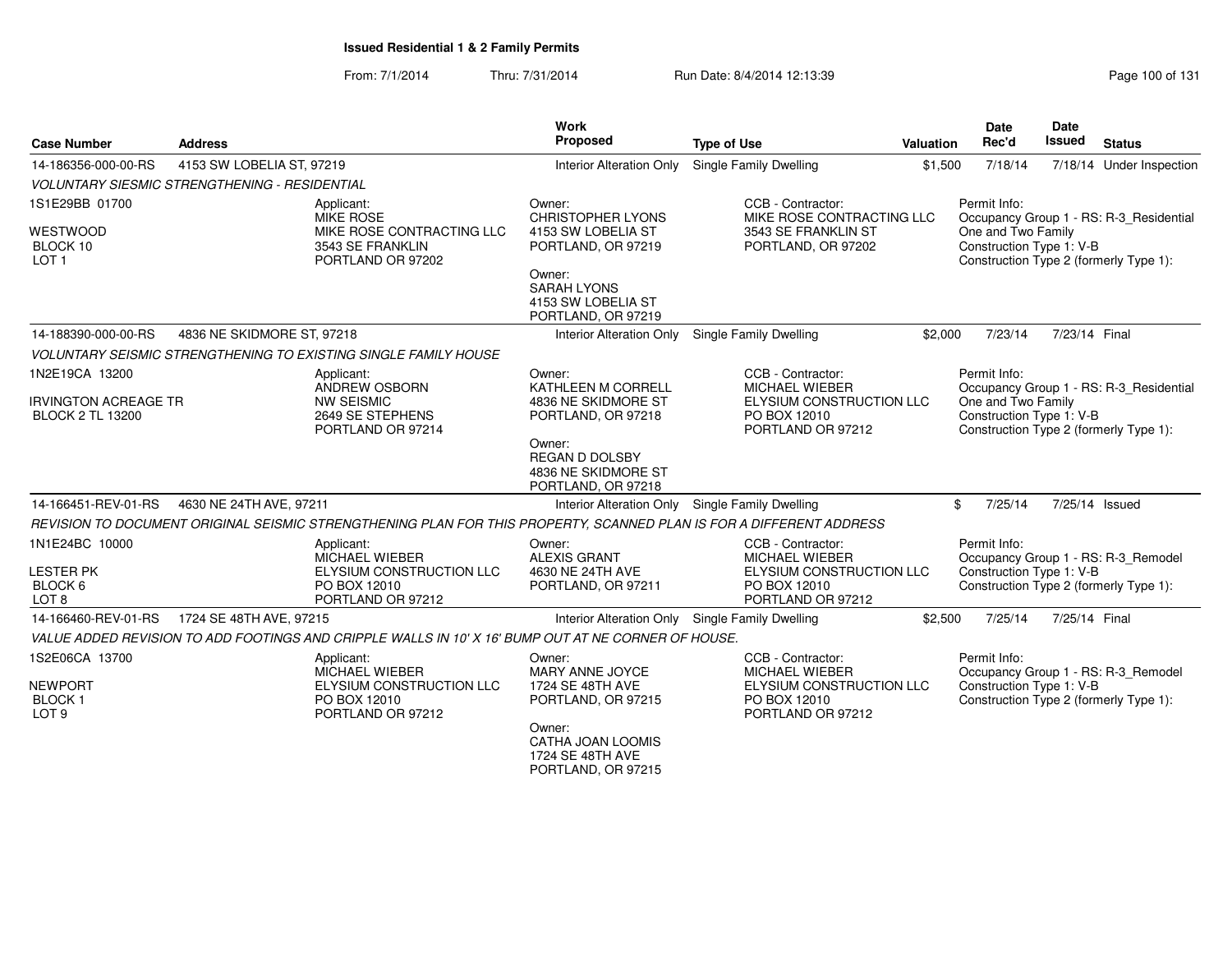| <b>Case Number</b>          | <b>Address</b>                                       |                                                                                                                     | <b>Type of Use</b>                                    | <b>Valuation</b>                                  | <b>Date</b><br>Rec'd | <b>Date</b><br><b>Issued</b>                                  | <b>Status</b> |                                         |  |  |
|-----------------------------|------------------------------------------------------|---------------------------------------------------------------------------------------------------------------------|-------------------------------------------------------|---------------------------------------------------|----------------------|---------------------------------------------------------------|---------------|-----------------------------------------|--|--|
|                             |                                                      |                                                                                                                     | Proposed                                              |                                                   |                      |                                                               |               |                                         |  |  |
| 14-186356-000-00-RS         | 4153 SW LOBELIA ST, 97219                            |                                                                                                                     | <b>Interior Alteration Only</b>                       | Single Family Dwelling                            | \$1,500              | 7/18/14                                                       |               | 7/18/14 Under Inspection                |  |  |
|                             | <b>VOLUNTARY SIESMIC STRENGTHENING - RESIDENTIAL</b> |                                                                                                                     |                                                       |                                                   |                      |                                                               |               |                                         |  |  |
| 1S1E29BB 01700              |                                                      | Applicant:<br><b>MIKE ROSE</b>                                                                                      | Owner:<br><b>CHRISTOPHER LYONS</b>                    | CCB - Contractor:<br>MIKE ROSE CONTRACTING LLC    |                      | Permit Info:                                                  |               |                                         |  |  |
| <b>WESTWOOD</b>             |                                                      | MIKE ROSE CONTRACTING LLC                                                                                           | 4153 SW LOBELIA ST                                    | 3543 SE FRANKLIN ST                               |                      | Occupancy Group 1 - RS: R-3_Residential<br>One and Two Family |               |                                         |  |  |
| BLOCK 10                    |                                                      | 3543 SE FRANKLIN                                                                                                    | PORTLAND, OR 97219                                    | PORTLAND, OR 97202                                |                      | Construction Type 1: V-B                                      |               |                                         |  |  |
| LOT <sub>1</sub>            |                                                      | PORTLAND OR 97202                                                                                                   | Owner:                                                |                                                   |                      |                                                               |               | Construction Type 2 (formerly Type 1):  |  |  |
|                             |                                                      |                                                                                                                     | <b>SARAH LYONS</b>                                    |                                                   |                      |                                                               |               |                                         |  |  |
|                             |                                                      |                                                                                                                     | 4153 SW LOBELIA ST                                    |                                                   |                      |                                                               |               |                                         |  |  |
| 14-188390-000-00-RS         | 4836 NE SKIDMORE ST, 97218                           |                                                                                                                     | PORTLAND, OR 97219<br><b>Interior Alteration Only</b> | Single Family Dwelling                            | \$2,000              | 7/23/14                                                       | 7/23/14 Final |                                         |  |  |
|                             |                                                      | VOLUNTARY SEISMIC STRENGTHENING TO EXISTING SINGLE FAMILY HOUSE                                                     |                                                       |                                                   |                      |                                                               |               |                                         |  |  |
|                             |                                                      |                                                                                                                     |                                                       |                                                   |                      |                                                               |               |                                         |  |  |
| 1N2E19CA 13200              |                                                      | Applicant:<br>ANDREW OSBORN                                                                                         | Owner:<br>KATHLEEN M CORRELL                          | CCB - Contractor:<br>MICHAEL WIEBER               |                      | Permit Info:                                                  |               | Occupancy Group 1 - RS: R-3_Residential |  |  |
| <b>IRVINGTON ACREAGE TR</b> |                                                      | <b>NW SEISMIC</b>                                                                                                   | 4836 NE SKIDMORE ST                                   | ELYSIUM CONSTRUCTION LLC                          |                      | One and Two Family                                            |               |                                         |  |  |
| <b>BLOCK 2 TL 13200</b>     |                                                      | 2649 SE STEPHENS<br>PORTLAND OR 97214                                                                               | PORTLAND, OR 97218                                    | PO BOX 12010<br>PORTLAND OR 97212                 |                      | Construction Type 1: V-B                                      |               | Construction Type 2 (formerly Type 1):  |  |  |
|                             |                                                      |                                                                                                                     | Owner:                                                |                                                   |                      |                                                               |               |                                         |  |  |
|                             |                                                      |                                                                                                                     | <b>REGAN D DOLSBY</b>                                 |                                                   |                      |                                                               |               |                                         |  |  |
|                             |                                                      |                                                                                                                     | 4836 NE SKIDMORE ST<br>PORTLAND, OR 97218             |                                                   |                      |                                                               |               |                                         |  |  |
| 14-166451-REV-01-RS         | 4630 NE 24TH AVE, 97211                              |                                                                                                                     |                                                       | Interior Alteration Only Single Family Dwelling   |                      | \$<br>7/25/14                                                 |               | 7/25/14 Issued                          |  |  |
|                             |                                                      | REVISION TO DOCUMENT ORIGINAL SEISMIC STRENGTHENING PLAN FOR THIS PROPERTY, SCANNED PLAN IS FOR A DIFFERENT ADDRESS |                                                       |                                                   |                      |                                                               |               |                                         |  |  |
| 1N1E24BC 10000              |                                                      | Applicant:                                                                                                          | Owner:                                                | CCB - Contractor:                                 |                      | Permit Info:                                                  |               |                                         |  |  |
|                             |                                                      | <b>MICHAEL WIEBER</b>                                                                                               | <b>ALEXIS GRANT</b>                                   | <b>MICHAEL WIEBER</b>                             |                      |                                                               |               | Occupancy Group 1 - RS: R-3_Remodel     |  |  |
| <b>LESTER PK</b><br>BLOCK 6 |                                                      | ELYSIUM CONSTRUCTION LLC<br>PO BOX 12010                                                                            | 4630 NE 24TH AVE<br>PORTLAND, OR 97211                | ELYSIUM CONSTRUCTION LLC<br>PO BOX 12010          |                      | Construction Type 1: V-B                                      |               | Construction Type 2 (formerly Type 1):  |  |  |
| LOT <sub>8</sub>            |                                                      | PORTLAND OR 97212                                                                                                   |                                                       | PORTLAND OR 97212                                 |                      |                                                               |               |                                         |  |  |
| 14-166460-REV-01-RS         | 1724 SE 48TH AVE, 97215                              |                                                                                                                     |                                                       | Interior Alteration Only Single Family Dwelling   | \$2,500              | 7/25/14                                                       | 7/25/14 Final |                                         |  |  |
|                             |                                                      | VALUE ADDED REVISION TO ADD FOOTINGS AND CRIPPLE WALLS IN 10' X 16' BUMP OUT AT NE CORNER OF HOUSE.                 |                                                       |                                                   |                      |                                                               |               |                                         |  |  |
| 1S2E06CA 13700              |                                                      | Applicant:                                                                                                          | Owner:                                                | CCB - Contractor:                                 |                      | Permit Info:                                                  |               |                                         |  |  |
| <b>NEWPORT</b>              |                                                      | MICHAEL WIEBER<br>ELYSIUM CONSTRUCTION LLC                                                                          | MARY ANNE JOYCE<br>1724 SE 48TH AVE                   | <b>MICHAEL WIEBER</b><br>ELYSIUM CONSTRUCTION LLC |                      | Construction Type 1: V-B                                      |               | Occupancy Group 1 - RS: R-3_Remodel     |  |  |
| BLOCK <sub>1</sub>          |                                                      | PO BOX 12010                                                                                                        | PORTLAND, OR 97215                                    | PO BOX 12010                                      |                      |                                                               |               | Construction Type 2 (formerly Type 1):  |  |  |
| LOT <sub>9</sub>            |                                                      | PORTLAND OR 97212                                                                                                   |                                                       | PORTLAND OR 97212                                 |                      |                                                               |               |                                         |  |  |
|                             |                                                      |                                                                                                                     | Owner:<br>CATHA JOAN LOOMIS                           |                                                   |                      |                                                               |               |                                         |  |  |
|                             |                                                      |                                                                                                                     | 1724 SE 48TH AVE                                      |                                                   |                      |                                                               |               |                                         |  |  |
|                             |                                                      |                                                                                                                     | PORTLAND, OR 97215                                    |                                                   |                      |                                                               |               |                                         |  |  |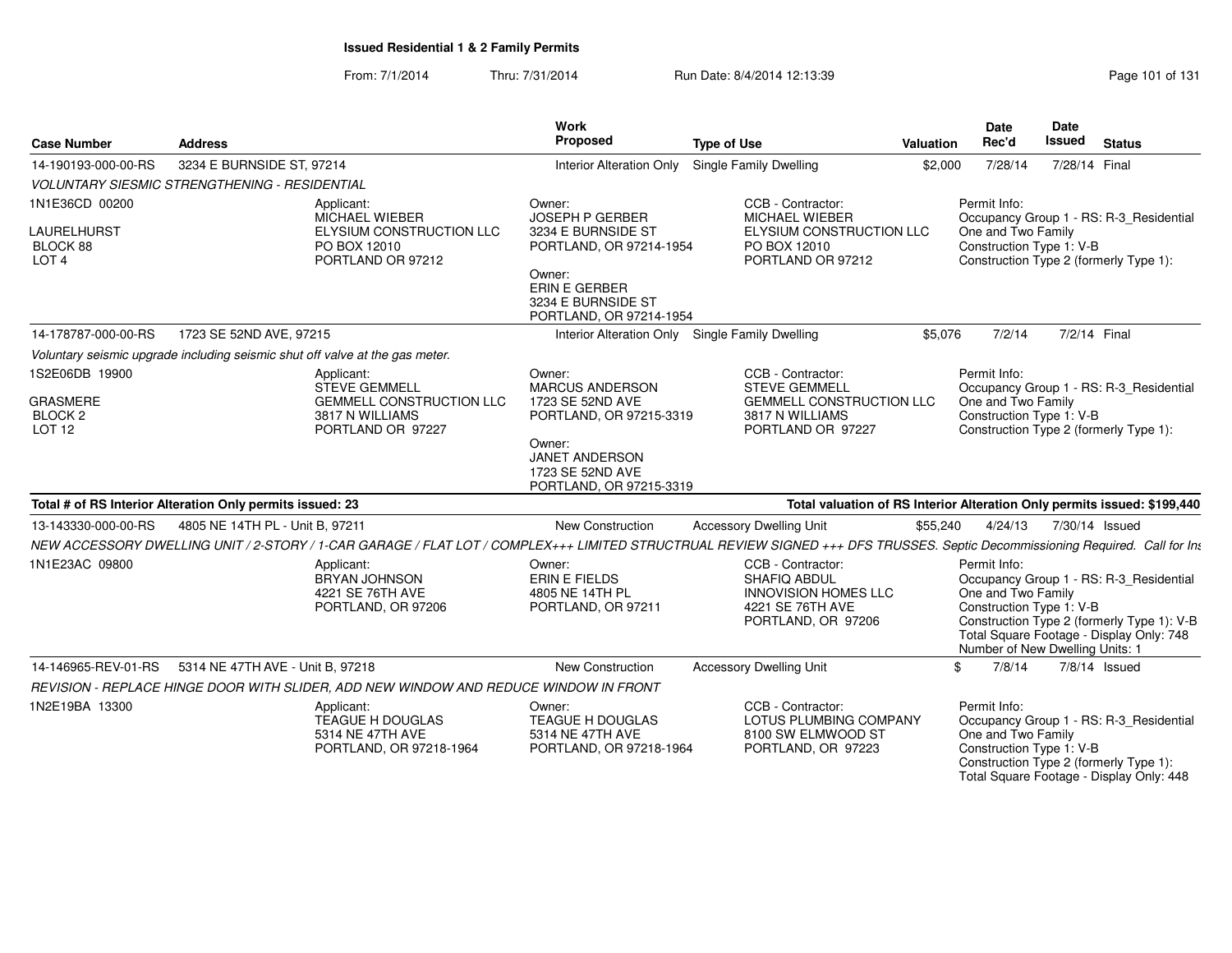| <b>Case Number</b>                                            | <b>Address</b>                                                                                                                                                               | <b>Work</b><br>Proposed                                                                                                                                       | <b>Type of Use</b><br>Valuation                                                                             |          |                                                                                                          | <b>Date</b><br><b>Issued</b> | <b>Status</b>                                                                                                                     |
|---------------------------------------------------------------|------------------------------------------------------------------------------------------------------------------------------------------------------------------------------|---------------------------------------------------------------------------------------------------------------------------------------------------------------|-------------------------------------------------------------------------------------------------------------|----------|----------------------------------------------------------------------------------------------------------|------------------------------|-----------------------------------------------------------------------------------------------------------------------------------|
| 14-190193-000-00-RS                                           | 3234 E BURNSIDE ST, 97214                                                                                                                                                    | <b>Interior Alteration Only</b>                                                                                                                               | <b>Single Family Dwelling</b>                                                                               | \$2,000  | 7/28/14                                                                                                  | 7/28/14 Final                |                                                                                                                                   |
|                                                               | VOLUNTARY SIESMIC STRENGTHENING - RESIDENTIAL                                                                                                                                |                                                                                                                                                               |                                                                                                             |          |                                                                                                          |                              |                                                                                                                                   |
| 1N1E36CD 00200<br>LAURELHURST<br>BLOCK 88<br>LOT <sub>4</sub> | Applicant:<br>MICHAEL WIEBER<br>ELYSIUM CONSTRUCTION LLC<br>PO BOX 12010<br>PORTLAND OR 97212                                                                                | Owner:<br><b>JOSEPH P GERBER</b><br>3234 E BURNSIDE ST<br>PORTLAND, OR 97214-1954<br>Owner:<br>ERIN E GERBER<br>3234 E BURNSIDE ST<br>PORTLAND, OR 97214-1954 | CCB - Contractor:<br><b>MICHAEL WIEBER</b><br>ELYSIUM CONSTRUCTION LLC<br>PO BOX 12010<br>PORTLAND OR 97212 |          | Permit Info:<br>One and Two Family<br>Construction Type 1: V-B<br>Construction Type 2 (formerly Type 1): |                              | Occupancy Group 1 - RS: R-3_Residential                                                                                           |
| 14-178787-000-00-RS                                           | 1723 SE 52ND AVE, 97215                                                                                                                                                      | <b>Interior Alteration Only</b>                                                                                                                               | <b>Single Family Dwelling</b>                                                                               | \$5,076  | 7/2/14                                                                                                   | 7/2/14 Final                 |                                                                                                                                   |
|                                                               | Voluntary seismic upgrade including seismic shut off valve at the gas meter.                                                                                                 |                                                                                                                                                               |                                                                                                             |          |                                                                                                          |                              |                                                                                                                                   |
| 1S2E06DB 19900<br><b>GRASMERE</b><br>BLOCK <sub>2</sub>       | Applicant:<br><b>STEVE GEMMELL</b><br><b>GEMMELL CONSTRUCTION LLC</b><br>3817 N WILLIAMS                                                                                     | Owner:<br><b>MARCUS ANDERSON</b><br>1723 SE 52ND AVE<br>PORTLAND, OR 97215-3319                                                                               | CCB - Contractor:<br><b>STEVE GEMMELL</b><br><b>GEMMELL CONSTRUCTION LLC</b><br>3817 N WILLIAMS             |          | Permit Info:<br>One and Two Family<br>Construction Type 1: V-B                                           |                              | Occupancy Group 1 - RS: R-3_Residential                                                                                           |
| LOT <sub>12</sub>                                             | PORTLAND OR 97227                                                                                                                                                            | Owner:<br><b>JANET ANDERSON</b><br>1723 SE 52ND AVE<br>PORTLAND, OR 97215-3319                                                                                | PORTLAND OR 97227                                                                                           |          | Construction Type 2 (formerly Type 1):                                                                   |                              |                                                                                                                                   |
|                                                               | Total # of RS Interior Alteration Only permits issued: 23                                                                                                                    |                                                                                                                                                               | Total valuation of RS Interior Alteration Only permits issued: \$199,440                                    |          |                                                                                                          |                              |                                                                                                                                   |
| 13-143330-000-00-RS                                           | 4805 NE 14TH PL - Unit B, 97211                                                                                                                                              | <b>New Construction</b>                                                                                                                                       | <b>Accessory Dwelling Unit</b>                                                                              | \$55,240 | 4/24/13                                                                                                  | 7/30/14 Issued               |                                                                                                                                   |
|                                                               | NEW ACCESSORY DWELLING UNIT / 2-STORY / 1-CAR GARAGE / FLAT LOT / COMPLEX+++ LIMITED STRUCTRUAL REVIEW SIGNED +++ DFS TRUSSES. Septic Decommissioning Required. Call for Int |                                                                                                                                                               |                                                                                                             |          |                                                                                                          |                              |                                                                                                                                   |
| 1N1E23AC 09800                                                | Applicant:<br>BRYAN JOHNSON<br>4221 SE 76TH AVE<br>PORTLAND, OR 97206                                                                                                        | Owner:<br><b>ERIN E FIELDS</b><br>4805 NE 14TH PL<br>PORTLAND, OR 97211                                                                                       | CCB - Contractor:<br>SHAFIQ ABDUL<br><b>INNOVISION HOMES LLC</b><br>4221 SE 76TH AVE<br>PORTLAND, OR 97206  |          | Permit Info:<br>One and Two Family<br>Construction Type 1: V-B<br>Number of New Dwelling Units: 1        |                              | Occupancy Group 1 - RS: R-3_Residential<br>Construction Type 2 (formerly Type 1): V-B<br>Total Square Footage - Display Only: 748 |
| 14-146965-REV-01-RS                                           | 5314 NE 47TH AVE - Unit B. 97218                                                                                                                                             | <b>New Construction</b>                                                                                                                                       | <b>Accessory Dwelling Unit</b>                                                                              |          | \$<br>7/8/14                                                                                             |                              | 7/8/14 Issued                                                                                                                     |
|                                                               | REVISION - REPLACE HINGE DOOR WITH SLIDER, ADD NEW WINDOW AND REDUCE WINDOW IN FRONT                                                                                         |                                                                                                                                                               |                                                                                                             |          |                                                                                                          |                              |                                                                                                                                   |
| 1N2E19BA 13300                                                | Applicant:<br>TEAGUE H DOUGLAS<br>5314 NE 47TH AVE<br>PORTLAND, OR 97218-1964                                                                                                | Owner:<br><b>TEAGUE H DOUGLAS</b><br>5314 NE 47TH AVE<br>PORTLAND, OR 97218-1964                                                                              | CCB - Contractor:<br>LOTUS PLUMBING COMPANY<br>8100 SW ELMWOOD ST<br>PORTLAND, OR 97223                     |          | Permit Info:<br>One and Two Family<br>Construction Type 1: V-B<br>Construction Type 2 (formerly Type 1): |                              | Occupancy Group 1 - RS: R-3_Residential<br>Total Square Footage - Display Only: 448                                               |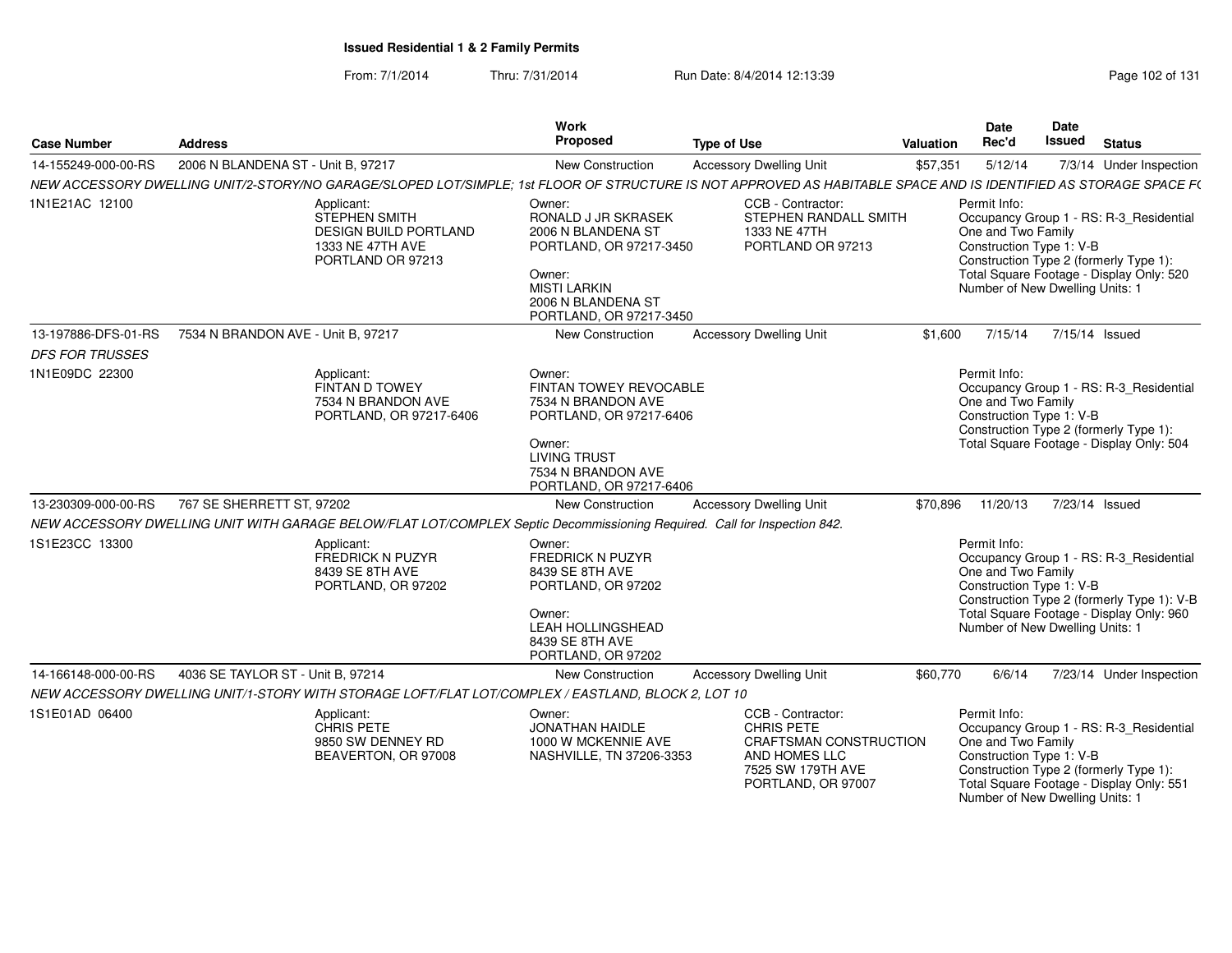| <b>Case Number</b>     | <b>Address</b>                                                                                                                                                   | Work<br>Proposed                                                                                                                                                    | <b>Type of Use</b>                                                                                                                  | <b>Valuation</b> | Date<br>Rec'd                                                                                                                                                                           | Date<br>Issued | <b>Status</b>  |                                                                                       |
|------------------------|------------------------------------------------------------------------------------------------------------------------------------------------------------------|---------------------------------------------------------------------------------------------------------------------------------------------------------------------|-------------------------------------------------------------------------------------------------------------------------------------|------------------|-----------------------------------------------------------------------------------------------------------------------------------------------------------------------------------------|----------------|----------------|---------------------------------------------------------------------------------------|
| 14-155249-000-00-RS    | 2006 N BLANDENA ST - Unit B, 97217                                                                                                                               | New Construction                                                                                                                                                    | <b>Accessory Dwelling Unit</b>                                                                                                      | \$57,351         | 5/12/14                                                                                                                                                                                 |                |                | 7/3/14 Under Inspection                                                               |
|                        | NEW ACCESSORY DWELLING UNIT/2-STORY/NO GARAGE/SLOPED LOT/SIMPLE; 1st FLOOR OF STRUCTURE IS NOT APPROVED AS HABITABLE SPACE AND IS IDENTIFIED AS STORAGE SPACE F( |                                                                                                                                                                     |                                                                                                                                     |                  |                                                                                                                                                                                         |                |                |                                                                                       |
| 1N1E21AC 12100         | Applicant:<br><b>STEPHEN SMITH</b><br><b>DESIGN BUILD PORTLAND</b><br>1333 NE 47TH AVE<br>PORTLAND OR 97213                                                      | Owner:<br>RONALD J JR SKRASEK<br>2006 N BLANDENA ST<br>PORTLAND, OR 97217-3450<br>Owner:<br><b>MISTI LARKIN</b><br>2006 N BLANDENA ST<br>PORTLAND, OR 97217-3450    | CCB - Contractor:<br>STEPHEN RANDALL SMITH<br>1333 NE 47TH<br>PORTLAND OR 97213                                                     |                  | Permit Info:<br>One and Two Family<br>Construction Type 1: V-B<br>Construction Type 2 (formerly Type 1):<br>Total Square Footage - Display Only: 520<br>Number of New Dwelling Units: 1 |                |                | Occupancy Group 1 - RS: R-3_Residential                                               |
| 13-197886-DFS-01-RS    | 7534 N BRANDON AVE - Unit B. 97217                                                                                                                               | <b>New Construction</b>                                                                                                                                             | <b>Accessory Dwelling Unit</b>                                                                                                      | \$1,600          | 7/15/14                                                                                                                                                                                 |                | 7/15/14 Issued |                                                                                       |
| <b>DFS FOR TRUSSES</b> |                                                                                                                                                                  |                                                                                                                                                                     |                                                                                                                                     |                  |                                                                                                                                                                                         |                |                |                                                                                       |
| 1N1E09DC 22300         | Applicant:<br>FINTAN D TOWEY<br>7534 N BRANDON AVE<br>PORTLAND, OR 97217-6406                                                                                    | Owner:<br>FINTAN TOWEY REVOCABLE<br>7534 N BRANDON AVE<br>PORTLAND, OR 97217-6406<br>Owner:<br><b>LIVING TRUST</b><br>7534 N BRANDON AVE<br>PORTLAND, OR 97217-6406 |                                                                                                                                     |                  | Permit Info:<br>One and Two Family<br>Construction Type 1: V-B<br>Construction Type 2 (formerly Type 1):<br>Total Square Footage - Display Only: 504                                    |                |                | Occupancy Group 1 - RS: R-3_Residential                                               |
| 13-230309-000-00-RS    | 767 SE SHERRETT ST, 97202                                                                                                                                        | New Construction                                                                                                                                                    | <b>Accessory Dwelling Unit</b>                                                                                                      | \$70,896         | 11/20/13                                                                                                                                                                                |                | 7/23/14 Issued |                                                                                       |
|                        | NEW ACCESSORY DWELLING UNIT WITH GARAGE BELOW/FLAT LOT/COMPLEX Septic Decommissioning Required. Call for Inspection 842.                                         |                                                                                                                                                                     |                                                                                                                                     |                  |                                                                                                                                                                                         |                |                |                                                                                       |
| 1S1E23CC 13300         | Applicant:<br><b>FREDRICK N PUZYR</b><br>8439 SE 8TH AVE<br>PORTLAND, OR 97202                                                                                   | Owner:<br><b>FREDRICK N PUZYR</b><br>8439 SE 8TH AVE<br>PORTLAND, OR 97202<br>Owner:<br><b>LEAH HOLLINGSHEAD</b><br>8439 SE 8TH AVE<br>PORTLAND, OR 97202           |                                                                                                                                     |                  | Permit Info:<br>One and Two Family<br>Construction Type 1: V-B<br>Total Square Footage - Display Only: 960<br>Number of New Dwelling Units: 1                                           |                |                | Occupancy Group 1 - RS: R-3_Residential<br>Construction Type 2 (formerly Type 1): V-B |
| 14-166148-000-00-RS    | 4036 SE TAYLOR ST - Unit B, 97214                                                                                                                                | New Construction                                                                                                                                                    | <b>Accessory Dwelling Unit</b>                                                                                                      | \$60,770         | 6/6/14                                                                                                                                                                                  |                |                | 7/23/14 Under Inspection                                                              |
|                        | NEW ACCESSORY DWELLING UNIT/1-STORY WITH STORAGE LOFT/FLAT LOT/COMPLEX / EASTLAND, BLOCK 2, LOT 10                                                               |                                                                                                                                                                     |                                                                                                                                     |                  |                                                                                                                                                                                         |                |                |                                                                                       |
| 1S1E01AD 06400         | Applicant:<br>CHRIS PETE<br>9850 SW DENNEY RD<br>BEAVERTON, OR 97008                                                                                             | Owner:<br><b>JONATHAN HAIDLE</b><br>1000 W MCKENNIE AVE<br>NASHVILLE, TN 37206-3353                                                                                 | CCB - Contractor:<br><b>CHRIS PETE</b><br><b>CRAFTSMAN CONSTRUCTION</b><br>AND HOMES LLC<br>7525 SW 179TH AVE<br>PORTLAND, OR 97007 |                  | Permit Info:<br>One and Two Family<br>Construction Type 1: V-B<br>Construction Type 2 (formerly Type 1):<br>Total Square Footage - Display Only: 551<br>Number of New Dwelling Units: 1 |                |                | Occupancy Group 1 - RS: R-3 Residential                                               |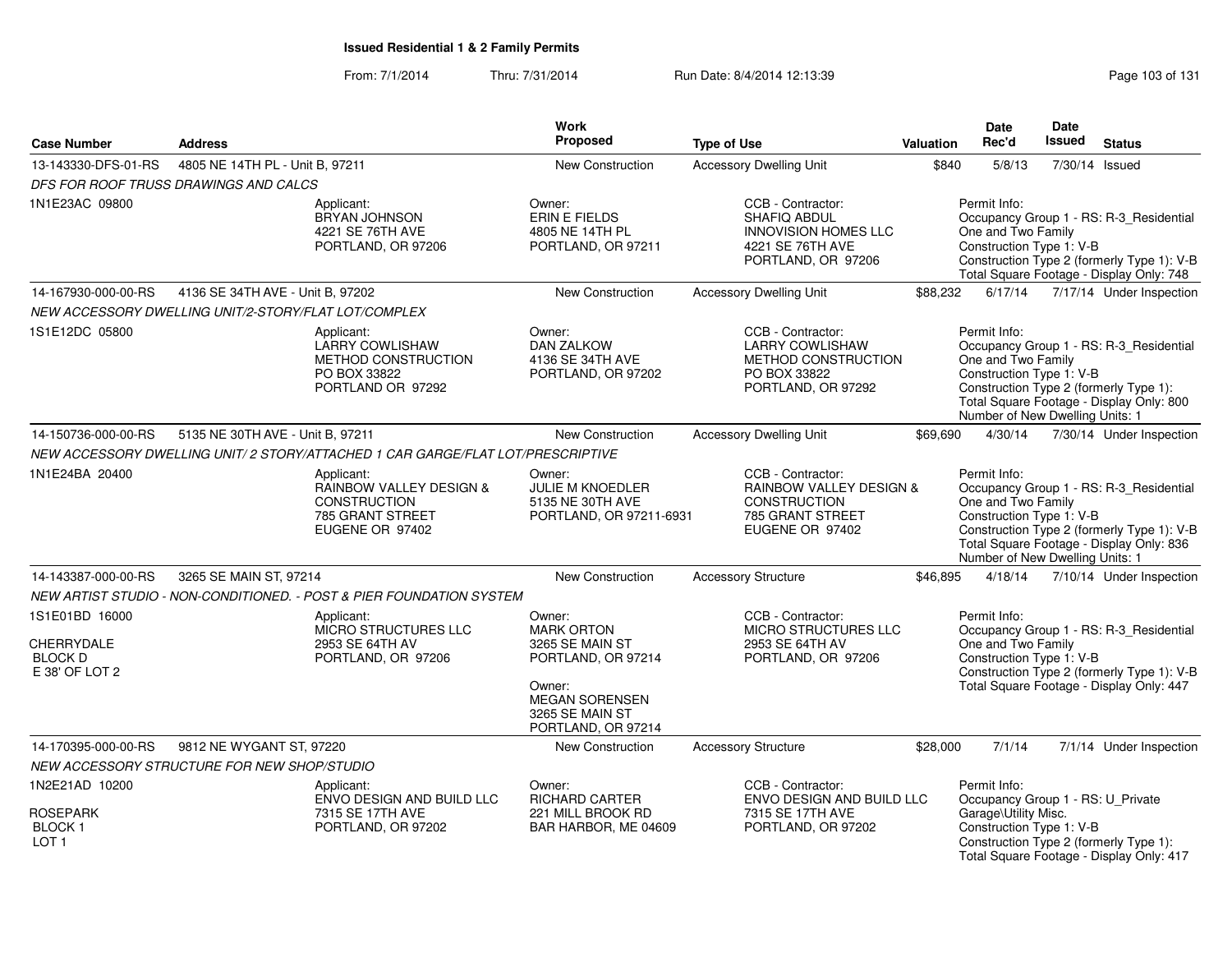| <b>Case Number</b>                                               | <b>Address</b>                                                                                                                                                                                                                                                                                                                                  |                                                                                                     | Work<br><b>Proposed</b>                                                      | <b>Type of Use</b>                                                                                                | <b>Valuation</b>                                                                                                                                                                                    | <b>Date</b><br>Rec'd                                                                                  | <b>Date</b><br><b>Issued</b>                                                                                                      | <b>Status</b>                                                                                                                     |
|------------------------------------------------------------------|-------------------------------------------------------------------------------------------------------------------------------------------------------------------------------------------------------------------------------------------------------------------------------------------------------------------------------------------------|-----------------------------------------------------------------------------------------------------|------------------------------------------------------------------------------|-------------------------------------------------------------------------------------------------------------------|-----------------------------------------------------------------------------------------------------------------------------------------------------------------------------------------------------|-------------------------------------------------------------------------------------------------------|-----------------------------------------------------------------------------------------------------------------------------------|-----------------------------------------------------------------------------------------------------------------------------------|
| 13-143330-DFS-01-RS                                              | 4805 NE 14TH PL - Unit B, 97211                                                                                                                                                                                                                                                                                                                 |                                                                                                     | New Construction                                                             | <b>Accessory Dwelling Unit</b>                                                                                    | \$840                                                                                                                                                                                               | 5/8/13                                                                                                | 7/30/14                                                                                                                           | Issued                                                                                                                            |
| DFS FOR ROOF TRUSS DRAWINGS AND CALCS                            |                                                                                                                                                                                                                                                                                                                                                 |                                                                                                     |                                                                              |                                                                                                                   |                                                                                                                                                                                                     |                                                                                                       |                                                                                                                                   |                                                                                                                                   |
| 1N1E23AC 09800                                                   |                                                                                                                                                                                                                                                                                                                                                 | Applicant:<br>BRYAN JOHNSON<br>4221 SE 76TH AVE<br>PORTLAND, OR 97206                               | Owner:<br><b>ERIN E FIELDS</b><br>4805 NE 14TH PL<br>PORTLAND, OR 97211      | CCB - Contractor:<br><b>SHAFIQ ABDUL</b><br><b>INNOVISION HOMES LLC</b><br>4221 SE 76TH AVE<br>PORTLAND, OR 97206 | Permit Info:<br>Occupancy Group 1 - RS: R-3_Residential<br>One and Two Family<br>Construction Type 1: V-B<br>Construction Type 2 (formerly Type 1): V-B<br>Total Square Footage - Display Only: 748 |                                                                                                       |                                                                                                                                   |                                                                                                                                   |
| 14-167930-000-00-RS                                              | 4136 SE 34TH AVE - Unit B, 97202                                                                                                                                                                                                                                                                                                                |                                                                                                     | New Construction                                                             | <b>Accessory Dwelling Unit</b>                                                                                    | \$88,232                                                                                                                                                                                            | 6/17/14                                                                                               |                                                                                                                                   | 7/17/14 Under Inspection                                                                                                          |
| NEW ACCESSORY DWELLING UNIT/2-STORY/FLAT LOT/COMPLEX             |                                                                                                                                                                                                                                                                                                                                                 |                                                                                                     |                                                                              |                                                                                                                   |                                                                                                                                                                                                     |                                                                                                       |                                                                                                                                   |                                                                                                                                   |
| 1S1E12DC 05800                                                   |                                                                                                                                                                                                                                                                                                                                                 | Applicant:<br><b>LARRY COWLISHAW</b><br>METHOD CONSTRUCTION<br>PO BOX 33822<br>PORTLAND OR 97292    | Owner:<br><b>DAN ZALKOW</b><br>4136 SE 34TH AVE<br>PORTLAND, OR 97202        | CCB - Contractor:<br><b>LARRY COWLISHAW</b><br>METHOD CONSTRUCTION<br>PO BOX 33822<br>PORTLAND, OR 97292          |                                                                                                                                                                                                     | Permit Info:<br>One and Two Family<br>Construction Type 1: V-B<br>Number of New Dwelling Units: 1     |                                                                                                                                   | Occupancy Group 1 - RS: R-3_Residential<br>Construction Type 2 (formerly Type 1):<br>Total Square Footage - Display Only: 800     |
| 14-150736-000-00-RS                                              | 5135 NE 30TH AVE - Unit B, 97211                                                                                                                                                                                                                                                                                                                |                                                                                                     | New Construction                                                             | <b>Accessory Dwelling Unit</b>                                                                                    | \$69,690                                                                                                                                                                                            | 4/30/14                                                                                               |                                                                                                                                   | 7/30/14 Under Inspection                                                                                                          |
|                                                                  |                                                                                                                                                                                                                                                                                                                                                 | NEW ACCESSORY DWELLING UNIT/2 STORY/ATTACHED 1 CAR GARGE/FLAT LOT/PRESCRIPTIVE                      |                                                                              |                                                                                                                   |                                                                                                                                                                                                     |                                                                                                       |                                                                                                                                   |                                                                                                                                   |
| 1N1E24BA 20400                                                   |                                                                                                                                                                                                                                                                                                                                                 | Applicant:<br>RAINBOW VALLEY DESIGN &<br><b>CONSTRUCTION</b><br>785 GRANT STREET<br>EUGENE OR 97402 | Owner:<br>JULIE M KNOEDLER<br>5135 NE 30TH AVE<br>PORTLAND, OR 97211-6931    | CCB - Contractor:<br>RAINBOW VALLEY DESIGN &<br><b>CONSTRUCTION</b><br>785 GRANT STREET<br>EUGENE OR 97402        |                                                                                                                                                                                                     | Permit Info:<br>One and Two Family<br>Construction Type 1: V-B<br>Number of New Dwelling Units: 1     |                                                                                                                                   | Occupancy Group 1 - RS: R-3_Residential<br>Construction Type 2 (formerly Type 1): V-B<br>Total Square Footage - Display Only: 836 |
| 14-143387-000-00-RS                                              | 3265 SE MAIN ST, 97214                                                                                                                                                                                                                                                                                                                          |                                                                                                     | <b>New Construction</b>                                                      | <b>Accessory Structure</b>                                                                                        | \$46,895                                                                                                                                                                                            | 4/18/14                                                                                               |                                                                                                                                   | 7/10/14 Under Inspection                                                                                                          |
|                                                                  |                                                                                                                                                                                                                                                                                                                                                 |                                                                                                     |                                                                              |                                                                                                                   |                                                                                                                                                                                                     |                                                                                                       |                                                                                                                                   |                                                                                                                                   |
| 1S1E01BD 16000<br>CHERRYDALE<br><b>BLOCK D</b><br>E 38' OF LOT 2 | NEW ARTIST STUDIO - NON-CONDITIONED. - POST & PIER FOUNDATION SYSTEM<br>CCB - Contractor:<br>Applicant:<br>Owner:<br>MICRO STRUCTURES LLC<br><b>MARK ORTON</b><br>2953 SE 64TH AV<br>3265 SE MAIN ST<br>2953 SE 64TH AV<br>PORTLAND, OR 97206<br>PORTLAND, OR 97214<br>Owner:<br><b>MEGAN SORENSEN</b><br>3265 SE MAIN ST<br>PORTLAND, OR 97214 |                                                                                                     | MICRO STRUCTURES LLC<br>PORTLAND, OR 97206                                   |                                                                                                                   | Permit Info:<br>One and Two Family<br>Construction Type 1: V-B                                                                                                                                      |                                                                                                       | Occupancy Group 1 - RS: R-3_Residential<br>Construction Type 2 (formerly Type 1): V-B<br>Total Square Footage - Display Only: 447 |                                                                                                                                   |
| 14-170395-000-00-RS                                              | 9812 NE WYGANT ST, 97220                                                                                                                                                                                                                                                                                                                        |                                                                                                     | New Construction                                                             | <b>Accessory Structure</b>                                                                                        | \$28,000                                                                                                                                                                                            | 7/1/14                                                                                                |                                                                                                                                   | 7/1/14 Under Inspection                                                                                                           |
| NEW ACCESSORY STRUCTURE FOR NEW SHOP/STUDIO                      |                                                                                                                                                                                                                                                                                                                                                 |                                                                                                     |                                                                              |                                                                                                                   |                                                                                                                                                                                                     |                                                                                                       |                                                                                                                                   |                                                                                                                                   |
| 1N2E21AD 10200<br>ROSEPARK<br><b>BLOCK1</b><br>LOT <sub>1</sub>  |                                                                                                                                                                                                                                                                                                                                                 | Applicant:<br>ENVO DESIGN AND BUILD LLC<br>7315 SE 17TH AVE<br>PORTLAND, OR 97202                   | Owner:<br><b>RICHARD CARTER</b><br>221 MILL BROOK RD<br>BAR HARBOR, ME 04609 | CCB - Contractor:<br>ENVO DESIGN AND BUILD LLC<br>7315 SE 17TH AVE<br>PORTLAND, OR 97202                          |                                                                                                                                                                                                     | Permit Info:<br>Occupancy Group 1 - RS: U_Private<br>Garage\Utility Misc.<br>Construction Type 1: V-B |                                                                                                                                   | Construction Type 2 (formerly Type 1):<br>Total Square Footage - Display Only: 417                                                |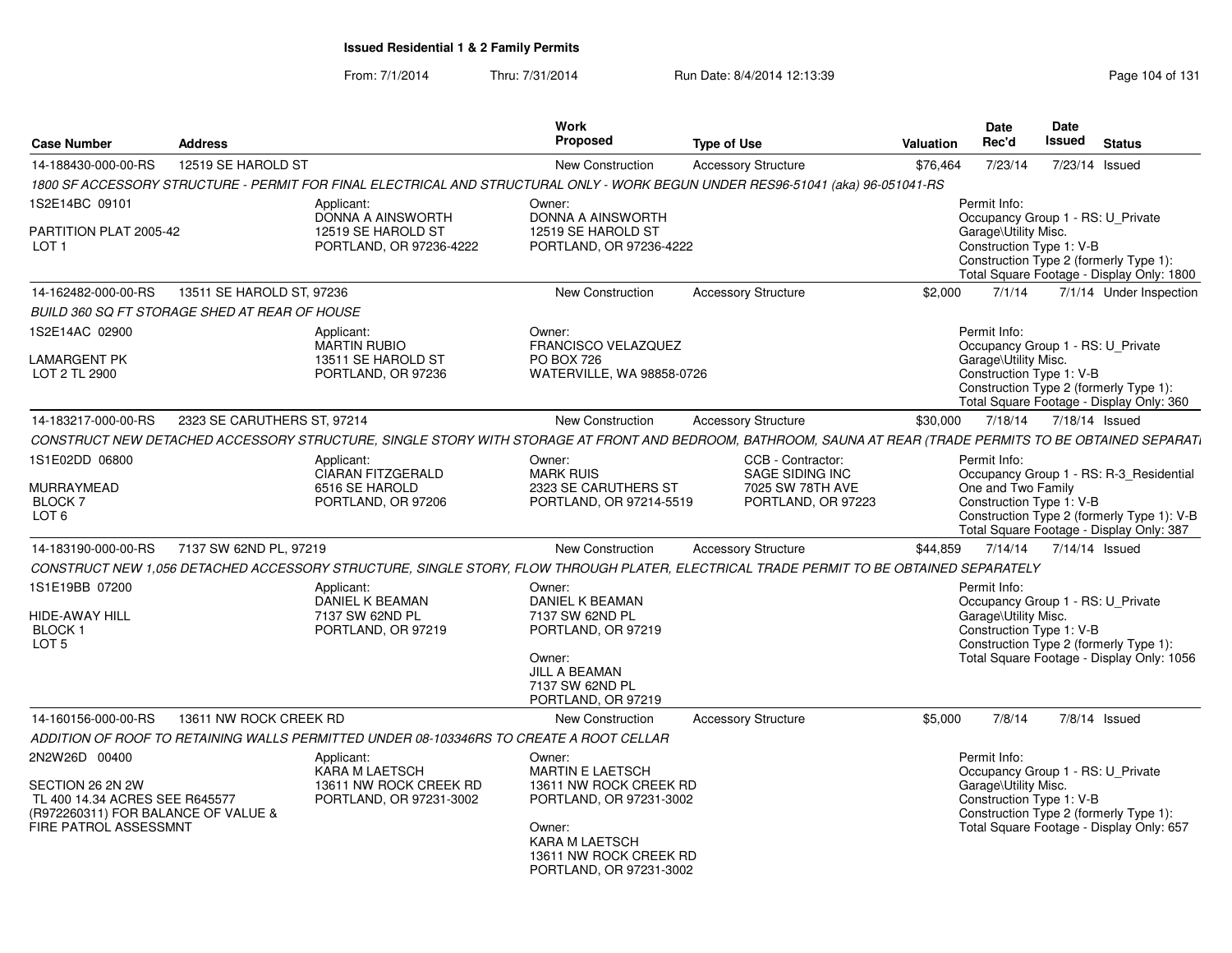| <b>Case Number</b>                                                                                                                  | <b>Address</b>              |                                                                                                                                                                                                                  | Work<br>Proposed                                                                                                                                                               |                                                                                | <b>Valuation</b> | <b>Date</b><br>Rec'd                                             | Date<br><b>Issued</b> | <b>Status</b>                                                                                                            |
|-------------------------------------------------------------------------------------------------------------------------------------|-----------------------------|------------------------------------------------------------------------------------------------------------------------------------------------------------------------------------------------------------------|--------------------------------------------------------------------------------------------------------------------------------------------------------------------------------|--------------------------------------------------------------------------------|------------------|------------------------------------------------------------------|-----------------------|--------------------------------------------------------------------------------------------------------------------------|
|                                                                                                                                     | 12519 SE HAROLD ST          |                                                                                                                                                                                                                  |                                                                                                                                                                                | <b>Type of Use</b><br><b>Accessory Structure</b>                               |                  |                                                                  |                       | 7/23/14 Issued                                                                                                           |
| 14-188430-000-00-RS                                                                                                                 |                             | 1800 SF ACCESSORY STRUCTURE - PERMIT FOR FINAL ELECTRICAL AND STRUCTURAL ONLY - WORK BEGUN UNDER RES96-51041 (aka) 96-051041-RS                                                                                  | <b>New Construction</b>                                                                                                                                                        |                                                                                | \$76,464         | 7/23/14                                                          |                       |                                                                                                                          |
| 1S2E14BC 09101<br>PARTITION PLAT 2005-42<br>LOT <sub>1</sub>                                                                        |                             | Applicant:<br>DONNA A AINSWORTH<br>12519 SE HAROLD ST<br>PORTLAND, OR 97236-4222                                                                                                                                 | Owner:<br>DONNA A AINSWORTH<br>12519 SE HAROLD ST<br>PORTLAND, OR 97236-4222                                                                                                   |                                                                                |                  | Permit Info:<br>Garage\Utility Misc.<br>Construction Type 1: V-B |                       | Occupancy Group 1 - RS: U_Private<br>Construction Type 2 (formerly Type 1):<br>Total Square Footage - Display Only: 1800 |
| 14-162482-000-00-RS                                                                                                                 | 13511 SE HAROLD ST, 97236   |                                                                                                                                                                                                                  | <b>New Construction</b>                                                                                                                                                        | <b>Accessory Structure</b>                                                     | \$2.000          | 7/1/14                                                           |                       | 7/1/14 Under Inspection                                                                                                  |
| BUILD 360 SQ FT STORAGE SHED AT REAR OF HOUSE                                                                                       |                             |                                                                                                                                                                                                                  |                                                                                                                                                                                |                                                                                |                  |                                                                  |                       |                                                                                                                          |
| 1S2E14AC 02900<br>LAMARGENT PK<br>LOT 2 TL 2900                                                                                     |                             | Applicant:<br><b>MARTIN RUBIO</b><br>13511 SE HAROLD ST<br>PORTLAND, OR 97236                                                                                                                                    | Owner:<br>FRANCISCO VELAZQUEZ<br><b>PO BOX 726</b><br>WATERVILLE, WA 98858-0726                                                                                                |                                                                                |                  | Permit Info:<br>Garage\Utility Misc.<br>Construction Type 1: V-B |                       | Occupancy Group 1 - RS: U_Private<br>Construction Type 2 (formerly Type 1):<br>Total Square Footage - Display Only: 360  |
| 14-183217-000-00-RS                                                                                                                 | 2323 SE CARUTHERS ST, 97214 |                                                                                                                                                                                                                  | <b>New Construction</b>                                                                                                                                                        | <b>Accessory Structure</b>                                                     | \$30,000         | 7/18/14                                                          | 7/18/14 Issued        |                                                                                                                          |
|                                                                                                                                     |                             | CONSTRUCT NEW DETACHED ACCESSORY STRUCTURE, SINGLE STORY WITH STORAGE AT FRONT AND BEDROOM, BATHROOM, SAUNA AT REAR (TRADE PERMITS TO BE OBTAINED SEPARATI                                                       |                                                                                                                                                                                |                                                                                |                  |                                                                  |                       |                                                                                                                          |
| 1S1E02DD 06800<br>MURRAYMEAD<br><b>BLOCK7</b><br>LOT <sub>6</sub>                                                                   |                             | Applicant:<br><b>CIARAN FITZGERALD</b><br>6516 SE HAROLD<br>PORTLAND, OR 97206                                                                                                                                   | Owner:<br><b>MARK RUIS</b><br>2323 SE CARUTHERS ST<br>PORTLAND, OR 97214-5519                                                                                                  | CCB - Contractor:<br>SAGE SIDING INC<br>7025 SW 78TH AVE<br>PORTLAND, OR 97223 |                  | Permit Info:<br>One and Two Family<br>Construction Type 1: V-B   |                       | Occupancy Group 1 - RS: R-3_Residential<br>Construction Type 2 (formerly Type 1): V-B                                    |
|                                                                                                                                     |                             |                                                                                                                                                                                                                  |                                                                                                                                                                                |                                                                                |                  |                                                                  |                       | Total Square Footage - Display Only: 387                                                                                 |
| 14-183190-000-00-RS                                                                                                                 | 7137 SW 62ND PL, 97219      |                                                                                                                                                                                                                  | New Construction                                                                                                                                                               | <b>Accessory Structure</b>                                                     | \$44,859         | 7/14/14                                                          |                       | 7/14/14 Issued                                                                                                           |
| 1S1E19BB 07200<br>HIDE-AWAY HILL<br><b>BLOCK1</b><br>LOT <sub>5</sub>                                                               |                             | CONSTRUCT NEW 1,056 DETACHED ACCESSORY STRUCTURE, SINGLE STORY, FLOW THROUGH PLATER, ELECTRICAL TRADE PERMIT TO BE OBTAINED SEPARATELY<br>Applicant:<br>DANIEL K BEAMAN<br>7137 SW 62ND PL<br>PORTLAND, OR 97219 | Owner:<br>DANIEL K BEAMAN<br>7137 SW 62ND PL<br>PORTLAND, OR 97219<br>Owner:<br>JILL A BEAMAN<br>7137 SW 62ND PL<br>PORTLAND, OR 97219                                         |                                                                                |                  | Permit Info:<br>Garage\Utility Misc.<br>Construction Type 1: V-B |                       | Occupancy Group 1 - RS: U_Private<br>Construction Type 2 (formerly Type 1):<br>Total Square Footage - Display Only: 1056 |
| 14-160156-000-00-RS                                                                                                                 | 13611 NW ROCK CREEK RD      |                                                                                                                                                                                                                  | <b>New Construction</b>                                                                                                                                                        | <b>Accessory Structure</b>                                                     | \$5,000          | 7/8/14                                                           |                       | $7/8/14$ Issued                                                                                                          |
|                                                                                                                                     |                             | ADDITION OF ROOF TO RETAINING WALLS PERMITTED UNDER 08-103346RS TO CREATE A ROOT CELLAR                                                                                                                          |                                                                                                                                                                                |                                                                                |                  |                                                                  |                       |                                                                                                                          |
| 2N2W26D 00400<br>SECTION 26 2N 2W<br>TL 400 14.34 ACRES SEE R645577<br>(R972260311) FOR BALANCE OF VALUE &<br>FIRE PATROL ASSESSMNT |                             | Applicant:<br>KARA M LAETSCH<br>13611 NW ROCK CREEK RD<br>PORTLAND, OR 97231-3002                                                                                                                                | Owner:<br><b>MARTIN E LAETSCH</b><br>13611 NW ROCK CREEK RD<br>PORTLAND, OR 97231-3002<br>Owner:<br><b>KARA M LAETSCH</b><br>13611 NW ROCK CREEK RD<br>PORTLAND, OR 97231-3002 |                                                                                |                  | Permit Info:<br>Garage\Utility Misc.<br>Construction Type 1: V-B |                       | Occupancy Group 1 - RS: U_Private<br>Construction Type 2 (formerly Type 1):<br>Total Square Footage - Display Only: 657  |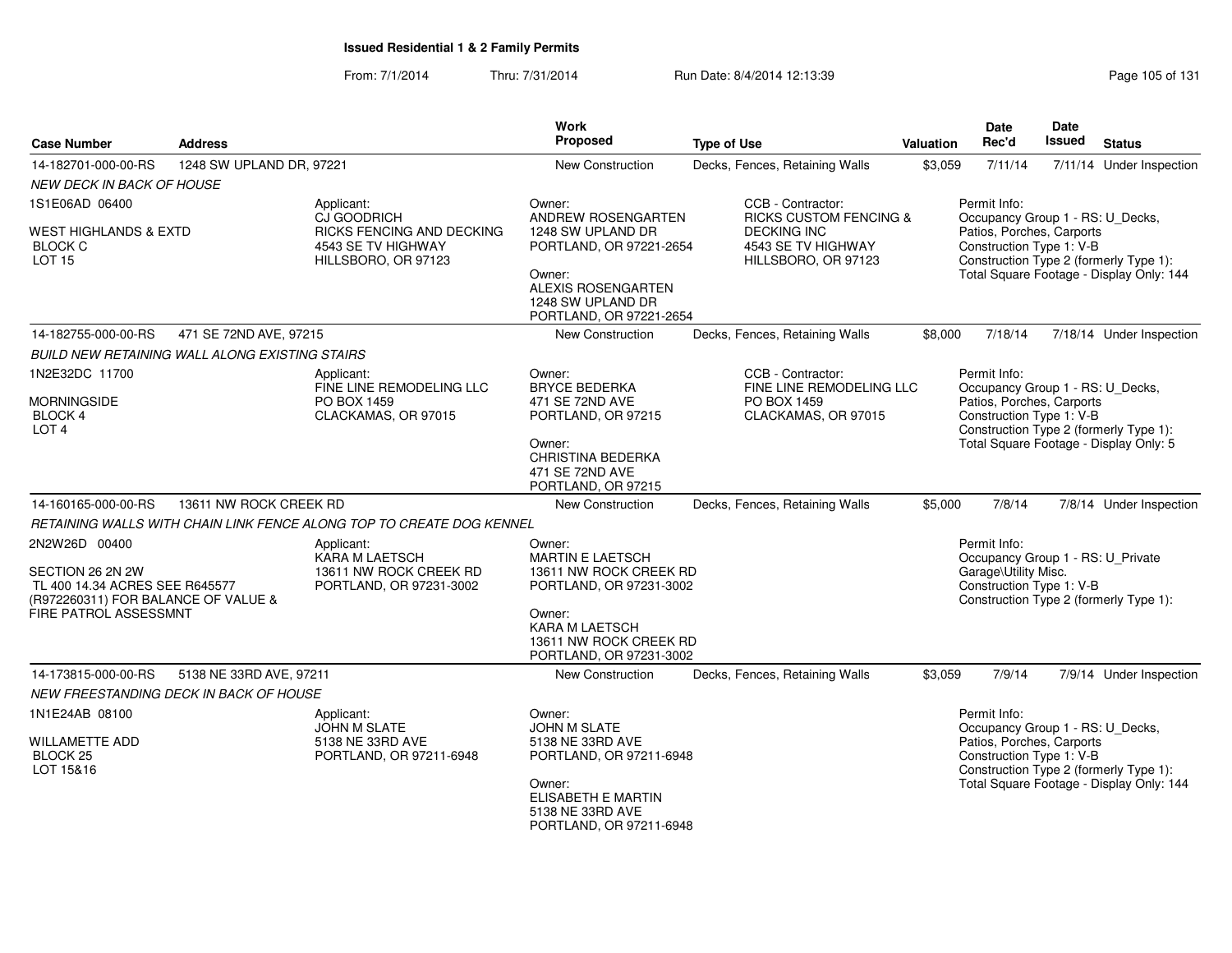| <b>Case Number</b>                                                                                                                         | <b>Address</b>                                 |                                                                                   |                                                                                                                                                                  | <b>Type of Use</b>                                                                  | Valuation | <b>Date</b><br>Rec'd                                                                                                                                | <b>Date</b><br><b>Issued</b> | <b>Status</b>                            |
|--------------------------------------------------------------------------------------------------------------------------------------------|------------------------------------------------|-----------------------------------------------------------------------------------|------------------------------------------------------------------------------------------------------------------------------------------------------------------|-------------------------------------------------------------------------------------|-----------|-----------------------------------------------------------------------------------------------------------------------------------------------------|------------------------------|------------------------------------------|
| 14-182701-000-00-RS                                                                                                                        | 1248 SW UPLAND DR, 97221                       |                                                                                   | New Construction                                                                                                                                                 | Decks, Fences, Retaining Walls                                                      | \$3,059   | 7/11/14                                                                                                                                             |                              | 7/11/14 Under Inspection                 |
| <b>NEW DECK IN BACK OF HOUSE</b>                                                                                                           |                                                |                                                                                   |                                                                                                                                                                  |                                                                                     |           |                                                                                                                                                     |                              |                                          |
| 1S1E06AD 06400                                                                                                                             |                                                | Applicant:<br>CJ GOODRICH                                                         | Owner:<br>ANDREW ROSENGARTEN                                                                                                                                     | CCB - Contractor:<br><b>RICKS CUSTOM FENCING &amp;</b>                              |           | Permit Info:<br>Occupancy Group 1 - RS: U_Decks,                                                                                                    |                              |                                          |
| WEST HIGHLANDS & EXTD<br><b>BLOCK C</b><br><b>LOT 15</b>                                                                                   |                                                | RICKS FENCING AND DECKING<br>4543 SE TV HIGHWAY<br>HILLSBORO, OR 97123            | 1248 SW UPLAND DR<br>PORTLAND, OR 97221-2654<br>Owner:<br>ALEXIS ROSENGARTEN<br>1248 SW UPLAND DR<br>PORTLAND, OR 97221-2654                                     | <b>DECKING INC</b><br>4543 SE TV HIGHWAY<br>HILLSBORO, OR 97123                     |           | Patios, Porches, Carports<br>Construction Type 1: V-B<br>Construction Type 2 (formerly Type 1):                                                     |                              | Total Square Footage - Display Only: 144 |
| 14-182755-000-00-RS                                                                                                                        | 471 SE 72ND AVE, 97215                         |                                                                                   | New Construction                                                                                                                                                 | Decks, Fences, Retaining Walls                                                      | \$8,000   | 7/18/14                                                                                                                                             |                              | 7/18/14 Under Inspection                 |
|                                                                                                                                            | BUILD NEW RETAINING WALL ALONG EXISTING STAIRS |                                                                                   |                                                                                                                                                                  |                                                                                     |           |                                                                                                                                                     |                              |                                          |
| 1N2E32DC 11700<br><b>MORNINGSIDE</b><br>BLOCK 4<br>LOT <sub>4</sub>                                                                        |                                                | Applicant:<br>FINE LINE REMODELING LLC<br>PO BOX 1459<br>CLACKAMAS, OR 97015      | Owner:<br><b>BRYCE BEDERKA</b><br>471 SE 72ND AVE<br>PORTLAND, OR 97215                                                                                          | CCB - Contractor:<br>FINE LINE REMODELING LLC<br>PO BOX 1459<br>CLACKAMAS, OR 97015 |           | Permit Info:<br>Occupancy Group 1 - RS: U_Decks,<br>Patios, Porches, Carports<br>Construction Type 1: V-B<br>Construction Type 2 (formerly Type 1): |                              |                                          |
|                                                                                                                                            |                                                |                                                                                   | Owner:<br>CHRISTINA BEDERKA<br>471 SE 72ND AVE<br>PORTLAND, OR 97215                                                                                             |                                                                                     |           | Total Square Footage - Display Only: 5                                                                                                              |                              |                                          |
| 14-160165-000-00-RS                                                                                                                        | 13611 NW ROCK CREEK RD                         |                                                                                   | New Construction                                                                                                                                                 | Decks, Fences, Retaining Walls                                                      | \$5,000   | 7/8/14                                                                                                                                              |                              | 7/8/14 Under Inspection                  |
|                                                                                                                                            |                                                | RETAINING WALLS WITH CHAIN LINK FENCE ALONG TOP TO CREATE DOG KENNEL              |                                                                                                                                                                  |                                                                                     |           |                                                                                                                                                     |                              |                                          |
| 2N2W26D 00400<br>SECTION 26 2N 2W<br>TL 400 14.34 ACRES SEE R645577<br>(R972260311) FOR BALANCE OF VALUE &<br><b>FIRE PATROL ASSESSMNT</b> |                                                | Applicant:<br>KARA M LAETSCH<br>13611 NW ROCK CREEK RD<br>PORTLAND, OR 97231-3002 | Owner:<br>MARTIN E LAETSCH<br>13611 NW ROCK CREEK RD<br>PORTLAND, OR 97231-3002<br>Owner:<br>KARA M LAETSCH<br>13611 NW ROCK CREEK RD<br>PORTLAND, OR 97231-3002 |                                                                                     |           | Permit Info:<br>Occupancy Group 1 - RS: U_Private<br>Garage\Utility Misc.<br>Construction Type 1: V-B<br>Construction Type 2 (formerly Type 1):     |                              |                                          |
| 14-173815-000-00-RS                                                                                                                        | 5138 NE 33RD AVE, 97211                        |                                                                                   | New Construction                                                                                                                                                 | Decks, Fences, Retaining Walls                                                      | \$3,059   | 7/9/14                                                                                                                                              |                              | 7/9/14 Under Inspection                  |
|                                                                                                                                            | NEW FREESTANDING DECK IN BACK OF HOUSE         |                                                                                   |                                                                                                                                                                  |                                                                                     |           |                                                                                                                                                     |                              |                                          |
| 1N1E24AB 08100<br><b>WILLAMETTE ADD</b><br>BLOCK <sub>25</sub><br>LOT 15&16                                                                |                                                | Applicant:<br>JOHN M SLATE<br>5138 NE 33RD AVE<br>PORTLAND, OR 97211-6948         | Owner:<br>JOHN M SLATE<br>5138 NE 33RD AVE<br>PORTLAND, OR 97211-6948<br>Owner:<br>ELISABETH E MARTIN<br>5138 NE 33RD AVE<br>PORTLAND, OR 97211-6948             |                                                                                     |           | Permit Info:<br>Occupancy Group 1 - RS: U_Decks,<br>Patios, Porches, Carports<br>Construction Type 1: V-B<br>Construction Type 2 (formerly Type 1): |                              | Total Square Footage - Display Only: 144 |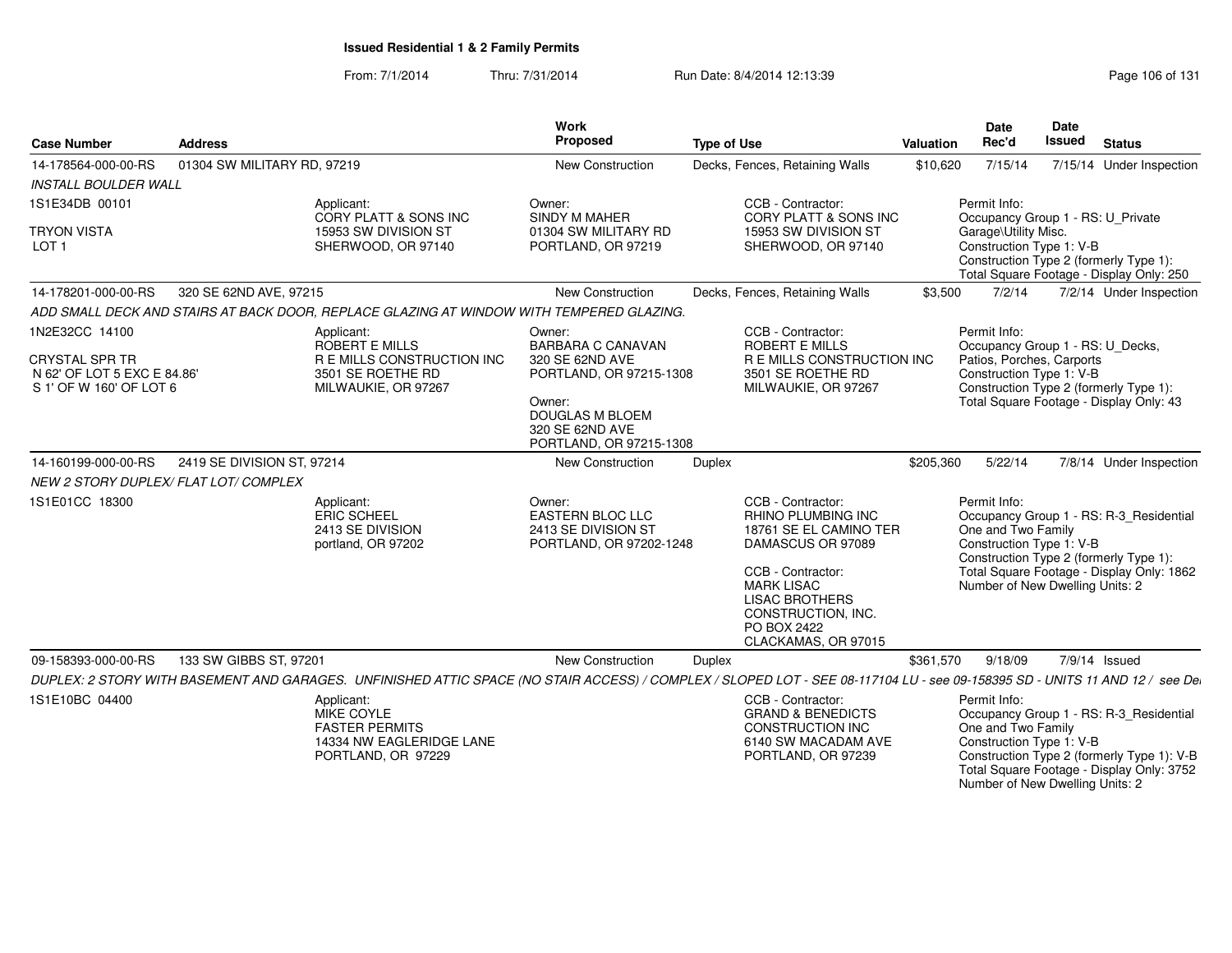From: 7/1/2014Thru: 7/31/2014 Run Date: 8/4/2014 12:13:39 Research 2010 Rage 106 of 131

Number of New Dwelling Units: 2

| <b>Case Number</b>                                                                                | <b>Address</b>              |                                                                                                                                                                              | <b>Work</b><br>Proposed                                                          | <b>Type of Use</b> |                                                                                                                                                                                                                       | Valuation | <b>Date</b><br>Rec'd                                                                                      | <b>Date</b><br><b>Issued</b> | <b>Status</b>                                                                                                                      |
|---------------------------------------------------------------------------------------------------|-----------------------------|------------------------------------------------------------------------------------------------------------------------------------------------------------------------------|----------------------------------------------------------------------------------|--------------------|-----------------------------------------------------------------------------------------------------------------------------------------------------------------------------------------------------------------------|-----------|-----------------------------------------------------------------------------------------------------------|------------------------------|------------------------------------------------------------------------------------------------------------------------------------|
| 14-178564-000-00-RS                                                                               | 01304 SW MILITARY RD, 97219 |                                                                                                                                                                              | New Construction                                                                 |                    | Decks, Fences, Retaining Walls                                                                                                                                                                                        | \$10,620  | 7/15/14                                                                                                   |                              | 7/15/14 Under Inspection                                                                                                           |
| <b>INSTALL BOULDER WALL</b>                                                                       |                             |                                                                                                                                                                              |                                                                                  |                    |                                                                                                                                                                                                                       |           |                                                                                                           |                              |                                                                                                                                    |
| 1S1E34DB 00101                                                                                    |                             | Applicant:<br>CORY PLATT & SONS INC                                                                                                                                          | Owner:<br>SINDY M MAHER                                                          |                    | CCB - Contractor:<br><b>CORY PLATT &amp; SONS INC</b>                                                                                                                                                                 |           | Permit Info:<br>Occupancy Group 1 - RS: U_Private                                                         |                              |                                                                                                                                    |
| <b>TRYON VISTA</b><br>LOT <sub>1</sub>                                                            |                             | 15953 SW DIVISION ST<br>SHERWOOD, OR 97140                                                                                                                                   | 01304 SW MILITARY RD<br>PORTLAND, OR 97219                                       |                    | 15953 SW DIVISION ST<br>SHERWOOD, OR 97140                                                                                                                                                                            |           | Garage\Utility Misc.<br>Construction Type 1: V-B                                                          |                              | Construction Type 2 (formerly Type 1):<br>Total Square Footage - Display Only: 250                                                 |
| 14-178201-000-00-RS                                                                               | 320 SE 62ND AVE, 97215      |                                                                                                                                                                              | <b>New Construction</b>                                                          |                    | Decks, Fences, Retaining Walls                                                                                                                                                                                        | \$3,500   | 7/2/14                                                                                                    |                              | 7/2/14 Under Inspection                                                                                                            |
|                                                                                                   |                             | ADD SMALL DECK AND STAIRS AT BACK DOOR. REPLACE GLAZING AT WINDOW WITH TEMPERED GLAZING.                                                                                     |                                                                                  |                    |                                                                                                                                                                                                                       |           |                                                                                                           |                              |                                                                                                                                    |
| 1N2E32CC 14100<br><b>CRYSTAL SPR TR</b><br>N 62' OF LOT 5 EXC E 84.86'<br>S 1' OF W 160' OF LOT 6 |                             | Applicant:<br>ROBERT E MILLS<br><b>REMILLS CONSTRUCTION INC.</b><br>3501 SE ROETHE RD<br>MILWAUKIE, OR 97267                                                                 | Owner:<br><b>BARBARA C CANAVAN</b><br>320 SE 62ND AVE<br>PORTLAND, OR 97215-1308 |                    | CCB - Contractor:<br><b>ROBERT E MILLS</b><br>R E MILLS CONSTRUCTION INC<br>3501 SE ROETHE RD<br>MILWAUKIE, OR 97267                                                                                                  |           | Permit Info:<br>Occupancy Group 1 - RS: U Decks,<br>Patios, Porches, Carports<br>Construction Type 1: V-B |                              | Construction Type 2 (formerly Type 1):                                                                                             |
|                                                                                                   |                             |                                                                                                                                                                              | Owner:<br><b>DOUGLAS M BLOEM</b><br>320 SE 62ND AVE<br>PORTLAND, OR 97215-1308   |                    |                                                                                                                                                                                                                       |           |                                                                                                           |                              | Total Square Footage - Display Only: 43                                                                                            |
| 14-160199-000-00-RS                                                                               | 2419 SE DIVISION ST, 97214  |                                                                                                                                                                              | <b>New Construction</b>                                                          | Duplex             |                                                                                                                                                                                                                       | \$205,360 | 5/22/14                                                                                                   |                              | 7/8/14 Under Inspection                                                                                                            |
| NEW 2 STORY DUPLEX/ FLAT LOT/ COMPLEX                                                             |                             |                                                                                                                                                                              |                                                                                  |                    |                                                                                                                                                                                                                       |           |                                                                                                           |                              |                                                                                                                                    |
| 1S1E01CC 18300                                                                                    |                             | Applicant:<br>ERIC SCHEEL<br>2413 SE DIVISION<br>portland, OR 97202                                                                                                          | Owner:<br>EASTERN BLOC LLC<br>2413 SE DIVISION ST<br>PORTLAND, OR 97202-1248     |                    | CCB - Contractor:<br>RHINO PLUMBING INC<br>18761 SE EL CAMINO TER<br>DAMASCUS OR 97089<br>CCB - Contractor:<br><b>MARK LISAC</b><br><b>LISAC BROTHERS</b><br>CONSTRUCTION, INC.<br>PO BOX 2422<br>CLACKAMAS, OR 97015 |           | Permit Info:<br>One and Two Family<br>Construction Type 1: V-B<br>Number of New Dwelling Units: 2         |                              | Occupancy Group 1 - RS: R-3_Residential<br>Construction Type 2 (formerly Type 1):<br>Total Square Footage - Display Only: 1862     |
| 09-158393-000-00-RS                                                                               | 133 SW GIBBS ST, 97201      |                                                                                                                                                                              | New Construction                                                                 | Duplex             |                                                                                                                                                                                                                       | \$361,570 | 9/18/09                                                                                                   |                              | 7/9/14 Issued                                                                                                                      |
|                                                                                                   |                             | DUPLEX: 2 STORY WITH BASEMENT AND GARAGES. UNFINISHED ATTIC SPACE (NO STAIR ACCESS) / COMPLEX / SLOPED LOT - SEE 08-117104 LU - see 09-158395 SD - UNITS 11 AND 12 / see Dei |                                                                                  |                    |                                                                                                                                                                                                                       |           |                                                                                                           |                              |                                                                                                                                    |
| 1S1E10BC 04400                                                                                    |                             | Applicant:<br>MIKE COYLE<br><b>FASTER PERMITS</b><br>14334 NW EAGLERIDGE LANE<br>PORTLAND, OR 97229                                                                          |                                                                                  |                    | CCB - Contractor:<br><b>GRAND &amp; BENEDICTS</b><br><b>CONSTRUCTION INC</b><br>6140 SW MACADAM AVE<br>PORTLAND, OR 97239                                                                                             |           | Permit Info:<br>One and Two Family<br>Construction Type 1: V-B                                            |                              | Occupancy Group 1 - RS: R-3_Residential<br>Construction Type 2 (formerly Type 1): V-B<br>Total Square Footage - Display Only: 3752 |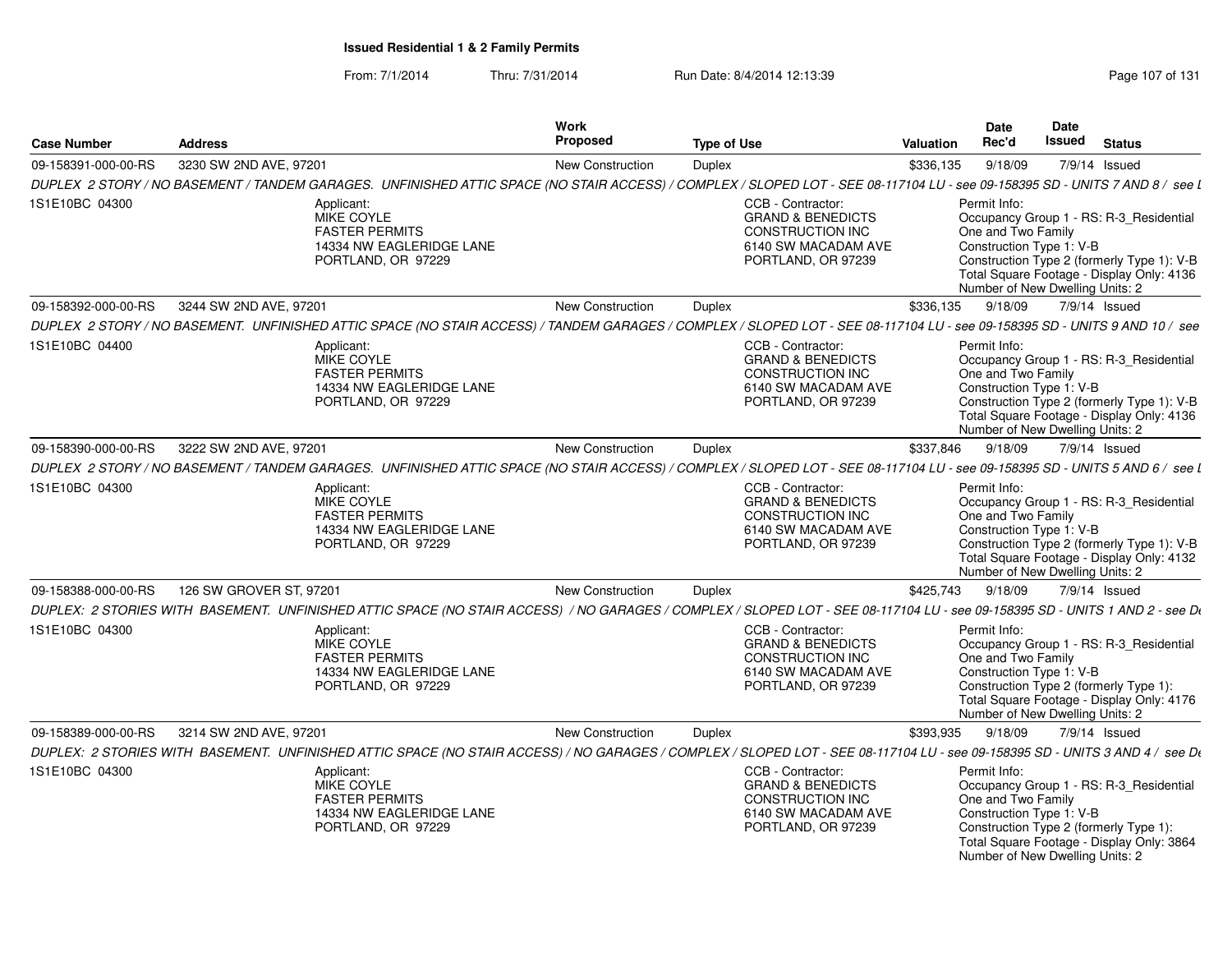| <b>Case Number</b>  | <b>Address</b>                                                                                                                                                               | Work<br>Proposed        | <b>Type of Use</b> |                                                                                                                                  | <b>Valuation</b> | <b>Date</b><br>Rec'd                                                                              | Date<br>Issued | <b>Status</b>                                                                                                                      |
|---------------------|------------------------------------------------------------------------------------------------------------------------------------------------------------------------------|-------------------------|--------------------|----------------------------------------------------------------------------------------------------------------------------------|------------------|---------------------------------------------------------------------------------------------------|----------------|------------------------------------------------------------------------------------------------------------------------------------|
| 09-158391-000-00-RS | 3230 SW 2ND AVE, 97201                                                                                                                                                       | New Construction        | <b>Duplex</b>      |                                                                                                                                  | \$336,135        | 9/18/09                                                                                           |                | 7/9/14 Issued                                                                                                                      |
|                     | DUPLEX 2 STORY / NO BASEMENT / TANDEM GARAGES. UNFINISHED ATTIC SPACE (NO STAIR ACCESS) / COMPLEX / SLOPED LOT - SEE 08-117104 LU - see 09-158395 SD - UNITS 7 AND 8 / see L |                         |                    |                                                                                                                                  |                  |                                                                                                   |                |                                                                                                                                    |
| 1S1E10BC 04300      | Applicant:<br>MIKE COYLE<br><b>FASTER PERMITS</b><br>14334 NW EAGLERIDGE LANE<br>PORTLAND, OR 97229                                                                          |                         |                    | CCB - Contractor:<br><b>GRAND &amp; BENEDICTS</b><br><b>CONSTRUCTION INC</b><br>6140 SW MACADAM AVE<br>PORTLAND, OR 97239        |                  | Permit Info:<br>One and Two Family<br>Construction Type 1: V-B<br>Number of New Dwelling Units: 2 |                | Occupancy Group 1 - RS: R-3_Residential<br>Construction Type 2 (formerly Type 1): V-B<br>Total Square Footage - Display Only: 4136 |
| 09-158392-000-00-RS | 3244 SW 2ND AVE, 97201                                                                                                                                                       | New Construction        | Duplex             |                                                                                                                                  | \$336,135        | 9/18/09                                                                                           |                | 7/9/14 Issued                                                                                                                      |
|                     | DUPLEX 2 STORY / NO BASEMENT. UNFINISHED ATTIC SPACE (NO STAIR ACCESS) / TANDEM GARAGES / COMPLEX / SLOPED LOT - SEE 08-117104 LU - see 09-158395 SD - UNITS 9 AND 10 / see  |                         |                    |                                                                                                                                  |                  |                                                                                                   |                |                                                                                                                                    |
| 1S1E10BC 04400      | Applicant:<br>MIKE COYLE<br><b>FASTER PERMITS</b><br>14334 NW EAGLERIDGE LANE<br>PORTLAND, OR 97229                                                                          |                         |                    | CCB - Contractor:<br><b>GRAND &amp; BENEDICTS</b><br><b>CONSTRUCTION INC</b><br>6140 SW MACADAM AVE<br>PORTLAND, OR 97239        |                  | Permit Info:<br>One and Two Family<br>Construction Type 1: V-B<br>Number of New Dwelling Units: 2 |                | Occupancy Group 1 - RS: R-3_Residential<br>Construction Type 2 (formerly Type 1): V-B<br>Total Square Footage - Display Only: 4136 |
| 09-158390-000-00-RS | 3222 SW 2ND AVE, 97201                                                                                                                                                       | <b>New Construction</b> | <b>Duplex</b>      |                                                                                                                                  | \$337.846        | 9/18/09                                                                                           |                | $7/9/14$ Issued                                                                                                                    |
|                     | DUPLEX 2 STORY / NO BASEMENT / TANDEM GARAGES. UNFINISHED ATTIC SPACE (NO STAIR ACCESS) / COMPLEX / SLOPED LOT - SEE 08-117104 LU - see 09-158395 SD - UNITS 5 AND 6 / see L |                         |                    |                                                                                                                                  |                  |                                                                                                   |                |                                                                                                                                    |
| 1S1E10BC 04300      | Applicant:<br>MIKE COYLE<br><b>FASTER PERMITS</b><br>14334 NW EAGLERIDGE LANE<br>PORTLAND, OR 97229                                                                          |                         |                    | <b>CCB - Contractor:</b><br><b>GRAND &amp; BENEDICTS</b><br><b>CONSTRUCTION INC</b><br>6140 SW MACADAM AVE<br>PORTLAND, OR 97239 |                  | Permit Info:<br>One and Two Family<br>Construction Type 1: V-B<br>Number of New Dwelling Units: 2 |                | Occupancy Group 1 - RS: R-3_Residential<br>Construction Type 2 (formerly Type 1): V-B<br>Total Square Footage - Display Only: 4132 |
| 09-158388-000-00-RS | 126 SW GROVER ST, 97201                                                                                                                                                      | <b>New Construction</b> | <b>Duplex</b>      |                                                                                                                                  | \$425.743        | 9/18/09                                                                                           |                | 7/9/14 Issued                                                                                                                      |
|                     | DUPLEX: 2 STORIES WITH BASEMENT. UNFINISHED ATTIC SPACE (NO STAIR ACCESS) / NO GARAGES / COMPLEX / SLOPED LOT - SEE 08-117104 LU - see 09-158395 SD - UNITS 1 AND 2 - see De |                         |                    |                                                                                                                                  |                  |                                                                                                   |                |                                                                                                                                    |
| 1S1E10BC 04300      | Applicant:<br>MIKE COYLE<br><b>FASTER PERMITS</b><br>14334 NW EAGLERIDGE LANE<br>PORTLAND, OR 97229                                                                          |                         |                    | CCB - Contractor:<br><b>GRAND &amp; BENEDICTS</b><br><b>CONSTRUCTION INC</b><br>6140 SW MACADAM AVE<br>PORTLAND, OR 97239        |                  | Permit Info:<br>One and Two Family<br>Construction Type 1: V-B<br>Number of New Dwelling Units: 2 |                | Occupancy Group 1 - RS: R-3_Residential<br>Construction Type 2 (formerly Type 1):<br>Total Square Footage - Display Only: 4176     |
| 09-158389-000-00-RS | 3214 SW 2ND AVE, 97201                                                                                                                                                       | New Construction        | <b>Duplex</b>      |                                                                                                                                  | \$393,935        | 9/18/09                                                                                           |                | 7/9/14 Issued                                                                                                                      |
|                     | DUPLEX: 2 STORIES WITH BASEMENT. UNFINISHED ATTIC SPACE (NO STAIR ACCESS) / NO GARAGES / COMPLEX / SLOPED LOT - SEE 08-117104 LU - see 09-158395 SD - UNITS 3 AND 4 / see De |                         |                    |                                                                                                                                  |                  |                                                                                                   |                |                                                                                                                                    |
| 1S1E10BC 04300      | Applicant:<br>MIKE COYLE<br><b>FASTER PERMITS</b><br>14334 NW EAGLERIDGE LANE<br>PORTLAND, OR 97229                                                                          |                         |                    | CCB - Contractor:<br><b>GRAND &amp; BENEDICTS</b><br><b>CONSTRUCTION INC</b><br>6140 SW MACADAM AVE<br>PORTLAND, OR 97239        |                  | Permit Info:<br>One and Two Family<br>Construction Type 1: V-B<br>Number of New Dwelling Units: 2 |                | Occupancy Group 1 - RS: R-3_Residential<br>Construction Type 2 (formerly Type 1):<br>Total Square Footage - Display Only: 3864     |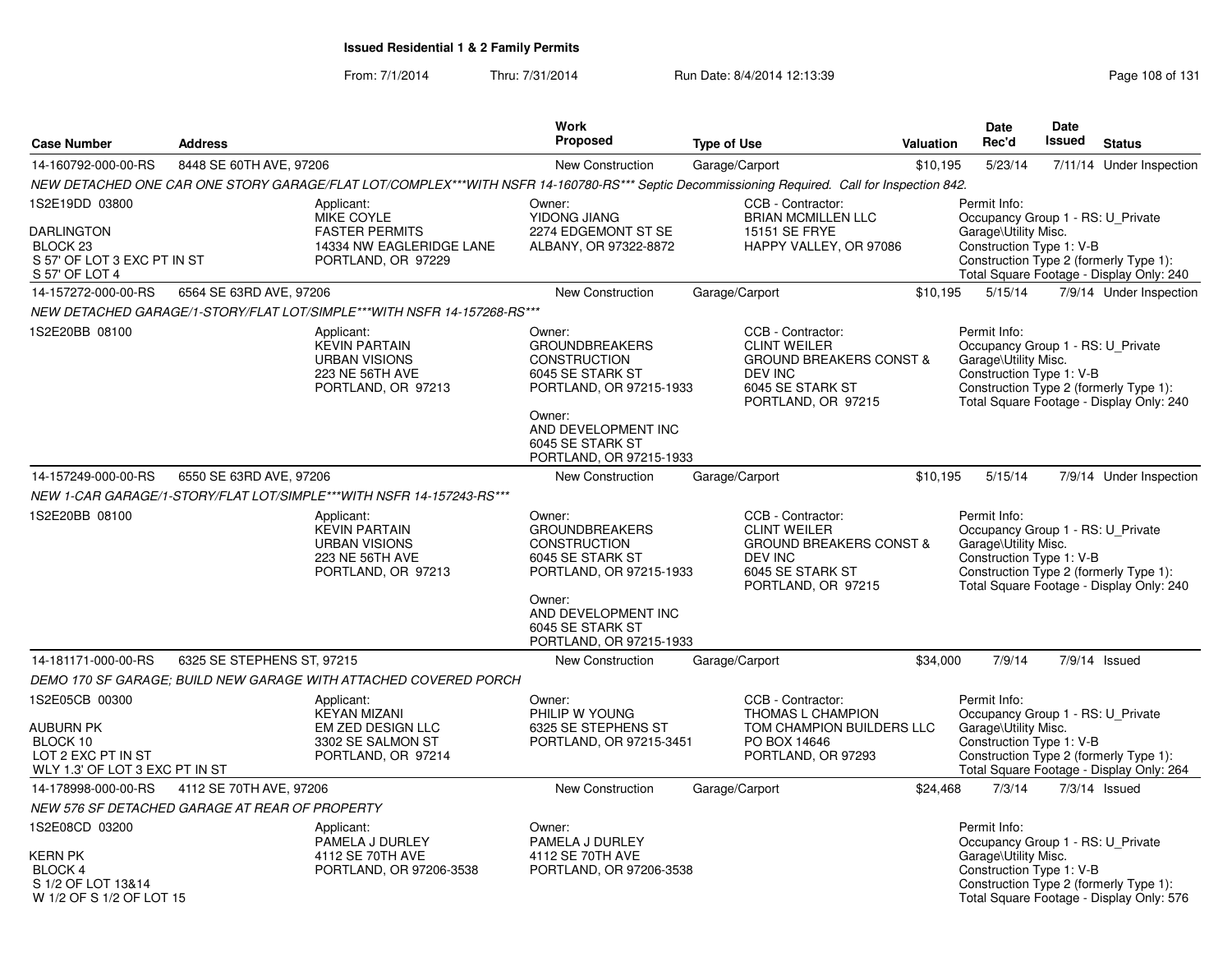|                                                                                           |                                                |                                                                                                                                              | <b>Work</b>                                                                                                                                                                           |                                                                                                                                            |           | <b>Date</b>                                                                                           | <b>Date</b>   |                                                                                    |
|-------------------------------------------------------------------------------------------|------------------------------------------------|----------------------------------------------------------------------------------------------------------------------------------------------|---------------------------------------------------------------------------------------------------------------------------------------------------------------------------------------|--------------------------------------------------------------------------------------------------------------------------------------------|-----------|-------------------------------------------------------------------------------------------------------|---------------|------------------------------------------------------------------------------------|
| <b>Case Number</b>                                                                        | <b>Address</b>                                 |                                                                                                                                              | Proposed                                                                                                                                                                              | <b>Type of Use</b>                                                                                                                         | Valuation | Rec'd                                                                                                 | <b>Issued</b> | <b>Status</b>                                                                      |
| 14-160792-000-00-RS                                                                       | 8448 SE 60TH AVE, 97206                        |                                                                                                                                              | <b>New Construction</b>                                                                                                                                                               | Garage/Carport                                                                                                                             | \$10,195  | 5/23/14                                                                                               |               | 7/11/14 Under Inspection                                                           |
|                                                                                           |                                                | NEW DETACHED ONE CAR ONE STORY GARAGE/FLAT LOT/COMPLEX***WITH NSFR 14-160780-RS*** Septic Decommissioning Required. Call for Inspection 842. |                                                                                                                                                                                       |                                                                                                                                            |           |                                                                                                       |               |                                                                                    |
| 1S2E19DD 03800                                                                            |                                                | Applicant:<br>MIKE COYLE                                                                                                                     | Owner:<br>YIDONG JIANG                                                                                                                                                                | CCB - Contractor:<br><b>BRIAN MCMILLEN LLC</b>                                                                                             |           | Permit Info:<br>Occupancy Group 1 - RS: U_Private                                                     |               |                                                                                    |
| <b>DARLINGTON</b><br>BLOCK <sub>23</sub><br>S 57' OF LOT 3 EXC PT IN ST<br>S 57' OF LOT 4 |                                                | <b>FASTER PERMITS</b><br>14334 NW EAGLERIDGE LANE<br>PORTLAND, OR 97229                                                                      | 2274 EDGEMONT ST SE<br>ALBANY, OR 97322-8872                                                                                                                                          | 15151 SE FRYE<br>HAPPY VALLEY, OR 97086                                                                                                    |           | Garage\Utility Misc.<br>Construction Type 1: V-B                                                      |               | Construction Type 2 (formerly Type 1):<br>Total Square Footage - Display Only: 240 |
| 14-157272-000-00-RS                                                                       | 6564 SE 63RD AVE, 97206                        |                                                                                                                                              | New Construction                                                                                                                                                                      | Garage/Carport                                                                                                                             | \$10,195  | 5/15/14                                                                                               |               | 7/9/14 Under Inspection                                                            |
|                                                                                           |                                                | NEW DETACHED GARAGE/1-STORY/FLAT LOT/SIMPLE***WITH NSFR 14-157268-RS***                                                                      |                                                                                                                                                                                       |                                                                                                                                            |           |                                                                                                       |               |                                                                                    |
| 1S2E20BB 08100                                                                            |                                                | Applicant:<br><b>KEVIN PARTAIN</b><br><b>URBAN VISIONS</b><br>223 NE 56TH AVE<br>PORTLAND, OR 97213                                          | Owner:<br><b>GROUNDBREAKERS</b><br><b>CONSTRUCTION</b><br>6045 SE STARK ST<br>PORTLAND, OR 97215-1933<br>Owner:<br>AND DEVELOPMENT INC<br>6045 SE STARK ST<br>PORTLAND, OR 97215-1933 | CCB - Contractor:<br><b>CLINT WEILER</b><br><b>GROUND BREAKERS CONST &amp;</b><br><b>DEV INC</b><br>6045 SE STARK ST<br>PORTLAND, OR 97215 |           | Permit Info:<br>Occupancy Group 1 - RS: U_Private<br>Garage\Utility Misc.<br>Construction Type 1: V-B |               | Construction Type 2 (formerly Type 1):<br>Total Square Footage - Display Only: 240 |
| 14-157249-000-00-RS                                                                       | 6550 SE 63RD AVE, 97206                        |                                                                                                                                              | New Construction                                                                                                                                                                      | Garage/Carport                                                                                                                             | \$10,195  | 5/15/14                                                                                               |               | 7/9/14 Under Inspection                                                            |
|                                                                                           |                                                | NEW 1-CAR GARAGE/1-STORY/FLAT LOT/SIMPLE***WITH NSFR 14-157243-RS***                                                                         |                                                                                                                                                                                       |                                                                                                                                            |           |                                                                                                       |               |                                                                                    |
| 1S2E20BB 08100                                                                            |                                                | Applicant:<br><b>KEVIN PARTAIN</b><br><b>URBAN VISIONS</b><br>223 NE 56TH AVE<br>PORTLAND, OR 97213                                          | Owner:<br><b>GROUNDBREAKERS</b><br><b>CONSTRUCTION</b><br>6045 SE STARK ST<br>PORTLAND, OR 97215-1933<br>Owner:<br>AND DEVELOPMENT INC                                                | CCB - Contractor:<br><b>CLINT WEILER</b><br><b>GROUND BREAKERS CONST &amp;</b><br><b>DEV INC</b><br>6045 SE STARK ST<br>PORTLAND, OR 97215 |           | Permit Info:<br>Occupancy Group 1 - RS: U_Private<br>Garage\Utility Misc.<br>Construction Type 1: V-B |               | Construction Type 2 (formerly Type 1):<br>Total Square Footage - Display Only: 240 |
|                                                                                           |                                                |                                                                                                                                              | 6045 SE STARK ST<br>PORTLAND, OR 97215-1933                                                                                                                                           |                                                                                                                                            |           |                                                                                                       |               |                                                                                    |
| 14-181171-000-00-RS                                                                       | 6325 SE STEPHENS ST, 97215                     |                                                                                                                                              | <b>New Construction</b>                                                                                                                                                               | Garage/Carport                                                                                                                             | \$34,000  | 7/9/14                                                                                                |               | 7/9/14 Issued                                                                      |
|                                                                                           |                                                | DEMO 170 SF GARAGE; BUILD NEW GARAGE WITH ATTACHED COVERED PORCH                                                                             |                                                                                                                                                                                       |                                                                                                                                            |           |                                                                                                       |               |                                                                                    |
| 1S2E05CB 00300                                                                            |                                                | Applicant:                                                                                                                                   | Owner:                                                                                                                                                                                | CCB - Contractor:                                                                                                                          |           | Permit Info:                                                                                          |               |                                                                                    |
| <b>AUBURN PK</b><br>BLOCK 10<br>LOT 2 EXC PT IN ST<br>WLY 1.3' OF LOT 3 EXC PT IN ST      |                                                | <b>KEYAN MIZANI</b><br>EM ZED DESIGN LLC<br>3302 SE SALMON ST<br>PORTLAND, OR 97214                                                          | PHILIP W YOUNG<br>6325 SE STEPHENS ST<br>PORTLAND, OR 97215-3451                                                                                                                      | THOMAS L CHAMPION<br>TOM CHAMPION BUILDERS LLC<br>PO BOX 14646<br>PORTLAND, OR 97293                                                       |           | Occupancy Group 1 - RS: U_Private<br>Garage\Utility Misc.<br>Construction Type 1: V-B                 |               | Construction Type 2 (formerly Type 1):<br>Total Square Footage - Display Only: 264 |
| 14-178998-000-00-RS                                                                       | 4112 SE 70TH AVE, 97206                        |                                                                                                                                              | New Construction                                                                                                                                                                      | Garage/Carport                                                                                                                             | \$24,468  | 7/3/14                                                                                                |               | $7/3/14$ Issued                                                                    |
|                                                                                           | NEW 576 SF DETACHED GARAGE AT REAR OF PROPERTY |                                                                                                                                              |                                                                                                                                                                                       |                                                                                                                                            |           |                                                                                                       |               |                                                                                    |
| 1S2E08CD 03200                                                                            |                                                | Applicant:                                                                                                                                   | Owner:                                                                                                                                                                                |                                                                                                                                            |           | Permit Info:                                                                                          |               |                                                                                    |
| <b>KERN PK</b><br><b>BLOCK 4</b><br>S 1/2 OF LOT 13&14<br>W 1/2 OF S 1/2 OF LOT 15        |                                                | PAMELA J DURLEY<br>4112 SE 70TH AVE<br>PORTLAND, OR 97206-3538                                                                               | PAMELA J DURLEY<br>4112 SE 70TH AVE<br>PORTLAND, OR 97206-3538                                                                                                                        |                                                                                                                                            |           | Occupancy Group 1 - RS: U_Private<br>Garage\Utility Misc.<br>Construction Type 1: V-B                 |               | Construction Type 2 (formerly Type 1):<br>Total Square Footage - Display Only: 576 |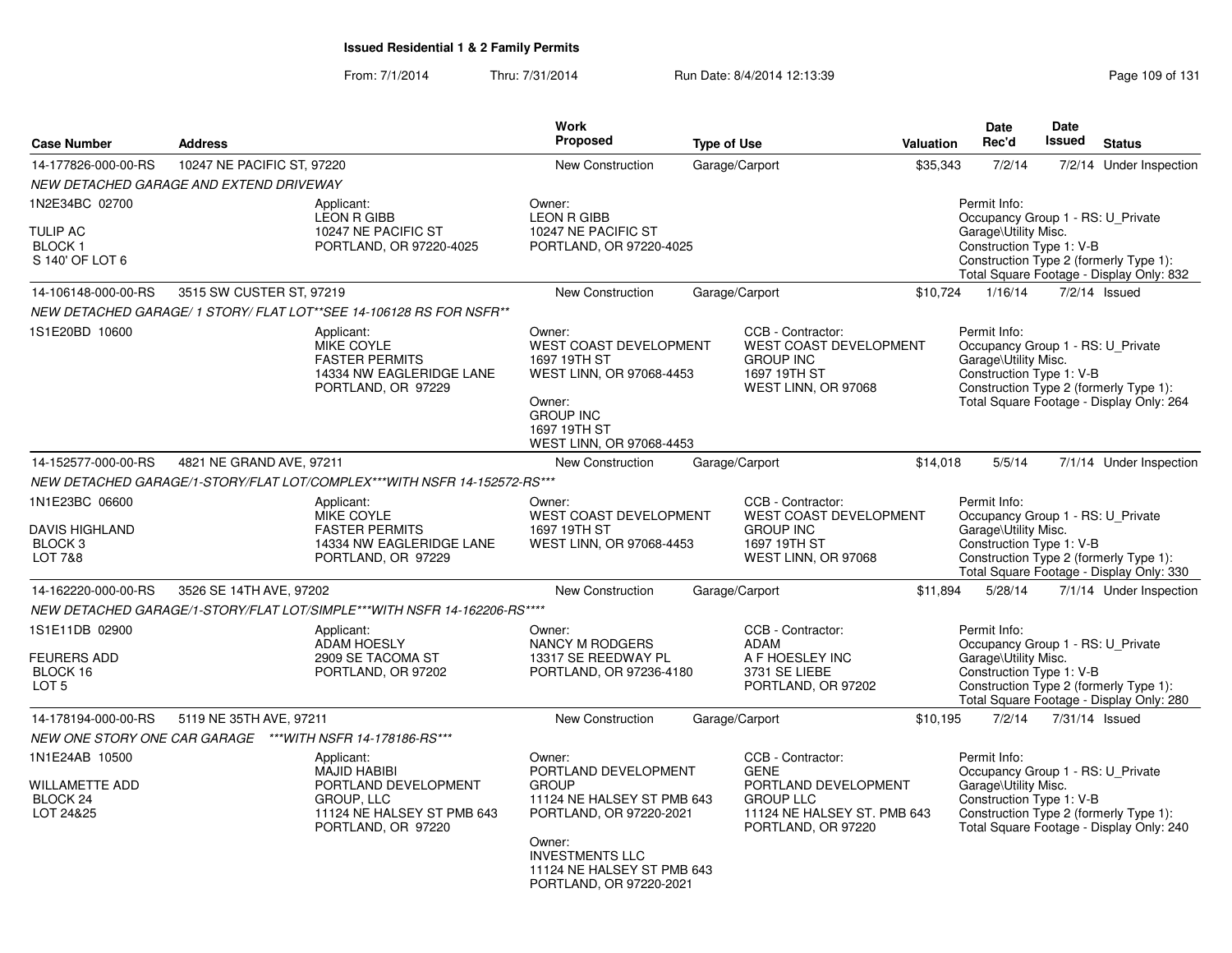From: 7/1/2014Thru: 7/31/2014 Run Date: 8/4/2014 12:13:39 Research 2010 131

| <b>Case Number</b>                                                                  | <b>Address</b>                                             |                                                                                                                             | <b>Work</b><br><b>Proposed</b>                                                                                                                                                                       | <b>Type of Use</b> |                                                                                                                                   | Valuation | <b>Date</b><br>Rec'd                                                                                  | <b>Date</b><br>Issued | <b>Status</b>                                                                      |
|-------------------------------------------------------------------------------------|------------------------------------------------------------|-----------------------------------------------------------------------------------------------------------------------------|------------------------------------------------------------------------------------------------------------------------------------------------------------------------------------------------------|--------------------|-----------------------------------------------------------------------------------------------------------------------------------|-----------|-------------------------------------------------------------------------------------------------------|-----------------------|------------------------------------------------------------------------------------|
| 14-177826-000-00-RS                                                                 | 10247 NE PACIFIC ST, 97220                                 |                                                                                                                             | New Construction                                                                                                                                                                                     |                    | Garage/Carport                                                                                                                    | \$35,343  | 7/2/14                                                                                                |                       | 7/2/14 Under Inspection                                                            |
|                                                                                     | NEW DETACHED GARAGE AND EXTEND DRIVEWAY                    |                                                                                                                             |                                                                                                                                                                                                      |                    |                                                                                                                                   |           |                                                                                                       |                       |                                                                                    |
| 1N2E34BC 02700<br><b>TULIP AC</b><br><b>BLOCK1</b><br>S 140' OF LOT 6               |                                                            | Applicant:<br><b>LEON R GIBB</b><br>10247 NE PACIFIC ST<br>PORTLAND, OR 97220-4025                                          | Owner:<br><b>LEON R GIBB</b><br>10247 NE PACIFIC ST<br>PORTLAND, OR 97220-4025                                                                                                                       |                    |                                                                                                                                   |           | Permit Info:<br>Occupancy Group 1 - RS: U_Private<br>Garage\Utility Misc.<br>Construction Type 1: V-B |                       | Construction Type 2 (formerly Type 1):<br>Total Square Footage - Display Only: 832 |
| 14-106148-000-00-RS                                                                 | 3515 SW CUSTER ST, 97219                                   |                                                                                                                             | New Construction                                                                                                                                                                                     |                    | Garage/Carport                                                                                                                    | \$10,724  | 1/16/14                                                                                               |                       | $7/2/14$ Issued                                                                    |
|                                                                                     |                                                            | NEW DETACHED GARAGE/ 1 STORY/ FLAT LOT**SEE 14-106128 RS FOR NSFR**                                                         |                                                                                                                                                                                                      |                    |                                                                                                                                   |           |                                                                                                       |                       |                                                                                    |
| 1S1E20BD 10600                                                                      |                                                            | Applicant:<br><b>MIKE COYLE</b><br><b>FASTER PERMITS</b><br>14334 NW EAGLERIDGE LANE<br>PORTLAND, OR 97229                  | Owner:<br>WEST COAST DEVELOPMENT<br>1697 19TH ST<br>WEST LINN, OR 97068-4453<br>Owner:<br><b>GROUP INC</b><br>1697 19TH ST<br>WEST LINN, OR 97068-4453                                               |                    | CCB - Contractor:<br><b>WEST COAST DEVELOPMENT</b><br><b>GROUP INC</b><br>1697 19TH ST<br>WEST LINN, OR 97068                     |           | Permit Info:<br>Occupancy Group 1 - RS: U_Private<br>Garage\Utility Misc.<br>Construction Type 1: V-B |                       | Construction Type 2 (formerly Type 1):<br>Total Square Footage - Display Only: 264 |
| 14-152577-000-00-RS                                                                 | 4821 NE GRAND AVE, 97211                                   |                                                                                                                             | <b>New Construction</b>                                                                                                                                                                              |                    | Garage/Carport                                                                                                                    | \$14,018  | 5/5/14                                                                                                |                       | 7/1/14 Under Inspection                                                            |
|                                                                                     |                                                            | NEW DETACHED GARAGE/1-STORY/FLAT LOT/COMPLEX***WITH NSFR 14-152572-RS***                                                    |                                                                                                                                                                                                      |                    |                                                                                                                                   |           |                                                                                                       |                       |                                                                                    |
| 1N1E23BC 06600<br><b>DAVIS HIGHLAND</b><br>BLOCK <sub>3</sub><br><b>LOT 7&amp;8</b> |                                                            | Applicant:<br><b>MIKE COYLE</b><br><b>FASTER PERMITS</b><br>14334 NW EAGLERIDGE LANE<br>PORTLAND, OR 97229                  | Owner:<br>WEST COAST DEVELOPMENT<br>1697 19TH ST<br>WEST LINN, OR 97068-4453                                                                                                                         |                    | CCB - Contractor:<br><b>WEST COAST DEVELOPMENT</b><br><b>GROUP INC</b><br>1697 19TH ST<br>WEST LINN, OR 97068                     |           | Permit Info:<br>Occupancy Group 1 - RS: U_Private<br>Garage\Utility Misc.<br>Construction Type 1: V-B |                       | Construction Type 2 (formerly Type 1):<br>Total Square Footage - Display Only: 330 |
| 14-162220-000-00-RS                                                                 | 3526 SE 14TH AVE, 97202                                    |                                                                                                                             | New Construction                                                                                                                                                                                     |                    | Garage/Carport                                                                                                                    | \$11,894  | 5/28/14                                                                                               |                       | 7/1/14 Under Inspection                                                            |
|                                                                                     |                                                            | NEW DETACHED GARAGE/1-STORY/FLAT LOT/SIMPLE***WITH NSFR 14-162206-RS****                                                    |                                                                                                                                                                                                      |                    |                                                                                                                                   |           |                                                                                                       |                       |                                                                                    |
| 1S1E11DB 02900<br><b>FEURERS ADD</b><br>BLOCK 16<br>LOT <sub>5</sub>                |                                                            | Applicant:<br><b>ADAM HOESLY</b><br>2909 SE TACOMA ST<br>PORTLAND, OR 97202                                                 | Owner:<br>NANCY M RODGERS<br>13317 SE REEDWAY PL<br>PORTLAND, OR 97236-4180                                                                                                                          |                    | CCB - Contractor:<br>ADAM<br>A F HOESLEY INC<br>3731 SE LIEBE<br>PORTLAND, OR 97202                                               |           | Permit Info:<br>Occupancy Group 1 - RS: U_Private<br>Garage\Utility Misc.<br>Construction Type 1: V-B |                       | Construction Type 2 (formerly Type 1):<br>Total Square Footage - Display Only: 280 |
| 14-178194-000-00-RS                                                                 | 5119 NE 35TH AVE, 97211                                    |                                                                                                                             | <b>New Construction</b>                                                                                                                                                                              |                    | Garage/Carport                                                                                                                    | \$10,195  | 7/2/14                                                                                                |                       | 7/31/14 Issued                                                                     |
|                                                                                     | NEW ONE STORY ONE CAR GARAGE *** WITH NSFR 14-178186-RS*** |                                                                                                                             |                                                                                                                                                                                                      |                    |                                                                                                                                   |           |                                                                                                       |                       |                                                                                    |
| 1N1E24AB 10500<br><b>WILLAMETTE ADD</b><br>BLOCK 24<br>LOT 24&25                    |                                                            | Applicant:<br><b>MAJID HABIBI</b><br>PORTLAND DEVELOPMENT<br>GROUP, LLC<br>11124 NE HALSEY ST PMB 643<br>PORTLAND, OR 97220 | Owner:<br>PORTLAND DEVELOPMENT<br><b>GROUP</b><br>11124 NE HALSEY ST PMB 643<br>PORTLAND, OR 97220-2021<br>Owner:<br><b>INVESTMENTS LLC</b><br>11124 NE HALSEY ST PMB 643<br>PORTLAND, OR 97220-2021 |                    | CCB - Contractor:<br><b>GENE</b><br>PORTLAND DEVELOPMENT<br><b>GROUP LLC</b><br>11124 NE HALSEY ST. PMB 643<br>PORTLAND, OR 97220 |           | Permit Info:<br>Occupancy Group 1 - RS: U_Private<br>Garage\Utility Misc.<br>Construction Type 1: V-B |                       | Construction Type 2 (formerly Type 1):<br>Total Square Footage - Display Only: 240 |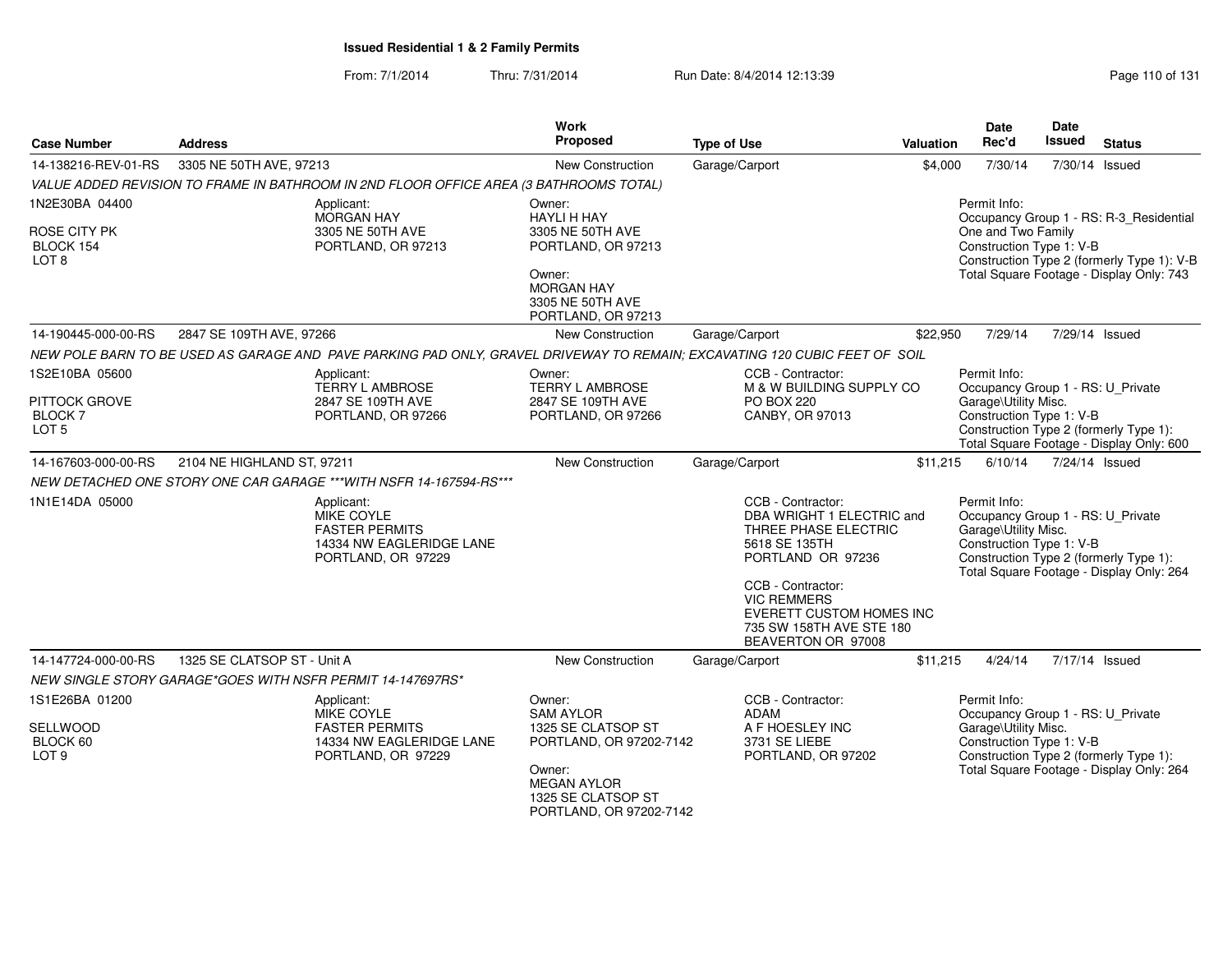From: 7/1/2014Thru: 7/31/2014 Run Date: 8/4/2014 12:13:39 Research 2010 of 131

| <b>Case Number</b>                                              | <b>Address</b>              |                                                                                                                            | <b>Work</b><br><b>Proposed</b>                                                                                                                               | <b>Type of Use</b>                                                                                                                                                                                                                           | Valuation | <b>Date</b><br>Rec'd                                                                                                                            | Date<br>Issued | <b>Status</b>                                                                                                                     |
|-----------------------------------------------------------------|-----------------------------|----------------------------------------------------------------------------------------------------------------------------|--------------------------------------------------------------------------------------------------------------------------------------------------------------|----------------------------------------------------------------------------------------------------------------------------------------------------------------------------------------------------------------------------------------------|-----------|-------------------------------------------------------------------------------------------------------------------------------------------------|----------------|-----------------------------------------------------------------------------------------------------------------------------------|
| 14-138216-REV-01-RS                                             | 3305 NE 50TH AVE, 97213     |                                                                                                                            | <b>New Construction</b>                                                                                                                                      | Garage/Carport                                                                                                                                                                                                                               | \$4,000   | 7/30/14                                                                                                                                         |                | 7/30/14 Issued                                                                                                                    |
|                                                                 |                             | VALUE ADDED REVISION TO FRAME IN BATHROOM IN 2ND FLOOR OFFICE AREA (3 BATHROOMS TOTAL)                                     |                                                                                                                                                              |                                                                                                                                                                                                                                              |           |                                                                                                                                                 |                |                                                                                                                                   |
| 1N2E30BA 04400<br>ROSE CITY PK<br>BLOCK 154<br>LOT <sub>8</sub> |                             | Applicant:<br><b>MORGAN HAY</b><br>3305 NE 50TH AVE<br>PORTLAND, OR 97213                                                  | Owner:<br><b>HAYLI H HAY</b><br>3305 NE 50TH AVE<br>PORTLAND, OR 97213<br>Owner:<br><b>MORGAN HAY</b><br>3305 NE 50TH AVE                                    |                                                                                                                                                                                                                                              |           | Permit Info:<br>One and Two Family<br>Construction Type 1: V-B                                                                                  |                | Occupancy Group 1 - RS: R-3_Residential<br>Construction Type 2 (formerly Type 1): V-B<br>Total Square Footage - Display Only: 743 |
|                                                                 |                             |                                                                                                                            | PORTLAND, OR 97213                                                                                                                                           |                                                                                                                                                                                                                                              |           |                                                                                                                                                 |                |                                                                                                                                   |
| 14-190445-000-00-RS                                             | 2847 SE 109TH AVE, 97266    |                                                                                                                            | <b>New Construction</b>                                                                                                                                      | Garage/Carport                                                                                                                                                                                                                               | \$22.950  | 7/29/14                                                                                                                                         | 7/29/14 Issued |                                                                                                                                   |
|                                                                 |                             | NEW POLE BARN TO BE USED AS GARAGE AND PAVE PARKING PAD ONLY, GRAVEL DRIVEWAY TO REMAIN; EXCAVATING 120 CUBIC FEET OF SOIL |                                                                                                                                                              |                                                                                                                                                                                                                                              |           |                                                                                                                                                 |                |                                                                                                                                   |
| 1S2E10BA 05600<br>PITTOCK GROVE<br>BLOCK 7<br>LOT <sub>5</sub>  |                             | Applicant:<br><b>TERRY L AMBROSE</b><br>2847 SE 109TH AVE<br>PORTLAND, OR 97266                                            | Owner:<br><b>TERRY L AMBROSE</b><br>2847 SE 109TH AVE<br>PORTLAND, OR 97266                                                                                  | CCB - Contractor:<br>M & W BUILDING SUPPLY CO<br><b>PO BOX 220</b><br>CANBY, OR 97013                                                                                                                                                        |           | Permit Info:<br>Occupancy Group 1 - RS: U_Private<br>Garage\Utility Misc.<br>Construction Type 1: V-B<br>Construction Type 2 (formerly Type 1): |                | Total Square Footage - Display Only: 600                                                                                          |
| 14-167603-000-00-RS                                             | 2104 NE HIGHLAND ST, 97211  |                                                                                                                            | New Construction                                                                                                                                             | Garage/Carport                                                                                                                                                                                                                               | \$11,215  | 6/10/14                                                                                                                                         | 7/24/14 Issued |                                                                                                                                   |
|                                                                 |                             | NEW DETACHED ONE STORY ONE CAR GARAGE *** WITH NSFR 14-167594-RS ***                                                       |                                                                                                                                                              |                                                                                                                                                                                                                                              |           |                                                                                                                                                 |                |                                                                                                                                   |
| 1N1E14DA 05000                                                  |                             | Applicant:<br><b>MIKE COYLE</b><br><b>FASTER PERMITS</b><br>14334 NW EAGLERIDGE LANE<br>PORTLAND, OR 97229                 |                                                                                                                                                              | CCB - Contractor:<br>DBA WRIGHT 1 ELECTRIC and<br>THREE PHASE ELECTRIC<br>5618 SE 135TH<br>PORTLAND OR 97236<br>CCB - Contractor:<br><b>VIC REMMERS</b><br><b>EVERETT CUSTOM HOMES INC</b><br>735 SW 158TH AVE STE 180<br>BEAVERTON OR 97008 |           | Permit Info:<br>Occupancy Group 1 - RS: U_Private<br>Garage\Utility Misc.<br>Construction Type 1: V-B<br>Construction Type 2 (formerly Type 1): |                | Total Square Footage - Display Only: 264                                                                                          |
| 14-147724-000-00-RS                                             | 1325 SE CLATSOP ST - Unit A |                                                                                                                            | New Construction                                                                                                                                             | Garage/Carport                                                                                                                                                                                                                               | \$11,215  | 4/24/14                                                                                                                                         | 7/17/14 Issued |                                                                                                                                   |
|                                                                 |                             | NEW SINGLE STORY GARAGE*GOES WITH NSFR PERMIT 14-147697RS*                                                                 |                                                                                                                                                              |                                                                                                                                                                                                                                              |           |                                                                                                                                                 |                |                                                                                                                                   |
| 1S1E26BA 01200<br>SELLWOOD<br>BLOCK 60<br>LOT <sub>9</sub>      |                             | Applicant:<br>MIKE COYLE<br><b>FASTER PERMITS</b><br>14334 NW EAGLERIDGE LANE<br>PORTLAND, OR 97229                        | Owner:<br><b>SAM AYLOR</b><br>1325 SE CLATSOP ST<br>PORTLAND, OR 97202-7142<br>Owner:<br><b>MEGAN AYLOR</b><br>1325 SE CLATSOP ST<br>PORTLAND, OR 97202-7142 | CCB - Contractor:<br><b>ADAM</b><br>A F HOESLEY INC<br>3731 SE LIEBE<br>PORTLAND, OR 97202                                                                                                                                                   |           | Permit Info:<br>Occupancy Group 1 - RS: U_Private<br>Garage\Utility Misc.<br>Construction Type 1: V-B<br>Construction Type 2 (formerly Type 1): |                | Total Square Footage - Display Only: 264                                                                                          |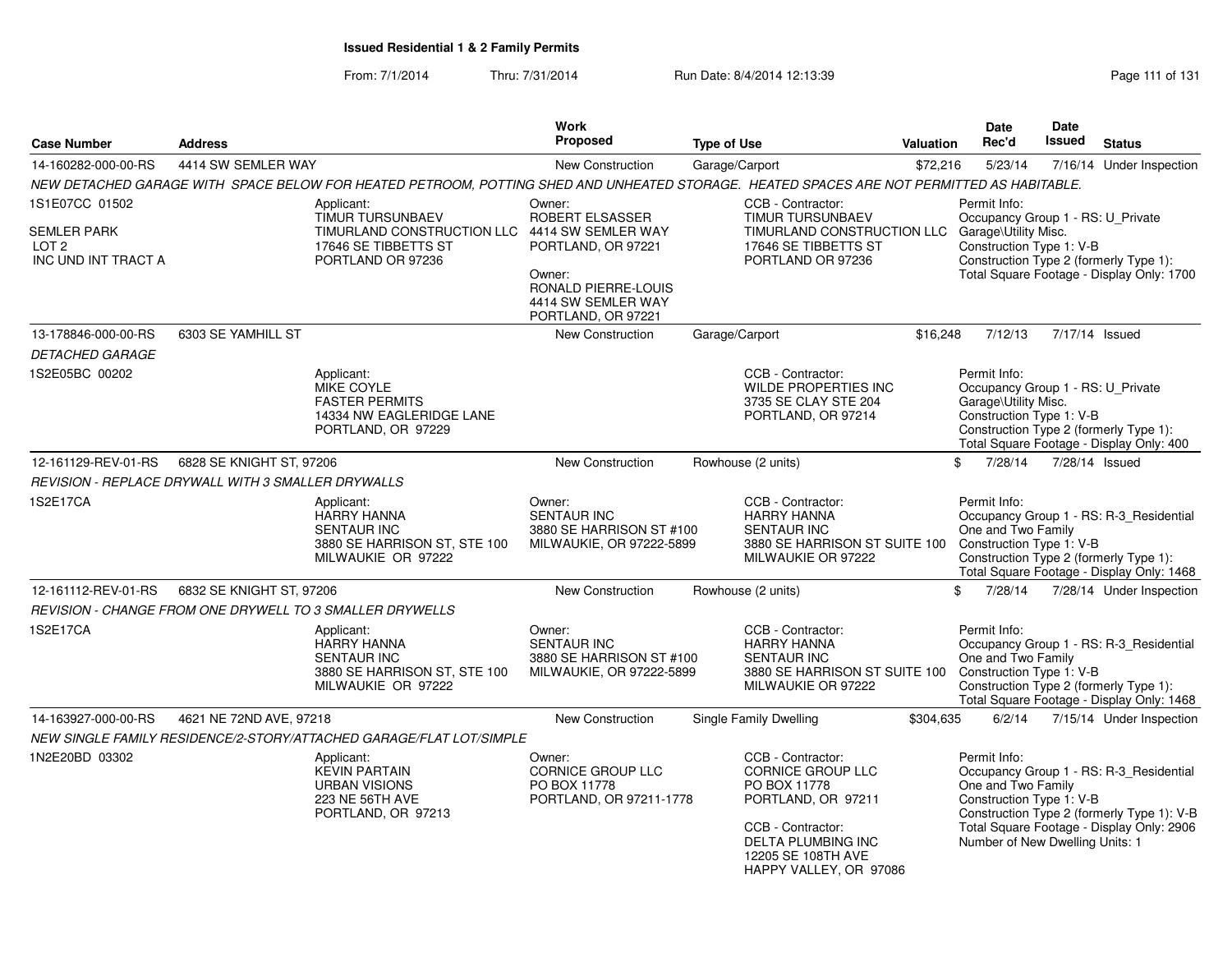From: 7/1/2014Thru: 7/31/2014 Run Date: 8/4/2014 12:13:39 Rege 111 of 131

|                                                                                 |                          |                                                                                                                                           | Work                                                                                                                                               |                    |                                                                                                                                                                                |                  | <b>Date</b>                                                                                           | Date          |                                                                                                                                    |
|---------------------------------------------------------------------------------|--------------------------|-------------------------------------------------------------------------------------------------------------------------------------------|----------------------------------------------------------------------------------------------------------------------------------------------------|--------------------|--------------------------------------------------------------------------------------------------------------------------------------------------------------------------------|------------------|-------------------------------------------------------------------------------------------------------|---------------|------------------------------------------------------------------------------------------------------------------------------------|
| <b>Case Number</b>                                                              | <b>Address</b>           |                                                                                                                                           | Proposed                                                                                                                                           | <b>Type of Use</b> |                                                                                                                                                                                | <b>Valuation</b> | Rec'd                                                                                                 | <b>Issued</b> | <b>Status</b>                                                                                                                      |
| 14-160282-000-00-RS                                                             | 4414 SW SEMLER WAY       |                                                                                                                                           | <b>New Construction</b>                                                                                                                            |                    | Garage/Carport                                                                                                                                                                 | \$72,216         | 5/23/14                                                                                               |               | 7/16/14 Under Inspection                                                                                                           |
|                                                                                 |                          | NEW DETACHED GARAGE WITH SPACE BELOW FOR HEATED PETROOM, POTTING SHED AND UNHEATED STORAGE. HEATED SPACES ARE NOT PERMITTED AS HABITABLE. |                                                                                                                                                    |                    |                                                                                                                                                                                |                  |                                                                                                       |               |                                                                                                                                    |
| 1S1E07CC 01502<br><b>SEMLER PARK</b><br>LOT <sub>2</sub><br>INC UND INT TRACT A |                          | Applicant:<br>TIMUR TURSUNBAEV<br>TIMURLAND CONSTRUCTION LLC<br>17646 SE TIBBETTS ST<br>PORTLAND OR 97236                                 | Owner:<br>ROBERT ELSASSER<br>4414 SW SEMLER WAY<br>PORTLAND, OR 97221<br>Owner:<br>RONALD PIERRE-LOUIS<br>4414 SW SEMLER WAY<br>PORTLAND, OR 97221 |                    | CCB - Contractor:<br>TIMUR TURSUNBAEV<br>TIMURLAND CONSTRUCTION LLC<br>17646 SE TIBBETTS ST<br>PORTLAND OR 97236                                                               |                  | Permit Info:<br>Occupancy Group 1 - RS: U_Private<br>Garage\Utility Misc.<br>Construction Type 1: V-B |               | Construction Type 2 (formerly Type 1):<br>Total Square Footage - Display Only: 1700                                                |
| 13-178846-000-00-RS                                                             | 6303 SE YAMHILL ST       |                                                                                                                                           | New Construction                                                                                                                                   | Garage/Carport     |                                                                                                                                                                                | \$16,248         | 7/12/13                                                                                               |               | 7/17/14 Issued                                                                                                                     |
| <b>DETACHED GARAGE</b>                                                          |                          |                                                                                                                                           |                                                                                                                                                    |                    |                                                                                                                                                                                |                  |                                                                                                       |               |                                                                                                                                    |
| 1S2E05BC 00202                                                                  |                          | Applicant:<br>MIKE COYLE<br><b>FASTER PERMITS</b><br>14334 NW EAGLERIDGE LANE<br>PORTLAND, OR 97229                                       |                                                                                                                                                    |                    | CCB - Contractor:<br>WILDE PROPERTIES INC<br>3735 SE CLAY STE 204<br>PORTLAND, OR 97214                                                                                        |                  | Permit Info:<br>Occupancy Group 1 - RS: U_Private<br>Garage\Utility Misc.<br>Construction Type 1: V-B |               | Construction Type 2 (formerly Type 1):<br>Total Square Footage - Display Only: 400                                                 |
| 12-161129-REV-01-RS                                                             | 6828 SE KNIGHT ST, 97206 |                                                                                                                                           | <b>New Construction</b>                                                                                                                            |                    | Rowhouse (2 units)                                                                                                                                                             |                  | \$<br>7/28/14                                                                                         |               | 7/28/14 Issued                                                                                                                     |
| REVISION - REPLACE DRYWALL WITH 3 SMALLER DRYWALLS                              |                          |                                                                                                                                           |                                                                                                                                                    |                    |                                                                                                                                                                                |                  |                                                                                                       |               |                                                                                                                                    |
| 1S2E17CA                                                                        |                          | Applicant:<br><b>HARRY HANNA</b><br><b>SENTAUR INC</b><br>3880 SE HARRISON ST, STE 100<br>MILWAUKIE OR 97222                              | Owner:<br><b>SENTAUR INC</b><br>3880 SE HARRISON ST #100<br>MILWAUKIE, OR 97222-5899                                                               |                    | CCB - Contractor:<br><b>HARRY HANNA</b><br><b>SENTAUR INC</b><br>3880 SE HARRISON ST SUITE 100<br>MILWAUKIE OR 97222                                                           |                  | Permit Info:<br>One and Two Family<br>Construction Type 1: V-B                                        |               | Occupancy Group 1 - RS: R-3_Residential<br>Construction Type 2 (formerly Type 1):<br>Total Square Footage - Display Only: 1468     |
| 12-161112-REV-01-RS                                                             | 6832 SE KNIGHT ST, 97206 |                                                                                                                                           | <b>New Construction</b>                                                                                                                            |                    | Rowhouse (2 units)                                                                                                                                                             |                  | \$<br>7/28/14                                                                                         |               | 7/28/14 Under Inspection                                                                                                           |
|                                                                                 |                          | REVISION - CHANGE FROM ONE DRYWELL TO 3 SMALLER DRYWELLS                                                                                  |                                                                                                                                                    |                    |                                                                                                                                                                                |                  |                                                                                                       |               |                                                                                                                                    |
| 1S2E17CA                                                                        |                          | Applicant:<br><b>HARRY HANNA</b><br><b>SENTAUR INC</b><br>3880 SE HARRISON ST, STE 100<br>MILWAUKIE OR 97222                              | Owner:<br><b>SENTAUR INC</b><br>3880 SE HARRISON ST #100<br>MILWAUKIE, OR 97222-5899                                                               |                    | CCB - Contractor:<br><b>HARRY HANNA</b><br><b>SENTAUR INC</b><br>3880 SE HARRISON ST SUITE 100<br>MILWAUKIE OR 97222                                                           |                  | Permit Info:<br>One and Two Family<br>Construction Type 1: V-B                                        |               | Occupancy Group 1 - RS: R-3_Residential<br>Construction Type 2 (formerly Type 1):<br>Total Square Footage - Display Only: 1468     |
| 14-163927-000-00-RS                                                             | 4621 NE 72ND AVE, 97218  |                                                                                                                                           | <b>New Construction</b>                                                                                                                            |                    | <b>Single Family Dwelling</b>                                                                                                                                                  | \$304,635        | 6/2/14                                                                                                |               | 7/15/14 Under Inspection                                                                                                           |
|                                                                                 |                          | NEW SINGLE FAMILY RESIDENCE/2-STORY/ATTACHED GARAGE/FLAT LOT/SIMPLE                                                                       |                                                                                                                                                    |                    |                                                                                                                                                                                |                  |                                                                                                       |               |                                                                                                                                    |
| 1N2E20BD 03302                                                                  |                          | Applicant:<br><b>KEVIN PARTAIN</b><br><b>URBAN VISIONS</b><br>223 NE 56TH AVE<br>PORTLAND, OR 97213                                       | Owner:<br><b>CORNICE GROUP LLC</b><br>PO BOX 11778<br>PORTLAND, OR 97211-1778                                                                      |                    | CCB - Contractor:<br><b>CORNICE GROUP LLC</b><br>PO BOX 11778<br>PORTLAND, OR 97211<br>CCB - Contractor:<br>DELTA PLUMBING INC<br>12205 SE 108TH AVE<br>HAPPY VALLEY, OR 97086 |                  | Permit Info:<br>One and Two Family<br>Construction Type 1: V-B<br>Number of New Dwelling Units: 1     |               | Occupancy Group 1 - RS: R-3_Residential<br>Construction Type 2 (formerly Type 1): V-B<br>Total Square Footage - Display Only: 2906 |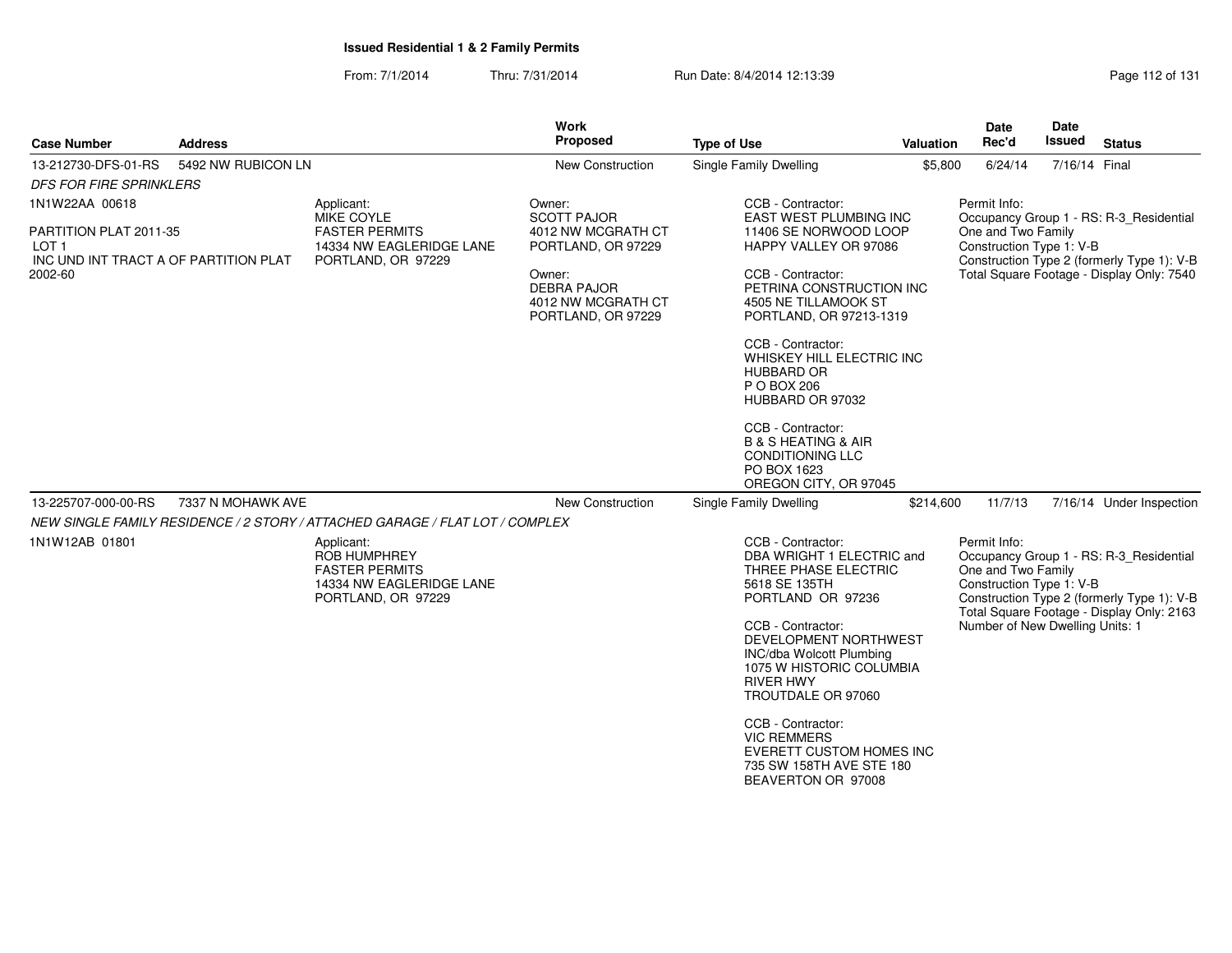From: 7/1/2014Thru: 7/31/2014 Run Date: 8/4/2014 12:13:39 Rege 112 of 131

| <b>Case Number</b>                                                                                    | <b>Address</b>     |                                                                                                              | Work<br>Proposed                                                                                                                                     | <b>Type of Use</b>                                                                                                                                                                                                                                                                                                                                                                                               | <b>Valuation</b> | Date<br>Rec'd                                                                                     | Date<br><b>Issued</b> | <b>Status</b>                                                                                                                      |
|-------------------------------------------------------------------------------------------------------|--------------------|--------------------------------------------------------------------------------------------------------------|------------------------------------------------------------------------------------------------------------------------------------------------------|------------------------------------------------------------------------------------------------------------------------------------------------------------------------------------------------------------------------------------------------------------------------------------------------------------------------------------------------------------------------------------------------------------------|------------------|---------------------------------------------------------------------------------------------------|-----------------------|------------------------------------------------------------------------------------------------------------------------------------|
| 13-212730-DFS-01-RS                                                                                   | 5492 NW RUBICON LN |                                                                                                              | New Construction                                                                                                                                     | Single Family Dwelling                                                                                                                                                                                                                                                                                                                                                                                           | \$5,800          | 6/24/14                                                                                           | 7/16/14 Final         |                                                                                                                                    |
| <b>DFS FOR FIRE SPRINKLERS</b>                                                                        |                    |                                                                                                              |                                                                                                                                                      |                                                                                                                                                                                                                                                                                                                                                                                                                  |                  |                                                                                                   |                       |                                                                                                                                    |
| 1N1W22AA 00618<br>PARTITION PLAT 2011-35<br>LOT 1<br>INC UND INT TRACT A OF PARTITION PLAT<br>2002-60 |                    | Applicant:<br>MIKE COYLE<br><b>FASTER PERMITS</b><br>14334 NW EAGLERIDGE LANE<br>PORTLAND, OR 97229          | Owner:<br><b>SCOTT PAJOR</b><br>4012 NW MCGRATH CT<br>PORTLAND, OR 97229<br>Owner:<br><b>DEBRA PAJOR</b><br>4012 NW MCGRATH CT<br>PORTLAND, OR 97229 | CCB - Contractor:<br>EAST WEST PLUMBING INC<br>11406 SE NORWOOD LOOP<br>HAPPY VALLEY OR 97086<br>CCB - Contractor:<br>PETRINA CONSTRUCTION INC<br>4505 NE TILLAMOOK ST<br>PORTLAND, OR 97213-1319<br>CCB - Contractor:<br>WHISKEY HILL ELECTRIC INC<br><b>HUBBARD OR</b><br>P O BOX 206<br>HUBBARD OR 97032<br>CCB - Contractor:<br><b>B &amp; S HEATING &amp; AIR</b><br><b>CONDITIONING LLC</b><br>PO BOX 1623 |                  | Permit Info:<br>One and Two Family<br>Construction Type 1: V-B                                    |                       | Occupancy Group 1 - RS: R-3 Residential<br>Construction Type 2 (formerly Type 1): V-B<br>Total Square Footage - Display Only: 7540 |
| 13-225707-000-00-RS                                                                                   | 7337 N MOHAWK AVE  |                                                                                                              | <b>New Construction</b>                                                                                                                              | OREGON CITY, OR 97045<br>Single Family Dwelling                                                                                                                                                                                                                                                                                                                                                                  | \$214,600        | 11/7/13                                                                                           |                       | 7/16/14 Under Inspection                                                                                                           |
|                                                                                                       |                    | NEW SINGLE FAMILY RESIDENCE / 2 STORY / ATTACHED GARAGE / FLAT LOT / COMPLEX                                 |                                                                                                                                                      |                                                                                                                                                                                                                                                                                                                                                                                                                  |                  |                                                                                                   |                       |                                                                                                                                    |
| 1N1W12AB 01801                                                                                        |                    | Applicant:<br><b>ROB HUMPHREY</b><br><b>FASTER PERMITS</b><br>14334 NW EAGLERIDGE LANE<br>PORTLAND, OR 97229 |                                                                                                                                                      | CCB - Contractor:<br>DBA WRIGHT 1 ELECTRIC and<br>THREE PHASE ELECTRIC<br>5618 SE 135TH<br>PORTLAND OR 97236<br>CCB - Contractor:<br>DEVELOPMENT NORTHWEST<br>INC/dba Wolcott Plumbing<br>1075 W HISTORIC COLUMBIA<br><b>RIVER HWY</b><br>TROUTDALE OR 97060<br>CCB - Contractor:<br><b>VIC REMMERS</b><br><b>EVERETT CUSTOM HOMES INC</b><br>735 SW 158TH AVE STE 180<br>BEAVERTON OR 97008                     |                  | Permit Info:<br>One and Two Family<br>Construction Type 1: V-B<br>Number of New Dwelling Units: 1 |                       | Occupancy Group 1 - RS: R-3_Residential<br>Construction Type 2 (formerly Type 1): V-B<br>Total Square Footage - Display Only: 2163 |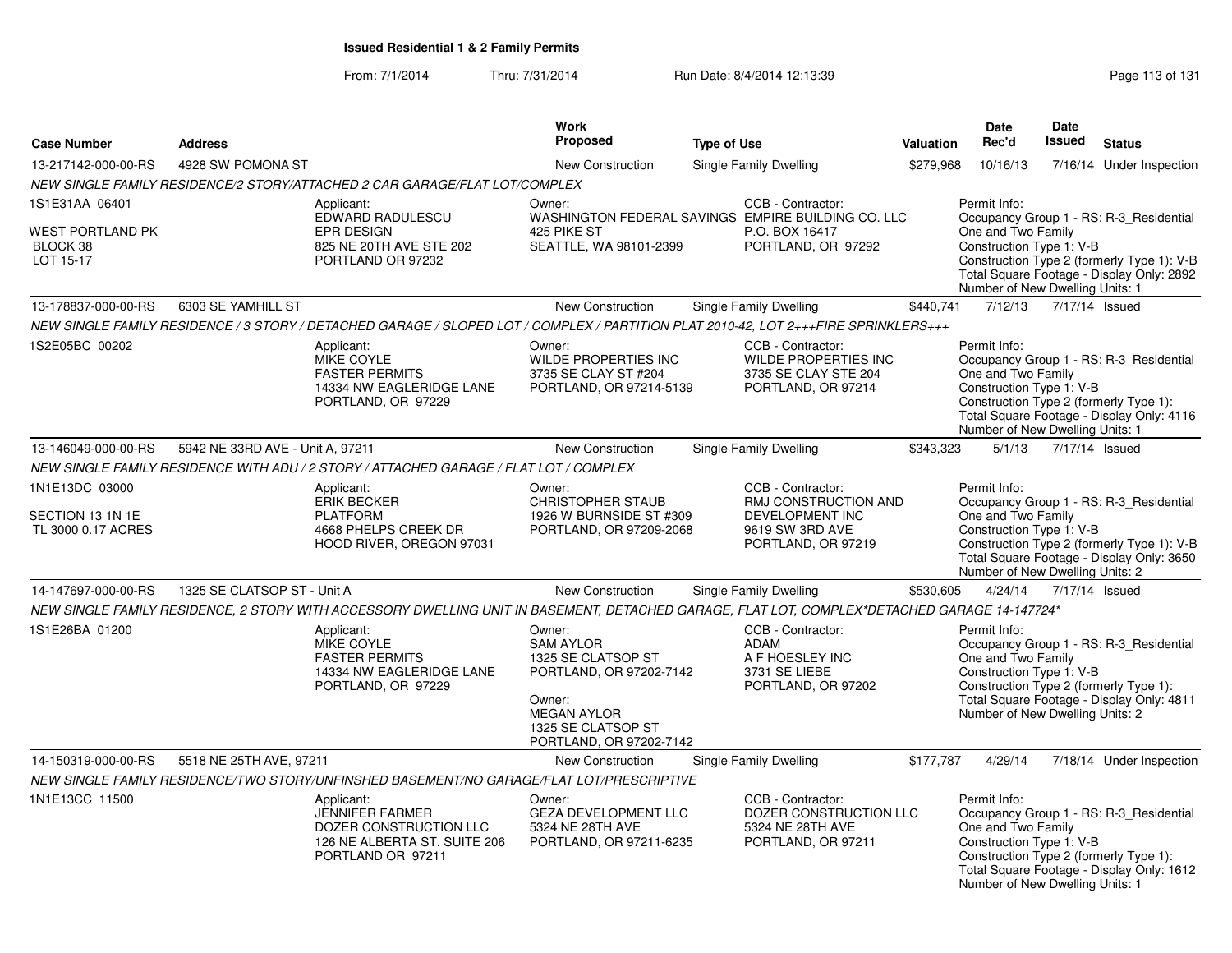#### From: 7/1/2014Thru: 7/31/2014 Run Date: 8/4/2014 12:13:39 Rege 113 of 131

| <b>Case Number</b>                                       | <b>Address</b>                                                                                                                               |                                                                                                | Work<br>Proposed                                                                                                                                             | <b>Type of Use</b> |                                                                                                              | Valuation | <b>Date</b><br>Rec'd                                                                                                                        | <b>Date</b><br><b>Issued</b> | <b>Status</b>                                                                                                                      |
|----------------------------------------------------------|----------------------------------------------------------------------------------------------------------------------------------------------|------------------------------------------------------------------------------------------------|--------------------------------------------------------------------------------------------------------------------------------------------------------------|--------------------|--------------------------------------------------------------------------------------------------------------|-----------|---------------------------------------------------------------------------------------------------------------------------------------------|------------------------------|------------------------------------------------------------------------------------------------------------------------------------|
| 13-217142-000-00-RS                                      | 4928 SW POMONA ST                                                                                                                            |                                                                                                | <b>New Construction</b>                                                                                                                                      |                    | <b>Single Family Dwelling</b>                                                                                | \$279.968 | 10/16/13                                                                                                                                    |                              | 7/16/14 Under Inspection                                                                                                           |
|                                                          | NEW SINGLE FAMILY RESIDENCE/2 STORY/ATTACHED 2 CAR GARAGE/FLAT LOT/COMPLEX                                                                   |                                                                                                |                                                                                                                                                              |                    |                                                                                                              |           |                                                                                                                                             |                              |                                                                                                                                    |
| 1S1E31AA 06401                                           | Applicant:                                                                                                                                   | EDWARD RADULESCU                                                                               | Owner:                                                                                                                                                       |                    | CCB - Contractor:<br>WASHINGTON FEDERAL SAVINGS EMPIRE BUILDING CO. LLC                                      |           | Permit Info:                                                                                                                                |                              | Occupancy Group 1 - RS: R-3 Residential                                                                                            |
| WEST PORTLAND PK<br>BLOCK 38<br>LOT 15-17                | <b>EPR DESIGN</b>                                                                                                                            | 825 NE 20TH AVE STE 202<br>PORTLAND OR 97232                                                   | 425 PIKE ST<br>SEATTLE, WA 98101-2399                                                                                                                        |                    | P.O. BOX 16417<br>PORTLAND, OR 97292                                                                         |           | One and Two Family<br>Construction Type 1: V-B<br>Number of New Dwelling Units: 1                                                           |                              | Construction Type 2 (formerly Type 1): V-B<br>Total Square Footage - Display Only: 2892                                            |
| 13-178837-000-00-RS                                      | 6303 SE YAMHILL ST                                                                                                                           |                                                                                                | New Construction                                                                                                                                             |                    | <b>Single Family Dwelling</b>                                                                                | \$440,741 | 7/12/13                                                                                                                                     | 7/17/14 Issued               |                                                                                                                                    |
|                                                          | NEW SINGLE FAMILY RESIDENCE / 3 STORY / DETACHED GARAGE / SLOPED LOT / COMPLEX / PARTITION PLAT 2010-42, LOT 2+++FIRE SPRINKLERS+++          |                                                                                                |                                                                                                                                                              |                    |                                                                                                              |           |                                                                                                                                             |                              |                                                                                                                                    |
| 1S2E05BC 00202                                           | Applicant:<br>MIKE COYLE<br><b>FASTER PERMITS</b>                                                                                            | 14334 NW EAGLERIDGE LANE<br>PORTLAND, OR 97229                                                 | Owner:<br>WILDE PROPERTIES INC<br>3735 SE CLAY ST #204<br>PORTLAND, OR 97214-5139                                                                            |                    | CCB - Contractor:<br><b>WILDE PROPERTIES INC</b><br>3735 SE CLAY STE 204<br>PORTLAND, OR 97214               |           | Permit Info:<br>One and Two Family<br>Construction Type 1: V-B<br>Construction Type 2 (formerly Type 1):<br>Number of New Dwelling Units: 1 |                              | Occupancy Group 1 - RS: R-3 Residential<br>Total Square Footage - Display Only: 4116                                               |
| 13-146049-000-00-RS                                      | 5942 NE 33RD AVE - Unit A, 97211                                                                                                             |                                                                                                | <b>New Construction</b>                                                                                                                                      |                    | <b>Single Family Dwelling</b>                                                                                | \$343,323 | 5/1/13                                                                                                                                      | 7/17/14 Issued               |                                                                                                                                    |
|                                                          | NEW SINGLE FAMILY RESIDENCE WITH ADU / 2 STORY / ATTACHED GARAGE / FLAT LOT / COMPLEX                                                        |                                                                                                |                                                                                                                                                              |                    |                                                                                                              |           |                                                                                                                                             |                              |                                                                                                                                    |
| 1N1E13DC 03000<br>SECTION 13 1N 1E<br>TL 3000 0.17 ACRES | Applicant:<br><b>ERIK BECKER</b><br><b>PLATFORM</b>                                                                                          | 4668 PHELPS CREEK DR<br>HOOD RIVER, OREGON 97031                                               | Owner:<br><b>CHRISTOPHER STAUB</b><br>1926 W BURNSIDE ST #309<br>PORTLAND, OR 97209-2068                                                                     |                    | CCB - Contractor:<br>RMJ CONSTRUCTION AND<br><b>DEVELOPMENT INC</b><br>9619 SW 3RD AVE<br>PORTLAND, OR 97219 |           | Permit Info:<br>One and Two Family<br>Construction Type 1: V-B<br>Number of New Dwelling Units: 2                                           |                              | Occupancy Group 1 - RS: R-3_Residential<br>Construction Type 2 (formerly Type 1): V-B<br>Total Square Footage - Display Only: 3650 |
| 14-147697-000-00-RS                                      | 1325 SE CLATSOP ST - Unit A                                                                                                                  |                                                                                                | New Construction                                                                                                                                             |                    | Single Family Dwelling                                                                                       | \$530,605 | 4/24/14                                                                                                                                     | 7/17/14 Issued               |                                                                                                                                    |
|                                                          | NEW SINGLE FAMILY RESIDENCE, 2 STORY WITH ACCESSORY DWELLING UNIT IN BASEMENT, DETACHED GARAGE, FLAT LOT, COMPLEX*DETACHED GARAGE 14-147724* |                                                                                                |                                                                                                                                                              |                    |                                                                                                              |           |                                                                                                                                             |                              |                                                                                                                                    |
| 1S1E26BA 01200                                           | Applicant:<br>MIKE COYLE<br><b>FASTER PERMITS</b>                                                                                            | 14334 NW EAGLERIDGE LANE<br>PORTLAND, OR 97229                                                 | Owner:<br><b>SAM AYLOR</b><br>1325 SE CLATSOP ST<br>PORTLAND, OR 97202-7142<br>Owner:<br><b>MEGAN AYLOR</b><br>1325 SE CLATSOP ST<br>PORTLAND, OR 97202-7142 |                    | CCB - Contractor:<br>ADAM<br>A F HOESLEY INC<br>3731 SE LIEBE<br>PORTLAND, OR 97202                          |           | Permit Info:<br>One and Two Family<br>Construction Type 1: V-B<br>Number of New Dwelling Units: 2                                           |                              | Occupancy Group 1 - RS: R-3_Residential<br>Construction Type 2 (formerly Type 1):<br>Total Square Footage - Display Only: 4811     |
| 14-150319-000-00-RS                                      | 5518 NE 25TH AVE, 97211                                                                                                                      |                                                                                                | <b>New Construction</b>                                                                                                                                      |                    | Single Family Dwelling                                                                                       | \$177,787 | 4/29/14                                                                                                                                     |                              | 7/18/14 Under Inspection                                                                                                           |
|                                                          | NEW SINGLE FAMILY RESIDENCE/TWO STORY/UNFINSHED BASEMENT/NO GARAGE/FLAT LOT/PRESCRIPTIVE                                                     |                                                                                                |                                                                                                                                                              |                    |                                                                                                              |           |                                                                                                                                             |                              |                                                                                                                                    |
| 1N1E13CC 11500                                           | Applicant:                                                                                                                                   | JENNIFER FARMER<br>DOZER CONSTRUCTION LLC<br>126 NE ALBERTA ST. SUITE 206<br>PORTLAND OR 97211 | Owner:<br><b>GEZA DEVELOPMENT LLC</b><br>5324 NE 28TH AVE<br>PORTLAND, OR 97211-6235                                                                         |                    | CCB - Contractor:<br>DOZER CONSTRUCTION LLC<br>5324 NE 28TH AVE<br>PORTLAND, OR 97211                        |           | Permit Info:<br>One and Two Family<br>Construction Type 1: V-B<br>Construction Type 2 (formerly Type 1):<br>Number of New Dwelling Units: 1 |                              | Occupancy Group 1 - RS: R-3_Residential<br>Total Square Footage - Display Only: 1612                                               |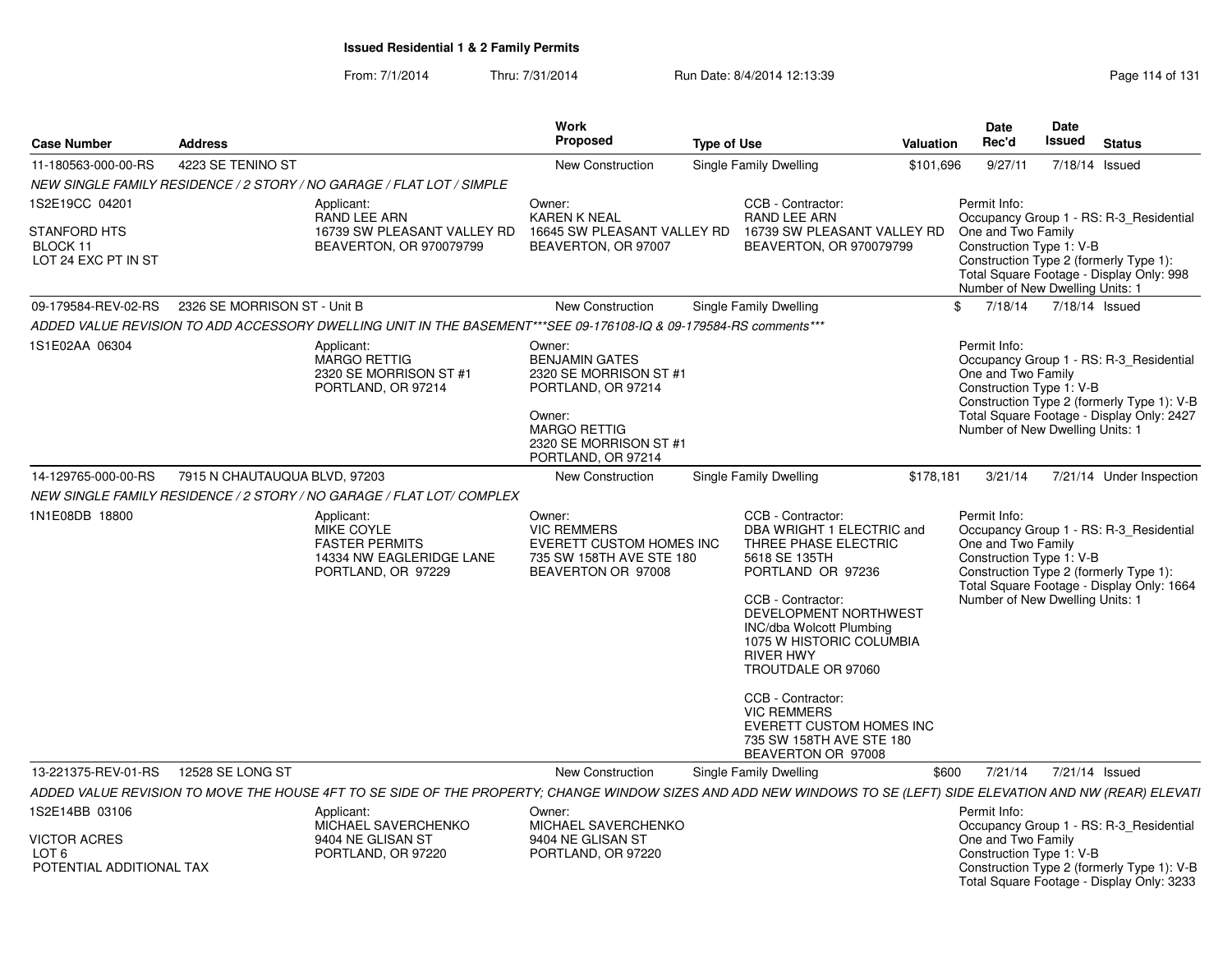From: 7/1/2014Thru: 7/31/2014 Run Date: 8/4/2014 12:13:39 Rege 114 of 131

| <b>Case Number</b>                                                         | Address                       |                                                                                                                                                                  | Work<br><b>Proposed</b>                                                                                                                                          | <b>Type of Use</b>     |                                                                                                                                                                                                                                                                                                                                                                                              | <b>Valuation</b> | <b>Date</b><br>Rec'd                                                                                                                                                                                                                    | <b>Date</b><br>Issued | <b>Status</b> |                          |
|----------------------------------------------------------------------------|-------------------------------|------------------------------------------------------------------------------------------------------------------------------------------------------------------|------------------------------------------------------------------------------------------------------------------------------------------------------------------|------------------------|----------------------------------------------------------------------------------------------------------------------------------------------------------------------------------------------------------------------------------------------------------------------------------------------------------------------------------------------------------------------------------------------|------------------|-----------------------------------------------------------------------------------------------------------------------------------------------------------------------------------------------------------------------------------------|-----------------------|---------------|--------------------------|
| 11-180563-000-00-RS                                                        | 4223 SE TENINO ST             |                                                                                                                                                                  | <b>New Construction</b>                                                                                                                                          | Single Family Dwelling |                                                                                                                                                                                                                                                                                                                                                                                              | \$101,696        | 9/27/11                                                                                                                                                                                                                                 | 7/18/14 Issued        |               |                          |
|                                                                            |                               | NEW SINGLE FAMILY RESIDENCE / 2 STORY / NO GARAGE / FLAT LOT / SIMPLE                                                                                            |                                                                                                                                                                  |                        |                                                                                                                                                                                                                                                                                                                                                                                              |                  |                                                                                                                                                                                                                                         |                       |               |                          |
| 1S2E19CC 04201<br>STANFORD HTS<br>BLOCK 11<br>LOT 24 EXC PT IN ST          |                               | Applicant:<br>RAND LEE ARN<br>16739 SW PLEASANT VALLEY RD<br>BEAVERTON, OR 970079799                                                                             | Owner:<br><b>KAREN K NEAL</b><br>16645 SW PLEASANT VALLEY RD<br>BEAVERTON, OR 97007                                                                              |                        | CCB - Contractor:<br>RAND LEE ARN<br>16739 SW PLEASANT VALLEY RD<br>BEAVERTON, OR 970079799                                                                                                                                                                                                                                                                                                  |                  | Permit Info:<br>Occupancy Group 1 - RS: R-3_Residential<br>One and Two Family<br>Construction Type 1: V-B<br>Construction Type 2 (formerly Type 1):                                                                                     |                       |               |                          |
|                                                                            |                               |                                                                                                                                                                  |                                                                                                                                                                  |                        |                                                                                                                                                                                                                                                                                                                                                                                              |                  | Total Square Footage - Display Only: 998<br>Number of New Dwelling Units: 1                                                                                                                                                             |                       |               |                          |
| 09-179584-REV-02-RS                                                        | 2326 SE MORRISON ST - Unit B  |                                                                                                                                                                  | <b>New Construction</b>                                                                                                                                          | Single Family Dwelling |                                                                                                                                                                                                                                                                                                                                                                                              |                  | \$7/18/14                                                                                                                                                                                                                               | 7/18/14 Issued        |               |                          |
|                                                                            |                               | ADDED VALUE REVISION TO ADD ACCESSORY DWELLING UNIT IN THE BASEMENT***SEE 09-176108-IQ & 09-179584-RS comments***                                                |                                                                                                                                                                  |                        |                                                                                                                                                                                                                                                                                                                                                                                              |                  |                                                                                                                                                                                                                                         |                       |               |                          |
| 1S1E02AA 06304                                                             |                               | Applicant:<br><b>MARGO RETTIG</b><br>2320 SE MORRISON ST #1<br>PORTLAND, OR 97214                                                                                | Owner:<br><b>BENJAMIN GATES</b><br>2320 SE MORRISON ST #1<br>PORTLAND, OR 97214<br>Owner:<br><b>MARGO RETTIG</b><br>2320 SE MORRISON ST #1<br>PORTLAND, OR 97214 |                        |                                                                                                                                                                                                                                                                                                                                                                                              |                  | Permit Info:<br>Occupancy Group 1 - RS: R-3_Residential<br>One and Two Family<br>Construction Type 1: V-B<br>Construction Type 2 (formerly Type 1): V-B<br>Total Square Footage - Display Only: 2427<br>Number of New Dwelling Units: 1 |                       |               |                          |
| 14-129765-000-00-RS                                                        | 7915 N CHAUTAUQUA BLVD, 97203 |                                                                                                                                                                  | New Construction                                                                                                                                                 | Single Family Dwelling |                                                                                                                                                                                                                                                                                                                                                                                              | \$178.181        | 3/21/14                                                                                                                                                                                                                                 |                       |               | 7/21/14 Under Inspection |
|                                                                            |                               | NEW SINGLE FAMILY RESIDENCE / 2 STORY / NO GARAGE / FLAT LOT/ COMPLEX                                                                                            |                                                                                                                                                                  |                        |                                                                                                                                                                                                                                                                                                                                                                                              |                  |                                                                                                                                                                                                                                         |                       |               |                          |
| 1N1E08DB 18800                                                             |                               | Applicant:<br>MIKE COYLE<br><b>FASTER PERMITS</b><br>14334 NW EAGLERIDGE LANE<br>PORTLAND, OR 97229                                                              | Owner:<br><b>VIC REMMERS</b><br>EVERETT CUSTOM HOMES INC<br>735 SW 158TH AVE STE 180<br>BEAVERTON OR 97008                                                       |                        | CCB - Contractor:<br>DBA WRIGHT 1 ELECTRIC and<br>THREE PHASE ELECTRIC<br>5618 SE 135TH<br>PORTLAND OR 97236<br>CCB - Contractor:<br>DEVELOPMENT NORTHWEST<br><b>INC/dba Wolcott Plumbing</b><br>1075 W HISTORIC COLUMBIA<br><b>RIVER HWY</b><br>TROUTDALE OR 97060<br>CCB - Contractor:<br><b>VIC REMMERS</b><br>EVERETT CUSTOM HOMES INC<br>735 SW 158TH AVE STE 180<br>BEAVERTON OR 97008 |                  | Permit Info:<br>Occupancy Group 1 - RS: R-3 Residential<br>One and Two Family<br>Construction Type 1: V-B<br>Construction Type 2 (formerly Type 1):<br>Total Square Footage - Display Only: 1664<br>Number of New Dwelling Units: 1     |                       |               |                          |
| 13-221375-REV-01-RS  12528 SE LONG ST                                      |                               |                                                                                                                                                                  | <b>New Construction</b>                                                                                                                                          | Single Family Dwelling |                                                                                                                                                                                                                                                                                                                                                                                              | \$600            | 7/21/14                                                                                                                                                                                                                                 | 7/21/14 Issued        |               |                          |
|                                                                            |                               | ADDED VALUE REVISION TO MOVE THE HOUSE 4FT TO SE SIDE OF THE PROPERTY; CHANGE WINDOW SIZES AND ADD NEW WINDOWS TO SE (LEFT) SIDE ELEVATION AND NW (REAR) ELEVATI |                                                                                                                                                                  |                        |                                                                                                                                                                                                                                                                                                                                                                                              |                  |                                                                                                                                                                                                                                         |                       |               |                          |
| 1S2E14BB 03106<br><b>VICTOR ACRES</b><br>LOT 6<br>POTENTIAL ADDITIONAL TAX |                               | Applicant:<br>MICHAEL SAVERCHENKO<br>9404 NE GLISAN ST<br>PORTLAND, OR 97220                                                                                     | Owner:<br>MICHAEL SAVERCHENKO<br>9404 NE GLISAN ST<br>PORTLAND, OR 97220                                                                                         |                        |                                                                                                                                                                                                                                                                                                                                                                                              |                  | Permit Info:<br>Occupancy Group 1 - RS: R-3 Residential<br>One and Two Family<br>Construction Type 1: V-B<br>Construction Type 2 (formerly Type 1): V-B<br>Total Square Footage - Display Only: 3233                                    |                       |               |                          |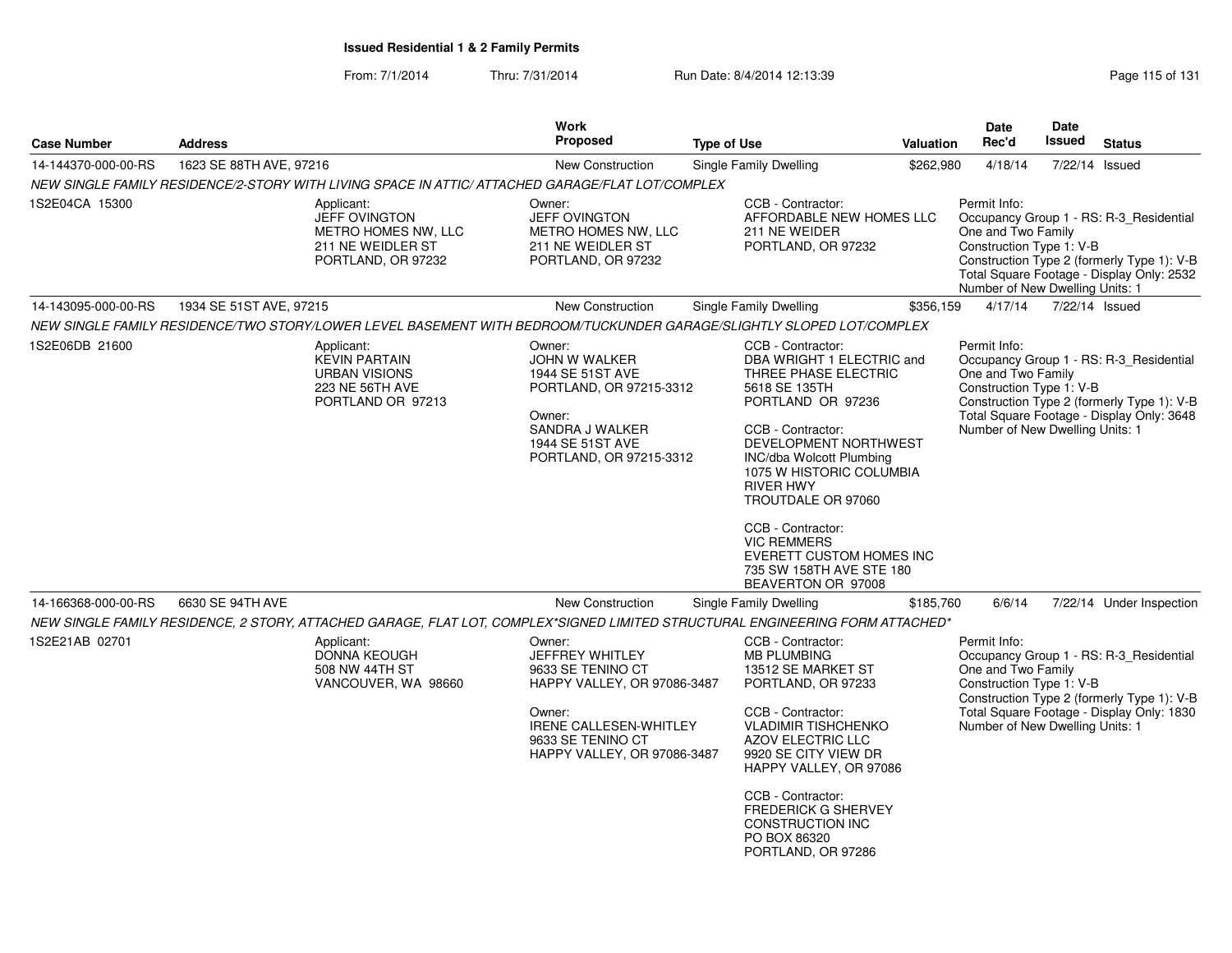From: 7/1/2014Thru: 7/31/2014 Run Date: 8/4/2014 12:13:39 Rege 115 of 131

| <b>Address</b>          | Work<br><b>Proposed</b>                                                                                                                                                                                                                                                           | <b>Type of Use</b> |                                                                                                                                                                                                                                                | Date<br>Rec'd                                                                                                                                                                                                                                                                                                                                                                                                                                                                                                                                                                                                                                                                                                                                                                                                                                                                                                                                                                                       | Date<br><b>Issued</b>                                                                                                                                                                                                | <b>Status</b>                                                                                                                                                                                                                                                                                                                                                                                                                                                                                                                                                                                                                                                                                                 |
|-------------------------|-----------------------------------------------------------------------------------------------------------------------------------------------------------------------------------------------------------------------------------------------------------------------------------|--------------------|------------------------------------------------------------------------------------------------------------------------------------------------------------------------------------------------------------------------------------------------|-----------------------------------------------------------------------------------------------------------------------------------------------------------------------------------------------------------------------------------------------------------------------------------------------------------------------------------------------------------------------------------------------------------------------------------------------------------------------------------------------------------------------------------------------------------------------------------------------------------------------------------------------------------------------------------------------------------------------------------------------------------------------------------------------------------------------------------------------------------------------------------------------------------------------------------------------------------------------------------------------------|----------------------------------------------------------------------------------------------------------------------------------------------------------------------------------------------------------------------|---------------------------------------------------------------------------------------------------------------------------------------------------------------------------------------------------------------------------------------------------------------------------------------------------------------------------------------------------------------------------------------------------------------------------------------------------------------------------------------------------------------------------------------------------------------------------------------------------------------------------------------------------------------------------------------------------------------|
| 1623 SE 88TH AVE, 97216 | <b>New Construction</b>                                                                                                                                                                                                                                                           |                    |                                                                                                                                                                                                                                                |                                                                                                                                                                                                                                                                                                                                                                                                                                                                                                                                                                                                                                                                                                                                                                                                                                                                                                                                                                                                     |                                                                                                                                                                                                                      | 7/22/14 Issued                                                                                                                                                                                                                                                                                                                                                                                                                                                                                                                                                                                                                                                                                                |
|                         |                                                                                                                                                                                                                                                                                   |                    |                                                                                                                                                                                                                                                |                                                                                                                                                                                                                                                                                                                                                                                                                                                                                                                                                                                                                                                                                                                                                                                                                                                                                                                                                                                                     |                                                                                                                                                                                                                      |                                                                                                                                                                                                                                                                                                                                                                                                                                                                                                                                                                                                                                                                                                               |
|                         | Owner:<br><b>JEFF OVINGTON</b><br>METRO HOMES NW, LLC<br>211 NE WEIDLER ST<br>PORTLAND, OR 97232                                                                                                                                                                                  |                    |                                                                                                                                                                                                                                                | Permit Info:                                                                                                                                                                                                                                                                                                                                                                                                                                                                                                                                                                                                                                                                                                                                                                                                                                                                                                                                                                                        |                                                                                                                                                                                                                      |                                                                                                                                                                                                                                                                                                                                                                                                                                                                                                                                                                                                                                                                                                               |
| 1934 SE 51ST AVE, 97215 | <b>New Construction</b>                                                                                                                                                                                                                                                           |                    |                                                                                                                                                                                                                                                |                                                                                                                                                                                                                                                                                                                                                                                                                                                                                                                                                                                                                                                                                                                                                                                                                                                                                                                                                                                                     |                                                                                                                                                                                                                      | 7/22/14 Issued                                                                                                                                                                                                                                                                                                                                                                                                                                                                                                                                                                                                                                                                                                |
|                         |                                                                                                                                                                                                                                                                                   |                    |                                                                                                                                                                                                                                                |                                                                                                                                                                                                                                                                                                                                                                                                                                                                                                                                                                                                                                                                                                                                                                                                                                                                                                                                                                                                     |                                                                                                                                                                                                                      |                                                                                                                                                                                                                                                                                                                                                                                                                                                                                                                                                                                                                                                                                                               |
|                         | Owner:<br>JOHN W WALKER<br>1944 SE 51ST AVE<br>Owner:<br>SANDRA J WALKER<br>1944 SE 51ST AVE                                                                                                                                                                                      |                    |                                                                                                                                                                                                                                                | Permit Info:                                                                                                                                                                                                                                                                                                                                                                                                                                                                                                                                                                                                                                                                                                                                                                                                                                                                                                                                                                                        |                                                                                                                                                                                                                      |                                                                                                                                                                                                                                                                                                                                                                                                                                                                                                                                                                                                                                                                                                               |
| 6630 SE 94TH AVE        | <b>New Construction</b>                                                                                                                                                                                                                                                           |                    |                                                                                                                                                                                                                                                |                                                                                                                                                                                                                                                                                                                                                                                                                                                                                                                                                                                                                                                                                                                                                                                                                                                                                                                                                                                                     |                                                                                                                                                                                                                      | 7/22/14 Under Inspection                                                                                                                                                                                                                                                                                                                                                                                                                                                                                                                                                                                                                                                                                      |
|                         |                                                                                                                                                                                                                                                                                   |                    |                                                                                                                                                                                                                                                |                                                                                                                                                                                                                                                                                                                                                                                                                                                                                                                                                                                                                                                                                                                                                                                                                                                                                                                                                                                                     |                                                                                                                                                                                                                      |                                                                                                                                                                                                                                                                                                                                                                                                                                                                                                                                                                                                                                                                                                               |
|                         | Owner:<br>JEFFREY WHITLEY<br>9633 SE TENINO CT<br>Owner:<br>9633 SE TENINO CT                                                                                                                                                                                                     |                    |                                                                                                                                                                                                                                                | Permit Info:                                                                                                                                                                                                                                                                                                                                                                                                                                                                                                                                                                                                                                                                                                                                                                                                                                                                                                                                                                                        |                                                                                                                                                                                                                      |                                                                                                                                                                                                                                                                                                                                                                                                                                                                                                                                                                                                                                                                                                               |
|                         | Applicant:<br><b>JEFF OVINGTON</b><br>METRO HOMES NW, LLC<br>211 NE WEIDLER ST<br>PORTLAND, OR 97232<br>Applicant:<br><b>KEVIN PARTAIN</b><br><b>URBAN VISIONS</b><br>223 NE 56TH AVE<br>PORTLAND OR 97213<br>Applicant:<br>DONNA KEOUGH<br>508 NW 44TH ST<br>VANCOUVER, WA 98660 |                    | NEW SINGLE FAMILY RESIDENCE/2-STORY WITH LIVING SPACE IN ATTIC/ ATTACHED GARAGE/FLAT LOT/COMPLEX<br>PORTLAND, OR 97215-3312<br>PORTLAND, OR 97215-3312<br>HAPPY VALLEY, OR 97086-3487<br>IRENE CALLESEN-WHITLEY<br>HAPPY VALLEY, OR 97086-3487 | Single Family Dwelling<br>CCB - Contractor:<br>211 NE WEIDER<br>PORTLAND, OR 97232<br>Single Family Dwelling<br>NEW SINGLE FAMILY RESIDENCE/TWO STORY/LOWER LEVEL BASEMENT WITH BEDROOM/TUCKUNDER GARAGE/SLIGHTLY SLOPED LOT/COMPLEX<br>CCB - Contractor:<br>DBA WRIGHT 1 ELECTRIC and<br>THREE PHASE ELECTRIC<br>5618 SE 135TH<br>PORTLAND OR 97236<br>CCB - Contractor:<br>DEVELOPMENT NORTHWEST<br>INC/dba Wolcott Plumbing<br>1075 W HISTORIC COLUMBIA<br><b>RIVER HWY</b><br>TROUTDALE OR 97060<br>CCB - Contractor:<br><b>VIC REMMERS</b><br><b>EVERETT CUSTOM HOMES INC</b><br>735 SW 158TH AVE STE 180<br>BEAVERTON OR 97008<br>Single Family Dwelling<br>CCB - Contractor:<br><b>MB PLUMBING</b><br>13512 SE MARKET ST<br>PORTLAND, OR 97233<br>CCB - Contractor:<br><b>VLADIMIR TISHCHENKO</b><br><b>AZOV ELECTRIC LLC</b><br>9920 SE CITY VIEW DR<br>HAPPY VALLEY, OR 97086<br>CCB - Contractor:<br>FREDERICK G SHERVEY<br><b>CONSTRUCTION INC</b><br>PO BOX 86320<br>PORTLAND, OR 97286 | <b>Valuation</b><br>\$262,980<br>AFFORDABLE NEW HOMES LLC<br>\$356,159<br>\$185,760<br>NEW SINGLE FAMILY RESIDENCE, 2 STORY, ATTACHED GARAGE, FLAT LOT, COMPLEX*SIGNED LIMITED STRUCTURAL ENGINEERING FORM ATTACHED* | 4/18/14<br>Occupancy Group 1 - RS: R-3_Residential<br>One and Two Family<br>Construction Type 1: V-B<br>Construction Type 2 (formerly Type 1): V-B<br>Total Square Footage - Display Only: 2532<br>Number of New Dwelling Units: 1<br>4/17/14<br>Occupancy Group 1 - RS: R-3_Residential<br>One and Two Family<br>Construction Type 1: V-B<br>Construction Type 2 (formerly Type 1): V-B<br>Total Square Footage - Display Only: 3648<br>Number of New Dwelling Units: 1<br>6/6/14<br>Occupancy Group 1 - RS: R-3 Residential<br>One and Two Family<br>Construction Type 1: V-B<br>Construction Type 2 (formerly Type 1): V-B<br>Total Square Footage - Display Only: 1830<br>Number of New Dwelling Units: 1 |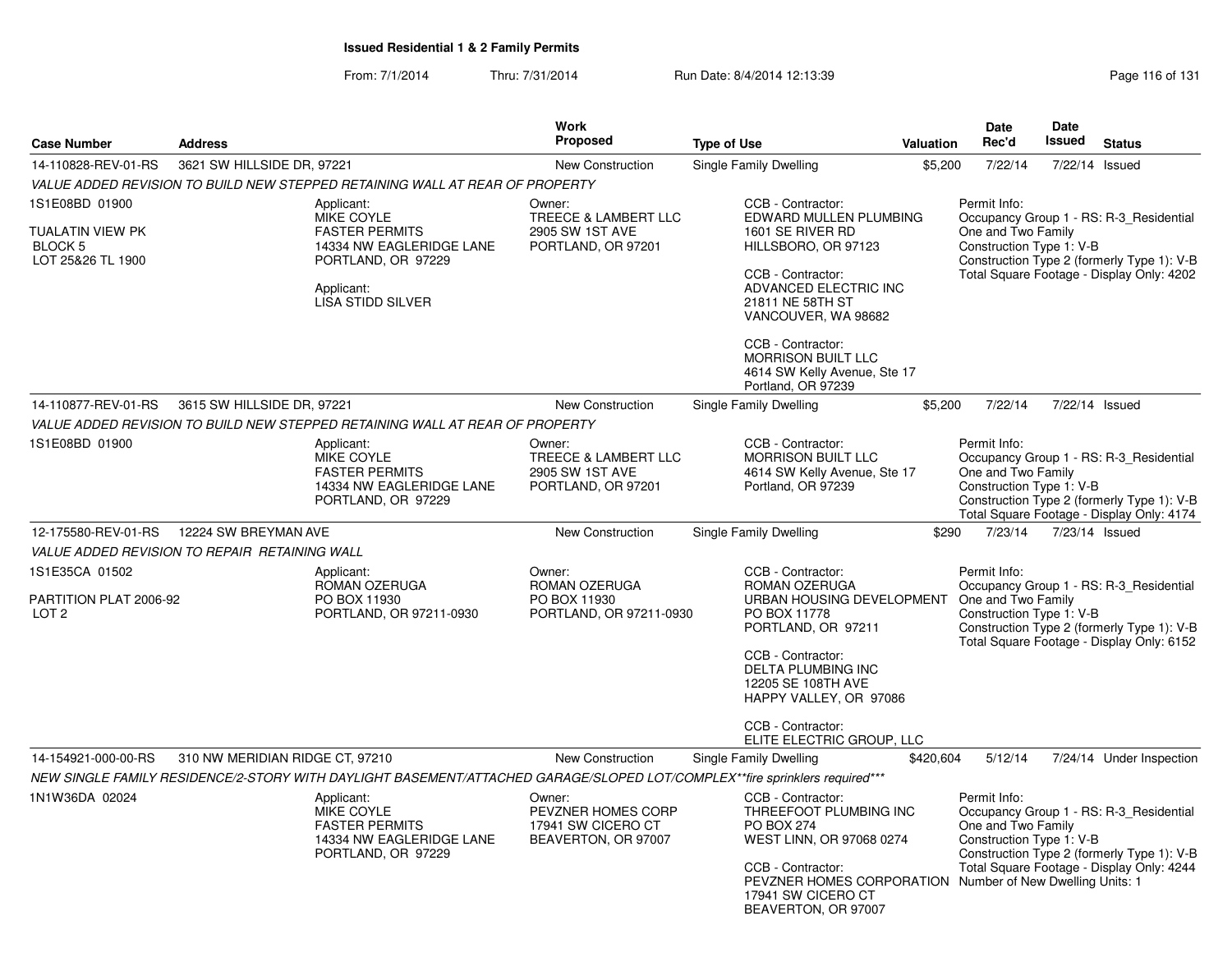From: 7/1/2014Thru: 7/31/2014 Run Date: 8/4/2014 12:13:39 Research 2010 Rage 116 of 131

| <b>Case Number</b>                                                 | <b>Address</b>                                                                                                                                       | <b>Work</b><br><b>Proposed</b>                                            | <b>Type of Use</b>                                                                                                                                                                                                                                                           | Valuation | <b>Date</b><br>Rec'd                                           | <b>Date</b><br><b>Issued</b> | <b>Status</b>                                                                                                                      |
|--------------------------------------------------------------------|------------------------------------------------------------------------------------------------------------------------------------------------------|---------------------------------------------------------------------------|------------------------------------------------------------------------------------------------------------------------------------------------------------------------------------------------------------------------------------------------------------------------------|-----------|----------------------------------------------------------------|------------------------------|------------------------------------------------------------------------------------------------------------------------------------|
| 14-110828-REV-01-RS                                                | 3621 SW HILLSIDE DR, 97221                                                                                                                           | New Construction                                                          | Single Family Dwelling                                                                                                                                                                                                                                                       | \$5,200   | 7/22/14                                                        | 7/22/14                      | Issued                                                                                                                             |
|                                                                    | VALUE ADDED REVISION TO BUILD NEW STEPPED RETAINING WALL AT REAR OF PROPERTY                                                                         |                                                                           |                                                                                                                                                                                                                                                                              |           |                                                                |                              |                                                                                                                                    |
| 1S1E08BD 01900<br>TUALATIN VIEW PK<br>BLOCK 5<br>LOT 25&26 TL 1900 | Applicant:<br><b>MIKE COYLE</b><br><b>FASTER PERMITS</b><br>14334 NW EAGLERIDGE LANE<br>PORTLAND, OR 97229<br>Applicant:<br><b>LISA STIDD SILVER</b> | Owner:<br>TREECE & LAMBERT LLC<br>2905 SW 1ST AVE<br>PORTLAND, OR 97201   | CCB - Contractor:<br>EDWARD MULLEN PLUMBING<br>1601 SE RIVER RD<br>HILLSBORO, OR 97123<br>CCB - Contractor:<br>ADVANCED ELECTRIC INC<br>21811 NE 58TH ST<br>VANCOUVER, WA 98682<br>CCB - Contractor:<br><b>MORRISON BUILT LLC</b><br>4614 SW Kelly Avenue, Ste 17            |           | Permit Info:<br>One and Two Family<br>Construction Type 1: V-B |                              | Occupancy Group 1 - RS: R-3_Residential<br>Construction Type 2 (formerly Type 1): V-B<br>Total Square Footage - Display Only: 4202 |
| 14-110877-REV-01-RS                                                | 3615 SW HILLSIDE DR, 97221                                                                                                                           | New Construction                                                          | Portland, OR 97239<br>Single Family Dwelling                                                                                                                                                                                                                                 | \$5,200   | 7/22/14                                                        |                              | 7/22/14 Issued                                                                                                                     |
|                                                                    | VALUE ADDED REVISION TO BUILD NEW STEPPED RETAINING WALL AT REAR OF PROPERTY                                                                         |                                                                           |                                                                                                                                                                                                                                                                              |           |                                                                |                              |                                                                                                                                    |
| 1S1E08BD 01900                                                     | Applicant:<br><b>MIKE COYLE</b><br><b>FASTER PERMITS</b><br>14334 NW EAGLERIDGE LANE<br>PORTLAND, OR 97229                                           | Owner:<br>TREECE & LAMBERT LLC<br>2905 SW 1ST AVE<br>PORTLAND, OR 97201   | CCB - Contractor:<br><b>MORRISON BUILT LLC</b><br>4614 SW Kelly Avenue, Ste 17<br>Portland, OR 97239                                                                                                                                                                         |           | Permit Info:<br>One and Two Family<br>Construction Type 1: V-B |                              | Occupancy Group 1 - RS: R-3_Residential<br>Construction Type 2 (formerly Type 1): V-B<br>Total Square Footage - Display Only: 4174 |
| 12-175580-REV-01-RS                                                | 12224 SW BREYMAN AVE                                                                                                                                 | New Construction                                                          | Single Family Dwelling                                                                                                                                                                                                                                                       | \$290     | 7/23/14                                                        | 7/23/14 Issued               |                                                                                                                                    |
|                                                                    | <b>VALUE ADDED REVISION TO REPAIR RETAINING WALL</b>                                                                                                 |                                                                           |                                                                                                                                                                                                                                                                              |           |                                                                |                              |                                                                                                                                    |
| 1S1E35CA 01502<br>PARTITION PLAT 2006-92<br>LOT <sub>2</sub>       | Applicant:<br>ROMAN OZERUGA<br>PO BOX 11930<br>PORTLAND, OR 97211-0930                                                                               | Owner:<br>ROMAN OZERUGA<br>PO BOX 11930<br>PORTLAND, OR 97211-0930        | CCB - Contractor:<br>ROMAN OZERUGA<br>URBAN HOUSING DEVELOPMENT One and Two Family<br>PO BOX 11778<br>PORTLAND, OR 97211<br>CCB - Contractor:<br><b>DELTA PLUMBING INC</b><br>12205 SE 108TH AVE<br>HAPPY VALLEY, OR 97086<br>CCB - Contractor:<br>ELITE ELECTRIC GROUP, LLC |           | Permit Info:<br>Construction Type 1: V-B                       |                              | Occupancy Group 1 - RS: R-3_Residential<br>Construction Type 2 (formerly Type 1): V-B<br>Total Square Footage - Display Only: 6152 |
| 14-154921-000-00-RS                                                | 310 NW MERIDIAN RIDGE CT, 97210                                                                                                                      | <b>New Construction</b>                                                   | Single Family Dwelling                                                                                                                                                                                                                                                       | \$420,604 | 5/12/14                                                        |                              | 7/24/14 Under Inspection                                                                                                           |
|                                                                    | NEW SINGLE FAMILY RESIDENCE/2-STORY WITH DAYLIGHT BASEMENT/ATTACHED GARAGE/SLOPED LOT/COMPLEX**fire sprinklers required***                           |                                                                           |                                                                                                                                                                                                                                                                              |           |                                                                |                              |                                                                                                                                    |
| 1N1W36DA 02024                                                     | Applicant:<br>MIKE COYLE<br><b>FASTER PERMITS</b><br>14334 NW EAGLERIDGE LANE<br>PORTLAND, OR 97229                                                  | Owner:<br>PEVZNER HOMES CORP<br>17941 SW CICERO CT<br>BEAVERTON, OR 97007 | CCB - Contractor:<br>THREEFOOT PLUMBING INC<br><b>PO BOX 274</b><br>WEST LINN, OR 97068 0274<br>CCB - Contractor:<br>PEVZNER HOMES CORPORATION Number of New Dwelling Units: 1<br>17941 SW CICERO CT<br>BEAVERTON, OR 97007                                                  |           | Permit Info:<br>One and Two Family<br>Construction Type 1: V-B |                              | Occupancy Group 1 - RS: R-3_Residential<br>Construction Type 2 (formerly Type 1): V-B<br>Total Square Footage - Display Only: 4244 |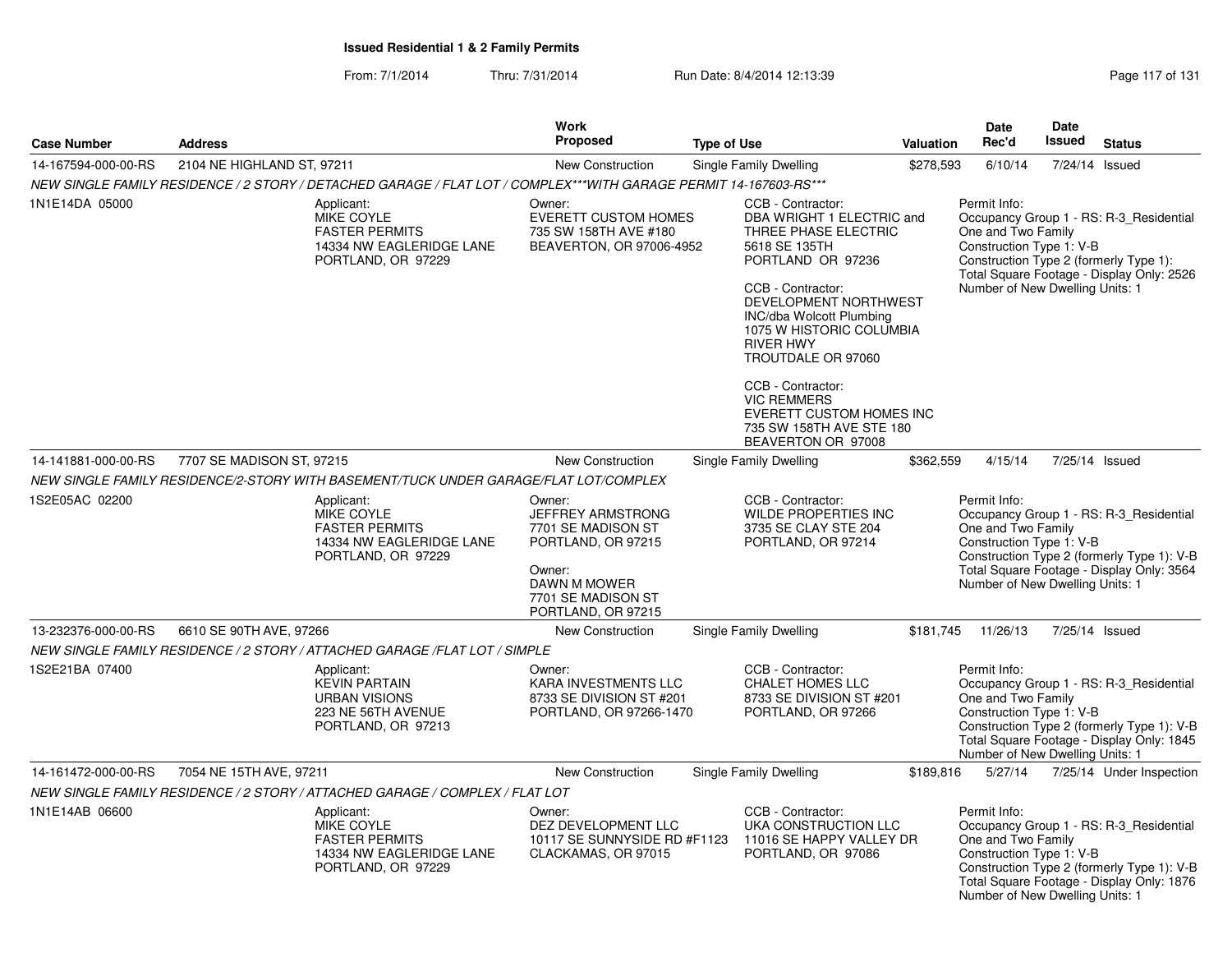From: 7/1/2014Thru: 7/31/2014 Run Date: 8/4/2014 12:13:39

| Page 117 of 131 |  |  |  |
|-----------------|--|--|--|
|-----------------|--|--|--|

|                     |                                                                                                                   | <b>Work</b>                                                                                                                    |                                                                                                                                                                                                                                                              |           | <b>Date</b>                                                                                       | Date          |                                                                                                                                    |
|---------------------|-------------------------------------------------------------------------------------------------------------------|--------------------------------------------------------------------------------------------------------------------------------|--------------------------------------------------------------------------------------------------------------------------------------------------------------------------------------------------------------------------------------------------------------|-----------|---------------------------------------------------------------------------------------------------|---------------|------------------------------------------------------------------------------------------------------------------------------------|
| <b>Case Number</b>  | <b>Address</b>                                                                                                    | Proposed                                                                                                                       | <b>Type of Use</b>                                                                                                                                                                                                                                           | Valuation | Rec'd                                                                                             | <b>Issued</b> | <b>Status</b>                                                                                                                      |
| 14-167594-000-00-RS | 2104 NE HIGHLAND ST. 97211                                                                                        | New Construction                                                                                                               | Single Family Dwelling                                                                                                                                                                                                                                       | \$278,593 | 6/10/14                                                                                           |               | 7/24/14 Issued                                                                                                                     |
|                     | NEW SINGLE FAMILY RESIDENCE / 2 STORY / DETACHED GARAGE / FLAT LOT / COMPLEX***WITH GARAGE PERMIT 14-167603-RS*** |                                                                                                                                |                                                                                                                                                                                                                                                              |           |                                                                                                   |               |                                                                                                                                    |
| 1N1E14DA 05000      | Applicant:<br>MIKE COYLE<br><b>FASTER PERMITS</b><br>14334 NW EAGLERIDGE LANE<br>PORTLAND, OR 97229               | Owner:<br><b>EVERETT CUSTOM HOMES</b><br>735 SW 158TH AVE #180<br>BEAVERTON, OR 97006-4952                                     | CCB - Contractor:<br>DBA WRIGHT 1 ELECTRIC and<br>THREE PHASE ELECTRIC<br>5618 SE 135TH<br>PORTLAND OR 97236<br>CCB - Contractor:<br>DEVELOPMENT NORTHWEST<br>INC/dba Wolcott Plumbing<br>1075 W HISTORIC COLUMBIA<br><b>RIVER HWY</b><br>TROUTDALE OR 97060 |           | Permit Info:<br>One and Two Family<br>Construction Type 1: V-B<br>Number of New Dwelling Units: 1 |               | Occupancy Group 1 - RS: R-3 Residential<br>Construction Type 2 (formerly Type 1):<br>Total Square Footage - Display Only: 2526     |
|                     |                                                                                                                   |                                                                                                                                | CCB - Contractor:<br><b>VIC REMMERS</b><br>EVERETT CUSTOM HOMES INC<br>735 SW 158TH AVE STE 180<br>BEAVERTON OR 97008                                                                                                                                        |           |                                                                                                   |               |                                                                                                                                    |
| 14-141881-000-00-RS | 7707 SE MADISON ST, 97215                                                                                         | <b>New Construction</b>                                                                                                        | Single Family Dwelling                                                                                                                                                                                                                                       | \$362,559 | 4/15/14                                                                                           |               | 7/25/14 Issued                                                                                                                     |
|                     | NEW SINGLE FAMILY RESIDENCE/2-STORY WITH BASEMENT/TUCK UNDER GARAGE/FLAT LOT/COMPLEX                              |                                                                                                                                |                                                                                                                                                                                                                                                              |           |                                                                                                   |               |                                                                                                                                    |
| 1S2E05AC 02200      | Applicant:<br>MIKE COYLE<br><b>FASTER PERMITS</b><br>14334 NW EAGLERIDGE LANE<br>PORTLAND, OR 97229               | Owner:<br><b>JEFFREY ARMSTRONG</b><br>7701 SE MADISON ST<br>PORTLAND, OR 97215<br>Owner:<br>DAWN M MOWER<br>7701 SE MADISON ST | CCB - Contractor:<br><b>WILDE PROPERTIES INC</b><br>3735 SE CLAY STE 204<br>PORTLAND, OR 97214                                                                                                                                                               |           | Permit Info:<br>One and Two Family<br>Construction Type 1: V-B<br>Number of New Dwelling Units: 1 |               | Occupancy Group 1 - RS: R-3 Residential<br>Construction Type 2 (formerly Type 1): V-B<br>Total Square Footage - Display Only: 3564 |
| 13-232376-000-00-RS | 6610 SE 90TH AVE, 97266                                                                                           | PORTLAND, OR 97215<br><b>New Construction</b>                                                                                  | Single Family Dwelling                                                                                                                                                                                                                                       | \$181,745 | 11/26/13                                                                                          |               | 7/25/14 Issued                                                                                                                     |
|                     | NEW SINGLE FAMILY RESIDENCE / 2 STORY / ATTACHED GARAGE / FLAT LOT / SIMPLE                                       |                                                                                                                                |                                                                                                                                                                                                                                                              |           |                                                                                                   |               |                                                                                                                                    |
| 1S2E21BA 07400      | Applicant:<br><b>KEVIN PARTAIN</b><br><b>URBAN VISIONS</b><br>223 NE 56TH AVENUE<br>PORTLAND, OR 97213            | Owner:<br>KARA INVESTMENTS LLC<br>8733 SE DIVISION ST #201<br>PORTLAND, OR 97266-1470                                          | CCB - Contractor:<br><b>CHALET HOMES LLC</b><br>8733 SE DIVISION ST #201<br>PORTLAND, OR 97266                                                                                                                                                               |           | Permit Info:<br>One and Two Family<br>Construction Type 1: V-B<br>Number of New Dwelling Units: 1 |               | Occupancy Group 1 - RS: R-3 Residential<br>Construction Type 2 (formerly Type 1): V-B<br>Total Square Footage - Display Only: 1845 |
| 14-161472-000-00-RS | 7054 NE 15TH AVE, 97211                                                                                           | <b>New Construction</b>                                                                                                        | Single Family Dwelling                                                                                                                                                                                                                                       | \$189,816 | 5/27/14                                                                                           |               | 7/25/14 Under Inspection                                                                                                           |
|                     | NEW SINGLE FAMILY RESIDENCE / 2 STORY / ATTACHED GARAGE / COMPLEX / FLAT LOT                                      |                                                                                                                                |                                                                                                                                                                                                                                                              |           |                                                                                                   |               |                                                                                                                                    |
| 1N1E14AB 06600      | Applicant:<br>MIKE COYLE<br><b>FASTER PERMITS</b><br>14334 NW EAGLERIDGE LANE<br>PORTLAND, OR 97229               | Owner:<br>DEZ DEVELOPMENT LLC<br>10117 SE SUNNYSIDE RD #F1123<br>CLACKAMAS, OR 97015                                           | CCB - Contractor:<br>UKA CONSTRUCTION LLC<br>11016 SE HAPPY VALLEY DR<br>PORTLAND, OR 97086                                                                                                                                                                  |           | Permit Info:<br>One and Two Family<br>Construction Type 1: V-B<br>Number of New Dwelling Units: 1 |               | Occupancy Group 1 - RS: R-3_Residential<br>Construction Type 2 (formerly Type 1): V-B<br>Total Square Footage - Display Only: 1876 |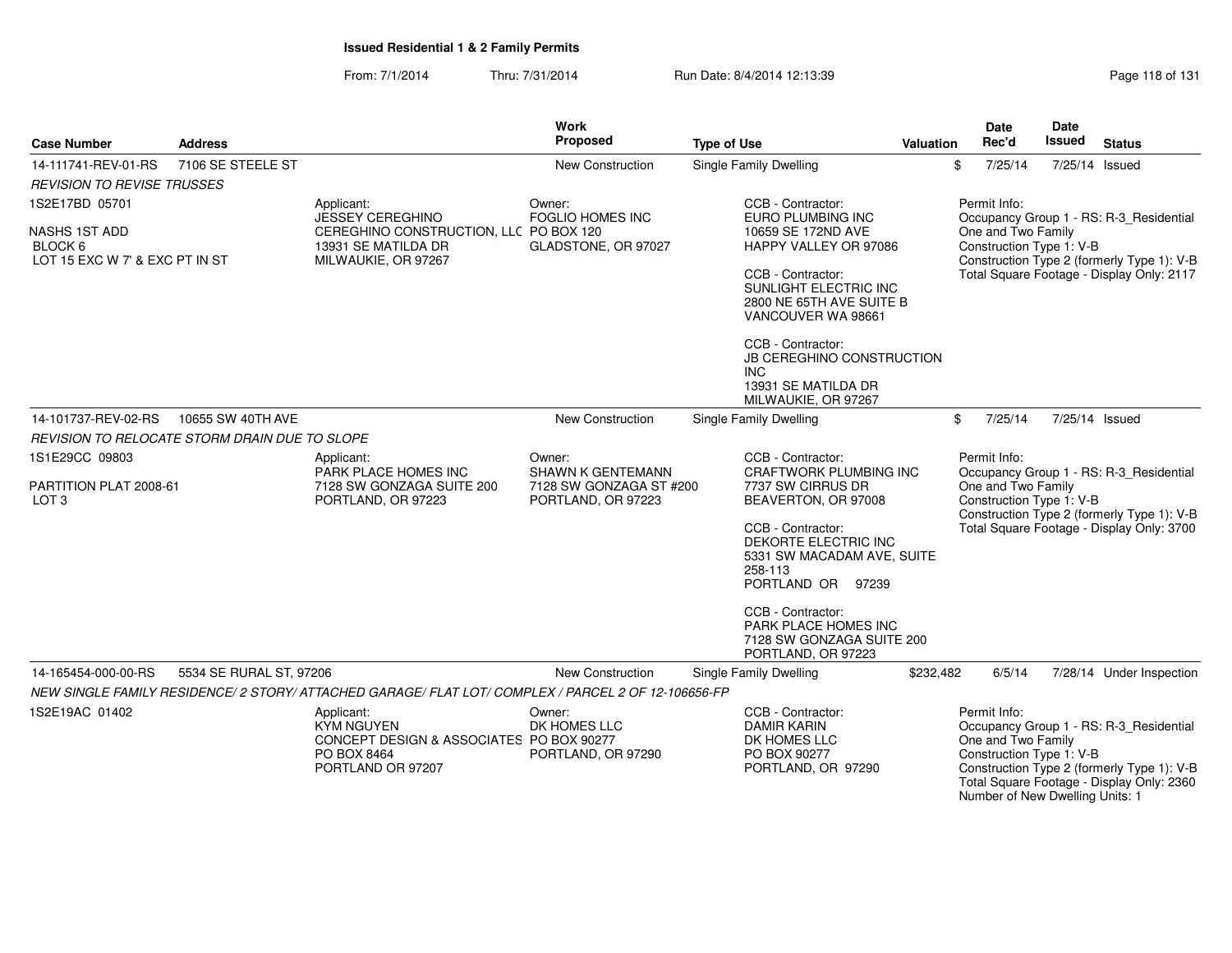#### From: 7/1/2014Thru: 7/31/2014 Run Date: 8/4/2014 12:13:39

| Page 118 of 131 |  |  |
|-----------------|--|--|
|-----------------|--|--|

| <b>Case Number</b>                                         | <b>Address</b>                                |                                                                                                                 | Work<br>Proposed                              | <b>Type of Use</b>                                                                                      | Valuation | <b>Date</b><br>Rec'd                                                                              | Date<br>Issued | <b>Status</b>                                                                                                                      |
|------------------------------------------------------------|-----------------------------------------------|-----------------------------------------------------------------------------------------------------------------|-----------------------------------------------|---------------------------------------------------------------------------------------------------------|-----------|---------------------------------------------------------------------------------------------------|----------------|------------------------------------------------------------------------------------------------------------------------------------|
| 14-111741-REV-01-RS                                        | 7106 SE STEELE ST                             |                                                                                                                 | New Construction                              | Single Family Dwelling                                                                                  |           | 7/25/14<br>\$                                                                                     |                | 7/25/14 Issued                                                                                                                     |
| <b>REVISION TO REVISE TRUSSES</b>                          |                                               |                                                                                                                 |                                               |                                                                                                         |           |                                                                                                   |                |                                                                                                                                    |
| 1S2E17BD 05701                                             |                                               | Applicant:<br><b>JESSEY CEREGHINO</b>                                                                           | Owner:<br><b>FOGLIO HOMES INC</b>             | CCB - Contractor:<br>EURO PLUMBING INC                                                                  |           | Permit Info:                                                                                      |                | Occupancy Group 1 - RS: R-3_Residential                                                                                            |
| NASHS 1ST ADD<br>BLOCK 6<br>LOT 15 EXC W 7' & EXC PT IN ST |                                               | CEREGHINO CONSTRUCTION, LLC PO BOX 120<br>13931 SE MATILDA DR<br>MILWAUKIE, OR 97267                            | GLADSTONE, OR 97027                           | 10659 SE 172ND AVE<br>HAPPY VALLEY OR 97086                                                             |           | One and Two Family<br>Construction Type 1: V-B                                                    |                | Construction Type 2 (formerly Type 1): V-B                                                                                         |
|                                                            |                                               |                                                                                                                 |                                               | CCB - Contractor:<br>SUNLIGHT ELECTRIC INC<br>2800 NE 65TH AVE SUITE B<br>VANCOUVER WA 98661            |           |                                                                                                   |                | Total Square Footage - Display Only: 2117                                                                                          |
|                                                            |                                               |                                                                                                                 |                                               | CCB - Contractor:<br>JB CEREGHINO CONSTRUCTION<br>INC<br>13931 SE MATILDA DR<br>MILWAUKIE, OR 97267     |           |                                                                                                   |                |                                                                                                                                    |
| 14-101737-REV-02-RS                                        | 10655 SW 40TH AVE                             |                                                                                                                 | <b>New Construction</b>                       | Single Family Dwelling                                                                                  |           | 7/25/14<br>\$                                                                                     |                | 7/25/14 Issued                                                                                                                     |
|                                                            | REVISION TO RELOCATE STORM DRAIN DUE TO SLOPE |                                                                                                                 |                                               |                                                                                                         |           |                                                                                                   |                |                                                                                                                                    |
| 1S1E29CC 09803                                             |                                               | Applicant:<br>PARK PLACE HOMES INC                                                                              | Owner:<br><b>SHAWN K GENTEMANN</b>            | CCB - Contractor:<br><b>CRAFTWORK PLUMBING INC</b>                                                      |           | Permit Info:                                                                                      |                | Occupancy Group 1 - RS: R-3_Residential                                                                                            |
| PARTITION PLAT 2008-61<br>LOT <sub>3</sub>                 |                                               | 7128 SW GONZAGA SUITE 200<br>PORTLAND, OR 97223                                                                 | 7128 SW GONZAGA ST #200<br>PORTLAND, OR 97223 | 7737 SW CIRRUS DR<br>BEAVERTON, OR 97008                                                                |           | One and Two Family<br>Construction Type 1: V-B                                                    |                | Construction Type 2 (formerly Type 1): V-B                                                                                         |
|                                                            |                                               |                                                                                                                 |                                               | CCB - Contractor:<br>DEKORTE ELECTRIC INC<br>5331 SW MACADAM AVE, SUITE<br>258-113<br>PORTLAND OR 97239 |           |                                                                                                   |                | Total Square Footage - Display Only: 3700                                                                                          |
|                                                            |                                               |                                                                                                                 |                                               | CCB - Contractor:<br>PARK PLACE HOMES INC<br>7128 SW GONZAGA SUITE 200<br>PORTLAND, OR 97223            |           |                                                                                                   |                |                                                                                                                                    |
| 14-165454-000-00-RS                                        | 5534 SE RURAL ST, 97206                       |                                                                                                                 | <b>New Construction</b>                       | Single Family Dwelling                                                                                  | \$232,482 | 6/5/14                                                                                            |                | 7/28/14 Under Inspection                                                                                                           |
|                                                            |                                               | NEW SINGLE FAMILY RESIDENCE/ 2 STORY/ ATTACHED GARAGE/ FLAT LOT/ COMPLEX / PARCEL 2 OF 12-106656-FP             |                                               |                                                                                                         |           |                                                                                                   |                |                                                                                                                                    |
| 1S2E19AC 01402                                             |                                               | Applicant:<br><b>KYM NGUYEN</b><br>CONCEPT DESIGN & ASSOCIATES PO BOX 90277<br>PO BOX 8464<br>PORTLAND OR 97207 | Owner:<br>DK HOMES LLC<br>PORTLAND, OR 97290  | CCB - Contractor:<br><b>DAMIR KARIN</b><br>DK HOMES LLC<br>PO BOX 90277<br>PORTLAND, OR 97290           |           | Permit Info:<br>One and Two Family<br>Construction Type 1: V-B<br>Number of New Dwelling Units: 1 |                | Occupancy Group 1 - RS: R-3 Residential<br>Construction Type 2 (formerly Type 1): V-B<br>Total Square Footage - Display Only: 2360 |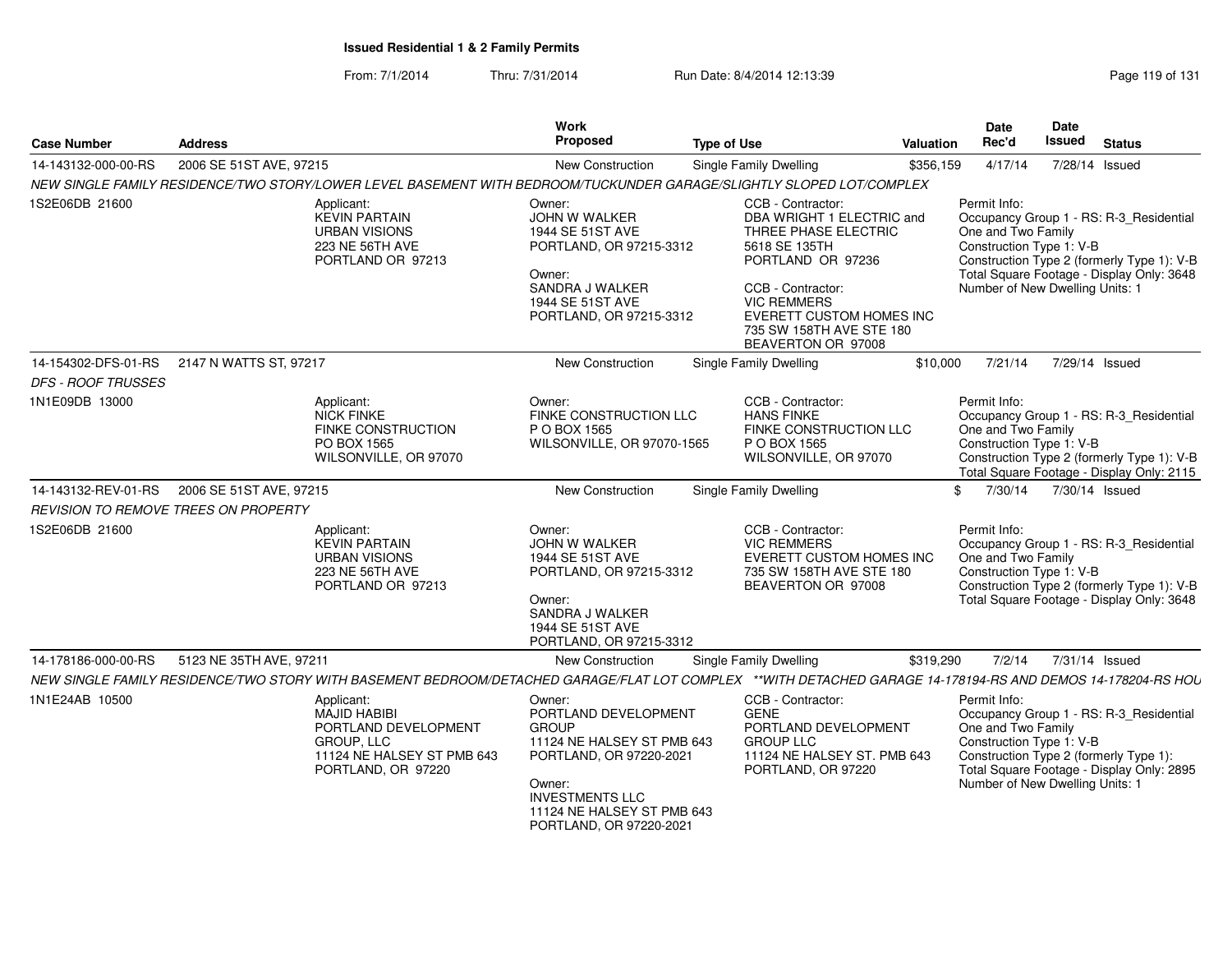From: 7/1/2014Thru: 7/31/2014 Run Date: 8/4/2014 12:13:39 Rege 119 of 131

| <b>Case Number</b>                   | <b>Address</b>                                                                                                                                              | Work<br>Proposed                                                                                                                                                                                     | <b>Type of Use</b>                                                                                                                                                                                                                    | <b>Valuation</b> | <b>Date</b><br>Rec'd                                                                              | Date<br>Issued | <b>Status</b>                                                                                                                      |
|--------------------------------------|-------------------------------------------------------------------------------------------------------------------------------------------------------------|------------------------------------------------------------------------------------------------------------------------------------------------------------------------------------------------------|---------------------------------------------------------------------------------------------------------------------------------------------------------------------------------------------------------------------------------------|------------------|---------------------------------------------------------------------------------------------------|----------------|------------------------------------------------------------------------------------------------------------------------------------|
| 14-143132-000-00-RS                  | 2006 SE 51ST AVE, 97215                                                                                                                                     | <b>New Construction</b>                                                                                                                                                                              | <b>Single Family Dwelling</b>                                                                                                                                                                                                         | \$356,159        | 4/17/14                                                                                           | 7/28/14 Issued |                                                                                                                                    |
|                                      | NEW SINGLE FAMILY RESIDENCE/TWO STORY/LOWER LEVEL BASEMENT WITH BEDROOM/TUCKUNDER GARAGE/SLIGHTLY SLOPED LOT/COMPLEX                                        |                                                                                                                                                                                                      |                                                                                                                                                                                                                                       |                  |                                                                                                   |                |                                                                                                                                    |
| 1S2E06DB 21600                       | Applicant:<br><b>KEVIN PARTAIN</b><br><b>URBAN VISIONS</b><br>223 NE 56TH AVE<br>PORTLAND OR 97213                                                          | Owner:<br>JOHN W WALKER<br>1944 SE 51ST AVE<br>PORTLAND, OR 97215-3312<br>Owner:<br>SANDRA J WALKER<br>1944 SE 51ST AVE<br>PORTLAND, OR 97215-3312                                                   | CCB - Contractor:<br>DBA WRIGHT 1 ELECTRIC and<br>THREE PHASE ELECTRIC<br>5618 SE 135TH<br>PORTLAND OR 97236<br>CCB - Contractor:<br><b>VIC REMMERS</b><br>EVERETT CUSTOM HOMES INC<br>735 SW 158TH AVE STE 180<br>BEAVERTON OR 97008 |                  | Permit Info:<br>One and Two Family<br>Construction Type 1: V-B<br>Number of New Dwelling Units: 1 |                | Occupancy Group 1 - RS: R-3_Residential<br>Construction Type 2 (formerly Type 1): V-B<br>Total Square Footage - Display Only: 3648 |
| 14-154302-DFS-01-RS                  | 2147 N WATTS ST, 97217                                                                                                                                      | New Construction                                                                                                                                                                                     | <b>Single Family Dwelling</b>                                                                                                                                                                                                         | \$10,000         | 7/21/14                                                                                           | 7/29/14 Issued |                                                                                                                                    |
| <i>DFS - ROOF TRUSSES</i>            |                                                                                                                                                             |                                                                                                                                                                                                      |                                                                                                                                                                                                                                       |                  |                                                                                                   |                |                                                                                                                                    |
| 1N1E09DB 13000                       | Applicant:<br>NICK FINKE<br>FINKE CONSTRUCTION<br>PO BOX 1565<br>WILSONVILLE, OR 97070                                                                      | Owner:<br>FINKE CONSTRUCTION LLC<br>P O BOX 1565<br>WILSONVILLE, OR 97070-1565                                                                                                                       | CCB - Contractor:<br><b>HANS FINKE</b><br>FINKE CONSTRUCTION LLC<br>P O BOX 1565<br>WILSONVILLE, OR 97070                                                                                                                             |                  | Permit Info:<br>One and Two Family<br>Construction Type 1: V-B                                    |                | Occupancy Group 1 - RS: R-3 Residential<br>Construction Type 2 (formerly Type 1): V-B<br>Total Square Footage - Display Only: 2115 |
| 14-143132-REV-01-RS                  | 2006 SE 51ST AVE, 97215                                                                                                                                     | New Construction                                                                                                                                                                                     | <b>Single Family Dwelling</b>                                                                                                                                                                                                         | \$.              | 7/30/14                                                                                           | 7/30/14 Issued |                                                                                                                                    |
| REVISION TO REMOVE TREES ON PROPERTY |                                                                                                                                                             |                                                                                                                                                                                                      |                                                                                                                                                                                                                                       |                  |                                                                                                   |                |                                                                                                                                    |
| 1S2E06DB 21600                       | Applicant:<br><b>KEVIN PARTAIN</b><br><b>URBAN VISIONS</b><br><b>223 NE 56TH AVE</b><br>PORTLAND OR 97213                                                   | Owner:<br>JOHN W WALKER<br>1944 SE 51ST AVE<br>PORTLAND, OR 97215-3312<br>Owner:<br>SANDRA J WALKER<br>1944 SE 51ST AVE<br>PORTLAND, OR 97215-3312                                                   | CCB - Contractor:<br><b>VIC REMMERS</b><br>EVERETT CUSTOM HOMES INC<br>735 SW 158TH AVE STE 180<br>BEAVERTON OR 97008                                                                                                                 |                  | Permit Info:<br>One and Two Family<br>Construction Type 1: V-B                                    |                | Occupancy Group 1 - RS: R-3 Residential<br>Construction Type 2 (formerly Type 1): V-B<br>Total Square Footage - Display Only: 3648 |
| 14-178186-000-00-RS                  | 5123 NE 35TH AVE, 97211                                                                                                                                     | New Construction                                                                                                                                                                                     | <b>Single Family Dwelling</b>                                                                                                                                                                                                         | \$319,290        | 7/2/14                                                                                            | 7/31/14 Issued |                                                                                                                                    |
|                                      | NEW SINGLE FAMILY RESIDENCE/TWO STORY WITH BASEMENT BEDROOM/DETACHED GARAGE/FLAT LOT COMPLEX **WITH DETACHED GARAGE 14-178194-RS AND DEMOS 14-178204-RS HOU |                                                                                                                                                                                                      |                                                                                                                                                                                                                                       |                  |                                                                                                   |                |                                                                                                                                    |
| 1N1E24AB 10500                       | Applicant:<br><b>MAJID HABIBI</b><br>PORTLAND DEVELOPMENT<br>GROUP, LLC<br>11124 NE HALSEY ST PMB 643<br>PORTLAND, OR 97220                                 | Owner:<br>PORTLAND DEVELOPMENT<br><b>GROUP</b><br>11124 NE HALSEY ST PMB 643<br>PORTLAND, OR 97220-2021<br>Owner:<br><b>INVESTMENTS LLC</b><br>11124 NE HALSEY ST PMB 643<br>PORTLAND, OR 97220-2021 | CCB - Contractor:<br><b>GENE</b><br>PORTLAND DEVELOPMENT<br><b>GROUP LLC</b><br>11124 NE HALSEY ST. PMB 643<br>PORTLAND, OR 97220                                                                                                     |                  | Permit Info:<br>One and Two Family<br>Construction Type 1: V-B<br>Number of New Dwelling Units: 1 |                | Occupancy Group 1 - RS: R-3_Residential<br>Construction Type 2 (formerly Type 1):<br>Total Square Footage - Display Only: 2895     |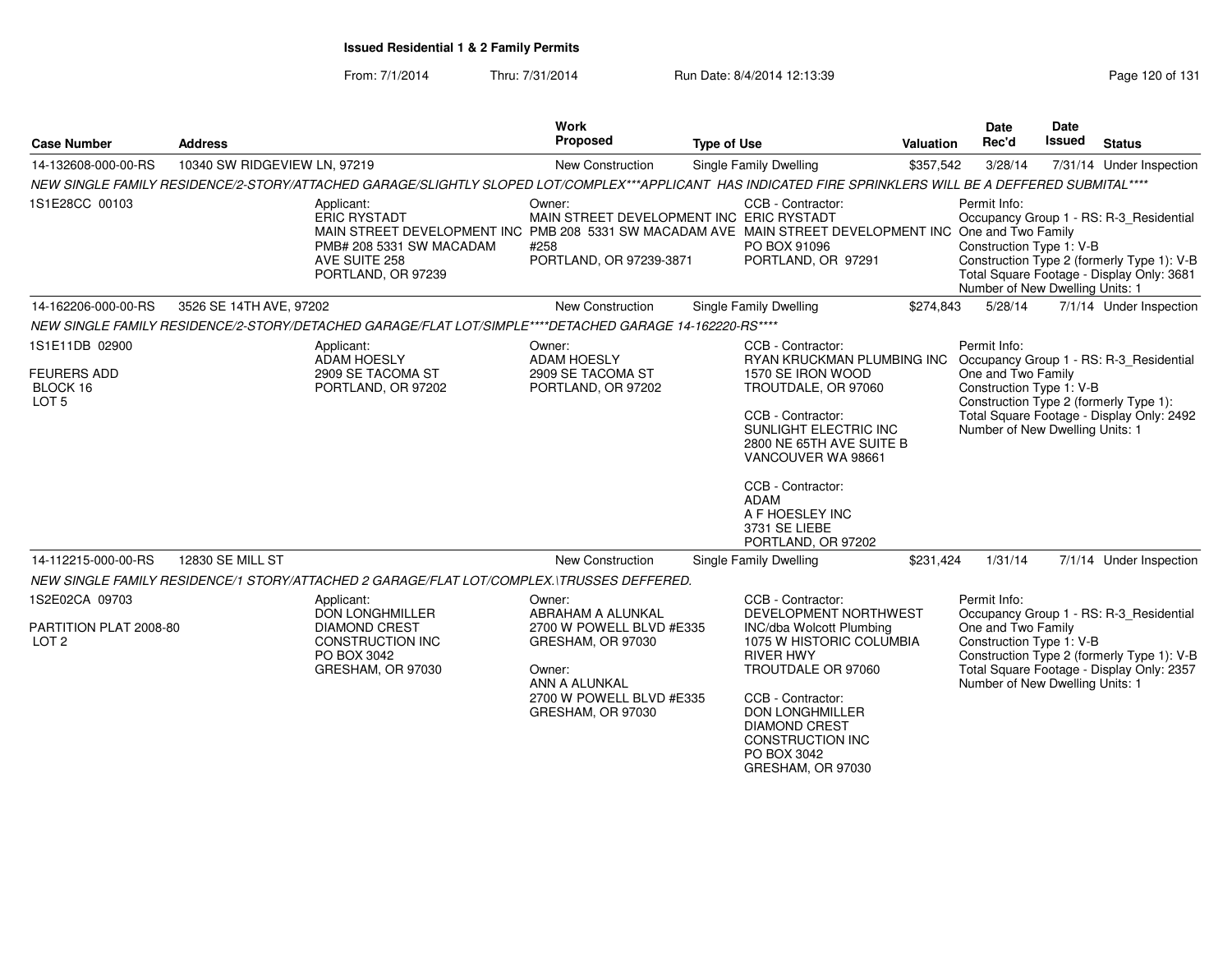From: 7/1/2014Thru: 7/31/2014 Run Date: 8/4/2014 12:13:39 Research 20 of 131

| <b>Case Number</b>                                                   | <b>Address</b>               |                                                                                                                                                                                                                | Work<br>Proposed                                                                                                                                         | <b>Type of Use</b>                                                                                                                                                                                                                                                                        | <b>Valuation</b> | <b>Date</b><br>Rec'd                                                                              | <b>Date</b><br><b>Issued</b> | <b>Status</b>                                                                                                                      |
|----------------------------------------------------------------------|------------------------------|----------------------------------------------------------------------------------------------------------------------------------------------------------------------------------------------------------------|----------------------------------------------------------------------------------------------------------------------------------------------------------|-------------------------------------------------------------------------------------------------------------------------------------------------------------------------------------------------------------------------------------------------------------------------------------------|------------------|---------------------------------------------------------------------------------------------------|------------------------------|------------------------------------------------------------------------------------------------------------------------------------|
| 14-132608-000-00-RS                                                  | 10340 SW RIDGEVIEW LN, 97219 |                                                                                                                                                                                                                | New Construction                                                                                                                                         | Single Family Dwelling                                                                                                                                                                                                                                                                    | \$357,542        | 3/28/14                                                                                           |                              | 7/31/14 Under Inspection                                                                                                           |
|                                                                      |                              | NEW SINGLE FAMILY RESIDENCE/2-STORY/ATTACHED GARAGE/SLIGHTLY SLOPED LOT/COMPLEX***APPLICANT HAS INDICATED FIRE SPRINKLERS WILL BE A DEFFERED SUBMITAL****                                                      |                                                                                                                                                          |                                                                                                                                                                                                                                                                                           |                  |                                                                                                   |                              |                                                                                                                                    |
| 1S1E28CC 00103                                                       |                              | Applicant:<br><b>ERIC RYSTADT</b><br>MAIN STREET DEVELOPMENT INC PMB 208 5331 SW MACADAM AVE MAIN STREET DEVELOPMENT INC One and Two Family<br>PMB# 208 5331 SW MACADAM<br>AVE SUITE 258<br>PORTLAND, OR 97239 | Owner:<br>MAIN STREET DEVELOPMENT INC ERIC RYSTADT<br>#258<br>PORTLAND, OR 97239-3871                                                                    | CCB - Contractor:<br>PO BOX 91096<br>PORTLAND, OR 97291                                                                                                                                                                                                                                   |                  | Permit Info:<br>Construction Type 1: V-B<br>Number of New Dwelling Units: 1                       |                              | Occupancy Group 1 - RS: R-3_Residential<br>Construction Type 2 (formerly Type 1): V-B<br>Total Square Footage - Display Only: 3681 |
| 14-162206-000-00-RS                                                  | 3526 SE 14TH AVE, 97202      |                                                                                                                                                                                                                | New Construction                                                                                                                                         | Single Family Dwelling                                                                                                                                                                                                                                                                    | \$274,843        | 5/28/14                                                                                           |                              | 7/1/14 Under Inspection                                                                                                            |
|                                                                      |                              | NEW SINGLE FAMILY RESIDENCE/2-STORY/DETACHED GARAGE/FLAT LOT/SIMPLE****DETACHED GARAGE 14-162220-RS****                                                                                                        |                                                                                                                                                          |                                                                                                                                                                                                                                                                                           |                  |                                                                                                   |                              |                                                                                                                                    |
| 1S1E11DB 02900<br><b>FEURERS ADD</b><br>BLOCK 16<br>LOT <sub>5</sub> |                              | Applicant:<br><b>ADAM HOESLY</b><br>2909 SE TACOMA ST<br>PORTLAND, OR 97202                                                                                                                                    | Owner:<br><b>ADAM HOESLY</b><br>2909 SE TACOMA ST<br>PORTLAND, OR 97202                                                                                  | CCB - Contractor:<br>RYAN KRUCKMAN PLUMBING INC<br>1570 SE IRON WOOD<br>TROUTDALE, OR 97060<br>CCB - Contractor:<br>SUNLIGHT ELECTRIC INC<br>2800 NE 65TH AVE SUITE B<br>VANCOUVER WA 98661<br>CCB - Contractor:<br><b>ADAM</b><br>A F HOESLEY INC<br>3731 SE LIEBE<br>PORTLAND, OR 97202 |                  | Permit Info:<br>One and Two Family<br>Construction Type 1: V-B<br>Number of New Dwelling Units: 1 |                              | Occupancy Group 1 - RS: R-3_Residential<br>Construction Type 2 (formerly Type 1):<br>Total Square Footage - Display Only: 2492     |
| 14-112215-000-00-RS                                                  | 12830 SE MILL ST             |                                                                                                                                                                                                                | <b>New Construction</b>                                                                                                                                  | Single Family Dwelling                                                                                                                                                                                                                                                                    | \$231,424        | 1/31/14                                                                                           |                              | 7/1/14 Under Inspection                                                                                                            |
|                                                                      |                              | NEW SINGLE FAMILY RESIDENCE/1 STORY/ATTACHED 2 GARAGE/FLAT LOT/COMPLEX.\TRUSSES DEFFERED.                                                                                                                      |                                                                                                                                                          |                                                                                                                                                                                                                                                                                           |                  |                                                                                                   |                              |                                                                                                                                    |
| 1S2E02CA 09703<br>PARTITION PLAT 2008-80<br>LOT <sub>2</sub>         |                              | Applicant:<br><b>DON LONGHMILLER</b><br><b>DIAMOND CREST</b><br>CONSTRUCTION INC<br>PO BOX 3042<br>GRESHAM, OR 97030                                                                                           | Owner:<br>ABRAHAM A ALUNKAL<br>2700 W POWELL BLVD #E335<br>GRESHAM, OR 97030<br>Owner:<br>ANN A ALUNKAL<br>2700 W POWELL BLVD #E335<br>GRESHAM, OR 97030 | CCB - Contractor:<br>DEVELOPMENT NORTHWEST<br><b>INC/dba Wolcott Plumbing</b><br>1075 W HISTORIC COLUMBIA<br><b>RIVER HWY</b><br>TROUTDALE OR 97060<br>CCB - Contractor:<br><b>DON LONGHMILLER</b><br><b>DIAMOND CREST</b><br><b>CONSTRUCTION INC</b><br>PO BOX 3042<br>GRESHAM, OR 97030 |                  | Permit Info:<br>One and Two Family<br>Construction Type 1: V-B<br>Number of New Dwelling Units: 1 |                              | Occupancy Group 1 - RS: R-3_Residential<br>Construction Type 2 (formerly Type 1): V-B<br>Total Square Footage - Display Only: 2357 |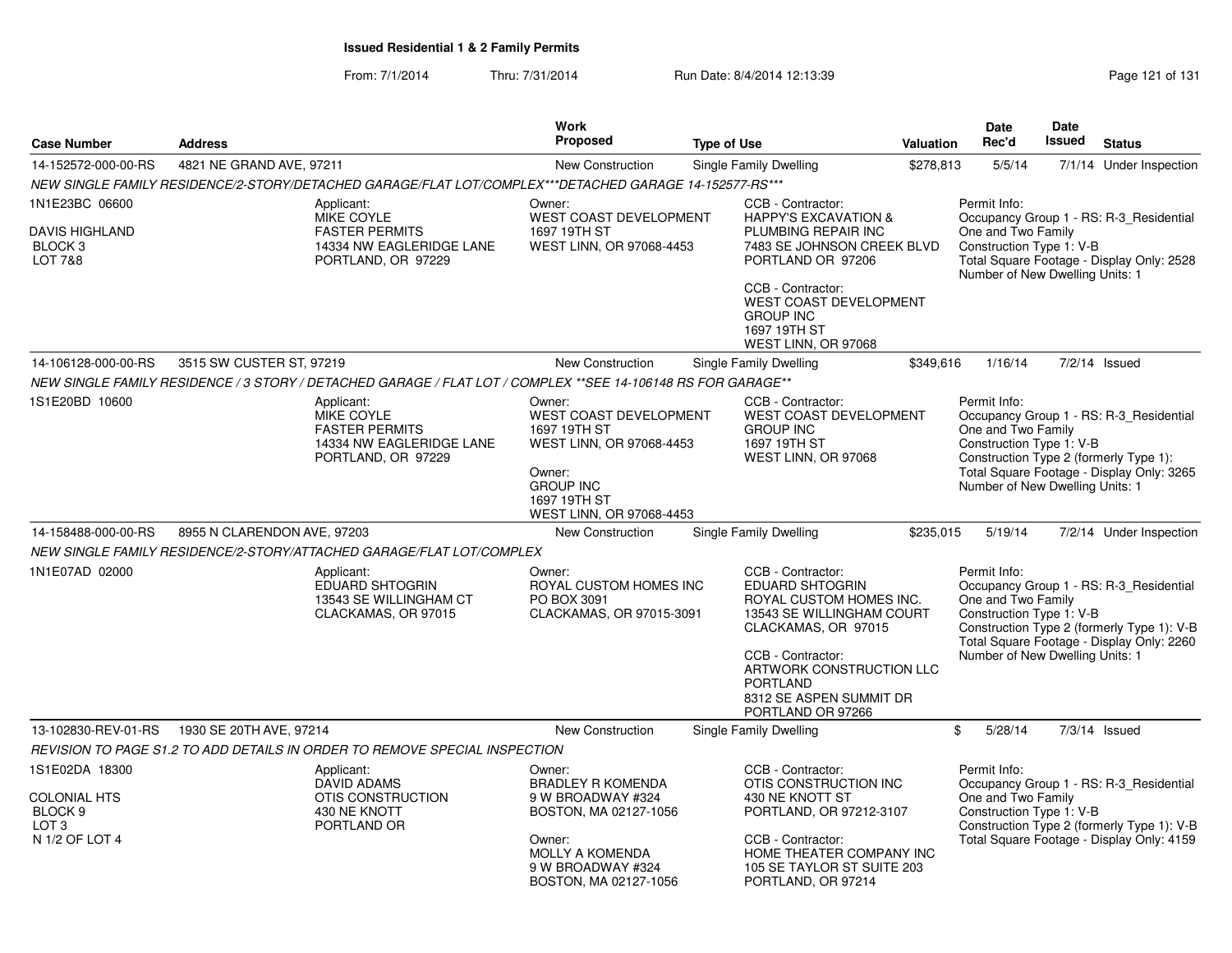From: 7/1/2014Thru: 7/31/2014 Run Date: 8/4/2014 12:13:39 Rege 121 of 131

|                                                              |                                                                                                               |                                              | <b>Work</b>                                                            |                                                                                                                                                 |           | Date                                                                                              | <b>Date</b>   |                                                                                                                                    |
|--------------------------------------------------------------|---------------------------------------------------------------------------------------------------------------|----------------------------------------------|------------------------------------------------------------------------|-------------------------------------------------------------------------------------------------------------------------------------------------|-----------|---------------------------------------------------------------------------------------------------|---------------|------------------------------------------------------------------------------------------------------------------------------------|
| <b>Case Number</b>                                           | <b>Address</b>                                                                                                |                                              | <b>Proposed</b>                                                        | <b>Type of Use</b>                                                                                                                              | Valuation | Rec'd                                                                                             | <b>Issued</b> | <b>Status</b>                                                                                                                      |
| 14-152572-000-00-RS                                          | 4821 NE GRAND AVE, 97211                                                                                      |                                              | New Construction                                                       | Single Family Dwelling                                                                                                                          | \$278,813 | 5/5/14                                                                                            |               | 7/1/14 Under Inspection                                                                                                            |
|                                                              | NEW SINGLE FAMILY RESIDENCE/2-STORY/DETACHED GARAGE/FLAT LOT/COMPLEX***DETACHED GARAGE 14-152577-RS***        |                                              |                                                                        |                                                                                                                                                 |           |                                                                                                   |               |                                                                                                                                    |
| 1N1E23BC 06600                                               | Applicant:                                                                                                    | Owner:                                       |                                                                        | CCB - Contractor:                                                                                                                               |           | Permit Info:                                                                                      |               |                                                                                                                                    |
| <b>DAVIS HIGHLAND</b><br><b>BLOCK3</b><br><b>LOT 7&amp;8</b> | <b>MIKE COYLE</b><br><b>FASTER PERMITS</b><br>PORTLAND, OR 97229                                              | 14334 NW EAGLERIDGE LANE                     | WEST COAST DEVELOPMENT<br>1697 19TH ST<br>WEST LINN, OR 97068-4453     | <b>HAPPY'S EXCAVATION &amp;</b><br>PLUMBING REPAIR INC<br>7483 SE JOHNSON CREEK BLVD<br>PORTLAND OR 97206                                       |           | One and Two Family<br>Construction Type 1: V-B<br>Number of New Dwelling Units: 1                 |               | Occupancy Group 1 - RS: R-3 Residential<br>Total Square Footage - Display Only: 2528                                               |
|                                                              |                                                                                                               |                                              |                                                                        | CCB - Contractor:<br><b>WEST COAST DEVELOPMENT</b><br><b>GROUP INC</b><br>1697 19TH ST<br>WEST LINN, OR 97068                                   |           |                                                                                                   |               |                                                                                                                                    |
| 14-106128-000-00-RS                                          | 3515 SW CUSTER ST, 97219                                                                                      |                                              | New Construction                                                       | <b>Single Family Dwelling</b>                                                                                                                   | \$349,616 | 1/16/14                                                                                           |               | 7/2/14 Issued                                                                                                                      |
|                                                              | NEW SINGLE FAMILY RESIDENCE / 3 STORY / DETACHED GARAGE / FLAT LOT / COMPLEX ** SEE 14-106148 RS FOR GARAGE** |                                              |                                                                        |                                                                                                                                                 |           |                                                                                                   |               |                                                                                                                                    |
| 1S1E20BD 10600                                               | Applicant:<br>MIKE COYLE<br><b>FASTER PERMITS</b><br>PORTLAND, OR 97229                                       | Owner:<br>14334 NW EAGLERIDGE LANE<br>Owner: | WEST COAST DEVELOPMENT<br>1697 19TH ST<br>WEST LINN, OR 97068-4453     | CCB - Contractor:<br>WEST COAST DEVELOPMENT<br><b>GROUP INC</b><br>1697 19TH ST<br>WEST LINN, OR 97068                                          |           | Permit Info:<br>One and Two Family<br>Construction Type 1: V-B                                    |               | Occupancy Group 1 - RS: R-3_Residential<br>Construction Type 2 (formerly Type 1):<br>Total Square Footage - Display Only: 3265     |
|                                                              |                                                                                                               |                                              | <b>GROUP INC</b><br>1697 19TH ST<br>WEST LINN, OR 97068-4453           |                                                                                                                                                 |           | Number of New Dwelling Units: 1                                                                   |               |                                                                                                                                    |
| 14-158488-000-00-RS                                          | 8955 N CLARENDON AVE, 97203                                                                                   |                                              | New Construction                                                       | Single Family Dwelling                                                                                                                          | \$235,015 | 5/19/14                                                                                           |               | 7/2/14 Under Inspection                                                                                                            |
|                                                              | NEW SINGLE FAMILY RESIDENCE/2-STORY/ATTACHED GARAGE/FLAT LOT/COMPLEX                                          |                                              |                                                                        |                                                                                                                                                 |           |                                                                                                   |               |                                                                                                                                    |
| 1N1E07AD 02000                                               | Applicant:<br>EDUARD SHTOGRIN<br>13543 SE WILLINGHAM CT<br>CLACKAMAS, OR 97015                                | Owner:                                       | ROYAL CUSTOM HOMES INC<br>PO BOX 3091<br>CLACKAMAS, OR 97015-3091      | CCB - Contractor:<br><b>EDUARD SHTOGRIN</b><br>ROYAL CUSTOM HOMES INC.<br>13543 SE WILLINGHAM COURT<br>CLACKAMAS, OR 97015<br>CCB - Contractor: |           | Permit Info:<br>One and Two Family<br>Construction Type 1: V-B<br>Number of New Dwelling Units: 1 |               | Occupancy Group 1 - RS: R-3_Residential<br>Construction Type 2 (formerly Type 1): V-B<br>Total Square Footage - Display Only: 2260 |
|                                                              |                                                                                                               |                                              |                                                                        | ARTWORK CONSTRUCTION LLC<br><b>PORTLAND</b><br>8312 SE ASPEN SUMMIT DR<br>PORTLAND OR 97266                                                     |           |                                                                                                   |               |                                                                                                                                    |
| 13-102830-REV-01-RS                                          | 1930 SE 20TH AVE, 97214                                                                                       |                                              | New Construction                                                       | Single Family Dwelling                                                                                                                          | \$        | 5/28/14                                                                                           |               | $7/3/14$ Issued                                                                                                                    |
|                                                              | REVISION TO PAGE S1.2 TO ADD DETAILS IN ORDER TO REMOVE SPECIAL INSPECTION                                    |                                              |                                                                        |                                                                                                                                                 |           |                                                                                                   |               |                                                                                                                                    |
| 1S1E02DA 18300<br><b>COLONIAL HTS</b><br>BLOCK <sub>9</sub>  | Applicant:<br><b>DAVID ADAMS</b><br>OTIS CONSTRUCTION<br>430 NE KNOTT                                         | Owner:                                       | <b>BRADLEY R KOMENDA</b><br>9 W BROADWAY #324<br>BOSTON, MA 02127-1056 | CCB - Contractor:<br>OTIS CONSTRUCTION INC<br>430 NE KNOTT ST<br>PORTLAND, OR 97212-3107                                                        |           | Permit Info:<br>One and Two Family<br>Construction Type 1: V-B                                    |               | Occupancy Group 1 - RS: R-3_Residential                                                                                            |
| LOT <sub>3</sub><br>N 1/2 OF LOT 4                           | PORTLAND OR                                                                                                   | Owner:                                       | MOLLY A KOMENDA<br>9 W BROADWAY #324<br>BOSTON, MA 02127-1056          | CCB - Contractor:<br>HOME THEATER COMPANY INC<br>105 SE TAYLOR ST SUITE 203<br>PORTLAND, OR 97214                                               |           |                                                                                                   |               | Construction Type 2 (formerly Type 1): V-B<br>Total Square Footage - Display Only: 4159                                            |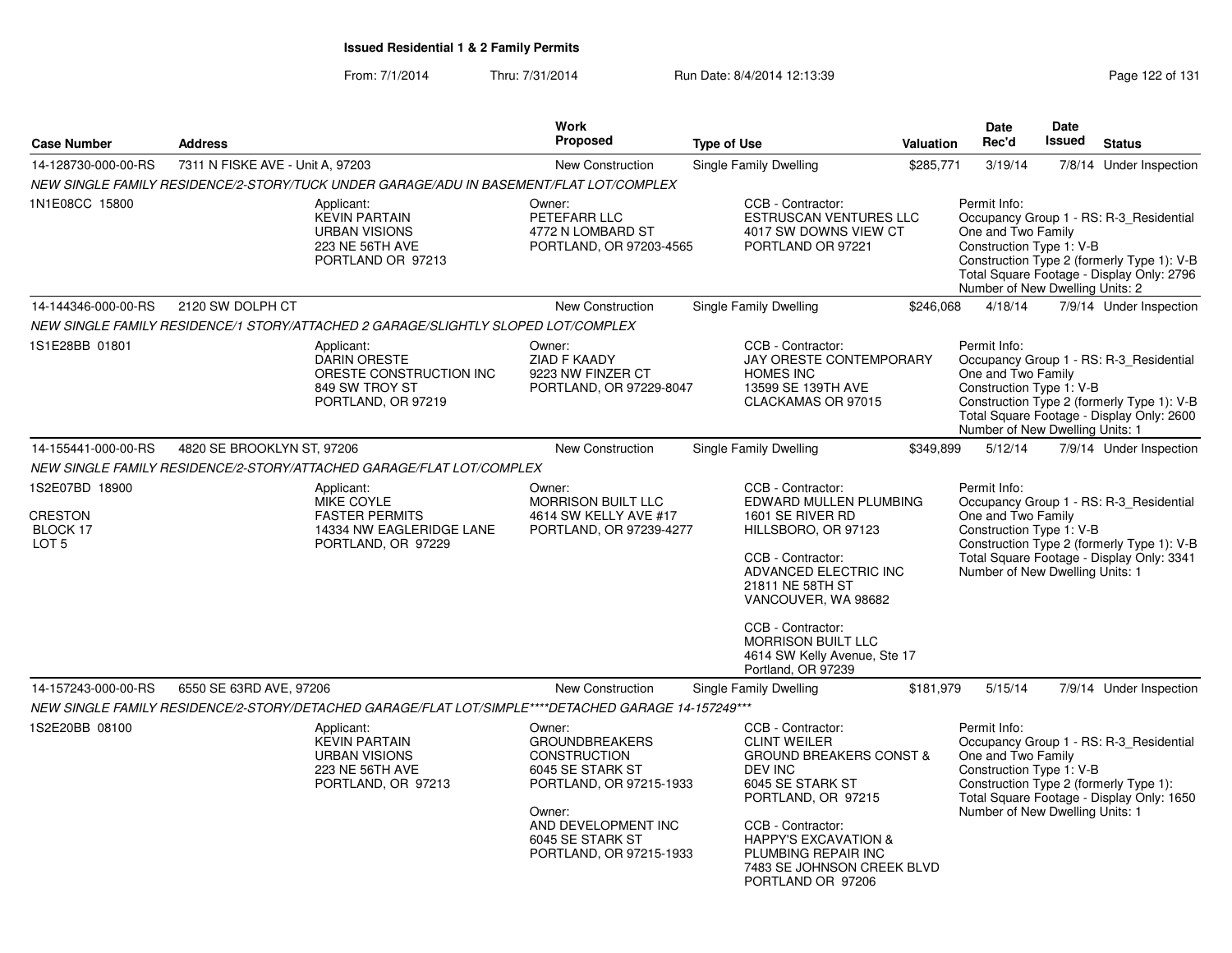From: 7/1/2014Thru: 7/31/2014 Run Date: 8/4/2014 12:13:39 Rege 122 of 131

| <b>Case Number</b>                                               | <b>Address</b>                   |                                                                                                                                                                                                | <b>Work</b><br><b>Proposed</b>                                                                                                                                                        | <b>Type of Use</b> |                                                                                                                                                                                                                                                                                  | <b>Valuation</b> | <b>Date</b><br>Rec'd                                                                                                                                                                                                                    | <b>Date</b><br>Issued | <b>Status</b>                                                                                                                      |  |
|------------------------------------------------------------------|----------------------------------|------------------------------------------------------------------------------------------------------------------------------------------------------------------------------------------------|---------------------------------------------------------------------------------------------------------------------------------------------------------------------------------------|--------------------|----------------------------------------------------------------------------------------------------------------------------------------------------------------------------------------------------------------------------------------------------------------------------------|------------------|-----------------------------------------------------------------------------------------------------------------------------------------------------------------------------------------------------------------------------------------|-----------------------|------------------------------------------------------------------------------------------------------------------------------------|--|
| 14-128730-000-00-RS                                              | 7311 N FISKE AVE - Unit A, 97203 |                                                                                                                                                                                                | New Construction                                                                                                                                                                      |                    | Single Family Dwelling                                                                                                                                                                                                                                                           | \$285,771        | 3/19/14                                                                                                                                                                                                                                 |                       | 7/8/14 Under Inspection                                                                                                            |  |
|                                                                  |                                  | NEW SINGLE FAMILY RESIDENCE/2-STORY/TUCK UNDER GARAGE/ADU IN BASEMENT/FLAT LOT/COMPLEX                                                                                                         |                                                                                                                                                                                       |                    |                                                                                                                                                                                                                                                                                  |                  |                                                                                                                                                                                                                                         |                       |                                                                                                                                    |  |
| 1N1E08CC 15800                                                   |                                  | Applicant:<br><b>KEVIN PARTAIN</b><br><b>URBAN VISIONS</b><br>223 NE 56TH AVE<br>PORTLAND OR 97213                                                                                             | Owner:<br>PETEFARR LLC<br>4772 N LOMBARD ST<br>PORTLAND, OR 97203-4565                                                                                                                |                    | CCB - Contractor:<br>ESTRUSCAN VENTURES LLC<br>4017 SW DOWNS VIEW CT<br>PORTLAND OR 97221                                                                                                                                                                                        |                  | Permit Info:<br>One and Two Family<br>Construction Type 1: V-B<br>Number of New Dwelling Units: 2                                                                                                                                       |                       | Occupancy Group 1 - RS: R-3 Residential<br>Construction Type 2 (formerly Type 1): V-B<br>Total Square Footage - Display Only: 2796 |  |
| 14-144346-000-00-RS                                              | 2120 SW DOLPH CT                 |                                                                                                                                                                                                | New Construction                                                                                                                                                                      |                    | Single Family Dwelling                                                                                                                                                                                                                                                           | \$246,068        | 4/18/14                                                                                                                                                                                                                                 |                       | 7/9/14 Under Inspection                                                                                                            |  |
|                                                                  |                                  | NEW SINGLE FAMILY RESIDENCE/1 STORY/ATTACHED 2 GARAGE/SLIGHTLY SLOPED LOT/COMPLEX                                                                                                              |                                                                                                                                                                                       |                    |                                                                                                                                                                                                                                                                                  |                  |                                                                                                                                                                                                                                         |                       |                                                                                                                                    |  |
| 1S1E28BB 01801                                                   |                                  | Applicant:<br><b>DARIN ORESTE</b><br>ORESTE CONSTRUCTION INC<br>849 SW TROY ST<br>PORTLAND, OR 97219                                                                                           | Owner:<br>ZIAD F KAADY<br>9223 NW FINZER CT<br>PORTLAND, OR 97229-8047                                                                                                                |                    | CCB - Contractor:<br>JAY ORESTE CONTEMPORARY<br><b>HOMES INC</b><br>13599 SE 139TH AVE<br>CLACKAMAS OR 97015                                                                                                                                                                     |                  | Permit Info:<br>One and Two Family<br>Construction Type 1: V-B<br>Number of New Dwelling Units: 1                                                                                                                                       |                       | Occupancy Group 1 - RS: R-3 Residential<br>Construction Type 2 (formerly Type 1): V-B<br>Total Square Footage - Display Only: 2600 |  |
| 14-155441-000-00-RS                                              | 4820 SE BROOKLYN ST, 97206       |                                                                                                                                                                                                | New Construction                                                                                                                                                                      |                    | Single Family Dwelling                                                                                                                                                                                                                                                           | \$349,899        | 5/12/14                                                                                                                                                                                                                                 |                       | 7/9/14 Under Inspection                                                                                                            |  |
|                                                                  |                                  | NEW SINGLE FAMILY RESIDENCE/2-STORY/ATTACHED GARAGE/FLAT LOT/COMPLEX                                                                                                                           |                                                                                                                                                                                       |                    |                                                                                                                                                                                                                                                                                  |                  |                                                                                                                                                                                                                                         |                       |                                                                                                                                    |  |
| 1S2E07BD 18900<br><b>CRESTON</b><br>BLOCK 17<br>LOT <sub>5</sub> |                                  | Applicant:<br>Owner:<br>MIKE COYLE<br><b>MORRISON BUILT LLC</b><br><b>FASTER PERMITS</b><br>4614 SW KELLY AVE #17<br>14334 NW EAGLERIDGE LANE<br>PORTLAND, OR 97239-4277<br>PORTLAND, OR 97229 |                                                                                                                                                                                       |                    | CCB - Contractor:<br>EDWARD MULLEN PLUMBING<br>1601 SE RIVER RD<br>HILLSBORO, OR 97123<br>CCB - Contractor:<br>ADVANCED ELECTRIC INC<br>21811 NE 58TH ST<br>VANCOUVER, WA 98682<br>CCB - Contractor:<br>MORRISON BUILT LLC<br>4614 SW Kelly Avenue, Ste 17<br>Portland, OR 97239 |                  | Permit Info:<br>Occupancy Group 1 - RS: R-3_Residential<br>One and Two Family<br>Construction Type 1: V-B<br>Construction Type 2 (formerly Type 1): V-B<br>Total Square Footage - Display Only: 3341<br>Number of New Dwelling Units: 1 |                       |                                                                                                                                    |  |
| 14-157243-000-00-RS                                              | 6550 SE 63RD AVE, 97206          |                                                                                                                                                                                                | <b>New Construction</b>                                                                                                                                                               |                    | Single Family Dwelling                                                                                                                                                                                                                                                           | \$181,979        | 5/15/14                                                                                                                                                                                                                                 |                       | 7/9/14 Under Inspection                                                                                                            |  |
|                                                                  |                                  | NEW SINGLE FAMILY RESIDENCE/2-STORY/DETACHED GARAGE/FLAT LOT/SIMPLE****DETACHED GARAGE 14-157249***                                                                                            |                                                                                                                                                                                       |                    |                                                                                                                                                                                                                                                                                  |                  |                                                                                                                                                                                                                                         |                       |                                                                                                                                    |  |
| 1S2E20BB 08100                                                   |                                  | Applicant:<br><b>KEVIN PARTAIN</b><br><b>URBAN VISIONS</b><br>223 NE 56TH AVE<br>PORTLAND, OR 97213                                                                                            | Owner:<br><b>GROUNDBREAKERS</b><br><b>CONSTRUCTION</b><br>6045 SE STARK ST<br>PORTLAND, OR 97215-1933<br>Owner:<br>AND DEVELOPMENT INC<br>6045 SE STARK ST<br>PORTLAND, OR 97215-1933 |                    | CCB - Contractor:<br><b>CLINT WEILER</b><br><b>GROUND BREAKERS CONST &amp;</b><br>DEV INC<br>6045 SE STARK ST<br>PORTLAND, OR 97215<br>CCB - Contractor:<br><b>HAPPY'S EXCAVATION &amp;</b><br>PLUMBING REPAIR INC<br>7483 SE JOHNSON CREEK BLVD<br>PORTLAND OR 97206            |                  | Permit Info:<br>One and Two Family<br>Construction Type 1: V-B<br>Number of New Dwelling Units: 1                                                                                                                                       |                       | Occupancy Group 1 - RS: R-3_Residential<br>Construction Type 2 (formerly Type 1):<br>Total Square Footage - Display Only: 1650     |  |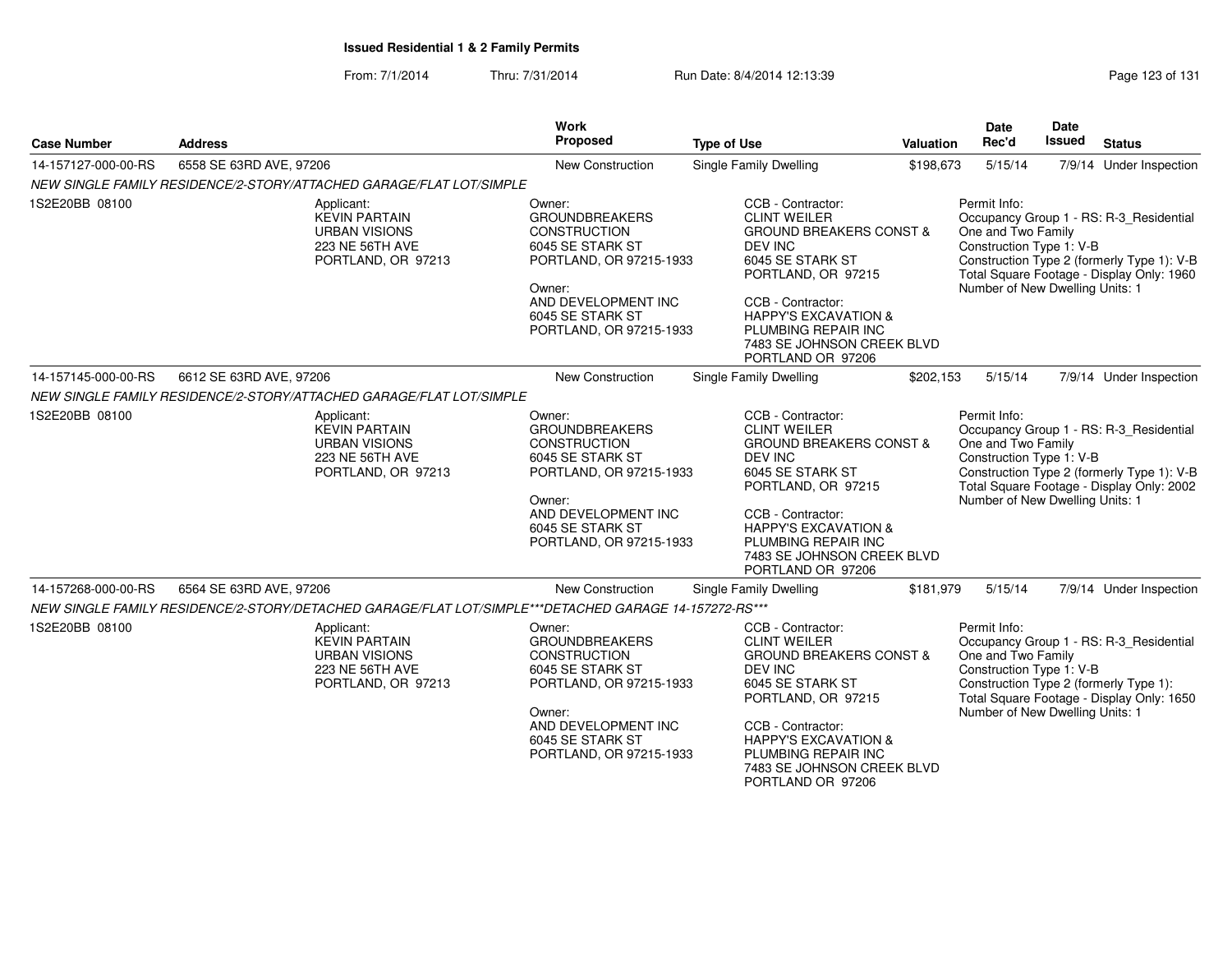#### From: 7/1/2014Thru: 7/31/2014 Run Date: 8/4/2014 12:13:39 Rege 123 of 131

| <b>Case Number</b>  | <b>Address</b>                                                                                        | Work<br>Proposed                                                                                                                                                                      | <b>Type of Use</b>                                                                                                                                                                                                                                                           | Valuation | <b>Date</b><br>Rec'd                                                                              | <b>Date</b><br>Issued | <b>Status</b>                                                                                                                      |
|---------------------|-------------------------------------------------------------------------------------------------------|---------------------------------------------------------------------------------------------------------------------------------------------------------------------------------------|------------------------------------------------------------------------------------------------------------------------------------------------------------------------------------------------------------------------------------------------------------------------------|-----------|---------------------------------------------------------------------------------------------------|-----------------------|------------------------------------------------------------------------------------------------------------------------------------|
| 14-157127-000-00-RS | 6558 SE 63RD AVE, 97206                                                                               | New Construction                                                                                                                                                                      | Single Family Dwelling                                                                                                                                                                                                                                                       | \$198,673 | 5/15/14                                                                                           |                       | 7/9/14 Under Inspection                                                                                                            |
|                     | NEW SINGLE FAMILY RESIDENCE/2-STORY/ATTACHED GARAGE/FLAT LOT/SIMPLE                                   |                                                                                                                                                                                       |                                                                                                                                                                                                                                                                              |           |                                                                                                   |                       |                                                                                                                                    |
| 1S2E20BB 08100      | Applicant:<br><b>KEVIN PARTAIN</b><br><b>URBAN VISIONS</b><br>223 NE 56TH AVE<br>PORTLAND, OR 97213   | Owner:<br><b>GROUNDBREAKERS</b><br><b>CONSTRUCTION</b><br>6045 SE STARK ST<br>PORTLAND, OR 97215-1933<br>Owner:<br>AND DEVELOPMENT INC<br>6045 SE STARK ST<br>PORTLAND, OR 97215-1933 | CCB - Contractor:<br><b>CLINT WEILER</b><br><b>GROUND BREAKERS CONST &amp;</b><br><b>DEV INC</b><br>6045 SE STARK ST<br>PORTLAND, OR 97215<br>CCB - Contractor:<br><b>HAPPY'S EXCAVATION &amp;</b><br>PLUMBING REPAIR INC<br>7483 SE JOHNSON CREEK BLVD<br>PORTLAND OR 97206 |           | Permit Info:<br>One and Two Family<br>Construction Type 1: V-B<br>Number of New Dwelling Units: 1 |                       | Occupancy Group 1 - RS: R-3_Residential<br>Construction Type 2 (formerly Type 1): V-B<br>Total Square Footage - Display Only: 1960 |
| 14-157145-000-00-RS | 6612 SE 63RD AVE, 97206                                                                               | <b>New Construction</b>                                                                                                                                                               | Single Family Dwelling                                                                                                                                                                                                                                                       | \$202,153 | 5/15/14                                                                                           |                       | 7/9/14 Under Inspection                                                                                                            |
|                     | NEW SINGLE FAMILY RESIDENCE/2-STORY/ATTACHED GARAGE/FLAT LOT/SIMPLE                                   |                                                                                                                                                                                       |                                                                                                                                                                                                                                                                              |           |                                                                                                   |                       |                                                                                                                                    |
| 1S2E20BB 08100      | Applicant:<br><b>KEVIN PARTAIN</b><br><b>URBAN VISIONS</b><br>223 NE 56TH AVE<br>PORTLAND, OR 97213   | Owner:<br><b>GROUNDBREAKERS</b><br><b>CONSTRUCTION</b><br>6045 SE STARK ST<br>PORTLAND, OR 97215-1933<br>Owner:<br>AND DEVELOPMENT INC<br>6045 SE STARK ST<br>PORTLAND, OR 97215-1933 | CCB - Contractor:<br><b>CLINT WEILER</b><br><b>GROUND BREAKERS CONST &amp;</b><br><b>DEV INC</b><br>6045 SE STARK ST<br>PORTLAND, OR 97215<br>CCB - Contractor:<br><b>HAPPY'S EXCAVATION &amp;</b><br>PLUMBING REPAIR INC<br>7483 SE JOHNSON CREEK BLVD<br>PORTLAND OR 97206 |           | Permit Info:<br>One and Two Family<br>Construction Type 1: V-B<br>Number of New Dwelling Units: 1 |                       | Occupancy Group 1 - RS: R-3_Residential<br>Construction Type 2 (formerly Type 1): V-B<br>Total Square Footage - Display Only: 2002 |
| 14-157268-000-00-RS | 6564 SE 63RD AVE, 97206                                                                               | <b>New Construction</b>                                                                                                                                                               | Single Family Dwelling                                                                                                                                                                                                                                                       | \$181,979 | 5/15/14                                                                                           |                       | 7/9/14 Under Inspection                                                                                                            |
|                     | NEW SINGLE FAMILY RESIDENCE/2-STORY/DETACHED GARAGE/FLAT LOT/SIMPLE***DETACHED GARAGE 14-157272-RS*** |                                                                                                                                                                                       |                                                                                                                                                                                                                                                                              |           |                                                                                                   |                       |                                                                                                                                    |
| 1S2E20BB 08100      | Applicant:<br><b>KEVIN PARTAIN</b><br><b>URBAN VISIONS</b><br>223 NE 56TH AVE<br>PORTLAND, OR 97213   | Owner:<br><b>GROUNDBREAKERS</b><br><b>CONSTRUCTION</b><br>6045 SE STARK ST<br>PORTLAND, OR 97215-1933<br>Owner:<br>AND DEVELOPMENT INC<br>6045 SE STARK ST<br>PORTLAND, OR 97215-1933 | CCB - Contractor:<br><b>CLINT WEILER</b><br><b>GROUND BREAKERS CONST &amp;</b><br>DEV INC<br>6045 SE STARK ST<br>PORTLAND, OR 97215<br>CCB - Contractor:<br><b>HAPPY'S EXCAVATION &amp;</b><br>PLUMBING REPAIR INC<br>7483 SE JOHNSON CREEK BLVD<br>PORTLAND OR 97206        |           | Permit Info:<br>One and Two Family<br>Construction Type 1: V-B<br>Number of New Dwelling Units: 1 |                       | Occupancy Group 1 - RS: R-3_Residential<br>Construction Type 2 (formerly Type 1):<br>Total Square Footage - Display Only: 1650     |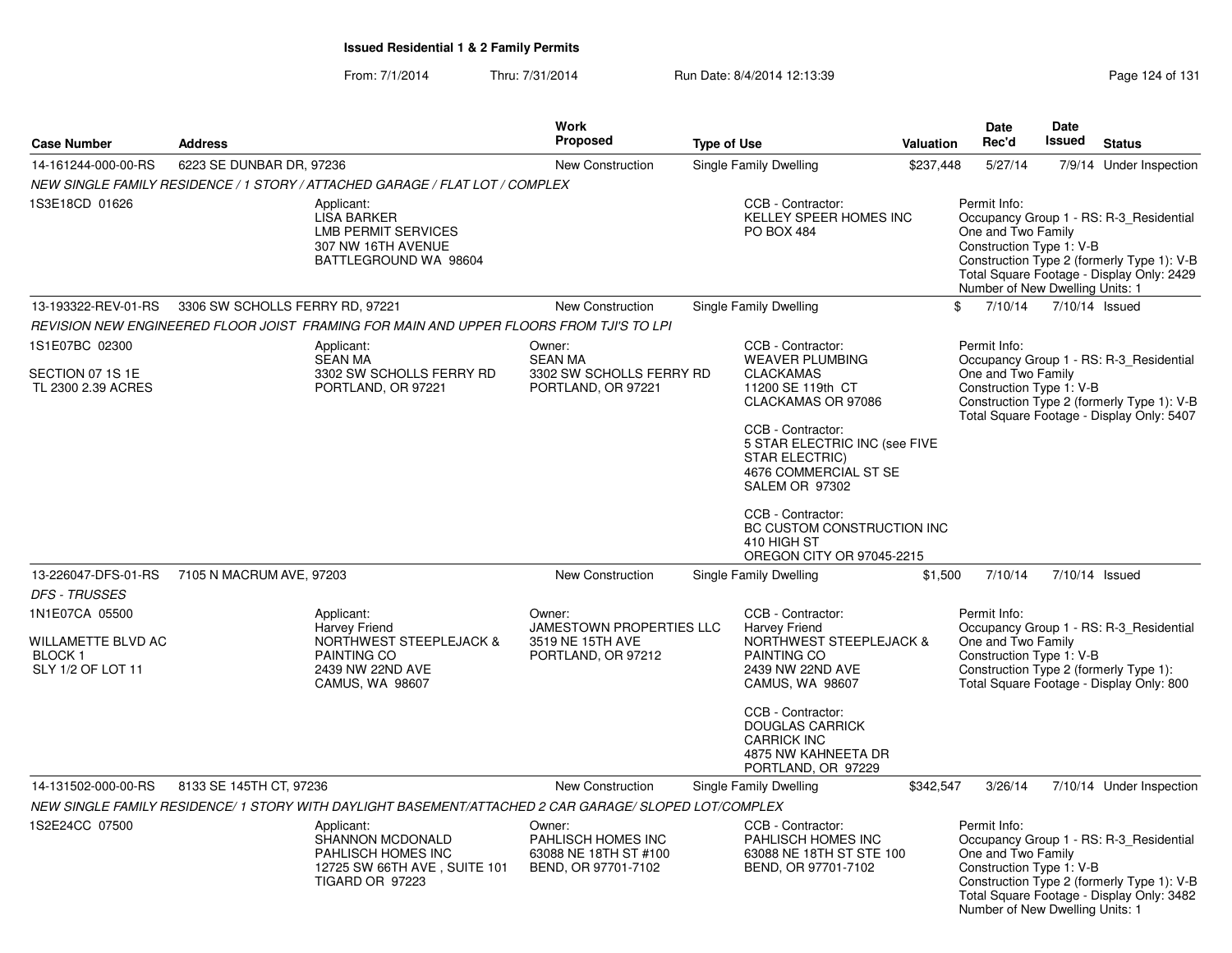#### From: 7/1/2014Thru: 7/31/2014 Run Date: 8/4/2014 12:13:39 Rege 124 of 131

| <b>Case Number</b>                                                   | <b>Address</b>                                                                                                                        | Work<br><b>Proposed</b>                                                      | <b>Type of Use</b>                                                                                                             | <b>Valuation</b> | Date<br>Rec'd                                                                                     | Date<br>Issued | <b>Status</b>                                                                                                                      |
|----------------------------------------------------------------------|---------------------------------------------------------------------------------------------------------------------------------------|------------------------------------------------------------------------------|--------------------------------------------------------------------------------------------------------------------------------|------------------|---------------------------------------------------------------------------------------------------|----------------|------------------------------------------------------------------------------------------------------------------------------------|
| 14-161244-000-00-RS                                                  | 6223 SE DUNBAR DR, 97236                                                                                                              | New Construction                                                             | Single Family Dwelling                                                                                                         | \$237,448        | 5/27/14                                                                                           |                | 7/9/14 Under Inspection                                                                                                            |
|                                                                      | NEW SINGLE FAMILY RESIDENCE / 1 STORY / ATTACHED GARAGE / FLAT LOT / COMPLEX                                                          |                                                                              |                                                                                                                                |                  |                                                                                                   |                |                                                                                                                                    |
| 1S3E18CD 01626                                                       | Applicant:<br><b>LISA BARKER</b><br><b>LMB PERMIT SERVICES</b><br>307 NW 16TH AVENUE<br>BATTLEGROUND WA 98604                         |                                                                              | CCB - Contractor:<br><b>KELLEY SPEER HOMES INC</b><br><b>PO BOX 484</b>                                                        |                  | Permit Info:<br>One and Two Family<br>Construction Type 1: V-B<br>Number of New Dwelling Units: 1 |                | Occupancy Group 1 - RS: R-3_Residential<br>Construction Type 2 (formerly Type 1): V-B<br>Total Square Footage - Display Only: 2429 |
| 13-193322-REV-01-RS                                                  | 3306 SW SCHOLLS FERRY RD, 97221                                                                                                       | <b>New Construction</b>                                                      | Single Family Dwelling                                                                                                         | \$               | 7/10/14                                                                                           |                | 7/10/14 Issued                                                                                                                     |
|                                                                      | REVISION NEW ENGINEERED FLOOR JOIST FRAMING FOR MAIN AND UPPER FLOORS FROM TJI'S TO LPI                                               |                                                                              |                                                                                                                                |                  |                                                                                                   |                |                                                                                                                                    |
| 1S1E07BC 02300                                                       | Applicant:<br><b>SEAN MA</b>                                                                                                          | Owner:<br><b>SEAN MA</b>                                                     | CCB - Contractor:<br><b>WEAVER PLUMBING</b>                                                                                    |                  | Permit Info:                                                                                      |                | Occupancy Group 1 - RS: R-3_Residential                                                                                            |
| SECTION 07 1S 1E<br>TL 2300 2.39 ACRES                               | 3302 SW SCHOLLS FERRY RD<br>PORTLAND, OR 97221                                                                                        | 3302 SW SCHOLLS FERRY RD<br>PORTLAND, OR 97221                               | <b>CLACKAMAS</b><br>11200 SE 119th CT<br>CLACKAMAS OR 97086                                                                    |                  | One and Two Family<br>Construction Type 1: V-B                                                    |                | Construction Type 2 (formerly Type 1): V-B<br>Total Square Footage - Display Only: 5407                                            |
|                                                                      |                                                                                                                                       |                                                                              | CCB - Contractor:<br>5 STAR ELECTRIC INC (see FIVE<br><b>STAR ELECTRIC)</b><br>4676 COMMERCIAL ST SE<br><b>SALEM OR 97302</b>  |                  |                                                                                                   |                |                                                                                                                                    |
|                                                                      |                                                                                                                                       |                                                                              | CCB - Contractor:<br>BC CUSTOM CONSTRUCTION INC<br>410 HIGH ST<br>OREGON CITY OR 97045-2215                                    |                  |                                                                                                   |                |                                                                                                                                    |
| 13-226047-DFS-01-RS                                                  | 7105 N MACRUM AVE, 97203                                                                                                              | New Construction                                                             | Single Family Dwelling                                                                                                         | \$1,500          | 7/10/14                                                                                           |                | 7/10/14 Issued                                                                                                                     |
| <b>DFS - TRUSSES</b>                                                 |                                                                                                                                       |                                                                              |                                                                                                                                |                  |                                                                                                   |                |                                                                                                                                    |
| 1N1E07CA 05500<br>WILLAMETTE BLVD AC<br>BLOCK 1<br>SLY 1/2 OF LOT 11 | Applicant:<br><b>Harvey Friend</b><br><b>NORTHWEST STEEPLEJACK &amp;</b><br><b>PAINTING CO</b><br>2439 NW 22ND AVE<br>CAMUS, WA 98607 | Owner:<br>JAMESTOWN PROPERTIES LLC<br>3519 NE 15TH AVE<br>PORTLAND, OR 97212 | CCB - Contractor:<br>Harvey Friend<br><b>NORTHWEST STEEPLEJACK &amp;</b><br>PAINTING CO<br>2439 NW 22ND AVE<br>CAMUS, WA 98607 |                  | Permit Info:<br>One and Two Family<br>Construction Type 1: V-B                                    |                | Occupancy Group 1 - RS: R-3_Residential<br>Construction Type 2 (formerly Type 1):<br>Total Square Footage - Display Only: 800      |
|                                                                      |                                                                                                                                       |                                                                              | CCB - Contractor:<br><b>DOUGLAS CARRICK</b><br><b>CARRICK INC</b><br>4875 NW KAHNEETA DR<br>PORTLAND, OR 97229                 |                  |                                                                                                   |                |                                                                                                                                    |
| 14-131502-000-00-RS                                                  | 8133 SE 145TH CT, 97236                                                                                                               | <b>New Construction</b>                                                      | Single Family Dwelling                                                                                                         | \$342,547        | 3/26/14                                                                                           |                | 7/10/14 Under Inspection                                                                                                           |
|                                                                      | NEW SINGLE FAMILY RESIDENCE/1 STORY WITH DAYLIGHT BASEMENT/ATTACHED 2 CAR GARAGE/ SLOPED LOT/COMPLEX                                  |                                                                              |                                                                                                                                |                  |                                                                                                   |                |                                                                                                                                    |
| 1S2E24CC 07500                                                       | Applicant:<br><b>SHANNON MCDONALD</b><br>PAHLISCH HOMES INC<br>12725 SW 66TH AVE, SUITE 101<br>TIGARD OR 97223                        | Owner:<br>PAHLISCH HOMES INC<br>63088 NE 18TH ST #100<br>BEND, OR 97701-7102 | CCB - Contractor:<br>PAHLISCH HOMES INC<br>63088 NE 18TH ST STE 100<br>BEND, OR 97701-7102                                     |                  | Permit Info:<br>One and Two Family<br>Construction Type 1: V-B<br>Number of New Dwelling Units: 1 |                | Occupancy Group 1 - RS: R-3 Residential<br>Construction Type 2 (formerly Type 1): V-B<br>Total Square Footage - Display Only: 3482 |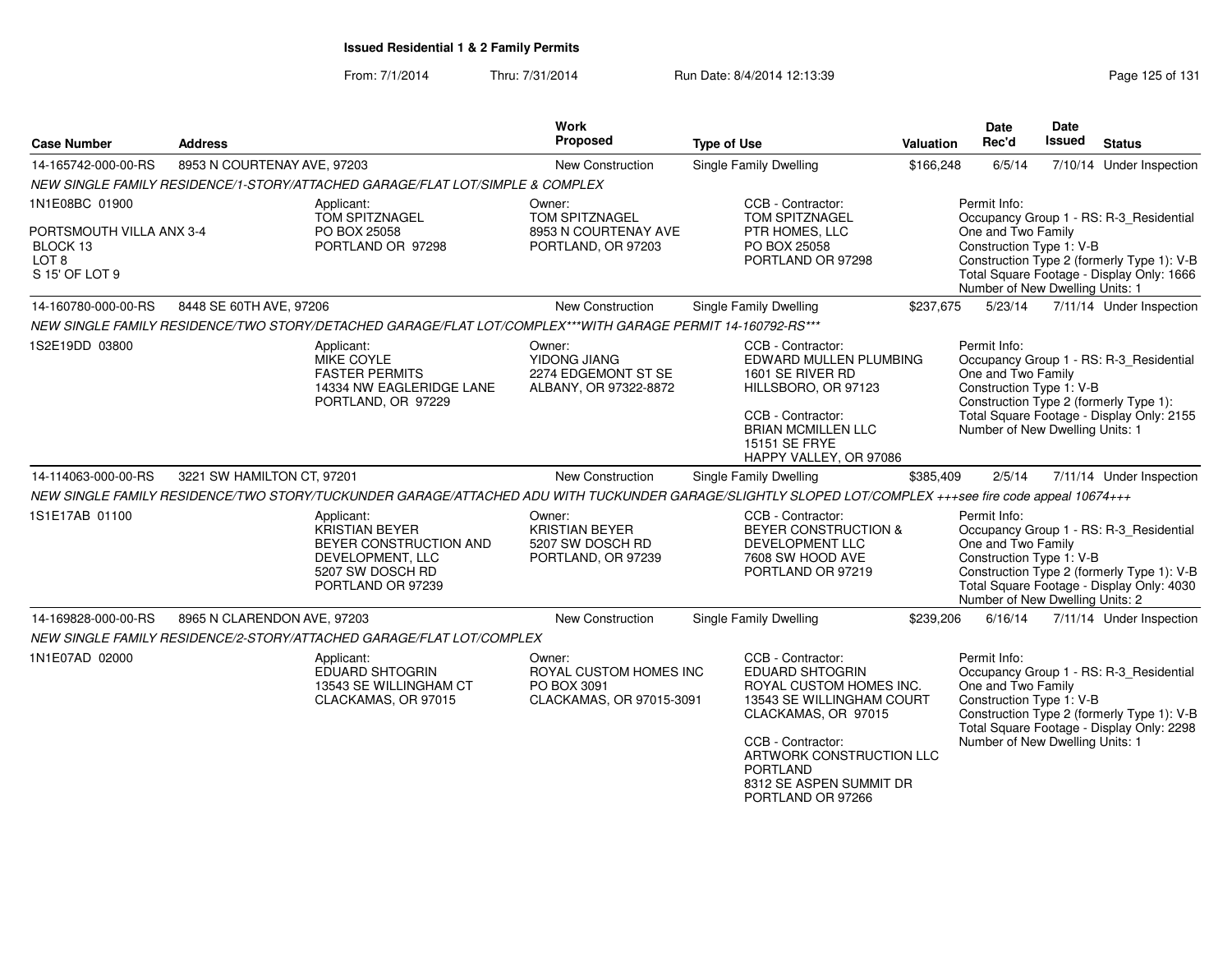From: 7/1/2014Thru: 7/31/2014 Run Date: 8/4/2014 12:13:39 Rege 125 of 131

| <b>Case Number</b>                                                         | <b>Address</b>              |                                                                                                                            | <b>Work</b><br>Proposed                                                     | <b>Type of Use</b>                                                                                                                                                                                                                             | <b>Valuation</b> | <b>Date</b><br>Rec'd                                                                              | <b>Date</b><br>Issued | <b>Status</b>                                                                                                                      |
|----------------------------------------------------------------------------|-----------------------------|----------------------------------------------------------------------------------------------------------------------------|-----------------------------------------------------------------------------|------------------------------------------------------------------------------------------------------------------------------------------------------------------------------------------------------------------------------------------------|------------------|---------------------------------------------------------------------------------------------------|-----------------------|------------------------------------------------------------------------------------------------------------------------------------|
| 14-165742-000-00-RS                                                        | 8953 N COURTENAY AVE, 97203 |                                                                                                                            | New Construction                                                            | Single Family Dwelling                                                                                                                                                                                                                         | \$166,248        | 6/5/14                                                                                            |                       | 7/10/14 Under Inspection                                                                                                           |
|                                                                            |                             | NEW SINGLE FAMILY RESIDENCE/1-STORY/ATTACHED GARAGE/FLAT LOT/SIMPLE & COMPLEX                                              |                                                                             |                                                                                                                                                                                                                                                |                  |                                                                                                   |                       |                                                                                                                                    |
| 1N1E08BC 01900                                                             |                             | Applicant:<br>TOM SPITZNAGEL                                                                                               | Owner:<br><b>TOM SPITZNAGEL</b>                                             | CCB - Contractor:<br><b>TOM SPITZNAGEL</b>                                                                                                                                                                                                     |                  | Permit Info:                                                                                      |                       | Occupancy Group 1 - RS: R-3 Residential                                                                                            |
| PORTSMOUTH VILLA ANX 3-4<br>BLOCK 13<br>LOT <sub>8</sub><br>S 15' OF LOT 9 |                             | PO BOX 25058<br>PORTLAND OR 97298                                                                                          | 8953 N COURTENAY AVE<br>PORTLAND, OR 97203                                  | PTR HOMES, LLC<br>PO BOX 25058<br>PORTLAND OR 97298                                                                                                                                                                                            |                  | One and Two Family<br>Construction Type 1: V-B<br>Number of New Dwelling Units: 1                 |                       | Construction Type 2 (formerly Type 1): V-B<br>Total Square Footage - Display Only: 1666                                            |
| 14-160780-000-00-RS                                                        | 8448 SE 60TH AVE, 97206     |                                                                                                                            | <b>New Construction</b>                                                     | Single Family Dwelling                                                                                                                                                                                                                         | \$237,675        | 5/23/14                                                                                           |                       | 7/11/14 Under Inspection                                                                                                           |
|                                                                            |                             | NEW SINGLE FAMILY RESIDENCE/TWO STORY/DETACHED GARAGE/FLAT LOT/COMPLEX***WITH GARAGE PERMIT 14-160792-RS***                |                                                                             |                                                                                                                                                                                                                                                |                  |                                                                                                   |                       |                                                                                                                                    |
| 1S2E19DD 03800                                                             |                             | Applicant:<br>MIKE COYLE<br><b>FASTER PERMITS</b><br>14334 NW EAGLERIDGE LANE<br>PORTLAND, OR 97229                        | Owner:<br>YIDONG JIANG<br>2274 EDGEMONT ST SE<br>ALBANY, OR 97322-8872      | CCB - Contractor:<br>EDWARD MULLEN PLUMBING<br>1601 SE RIVER RD<br>HILLSBORO, OR 97123<br>CCB - Contractor:<br><b>BRIAN MCMILLEN LLC</b><br>15151 SE FRYE<br>HAPPY VALLEY, OR 97086                                                            |                  | Permit Info:<br>One and Two Family<br>Construction Type 1: V-B<br>Number of New Dwelling Units: 1 |                       | Occupancy Group 1 - RS: R-3_Residential<br>Construction Type 2 (formerly Type 1):<br>Total Square Footage - Display Only: 2155     |
| 14-114063-000-00-RS                                                        | 3221 SW HAMILTON CT, 97201  |                                                                                                                            | New Construction                                                            | Single Family Dwelling                                                                                                                                                                                                                         | \$385,409        | 2/5/14                                                                                            |                       | 7/11/14 Under Inspection                                                                                                           |
|                                                                            |                             |                                                                                                                            |                                                                             | NEW SINGLE FAMILY RESIDENCE/TWO STORY/TUCKUNDER GARAGE/ATTACHED ADU WITH TUCKUNDER GARAGE/SLIGHTLY SLOPED LOT/COMPLEX +++see fire code appeal 10674+++                                                                                         |                  |                                                                                                   |                       |                                                                                                                                    |
| 1S1E17AB 01100                                                             |                             | Applicant:<br><b>KRISTIAN BEYER</b><br>BEYER CONSTRUCTION AND<br>DEVELOPMENT, LLC<br>5207 SW DOSCH RD<br>PORTLAND OR 97239 | Owner:<br><b>KRISTIAN BEYER</b><br>5207 SW DOSCH RD<br>PORTLAND, OR 97239   | CCB - Contractor:<br><b>BEYER CONSTRUCTION &amp;</b><br><b>DEVELOPMENT LLC</b><br>7608 SW HOOD AVE<br>PORTLAND OR 97219                                                                                                                        |                  | Permit Info:<br>One and Two Family<br>Construction Type 1: V-B<br>Number of New Dwelling Units: 2 |                       | Occupancy Group 1 - RS: R-3_Residential<br>Construction Type 2 (formerly Type 1): V-B<br>Total Square Footage - Display Only: 4030 |
| 14-169828-000-00-RS                                                        | 8965 N CLARENDON AVE, 97203 |                                                                                                                            | New Construction                                                            | Single Family Dwelling                                                                                                                                                                                                                         | \$239,206        | 6/16/14                                                                                           |                       | 7/11/14 Under Inspection                                                                                                           |
|                                                                            |                             | NEW SINGLE FAMILY RESIDENCE/2-STORY/ATTACHED GARAGE/FLAT LOT/COMPLEX                                                       |                                                                             |                                                                                                                                                                                                                                                |                  |                                                                                                   |                       |                                                                                                                                    |
| 1N1E07AD 02000                                                             |                             | Applicant:<br><b>EDUARD SHTOGRIN</b><br>13543 SE WILLINGHAM CT<br>CLACKAMAS, OR 97015                                      | Owner:<br>ROYAL CUSTOM HOMES INC<br>PO BOX 3091<br>CLACKAMAS, OR 97015-3091 | CCB - Contractor:<br><b>EDUARD SHTOGRIN</b><br>ROYAL CUSTOM HOMES INC.<br>13543 SE WILLINGHAM COURT<br>CLACKAMAS, OR 97015<br>CCB - Contractor:<br>ARTWORK CONSTRUCTION LLC<br><b>PORTLAND</b><br>8312 SE ASPEN SUMMIT DR<br>PORTLAND OR 97266 |                  | Permit Info:<br>One and Two Family<br>Construction Type 1: V-B<br>Number of New Dwelling Units: 1 |                       | Occupancy Group 1 - RS: R-3_Residential<br>Construction Type 2 (formerly Type 1): V-B<br>Total Square Footage - Display Only: 2298 |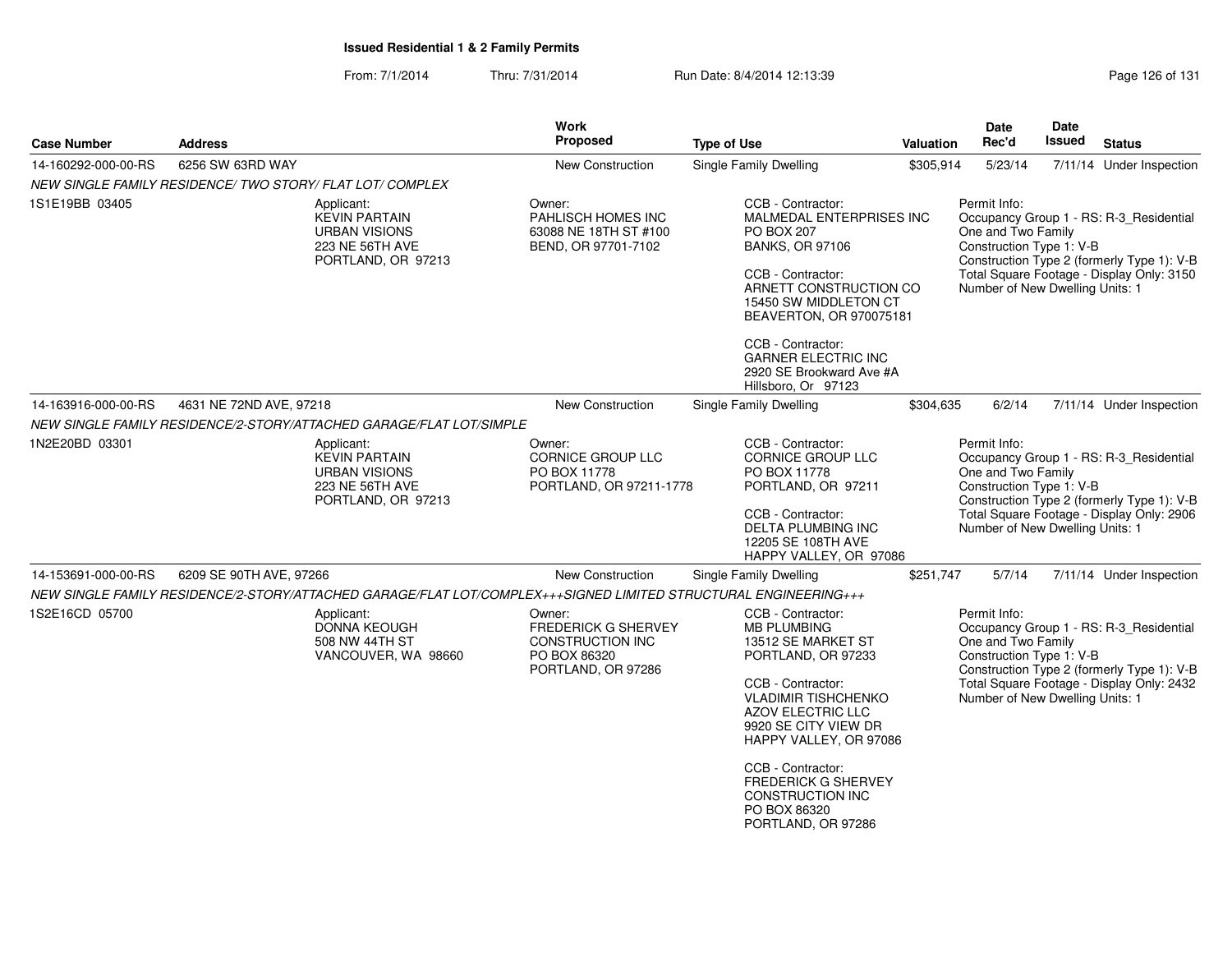From: 7/1/2014Thru: 7/31/2014 Run Date: 8/4/2014 12:13:39 Research 2010 Rage 126 of 131

| <b>Address</b>   |                                                                                                     | <b>Work</b><br><b>Proposed</b>                                                                                  | <b>Type of Use</b>                                                                                                                                                                                                                                                               |                                                                                                                                                                 | Date<br>Rec'd                                                                                                                                                                                                        | Date<br>Issued                                   | <b>Status</b>                                                                                                                                                                                                                                                                                                                                                                                                                                                                                                                                                                                                                                                                 |
|------------------|-----------------------------------------------------------------------------------------------------|-----------------------------------------------------------------------------------------------------------------|----------------------------------------------------------------------------------------------------------------------------------------------------------------------------------------------------------------------------------------------------------------------------------|-----------------------------------------------------------------------------------------------------------------------------------------------------------------|----------------------------------------------------------------------------------------------------------------------------------------------------------------------------------------------------------------------|--------------------------------------------------|-------------------------------------------------------------------------------------------------------------------------------------------------------------------------------------------------------------------------------------------------------------------------------------------------------------------------------------------------------------------------------------------------------------------------------------------------------------------------------------------------------------------------------------------------------------------------------------------------------------------------------------------------------------------------------|
| 6256 SW 63RD WAY |                                                                                                     | New Construction                                                                                                | <b>Single Family Dwelling</b>                                                                                                                                                                                                                                                    |                                                                                                                                                                 | 5/23/14                                                                                                                                                                                                              |                                                  | 7/11/14 Under Inspection                                                                                                                                                                                                                                                                                                                                                                                                                                                                                                                                                                                                                                                      |
|                  |                                                                                                     |                                                                                                                 |                                                                                                                                                                                                                                                                                  |                                                                                                                                                                 |                                                                                                                                                                                                                      |                                                  |                                                                                                                                                                                                                                                                                                                                                                                                                                                                                                                                                                                                                                                                               |
|                  | Applicant:<br><b>KEVIN PARTAIN</b><br><b>URBAN VISIONS</b><br>223 NE 56TH AVE<br>PORTLAND, OR 97213 | Owner:<br>PAHLISCH HOMES INC<br>63088 NE 18TH ST #100<br>BEND, OR 97701-7102                                    | CCB - Contractor:<br><b>PO BOX 207</b><br><b>BANKS, OR 97106</b><br>CCB - Contractor:                                                                                                                                                                                            |                                                                                                                                                                 | Permit Info:                                                                                                                                                                                                         |                                                  |                                                                                                                                                                                                                                                                                                                                                                                                                                                                                                                                                                                                                                                                               |
|                  |                                                                                                     |                                                                                                                 | <b>GARNER ELECTRIC INC</b><br>Hillsboro, Or 97123                                                                                                                                                                                                                                |                                                                                                                                                                 |                                                                                                                                                                                                                      |                                                  |                                                                                                                                                                                                                                                                                                                                                                                                                                                                                                                                                                                                                                                                               |
|                  |                                                                                                     | New Construction                                                                                                | <b>Single Family Dwelling</b>                                                                                                                                                                                                                                                    |                                                                                                                                                                 | 6/2/14                                                                                                                                                                                                               |                                                  | 7/11/14 Under Inspection                                                                                                                                                                                                                                                                                                                                                                                                                                                                                                                                                                                                                                                      |
|                  |                                                                                                     |                                                                                                                 |                                                                                                                                                                                                                                                                                  |                                                                                                                                                                 |                                                                                                                                                                                                                      |                                                  |                                                                                                                                                                                                                                                                                                                                                                                                                                                                                                                                                                                                                                                                               |
|                  | Applicant:<br><b>KEVIN PARTAIN</b><br><b>URBAN VISIONS</b><br>223 NE 56TH AVE<br>PORTLAND, OR 97213 | Owner:<br>CORNICE GROUP LLC<br>PO BOX 11778                                                                     | CCB - Contractor:<br><b>CORNICE GROUP LLC</b><br>PO BOX 11778<br>PORTLAND, OR 97211<br>CCB - Contractor:<br><b>DELTA PLUMBING INC</b><br>12205 SE 108TH AVE                                                                                                                      |                                                                                                                                                                 | Permit Info:                                                                                                                                                                                                         |                                                  |                                                                                                                                                                                                                                                                                                                                                                                                                                                                                                                                                                                                                                                                               |
|                  |                                                                                                     | New Construction                                                                                                | Single Family Dwelling                                                                                                                                                                                                                                                           |                                                                                                                                                                 | 5/7/14                                                                                                                                                                                                               |                                                  | 7/11/14 Under Inspection                                                                                                                                                                                                                                                                                                                                                                                                                                                                                                                                                                                                                                                      |
|                  |                                                                                                     |                                                                                                                 |                                                                                                                                                                                                                                                                                  |                                                                                                                                                                 |                                                                                                                                                                                                                      |                                                  |                                                                                                                                                                                                                                                                                                                                                                                                                                                                                                                                                                                                                                                                               |
|                  | Applicant:<br>DONNA KEOUGH<br>508 NW 44TH ST<br>VANCOUVER, WA 98660                                 | Owner:<br>FREDERICK G SHERVEY<br><b>CONSTRUCTION INC</b><br>PO BOX 86320<br>PORTLAND, OR 97286                  | CCB - Contractor:<br><b>MB PLUMBING</b><br>13512 SE MARKET ST<br>PORTLAND, OR 97233<br>CCB - Contractor:<br><b>VLADIMIR TISHCHENKO</b><br><b>AZOV ELECTRIC LLC</b><br>9920 SE CITY VIEW DR<br>CCB - Contractor:<br><b>CONSTRUCTION INC</b><br>PO BOX 86320<br>PORTLAND, OR 97286 |                                                                                                                                                                 | Permit Info:                                                                                                                                                                                                         |                                                  |                                                                                                                                                                                                                                                                                                                                                                                                                                                                                                                                                                                                                                                                               |
|                  |                                                                                                     | NEW SINGLE FAMILY RESIDENCE/ TWO STORY/ FLAT LOT/ COMPLEX<br>4631 NE 72ND AVE, 97218<br>6209 SE 90TH AVE, 97266 | NEW SINGLE FAMILY RESIDENCE/2-STORY/ATTACHED GARAGE/FLAT LOT/SIMPLE                                                                                                                                                                                                              | CCB - Contractor:<br>PORTLAND, OR 97211-1778<br>NEW SINGLE FAMILY RESIDENCE/2-STORY/ATTACHED GARAGE/FLAT LOT/COMPLEX+++SIGNED LIMITED STRUCTURAL ENGINEERING+++ | MALMEDAL ENTERPRISES INC<br>ARNETT CONSTRUCTION CO<br>15450 SW MIDDLETON CT<br>BEAVERTON, OR 970075181<br>2920 SE Brookward Ave #A<br>HAPPY VALLEY, OR 97086<br>HAPPY VALLEY, OR 97086<br><b>FREDERICK G SHERVEY</b> | Valuation<br>\$305,914<br>\$304,635<br>\$251,747 | Occupancy Group 1 - RS: R-3_Residential<br>One and Two Family<br>Construction Type 1: V-B<br>Construction Type 2 (formerly Type 1): V-B<br>Total Square Footage - Display Only: 3150<br>Number of New Dwelling Units: 1<br>Occupancy Group 1 - RS: R-3_Residential<br>One and Two Family<br>Construction Type 1: V-B<br>Construction Type 2 (formerly Type 1): V-B<br>Total Square Footage - Display Only: 2906<br>Number of New Dwelling Units: 1<br>Occupancy Group 1 - RS: R-3_Residential<br>One and Two Family<br>Construction Type 1: V-B<br>Construction Type 2 (formerly Type 1): V-B<br>Total Square Footage - Display Only: 2432<br>Number of New Dwelling Units: 1 |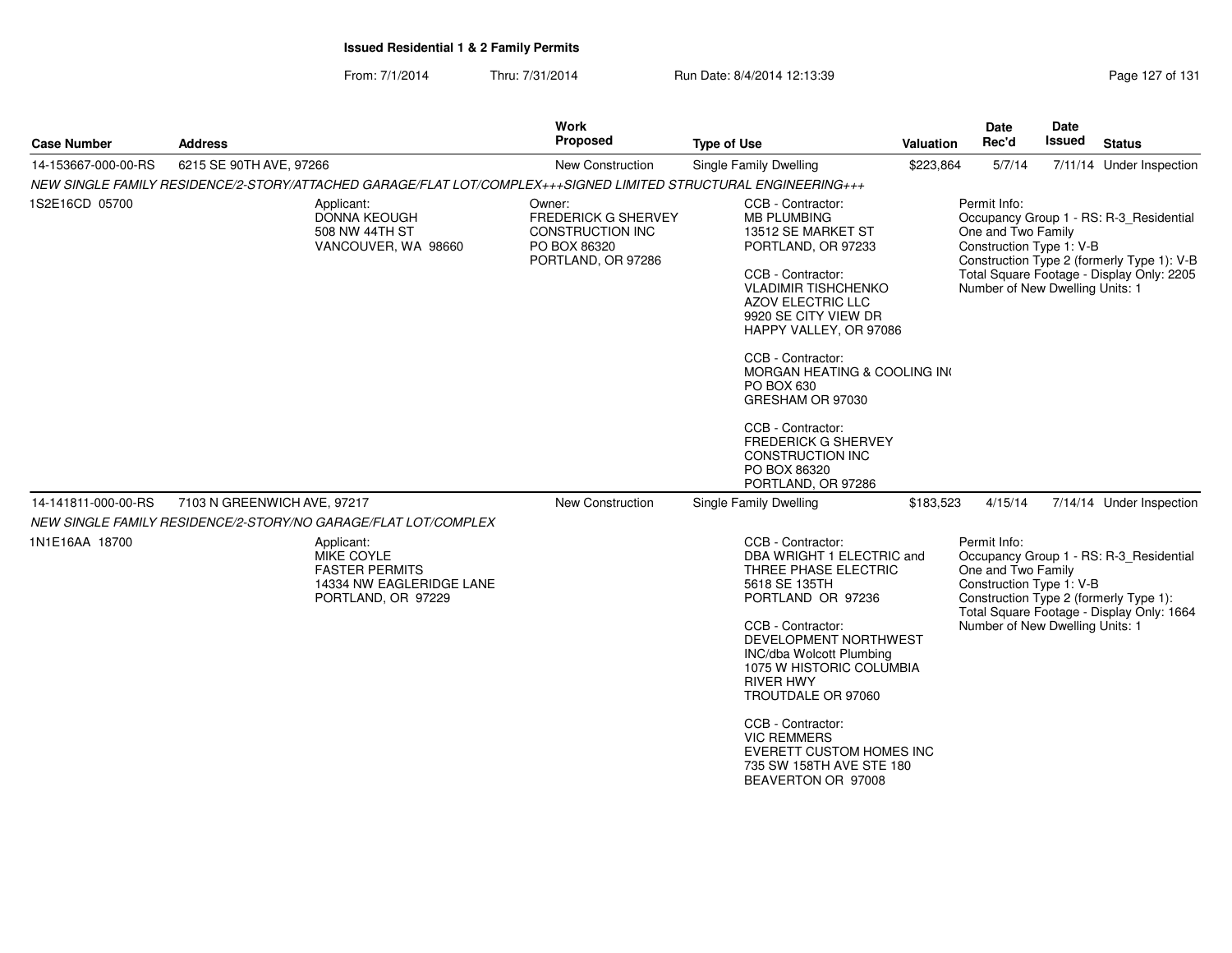From: 7/1/2014Thru: 7/31/2014 Run Date: 8/4/2014 12:13:39 Rege 127 of 131

| <b>Case Number</b>  | <b>Address</b>                                                                                                  | <b>Work</b><br><b>Proposed</b>                                                                 | <b>Type of Use</b>                                                                                                                                                                                                                                                                                                                                                                                                      | <b>Valuation</b> | Date<br>Rec'd                                                                                     | <b>Date</b><br>Issued | <b>Status</b>                                                                                                                      |
|---------------------|-----------------------------------------------------------------------------------------------------------------|------------------------------------------------------------------------------------------------|-------------------------------------------------------------------------------------------------------------------------------------------------------------------------------------------------------------------------------------------------------------------------------------------------------------------------------------------------------------------------------------------------------------------------|------------------|---------------------------------------------------------------------------------------------------|-----------------------|------------------------------------------------------------------------------------------------------------------------------------|
| 14-153667-000-00-RS | 6215 SE 90TH AVE, 97266                                                                                         | <b>New Construction</b>                                                                        | <b>Single Family Dwelling</b>                                                                                                                                                                                                                                                                                                                                                                                           | \$223,864        | 5/7/14                                                                                            |                       | 7/11/14 Under Inspection                                                                                                           |
|                     | NEW SINGLE FAMILY RESIDENCE/2-STORY/ATTACHED GARAGE/FLAT LOT/COMPLEX+++SIGNED LIMITED STRUCTURAL ENGINEERING+++ |                                                                                                |                                                                                                                                                                                                                                                                                                                                                                                                                         |                  |                                                                                                   |                       |                                                                                                                                    |
| 1S2E16CD 05700      | Applicant:<br><b>DONNA KEOUGH</b><br>508 NW 44TH ST<br>VANCOUVER, WA 98660                                      | Owner:<br><b>FREDERICK G SHERVEY</b><br>CONSTRUCTION INC<br>PO BOX 86320<br>PORTLAND, OR 97286 | CCB - Contractor:<br><b>MB PLUMBING</b><br>13512 SE MARKET ST<br>PORTLAND, OR 97233<br>CCB - Contractor:<br><b>VLADIMIR TISHCHENKO</b><br>AZOV ELECTRIC LLC<br>9920 SE CITY VIEW DR<br>HAPPY VALLEY, OR 97086<br>CCB - Contractor:<br>MORGAN HEATING & COOLING IN<br>PO BOX 630<br>GRESHAM OR 97030<br>CCB - Contractor:<br><b>FREDERICK G SHERVEY</b><br><b>CONSTRUCTION INC</b><br>PO BOX 86320<br>PORTLAND, OR 97286 |                  | Permit Info:<br>One and Two Family<br>Construction Type 1: V-B<br>Number of New Dwelling Units: 1 |                       | Occupancy Group 1 - RS: R-3 Residential<br>Construction Type 2 (formerly Type 1): V-B<br>Total Square Footage - Display Only: 2205 |
| 14-141811-000-00-RS | 7103 N GREENWICH AVE, 97217                                                                                     | New Construction                                                                               | Single Family Dwelling                                                                                                                                                                                                                                                                                                                                                                                                  | \$183,523        | 4/15/14                                                                                           |                       | 7/14/14 Under Inspection                                                                                                           |
|                     | NEW SINGLE FAMILY RESIDENCE/2-STORY/NO GARAGE/FLAT LOT/COMPLEX                                                  |                                                                                                |                                                                                                                                                                                                                                                                                                                                                                                                                         |                  |                                                                                                   |                       |                                                                                                                                    |
| 1N1E16AA 18700      | Applicant:<br>MIKE COYLE<br><b>FASTER PERMITS</b><br>14334 NW EAGLERIDGE LANE<br>PORTLAND, OR 97229             |                                                                                                | CCB - Contractor:<br>DBA WRIGHT 1 ELECTRIC and<br>THREE PHASE ELECTRIC<br>5618 SE 135TH<br>PORTLAND OR 97236<br>CCB - Contractor:<br>DEVELOPMENT NORTHWEST<br><b>INC/dba Wolcott Plumbing</b><br>1075 W HISTORIC COLUMBIA<br><b>RIVER HWY</b><br>TROUTDALE OR 97060<br>CCB - Contractor:<br><b>VIC REMMERS</b><br>EVERETT CUSTOM HOMES INC<br>735 SW 158TH AVE STE 180<br>BEAVERTON OR 97008                            |                  | Permit Info:<br>One and Two Family<br>Construction Type 1: V-B<br>Number of New Dwelling Units: 1 |                       | Occupancy Group 1 - RS: R-3_Residential<br>Construction Type 2 (formerly Type 1):<br>Total Square Footage - Display Only: 1664     |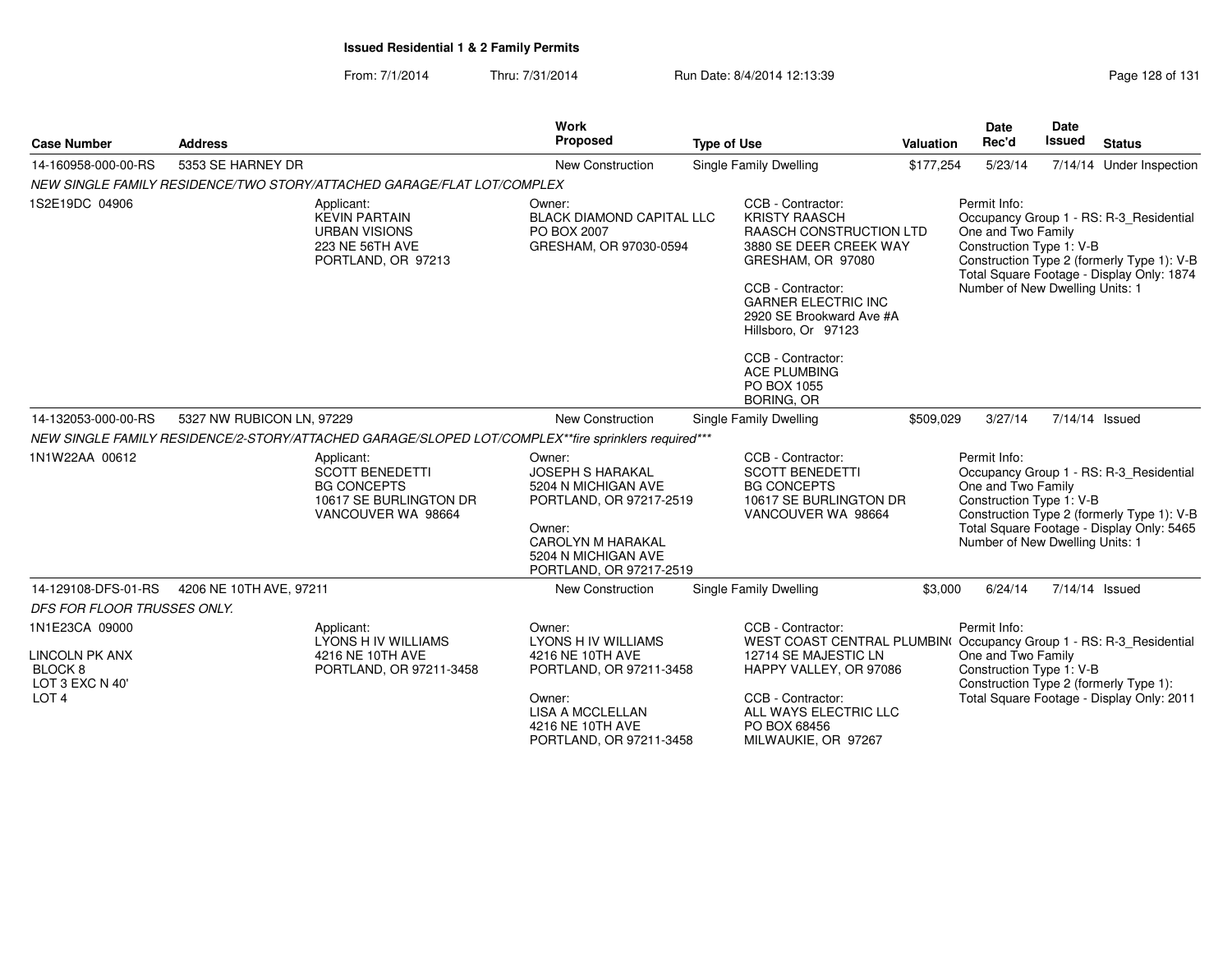#### From: 7/1/2014Thru: 7/31/2014 Run Date: 8/4/2014 12:13:39 Research 2010 Rage 128 of 131

| <b>Case Number</b>                                                                                   | <b>Address</b>            |                                                                                                            | Work<br><b>Proposed</b>                                                                                                                                                     | <b>Type of Use</b>                                                                                                                                                                                                                                   | <b>Valuation</b>                                                                             | <b>Date</b><br>Rec'd                                                                              | Date<br><b>Issued</b> | <b>Status</b>                                                                                                                      |
|------------------------------------------------------------------------------------------------------|---------------------------|------------------------------------------------------------------------------------------------------------|-----------------------------------------------------------------------------------------------------------------------------------------------------------------------------|------------------------------------------------------------------------------------------------------------------------------------------------------------------------------------------------------------------------------------------------------|----------------------------------------------------------------------------------------------|---------------------------------------------------------------------------------------------------|-----------------------|------------------------------------------------------------------------------------------------------------------------------------|
| 14-160958-000-00-RS                                                                                  | 5353 SE HARNEY DR         |                                                                                                            | New Construction                                                                                                                                                            | <b>Single Family Dwelling</b>                                                                                                                                                                                                                        | \$177,254                                                                                    | 5/23/14                                                                                           |                       | 7/14/14 Under Inspection                                                                                                           |
|                                                                                                      |                           | NEW SINGLE FAMILY RESIDENCE/TWO STORY/ATTACHED GARAGE/FLAT LOT/COMPLEX                                     |                                                                                                                                                                             |                                                                                                                                                                                                                                                      |                                                                                              |                                                                                                   |                       |                                                                                                                                    |
| 1S2E19DC 04906                                                                                       |                           | Applicant:<br><b>KEVIN PARTAIN</b><br><b>URBAN VISIONS</b><br>223 NE 56TH AVE<br>PORTLAND, OR 97213        | Owner:<br><b>BLACK DIAMOND CAPITAL LLC</b><br>PO BOX 2007<br>GRESHAM, OR 97030-0594                                                                                         | CCB - Contractor:<br><b>KRISTY RAASCH</b><br>GRESHAM, OR 97080<br>CCB - Contractor:<br><b>GARNER ELECTRIC INC</b><br>2920 SE Brookward Ave #A<br>Hillsboro, Or 97123<br>CCB - Contractor:<br><b>ACE PLUMBING</b><br>PO BOX 1055<br><b>BORING, OR</b> | <b>RAASCH CONSTRUCTION LTD</b><br>3880 SE DEER CREEK WAY                                     | Permit Info:<br>One and Two Family<br>Construction Type 1: V-B<br>Number of New Dwelling Units: 1 |                       | Occupancy Group 1 - RS: R-3_Residential<br>Construction Type 2 (formerly Type 1): V-B<br>Total Square Footage - Display Only: 1874 |
| 14-132053-000-00-RS                                                                                  | 5327 NW RUBICON LN, 97229 |                                                                                                            | <b>New Construction</b>                                                                                                                                                     | Single Family Dwelling                                                                                                                                                                                                                               | \$509,029                                                                                    | 3/27/14                                                                                           |                       | 7/14/14 Issued                                                                                                                     |
|                                                                                                      |                           |                                                                                                            | NEW SINGLE FAMILY RESIDENCE/2-STORY/ATTACHED GARAGE/SLOPED LOT/COMPLEX**fire sprinklers required***                                                                         |                                                                                                                                                                                                                                                      |                                                                                              |                                                                                                   |                       |                                                                                                                                    |
| 1N1W22AA 00612                                                                                       |                           | Applicant:<br><b>SCOTT BENEDETTI</b><br><b>BG CONCEPTS</b><br>10617 SE BURLINGTON DR<br>VANCOUVER WA 98664 | Owner:<br><b>JOSEPH S HARAKAL</b><br>5204 N MICHIGAN AVE<br>PORTLAND, OR 97217-2519<br>Owner:<br><b>CAROLYN M HARAKAL</b><br>5204 N MICHIGAN AVE<br>PORTLAND, OR 97217-2519 | CCB - Contractor:<br><b>SCOTT BENEDETTI</b><br><b>BG CONCEPTS</b><br>VANCOUVER WA 98664                                                                                                                                                              | 10617 SE BURLINGTON DR                                                                       | Permit Info:<br>One and Two Family<br>Construction Type 1: V-B<br>Number of New Dwelling Units: 1 |                       | Occupancy Group 1 - RS: R-3_Residential<br>Construction Type 2 (formerly Type 1): V-B<br>Total Square Footage - Display Only: 5465 |
| 14-129108-DFS-01-RS                                                                                  | 4206 NE 10TH AVE, 97211   |                                                                                                            | New Construction                                                                                                                                                            | Single Family Dwelling                                                                                                                                                                                                                               | \$3,000                                                                                      | 6/24/14                                                                                           |                       | 7/14/14 Issued                                                                                                                     |
| DFS FOR FLOOR TRUSSES ONLY.                                                                          |                           |                                                                                                            |                                                                                                                                                                             |                                                                                                                                                                                                                                                      |                                                                                              |                                                                                                   |                       |                                                                                                                                    |
| 1N1E23CA 09000<br><b>LINCOLN PK ANX</b><br>BLOCK <sub>8</sub><br>LOT 3 EXC N 40'<br>LOT <sub>4</sub> |                           | Applicant:<br><b>LYONS H IV WILLIAMS</b><br>4216 NE 10TH AVE<br>PORTLAND, OR 97211-3458                    | Owner:<br><b>LYONS H IV WILLIAMS</b><br>4216 NE 10TH AVE<br>PORTLAND, OR 97211-3458<br>Owner:<br><b>LISA A MCCLELLAN</b><br>4216 NE 10TH AVE<br>PORTLAND, OR 97211-3458     | CCB - Contractor:<br>12714 SE MAJESTIC LN<br>CCB - Contractor:<br>ALL WAYS ELECTRIC LLC<br>PO BOX 68456<br>MILWAUKIE, OR 97267                                                                                                                       | WEST COAST CENTRAL PLUMBIN(Occupancy Group 1 - RS: R-3 Residential<br>HAPPY VALLEY, OR 97086 | Permit Info:<br>One and Two Family<br>Construction Type 1: V-B                                    |                       | Construction Type 2 (formerly Type 1):<br>Total Square Footage - Display Only: 2011                                                |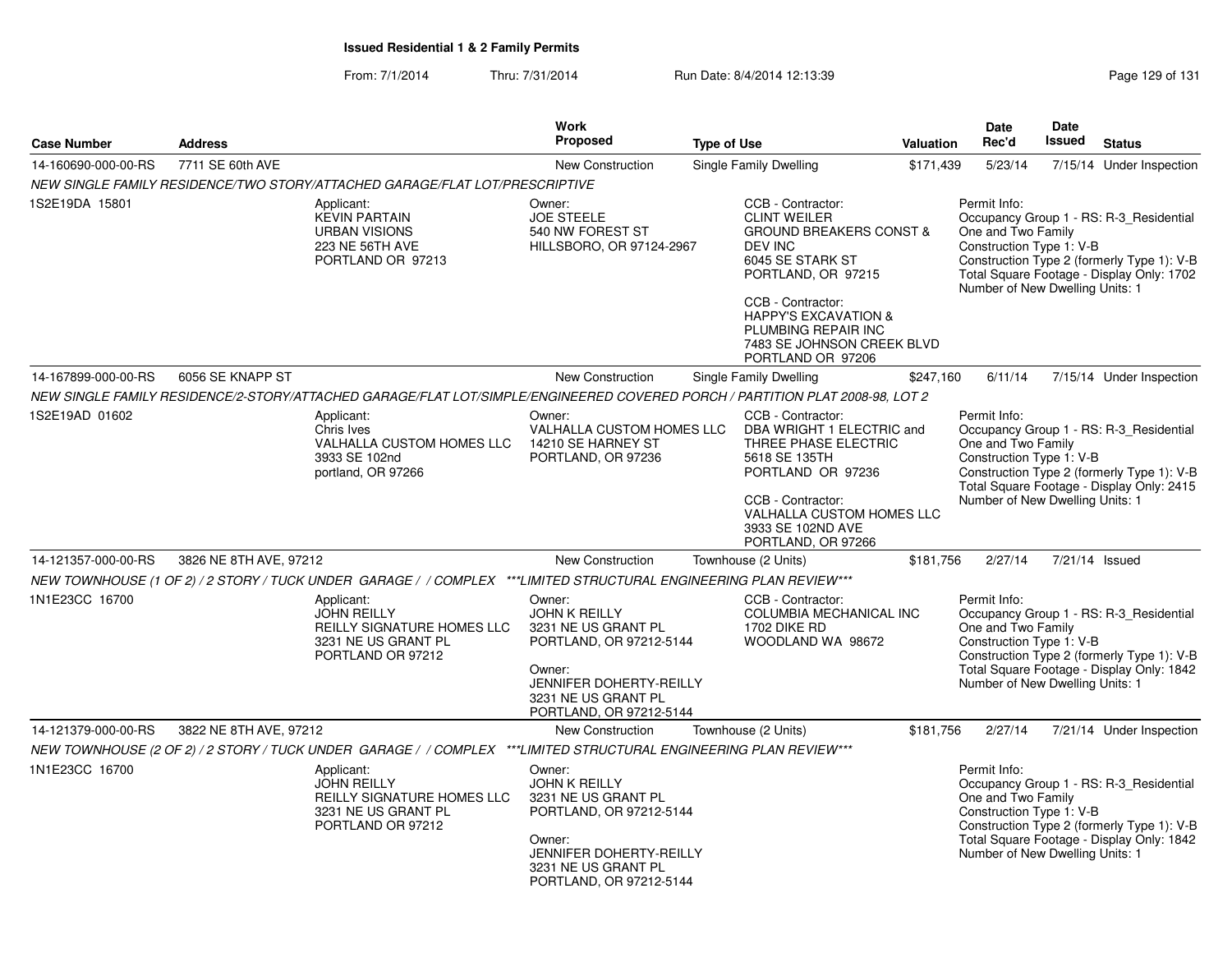From: 7/1/2014Thru: 7/31/2014 Run Date: 8/4/2014 12:13:39 Rege 129 of 131

| <b>Case Number</b>  | <b>Address</b>         |                                                                                                                              | <b>Work</b><br><b>Proposed</b>                                                                                                                                          | <b>Type of Use</b>                                                              | <b>Valuation</b>                                                                                                                                                                          | Date<br>Rec'd                                                                                     | <b>Date</b><br><b>Issued</b> | <b>Status</b>                                                                                                                      |
|---------------------|------------------------|------------------------------------------------------------------------------------------------------------------------------|-------------------------------------------------------------------------------------------------------------------------------------------------------------------------|---------------------------------------------------------------------------------|-------------------------------------------------------------------------------------------------------------------------------------------------------------------------------------------|---------------------------------------------------------------------------------------------------|------------------------------|------------------------------------------------------------------------------------------------------------------------------------|
| 14-160690-000-00-RS | 7711 SE 60th AVE       |                                                                                                                              | <b>New Construction</b>                                                                                                                                                 | Single Family Dwelling                                                          | \$171,439                                                                                                                                                                                 | 5/23/14                                                                                           |                              | 7/15/14 Under Inspection                                                                                                           |
|                     |                        | NEW SINGLE FAMILY RESIDENCE/TWO STORY/ATTACHED GARAGE/FLAT LOT/PRESCRIPTIVE                                                  |                                                                                                                                                                         |                                                                                 |                                                                                                                                                                                           |                                                                                                   |                              |                                                                                                                                    |
| 1S2E19DA 15801      |                        | Applicant:<br><b>KEVIN PARTAIN</b><br><b>URBAN VISIONS</b><br>223 NE 56TH AVE<br>PORTLAND OR 97213                           | Owner:<br><b>JOE STEELE</b><br>540 NW FOREST ST<br>HILLSBORO, OR 97124-2967                                                                                             | CCB - Contractor:<br><b>CLINT WEILER</b><br><b>DEV INC</b><br>CCB - Contractor: | <b>GROUND BREAKERS CONST &amp;</b><br>6045 SE STARK ST<br>PORTLAND, OR 97215<br><b>HAPPY'S EXCAVATION &amp;</b><br>PLUMBING REPAIR INC<br>7483 SE JOHNSON CREEK BLVD<br>PORTLAND OR 97206 | Permit Info:<br>One and Two Family<br>Construction Type 1: V-B<br>Number of New Dwelling Units: 1 |                              | Occupancy Group 1 - RS: R-3_Residential<br>Construction Type 2 (formerly Type 1): V-B<br>Total Square Footage - Display Only: 1702 |
| 14-167899-000-00-RS | 6056 SE KNAPP ST       |                                                                                                                              | <b>New Construction</b>                                                                                                                                                 | <b>Single Family Dwelling</b>                                                   | \$247,160                                                                                                                                                                                 | 6/11/14                                                                                           |                              | 7/15/14 Under Inspection                                                                                                           |
|                     |                        | NEW SINGLE FAMILY RESIDENCE/2-STORY/ATTACHED GARAGE/FLAT LOT/SIMPLE/ENGINEERED COVERED PORCH / PARTITION PLAT 2008-98, LOT 2 |                                                                                                                                                                         |                                                                                 |                                                                                                                                                                                           |                                                                                                   |                              |                                                                                                                                    |
| 1S2E19AD 01602      |                        | Applicant:<br>Chris Ives<br><b>VALHALLA CUSTOM HOMES LLC</b><br>3933 SE 102nd<br>portland, OR 97266                          | Owner:<br>VALHALLA CUSTOM HOMES LLC<br>14210 SE HARNEY ST<br>PORTLAND, OR 97236                                                                                         | CCB - Contractor:<br>5618 SE 135TH<br>CCB - Contractor:                         | DBA WRIGHT 1 ELECTRIC and<br>THREE PHASE ELECTRIC<br>PORTLAND OR 97236<br>VALHALLA CUSTOM HOMES LLC<br>3933 SE 102ND AVE<br>PORTLAND, OR 97266                                            | Permit Info:<br>One and Two Family<br>Construction Type 1: V-B<br>Number of New Dwelling Units: 1 |                              | Occupancy Group 1 - RS: R-3_Residential<br>Construction Type 2 (formerly Type 1): V-B<br>Total Square Footage - Display Only: 2415 |
| 14-121357-000-00-RS | 3826 NE 8TH AVE, 97212 |                                                                                                                              | <b>New Construction</b>                                                                                                                                                 | Townhouse (2 Units)                                                             | \$181,756                                                                                                                                                                                 | 2/27/14                                                                                           | 7/21/14 Issued               |                                                                                                                                    |
|                     |                        | NEW TOWNHOUSE (1 OF 2) / 2 STORY / TUCK UNDER GARAGE / / COMPLEX ***LIMITED STRUCTURAL ENGINEERING PLAN REVIEW***            |                                                                                                                                                                         |                                                                                 |                                                                                                                                                                                           |                                                                                                   |                              |                                                                                                                                    |
| 1N1E23CC 16700      |                        | Applicant:<br><b>JOHN REILLY</b><br>REILLY SIGNATURE HOMES LLC<br>3231 NE US GRANT PL<br>PORTLAND OR 97212                   | Owner:<br><b>JOHN K REILLY</b><br>3231 NE US GRANT PL<br>PORTLAND, OR 97212-5144<br>Owner:<br>JENNIFER DOHERTY-REILLY<br>3231 NE US GRANT PL<br>PORTLAND, OR 97212-5144 | CCB - Contractor:<br>1702 DIKE RD                                               | COLUMBIA MECHANICAL INC<br>WOODLAND WA 98672                                                                                                                                              | Permit Info:<br>One and Two Family<br>Construction Type 1: V-B<br>Number of New Dwelling Units: 1 |                              | Occupancy Group 1 - RS: R-3_Residential<br>Construction Type 2 (formerly Type 1): V-B<br>Total Square Footage - Display Only: 1842 |
| 14-121379-000-00-RS | 3822 NE 8TH AVE, 97212 |                                                                                                                              | <b>New Construction</b>                                                                                                                                                 | Townhouse (2 Units)                                                             | \$181.756                                                                                                                                                                                 | 2/27/14                                                                                           |                              | 7/21/14 Under Inspection                                                                                                           |
|                     |                        | NEW TOWNHOUSE (2 OF 2) / 2 STORY / TUCK UNDER GARAGE / / COMPLEX ***LIMITED STRUCTURAL ENGINEERING PLAN REVIEW***            |                                                                                                                                                                         |                                                                                 |                                                                                                                                                                                           |                                                                                                   |                              |                                                                                                                                    |
| 1N1E23CC 16700      |                        | Applicant:<br><b>JOHN REILLY</b><br>REILLY SIGNATURE HOMES LLC<br>3231 NE US GRANT PL<br>PORTLAND OR 97212                   | Owner:<br><b>JOHN K REILLY</b><br>3231 NE US GRANT PL<br>PORTLAND, OR 97212-5144<br>Owner:<br>JENNIFER DOHERTY-REILLY<br>3231 NE US GRANT PL<br>PORTLAND, OR 97212-5144 |                                                                                 |                                                                                                                                                                                           | Permit Info:<br>One and Two Family<br>Construction Type 1: V-B<br>Number of New Dwelling Units: 1 |                              | Occupancy Group 1 - RS: R-3_Residential<br>Construction Type 2 (formerly Type 1): V-B<br>Total Square Footage - Display Only: 1842 |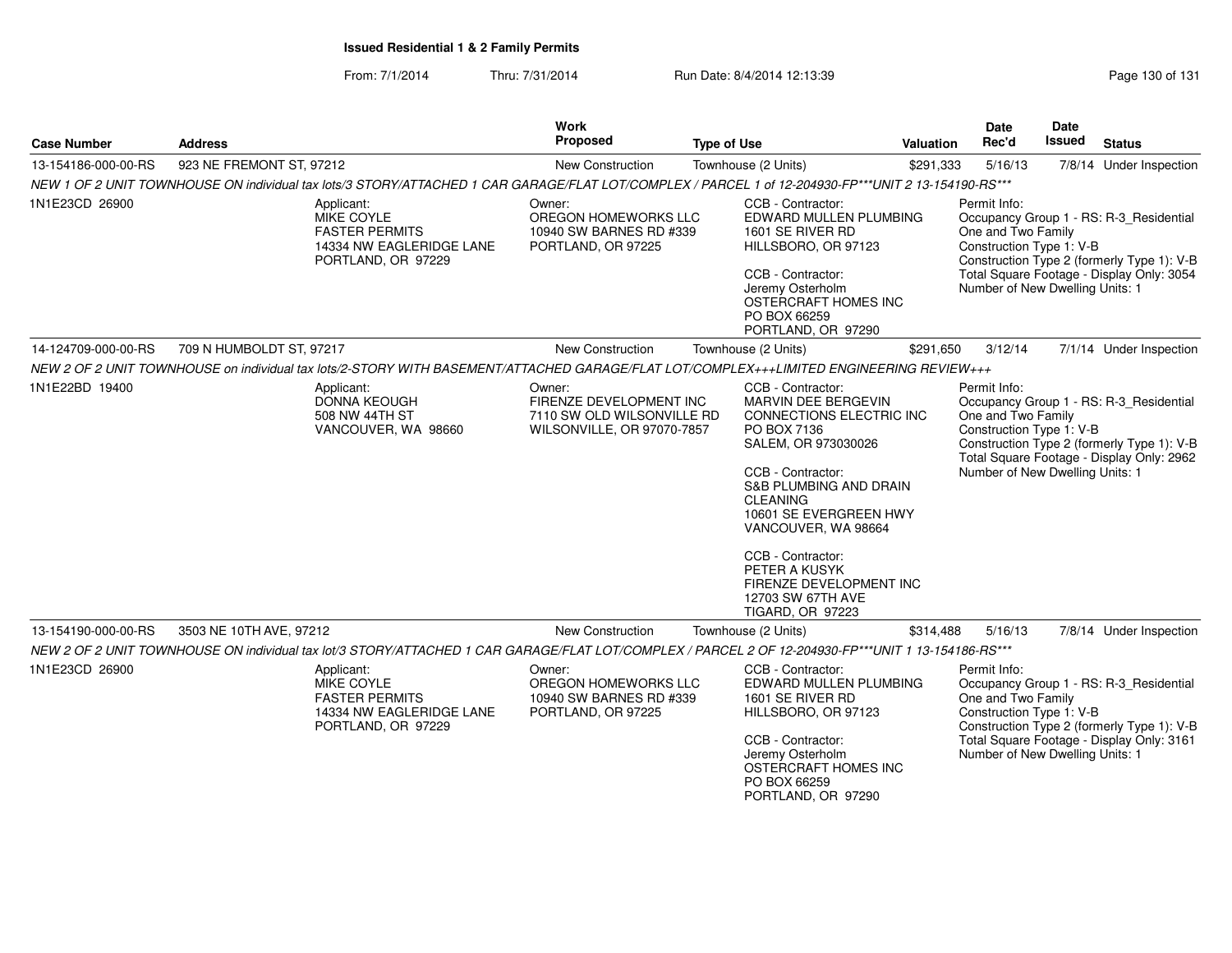From: 7/1/2014Thru: 7/31/2014 Run Date: 8/4/2014 12:13:39 Research 2010 131

| <b>Case Number</b>  | <b>Address</b>                                                                                                                                      | Work<br>Proposed                                                                              | <b>Type of Use</b>                                                                                                                                                                                                                                                                                                                                        | Valuation | Date<br>Rec'd                                                                                     | <b>Date</b><br><b>Issued</b> | <b>Status</b>                                                                                                                      |
|---------------------|-----------------------------------------------------------------------------------------------------------------------------------------------------|-----------------------------------------------------------------------------------------------|-----------------------------------------------------------------------------------------------------------------------------------------------------------------------------------------------------------------------------------------------------------------------------------------------------------------------------------------------------------|-----------|---------------------------------------------------------------------------------------------------|------------------------------|------------------------------------------------------------------------------------------------------------------------------------|
| 13-154186-000-00-RS | 923 NE FREMONT ST, 97212                                                                                                                            | New Construction                                                                              | Townhouse (2 Units)                                                                                                                                                                                                                                                                                                                                       | \$291,333 | 5/16/13                                                                                           |                              | 7/8/14 Under Inspection                                                                                                            |
|                     | NEW 1 OF 2 UNIT TOWNHOUSE ON individual tax lots/3 STORY/ATTACHED 1 CAR GARAGE/FLAT LOT/COMPLEX / PARCEL 1 of 12-204930-FP***UNIT 2 13-154190-RS*** |                                                                                               |                                                                                                                                                                                                                                                                                                                                                           |           |                                                                                                   |                              |                                                                                                                                    |
| 1N1E23CD 26900      | Applicant:<br>MIKE COYLE<br><b>FASTER PERMITS</b><br>14334 NW EAGLERIDGE LANE<br>PORTLAND, OR 97229                                                 | Owner:<br>OREGON HOMEWORKS LLC<br>10940 SW BARNES RD #339<br>PORTLAND, OR 97225               | CCB - Contractor:<br>EDWARD MULLEN PLUMBING<br>1601 SE RIVER RD<br>HILLSBORO, OR 97123<br>CCB - Contractor:<br>Jeremy Osterholm<br>OSTERCRAFT HOMES INC<br>PO BOX 66259<br>PORTLAND, OR 97290                                                                                                                                                             |           | Permit Info:<br>One and Two Family<br>Construction Type 1: V-B<br>Number of New Dwelling Units: 1 |                              | Occupancy Group 1 - RS: R-3_Residential<br>Construction Type 2 (formerly Type 1): V-B<br>Total Square Footage - Display Only: 3054 |
| 14-124709-000-00-RS | 709 N HUMBOLDT ST, 97217                                                                                                                            | <b>New Construction</b>                                                                       | Townhouse (2 Units)                                                                                                                                                                                                                                                                                                                                       | \$291,650 | 3/12/14                                                                                           |                              | 7/1/14 Under Inspection                                                                                                            |
|                     | NEW 2 OF 2 UNIT TOWNHOUSE on individual tax lots/2-STORY WITH BASEMENT/ATTACHED GARAGE/FLAT LOT/COMPLEX+++LIMITED ENGINEERING REVIEW+++             |                                                                                               |                                                                                                                                                                                                                                                                                                                                                           |           |                                                                                                   |                              |                                                                                                                                    |
| 1N1E22BD 19400      | Applicant:<br><b>DONNA KEOUGH</b><br>508 NW 44TH ST<br>VANCOUVER, WA 98660                                                                          | Owner:<br>FIRENZE DEVELOPMENT INC<br>7110 SW OLD WILSONVILLE RD<br>WILSONVILLE, OR 97070-7857 | CCB - Contractor:<br>MARVIN DEE BERGEVIN<br>CONNECTIONS ELECTRIC INC<br>PO BOX 7136<br>SALEM, OR 973030026<br>CCB - Contractor:<br><b>S&amp;B PLUMBING AND DRAIN</b><br><b>CLEANING</b><br>10601 SE EVERGREEN HWY<br>VANCOUVER, WA 98664<br>CCB - Contractor:<br>PETER A KUSYK<br>FIRENZE DEVELOPMENT INC<br>12703 SW 67TH AVE<br><b>TIGARD, OR 97223</b> |           | Permit Info:<br>One and Two Family<br>Construction Type 1: V-B<br>Number of New Dwelling Units: 1 |                              | Occupancy Group 1 - RS: R-3_Residential<br>Construction Type 2 (formerly Type 1): V-B<br>Total Square Footage - Display Only: 2962 |
| 13-154190-000-00-RS | 3503 NE 10TH AVE, 97212                                                                                                                             | <b>New Construction</b>                                                                       | Townhouse (2 Units)                                                                                                                                                                                                                                                                                                                                       | \$314,488 | 5/16/13                                                                                           |                              | 7/8/14 Under Inspection                                                                                                            |
|                     | NEW 2 OF 2 UNIT TOWNHOUSE ON individual tax lot/3 STORY/ATTACHED 1 CAR GARAGE/FLAT LOT/COMPLEX / PARCEL 2 OF 12-204930-FP***UNIT 1 13-154186-RS***  |                                                                                               |                                                                                                                                                                                                                                                                                                                                                           |           |                                                                                                   |                              |                                                                                                                                    |
| 1N1E23CD 26900      | Applicant:<br>MIKE COYLE<br><b>FASTER PERMITS</b><br>14334 NW EAGLERIDGE LANE<br>PORTLAND, OR 97229                                                 | Owner:<br>OREGON HOMEWORKS LLC<br>10940 SW BARNES RD #339<br>PORTLAND, OR 97225               | CCB - Contractor:<br>EDWARD MULLEN PLUMBING<br>1601 SE RIVER RD<br>HILLSBORO, OR 97123<br>CCB - Contractor:<br>Jeremy Osterholm<br>OSTERCRAFT HOMES INC<br>PO BOX 66259<br>PORTLAND, OR 97290                                                                                                                                                             |           | Permit Info:<br>One and Two Family<br>Construction Type 1: V-B<br>Number of New Dwelling Units: 1 |                              | Occupancy Group 1 - RS: R-3 Residential<br>Construction Type 2 (formerly Type 1): V-B<br>Total Square Footage - Display Only: 3161 |